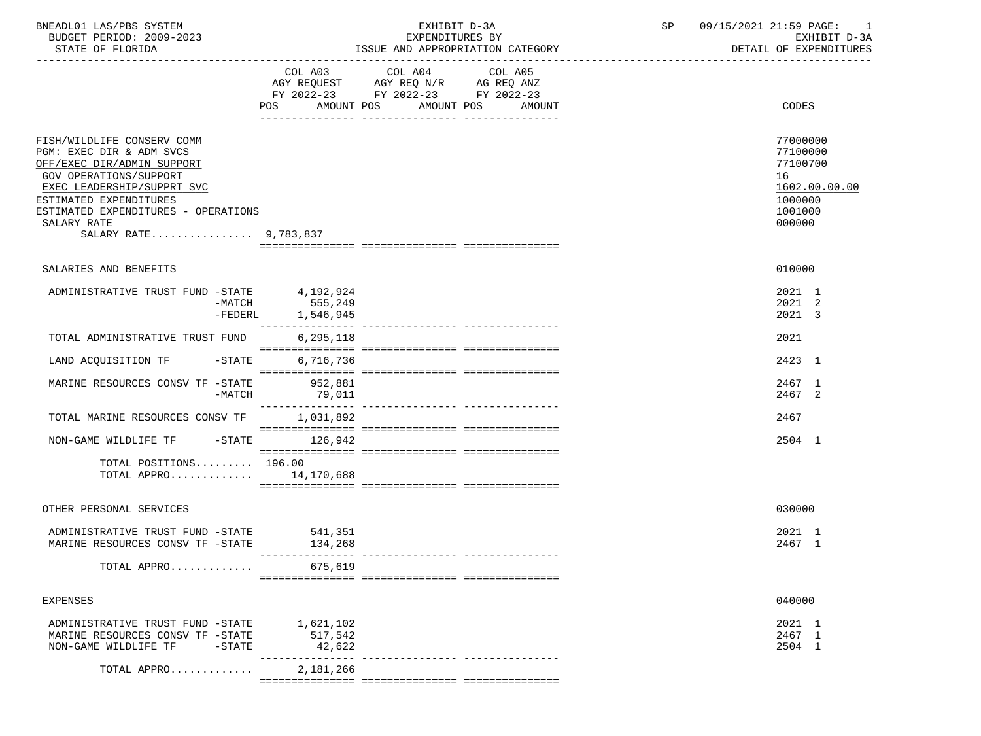| BNEADL01 LAS/PBS SYSTEM<br>BUDGET PERIOD: 2009-2023                                                                                                                                                                                                   |                                | EXHIBIT D-3A<br>EXPENDITURES BY                                                                                    | SP                               | 09/15/2021 21:59 PAGE: 1<br>EXHIBIT D-3A |                                                                                         |
|-------------------------------------------------------------------------------------------------------------------------------------------------------------------------------------------------------------------------------------------------------|--------------------------------|--------------------------------------------------------------------------------------------------------------------|----------------------------------|------------------------------------------|-----------------------------------------------------------------------------------------|
| STATE OF FLORIDA                                                                                                                                                                                                                                      |                                |                                                                                                                    | ISSUE AND APPROPRIATION CATEGORY |                                          | DETAIL OF EXPENDITURES                                                                  |
|                                                                                                                                                                                                                                                       | POS                            | COL A03 COL A04<br>AGY REQUEST AGY REQ N/R AG REQ ANZ<br>FY 2022-23 FY 2022-23 FY 2022-23<br>AMOUNT POS AMOUNT POS | COL A05<br>AMOUNT                |                                          | <b>CODES</b>                                                                            |
| FISH/WILDLIFE CONSERV COMM<br>PGM: EXEC DIR & ADM SVCS<br>OFF/EXEC DIR/ADMIN SUPPORT<br>GOV OPERATIONS/SUPPORT<br>EXEC LEADERSHIP/SUPPRT SVC<br>ESTIMATED EXPENDITURES<br>ESTIMATED EXPENDITURES - OPERATIONS<br>SALARY RATE<br>SALARY RATE 9,783,837 |                                |                                                                                                                    |                                  |                                          | 77000000<br>77100000<br>77100700<br>16<br>1602.00.00.00<br>1000000<br>1001000<br>000000 |
| SALARIES AND BENEFITS                                                                                                                                                                                                                                 |                                |                                                                                                                    |                                  |                                          | 010000                                                                                  |
| ADMINISTRATIVE TRUST FUND -STATE $4,192,924$<br>-MATCH 555,249<br>$-FEDERL$                                                                                                                                                                           | 1,546,945                      |                                                                                                                    |                                  |                                          | 2021 1<br>2021 2<br>2021 3                                                              |
| TOTAL ADMINISTRATIVE TRUST FUND                                                                                                                                                                                                                       | 6,295,118                      |                                                                                                                    |                                  |                                          | 2021                                                                                    |
| LAND ACQUISITION TF -STATE                                                                                                                                                                                                                            | 6,716,736                      |                                                                                                                    |                                  |                                          | 2423 1                                                                                  |
| MARINE RESOURCES CONSV TF -STATE<br>-MATCH                                                                                                                                                                                                            | 952,881<br>79,011              |                                                                                                                    |                                  |                                          | 2467 1<br>2467 2                                                                        |
| TOTAL MARINE RESOURCES CONSV TF                                                                                                                                                                                                                       | 1,031,892                      |                                                                                                                    |                                  |                                          | 2467                                                                                    |
| NON-GAME WILDLIFE TF -STATE 126,942                                                                                                                                                                                                                   |                                |                                                                                                                    |                                  |                                          | 2504 1                                                                                  |
| TOTAL POSITIONS 196.00<br>TOTAL APPRO 14,170,688                                                                                                                                                                                                      |                                |                                                                                                                    |                                  |                                          |                                                                                         |
| OTHER PERSONAL SERVICES                                                                                                                                                                                                                               |                                |                                                                                                                    |                                  |                                          | 030000                                                                                  |
| ADMINISTRATIVE TRUST FUND -STATE 541,351<br>MARINE RESOURCES CONSV TF -STATE                                                                                                                                                                          | 134,268                        |                                                                                                                    |                                  |                                          | 2021 1<br>2467 1                                                                        |
| TOTAL APPRO                                                                                                                                                                                                                                           | 675,619                        |                                                                                                                    |                                  |                                          |                                                                                         |
| <b>EXPENSES</b>                                                                                                                                                                                                                                       |                                |                                                                                                                    |                                  |                                          | 040000                                                                                  |
| ADMINISTRATIVE TRUST FUND -STATE<br>MARINE RESOURCES CONSV TF -STATE<br>NON-GAME WILDLIFE TF<br>$-$ STATE                                                                                                                                             | 1,621,102<br>517,542<br>42,622 |                                                                                                                    |                                  |                                          | 2021 1<br>2467 1<br>2504 1                                                              |
| TOTAL APPRO                                                                                                                                                                                                                                           | 2,181,266                      |                                                                                                                    |                                  |                                          |                                                                                         |
|                                                                                                                                                                                                                                                       |                                |                                                                                                                    |                                  |                                          |                                                                                         |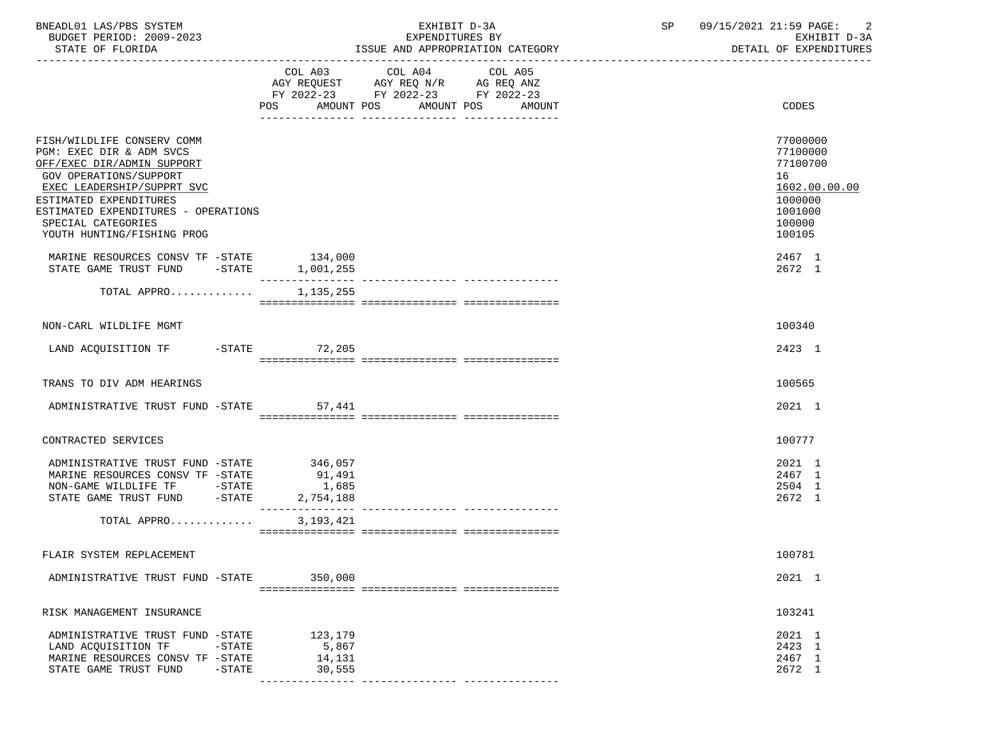| BNEADL01 LAS/PBS SYSTEM<br>BUDGET PERIOD: 2009-2023<br>STATE OF FLORIDA                                                                                                                                                                                           |                                           | EXHIBIT D-3A<br>EXPENDITURES BY<br>ISSUE AND APPROPRIATION CATEGORY                                                          | SP | 09/15/2021 21:59 PAGE:<br>EXHIBIT D-3A<br>DETAIL OF EXPENDITURES                                  |
|-------------------------------------------------------------------------------------------------------------------------------------------------------------------------------------------------------------------------------------------------------------------|-------------------------------------------|------------------------------------------------------------------------------------------------------------------------------|----|---------------------------------------------------------------------------------------------------|
|                                                                                                                                                                                                                                                                   | AMOUNT POS<br>POS                         | COL A03 COL A04<br>COL A05<br>AGY REQUEST AGY REQ N/R AG REQ ANZ<br>FY 2022-23 FY 2022-23 FY 2022-23<br>AMOUNT POS<br>AMOUNT |    | CODES                                                                                             |
| FISH/WILDLIFE CONSERV COMM<br>PGM: EXEC DIR & ADM SVCS<br>OFF/EXEC DIR/ADMIN SUPPORT<br>GOV OPERATIONS/SUPPORT<br>EXEC LEADERSHIP/SUPPRT SVC<br>ESTIMATED EXPENDITURES<br>ESTIMATED EXPENDITURES - OPERATIONS<br>SPECIAL CATEGORIES<br>YOUTH HUNTING/FISHING PROG |                                           |                                                                                                                              |    | 77000000<br>77100000<br>77100700<br>16<br>1602.00.00.00<br>1000000<br>1001000<br>100000<br>100105 |
| MARINE RESOURCES CONSV TF -STATE 134,000<br>STATE GAME TRUST FUND -STATE 1,001,255                                                                                                                                                                                |                                           |                                                                                                                              |    | 2467 1<br>2672 1                                                                                  |
| TOTAL APPRO 1,135,255                                                                                                                                                                                                                                             |                                           |                                                                                                                              |    |                                                                                                   |
| NON-CARL WILDLIFE MGMT                                                                                                                                                                                                                                            |                                           |                                                                                                                              |    | 100340                                                                                            |
| LAND ACQUISITION TF -STATE 72,205                                                                                                                                                                                                                                 |                                           |                                                                                                                              |    | 2423 1                                                                                            |
| TRANS TO DIV ADM HEARINGS                                                                                                                                                                                                                                         |                                           |                                                                                                                              |    | 100565                                                                                            |
| ADMINISTRATIVE TRUST FUND -STATE                                                                                                                                                                                                                                  | 57,441                                    |                                                                                                                              |    | 2021 1                                                                                            |
| CONTRACTED SERVICES                                                                                                                                                                                                                                               |                                           |                                                                                                                              |    | 100777                                                                                            |
| ADMINISTRATIVE TRUST FUND -STATE 346,057<br>MARINE RESOURCES CONSV TF -STATE<br>NON-GAME WILDLIFE TF -STATE<br>$-STATE$<br>STATE GAME TRUST FUND<br>TOTAL APPRO                                                                                                   | 91,491<br>1,685<br>2,754,188<br>3,193,421 |                                                                                                                              |    | 2021 1<br>2467 1<br>2504 1<br>2672 1                                                              |
| FLAIR SYSTEM REPLACEMENT                                                                                                                                                                                                                                          |                                           |                                                                                                                              |    | 100781                                                                                            |
| ADMINISTRATIVE TRUST FUND -STATE                                                                                                                                                                                                                                  | 350,000                                   |                                                                                                                              |    | 2021 1                                                                                            |
|                                                                                                                                                                                                                                                                   |                                           |                                                                                                                              |    |                                                                                                   |
| RISK MANAGEMENT INSURANCE                                                                                                                                                                                                                                         |                                           |                                                                                                                              |    | 103241                                                                                            |
| ADMINISTRATIVE TRUST FUND -STATE<br>LAND ACQUISITION TF<br>$-$ STATE<br>MARINE RESOURCES CONSV TF -STATE<br>STATE GAME TRUST FUND<br>$-$ STATE                                                                                                                    | 123,179<br>5,867<br>14,131<br>30,555      |                                                                                                                              |    | 2021 1<br>2423 1<br>2467 1<br>2672 1                                                              |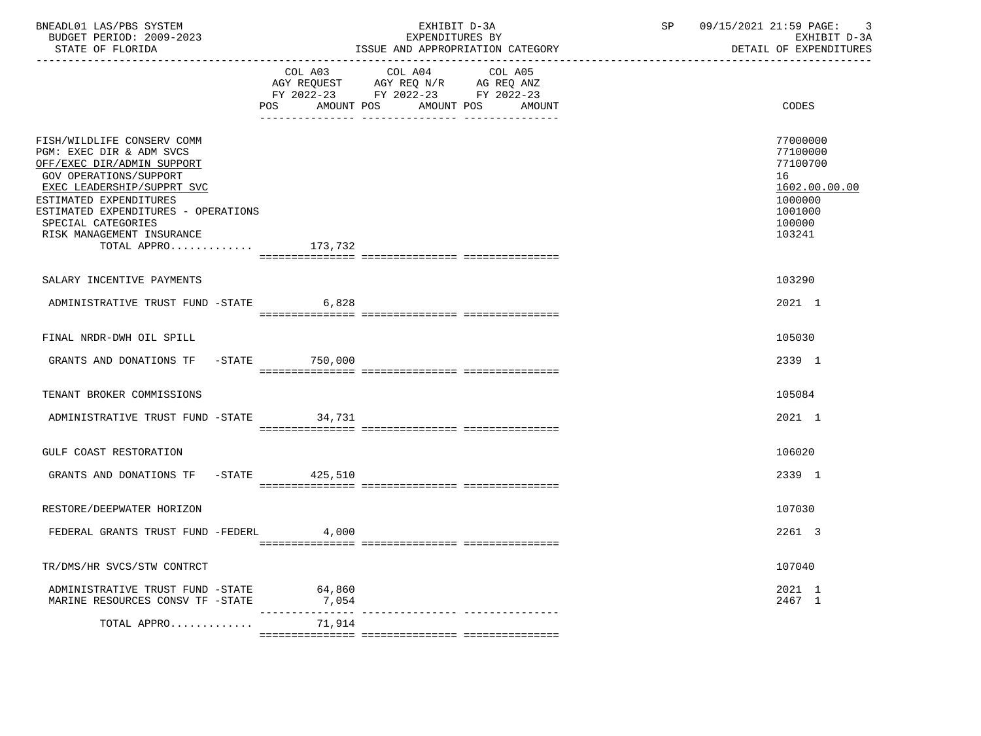| BNEADL01 LAS/PBS SYSTEM<br>BUDGET PERIOD: 2009-2023<br>STATE OF FLORIDA                                                                                                                                                                                                                          |                                                                          | EXHIBIT D-3A<br>EXPENDITURES BY<br>ISSUE AND APPROPRIATION CATEGORY                                                              | SP | 09/15/2021 21:59 PAGE:<br>3<br>EXHIBIT D-3A<br>DETAIL OF EXPENDITURES                             |  |
|--------------------------------------------------------------------------------------------------------------------------------------------------------------------------------------------------------------------------------------------------------------------------------------------------|--------------------------------------------------------------------------|----------------------------------------------------------------------------------------------------------------------------------|----|---------------------------------------------------------------------------------------------------|--|
|                                                                                                                                                                                                                                                                                                  | COL A03                                                                  | COL A04<br>COL A05<br>AGY REQUEST AGY REQ N/R AG REQ ANZ<br>FY 2022-23 FY 2022-23 FY 2022-23<br>POS AMOUNT POS AMOUNT POS AMOUNT |    | CODES                                                                                             |  |
| FISH/WILDLIFE CONSERV COMM<br>PGM: EXEC DIR & ADM SVCS<br>OFF/EXEC DIR/ADMIN SUPPORT<br><b>GOV OPERATIONS/SUPPORT</b><br>EXEC LEADERSHIP/SUPPRT SVC<br>ESTIMATED EXPENDITURES<br>ESTIMATED EXPENDITURES - OPERATIONS<br>SPECIAL CATEGORIES<br>RISK MANAGEMENT INSURANCE<br>TOTAL APPRO $173,732$ |                                                                          |                                                                                                                                  |    | 77000000<br>77100000<br>77100700<br>16<br>1602.00.00.00<br>1000000<br>1001000<br>100000<br>103241 |  |
| SALARY INCENTIVE PAYMENTS                                                                                                                                                                                                                                                                        |                                                                          |                                                                                                                                  |    | 103290                                                                                            |  |
| ADMINISTRATIVE TRUST FUND -STATE                                                                                                                                                                                                                                                                 | 6,828                                                                    |                                                                                                                                  |    | 2021 1                                                                                            |  |
| FINAL NRDR-DWH OIL SPILL                                                                                                                                                                                                                                                                         |                                                                          |                                                                                                                                  |    | 105030                                                                                            |  |
| GRANTS AND DONATIONS TF -STATE 750,000                                                                                                                                                                                                                                                           |                                                                          |                                                                                                                                  |    | 2339 1                                                                                            |  |
| TENANT BROKER COMMISSIONS                                                                                                                                                                                                                                                                        |                                                                          |                                                                                                                                  |    | 105084                                                                                            |  |
| ADMINISTRATIVE TRUST FUND -STATE 34,731                                                                                                                                                                                                                                                          |                                                                          |                                                                                                                                  |    | 2021 1                                                                                            |  |
| GULF COAST RESTORATION                                                                                                                                                                                                                                                                           |                                                                          |                                                                                                                                  |    | 106020                                                                                            |  |
| GRANTS AND DONATIONS TF -STATE 425,510                                                                                                                                                                                                                                                           |                                                                          |                                                                                                                                  |    | 2339 1                                                                                            |  |
| RESTORE/DEEPWATER HORIZON                                                                                                                                                                                                                                                                        |                                                                          |                                                                                                                                  |    | 107030                                                                                            |  |
| FEDERAL GRANTS TRUST FUND -FEDERL 4,000                                                                                                                                                                                                                                                          |                                                                          |                                                                                                                                  |    | 2261 3                                                                                            |  |
| TR/DMS/HR SVCS/STW CONTRCT                                                                                                                                                                                                                                                                       |                                                                          |                                                                                                                                  |    | 107040                                                                                            |  |
| ADMINISTRATIVE TRUST FUND -STATE 64,860<br>MARINE RESOURCES CONSV TF -STATE                                                                                                                                                                                                                      | $\begin{array}{c} 7,054 \\ -- -- -- -- -- -- -- -- -- -- -- \end{array}$ |                                                                                                                                  |    | 2021 1<br>2467 1                                                                                  |  |
| TOTAL APPRO                                                                                                                                                                                                                                                                                      | 71,914                                                                   |                                                                                                                                  |    |                                                                                                   |  |
|                                                                                                                                                                                                                                                                                                  |                                                                          |                                                                                                                                  |    |                                                                                                   |  |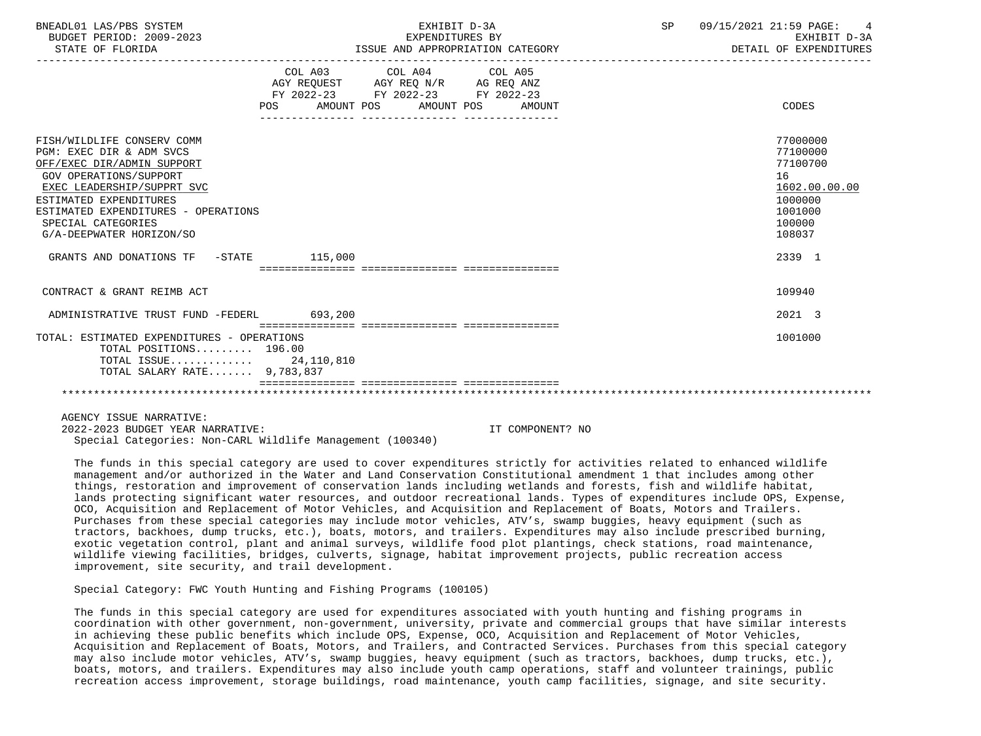| BNEADL01 LAS/PBS SYSTEM<br>BUDGET PERIOD: 2009-2023<br>STATE OF FLORIDA                                                                                                                                                                                                | EXHIBIT D-3A<br>EXPENDITURES BY<br>ISSUE AND APPROPRIATION CATEGORY |                                                                                             |  |  | SP 09/15/2021 21:59 PAGE: 4<br>EXHIBIT D-3A<br>DETAIL OF EXPENDITURES                             |
|------------------------------------------------------------------------------------------------------------------------------------------------------------------------------------------------------------------------------------------------------------------------|---------------------------------------------------------------------|---------------------------------------------------------------------------------------------|--|--|---------------------------------------------------------------------------------------------------|
|                                                                                                                                                                                                                                                                        | POS FOR                                                             | COL A03 COL A04 COL A05<br>FY 2022-23 FY 2022-23 FY 2022-23<br>AMOUNT POS AMOUNT POS AMOUNT |  |  | CODES                                                                                             |
| FISH/WILDLIFE CONSERV COMM<br>PGM: EXEC DIR & ADM SVCS<br>OFF/EXEC DIR/ADMIN SUPPORT<br><b>GOV OPERATIONS/SUPPORT</b><br>EXEC LEADERSHIP/SUPPRT SVC<br>ESTIMATED EXPENDITURES<br>ESTIMATED EXPENDITURES - OPERATIONS<br>SPECIAL CATEGORIES<br>G/A-DEEPWATER HORIZON/SO |                                                                     |                                                                                             |  |  | 77000000<br>77100000<br>77100700<br>16<br>1602.00.00.00<br>1000000<br>1001000<br>100000<br>108037 |
| GRANTS AND DONATIONS TF -STATE 115,000                                                                                                                                                                                                                                 |                                                                     |                                                                                             |  |  | 2339 1                                                                                            |
| CONTRACT & GRANT REIMB ACT                                                                                                                                                                                                                                             |                                                                     |                                                                                             |  |  | 109940                                                                                            |
| ADMINISTRATIVE TRUST FUND -FEDERL 693,200                                                                                                                                                                                                                              |                                                                     |                                                                                             |  |  | 2021 3                                                                                            |
| TOTAL: ESTIMATED EXPENDITURES - OPERATIONS<br>TOTAL POSITIONS 196.00<br>TOTAL ISSUE 24, 110, 810<br>TOTAL SALARY RATE 9,783,837                                                                                                                                        |                                                                     |                                                                                             |  |  | 1001000                                                                                           |
|                                                                                                                                                                                                                                                                        |                                                                     |                                                                                             |  |  |                                                                                                   |
| AGENCY ISSUE NARRATIVE:                                                                                                                                                                                                                                                |                                                                     |                                                                                             |  |  |                                                                                                   |

 2022-2023 BUDGET YEAR NARRATIVE: IT COMPONENT? NO Special Categories: Non-CARL Wildlife Management (100340)

 The funds in this special category are used to cover expenditures strictly for activities related to enhanced wildlife management and/or authorized in the Water and Land Conservation Constitutional amendment 1 that includes among other things, restoration and improvement of conservation lands including wetlands and forests, fish and wildlife habitat, lands protecting significant water resources, and outdoor recreational lands. Types of expenditures include OPS, Expense, OCO, Acquisition and Replacement of Motor Vehicles, and Acquisition and Replacement of Boats, Motors and Trailers. Purchases from these special categories may include motor vehicles, ATV's, swamp buggies, heavy equipment (such as tractors, backhoes, dump trucks, etc.), boats, motors, and trailers. Expenditures may also include prescribed burning, exotic vegetation control, plant and animal surveys, wildlife food plot plantings, check stations, road maintenance, wildlife viewing facilities, bridges, culverts, signage, habitat improvement projects, public recreation access improvement, site security, and trail development.

Special Category: FWC Youth Hunting and Fishing Programs (100105)

 The funds in this special category are used for expenditures associated with youth hunting and fishing programs in coordination with other government, non-government, university, private and commercial groups that have similar interests in achieving these public benefits which include OPS, Expense, OCO, Acquisition and Replacement of Motor Vehicles, Acquisition and Replacement of Boats, Motors, and Trailers, and Contracted Services. Purchases from this special category may also include motor vehicles, ATV's, swamp buggies, heavy equipment (such as tractors, backhoes, dump trucks, etc.), boats, motors, and trailers. Expenditures may also include youth camp operations, staff and volunteer trainings, public recreation access improvement, storage buildings, road maintenance, youth camp facilities, signage, and site security.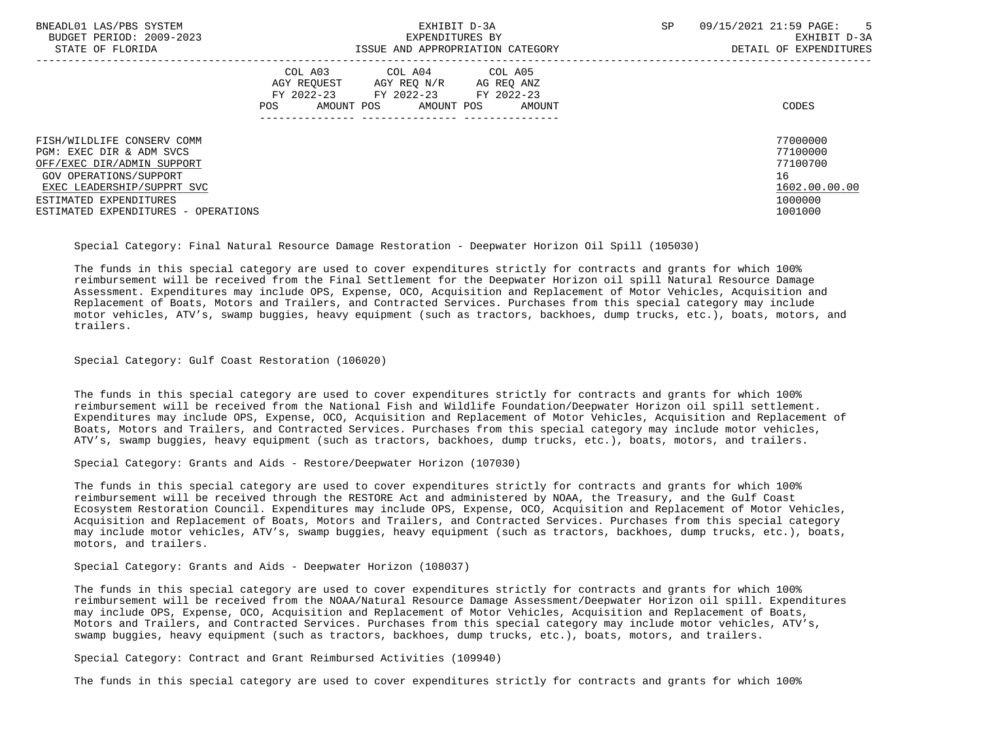| BNEADL01 LAS/PBS SYSTEM<br>BUDGET PERIOD: 2009-2023<br>STATE OF FLORIDA | EXHIBIT D-3A<br>EXPENDITURES BY<br>ISSUE AND APPROPRIATION CATEGORY                                                                                     | SP | 09/15/2021 21:59 PAGE:<br>$5^{\circ}$<br>EXHIBIT D-3A<br>DETAIL OF EXPENDITURES |
|-------------------------------------------------------------------------|---------------------------------------------------------------------------------------------------------------------------------------------------------|----|---------------------------------------------------------------------------------|
|                                                                         | COL A03<br>COL A04<br>COL A05<br>AGY REOUEST<br>AGY REQ N/R<br>AG REQ ANZ<br>FY 2022-23 FY 2022-23 FY 2022-23<br>AMOUNT POS AMOUNT POS<br>POS<br>AMOUNT |    | CODES                                                                           |
| FISH/WILDLIFE CONSERV COMM                                              |                                                                                                                                                         |    | 77000000                                                                        |
| PGM: EXEC DIR & ADM SVCS                                                |                                                                                                                                                         |    | 77100000                                                                        |
| OFF/EXEC DIR/ADMIN SUPPORT                                              |                                                                                                                                                         |    | 77100700                                                                        |
| GOV OPERATIONS/SUPPORT                                                  |                                                                                                                                                         |    | 16                                                                              |
| EXEC LEADERSHIP/SUPPRT SVC                                              |                                                                                                                                                         |    | 1602.00.00.00                                                                   |
| ESTIMATED EXPENDITURES                                                  |                                                                                                                                                         |    | 1000000                                                                         |
| ESTIMATED EXPENDITURES - OPERATIONS                                     |                                                                                                                                                         |    | 1001000                                                                         |

Special Category: Final Natural Resource Damage Restoration - Deepwater Horizon Oil Spill (105030)

 The funds in this special category are used to cover expenditures strictly for contracts and grants for which 100% reimbursement will be received from the Final Settlement for the Deepwater Horizon oil spill Natural Resource Damage Assessment. Expenditures may include OPS, Expense, OCO, Acquisition and Replacement of Motor Vehicles, Acquisition and Replacement of Boats, Motors and Trailers, and Contracted Services. Purchases from this special category may include motor vehicles, ATV's, swamp buggies, heavy equipment (such as tractors, backhoes, dump trucks, etc.), boats, motors, and trailers.

Special Category: Gulf Coast Restoration (106020)

 The funds in this special category are used to cover expenditures strictly for contracts and grants for which 100% reimbursement will be received from the National Fish and Wildlife Foundation/Deepwater Horizon oil spill settlement. Expenditures may include OPS, Expense, OCO, Acquisition and Replacement of Motor Vehicles, Acquisition and Replacement of Boats, Motors and Trailers, and Contracted Services. Purchases from this special category may include motor vehicles, ATV's, swamp buggies, heavy equipment (such as tractors, backhoes, dump trucks, etc.), boats, motors, and trailers.

Special Category: Grants and Aids - Restore/Deepwater Horizon (107030)

 The funds in this special category are used to cover expenditures strictly for contracts and grants for which 100% reimbursement will be received through the RESTORE Act and administered by NOAA, the Treasury, and the Gulf Coast Ecosystem Restoration Council. Expenditures may include OPS, Expense, OCO, Acquisition and Replacement of Motor Vehicles, Acquisition and Replacement of Boats, Motors and Trailers, and Contracted Services. Purchases from this special category may include motor vehicles, ATV's, swamp buggies, heavy equipment (such as tractors, backhoes, dump trucks, etc.), boats, motors, and trailers.

Special Category: Grants and Aids - Deepwater Horizon (108037)

 The funds in this special category are used to cover expenditures strictly for contracts and grants for which 100% reimbursement will be received from the NOAA/Natural Resource Damage Assessment/Deepwater Horizon oil spill. Expenditures may include OPS, Expense, OCO, Acquisition and Replacement of Motor Vehicles, Acquisition and Replacement of Boats, Motors and Trailers, and Contracted Services. Purchases from this special category may include motor vehicles, ATV's, swamp buggies, heavy equipment (such as tractors, backhoes, dump trucks, etc.), boats, motors, and trailers.

Special Category: Contract and Grant Reimbursed Activities (109940)

The funds in this special category are used to cover expenditures strictly for contracts and grants for which 100%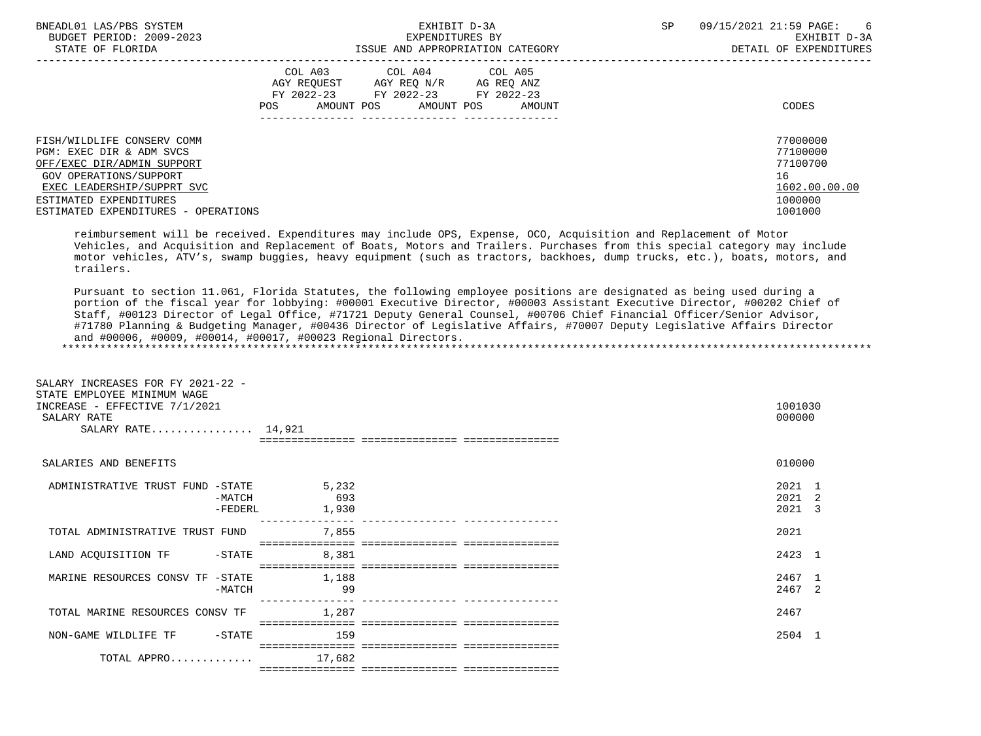| BNEADL01 LAS/PBS SYSTEM             | EXHIBIT D-3A                     |                                                                                          |                                  | SP | 09/15/2021 21:59 PAGE:<br>6 |
|-------------------------------------|----------------------------------|------------------------------------------------------------------------------------------|----------------------------------|----|-----------------------------|
| BUDGET PERIOD: 2009-2023            |                                  | EXPENDITURES BY                                                                          |                                  |    | EXHIBIT D-3A                |
| STATE OF FLORIDA                    |                                  |                                                                                          | ISSUE AND APPROPRIATION CATEGORY |    | DETAIL OF EXPENDITURES      |
|                                     | AGY REOUEST<br>AMOUNT POS<br>POS | COL A03 COL A04 COL A05<br>AGY REO N/R<br>FY 2022-23 FY 2022-23 FY 2022-23<br>AMOUNT POS | AG REQ ANZ<br>AMOUNT             |    | CODES                       |
| FISH/WILDLIFE CONSERV COMM          |                                  |                                                                                          |                                  |    | 77000000                    |
| PGM: EXEC DIR & ADM SVCS            |                                  |                                                                                          |                                  |    | 77100000                    |
| OFF/EXEC DIR/ADMIN SUPPORT          |                                  |                                                                                          |                                  |    | 77100700                    |
| GOV OPERATIONS/SUPPORT              |                                  |                                                                                          |                                  |    | 16                          |
| EXEC LEADERSHIP/SUPPRT SVC          |                                  |                                                                                          |                                  |    | 1602.00.00.00               |
| ESTIMATED EXPENDITURES              |                                  |                                                                                          |                                  |    | 1000000                     |
| ESTIMATED EXPENDITURES - OPERATIONS |                                  |                                                                                          |                                  |    | 1001000                     |

 reimbursement will be received. Expenditures may include OPS, Expense, OCO, Acquisition and Replacement of Motor Vehicles, and Acquisition and Replacement of Boats, Motors and Trailers. Purchases from this special category may include motor vehicles, ATV's, swamp buggies, heavy equipment (such as tractors, backhoes, dump trucks, etc.), boats, motors, and trailers.

 Pursuant to section 11.061, Florida Statutes, the following employee positions are designated as being used during a portion of the fiscal year for lobbying: #00001 Executive Director, #00003 Assistant Executive Director, #00202 Chief of Staff, #00123 Director of Legal Office, #71721 Deputy General Counsel, #00706 Chief Financial Officer/Senior Advisor, #71780 Planning & Budgeting Manager, #00436 Director of Legislative Affairs, #70007 Deputy Legislative Affairs Director and #00006, #0009, #00014, #00017, #00023 Regional Directors. \*\*\*\*\*\*\*\*\*\*\*\*\*\*\*\*\*\*\*\*\*\*\*\*\*\*\*\*\*\*\*\*\*\*\*\*\*\*\*\*\*\*\*\*\*\*\*\*\*\*\*\*\*\*\*\*\*\*\*\*\*\*\*\*\*\*\*\*\*\*\*\*\*\*\*\*\*\*\*\*\*\*\*\*\*\*\*\*\*\*\*\*\*\*\*\*\*\*\*\*\*\*\*\*\*\*\*\*\*\*\*\*\*\*\*\*\*\*\*\*\*\*\*\*\*\*\*

| SALARY INCREASES FOR FY 2021-22 -<br>STATE EMPLOYEE MINIMUM WAGE<br>INCREASE - EFFECTIVE 7/1/2021<br>SALARY RATE<br>SALARY RATE 14,921 |                       | 1001030<br>000000          |  |
|----------------------------------------------------------------------------------------------------------------------------------------|-----------------------|----------------------------|--|
| SALARIES AND BENEFITS                                                                                                                  |                       | 010000                     |  |
| ADMINISTRATIVE TRUST FUND -STATE<br>$-MATCH$<br>$-FEDERL$                                                                              | 5,232<br>693<br>1,930 | 2021 1<br>2021 2<br>2021 3 |  |
| TOTAL ADMINISTRATIVE TRUST FUND                                                                                                        | 7,855                 | 2021                       |  |
| LAND ACQUISITION TF<br>$-$ STATE                                                                                                       | 8,381                 | 2423 1                     |  |
| MARINE RESOURCES CONSV TF -STATE<br>$-MATCH$                                                                                           | 1,188<br>99           | 2467 1<br>2467 2           |  |
| TOTAL MARINE RESOURCES CONSV TF                                                                                                        | 1,287                 | 2467                       |  |
| NON-GAME WILDLIFE TF<br>$-$ STATE                                                                                                      | 159                   | 2504 1                     |  |
| TOTAL APPRO                                                                                                                            | 17,682                |                            |  |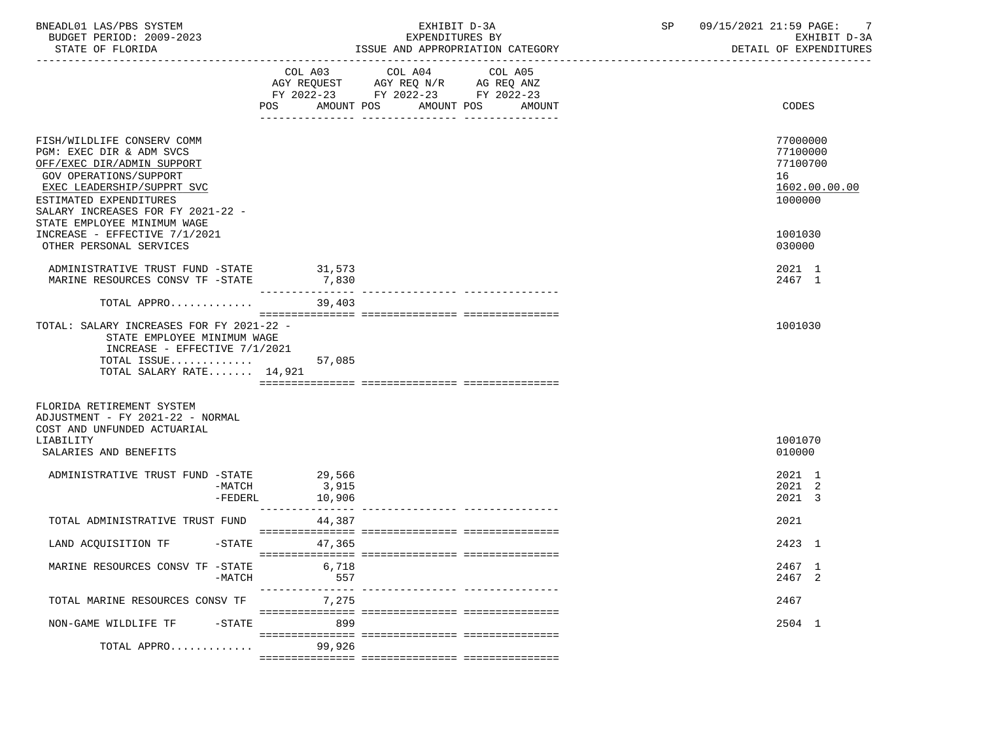| BNEADL01 LAS/PBS SYSTEM<br>BUDGET PERIOD: 2009-2023<br>STATE OF FLORIDA                                                                                                                                                                    |                             | EXHIBIT D-3A<br>EXPENDITURES BY<br>ISSUE AND APPROPRIATION CATEGORY                                                                         | SP | 09/15/2021 21:59 PAGE: 7<br>EXHIBIT D-3A<br>DETAIL OF EXPENDITURES |
|--------------------------------------------------------------------------------------------------------------------------------------------------------------------------------------------------------------------------------------------|-----------------------------|---------------------------------------------------------------------------------------------------------------------------------------------|----|--------------------------------------------------------------------|
|                                                                                                                                                                                                                                            |                             | COL A03 COL A04<br>COL A05<br>AGY REQUEST AGY REQ N/R AG REQ ANZ<br>FY 2022-23 FY 2022-23 FY 2022-23<br>POS AMOUNT POS AMOUNT POS<br>AMOUNT |    | CODES                                                              |
| FISH/WILDLIFE CONSERV COMM<br>PGM: EXEC DIR & ADM SVCS<br>OFF/EXEC DIR/ADMIN SUPPORT<br>GOV OPERATIONS/SUPPORT<br>EXEC LEADERSHIP/SUPPRT SVC<br>ESTIMATED EXPENDITURES<br>SALARY INCREASES FOR FY 2021-22 -<br>STATE EMPLOYEE MINIMUM WAGE |                             |                                                                                                                                             |    | 77000000<br>77100000<br>77100700<br>16<br>1602.00.00.00<br>1000000 |
| INCREASE - EFFECTIVE 7/1/2021<br>OTHER PERSONAL SERVICES                                                                                                                                                                                   |                             |                                                                                                                                             |    | 1001030<br>030000                                                  |
| ADMINISTRATIVE TRUST FUND -STATE 31,573<br>MARINE RESOURCES CONSV TF -STATE                                                                                                                                                                | 7,830                       |                                                                                                                                             |    | 2021 1<br>2467 1                                                   |
| TOTAL APPRO                                                                                                                                                                                                                                | 39,403                      |                                                                                                                                             |    |                                                                    |
| TOTAL: SALARY INCREASES FOR FY 2021-22 -<br>STATE EMPLOYEE MINIMUM WAGE<br>INCREASE - EFFECTIVE 7/1/2021<br>TOTAL ISSUE<br>TOTAL SALARY RATE 14,921                                                                                        | 57,085                      |                                                                                                                                             |    | 1001030                                                            |
| FLORIDA RETIREMENT SYSTEM<br>ADJUSTMENT - FY 2021-22 - NORMAL<br>COST AND UNFUNDED ACTUARIAL                                                                                                                                               |                             |                                                                                                                                             |    |                                                                    |
| LIABILITY<br>SALARIES AND BENEFITS                                                                                                                                                                                                         |                             |                                                                                                                                             |    | 1001070<br>010000                                                  |
| ADMINISTRATIVE TRUST FUND -STATE 29,566<br>$-MATCH$<br>-FEDERL                                                                                                                                                                             | 3,915<br>10,906             |                                                                                                                                             |    | 2021 1<br>2021 2<br>2021 3                                         |
| TOTAL ADMINISTRATIVE TRUST FUND                                                                                                                                                                                                            | 44,387                      |                                                                                                                                             |    | 2021                                                               |
| LAND ACQUISITION TF -STATE 47,365                                                                                                                                                                                                          |                             |                                                                                                                                             |    | 2423 1                                                             |
| MARINE RESOURCES CONSV TF -STATE<br>$-MATCH$                                                                                                                                                                                               | 6,718<br>557<br>----------- |                                                                                                                                             |    | 2467 1<br>2467 2                                                   |
| TOTAL MARINE RESOURCES CONSV TF                                                                                                                                                                                                            | 7,275                       |                                                                                                                                             |    | 2467                                                               |
| NON-GAME WILDLIFE TF<br>$-$ STATE                                                                                                                                                                                                          | 899                         |                                                                                                                                             |    | 2504 1                                                             |
| TOTAL APPRO                                                                                                                                                                                                                                | 99,926                      |                                                                                                                                             |    |                                                                    |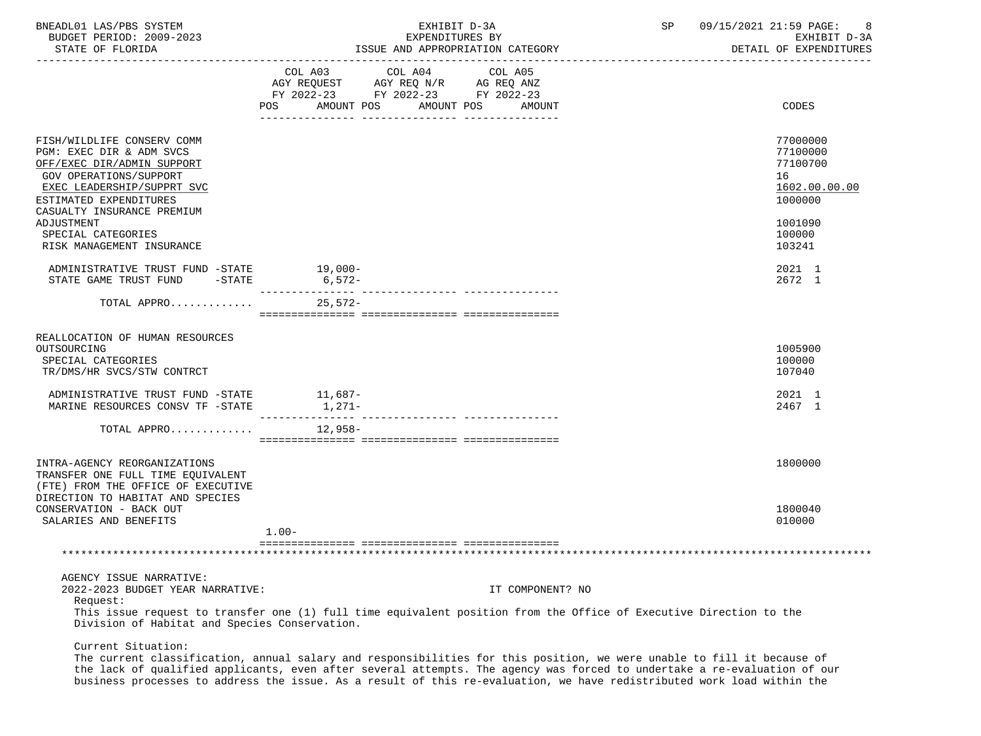| BNEADL01 LAS/PBS SYSTEM<br>BUDGET PERIOD: 2009-2023<br>STATE OF FLORIDA                                                                                                                                                                  | EXHIBIT D-3A<br>EXPENDITURES BY<br>ISSUE AND APPROPRIATION CATEGORY                                                                                                                                                                     | SP                                                                                                                                     | 09/15/2021 21:59 PAGE:<br>-8<br>EXHIBIT D-3A<br>DETAIL OF EXPENDITURES                  |
|------------------------------------------------------------------------------------------------------------------------------------------------------------------------------------------------------------------------------------------|-----------------------------------------------------------------------------------------------------------------------------------------------------------------------------------------------------------------------------------------|----------------------------------------------------------------------------------------------------------------------------------------|-----------------------------------------------------------------------------------------|
|                                                                                                                                                                                                                                          | COL A03<br>COL A04<br>AGY REQUEST AGY REQ N/R AG REQ ANZ<br>FY 2022-23 FY 2022-23 FY 2022-23<br>POS FOR THE POST OF THE STATE STATE STATE STATE STATE STATE STATE STATE STATE STATE STATE STATE STATE STATE ST<br>AMOUNT POS AMOUNT POS | COL A05<br>AMOUNT                                                                                                                      | CODES                                                                                   |
| FISH/WILDLIFE CONSERV COMM<br>PGM: EXEC DIR & ADM SVCS<br>OFF/EXEC DIR/ADMIN SUPPORT<br>GOV OPERATIONS/SUPPORT<br>EXEC LEADERSHIP/SUPPRT SVC<br>ESTIMATED EXPENDITURES<br>CASUALTY INSURANCE PREMIUM<br>ADJUSTMENT<br>SPECIAL CATEGORIES |                                                                                                                                                                                                                                         |                                                                                                                                        | 77000000<br>77100000<br>77100700<br>16<br>1602.00.00.00<br>1000000<br>1001090<br>100000 |
| RISK MANAGEMENT INSURANCE<br>ADMINISTRATIVE TRUST FUND -STATE 19,000-<br>STATE GAME TRUST FUND -STATE 6,572-                                                                                                                             |                                                                                                                                                                                                                                         |                                                                                                                                        | 103241<br>2021 1<br>2672 1                                                              |
| TOTAL APPRO $\ldots \ldots \ldots$                                                                                                                                                                                                       |                                                                                                                                                                                                                                         |                                                                                                                                        |                                                                                         |
| REALLOCATION OF HUMAN RESOURCES<br>OUTSOURCING<br>SPECIAL CATEGORIES<br>TR/DMS/HR SVCS/STW CONTRCT                                                                                                                                       |                                                                                                                                                                                                                                         |                                                                                                                                        | 1005900<br>100000<br>107040                                                             |
| ADMINISTRATIVE TRUST FUND -STATE 11,687-<br>MARINE RESOURCES CONSV TF -STATE                                                                                                                                                             |                                                                                                                                                                                                                                         |                                                                                                                                        | 2021 1<br>2467 1                                                                        |
| TOTAL APPRO $12,958-$                                                                                                                                                                                                                    |                                                                                                                                                                                                                                         |                                                                                                                                        |                                                                                         |
| INTRA-AGENCY REORGANIZATIONS<br>TRANSFER ONE FULL TIME EQUIVALENT<br>(FTE) FROM THE OFFICE OF EXECUTIVE<br>DIRECTION TO HABITAT AND SPECIES                                                                                              |                                                                                                                                                                                                                                         |                                                                                                                                        | 1800000                                                                                 |
| CONSERVATION - BACK OUT<br>SALARIES AND BENEFITS                                                                                                                                                                                         | $1.00 -$                                                                                                                                                                                                                                |                                                                                                                                        | 1800040<br>010000                                                                       |
|                                                                                                                                                                                                                                          |                                                                                                                                                                                                                                         |                                                                                                                                        |                                                                                         |
| AGENCY ISSUE NARRATIVE:<br>2022-2023 BUDGET YEAR NARRATIVE:<br>Request:<br>Division of Habitat and Species Conservation.                                                                                                                 |                                                                                                                                                                                                                                         | IT COMPONENT? NO<br>This issue request to transfer one (1) full time equivalent position from the Office of Executive Direction to the |                                                                                         |
| Current Situation:                                                                                                                                                                                                                       |                                                                                                                                                                                                                                         |                                                                                                                                        |                                                                                         |

 The current classification, annual salary and responsibilities for this position, we were unable to fill it because of the lack of qualified applicants, even after several attempts. The agency was forced to undertake a re-evaluation of our business processes to address the issue. As a result of this re-evaluation, we have redistributed work load within the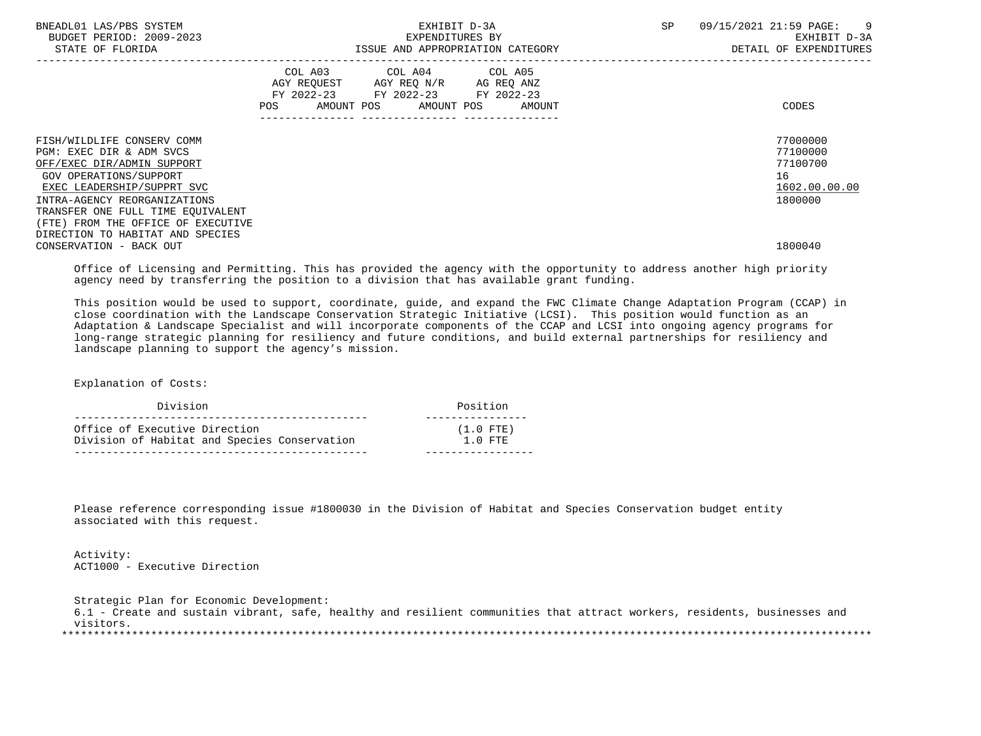| BNEADL01 LAS/PBS SYSTEM<br>BUDGET PERIOD: 2009-2023<br>STATE OF FLORIDA                                                                                                      | EXHIBIT D-3A<br>EXPENDITURES BY<br>ISSUE AND APPROPRIATION CATEGORY                                                                            | SP<br>$\overline{9}$<br>09/15/2021 21:59 PAGE:<br>EXHIBIT D-3A<br>DETAIL OF EXPENDITURES |
|------------------------------------------------------------------------------------------------------------------------------------------------------------------------------|------------------------------------------------------------------------------------------------------------------------------------------------|------------------------------------------------------------------------------------------|
|                                                                                                                                                                              | COL A03 COL A04 COL A05<br>AGY REQUEST AGY REQ N/R<br>AG REQ ANZ<br>FY 2022-23 FY 2022-23 FY 2022-23<br>AMOUNT POS AMOUNT POS<br>POS<br>AMOUNT | CODES                                                                                    |
| FISH/WILDLIFE CONSERV COMM<br>PGM: EXEC DIR & ADM SVCS<br>OFF/EXEC DIR/ADMIN SUPPORT<br>GOV OPERATIONS/SUPPORT<br>EXEC LEADERSHIP/SUPPRT SVC<br>INTRA-AGENCY REORGANIZATIONS |                                                                                                                                                | 77000000<br>77100000<br>77100700<br>16<br>1602.00.00.00<br>1800000                       |
| TRANSFER ONE FULL TIME EOUIVALENT<br>(FTE) FROM THE OFFICE OF EXECUTIVE<br>DIRECTION TO HABITAT AND SPECIES<br>CONSERVATION - BACK OUT                                       |                                                                                                                                                | 1800040                                                                                  |

 Office of Licensing and Permitting. This has provided the agency with the opportunity to address another high priority agency need by transferring the position to a division that has available grant funding.

 This position would be used to support, coordinate, guide, and expand the FWC Climate Change Adaptation Program (CCAP) in close coordination with the Landscape Conservation Strategic Initiative (LCSI). This position would function as an Adaptation & Landscape Specialist and will incorporate components of the CCAP and LCSI into ongoing agency programs for long-range strategic planning for resiliency and future conditions, and build external partnerships for resiliency and landscape planning to support the agency's mission.

Explanation of Costs:

| Division                                     | Position    |
|----------------------------------------------|-------------|
| Office of Executive Direction                | $(1.0$ FTE) |
| Division of Habitat and Species Conservation | $1.0$ FTE   |

 Please reference corresponding issue #1800030 in the Division of Habitat and Species Conservation budget entity associated with this request.

 Activity: ACT1000 - Executive Direction

 Strategic Plan for Economic Development: 6.1 - Create and sustain vibrant, safe, healthy and resilient communities that attract workers, residents, businesses and visitors. \*\*\*\*\*\*\*\*\*\*\*\*\*\*\*\*\*\*\*\*\*\*\*\*\*\*\*\*\*\*\*\*\*\*\*\*\*\*\*\*\*\*\*\*\*\*\*\*\*\*\*\*\*\*\*\*\*\*\*\*\*\*\*\*\*\*\*\*\*\*\*\*\*\*\*\*\*\*\*\*\*\*\*\*\*\*\*\*\*\*\*\*\*\*\*\*\*\*\*\*\*\*\*\*\*\*\*\*\*\*\*\*\*\*\*\*\*\*\*\*\*\*\*\*\*\*\*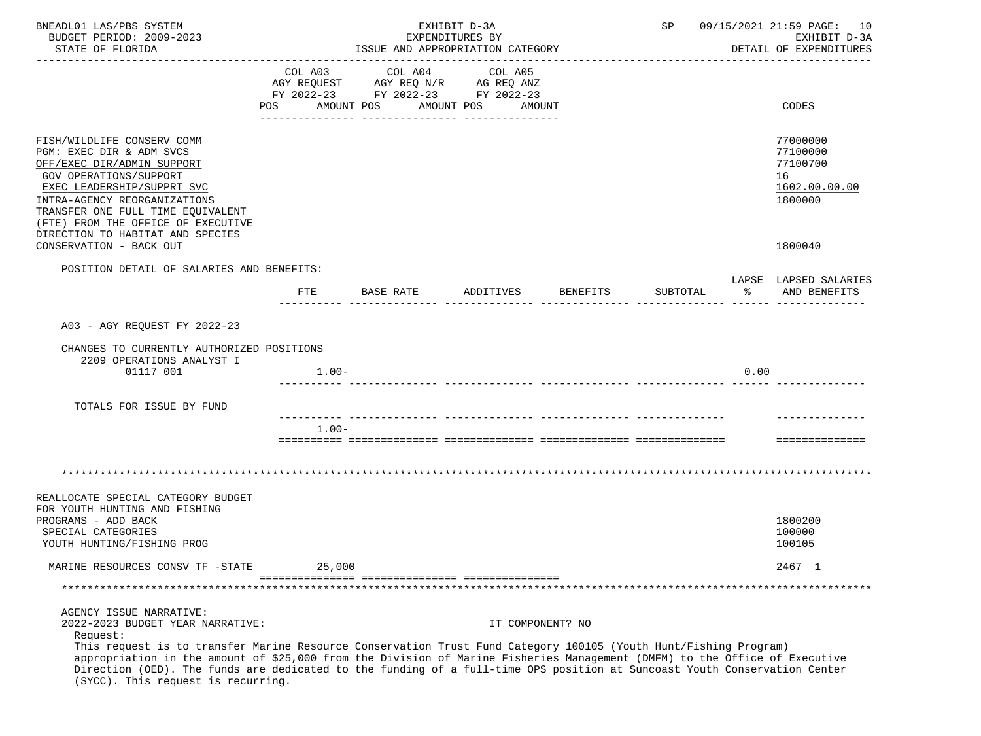| BNEADL01 LAS/PBS SYSTEM                                                                                                    |         |                                    | EXHIBIT D-3A                                      |                  | 09/15/2021 21:59 PAGE: 10<br>SP |       |                          |
|----------------------------------------------------------------------------------------------------------------------------|---------|------------------------------------|---------------------------------------------------|------------------|---------------------------------|-------|--------------------------|
| BUDGET PERIOD: 2009-2023                                                                                                   |         |                                    | EXPENDITURES BY                                   |                  |                                 |       | EXHIBIT D-3A             |
| STATE OF FLORIDA                                                                                                           |         |                                    | ISSUE AND APPROPRIATION CATEGORY<br>------------- |                  |                                 |       | DETAIL OF EXPENDITURES   |
|                                                                                                                            | COL A03 | COL A04                            | COL A05                                           |                  |                                 |       |                          |
|                                                                                                                            |         | AGY REQUEST AGY REQ N/R AG REQ ANZ |                                                   |                  |                                 |       |                          |
|                                                                                                                            |         | FY 2022-23 FY 2022-23 FY 2022-23   |                                                   |                  |                                 |       |                          |
|                                                                                                                            | POS     | AMOUNT POS                         | AMOUNT POS<br>AMOUNT                              |                  |                                 |       | CODES                    |
|                                                                                                                            |         |                                    |                                                   |                  |                                 |       |                          |
| FISH/WILDLIFE CONSERV COMM                                                                                                 |         |                                    |                                                   |                  |                                 |       | 77000000                 |
| PGM: EXEC DIR & ADM SVCS                                                                                                   |         |                                    |                                                   |                  |                                 |       | 77100000                 |
| OFF/EXEC DIR/ADMIN SUPPORT                                                                                                 |         |                                    |                                                   |                  |                                 |       | 77100700                 |
| GOV OPERATIONS/SUPPORT                                                                                                     |         |                                    |                                                   |                  |                                 |       | 16                       |
| EXEC LEADERSHIP/SUPPRT SVC<br>INTRA-AGENCY REORGANIZATIONS                                                                 |         |                                    |                                                   |                  |                                 |       | 1602.00.00.00<br>1800000 |
| TRANSFER ONE FULL TIME EQUIVALENT                                                                                          |         |                                    |                                                   |                  |                                 |       |                          |
| (FTE) FROM THE OFFICE OF EXECUTIVE                                                                                         |         |                                    |                                                   |                  |                                 |       |                          |
| DIRECTION TO HABITAT AND SPECIES                                                                                           |         |                                    |                                                   |                  |                                 |       |                          |
| CONSERVATION - BACK OUT                                                                                                    |         |                                    |                                                   |                  |                                 |       | 1800040                  |
| POSITION DETAIL OF SALARIES AND BENEFITS:                                                                                  |         |                                    |                                                   |                  |                                 |       |                          |
|                                                                                                                            |         |                                    |                                                   |                  |                                 |       | LAPSE LAPSED SALARIES    |
|                                                                                                                            | FTE     | BASE RATE                          | ADDITIVES                                         | BENEFITS         | SUBTOTAL                        | ာ အော | AND BENEFITS             |
|                                                                                                                            |         |                                    |                                                   |                  |                                 |       |                          |
| A03 - AGY REQUEST FY 2022-23                                                                                               |         |                                    |                                                   |                  |                                 |       |                          |
| CHANGES TO CURRENTLY AUTHORIZED POSITIONS                                                                                  |         |                                    |                                                   |                  |                                 |       |                          |
| 2209 OPERATIONS ANALYST I                                                                                                  |         |                                    |                                                   |                  |                                 |       |                          |
| 01117 001                                                                                                                  | $1.00-$ |                                    |                                                   |                  |                                 | 0.00  |                          |
|                                                                                                                            |         |                                    |                                                   |                  |                                 |       |                          |
| TOTALS FOR ISSUE BY FUND                                                                                                   |         |                                    |                                                   |                  |                                 |       |                          |
|                                                                                                                            |         |                                    |                                                   |                  |                                 |       |                          |
|                                                                                                                            | $1.00-$ |                                    |                                                   |                  |                                 |       |                          |
|                                                                                                                            |         |                                    |                                                   |                  |                                 |       | ==============           |
|                                                                                                                            |         |                                    |                                                   |                  |                                 |       |                          |
|                                                                                                                            |         |                                    |                                                   |                  |                                 |       |                          |
| REALLOCATE SPECIAL CATEGORY BUDGET                                                                                         |         |                                    |                                                   |                  |                                 |       |                          |
| FOR YOUTH HUNTING AND FISHING                                                                                              |         |                                    |                                                   |                  |                                 |       |                          |
| PROGRAMS - ADD BACK                                                                                                        |         |                                    |                                                   |                  |                                 |       | 1800200                  |
| SPECIAL CATEGORIES                                                                                                         |         |                                    |                                                   |                  |                                 |       | 100000                   |
| YOUTH HUNTING/FISHING PROG                                                                                                 |         |                                    |                                                   |                  |                                 |       | 100105                   |
| MARINE RESOURCES CONSV TF -STATE                                                                                           | 25,000  |                                    |                                                   |                  |                                 |       | 2467 1                   |
|                                                                                                                            |         |                                    |                                                   |                  |                                 |       |                          |
|                                                                                                                            |         |                                    |                                                   |                  |                                 |       |                          |
| AGENCY ISSUE NARRATIVE:<br>2022-2023 BUDGET YEAR NARRATIVE:                                                                |         |                                    |                                                   | IT COMPONENT? NO |                                 |       |                          |
| Request:                                                                                                                   |         |                                    |                                                   |                  |                                 |       |                          |
| This request is to transfer Marine Resource Conservation Trust Fund Category 100105 (Youth Hunt/Fishing Program)           |         |                                    |                                                   |                  |                                 |       |                          |
| appropriation in the amount of \$25,000 from the Division of Marine Fisheries Management (DMFM) to the Office of Executive |         |                                    |                                                   |                  |                                 |       |                          |
| Direction (OED). The funds are dedicated to the funding of a full-time OPS position at Suncoast Youth Conservation Center  |         |                                    |                                                   |                  |                                 |       |                          |
| (SYCC). This request is recurring.                                                                                         |         |                                    |                                                   |                  |                                 |       |                          |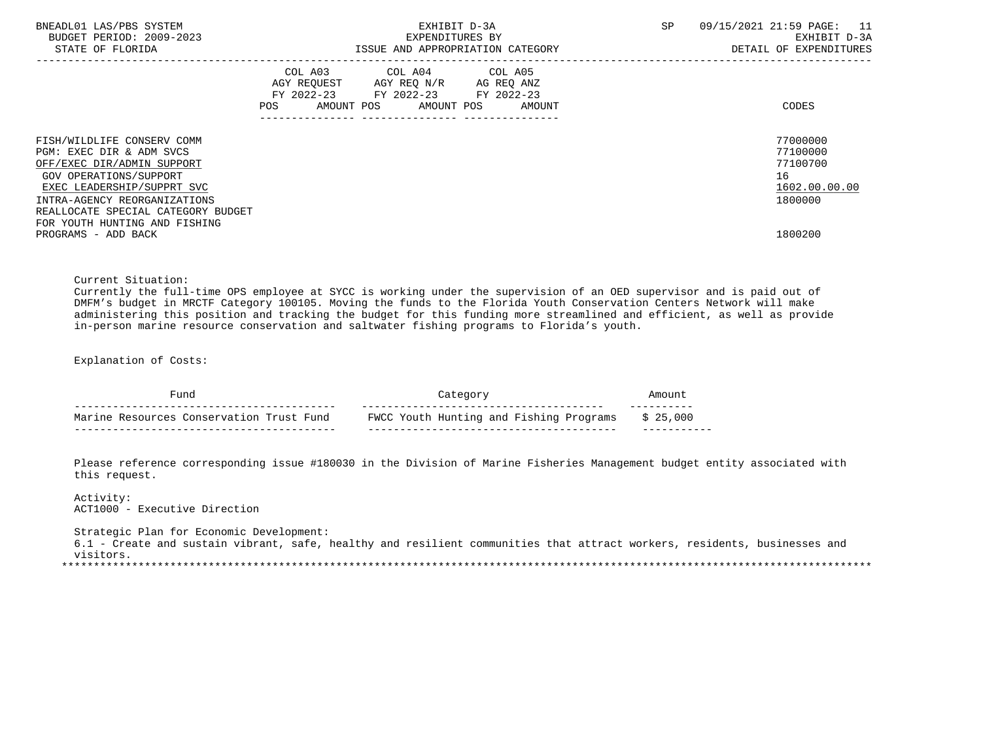| BNEADL01 LAS/PBS SYSTEM<br>BUDGET PERIOD: 2009-2023<br>STATE OF FLORIDA                                                                                                                                                                             | EXHIBIT D-3A<br>EXPENDITURES BY<br>ISSUE AND APPROPRIATION CATEGORY                                                                      | SP<br>09/15/2021 21:59 PAGE:<br>11<br>EXHIBIT D-3A<br>DETAIL OF EXPENDITURES |
|-----------------------------------------------------------------------------------------------------------------------------------------------------------------------------------------------------------------------------------------------------|------------------------------------------------------------------------------------------------------------------------------------------|------------------------------------------------------------------------------|
|                                                                                                                                                                                                                                                     | COL A03 COL A04 COL A05<br>AGY REQUEST AGY REQ N/R AG REQ ANZ<br>FY 2022-23 FY 2022-23 FY 2022-23<br>AMOUNT POS AMOUNT POS AMOUNT<br>POS | CODES                                                                        |
| FISH/WILDLIFE CONSERV COMM<br>PGM: EXEC DIR & ADM SVCS<br>OFF/EXEC DIR/ADMIN SUPPORT<br>GOV OPERATIONS/SUPPORT<br>EXEC LEADERSHIP/SUPPRT SVC<br>INTRA-AGENCY REORGANIZATIONS<br>REALLOCATE SPECIAL CATEGORY BUDGET<br>FOR YOUTH HUNTING AND FISHING |                                                                                                                                          | 77000000<br>77100000<br>77100700<br>16<br>1602.00.00.00<br>1800000           |
| PROGRAMS - ADD BACK                                                                                                                                                                                                                                 |                                                                                                                                          | 1800200                                                                      |

Current Situation:

 Currently the full-time OPS employee at SYCC is working under the supervision of an OED supervisor and is paid out of DMFM's budget in MRCTF Category 100105. Moving the funds to the Florida Youth Conservation Centers Network will make administering this position and tracking the budget for this funding more streamlined and efficient, as well as provide in-person marine resource conservation and saltwater fishing programs to Florida's youth.

Explanation of Costs:

| 'und                                     |                                         |          |  |
|------------------------------------------|-----------------------------------------|----------|--|
| Marine Resources Conservation Trust Fund | FWCC Youth Hunting and Fishing Programs | \$25.000 |  |

 Please reference corresponding issue #180030 in the Division of Marine Fisheries Management budget entity associated with this request.

# Activity:

ACT1000 - Executive Direction

Strategic Plan for Economic Development:

 6.1 - Create and sustain vibrant, safe, healthy and resilient communities that attract workers, residents, businesses and visitors. \*\*\*\*\*\*\*\*\*\*\*\*\*\*\*\*\*\*\*\*\*\*\*\*\*\*\*\*\*\*\*\*\*\*\*\*\*\*\*\*\*\*\*\*\*\*\*\*\*\*\*\*\*\*\*\*\*\*\*\*\*\*\*\*\*\*\*\*\*\*\*\*\*\*\*\*\*\*\*\*\*\*\*\*\*\*\*\*\*\*\*\*\*\*\*\*\*\*\*\*\*\*\*\*\*\*\*\*\*\*\*\*\*\*\*\*\*\*\*\*\*\*\*\*\*\*\*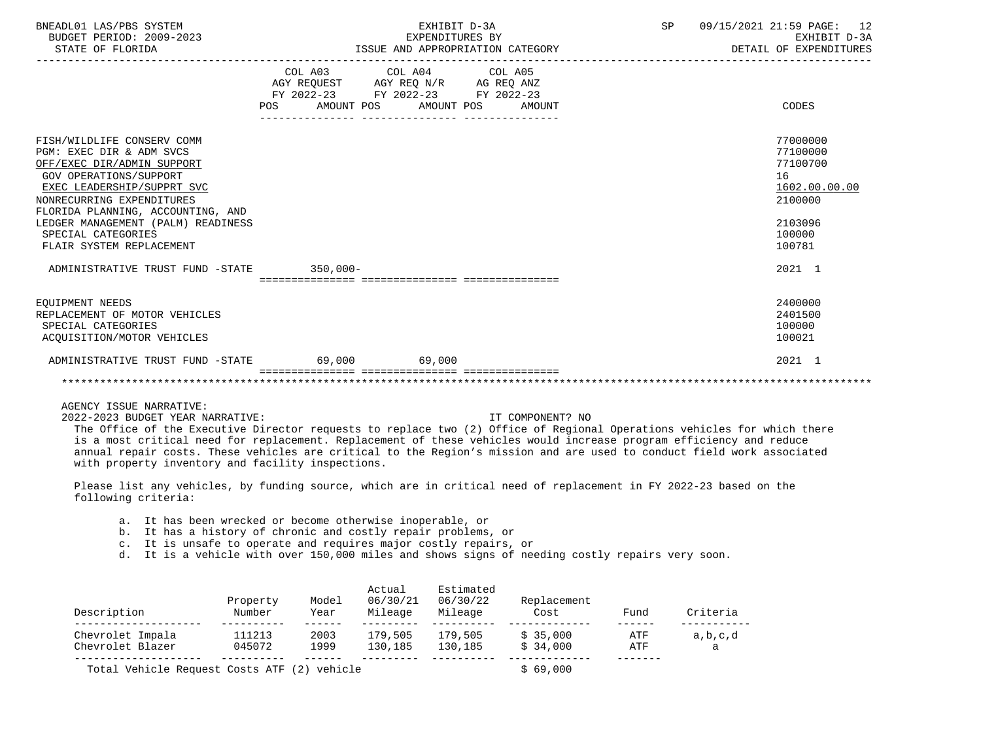| BNEADL01 LAS/PBS SYSTEM<br>BUDGET PERIOD: 2009-2023<br>STATE OF FLORIDA                                                                                                                                                                                                                                | EXHIBIT D-3A<br>EXPENDITURES BY<br>ISSUE AND APPROPRIATION CATEGORY |                                                                                                   |                                  | SP | 09/15/2021 21:59 PAGE: 12<br>EXHIBIT D-3A<br>DETAIL OF EXPENDITURES                               |
|--------------------------------------------------------------------------------------------------------------------------------------------------------------------------------------------------------------------------------------------------------------------------------------------------------|---------------------------------------------------------------------|---------------------------------------------------------------------------------------------------|----------------------------------|----|---------------------------------------------------------------------------------------------------|
|                                                                                                                                                                                                                                                                                                        |                                                                     | COL A03 COL A04 COL A05<br>AGY REQUEST AGY REQ N/R AG REQ ANZ<br>FY 2022-23 FY 2022-23 FY 2022-23 | POS AMOUNT POS AMOUNT POS AMOUNT |    | CODES                                                                                             |
| FISH/WILDLIFE CONSERV COMM<br>PGM: EXEC DIR & ADM SVCS<br>OFF/EXEC DIR/ADMIN SUPPORT<br>GOV OPERATIONS/SUPPORT<br>EXEC LEADERSHIP/SUPPRT SVC<br>NONRECURRING EXPENDITURES<br>FLORIDA PLANNING, ACCOUNTING, AND<br>LEDGER MANAGEMENT (PALM) READINESS<br>SPECIAL CATEGORIES<br>FLAIR SYSTEM REPLACEMENT |                                                                     |                                                                                                   |                                  |    | 77000000<br>77100000<br>77100700<br>16<br>1602.00.00.00<br>2100000<br>2103096<br>100000<br>100781 |
| ADMINISTRATIVE TRUST FUND -STATE 350.000-                                                                                                                                                                                                                                                              |                                                                     |                                                                                                   |                                  |    | 2021 1                                                                                            |
| EOUIPMENT NEEDS<br>REPLACEMENT OF MOTOR VEHICLES<br>SPECIAL CATEGORIES<br>ACQUISITION/MOTOR VEHICLES                                                                                                                                                                                                   |                                                                     |                                                                                                   |                                  |    | 2400000<br>2401500<br>100000<br>100021                                                            |
| ADMINISTRATIVE TRUST FUND -STATE 69,000 69,000                                                                                                                                                                                                                                                         |                                                                     |                                                                                                   |                                  |    | 2021 1                                                                                            |
|                                                                                                                                                                                                                                                                                                        |                                                                     |                                                                                                   |                                  |    |                                                                                                   |

AGENCY ISSUE NARRATIVE:

2022-2023 BUDGET YEAR NARRATIVE: IT COMPONENT? NO

 The Office of the Executive Director requests to replace two (2) Office of Regional Operations vehicles for which there is a most critical need for replacement. Replacement of these vehicles would increase program efficiency and reduce annual repair costs. These vehicles are critical to the Region's mission and are used to conduct field work associated with property inventory and facility inspections.

 Please list any vehicles, by funding source, which are in critical need of replacement in FY 2022-23 based on the following criteria:

- a. It has been wrecked or become otherwise inoperable, or
- b. It has a history of chronic and costly repair problems, or
- c. It is unsafe to operate and requires major costly repairs, or
- d. It is a vehicle with over 150,000 miles and shows signs of needing costly repairs very soon.

| Description                                 | Property<br>Number | Model<br>Year | Actual<br>06/30/21<br>Mileage | Estimated<br>06/30/22<br>Mileage | Replacement<br>Cost | Fund | Criteria |
|---------------------------------------------|--------------------|---------------|-------------------------------|----------------------------------|---------------------|------|----------|
| Chevrolet Impala                            | 111213             | 2003          | 179,505                       | 179,505                          | \$35,000            | ATF  | a,b,c,d  |
| Chevrolet Blazer                            | 045072             | 1999          | 130,185                       | 130,185                          | \$34.000            | ATF  | а        |
| Total Vehicle Request Costs ATF (2) vehicle |                    |               |                               |                                  | \$69.000            |      |          |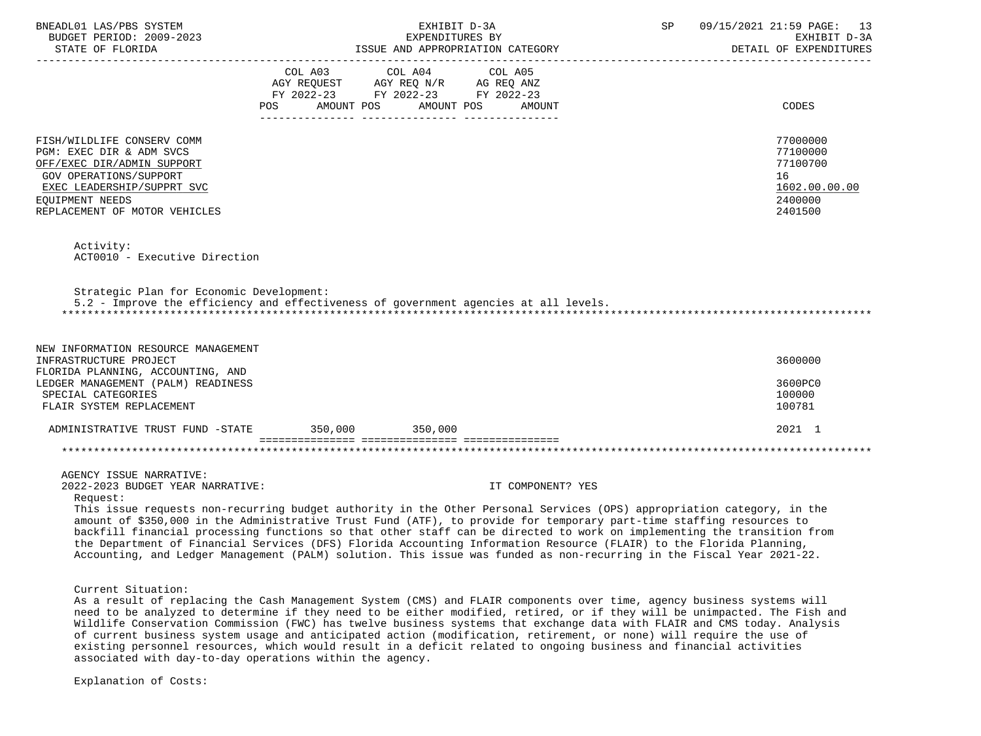| BNEADL01 LAS/PBS SYSTEM<br>BUDGET PERIOD: 2009-2023<br>STATE OF FLORIDA<br>--------------------                                                                                                                                                                                                                                                                                                                                                                                                                                                                                                                           |                                                                                           | EXHIBIT D-3A<br>EXPENDITURES BY | EXPENDITURES BY<br>ISSUE AND APPROPRIATION CATEGORY | SP | 09/15/2021 21:59 PAGE: 13<br>EXHIBIT D-3A<br>DETAIL OF EXPENDITURES           |
|---------------------------------------------------------------------------------------------------------------------------------------------------------------------------------------------------------------------------------------------------------------------------------------------------------------------------------------------------------------------------------------------------------------------------------------------------------------------------------------------------------------------------------------------------------------------------------------------------------------------------|-------------------------------------------------------------------------------------------|---------------------------------|-----------------------------------------------------|----|-------------------------------------------------------------------------------|
|                                                                                                                                                                                                                                                                                                                                                                                                                                                                                                                                                                                                                           | COL A03 COL A04<br>AGY REQUEST AGY REQ N/R AG REQ ANZ<br>FY 2022-23 FY 2022-23 FY 2022-23 |                                 | COL A05                                             |    |                                                                               |
|                                                                                                                                                                                                                                                                                                                                                                                                                                                                                                                                                                                                                           | AMOUNT POS<br>POS                                                                         |                                 | AMOUNT POS<br>AMOUNT                                |    | CODES                                                                         |
| FISH/WILDLIFE CONSERV COMM<br>PGM: EXEC DIR & ADM SVCS<br>OFF/EXEC DIR/ADMIN SUPPORT<br><b>GOV OPERATIONS/SUPPORT</b><br>EXEC LEADERSHIP/SUPPRT SVC<br>EOUIPMENT NEEDS<br>REPLACEMENT OF MOTOR VEHICLES                                                                                                                                                                                                                                                                                                                                                                                                                   |                                                                                           |                                 |                                                     |    | 77000000<br>77100000<br>77100700<br>16<br>1602.00.00.00<br>2400000<br>2401500 |
| Activity:<br>ACT0010 - Executive Direction                                                                                                                                                                                                                                                                                                                                                                                                                                                                                                                                                                                |                                                                                           |                                 |                                                     |    |                                                                               |
| Strategic Plan for Economic Development:<br>5.2 - Improve the efficiency and effectiveness of government agencies at all levels.                                                                                                                                                                                                                                                                                                                                                                                                                                                                                          |                                                                                           |                                 |                                                     |    |                                                                               |
| NEW INFORMATION RESOURCE MANAGEMENT<br>INFRASTRUCTURE PROJECT                                                                                                                                                                                                                                                                                                                                                                                                                                                                                                                                                             |                                                                                           |                                 |                                                     |    | 3600000                                                                       |
| FLORIDA PLANNING, ACCOUNTING, AND<br>LEDGER MANAGEMENT (PALM) READINESS<br>SPECIAL CATEGORIES<br>FLAIR SYSTEM REPLACEMENT                                                                                                                                                                                                                                                                                                                                                                                                                                                                                                 |                                                                                           |                                 |                                                     |    | 3600PC0<br>100000<br>100781                                                   |
| ADMINISTRATIVE TRUST FUND -STATE 350,000 350,000                                                                                                                                                                                                                                                                                                                                                                                                                                                                                                                                                                          |                                                                                           |                                 |                                                     |    | 2021 1                                                                        |
|                                                                                                                                                                                                                                                                                                                                                                                                                                                                                                                                                                                                                           |                                                                                           |                                 |                                                     |    |                                                                               |
| AGENCY ISSUE NARRATIVE:<br>2022-2023 BUDGET YEAR NARRATIVE:<br>Request:                                                                                                                                                                                                                                                                                                                                                                                                                                                                                                                                                   |                                                                                           |                                 | IT COMPONENT? YES                                   |    |                                                                               |
| This issue requests non-recurring budget authority in the Other Personal Services (OPS) appropriation category, in the<br>amount of \$350,000 in the Administrative Trust Fund (ATF), to provide for temporary part-time staffing resources to<br>backfill financial processing functions so that other staff can be directed to work on implementing the transition from<br>the Department of Financial Services (DFS) Florida Accounting Information Resource (FLAIR) to the Florida Planning,<br>Accounting, and Ledger Management (PALM) solution. This issue was funded as non-recurring in the Fiscal Year 2021-22. |                                                                                           |                                 |                                                     |    |                                                                               |
| Current Situation:<br>As a result of replacing the Cash Management System (CMS) and FLAIR components over time, agency business systems will<br>need to be analyzed to determine if they need to be either modified, retired, or if they will be unimpacted. The Fish and<br>Wildlife Conservation Commission (FWC) has twelve business systems that exchange data with FLAIR and CMS today. Analysis                                                                                                                                                                                                                     |                                                                                           |                                 |                                                     |    |                                                                               |

 of current business system usage and anticipated action (modification, retirement, or none) will require the use of existing personnel resources, which would result in a deficit related to ongoing business and financial activities associated with day-to-day operations within the agency.

Explanation of Costs: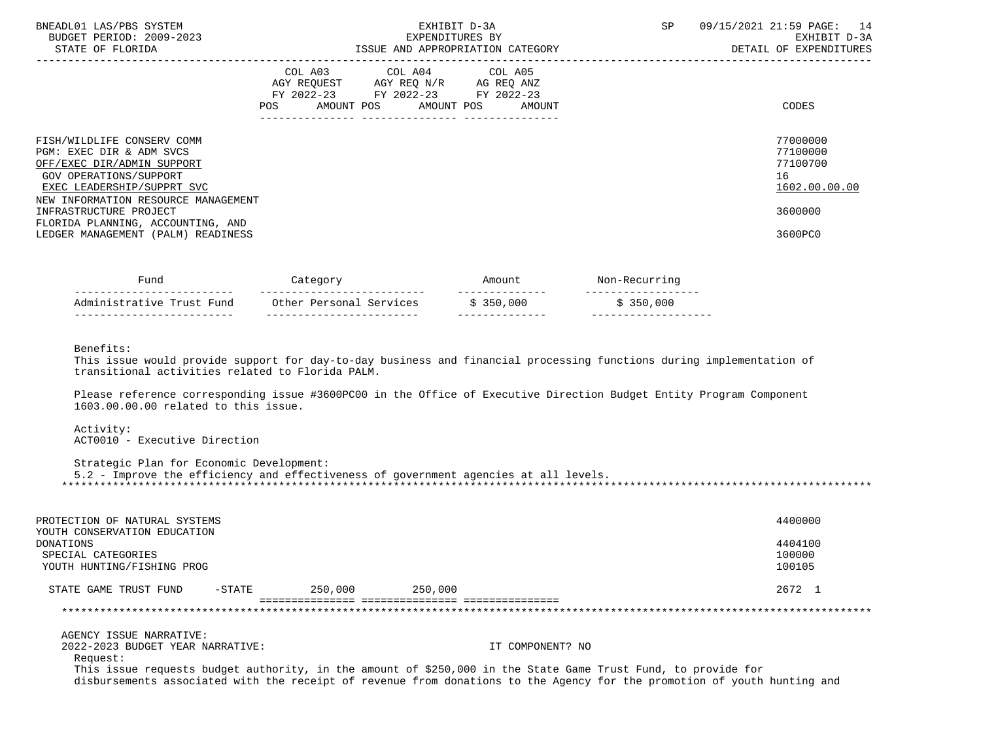| BNEADL01 LAS/PBS SYSTEM<br>BUDGET PERIOD: 2009-2023<br>STATE OF FLORIDA                                                                                                                                                                                                                  | EXHIBIT D-3A<br>EXPENDITURES BY<br>ISSUE AND APPROPRIATION CATEGORY |                                                                                                   |                                  | SP | 09/15/2021 21:59 PAGE: 14<br>EXHIBIT D-3A<br>DETAIL OF EXPENDITURES           |
|------------------------------------------------------------------------------------------------------------------------------------------------------------------------------------------------------------------------------------------------------------------------------------------|---------------------------------------------------------------------|---------------------------------------------------------------------------------------------------|----------------------------------|----|-------------------------------------------------------------------------------|
|                                                                                                                                                                                                                                                                                          | ---------------- ----------------                                   | COL A03 COL A04 COL A05<br>AGY REQUEST AGY REQ N/R AG REQ ANZ<br>FY 2022-23 FY 2022-23 FY 2022-23 | POS AMOUNT POS AMOUNT POS AMOUNT |    | CODES                                                                         |
| FISH/WILDLIFE CONSERV COMM<br>PGM: EXEC DIR & ADM SVCS<br>OFF/EXEC DIR/ADMIN SUPPORT<br>GOV OPERATIONS/SUPPORT<br>EXEC LEADERSHIP/SUPPRT SVC<br>NEW INFORMATION RESOURCE MANAGEMENT<br>INFRASTRUCTURE PROJECT<br>FLORIDA PLANNING, ACCOUNTING, AND<br>LEDGER MANAGEMENT (PALM) READINESS |                                                                     |                                                                                                   |                                  |    | 77000000<br>77100000<br>77100700<br>16<br>1602.00.00.00<br>3600000<br>3600PC0 |
|                                                                                                                                                                                                                                                                                          |                                                                     |                                                                                                   |                                  |    |                                                                               |

| Func'                     |                         | Amount       | N∩n–F           |
|---------------------------|-------------------------|--------------|-----------------|
| Administrative Trust Fund | Other Personal Services | \$350,000    | ,000<br>\$ 350. |
|                           |                         | ------------ |                 |

Benefits:

 This issue would provide support for day-to-day business and financial processing functions during implementation of transitional activities related to Florida PALM.

 Please reference corresponding issue #3600PC00 in the Office of Executive Direction Budget Entity Program Component 1603.00.00.00 related to this issue.

Activity:

ACT0010 - Executive Direction

Strategic Plan for Economic Development:

 5.2 - Improve the efficiency and effectiveness of government agencies at all levels. \*\*\*\*\*\*\*\*\*\*\*\*\*\*\*\*\*\*\*\*\*\*\*\*\*\*\*\*\*\*\*\*\*\*\*\*\*\*\*\*\*\*\*\*\*\*\*\*\*\*\*\*\*\*\*\*\*\*\*\*\*\*\*\*\*\*\*\*\*\*\*\*\*\*\*\*\*\*\*\*\*\*\*\*\*\*\*\*\*\*\*\*\*\*\*\*\*\*\*\*\*\*\*\*\*\*\*\*\*\*\*\*\*\*\*\*\*\*\*\*\*\*\*\*\*\*\*

| PROTECTION OF NATURAL SYSTEMS<br>YOUTH CONSERVATION EDUCATION<br>DONATIONS<br>SPECIAL CATEGORIES<br>YOUTH HUNTING/FISHING PROG |           |         |         | 4400000<br>4404100<br>100000<br>100105 |
|--------------------------------------------------------------------------------------------------------------------------------|-----------|---------|---------|----------------------------------------|
| STATE GAME TRUST FUND                                                                                                          | $-$ STATE | 250,000 | 250,000 | 2672 1                                 |
|                                                                                                                                |           |         |         |                                        |

AGENCY ISSUE NARRATIVE:

2022-2023 BUDGET YEAR NARRATIVE: IT COMPONENT? NO

Request:

 This issue requests budget authority, in the amount of \$250,000 in the State Game Trust Fund, to provide for disbursements associated with the receipt of revenue from donations to the Agency for the promotion of youth hunting and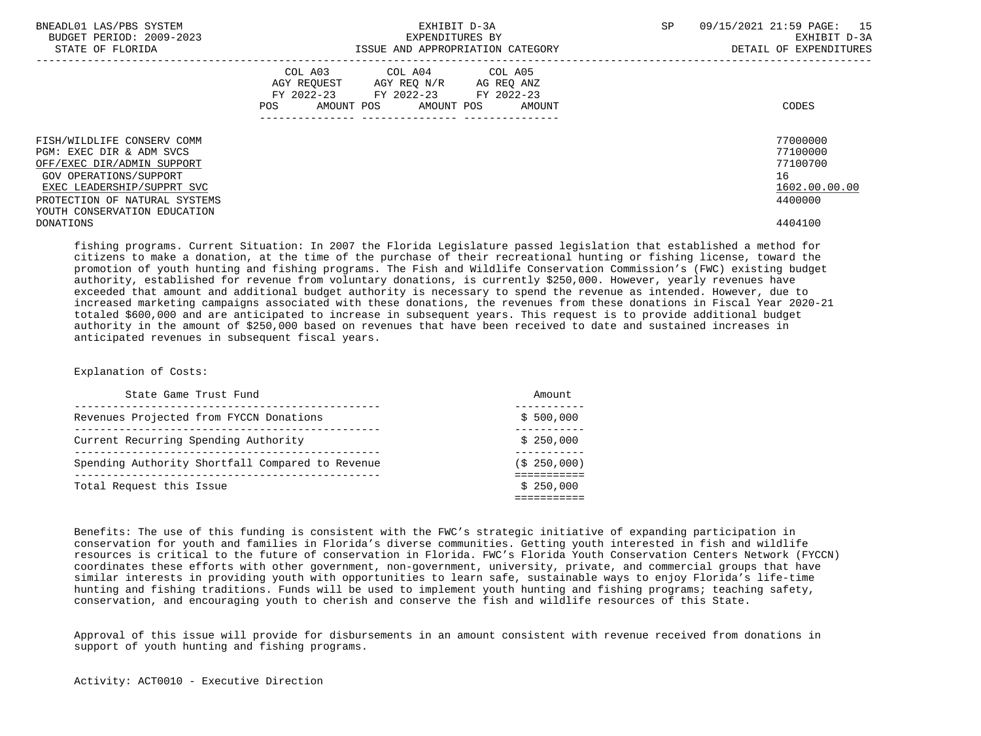| BNEADL01 LAS/PBS SYSTEM<br>BUDGET PERIOD: 2009-2023<br>STATE OF FLORIDA                     | EXHIBIT D-3A<br>EXPENDITURES BY<br>ISSUE AND APPROPRIATION CATEGORY                                                                      | <b>SP</b><br>09/15/2021 21:59 PAGE:<br>15<br>EXHIBIT D-3A<br>DETAIL OF EXPENDITURES |
|---------------------------------------------------------------------------------------------|------------------------------------------------------------------------------------------------------------------------------------------|-------------------------------------------------------------------------------------|
|                                                                                             | COL A03 COL A04 COL A05<br>AGY REOUEST AGY REO N/R AG REO ANZ<br>FY 2022-23 FY 2022-23 FY 2022-23<br>AMOUNT POS AMOUNT POS AMOUNT<br>POS | CODES                                                                               |
| FISH/WILDLIFE CONSERV COMM<br>PGM: EXEC DIR & ADM SVCS                                      |                                                                                                                                          | 77000000<br>77100000                                                                |
| OFF/EXEC DIR/ADMIN SUPPORT                                                                  |                                                                                                                                          | 77100700                                                                            |
| GOV OPERATIONS/SUPPORT                                                                      |                                                                                                                                          | 16                                                                                  |
| EXEC LEADERSHIP/SUPPRT SVC<br>PROTECTION OF NATURAL SYSTEMS<br>YOUTH CONSERVATION EDUCATION |                                                                                                                                          | 1602.00.00.00<br>4400000                                                            |
| DONATIONS                                                                                   |                                                                                                                                          | 4404100                                                                             |

 fishing programs. Current Situation: In 2007 the Florida Legislature passed legislation that established a method for citizens to make a donation, at the time of the purchase of their recreational hunting or fishing license, toward the promotion of youth hunting and fishing programs. The Fish and Wildlife Conservation Commission's (FWC) existing budget authority, established for revenue from voluntary donations, is currently \$250,000. However, yearly revenues have exceeded that amount and additional budget authority is necessary to spend the revenue as intended. However, due to increased marketing campaigns associated with these donations, the revenues from these donations in Fiscal Year 2020-21 totaled \$600,000 and are anticipated to increase in subsequent years. This request is to provide additional budget authority in the amount of \$250,000 based on revenues that have been received to date and sustained increases in anticipated revenues in subsequent fiscal years.

# Explanation of Costs:

| State Game Trust Fund                            | Amount      |
|--------------------------------------------------|-------------|
| Revenues Projected from FYCCN Donations          | \$500,000   |
| Current Recurring Spending Authority             | \$250.000   |
| Spending Authority Shortfall Compared to Revenue | (\$250,000) |
| Total Request this Issue                         | \$250.000   |

 Benefits: The use of this funding is consistent with the FWC's strategic initiative of expanding participation in conservation for youth and families in Florida's diverse communities. Getting youth interested in fish and wildlife resources is critical to the future of conservation in Florida. FWC's Florida Youth Conservation Centers Network (FYCCN) coordinates these efforts with other government, non-government, university, private, and commercial groups that have similar interests in providing youth with opportunities to learn safe, sustainable ways to enjoy Florida's life-time hunting and fishing traditions. Funds will be used to implement youth hunting and fishing programs; teaching safety, conservation, and encouraging youth to cherish and conserve the fish and wildlife resources of this State.

 Approval of this issue will provide for disbursements in an amount consistent with revenue received from donations in support of youth hunting and fishing programs.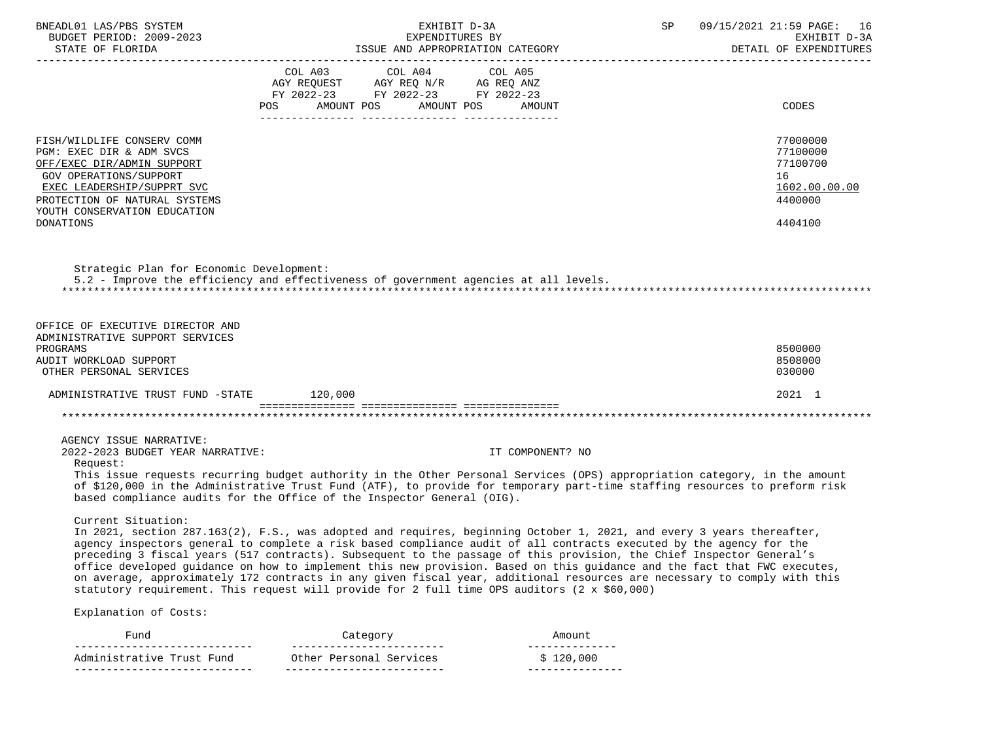| BNEADL01 LAS/PBS SYSTEM<br>BUDGET PERIOD: 2009-2023                                                                                                                                                           | EXHIBIT D-3A<br>EXPENDITURES BY<br>STATE OF FLORIDA <b>1999</b><br>TSSUE AND APPROPRIATION CATEGORY DETAIL OF EXPENDIT DETAIL OF EXPENDIT                                                                                                                                                                                                                                                                                                                                                                                                                                                                                                                                                                                    | 09/15/2021 21:59 PAGE: 16<br>SP<br>EXHIBIT D-3A<br>DETAIL OF EXPENDITURES |
|---------------------------------------------------------------------------------------------------------------------------------------------------------------------------------------------------------------|------------------------------------------------------------------------------------------------------------------------------------------------------------------------------------------------------------------------------------------------------------------------------------------------------------------------------------------------------------------------------------------------------------------------------------------------------------------------------------------------------------------------------------------------------------------------------------------------------------------------------------------------------------------------------------------------------------------------------|---------------------------------------------------------------------------|
|                                                                                                                                                                                                               | COL A03 COL A04 COL A05<br>$\begin{tabular}{lllllllll} \bf AGY & \bf REQUEST & \bf AGY & \bf REQ & \tt N/R & \tt AG & \tt REQ & \tt ANZ \\ \bf FY & \tt 2022-23 & \tt FY & \tt 2022-23 & \tt FY & \tt 2022-23 \\ \end{tabular}$<br>AMOUNT POS AMOUNT POS<br>AMOUNT<br>POS                                                                                                                                                                                                                                                                                                                                                                                                                                                    | CODES                                                                     |
|                                                                                                                                                                                                               |                                                                                                                                                                                                                                                                                                                                                                                                                                                                                                                                                                                                                                                                                                                              |                                                                           |
| FISH/WILDLIFE CONSERV COMM<br>PGM: EXEC DIR & ADM SVCS<br>OFF/EXEC DIR/ADMIN SUPPORT<br>GOV OPERATIONS/SUPPORT<br>EXEC LEADERSHIP/SUPPRT SVC<br>PROTECTION OF NATURAL SYSTEMS<br>YOUTH CONSERVATION EDUCATION |                                                                                                                                                                                                                                                                                                                                                                                                                                                                                                                                                                                                                                                                                                                              | 77000000<br>77100000<br>77100700<br>16<br>1602.00.00.00<br>4400000        |
| DONATIONS                                                                                                                                                                                                     |                                                                                                                                                                                                                                                                                                                                                                                                                                                                                                                                                                                                                                                                                                                              | 4404100                                                                   |
| Strategic Plan for Economic Development:<br>OFFICE OF EXECUTIVE DIRECTOR AND<br>ADMINISTRATIVE SUPPORT SERVICES                                                                                               | 5.2 - Improve the efficiency and effectiveness of government agencies at all levels.                                                                                                                                                                                                                                                                                                                                                                                                                                                                                                                                                                                                                                         |                                                                           |
| PROGRAMS                                                                                                                                                                                                      |                                                                                                                                                                                                                                                                                                                                                                                                                                                                                                                                                                                                                                                                                                                              | 8500000                                                                   |
| AUDIT WORKLOAD SUPPORT<br>OTHER PERSONAL SERVICES                                                                                                                                                             |                                                                                                                                                                                                                                                                                                                                                                                                                                                                                                                                                                                                                                                                                                                              | 8508000<br>030000                                                         |
| ADMINISTRATIVE TRUST FUND -STATE 120,000                                                                                                                                                                      |                                                                                                                                                                                                                                                                                                                                                                                                                                                                                                                                                                                                                                                                                                                              | 2021 1                                                                    |
|                                                                                                                                                                                                               |                                                                                                                                                                                                                                                                                                                                                                                                                                                                                                                                                                                                                                                                                                                              |                                                                           |
|                                                                                                                                                                                                               |                                                                                                                                                                                                                                                                                                                                                                                                                                                                                                                                                                                                                                                                                                                              |                                                                           |
| AGENCY ISSUE NARRATIVE:<br>2022-2023 BUDGET YEAR NARRATIVE:<br>Request:                                                                                                                                       | IT COMPONENT? NO                                                                                                                                                                                                                                                                                                                                                                                                                                                                                                                                                                                                                                                                                                             |                                                                           |
|                                                                                                                                                                                                               | This issue requests recurring budget authority in the Other Personal Services (OPS) appropriation category, in the amount<br>of \$120,000 in the Administrative Trust Fund (ATF), to provide for temporary part-time staffing resources to preform risk<br>based compliance audits for the Office of the Inspector General (OIG).                                                                                                                                                                                                                                                                                                                                                                                            |                                                                           |
| Current Situation:                                                                                                                                                                                            | In 2021, section 287.163(2), F.S., was adopted and requires, beginning October 1, 2021, and every 3 years thereafter,<br>agency inspectors general to complete a risk based compliance audit of all contracts executed by the agency for the<br>preceding 3 fiscal years (517 contracts). Subsequent to the passage of this provision, the Chief Inspector General's<br>office developed guidance on how to implement this new provision. Based on this guidance and the fact that FWC executes,<br>on average, approximately 172 contracts in any given fiscal year, additional resources are necessary to comply with this<br>statutory requirement. This request will provide for 2 full time OPS auditors (2 x \$60,000) |                                                                           |
| Explanation of Costs:                                                                                                                                                                                         |                                                                                                                                                                                                                                                                                                                                                                                                                                                                                                                                                                                                                                                                                                                              |                                                                           |
| Fund<br>-------------------------                                                                                                                                                                             | Amount<br>Category<br>-------------------------<br>--------------                                                                                                                                                                                                                                                                                                                                                                                                                                                                                                                                                                                                                                                            |                                                                           |

 Administrative Trust Fund Other Personal Services \$ 120,000 ---------------------------- ------------------------- ---------------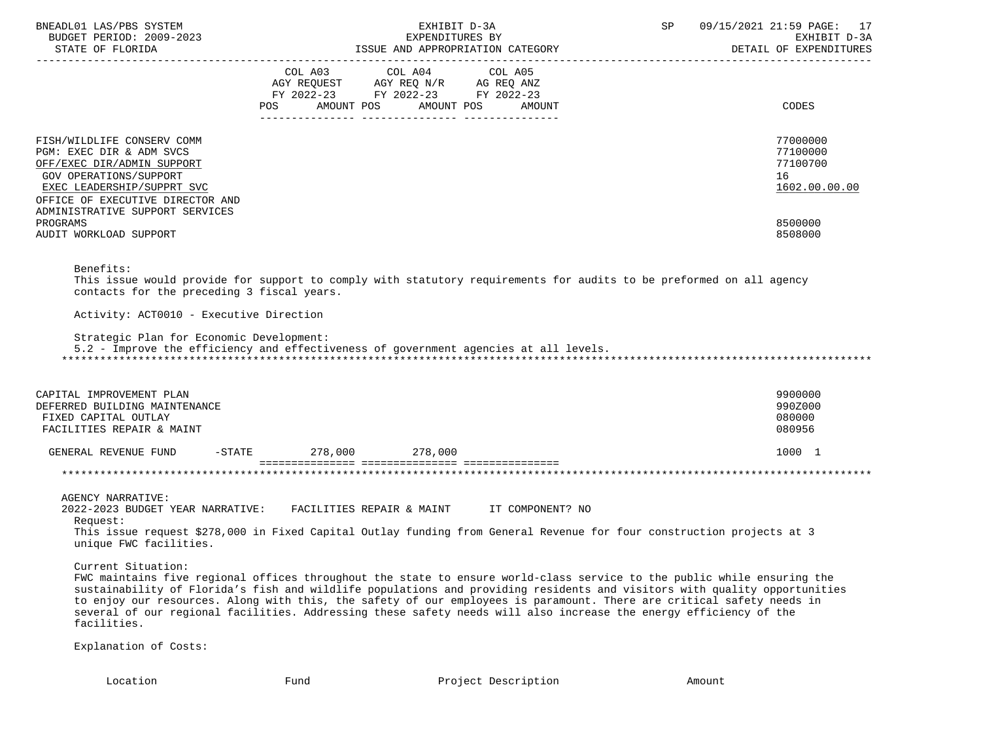| BNEADL01 LAS/PBS SYSTEM<br>EXHIBIT D-3A<br>BUDGET PERIOD: 2009-2023<br>EXPENDITURES BY                                                                                                                                                                                                                                                                                                                                                                                                                                                  |                          |                                                                                                                 |        | 09/15/2021 21:59 PAGE: 17<br>SP<br>EXHIBIT D-3A<br>DETAIL OF EXPENDITURES |                                                                               |  |
|-----------------------------------------------------------------------------------------------------------------------------------------------------------------------------------------------------------------------------------------------------------------------------------------------------------------------------------------------------------------------------------------------------------------------------------------------------------------------------------------------------------------------------------------|--------------------------|-----------------------------------------------------------------------------------------------------------------|--------|---------------------------------------------------------------------------|-------------------------------------------------------------------------------|--|
|                                                                                                                                                                                                                                                                                                                                                                                                                                                                                                                                         | AMOUNT POS<br>POS        | COL A03 COL A04 COL A05<br>AGY REQUEST AGY REQ N/R AG REQ ANZ<br>FY 2022-23 FY 2022-23 FY 2022-23<br>AMOUNT POS | AMOUNT |                                                                           | CODES                                                                         |  |
| FISH/WILDLIFE CONSERV COMM<br>PGM: EXEC DIR & ADM SVCS<br>OFF/EXEC DIR/ADMIN SUPPORT<br><b>GOV OPERATIONS/SUPPORT</b><br>EXEC LEADERSHIP/SUPPRT SVC<br>OFFICE OF EXECUTIVE DIRECTOR AND<br>ADMINISTRATIVE SUPPORT SERVICES<br>PROGRAMS<br>AUDIT WORKLOAD SUPPORT                                                                                                                                                                                                                                                                        |                          |                                                                                                                 |        |                                                                           | 77000000<br>77100000<br>77100700<br>16<br>1602.00.00.00<br>8500000<br>8508000 |  |
| Benefits:<br>This issue would provide for support to comply with statutory requirements for audits to be preformed on all agency<br>contacts for the preceding 3 fiscal years.<br>Activity: ACT0010 - Executive Direction<br>Strategic Plan for Economic Development:<br>5.2 - Improve the efficiency and effectiveness of government agencies at all levels.                                                                                                                                                                           |                          |                                                                                                                 |        |                                                                           |                                                                               |  |
| CAPITAL IMPROVEMENT PLAN<br>DEFERRED BUILDING MAINTENANCE<br>FIXED CAPITAL OUTLAY<br>FACILITIES REPAIR & MAINT                                                                                                                                                                                                                                                                                                                                                                                                                          |                          |                                                                                                                 |        |                                                                           | 9900000<br>990Z000<br>080000<br>080956                                        |  |
| GENERAL REVENUE FUND                                                                                                                                                                                                                                                                                                                                                                                                                                                                                                                    | $-STATE$ 278,000 278,000 |                                                                                                                 |        |                                                                           | 1000 1                                                                        |  |
|                                                                                                                                                                                                                                                                                                                                                                                                                                                                                                                                         |                          |                                                                                                                 |        |                                                                           |                                                                               |  |
| AGENCY NARRATIVE:<br>2022-2023 BUDGET YEAR NARRATIVE: FACILITIES REPAIR & MAINT TT COMPONENT? NO<br>Request:<br>This issue request \$278,000 in Fixed Capital Outlay funding from General Revenue for four construction projects at 3<br>unique FWC facilities.                                                                                                                                                                                                                                                                         |                          |                                                                                                                 |        |                                                                           |                                                                               |  |
| Current Situation:<br>FWC maintains five regional offices throughout the state to ensure world-class service to the public while ensuring the<br>sustainability of Florida's fish and wildlife populations and providing residents and visitors with quality opportunities<br>to enjoy our resources. Along with this, the safety of our employees is paramount. There are critical safety needs in<br>several of our regional facilities. Addressing these safety needs will also increase the energy efficiency of the<br>facilities. |                          |                                                                                                                 |        |                                                                           |                                                                               |  |
| Explanation of Costs:                                                                                                                                                                                                                                                                                                                                                                                                                                                                                                                   |                          |                                                                                                                 |        |                                                                           |                                                                               |  |
| Location                                                                                                                                                                                                                                                                                                                                                                                                                                                                                                                                | Fund                     | Project Description                                                                                             |        | Amount                                                                    |                                                                               |  |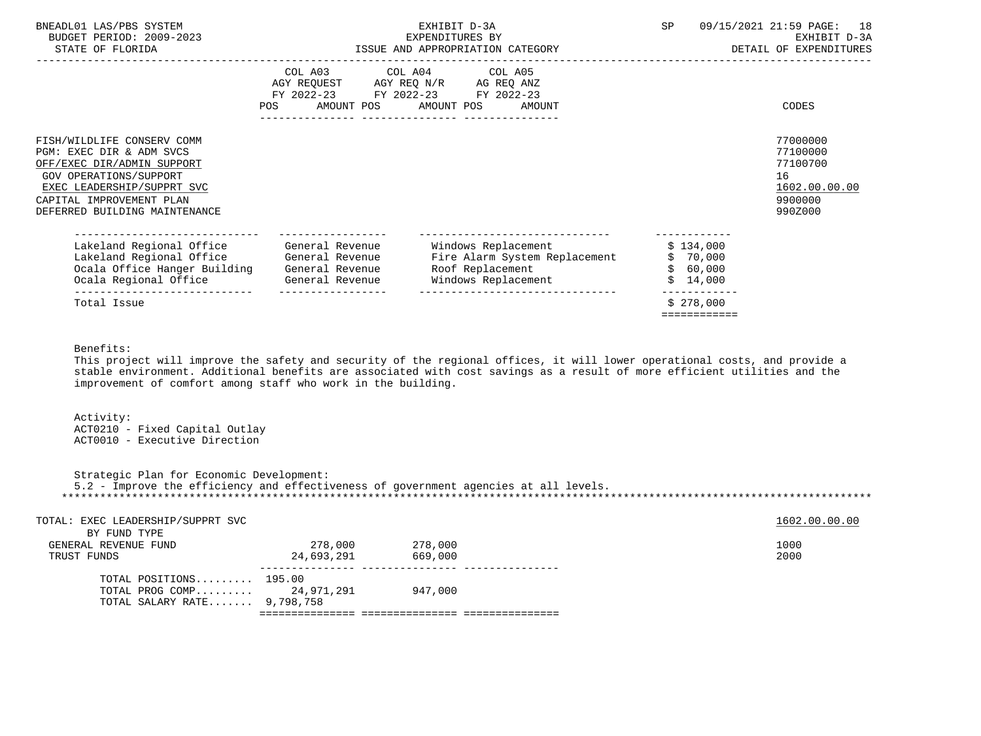| BNEADL01 LAS/PBS SYSTEM<br>BUDGET PERIOD: 2009-2023<br>STATE OF FLORIDA                                                                                                                                   |                                                                                                                | EXHIBIT D-3A<br>EXPENDITURES BY<br>ISSUE AND APPROPRIATION CATEGORY                                                               | SP <sub>2</sub>                               | 09/15/2021 21:59 PAGE: 18<br>EXHIBIT D-3A<br>DETAIL OF EXPENDITURES           |
|-----------------------------------------------------------------------------------------------------------------------------------------------------------------------------------------------------------|----------------------------------------------------------------------------------------------------------------|-----------------------------------------------------------------------------------------------------------------------------------|-----------------------------------------------|-------------------------------------------------------------------------------|
|                                                                                                                                                                                                           | POS FOR THE POST OF THE STATE STATE STATE STATE STATE STATE STATE STATE STATE STATE STATE STATE STATE STATE ST | COL A03 COL A04 COL A05<br>AGY REQUEST AGY REQ N/R AG REQ ANZ<br>FY 2022-23 FY 2022-23 FY 2022-23<br>AMOUNT POS AMOUNT POS AMOUNT |                                               | CODES                                                                         |
| FISH/WILDLIFE CONSERV COMM<br>PGM: EXEC DIR & ADM SVCS<br>OFF/EXEC DIR/ADMIN SUPPORT<br>GOV OPERATIONS/SUPPORT<br>EXEC LEADERSHIP/SUPPRT SVC<br>CAPITAL IMPROVEMENT PLAN<br>DEFERRED BUILDING MAINTENANCE |                                                                                                                |                                                                                                                                   |                                               | 77000000<br>77100000<br>77100700<br>16<br>1602.00.00.00<br>9900000<br>990Z000 |
| Lakeland Regional Office General Revenue<br>Lakeland Regional Office General Revenue<br>Ocala Office Hanger Building<br>Ocala Regional Office 6 General Revenue                                           | General Revenue                                                                                                | ---------------------------<br>Windows Replacement<br>Fire Alarm System Replacement<br>Roof Replacement<br>Windows Replacement    | \$134,000<br>\$70,000<br>\$60,000<br>\$14,000 |                                                                               |
| ---------------------------<br>Total Issue                                                                                                                                                                | -----------------                                                                                              | _________________________________                                                                                                 | \$278,000<br>============                     |                                                                               |

# Benefits:

 This project will improve the safety and security of the regional offices, it will lower operational costs, and provide a stable environment. Additional benefits are associated with cost savings as a result of more efficient utilities and the improvement of comfort among staff who work in the building.

 Activity: ACT0210 - Fixed Capital Outlay ACT0010 - Executive Direction

 Strategic Plan for Economic Development: 5.2 - Improve the efficiency and effectiveness of government agencies at all levels. \*\*\*\*\*\*\*\*\*\*\*\*\*\*\*\*\*\*\*\*\*\*\*\*\*\*\*\*\*\*\*\*\*\*\*\*\*\*\*\*\*\*\*\*\*\*\*\*\*\*\*\*\*\*\*\*\*\*\*\*\*\*\*\*\*\*\*\*\*\*\*\*\*\*\*\*\*\*\*\*\*\*\*\*\*\*\*\*\*\*\*\*\*\*\*\*\*\*\*\*\*\*\*\*\*\*\*\*\*\*\*\*\*\*\*\*\*\*\*\*\*\*\*\*\*\*\*

| TOTAL: EXEC LEADERSHIP/SUPPRT SVC |            |         | 1602.00.00.00 |
|-----------------------------------|------------|---------|---------------|
| BY FUND TYPE                      |            |         |               |
| GENERAL REVENUE FUND              | 278,000    | 278,000 | 1000          |
| TRUST FUNDS                       | 24,693,291 | 669,000 | 2000          |
| TOTAL POSITIONS $195.00$          |            |         |               |
| TOTAL PROG COMP $24,971,291$      |            | 947,000 |               |
| TOTAL SALARY RATE 9,798,758       |            |         |               |
|                                   |            |         |               |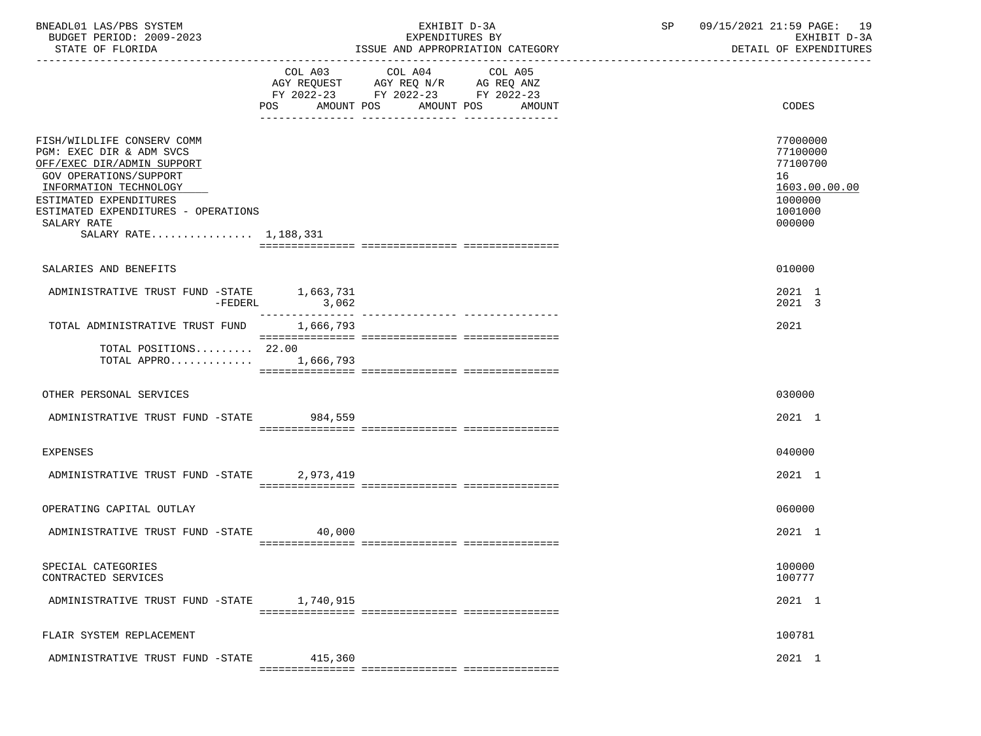| BNEADL01 LAS/PBS SYSTEM<br>BUDGET PERIOD: 2009-2023<br>STATE OF FLORIDA                                                                                                                                                                                  | EXHIBIT D-3A<br>EXPENDITURES BY<br>ISSUE AND APPROPRIATION CATEGORY |                                                           | SP     | 09/15/2021 21:59 PAGE: 19<br>EXHIBIT D-3A<br>DETAIL OF EXPENDITURES |                                                                                         |
|----------------------------------------------------------------------------------------------------------------------------------------------------------------------------------------------------------------------------------------------------------|---------------------------------------------------------------------|-----------------------------------------------------------|--------|---------------------------------------------------------------------|-----------------------------------------------------------------------------------------|
|                                                                                                                                                                                                                                                          | POS                                                                 | FY 2022-23 FY 2022-23 FY 2022-23<br>AMOUNT POS AMOUNT POS | AMOUNT |                                                                     | CODES                                                                                   |
| FISH/WILDLIFE CONSERV COMM<br>PGM: EXEC DIR & ADM SVCS<br>OFF/EXEC DIR/ADMIN SUPPORT<br><b>GOV OPERATIONS/SUPPORT</b><br>INFORMATION TECHNOLOGY<br>ESTIMATED EXPENDITURES<br>ESTIMATED EXPENDITURES - OPERATIONS<br>SALARY RATE<br>SALARY RATE 1,188,331 |                                                                     |                                                           |        |                                                                     | 77000000<br>77100000<br>77100700<br>16<br>1603.00.00.00<br>1000000<br>1001000<br>000000 |
| SALARIES AND BENEFITS                                                                                                                                                                                                                                    |                                                                     |                                                           |        |                                                                     | 010000                                                                                  |
| ADMINISTRATIVE TRUST FUND -STATE 1,663,731<br>-FEDERL                                                                                                                                                                                                    | 3,062                                                               |                                                           |        |                                                                     | 2021 1<br>2021 3                                                                        |
| TOTAL ADMINISTRATIVE TRUST FUND 1,666,793                                                                                                                                                                                                                |                                                                     |                                                           |        |                                                                     | 2021                                                                                    |
| TOTAL POSITIONS 22.00<br>TOTAL APPRO 1,666,793                                                                                                                                                                                                           |                                                                     |                                                           |        |                                                                     |                                                                                         |
| OTHER PERSONAL SERVICES                                                                                                                                                                                                                                  |                                                                     |                                                           |        |                                                                     | 030000                                                                                  |
| ADMINISTRATIVE TRUST FUND -STATE 984,559                                                                                                                                                                                                                 |                                                                     |                                                           |        |                                                                     | 2021 1                                                                                  |
| <b>EXPENSES</b>                                                                                                                                                                                                                                          |                                                                     |                                                           |        |                                                                     | 040000                                                                                  |
| ADMINISTRATIVE TRUST FUND -STATE 2,973,419                                                                                                                                                                                                               |                                                                     |                                                           |        |                                                                     | 2021 1                                                                                  |
| OPERATING CAPITAL OUTLAY                                                                                                                                                                                                                                 |                                                                     |                                                           |        |                                                                     | 060000                                                                                  |
| ADMINISTRATIVE TRUST FUND -STATE                                                                                                                                                                                                                         | 40,000<br>a a de de de de de                                        | := ================ ===============                       |        |                                                                     | 2021 1                                                                                  |
| SPECIAL CATEGORIES<br>CONTRACTED SERVICES                                                                                                                                                                                                                |                                                                     |                                                           |        |                                                                     | 100000<br>100777                                                                        |
| ADMINISTRATIVE TRUST FUND -STATE                                                                                                                                                                                                                         | 1,740,915                                                           |                                                           |        |                                                                     | 2021 1                                                                                  |
| FLAIR SYSTEM REPLACEMENT                                                                                                                                                                                                                                 |                                                                     |                                                           |        |                                                                     | 100781                                                                                  |
| ADMINISTRATIVE TRUST FUND -STATE                                                                                                                                                                                                                         | 415,360                                                             |                                                           |        |                                                                     | 2021 1                                                                                  |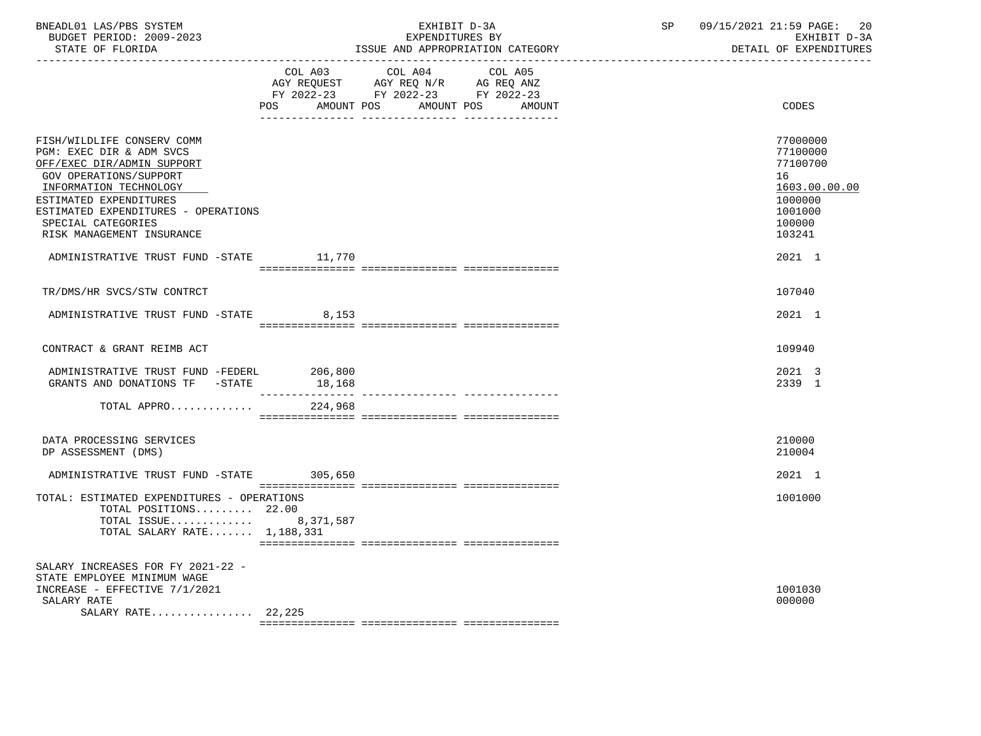| BNEADL01 LAS/PBS SYSTEM<br>BUDGET PERIOD: 2009-2023<br>STATE OF FLORIDA                                                                                                                                                                                                                                 |                              | EXHIBIT D-3A<br>EXPENDITURES BY                                                                 | ISSUE AND APPROPRIATION CATEGORY | SP | 09/15/2021 21:59 PAGE:<br>20<br>EXHIBIT D-3A<br>DETAIL OF EXPENDITURES                                      |
|---------------------------------------------------------------------------------------------------------------------------------------------------------------------------------------------------------------------------------------------------------------------------------------------------------|------------------------------|-------------------------------------------------------------------------------------------------|----------------------------------|----|-------------------------------------------------------------------------------------------------------------|
|                                                                                                                                                                                                                                                                                                         | COL A03<br>AMOUNT POS<br>POS | COL A04<br>AGY REQUEST AGY REQ N/R AG REQ ANZ<br>FY 2022-23 FY 2022-23 FY 2022-23<br>AMOUNT POS | COL A05<br>AMOUNT                |    | CODES                                                                                                       |
| FISH/WILDLIFE CONSERV COMM<br>PGM: EXEC DIR & ADM SVCS<br>OFF/EXEC DIR/ADMIN SUPPORT<br>GOV OPERATIONS/SUPPORT<br>INFORMATION TECHNOLOGY<br>ESTIMATED EXPENDITURES<br>ESTIMATED EXPENDITURES - OPERATIONS<br>SPECIAL CATEGORIES<br>RISK MANAGEMENT INSURANCE<br>ADMINISTRATIVE TRUST FUND -STATE 11,770 |                              |                                                                                                 |                                  |    | 77000000<br>77100000<br>77100700<br>16<br>1603.00.00.00<br>1000000<br>1001000<br>100000<br>103241<br>2021 1 |
| TR/DMS/HR SVCS/STW CONTRCT                                                                                                                                                                                                                                                                              |                              |                                                                                                 |                                  |    | 107040                                                                                                      |
| ADMINISTRATIVE TRUST FUND -STATE 8,153                                                                                                                                                                                                                                                                  |                              |                                                                                                 |                                  |    | 2021 1                                                                                                      |
| CONTRACT & GRANT REIMB ACT                                                                                                                                                                                                                                                                              |                              |                                                                                                 |                                  |    | 109940                                                                                                      |
| ADMINISTRATIVE TRUST FUND -FEDERL<br>GRANTS AND DONATIONS TF -STATE                                                                                                                                                                                                                                     | 206,800<br>18,168            |                                                                                                 |                                  |    | 2021 3<br>2339 1                                                                                            |
| TOTAL APPRO                                                                                                                                                                                                                                                                                             | 224,968                      |                                                                                                 |                                  |    |                                                                                                             |
| DATA PROCESSING SERVICES<br>DP ASSESSMENT (DMS)                                                                                                                                                                                                                                                         |                              |                                                                                                 |                                  |    | 210000<br>210004                                                                                            |
| ADMINISTRATIVE TRUST FUND -STATE 305,650                                                                                                                                                                                                                                                                |                              |                                                                                                 |                                  |    | 2021 1                                                                                                      |
| TOTAL: ESTIMATED EXPENDITURES - OPERATIONS<br>TOTAL POSITIONS 22.00<br>TOTAL ISSUE 8,371,587<br>TOTAL SALARY RATE 1,188,331                                                                                                                                                                             |                              |                                                                                                 |                                  |    | 1001000                                                                                                     |
| SALARY INCREASES FOR FY 2021-22 -<br>STATE EMPLOYEE MINIMUM WAGE<br>INCREASE - EFFECTIVE 7/1/2021<br>SALARY RATE<br>SALARY RATE 22,225                                                                                                                                                                  |                              |                                                                                                 |                                  |    | 1001030<br>000000                                                                                           |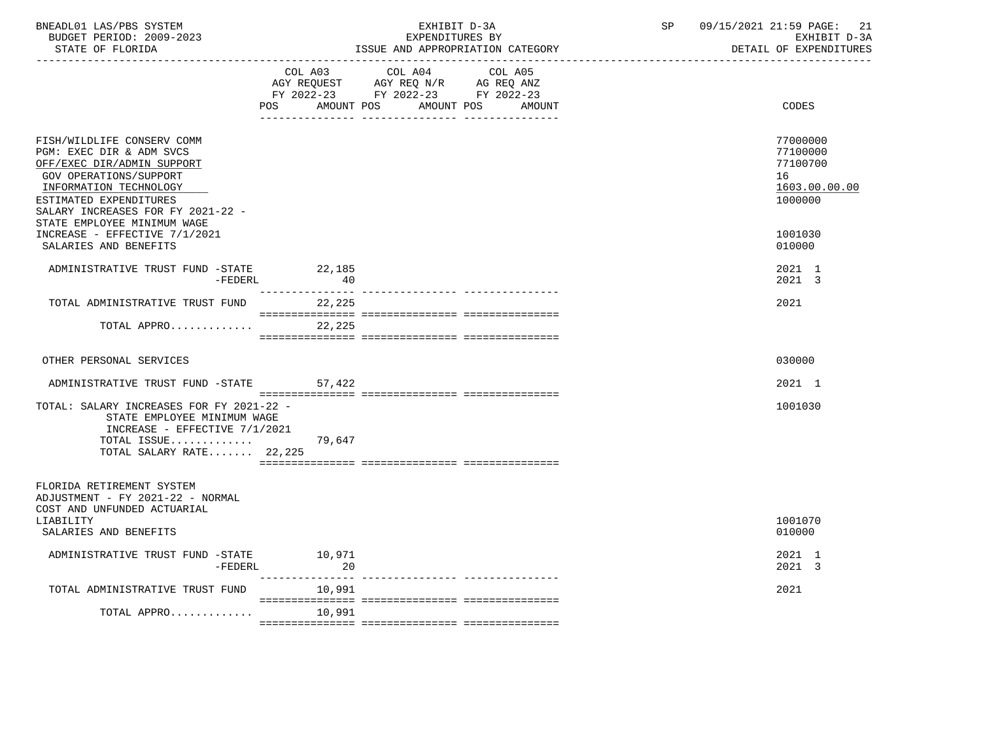| BNEADL01 LAS/PBS SYSTEM<br>BUDGET PERIOD: 2009-2023<br>STATE OF FLORIDA                                                                                                                                                                | EXHIBIT D-3A<br>EXPENDITURES BY<br>ISSUE AND APPROPRIATION CATEGORY |                                                                                                         |                          | SP | 09/15/2021 21:59 PAGE: 21<br>EXHIBIT D-3A<br>DETAIL OF EXPENDITURES |
|----------------------------------------------------------------------------------------------------------------------------------------------------------------------------------------------------------------------------------------|---------------------------------------------------------------------|---------------------------------------------------------------------------------------------------------|--------------------------|----|---------------------------------------------------------------------|
|                                                                                                                                                                                                                                        | AMOUNT POS<br>POS                                                   | COL A03 COL A04<br>AGY REQUEST AGY REQ N/R AG REQ ANZ<br>FY 2022-23 FY 2022-23 FY 2022-23<br>AMOUNT POS | COL A05<br><b>AMOUNT</b> |    | CODES                                                               |
| FISH/WILDLIFE CONSERV COMM<br>PGM: EXEC DIR & ADM SVCS<br>OFF/EXEC DIR/ADMIN SUPPORT<br>GOV OPERATIONS/SUPPORT<br>INFORMATION TECHNOLOGY<br>ESTIMATED EXPENDITURES<br>SALARY INCREASES FOR FY 2021-22 -<br>STATE EMPLOYEE MINIMUM WAGE |                                                                     |                                                                                                         |                          |    | 77000000<br>77100000<br>77100700<br>16<br>1603.00.00.00<br>1000000  |
| INCREASE - EFFECTIVE 7/1/2021<br>SALARIES AND BENEFITS                                                                                                                                                                                 |                                                                     |                                                                                                         |                          |    | 1001030<br>010000                                                   |
| ADMINISTRATIVE TRUST FUND -STATE 22,185<br>-FEDERL                                                                                                                                                                                     | 40                                                                  |                                                                                                         |                          |    | 2021 1<br>2021 3                                                    |
| TOTAL ADMINISTRATIVE TRUST FUND                                                                                                                                                                                                        | ________________<br>22,225                                          |                                                                                                         |                          |    | 2021                                                                |
| TOTAL APPRO                                                                                                                                                                                                                            | 22,225                                                              |                                                                                                         |                          |    |                                                                     |
| OTHER PERSONAL SERVICES                                                                                                                                                                                                                |                                                                     |                                                                                                         |                          |    | 030000                                                              |
| ADMINISTRATIVE TRUST FUND -STATE 57,422                                                                                                                                                                                                |                                                                     |                                                                                                         |                          |    | 2021 1                                                              |
| TOTAL: SALARY INCREASES FOR FY 2021-22 -<br>STATE EMPLOYEE MINIMUM WAGE<br>INCREASE - EFFECTIVE $7/1/2021$<br>TOTAL ISSUE<br>TOTAL SALARY RATE 22,225                                                                                  | 79,647                                                              |                                                                                                         |                          |    | 1001030                                                             |
| FLORIDA RETIREMENT SYSTEM<br>ADJUSTMENT - FY 2021-22 - NORMAL<br>COST AND UNFUNDED ACTUARIAL                                                                                                                                           |                                                                     |                                                                                                         |                          |    |                                                                     |
| LIABILITY<br>SALARIES AND BENEFITS                                                                                                                                                                                                     |                                                                     |                                                                                                         |                          |    | 1001070<br>010000                                                   |
| ADMINISTRATIVE TRUST FUND -STATE<br>$-FEDERL$                                                                                                                                                                                          | 10.971<br>20                                                        |                                                                                                         |                          |    | 2021 1<br>2021 3                                                    |
| TOTAL ADMINISTRATIVE TRUST FUND                                                                                                                                                                                                        | 10,991                                                              |                                                                                                         |                          |    | 2021                                                                |
| TOTAL APPRO                                                                                                                                                                                                                            | 10,991                                                              |                                                                                                         |                          |    |                                                                     |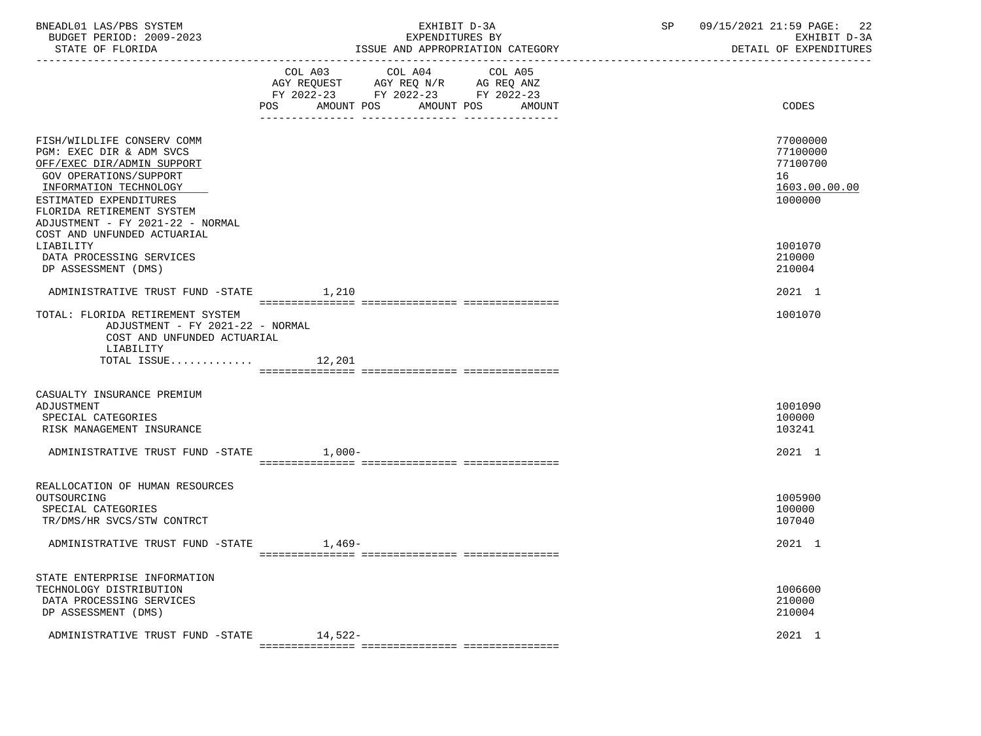| BNEADL01 LAS/PBS SYSTEM |                  |                          | EXHIBIT D-3A                     |
|-------------------------|------------------|--------------------------|----------------------------------|
|                         |                  | BUDGET PERIOD: 2009-2023 | EXPENDITURES BY                  |
|                         | STATE OF FLORIDA |                          | ISSUE AND APPROPRIATION CATEGORY |

|                                                                                                                                                                                                 |          | $\begin{tabular}{lllllllllll} \multicolumn{4}{l} \multicolumn{4}{c}{} & \multicolumn{4}{c}{} & \multicolumn{4}{c}{} & \multicolumn{4}{c}{} & \multicolumn{4}{c}{} & \multicolumn{4}{c}{} & \multicolumn{4}{c}{} & \multicolumn{4}{c}{} & \multicolumn{4}{c}{} & \multicolumn{4}{c}{} & \multicolumn{4}{c}{} & \multicolumn{4}{c}{} & \multicolumn{4}{c}{} & \multicolumn{4}{c}{} & \multicolumn{4}{c}{} & \multicolumn{4}{c}{} & \multicolumn{4}{c}{} & \multicolumn{4}{c}{} &$ |                      |                                                                    |
|-------------------------------------------------------------------------------------------------------------------------------------------------------------------------------------------------|----------|---------------------------------------------------------------------------------------------------------------------------------------------------------------------------------------------------------------------------------------------------------------------------------------------------------------------------------------------------------------------------------------------------------------------------------------------------------------------------------|----------------------|--------------------------------------------------------------------|
|                                                                                                                                                                                                 | POS      | FY 2022-23 FY 2022-23 FY 2022-23<br>AMOUNT POS                                                                                                                                                                                                                                                                                                                                                                                                                                  | AMOUNT POS<br>AMOUNT | CODES                                                              |
| FISH/WILDLIFE CONSERV COMM<br>PGM: EXEC DIR & ADM SVCS<br>OFF/EXEC DIR/ADMIN SUPPORT<br>GOV OPERATIONS/SUPPORT<br>INFORMATION TECHNOLOGY<br>ESTIMATED EXPENDITURES<br>FLORIDA RETIREMENT SYSTEM |          |                                                                                                                                                                                                                                                                                                                                                                                                                                                                                 |                      | 77000000<br>77100000<br>77100700<br>16<br>1603.00.00.00<br>1000000 |
| ADJUSTMENT - FY 2021-22 - NORMAL<br>COST AND UNFUNDED ACTUARIAL<br>LIABILITY<br>DATA PROCESSING SERVICES<br>DP ASSESSMENT (DMS)                                                                 |          |                                                                                                                                                                                                                                                                                                                                                                                                                                                                                 |                      | 1001070<br>210000<br>210004                                        |
| ADMINISTRATIVE TRUST FUND -STATE                                                                                                                                                                | 1,210    |                                                                                                                                                                                                                                                                                                                                                                                                                                                                                 |                      | 2021 1                                                             |
| TOTAL: FLORIDA RETIREMENT SYSTEM<br>ADJUSTMENT - FY 2021-22 - NORMAL<br>COST AND UNFUNDED ACTUARIAL<br>LIABILITY<br>TOTAL ISSUE                                                                 | 12,201   |                                                                                                                                                                                                                                                                                                                                                                                                                                                                                 |                      | 1001070                                                            |
|                                                                                                                                                                                                 |          |                                                                                                                                                                                                                                                                                                                                                                                                                                                                                 |                      |                                                                    |
| CASUALTY INSURANCE PREMIUM<br>ADJUSTMENT<br>SPECIAL CATEGORIES<br>RISK MANAGEMENT INSURANCE                                                                                                     |          |                                                                                                                                                                                                                                                                                                                                                                                                                                                                                 |                      | 1001090<br>100000<br>103241                                        |
| ADMINISTRATIVE TRUST FUND -STATE                                                                                                                                                                | $1,000-$ |                                                                                                                                                                                                                                                                                                                                                                                                                                                                                 |                      | 2021 1                                                             |
|                                                                                                                                                                                                 |          |                                                                                                                                                                                                                                                                                                                                                                                                                                                                                 |                      |                                                                    |
| REALLOCATION OF HUMAN RESOURCES<br>OUTSOURCING<br>SPECIAL CATEGORIES<br>TR/DMS/HR SVCS/STW CONTRCT                                                                                              |          |                                                                                                                                                                                                                                                                                                                                                                                                                                                                                 |                      | 1005900<br>100000<br>107040                                        |
| ADMINISTRATIVE TRUST FUND -STATE                                                                                                                                                                | $1,469-$ |                                                                                                                                                                                                                                                                                                                                                                                                                                                                                 |                      | 2021 1                                                             |
|                                                                                                                                                                                                 |          |                                                                                                                                                                                                                                                                                                                                                                                                                                                                                 |                      |                                                                    |
| STATE ENTERPRISE INFORMATION<br>TECHNOLOGY DISTRIBUTION<br>DATA PROCESSING SERVICES<br>DP ASSESSMENT (DMS)                                                                                      |          |                                                                                                                                                                                                                                                                                                                                                                                                                                                                                 |                      | 1006600<br>210000<br>210004                                        |
| ADMINISTRATIVE TRUST FUND -STATE                                                                                                                                                                | 14,522-  |                                                                                                                                                                                                                                                                                                                                                                                                                                                                                 |                      | 2021 1                                                             |

=============== =============== ===============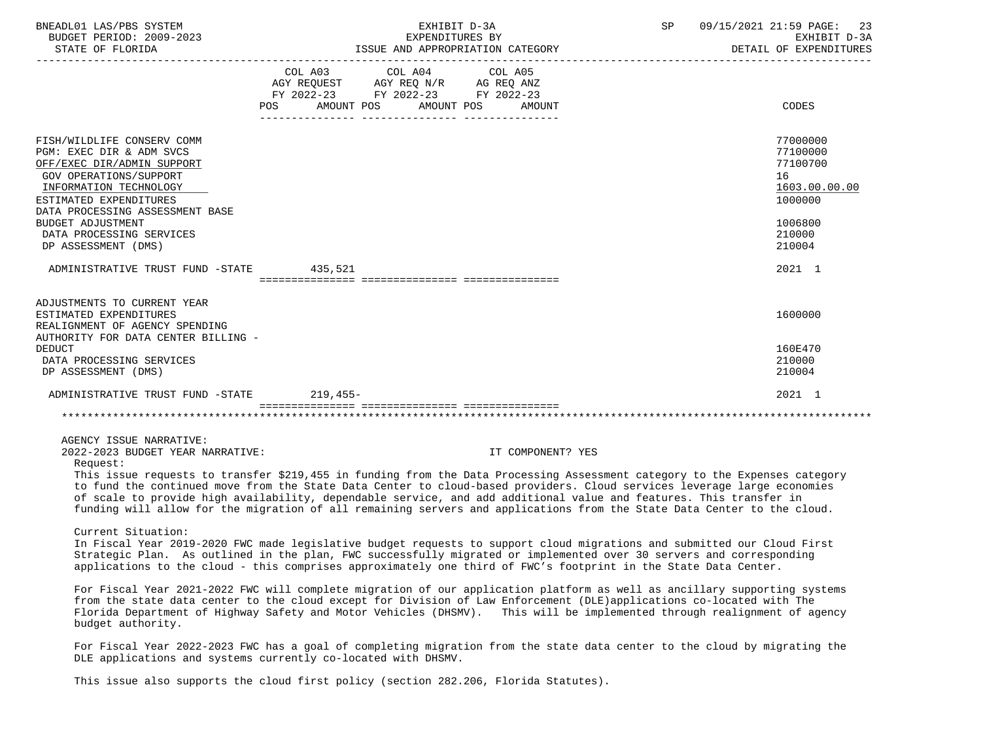| BNEADL01 LAS/PBS SYSTEM<br>BUDGET PERIOD: 2009-2023<br>STATE OF FLORIDA                                                                                                                               | EXHIBIT D-3A<br>SP<br>EXPENDITURES BY<br>ISSUE AND APPROPRIATION CATEGORY                                                                                                                                                                                                                                                                                                    | 09/15/2021 21:59 PAGE:<br>23<br>EXHIBIT D-3A<br>DETAIL OF EXPENDITURES |
|-------------------------------------------------------------------------------------------------------------------------------------------------------------------------------------------------------|------------------------------------------------------------------------------------------------------------------------------------------------------------------------------------------------------------------------------------------------------------------------------------------------------------------------------------------------------------------------------|------------------------------------------------------------------------|
|                                                                                                                                                                                                       | FY 2022-23 FY 2022-23 FY 2022-23<br>AMOUNT POS AMOUNT POS<br>POS<br>AMOUNT                                                                                                                                                                                                                                                                                                   | CODES                                                                  |
| FISH/WILDLIFE CONSERV COMM<br>PGM: EXEC DIR & ADM SVCS<br>OFF/EXEC DIR/ADMIN SUPPORT<br>GOV OPERATIONS/SUPPORT<br>INFORMATION TECHNOLOGY<br>ESTIMATED EXPENDITURES<br>DATA PROCESSING ASSESSMENT BASE |                                                                                                                                                                                                                                                                                                                                                                              | 77000000<br>77100000<br>77100700<br>16<br>1603.00.00.00<br>1000000     |
| BUDGET ADJUSTMENT<br>DATA PROCESSING SERVICES<br>DP ASSESSMENT (DMS)                                                                                                                                  |                                                                                                                                                                                                                                                                                                                                                                              | 1006800<br>210000<br>210004                                            |
| ADMINISTRATIVE TRUST FUND -STATE 435,521                                                                                                                                                              |                                                                                                                                                                                                                                                                                                                                                                              | 2021 1                                                                 |
| ADJUSTMENTS TO CURRENT YEAR<br>ESTIMATED EXPENDITURES<br>REALIGNMENT OF AGENCY SPENDING<br>AUTHORITY FOR DATA CENTER BILLING -                                                                        |                                                                                                                                                                                                                                                                                                                                                                              | 1600000                                                                |
| <b>DEDUCT</b><br>DATA PROCESSING SERVICES<br>DP ASSESSMENT (DMS)                                                                                                                                      |                                                                                                                                                                                                                                                                                                                                                                              | 160E470<br>210000<br>210004                                            |
| ADMINISTRATIVE TRUST FUND -STATE                                                                                                                                                                      | 219,455-                                                                                                                                                                                                                                                                                                                                                                     | 2021 1                                                                 |
|                                                                                                                                                                                                       |                                                                                                                                                                                                                                                                                                                                                                              |                                                                        |
| AGENCY ISSUE NARRATIVE:<br>2022-2023 BUDGET YEAR NARRATIVE:<br>Request:                                                                                                                               | IT COMPONENT? YES<br>This issue requests to transfer \$219,455 in funding from the Data Processing Assessment category to the Expenses category                                                                                                                                                                                                                              |                                                                        |
|                                                                                                                                                                                                       | to fund the continued move from the State Data Center to cloud-based providers. Cloud services leverage large economies<br>of scale to provide high availability, dependable service, and add additional value and features. This transfer in<br>funding will allow for the migration of all remaining servers and applications from the State Data Center to the cloud.     |                                                                        |
| Current Situation:                                                                                                                                                                                    | In Fiscal Year 2019-2020 FWC made legislative budget requests to support cloud migrations and submitted our Cloud First<br>Strategic Plan. As outlined in the plan, FWC successfully migrated or implemented over 30 servers and corresponding<br>applications to the cloud - this comprises approximately one third of FWC's footprint in the State Data Center.            |                                                                        |
| budget authority.                                                                                                                                                                                     | For Fiscal Year 2021-2022 FWC will complete migration of our application platform as well as ancillary supporting systems<br>from the state data center to the cloud except for Division of Law Enforcement (DLE)applications co-located with The<br>Florida Department of Highway Safety and Motor Vehicles (DHSMV). This will be implemented through realignment of agency |                                                                        |
|                                                                                                                                                                                                       | For Fiscal Year 2022-2023 FWC has a goal of completing migration from the state data center to the cloud by migrating the<br>DLE applications and systems currently co-located with DHSMV.                                                                                                                                                                                   |                                                                        |
|                                                                                                                                                                                                       | This issue also supports the cloud first policy (section 282.206, Florida Statutes).                                                                                                                                                                                                                                                                                         |                                                                        |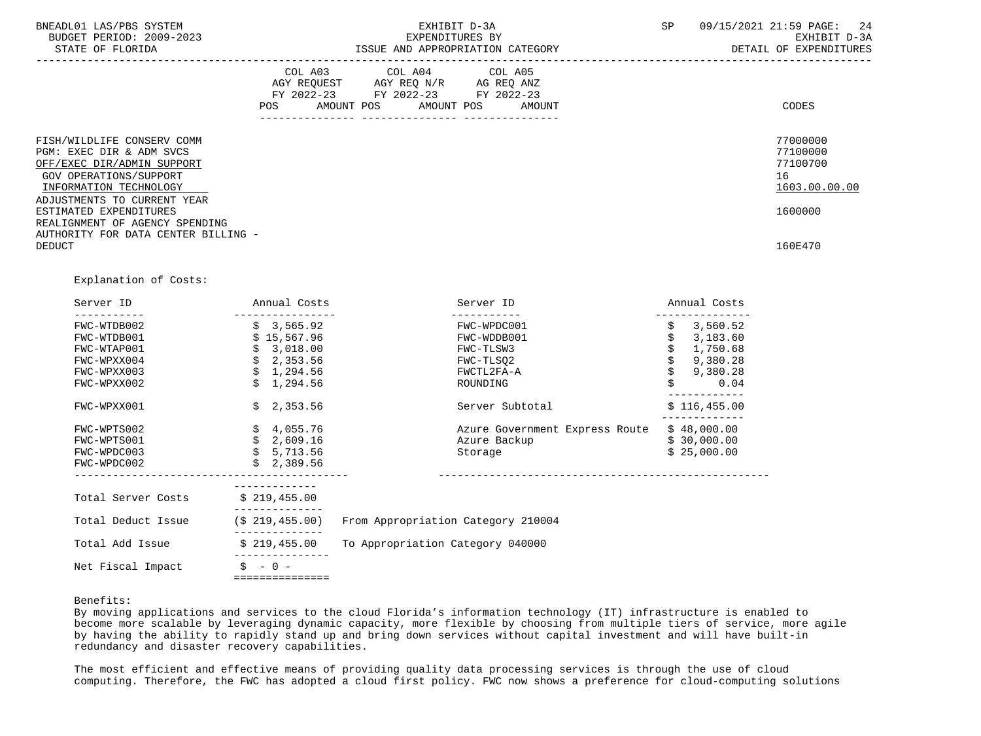| BNEADL01 LAS/PBS SYSTEM<br>BUDGET PERIOD: 2009-2023<br>STATE OF FLORIDA                                                                                                 |                    | EXPENDITURES BY                                                                                                | EXHIBIT D-3A<br>ISSUE AND APPROPRIATION CATEGORY | <b>SP</b> | 09/15/2021 21:59 PAGE: 24<br>EXHIBIT D-3A<br>DETAIL OF EXPENDITURES |
|-------------------------------------------------------------------------------------------------------------------------------------------------------------------------|--------------------|----------------------------------------------------------------------------------------------------------------|--------------------------------------------------|-----------|---------------------------------------------------------------------|
|                                                                                                                                                                         | AGY REQUEST<br>POS | COL A03 COL A04 COL A05<br>AGY REQ N/R AG REQ ANZ<br>FY 2022-23 FY 2022-23 FY 2022-23<br>AMOUNT POS AMOUNT POS | AMOUNT                                           |           | CODES                                                               |
| FISH/WILDLIFE CONSERV COMM<br>PGM: EXEC DIR & ADM SVCS<br>OFF/EXEC DIR/ADMIN SUPPORT<br>GOV OPERATIONS/SUPPORT<br>INFORMATION TECHNOLOGY<br>ADJUSTMENTS TO CURRENT YEAR |                    |                                                                                                                |                                                  |           | 77000000<br>77100000<br>77100700<br>16<br>1603.00.00.00             |
| ESTIMATED EXPENDITURES<br>REALIGNMENT OF AGENCY SPENDING<br>AUTHORITY FOR DATA CENTER BILLING -                                                                         |                    |                                                                                                                |                                                  |           | 1600000                                                             |
| <b>DEDUCT</b>                                                                                                                                                           |                    |                                                                                                                |                                                  |           | 160E470                                                             |

## Explanation of Costs:

| Server ID          | Annual Costs    | Server ID                          | Annual Costs   |
|--------------------|-----------------|------------------------------------|----------------|
| FWC-WTDB002        | \$3,565.92      | FWC-WPDC001                        | 3,560.52<br>\$ |
| FWC-WTDB001        | \$15,567.96     | FWC-WDDB001                        | 3,183.60       |
| FWC-WTAP001        | \$3,018.00      | FWC-TLSW3                          | 1,750.68       |
| FWC-WPXX004        | \$2,353.56      | FWC-TLSO2                          | 9,380.28       |
| FWC-WPXX003        | \$1,294.56      | FWCTL2FA-A                         | 9,380.28       |
| FWC-WPXX002        | \$1,294.56      | ROUNDING                           | 0.04           |
| FWC-WPXX001        | \$2,353.56      | Server Subtotal                    | \$116,455.00   |
| FWC-WPTS002        | \$4,055.76      | Azure Government Express Route     | \$48,000.00    |
| FWC-WPTS001        | \$2,609.16      | Azure Backup                       | \$30,000.00    |
| FWC-WPDC003        | \$5,713.56      | Storage                            | \$25,000.00    |
| FWC-WPDC002        | \$2,389.56      |                                    |                |
|                    |                 |                                    |                |
| Total Server Costs | \$219,455.00    |                                    |                |
| Total Deduct Issue | (S 219, 455.00) | From Appropriation Category 210004 |                |
| Total Add Issue    | \$219,455.00    | To Appropriation Category 040000   |                |
| Net Fiscal Impact  | $S - 0 -$       |                                    |                |

# Benefits:

 By moving applications and services to the cloud Florida's information technology (IT) infrastructure is enabled to become more scalable by leveraging dynamic capacity, more flexible by choosing from multiple tiers of service, more agile by having the ability to rapidly stand up and bring down services without capital investment and will have built-in redundancy and disaster recovery capabilities.

 The most efficient and effective means of providing quality data processing services is through the use of cloud computing. Therefore, the FWC has adopted a cloud first policy. FWC now shows a preference for cloud-computing solutions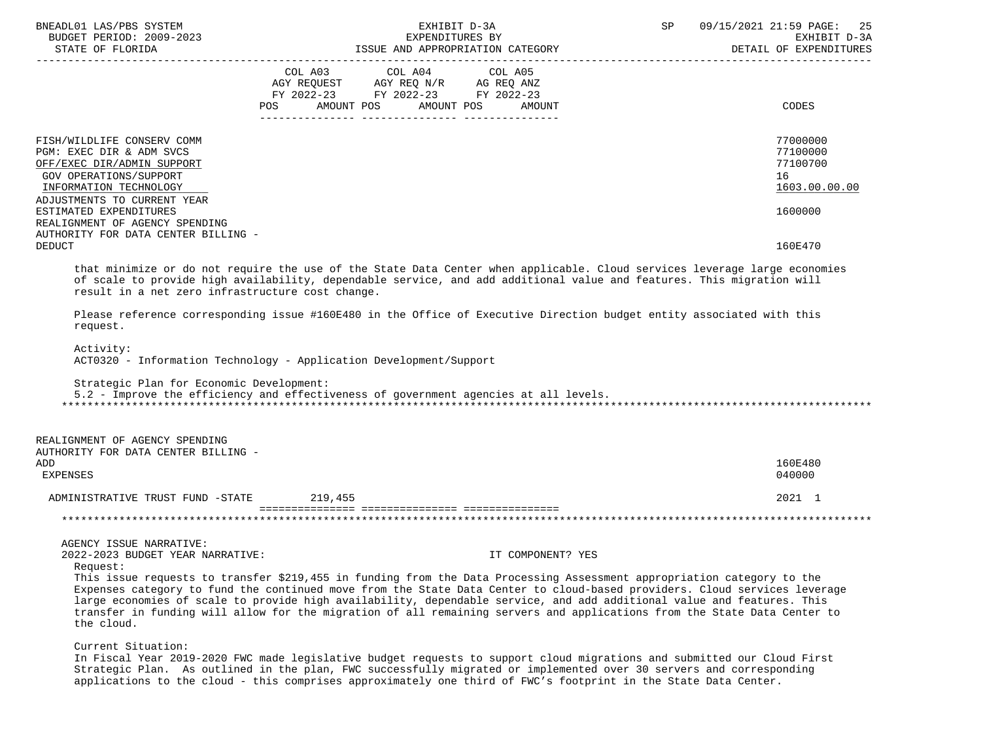| BNEADL01 LAS/PBS SYSTEM<br>BUDGET PERIOD: 2009-2023<br>STATE OF FLORIDA                                                                                                 | EXHIBIT D-3A<br>SP<br>EXPENDITURES BY<br>ISSUE AND APPROPRIATION CATEGORY<br>ISSUE AND APPROPRIATION CATEGORY                               | 09/15/2021 21:59 PAGE: 25<br>EXHIBIT D-3A<br>DETAIL OF EXPENDITURES |  |
|-------------------------------------------------------------------------------------------------------------------------------------------------------------------------|---------------------------------------------------------------------------------------------------------------------------------------------|---------------------------------------------------------------------|--|
|                                                                                                                                                                         | COL A03 COL A04 COL A05<br>AGY REQUEST AGY REQ N/R AG REQ ANZ<br>FY 2022-23 FY 2022-23 FY 2022-23<br>AMOUNT POS AMOUNT POS<br>POS<br>AMOUNT | CODES                                                               |  |
| FISH/WILDLIFE CONSERV COMM<br>PGM: EXEC DIR & ADM SVCS<br>OFF/EXEC DIR/ADMIN SUPPORT<br>GOV OPERATIONS/SUPPORT<br>INFORMATION TECHNOLOGY<br>ADJUSTMENTS TO CURRENT YEAR |                                                                                                                                             | 77000000<br>77100000<br>77100700<br>16<br>1603.00.00.00             |  |
| ESTIMATED EXPENDITURES<br>REALIGNMENT OF AGENCY SPENDING<br>AUTHORITY FOR DATA CENTER BILLING -                                                                         |                                                                                                                                             | 1600000                                                             |  |
| <b>DEDUCT</b>                                                                                                                                                           | that minimize or do not require the use of the State Data Center when applicable. Cloud services leverage large economies                   | 160E470                                                             |  |
| result in a net zero infrastructure cost change.                                                                                                                        | of scale to provide high availability, dependable service, and add additional value and features. This migration will                       |                                                                     |  |

 Please reference corresponding issue #160E480 in the Office of Executive Direction budget entity associated with this request.

Activity:

ACT0320 - Information Technology - Application Development/Support

 Strategic Plan for Economic Development: 5.2 - Improve the efficiency and effectiveness of government agencies at all levels. \*\*\*\*\*\*\*\*\*\*\*\*\*\*\*\*\*\*\*\*\*\*\*\*\*\*\*\*\*\*\*\*\*\*\*\*\*\*\*\*\*\*\*\*\*\*\*\*\*\*\*\*\*\*\*\*\*\*\*\*\*\*\*\*\*\*\*\*\*\*\*\*\*\*\*\*\*\*\*\*\*\*\*\*\*\*\*\*\*\*\*\*\*\*\*\*\*\*\*\*\*\*\*\*\*\*\*\*\*\*\*\*\*\*\*\*\*\*\*\*\*\*\*\*\*\*\*

 REALIGNMENT OF AGENCY SPENDING AUTHORITY FOR DATA CENTER BILLING - ADD 160E480 EXPENSES 040000 ADMINISTRATIVE TRUST FUND -STATE 219.455 2021 1 =============== =============== =============== \*\*\*\*\*\*\*\*\*\*\*\*\*\*\*\*\*\*\*\*\*\*\*\*\*\*\*\*\*\*\*\*\*\*\*\*\*\*\*\*\*\*\*\*\*\*\*\*\*\*\*\*\*\*\*\*\*\*\*\*\*\*\*\*\*\*\*\*\*\*\*\*\*\*\*\*\*\*\*\*\*\*\*\*\*\*\*\*\*\*\*\*\*\*\*\*\*\*\*\*\*\*\*\*\*\*\*\*\*\*\*\*\*\*\*\*\*\*\*\*\*\*\*\*\*\*\*

AGENCY ISSUE NARRATIVE:

2022-2023 BUDGET YEAR NARRATIVE: IT COMPONENT? YES

Request:

 This issue requests to transfer \$219,455 in funding from the Data Processing Assessment appropriation category to the Expenses category to fund the continued move from the State Data Center to cloud-based providers. Cloud services leverage large economies of scale to provide high availability, dependable service, and add additional value and features. This transfer in funding will allow for the migration of all remaining servers and applications from the State Data Center to the cloud.

Current Situation:

 In Fiscal Year 2019-2020 FWC made legislative budget requests to support cloud migrations and submitted our Cloud First Strategic Plan. As outlined in the plan, FWC successfully migrated or implemented over 30 servers and corresponding applications to the cloud - this comprises approximately one third of FWC's footprint in the State Data Center.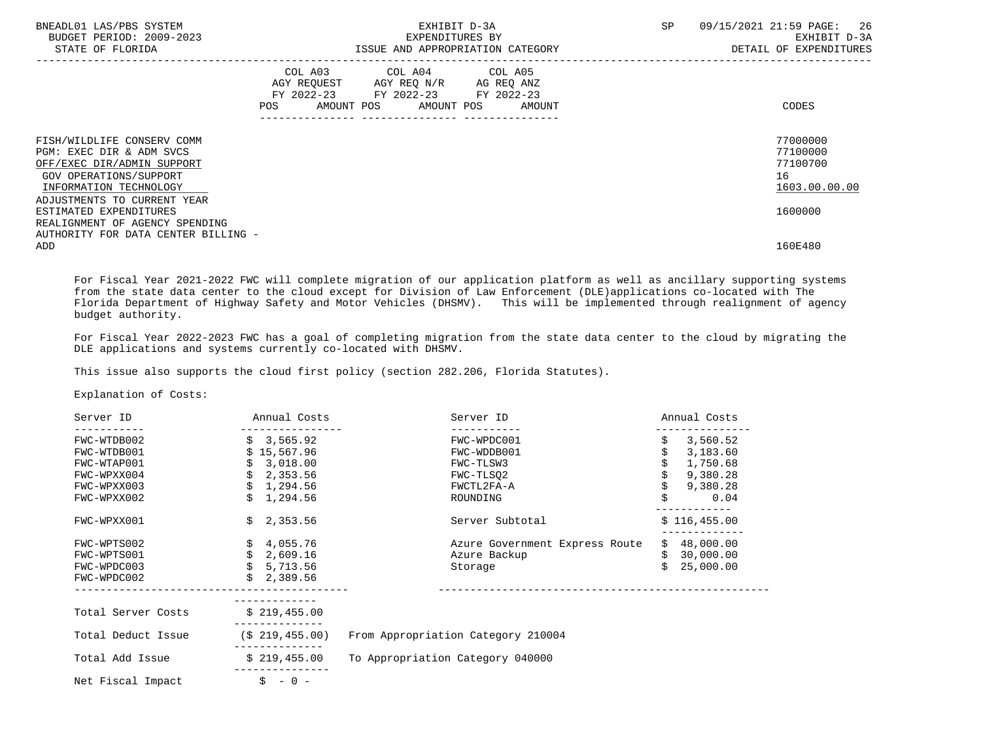| BNEADL01 LAS/PBS SYSTEM<br>BUDGET PERIOD: 2009-2023<br>STATE OF FLORIDA                                                                                                 | EXHIBIT D-3A<br>EXPENDITURES BY<br>ISSUE AND APPROPRIATION CATEGORY                                                                               | SP<br>09/15/2021 21:59 PAGE:<br>26<br>EXHIBIT D-3A<br>DETAIL OF EXPENDITURES |
|-------------------------------------------------------------------------------------------------------------------------------------------------------------------------|---------------------------------------------------------------------------------------------------------------------------------------------------|------------------------------------------------------------------------------|
|                                                                                                                                                                         | COL A03 COL A04 COL A05<br>AGY REQUEST<br>AGY REQ N/R<br>AG REQ ANZ<br>FY 2022-23 FY 2022-23 FY 2022-23<br>AMOUNT POS AMOUNT POS<br>POS<br>AMOUNT | CODES                                                                        |
| FISH/WILDLIFE CONSERV COMM<br>PGM: EXEC DIR & ADM SVCS<br>OFF/EXEC DIR/ADMIN SUPPORT<br>GOV OPERATIONS/SUPPORT<br>INFORMATION TECHNOLOGY<br>ADJUSTMENTS TO CURRENT YEAR |                                                                                                                                                   | 77000000<br>77100000<br>77100700<br>16<br>1603.00.00.00                      |
| ESTIMATED EXPENDITURES<br>REALIGNMENT OF AGENCY SPENDING<br>AUTHORITY FOR DATA CENTER BILLING -<br>ADD                                                                  |                                                                                                                                                   | 1600000<br>160E480                                                           |

 For Fiscal Year 2021-2022 FWC will complete migration of our application platform as well as ancillary supporting systems from the state data center to the cloud except for Division of Law Enforcement (DLE)applications co-located with The Florida Department of Highway Safety and Motor Vehicles (DHSMV). This will be implemented through realignment of agency budget authority.

 For Fiscal Year 2022-2023 FWC has a goal of completing migration from the state data center to the cloud by migrating the DLE applications and systems currently co-located with DHSMV.

This issue also supports the cloud first policy (section 282.206, Florida Statutes).

Explanation of Costs:

| Server ID          | Annual Costs       | Server ID                          | Annual Costs |  |
|--------------------|--------------------|------------------------------------|--------------|--|
|                    |                    |                                    |              |  |
| FWC-WTDB002        | \$3,565.92         | FWC-WPDC001                        | 3,560.52     |  |
| FWC-WTDB001        | \$15,567.96        | FWC-WDDB001                        | 3,183.60     |  |
| FWC-WTAP001        | \$3,018.00         | FWC-TLSW3                          | 1,750.68     |  |
| FWC-WPXX004        | \$2,353.56         | FWC-TLSO2                          | 9,380.28     |  |
| FWC-WPXX003        | \$1,294.56         | FWCTL2FA-A                         | 9,380.28     |  |
| FWC-WPXX002        | \$1,294.56         | ROUNDING                           | 0.04         |  |
| FWC-WPXX001        | \$2,353.56         | Server Subtotal                    | \$116,455.00 |  |
| FWC-WPTS002        | \$4,055.76         | Azure Government Express Route     | \$48,000.00  |  |
| FWC-WPTS001        | \$2,609.16         | Azure Backup                       | \$30,000.00  |  |
| FWC-WPDC003        | \$5,713.56         | Storage                            | \$25,000.00  |  |
| FWC-WPDC002        | \$2,389.56         |                                    |              |  |
|                    |                    |                                    |              |  |
| Total Server Costs | \$219,455.00       |                                    |              |  |
| Total Deduct Issue | $($ \$ 219,455.00) | From Appropriation Category 210004 |              |  |
| Total Add Issue    | \$219,455.00       | To Appropriation Category 040000   |              |  |
| Net Fiscal Impact  | $$ - 0 -$          |                                    |              |  |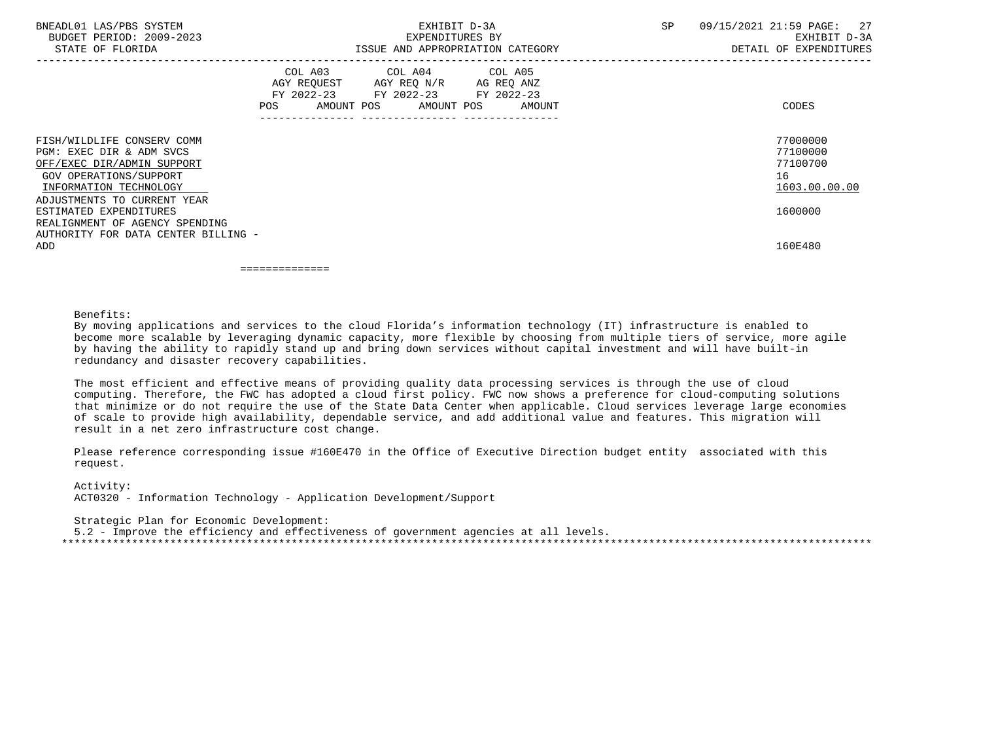| BNEADL01 LAS/PBS SYSTEM<br>BUDGET PERIOD: 2009-2023<br>STATE OF FLORIDA                                                                                                 |                                      | EXHIBIT D-3A<br>EXPENDITURES BY<br>ISSUE AND APPROPRIATION CATEGORY                                                               | SP | 09/15/2021 21:59 PAGE: 27<br>EXHIBIT D-3A<br>DETAIL OF EXPENDITURES |
|-------------------------------------------------------------------------------------------------------------------------------------------------------------------------|--------------------------------------|-----------------------------------------------------------------------------------------------------------------------------------|----|---------------------------------------------------------------------|
|                                                                                                                                                                         | POS FOR THE POST OF THE STATE STATES | COL A03 COL A04 COL A05<br>AGY REQUEST AGY REQ N/R AG REQ ANZ<br>FY 2022-23 FY 2022-23 FY 2022-23<br>AMOUNT POS AMOUNT POS AMOUNT |    | CODES                                                               |
| FISH/WILDLIFE CONSERV COMM<br>PGM: EXEC DIR & ADM SVCS<br>OFF/EXEC DIR/ADMIN SUPPORT<br>GOV OPERATIONS/SUPPORT<br>INFORMATION TECHNOLOGY<br>ADJUSTMENTS TO CURRENT YEAR |                                      |                                                                                                                                   |    | 77000000<br>77100000<br>77100700<br>16<br>1603.00.00.00             |
| ESTIMATED EXPENDITURES<br>REALIGNMENT OF AGENCY SPENDING<br>AUTHORITY FOR DATA CENTER BILLING -                                                                         |                                      |                                                                                                                                   |    | 1600000                                                             |
| ADD                                                                                                                                                                     |                                      |                                                                                                                                   |    | 160E480                                                             |

==============

Benefits:

 By moving applications and services to the cloud Florida's information technology (IT) infrastructure is enabled to become more scalable by leveraging dynamic capacity, more flexible by choosing from multiple tiers of service, more agile by having the ability to rapidly stand up and bring down services without capital investment and will have built-in redundancy and disaster recovery capabilities.

 The most efficient and effective means of providing quality data processing services is through the use of cloud computing. Therefore, the FWC has adopted a cloud first policy. FWC now shows a preference for cloud-computing solutions that minimize or do not require the use of the State Data Center when applicable. Cloud services leverage large economies of scale to provide high availability, dependable service, and add additional value and features. This migration will result in a net zero infrastructure cost change.

 Please reference corresponding issue #160E470 in the Office of Executive Direction budget entity associated with this request.

 Activity: ACT0320 - Information Technology - Application Development/Support

 Strategic Plan for Economic Development: 5.2 - Improve the efficiency and effectiveness of government agencies at all levels. \*\*\*\*\*\*\*\*\*\*\*\*\*\*\*\*\*\*\*\*\*\*\*\*\*\*\*\*\*\*\*\*\*\*\*\*\*\*\*\*\*\*\*\*\*\*\*\*\*\*\*\*\*\*\*\*\*\*\*\*\*\*\*\*\*\*\*\*\*\*\*\*\*\*\*\*\*\*\*\*\*\*\*\*\*\*\*\*\*\*\*\*\*\*\*\*\*\*\*\*\*\*\*\*\*\*\*\*\*\*\*\*\*\*\*\*\*\*\*\*\*\*\*\*\*\*\*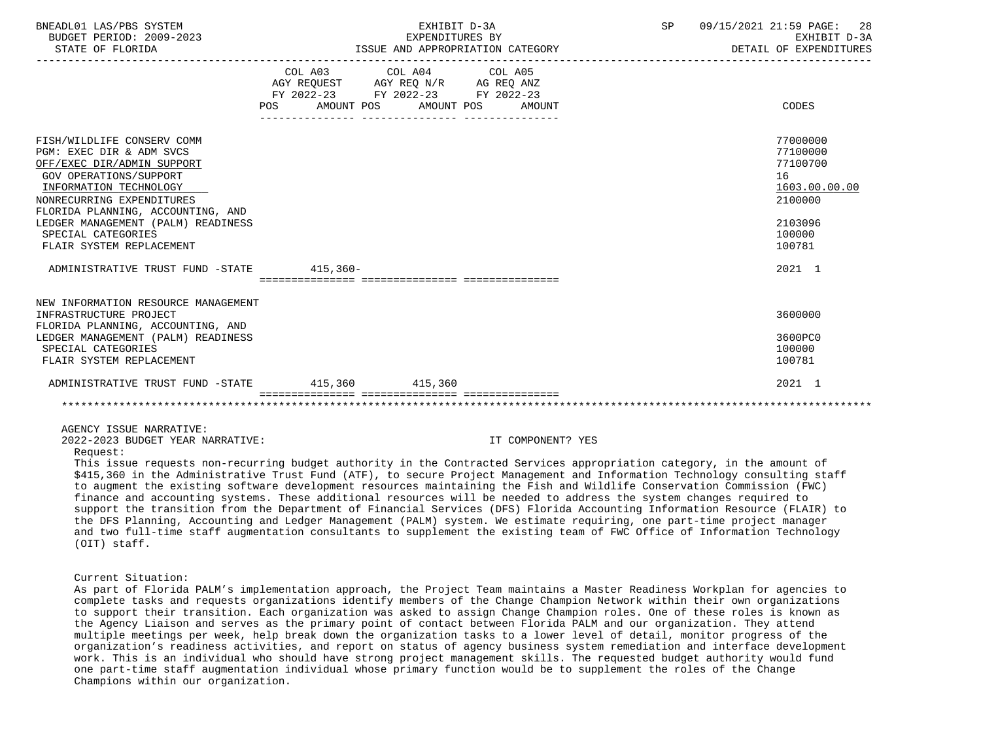| BNEADL01 LAS/PBS SYSTEM<br>BUDGET PERIOD: 2009-2023<br>STATE OF FLORIDA                                                                                                                                                                                                                            | EXHIBIT D-3A<br>EXPENDITURES BY<br>ISSUE AND APPROPRIATION CATEGORY                               | SP                               | 09/15/2021 21:59 PAGE: 28<br>EXHIBIT D-3A<br>DETAIL OF EXPENDITURES |                                                                                                   |
|----------------------------------------------------------------------------------------------------------------------------------------------------------------------------------------------------------------------------------------------------------------------------------------------------|---------------------------------------------------------------------------------------------------|----------------------------------|---------------------------------------------------------------------|---------------------------------------------------------------------------------------------------|
|                                                                                                                                                                                                                                                                                                    | COL A03 COL A04 COL A05<br>AGY REQUEST AGY REQ N/R AG REQ ANZ<br>FY 2022-23 FY 2022-23 FY 2022-23 | POS AMOUNT POS AMOUNT POS AMOUNT |                                                                     | CODES                                                                                             |
| FISH/WILDLIFE CONSERV COMM<br>PGM: EXEC DIR & ADM SVCS<br>OFF/EXEC DIR/ADMIN SUPPORT<br>GOV OPERATIONS/SUPPORT<br>INFORMATION TECHNOLOGY<br>NONRECURRING EXPENDITURES<br>FLORIDA PLANNING, ACCOUNTING, AND<br>LEDGER MANAGEMENT (PALM) READINESS<br>SPECIAL CATEGORIES<br>FLAIR SYSTEM REPLACEMENT |                                                                                                   |                                  |                                                                     | 77000000<br>77100000<br>77100700<br>16<br>1603.00.00.00<br>2100000<br>2103096<br>100000<br>100781 |
| ADMINISTRATIVE TRUST FUND -STATE 415,360-                                                                                                                                                                                                                                                          |                                                                                                   |                                  |                                                                     | 2021 1                                                                                            |
| NEW INFORMATION RESOURCE MANAGEMENT<br>INFRASTRUCTURE PROJECT<br>FLORIDA PLANNING, ACCOUNTING, AND<br>LEDGER MANAGEMENT (PALM) READINESS<br>SPECIAL CATEGORIES<br>FLAIR SYSTEM REPLACEMENT                                                                                                         |                                                                                                   |                                  |                                                                     | 3600000<br>3600PC0<br>100000<br>100781                                                            |
| ADMINISTRATIVE TRUST FUND -STATE 415,360 415,360                                                                                                                                                                                                                                                   |                                                                                                   |                                  |                                                                     | 2021 1                                                                                            |
|                                                                                                                                                                                                                                                                                                    |                                                                                                   |                                  |                                                                     |                                                                                                   |

AGENCY ISSUE NARRATIVE:

2022-2023 BUDGET YEAR NARRATIVE: IT COMPONENT? YES

Request:

 This issue requests non-recurring budget authority in the Contracted Services appropriation category, in the amount of \$415,360 in the Administrative Trust Fund (ATF), to secure Project Management and Information Technology consulting staff to augment the existing software development resources maintaining the Fish and Wildlife Conservation Commission (FWC) finance and accounting systems. These additional resources will be needed to address the system changes required to support the transition from the Department of Financial Services (DFS) Florida Accounting Information Resource (FLAIR) to the DFS Planning, Accounting and Ledger Management (PALM) system. We estimate requiring, one part-time project manager and two full-time staff augmentation consultants to supplement the existing team of FWC Office of Information Technology (OIT) staff.

## Current Situation:

 As part of Florida PALM's implementation approach, the Project Team maintains a Master Readiness Workplan for agencies to complete tasks and requests organizations identify members of the Change Champion Network within their own organizations to support their transition. Each organization was asked to assign Change Champion roles. One of these roles is known as the Agency Liaison and serves as the primary point of contact between Florida PALM and our organization. They attend multiple meetings per week, help break down the organization tasks to a lower level of detail, monitor progress of the organization's readiness activities, and report on status of agency business system remediation and interface development work. This is an individual who should have strong project management skills. The requested budget authority would fund one part-time staff augmentation individual whose primary function would be to supplement the roles of the Change Champions within our organization.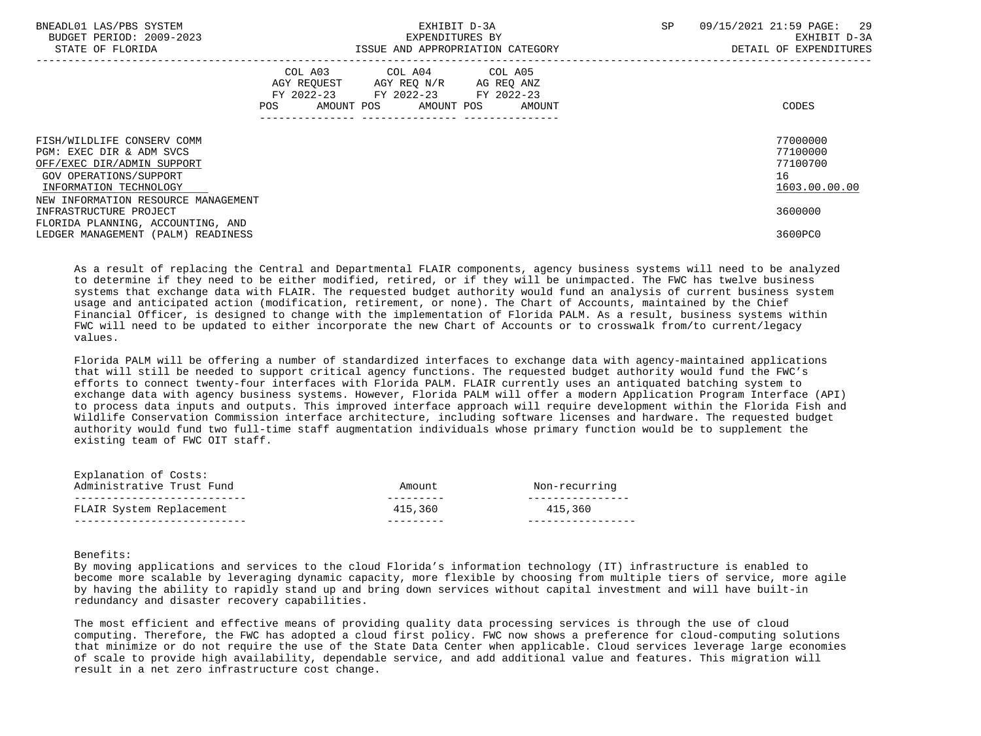| BNEADL01 LAS/PBS SYSTEM<br>BUDGET PERIOD: 2009-2023<br>STATE OF FLORIDA                           | EXHIBIT D-3A<br>EXPENDITURES BY                                                                                                       | ISSUE AND APPROPRIATION CATEGORY | SP. | 09/15/2021 21:59 PAGE: 29<br>EXHIBIT D-3A<br>DETAIL OF EXPENDITURES |
|---------------------------------------------------------------------------------------------------|---------------------------------------------------------------------------------------------------------------------------------------|----------------------------------|-----|---------------------------------------------------------------------|
|                                                                                                   | COL A03 COL A04 COL A05<br>AGY REQUEST AGY REQ N/R AG REQ ANZ<br>FY 2022-23 FY 2022-23 FY 2022-23<br>POS AMOUNT POS AMOUNT POS AMOUNT |                                  |     | CODES                                                               |
| FISH/WILDLIFE CONSERV COMM<br>PGM: EXEC DIR & ADM SVCS<br>OFF/EXEC DIR/ADMIN SUPPORT              |                                                                                                                                       |                                  |     | 77000000<br>77100000<br>77100700                                    |
| GOV OPERATIONS/SUPPORT<br>INFORMATION TECHNOLOGY<br>NEW INFORMATION RESOURCE MANAGEMENT           |                                                                                                                                       |                                  |     | 16<br>1603.00.00.00                                                 |
| INFRASTRUCTURE PROJECT<br>FLORIDA PLANNING, ACCOUNTING, AND<br>LEDGER MANAGEMENT (PALM) READINESS |                                                                                                                                       |                                  |     | 3600000<br>3600PC0                                                  |

 As a result of replacing the Central and Departmental FLAIR components, agency business systems will need to be analyzed to determine if they need to be either modified, retired, or if they will be unimpacted. The FWC has twelve business systems that exchange data with FLAIR. The requested budget authority would fund an analysis of current business system usage and anticipated action (modification, retirement, or none). The Chart of Accounts, maintained by the Chief Financial Officer, is designed to change with the implementation of Florida PALM. As a result, business systems within FWC will need to be updated to either incorporate the new Chart of Accounts or to crosswalk from/to current/legacy values.

 Florida PALM will be offering a number of standardized interfaces to exchange data with agency-maintained applications that will still be needed to support critical agency functions. The requested budget authority would fund the FWC's efforts to connect twenty-four interfaces with Florida PALM. FLAIR currently uses an antiquated batching system to exchange data with agency business systems. However, Florida PALM will offer a modern Application Program Interface (API) to process data inputs and outputs. This improved interface approach will require development within the Florida Fish and Wildlife Conservation Commission interface architecture, including software licenses and hardware. The requested budget authority would fund two full-time staff augmentation individuals whose primary function would be to supplement the existing team of FWC OIT staff.

| Explanation of Costs:     |         |               |
|---------------------------|---------|---------------|
| Administrative Trust Fund | Amount  | Non-recurring |
|                           |         |               |
| FLAIR System Replacement  | 415,360 | 415,360       |
|                           |         |               |

# Benefits:

 By moving applications and services to the cloud Florida's information technology (IT) infrastructure is enabled to become more scalable by leveraging dynamic capacity, more flexible by choosing from multiple tiers of service, more agile by having the ability to rapidly stand up and bring down services without capital investment and will have built-in redundancy and disaster recovery capabilities.

 The most efficient and effective means of providing quality data processing services is through the use of cloud computing. Therefore, the FWC has adopted a cloud first policy. FWC now shows a preference for cloud-computing solutions that minimize or do not require the use of the State Data Center when applicable. Cloud services leverage large economies of scale to provide high availability, dependable service, and add additional value and features. This migration will result in a net zero infrastructure cost change.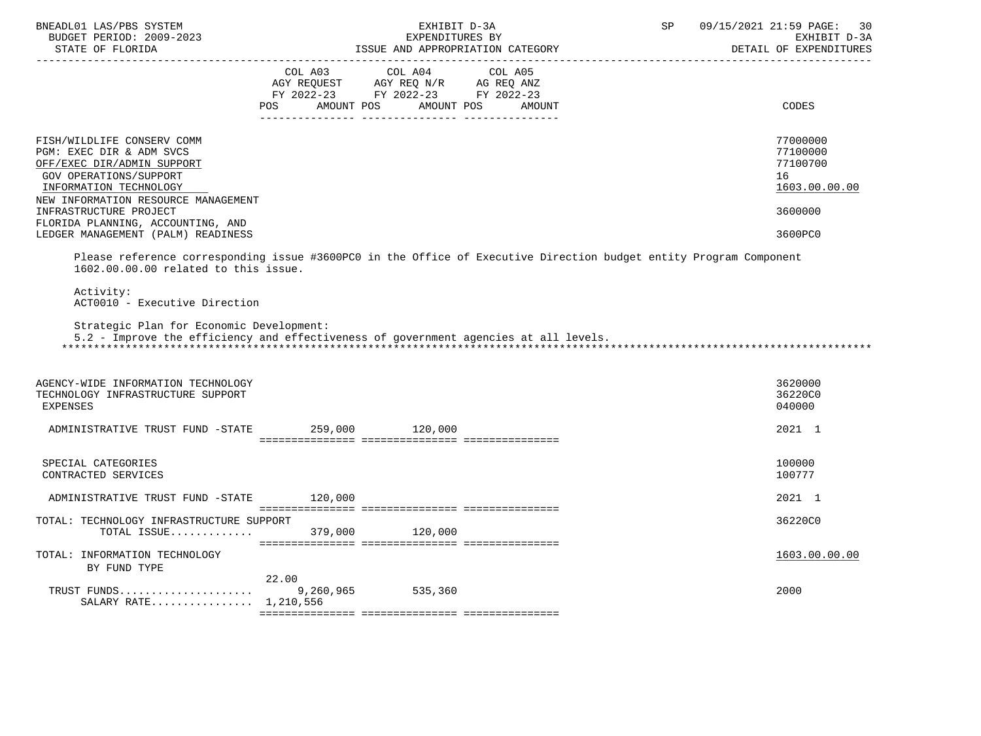| BNEADL01 LAS/PBS SYSTEM<br>BUDGET PERIOD: 2009-2023<br>STATE OF FLORIDA                                                                                                         | EXHIBIT D-3A<br>EXPENDITURES BY<br>ISSUE AND APPROPRIATION CATEGORY |                                                                                                                    | SP | 09/15/2021 21:59 PAGE:<br>30<br>EXHIBIT D-3A<br>DETAIL OF EXPENDITURES |
|---------------------------------------------------------------------------------------------------------------------------------------------------------------------------------|---------------------------------------------------------------------|--------------------------------------------------------------------------------------------------------------------|----|------------------------------------------------------------------------|
|                                                                                                                                                                                 | AMOUNT POS<br><b>POS</b>                                            | AMOUNT POS<br><b>AMOUNT</b>                                                                                        |    | CODES                                                                  |
| FISH/WILDLIFE CONSERV COMM<br>PGM: EXEC DIR & ADM SVCS<br>OFF/EXEC DIR/ADMIN SUPPORT<br>GOV OPERATIONS/SUPPORT<br>INFORMATION TECHNOLOGY<br>NEW INFORMATION RESOURCE MANAGEMENT |                                                                     |                                                                                                                    |    | 77000000<br>77100000<br>77100700<br>16<br>1603.00.00.00                |
| INFRASTRUCTURE PROJECT<br>FLORIDA PLANNING, ACCOUNTING, AND<br>LEDGER MANAGEMENT (PALM) READINESS                                                                               |                                                                     |                                                                                                                    |    | 3600000<br>3600PC0                                                     |
| 1602.00.00.00 related to this issue.                                                                                                                                            |                                                                     | Please reference corresponding issue #3600PC0 in the Office of Executive Direction budget entity Program Component |    |                                                                        |
| Activity:<br>ACT0010 - Executive Direction<br>Strategic Plan for Economic Development:                                                                                          |                                                                     | 5.2 - Improve the efficiency and effectiveness of government agencies at all levels.                               |    |                                                                        |
| AGENCY-WIDE INFORMATION TECHNOLOGY<br>TECHNOLOGY INFRASTRUCTURE SUPPORT<br><b>EXPENSES</b>                                                                                      |                                                                     |                                                                                                                    |    | 3620000<br>36220C0<br>040000                                           |
| ADMINISTRATIVE TRUST FUND -STATE 259,000 120,000                                                                                                                                |                                                                     |                                                                                                                    |    | 2021 1                                                                 |
| SPECIAL CATEGORIES<br>CONTRACTED SERVICES                                                                                                                                       |                                                                     |                                                                                                                    |    | 100000<br>100777                                                       |
| ADMINISTRATIVE TRUST FUND -STATE 120,000                                                                                                                                        |                                                                     |                                                                                                                    |    | 2021 1                                                                 |
| TOTAL: TECHNOLOGY INFRASTRUCTURE SUPPORT<br>TOTAL ISSUE 379,000 120,000                                                                                                         |                                                                     |                                                                                                                    |    | 36220C0                                                                |
| TOTAL: INFORMATION TECHNOLOGY<br>BY FUND TYPE                                                                                                                                   |                                                                     |                                                                                                                    |    | 1603.00.00.00                                                          |
| SALARY RATE 1,210,556                                                                                                                                                           | 22.00                                                               |                                                                                                                    |    | 2000                                                                   |
|                                                                                                                                                                                 |                                                                     |                                                                                                                    |    |                                                                        |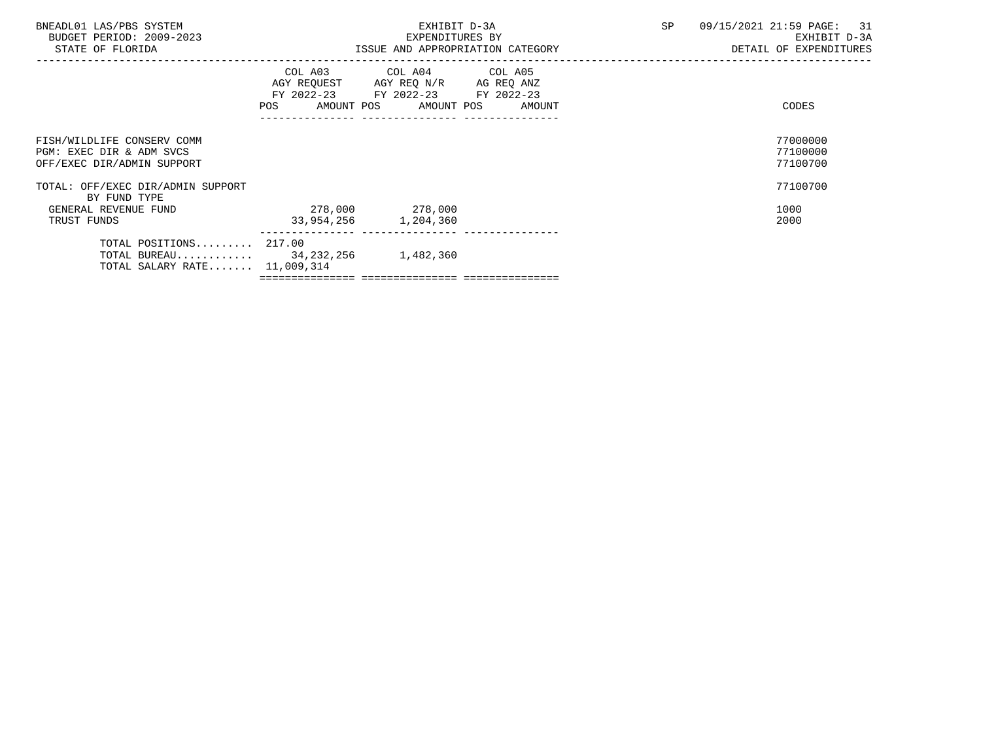| BNEADL01 LAS/PBS SYSTEM<br>BUDGET PERIOD: 2009-2023<br>STATE OF FLORIDA                           |                                         | EXHIBIT D-3A<br>EXPENDITURES BY<br>ISSUE AND APPROPRIATION CATEGORY                                                               | <b>SP</b> | 09/15/2021 21:59 PAGE: 31<br>EXHIBIT D-3A<br>DETAIL OF EXPENDITURES |
|---------------------------------------------------------------------------------------------------|-----------------------------------------|-----------------------------------------------------------------------------------------------------------------------------------|-----------|---------------------------------------------------------------------|
|                                                                                                   | POS                                     | COL A03 COL A04 COL A05<br>AGY REQUEST AGY REQ N/R AG REQ ANZ<br>FY 2022-23 FY 2022-23 FY 2022-23<br>AMOUNT POS AMOUNT POS AMOUNT |           | CODES                                                               |
| FISH/WILDLIFE CONSERV COMM<br>PGM: EXEC DIR & ADM SVCS<br>OFF/EXEC DIR/ADMIN SUPPORT              |                                         |                                                                                                                                   |           | 77000000<br>77100000<br>77100700                                    |
| TOTAL: OFF/EXEC DIR/ADMIN SUPPORT<br>BY FUND TYPE                                                 |                                         |                                                                                                                                   |           | 77100700                                                            |
| GENERAL REVENUE FUND<br>TRUST FUNDS                                                               | 278,000 278,000<br>33,954,256 1,204,360 |                                                                                                                                   |           | 1000<br>2000                                                        |
| TOTAL POSITIONS $217.00$<br>TOTAL BUREAU $34,232,256$ 1,482,360<br>TOTAL SALARY RATE $11,009,314$ |                                         |                                                                                                                                   |           |                                                                     |

=============== =============== ===============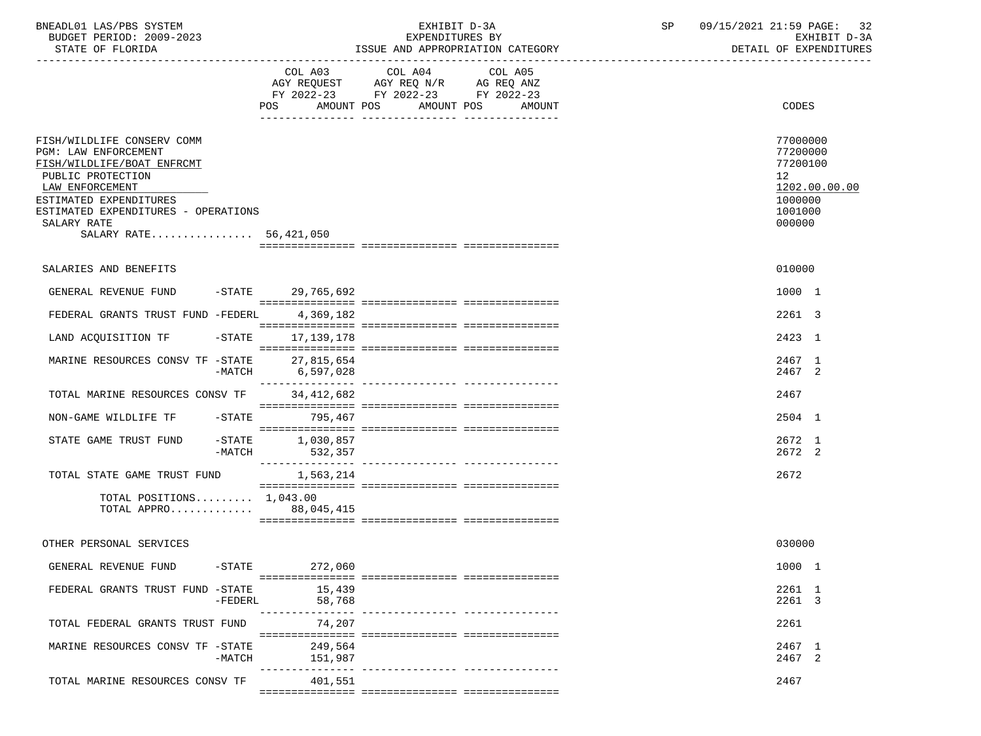| BNEADL01 LAS/PBS SYSTEM |                  |                          | EXHIBIT D-3A                     |
|-------------------------|------------------|--------------------------|----------------------------------|
|                         |                  | BUDGET PERIOD: 2009-2023 | EXPENDITURES BY                  |
|                         | STATE OF FLORIDA |                          | ISSUE AND APPROPRIATION CATEGORY |

|                                                                                                                                                                                                                                    |           | POS AMOUNT POS<br>---------------- -------------- | COL A03 COL A04 COL A05<br>AGY REQUEST AGY REQ N/R AG REQ ANZ<br>FY 2022-23 FY 2022-23 FY 2022-23 | AMOUNT POS AMOUNT | CODES                                                                               |               |
|------------------------------------------------------------------------------------------------------------------------------------------------------------------------------------------------------------------------------------|-----------|---------------------------------------------------|---------------------------------------------------------------------------------------------------|-------------------|-------------------------------------------------------------------------------------|---------------|
| FISH/WILDLIFE CONSERV COMM<br>PGM: LAW ENFORCEMENT<br>FISH/WILDLIFE/BOAT ENFRCMT<br>PUBLIC PROTECTION<br>LAW ENFORCEMENT<br>ESTIMATED EXPENDITURES<br>ESTIMATED EXPENDITURES - OPERATIONS<br>SALARY RATE<br>SALARY RATE 56,421,050 |           |                                                   |                                                                                                   |                   | 77000000<br>77200000<br>77200100<br>12 <sub>2</sub><br>1000000<br>1001000<br>000000 | 1202.00.00.00 |
| SALARIES AND BENEFITS                                                                                                                                                                                                              |           |                                                   |                                                                                                   |                   | 010000                                                                              |               |
| GENERAL REVENUE FUND                                                                                                                                                                                                               |           | -STATE 29.765.692                                 |                                                                                                   |                   | 1000 1                                                                              |               |
| FEDERAL GRANTS TRUST FUND -FEDERL 4,369,182                                                                                                                                                                                        |           |                                                   |                                                                                                   |                   | 2261 3                                                                              |               |
| LAND ACQUISITION TF                                                                                                                                                                                                                | $-$ STATE | 17,139,178                                        |                                                                                                   |                   | 2423 1                                                                              |               |
| MARINE RESOURCES CONSV TF -STATE                                                                                                                                                                                                   | $-MATCH$  | 27,815,654<br>6,597,028                           |                                                                                                   |                   | 2467 1<br>2467 2                                                                    |               |
| TOTAL MARINE RESOURCES CONSV TF                                                                                                                                                                                                    |           | ---------------<br>34, 412, 682                   |                                                                                                   |                   | 2467                                                                                |               |
| NON-GAME WILDLIFE TF                                                                                                                                                                                                               |           | -STATE 795,467                                    |                                                                                                   |                   | 2504 1                                                                              |               |
| STATE GAME TRUST FUND                                                                                                                                                                                                              | -MATCH    | $-STATE$ 1,030,857<br>532,357                     |                                                                                                   |                   | 2672 1<br>2672 2                                                                    |               |
| TOTAL STATE GAME TRUST FUND                                                                                                                                                                                                        |           | 1,563,214                                         |                                                                                                   |                   | 2672                                                                                |               |
| TOTAL POSITIONS 1,043.00<br>TOTAL APPRO 88,045,415                                                                                                                                                                                 |           |                                                   |                                                                                                   |                   |                                                                                     |               |
| OTHER PERSONAL SERVICES                                                                                                                                                                                                            |           |                                                   |                                                                                                   |                   | 030000                                                                              |               |
| GENERAL REVENUE FUND                                                                                                                                                                                                               | $-$ STATE | 272,060                                           |                                                                                                   |                   | 1000 1                                                                              |               |
| FEDERAL GRANTS TRUST FUND -STATE                                                                                                                                                                                                   | $-FEDERL$ | 15,439<br>58,768                                  |                                                                                                   |                   | 2261 1<br>2261 3                                                                    |               |
| TOTAL FEDERAL GRANTS TRUST FUND                                                                                                                                                                                                    |           | -----------<br>74,207                             |                                                                                                   |                   | 2261                                                                                |               |
| MARINE RESOURCES CONSV TF -STATE                                                                                                                                                                                                   | $-MATCH$  | 249,564<br>151,987                                |                                                                                                   |                   | 2467 1<br>2467 2                                                                    |               |
| TOTAL MARINE RESOURCES CONSV TF                                                                                                                                                                                                    |           | ------------<br>401,551                           |                                                                                                   |                   | 2467                                                                                |               |
|                                                                                                                                                                                                                                    |           |                                                   |                                                                                                   |                   |                                                                                     |               |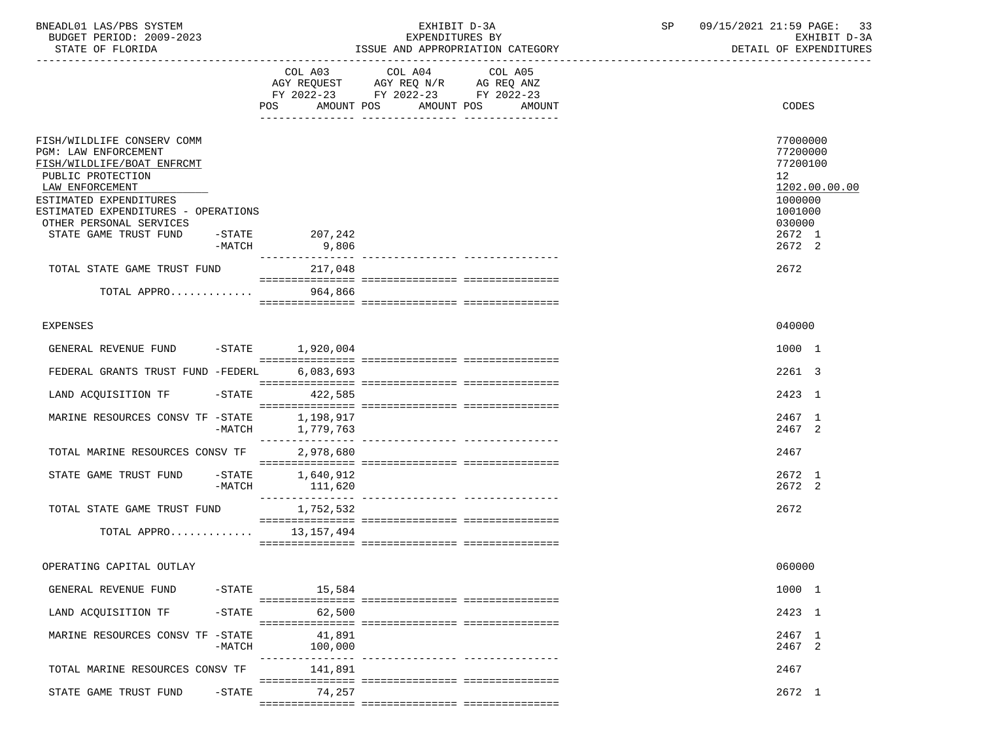| BNEADL01 LAS/PBS SYSTEM |                  |                          | EXHIBIT D-3A                     |
|-------------------------|------------------|--------------------------|----------------------------------|
|                         |                  | BUDGET PERIOD: 2009-2023 | EXPENDITURES BY                  |
|                         | STATE OF FLORIDA |                          | ISSUE AND APPROPRIATION CATEGORY |

BUDGET PERIOD: 2009-2023 EXPENDITURES BY EXHIBIT D-3A

|                                                                                                                                                                                                                                               |                       |                              | COL A03 COL A04 COL A05<br>AGY REQUEST AGY REQ N/R AG REQ ANZ<br>FY 2022-23 FY 2022-23 FY 2022-23 |                                   |                                                                                                                          |
|-----------------------------------------------------------------------------------------------------------------------------------------------------------------------------------------------------------------------------------------------|-----------------------|------------------------------|---------------------------------------------------------------------------------------------------|-----------------------------------|--------------------------------------------------------------------------------------------------------------------------|
|                                                                                                                                                                                                                                               |                       | POS<br>AMOUNT POS            | AMOUNT POS                                                                                        | AMOUNT                            | CODES                                                                                                                    |
|                                                                                                                                                                                                                                               |                       |                              |                                                                                                   |                                   |                                                                                                                          |
| FISH/WILDLIFE CONSERV COMM<br>PGM: LAW ENFORCEMENT<br>FISH/WILDLIFE/BOAT ENFRCMT<br>PUBLIC PROTECTION<br>LAW ENFORCEMENT<br>ESTIMATED EXPENDITURES<br>ESTIMATED EXPENDITURES - OPERATIONS<br>OTHER PERSONAL SERVICES<br>STATE GAME TRUST FUND | -STATE<br>$-MATCH$    | 207,242<br>9,806             |                                                                                                   |                                   | 77000000<br>77200000<br>77200100<br>12 <sup>°</sup><br>1202.00.00.00<br>1000000<br>1001000<br>030000<br>2672 1<br>2672 2 |
| TOTAL STATE GAME TRUST FUND                                                                                                                                                                                                                   |                       | ---------------<br>217,048   |                                                                                                   |                                   | 2672                                                                                                                     |
|                                                                                                                                                                                                                                               |                       |                              |                                                                                                   |                                   |                                                                                                                          |
| TOTAL APPRO                                                                                                                                                                                                                                   |                       | 964,866                      |                                                                                                   |                                   |                                                                                                                          |
|                                                                                                                                                                                                                                               |                       |                              |                                                                                                   |                                   |                                                                                                                          |
| <b>EXPENSES</b>                                                                                                                                                                                                                               |                       |                              |                                                                                                   |                                   | 040000                                                                                                                   |
| GENERAL REVENUE FUND                                                                                                                                                                                                                          |                       | $-STATE$ 1,920,004           |                                                                                                   |                                   | 1000 1                                                                                                                   |
| FEDERAL GRANTS TRUST FUND -FEDERL                                                                                                                                                                                                             |                       | 6,083,693                    |                                                                                                   |                                   | 2261 3                                                                                                                   |
| LAND ACQUISITION TF                                                                                                                                                                                                                           | $-$ STATE             | 422,585                      |                                                                                                   |                                   | 2423 1                                                                                                                   |
| MARINE RESOURCES CONSV TF -STATE                                                                                                                                                                                                              |                       | 1,198,917                    |                                                                                                   |                                   | 2467 1                                                                                                                   |
|                                                                                                                                                                                                                                               | -MATCH                | 1,779,763<br>--------------- |                                                                                                   |                                   | 2467 2                                                                                                                   |
| TOTAL MARINE RESOURCES CONSV TF                                                                                                                                                                                                               |                       | 2,978,680                    |                                                                                                   |                                   | 2467                                                                                                                     |
| STATE GAME TRUST FUND                                                                                                                                                                                                                         | $-$ STATE<br>$-MATCH$ | 1,640,912                    |                                                                                                   |                                   | 2672 1<br>2672 2                                                                                                         |
|                                                                                                                                                                                                                                               |                       | 111,620                      |                                                                                                   |                                   |                                                                                                                          |
| TOTAL STATE GAME TRUST FUND                                                                                                                                                                                                                   |                       | 1,752,532                    |                                                                                                   |                                   | 2672                                                                                                                     |
| TOTAL APPRO                                                                                                                                                                                                                                   |                       | 13,157,494                   |                                                                                                   |                                   |                                                                                                                          |
| OPERATING CAPITAL OUTLAY                                                                                                                                                                                                                      |                       |                              |                                                                                                   |                                   | 060000                                                                                                                   |
| GENERAL REVENUE FUND                                                                                                                                                                                                                          | $-$ STATE             | 15,584                       |                                                                                                   |                                   | 1000 1                                                                                                                   |
| LAND ACQUISITION TF                                                                                                                                                                                                                           | $-$ STATE             | 62,500                       |                                                                                                   |                                   | 2423 1                                                                                                                   |
| MARINE RESOURCES CONSV TF -STATE                                                                                                                                                                                                              |                       | 41,891                       |                                                                                                   |                                   | 2467 1                                                                                                                   |
|                                                                                                                                                                                                                                               | $-MATCH$              | 100,000                      |                                                                                                   | ---------------- ---------------- | 2467 2                                                                                                                   |
| TOTAL MARINE RESOURCES CONSV TF                                                                                                                                                                                                               |                       | 141,891                      |                                                                                                   |                                   | 2467                                                                                                                     |
| STATE GAME TRUST FUND                                                                                                                                                                                                                         | $-$ STATE             | 74,257                       |                                                                                                   |                                   | 2672 1                                                                                                                   |
|                                                                                                                                                                                                                                               |                       |                              |                                                                                                   |                                   |                                                                                                                          |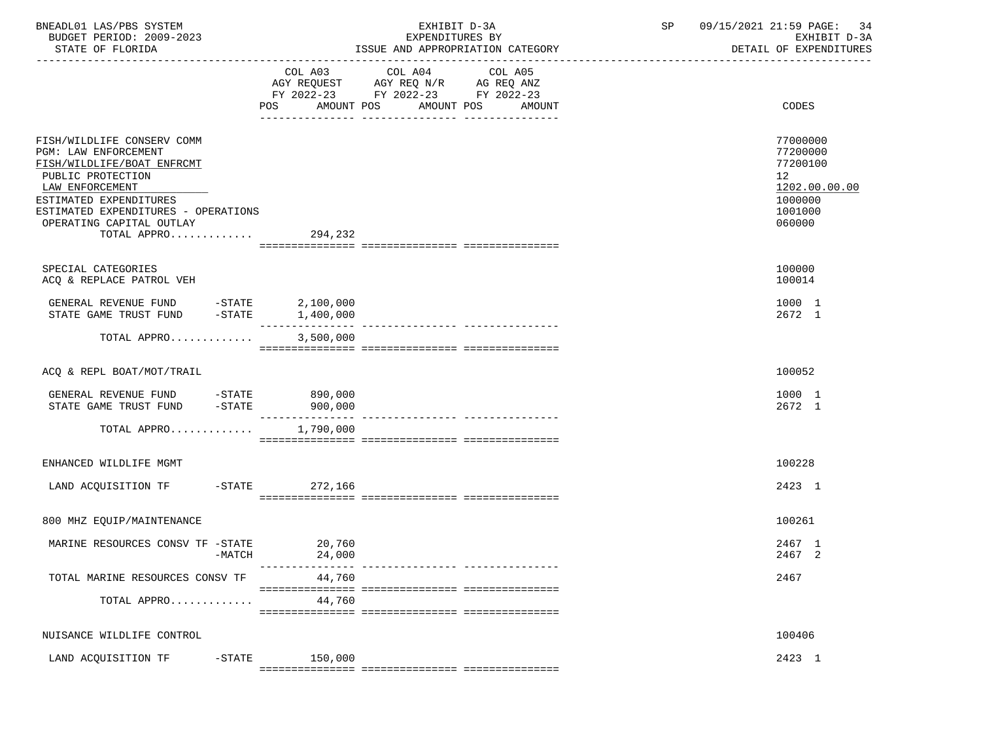| BNEADL01 LAS/PBS SYSTEM<br>BUDGET PERIOD: 2009-2023<br>STATE OF FLORIDA                                                                                                                                                                        |                  | EXHIBIT D-3A<br>EXPENDITURES BY<br>ISSUE AND APPROPRIATION CATEGORY                                                                         | SP | 09/15/2021 21:59 PAGE:<br>-34<br>EXHIBIT D-3A<br>DETAIL OF EXPENDITURES                              |
|------------------------------------------------------------------------------------------------------------------------------------------------------------------------------------------------------------------------------------------------|------------------|---------------------------------------------------------------------------------------------------------------------------------------------|----|------------------------------------------------------------------------------------------------------|
|                                                                                                                                                                                                                                                |                  | COL A03 COL A04<br>COL A05<br>AGY REQUEST AGY REQ N/R AG REQ ANZ<br>FY 2022-23 FY 2022-23 FY 2022-23<br>POS AMOUNT POS AMOUNT POS<br>AMOUNT |    | CODES                                                                                                |
| FISH/WILDLIFE CONSERV COMM<br>PGM: LAW ENFORCEMENT<br>FISH/WILDLIFE/BOAT ENFRCMT<br>PUBLIC PROTECTION<br>LAW ENFORCEMENT<br>ESTIMATED EXPENDITURES<br>ESTIMATED EXPENDITURES - OPERATIONS<br>OPERATING CAPITAL OUTLAY<br>TOTAL APPRO $294,232$ |                  |                                                                                                                                             |    | 77000000<br>77200000<br>77200100<br>12 <sup>°</sup><br>1202.00.00.00<br>1000000<br>1001000<br>060000 |
| SPECIAL CATEGORIES<br>ACQ & REPLACE PATROL VEH                                                                                                                                                                                                 |                  |                                                                                                                                             |    | 100000<br>100014                                                                                     |
| GENERAL REVENUE FUND -STATE<br>STATE GAME TRUST FUND -STATE 1,400,000                                                                                                                                                                          | 2,100,000        |                                                                                                                                             |    | 1000 1<br>2672 1                                                                                     |
| TOTAL APPRO                                                                                                                                                                                                                                    | 3,500,000        |                                                                                                                                             |    |                                                                                                      |
| ACQ & REPL BOAT/MOT/TRAIL                                                                                                                                                                                                                      |                  |                                                                                                                                             |    | 100052                                                                                               |
| GENERAL REVENUE FUND -STATE 890,000<br>STATE GAME TRUST FUND -STATE 900,000                                                                                                                                                                    |                  |                                                                                                                                             |    | 1000 1<br>2672 1                                                                                     |
| TOTAL APPRO $1,790,000$                                                                                                                                                                                                                        |                  |                                                                                                                                             |    |                                                                                                      |
| ENHANCED WILDLIFE MGMT                                                                                                                                                                                                                         |                  |                                                                                                                                             |    | 100228                                                                                               |
| LAND ACQUISITION TF -STATE 272,166                                                                                                                                                                                                             |                  |                                                                                                                                             |    | 2423 1                                                                                               |
| 800 MHZ EQUIP/MAINTENANCE                                                                                                                                                                                                                      |                  |                                                                                                                                             |    | 100261                                                                                               |
| MARINE RESOURCES CONSV TF -STATE<br>-MATCH                                                                                                                                                                                                     | 20,760<br>24,000 | --------------- -----------------                                                                                                           |    | 2467 1<br>2467 2                                                                                     |
| TOTAL MARINE RESOURCES CONSV TF                                                                                                                                                                                                                | 44,760           |                                                                                                                                             |    | 2467                                                                                                 |
| TOTAL APPRO                                                                                                                                                                                                                                    | 44,760           |                                                                                                                                             |    |                                                                                                      |
| NUISANCE WILDLIFE CONTROL                                                                                                                                                                                                                      |                  |                                                                                                                                             |    | 100406                                                                                               |
| LAND ACQUISITION TF<br>$-$ STATE                                                                                                                                                                                                               | 150,000          |                                                                                                                                             |    | 2423 1                                                                                               |

 $=$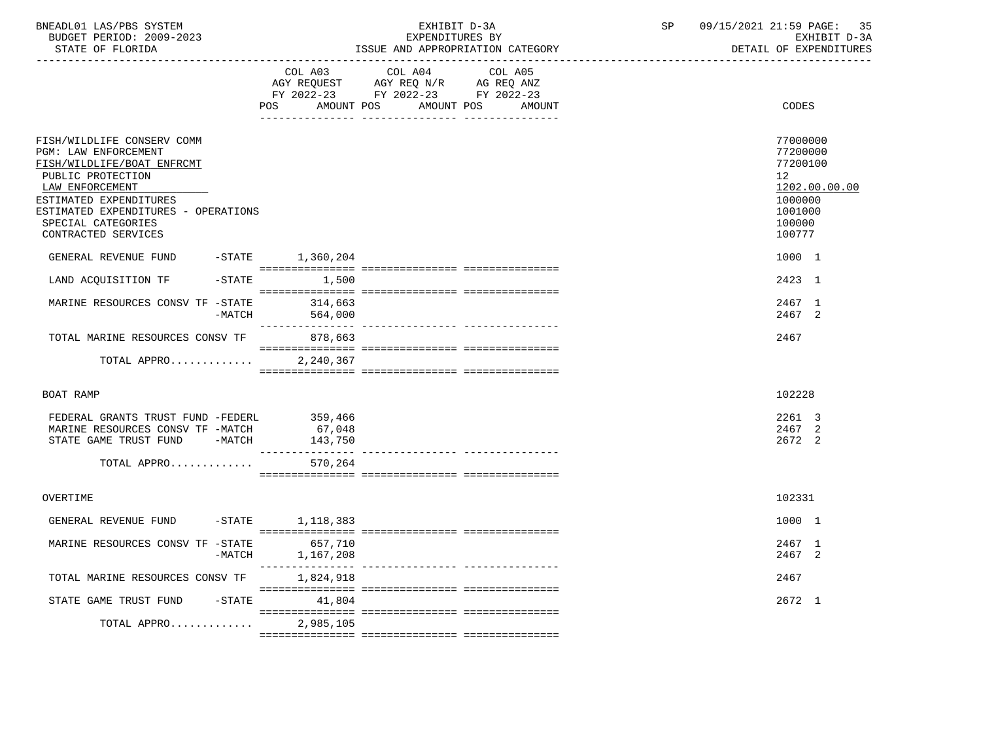| BNEADL01 LAS/PBS SYSTEM |                  |                          |  | EXHIBIT D-3A                     |  |
|-------------------------|------------------|--------------------------|--|----------------------------------|--|
|                         |                  | BUDGET PERIOD: 2009-2023 |  | EXPENDITURES BY                  |  |
|                         | STATE OF FLORIDA |                          |  | ISSUE AND APPROPRIATION CATEGORY |  |

BUDGET PERIOD: 2009-2023 EXPENDITURES BY EXHIBIT D-3A

|                                                                                                                                                                                                                                        |          | COL A03<br>POS        | COL A04<br>AGY REQUEST AGY REQ N/R AG REQ ANZ<br>FY 2022-23 FY 2022-23 FY 2022-23<br>AMOUNT POS<br>AMOUNT POS | COL A05<br>AMOUNT |    | <b>CODES</b>                                                                                |
|----------------------------------------------------------------------------------------------------------------------------------------------------------------------------------------------------------------------------------------|----------|-----------------------|---------------------------------------------------------------------------------------------------------------|-------------------|----|---------------------------------------------------------------------------------------------|
| FISH/WILDLIFE CONSERV COMM<br>PGM: LAW ENFORCEMENT<br>FISH/WILDLIFE/BOAT ENFRCMT<br>PUBLIC PROTECTION<br>LAW ENFORCEMENT<br>ESTIMATED EXPENDITURES<br>ESTIMATED EXPENDITURES - OPERATIONS<br>SPECIAL CATEGORIES<br>CONTRACTED SERVICES |          |                       |                                                                                                               |                   | 12 | 77000000<br>77200000<br>77200100<br>1202.00.00.00<br>1000000<br>1001000<br>100000<br>100777 |
| GENERAL REVENUE FUND                                                                                                                                                                                                                   |          | $-$ STATE $1,360,204$ |                                                                                                               |                   |    | 1000 1                                                                                      |
| LAND ACQUISITION TF                                                                                                                                                                                                                    |          | $-STATE$ 1,500        |                                                                                                               |                   |    | 2423 1                                                                                      |
| MARINE RESOURCES CONSV TF -STATE                                                                                                                                                                                                       | $-MATCH$ | 314,663<br>564,000    |                                                                                                               |                   |    | 2467 1<br>2467 2                                                                            |
| TOTAL MARINE RESOURCES CONSV TF                                                                                                                                                                                                        |          | 878,663               |                                                                                                               |                   |    | 2467                                                                                        |
| TOTAL APPRO                                                                                                                                                                                                                            |          | 2,240,367             |                                                                                                               |                   |    |                                                                                             |
| BOAT RAMP                                                                                                                                                                                                                              |          |                       |                                                                                                               |                   |    | 102228                                                                                      |
| FEDERAL GRANTS TRUST FUND -FEDERL 359,466<br>MARINE RESOURCES CONSV TF -MATCH<br>STATE GAME TRUST FUND -MATCH                                                                                                                          |          | 67,048<br>143,750     |                                                                                                               |                   |    | 2261 3<br>2467 2<br>2672 2                                                                  |
| TOTAL APPRO                                                                                                                                                                                                                            |          | 570,264               |                                                                                                               |                   |    |                                                                                             |
| OVERTIME                                                                                                                                                                                                                               |          |                       |                                                                                                               |                   |    | 102331                                                                                      |
| GENERAL REVENUE FUND -STATE 1,118,383                                                                                                                                                                                                  |          |                       |                                                                                                               |                   |    | 1000 1                                                                                      |
| MARINE RESOURCES CONSV TF -STATE                                                                                                                                                                                                       | $-MATCH$ | 657,710<br>1,167,208  |                                                                                                               |                   |    | 2467 1<br>2467 2                                                                            |
| TOTAL MARINE RESOURCES CONSV TF                                                                                                                                                                                                        |          | 1,824,918             |                                                                                                               |                   |    | 2467                                                                                        |
| STATE GAME TRUST FUND                                                                                                                                                                                                                  |          | $-$ STATE 41,804      |                                                                                                               |                   |    | 2672 1                                                                                      |
| TOTAL APPRO                                                                                                                                                                                                                            |          | 2,985,105             |                                                                                                               |                   |    |                                                                                             |
|                                                                                                                                                                                                                                        |          |                       |                                                                                                               |                   |    |                                                                                             |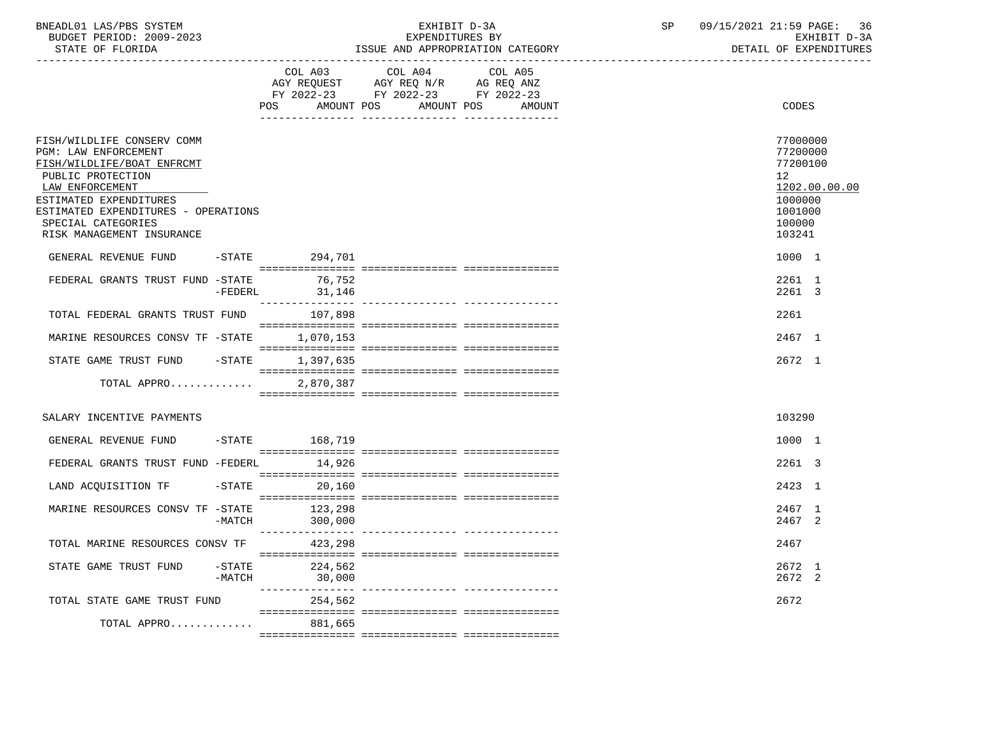| BNEADL01<br>LAS/PBS SYSTEM     |                                                    | SD | 21:59<br>36<br>$\mathtt{PAGE}$ :<br>$215/2021$ $\ldots$<br>09. |
|--------------------------------|----------------------------------------------------|----|----------------------------------------------------------------|
| 2009-2023<br>PERIOD:<br>BUDGET | RV<br>EXPENDITURES                                 |    | $\sqrt{2}$<br><b>TDTM</b><br>EXH.<br>$11 - 31$<br>.            |
| גתדת היה הם החגחם              | MOODDIADIONI OLUMPOOLI<br>T O OTTE<br><b>7.3TD</b> |    | $\cap$ ה היוחד היוחדות הא<br>יד גההה                           |

STATE OF FLORIDA **ISSUE AND APPROPRIATION CATEGORY ISSUE AND APPROPRIATION** CATEGORY

|                                                                                                                                                                                                                                              |                       | COL A03            | COL A04<br>AGY REQUEST AGY REQ N/R AG REQ ANZ                | COL A05 |                 |                                                                                             |
|----------------------------------------------------------------------------------------------------------------------------------------------------------------------------------------------------------------------------------------------|-----------------------|--------------------|--------------------------------------------------------------|---------|-----------------|---------------------------------------------------------------------------------------------|
|                                                                                                                                                                                                                                              |                       | POS                | FY 2022-23 FY 2022-23 FY 2022-23<br>AMOUNT POS<br>AMOUNT POS | AMOUNT  |                 | CODES                                                                                       |
|                                                                                                                                                                                                                                              |                       |                    |                                                              |         |                 |                                                                                             |
| FISH/WILDLIFE CONSERV COMM<br>PGM: LAW ENFORCEMENT<br>FISH/WILDLIFE/BOAT ENFRCMT<br>PUBLIC PROTECTION<br>LAW ENFORCEMENT<br>ESTIMATED EXPENDITURES<br>ESTIMATED EXPENDITURES - OPERATIONS<br>SPECIAL CATEGORIES<br>RISK MANAGEMENT INSURANCE |                       |                    |                                                              |         | 12 <sup>°</sup> | 77000000<br>77200000<br>77200100<br>1202.00.00.00<br>1000000<br>1001000<br>100000<br>103241 |
| GENERAL REVENUE FUND                                                                                                                                                                                                                         |                       | -STATE 294,701     |                                                              |         |                 | 1000 1                                                                                      |
| FEDERAL GRANTS TRUST FUND -STATE                                                                                                                                                                                                             | $-FEDERL$             | 76,752<br>31,146   |                                                              |         |                 | 2261 1<br>2261 3                                                                            |
| TOTAL FEDERAL GRANTS TRUST FUND                                                                                                                                                                                                              |                       | 107,898            |                                                              |         | 2261            |                                                                                             |
| MARINE RESOURCES CONSV TF -STATE                                                                                                                                                                                                             |                       | 1,070,153          |                                                              |         |                 | 2467 1                                                                                      |
| STATE GAME TRUST FUND                                                                                                                                                                                                                        | $-$ STATE             | 1,397,635          |                                                              |         |                 | 2672 1                                                                                      |
| TOTAL APPRO                                                                                                                                                                                                                                  |                       | 2,870,387          |                                                              |         |                 |                                                                                             |
| SALARY INCENTIVE PAYMENTS                                                                                                                                                                                                                    |                       |                    |                                                              |         |                 | 103290                                                                                      |
| GENERAL REVENUE FUND                                                                                                                                                                                                                         |                       | -STATE 168,719     |                                                              |         |                 | 1000 1                                                                                      |
| FEDERAL GRANTS TRUST FUND -FEDERL                                                                                                                                                                                                            |                       | 14.926             |                                                              |         |                 | 2261 3                                                                                      |
| LAND ACQUISITION TF                                                                                                                                                                                                                          | $-$ STATE             | 20,160             |                                                              |         |                 | 2423 1                                                                                      |
| MARINE RESOURCES CONSV TF -STATE                                                                                                                                                                                                             | $-MATCH$              | 123,298<br>300,000 |                                                              |         |                 | 2467 1<br>2467 2                                                                            |
| TOTAL MARINE RESOURCES CONSV TF                                                                                                                                                                                                              |                       | 423,298            |                                                              |         | 2467            |                                                                                             |
| STATE GAME TRUST FUND                                                                                                                                                                                                                        | $-$ STATE<br>$-MATCH$ | 224,562<br>30,000  |                                                              |         |                 | 2672 1<br>2672 2                                                                            |
| TOTAL STATE GAME TRUST FUND                                                                                                                                                                                                                  |                       | 254,562            |                                                              |         | 2672            |                                                                                             |
| TOTAL APPRO                                                                                                                                                                                                                                  |                       | 881,665            |                                                              |         |                 |                                                                                             |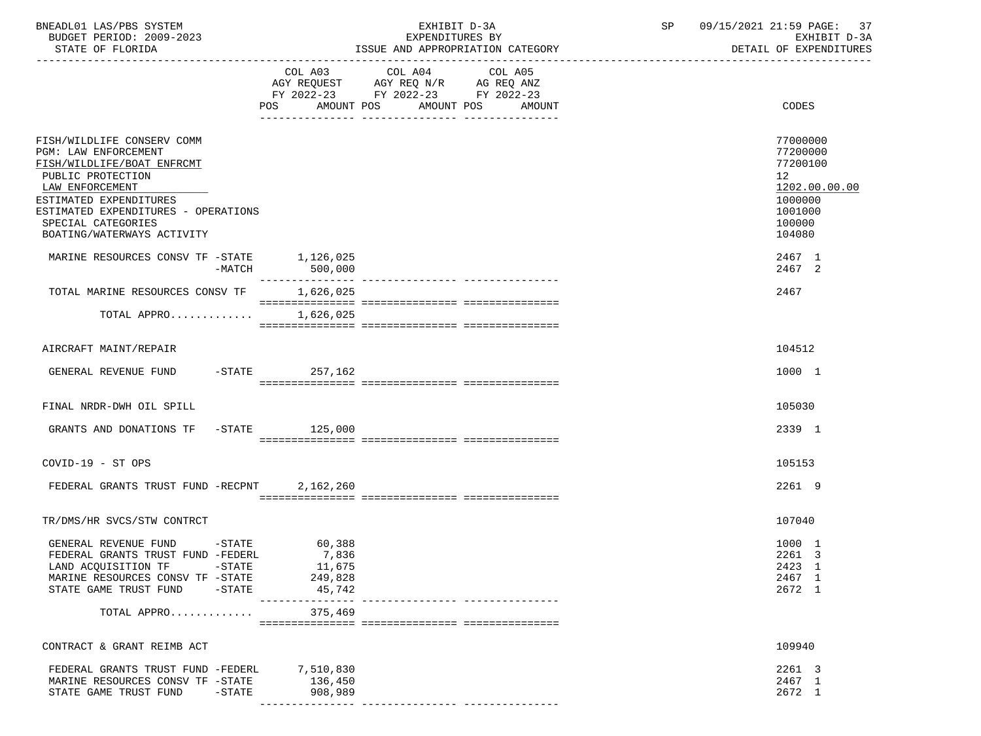| BNEADL01 LAS/PBS SYSTEM<br>BUDGET PERIOD: 2009-2023<br>STATE OF FLORIDA                                                                                                                                                                       |                                                                            | EXHIBIT D-3A<br>EXPENDITURES BY<br>ISSUE AND APPROPRIATION CATEGORY                                                                     | 09/15/2021 21:59 PAGE: 37<br>SP<br>EXHIBIT D-3A<br>DETAIL OF EXPENDITURES                         |
|-----------------------------------------------------------------------------------------------------------------------------------------------------------------------------------------------------------------------------------------------|----------------------------------------------------------------------------|-----------------------------------------------------------------------------------------------------------------------------------------|---------------------------------------------------------------------------------------------------|
|                                                                                                                                                                                                                                               | POS                                                                        | COL A03 COL A04 COL A05<br>AGY REQUEST AGY REQ N/R AG REQ ANZ<br>FY 2022-23 FY 2022-23 FY 2022-23<br>AMOUNT POS<br>AMOUNT POS<br>AMOUNT | CODES                                                                                             |
| FISH/WILDLIFE CONSERV COMM<br>PGM: LAW ENFORCEMENT<br>FISH/WILDLIFE/BOAT ENFRCMT<br>PUBLIC PROTECTION<br>LAW ENFORCEMENT<br>ESTIMATED EXPENDITURES<br>ESTIMATED EXPENDITURES - OPERATIONS<br>SPECIAL CATEGORIES<br>BOATING/WATERWAYS ACTIVITY |                                                                            |                                                                                                                                         | 77000000<br>77200000<br>77200100<br>12<br>1202.00.00.00<br>1000000<br>1001000<br>100000<br>104080 |
| MARINE RESOURCES CONSV TF -STATE 1,126,025<br>-MATCH                                                                                                                                                                                          | 500,000                                                                    |                                                                                                                                         | 2467 1<br>2467 2                                                                                  |
| TOTAL MARINE RESOURCES CONSV TF 1,626,025                                                                                                                                                                                                     |                                                                            |                                                                                                                                         | 2467                                                                                              |
| TOTAL APPRO                                                                                                                                                                                                                                   | 1,626,025                                                                  |                                                                                                                                         |                                                                                                   |
| AIRCRAFT MAINT/REPAIR                                                                                                                                                                                                                         |                                                                            |                                                                                                                                         | 104512                                                                                            |
| GENERAL REVENUE FUND                                                                                                                                                                                                                          | -STATE 257,162                                                             |                                                                                                                                         | 1000 1                                                                                            |
| FINAL NRDR-DWH OIL SPILL                                                                                                                                                                                                                      |                                                                            |                                                                                                                                         | 105030                                                                                            |
| GRANTS AND DONATIONS TF -STATE 125,000                                                                                                                                                                                                        |                                                                            |                                                                                                                                         | 2339 1                                                                                            |
| COVID-19 - ST OPS                                                                                                                                                                                                                             |                                                                            |                                                                                                                                         | 105153                                                                                            |
| FEDERAL GRANTS TRUST FUND -RECPNT                                                                                                                                                                                                             | 2,162,260                                                                  |                                                                                                                                         | 2261 9                                                                                            |
| TR/DMS/HR SVCS/STW CONTRCT                                                                                                                                                                                                                    |                                                                            |                                                                                                                                         | 107040                                                                                            |
| GENERAL REVENUE FUND<br>FEDERAL GRANTS TRUST FUND -FEDERL<br>LAND ACQUISITION TF<br>$-\mathtt{STATE}$<br>MARINE RESOURCES CONSV TF -STATE<br>STATE GAME TRUST FUND<br>-STATE                                                                  | $-STATE$ 60,388<br>7,836<br>11,675<br>249,828<br>45,742<br>--------------- |                                                                                                                                         | 1000 1<br>2261 3<br>2423 1<br>2467 1<br>2672 1                                                    |
| TOTAL APPRO                                                                                                                                                                                                                                   | 375,469                                                                    |                                                                                                                                         |                                                                                                   |
| CONTRACT & GRANT REIMB ACT                                                                                                                                                                                                                    |                                                                            |                                                                                                                                         | 109940                                                                                            |
| FEDERAL GRANTS TRUST FUND -FEDERL 7,510,830<br>MARINE RESOURCES CONSV TF -STATE<br>STATE GAME TRUST FUND<br>-STATE                                                                                                                            | 136,450<br>908,989                                                         |                                                                                                                                         | 2261 3<br>2467 1<br>2672 1                                                                        |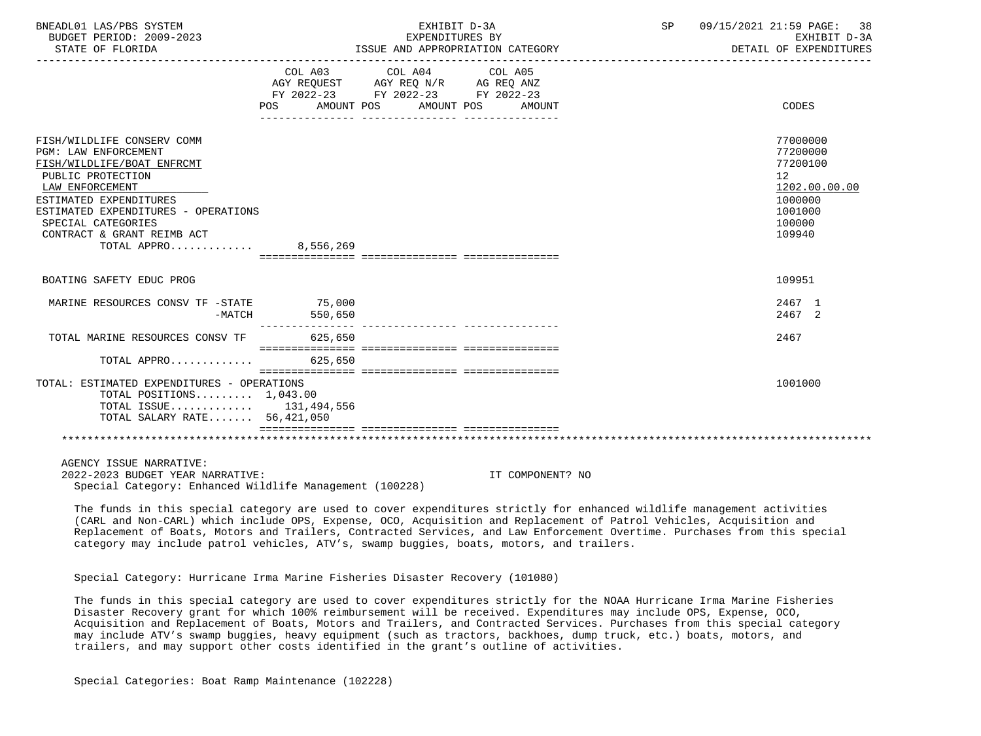| BNEADL01 LAS/PBS SYSTEM<br>BUDGET PERIOD: 2009-2023<br>STATE OF FLORIDA                                                                                                                                                                                                       |         | EXHIBIT D-3A<br>EXPENDITURES BY<br>ISSUE AND APPROPRIATION CATEGORY                                                        | SP 09/15/2021 21:59 PAGE: 38<br>EXHIBIT D-3A<br>DETAIL OF EXPENDITURES |                                                                                                   |
|-------------------------------------------------------------------------------------------------------------------------------------------------------------------------------------------------------------------------------------------------------------------------------|---------|----------------------------------------------------------------------------------------------------------------------------|------------------------------------------------------------------------|---------------------------------------------------------------------------------------------------|
|                                                                                                                                                                                                                                                                               | POS DO  | COL A03 COL A04 COL A05<br>AGY REQUEST AGY REQ N/R AG REQ ANZ<br>FY 2022-23 FY 2022-23 FY 2022-23<br>AMOUNT POS AMOUNT POS | AMOUNT                                                                 | CODES                                                                                             |
| FISH/WILDLIFE CONSERV COMM<br><b>PGM: LAW ENFORCEMENT</b><br>FISH/WILDLIFE/BOAT ENFRCMT<br>PUBLIC PROTECTION<br>LAW ENFORCEMENT<br>ESTIMATED EXPENDITURES<br>ESTIMATED EXPENDITURES - OPERATIONS<br>SPECIAL CATEGORIES<br>CONTRACT & GRANT REIMB ACT<br>TOTAL APPRO 8,556,269 |         |                                                                                                                            |                                                                        | 77000000<br>77200000<br>77200100<br>12<br>1202.00.00.00<br>1000000<br>1001000<br>100000<br>109940 |
| BOATING SAFETY EDUC PROG                                                                                                                                                                                                                                                      |         |                                                                                                                            |                                                                        | 109951                                                                                            |
| MARINE RESOURCES CONSV TF -STATE 75,000<br>-MATCH                                                                                                                                                                                                                             | 550,650 |                                                                                                                            |                                                                        | 2467 1<br>2467 2                                                                                  |
| TOTAL MARINE RESOURCES CONSV TF                                                                                                                                                                                                                                               | 625,650 |                                                                                                                            |                                                                        | 2467                                                                                              |
| TOTAL APPRO $\ldots \ldots \ldots$                                                                                                                                                                                                                                            |         |                                                                                                                            |                                                                        |                                                                                                   |
| TOTAL: ESTIMATED EXPENDITURES - OPERATIONS<br>TOTAL POSITIONS $1,043.00$<br>TOTAL ISSUE 131,494,556<br>TOTAL SALARY RATE 56,421,050                                                                                                                                           |         |                                                                                                                            |                                                                        | 1001000                                                                                           |
| AGENCY ISSUE NARRATIVE:<br>2022-2023 BUDGET YEAR NARRATIVE:                                                                                                                                                                                                                   |         |                                                                                                                            | IT COMPONENT? NO                                                       |                                                                                                   |

Special Category: Enhanced Wildlife Management (100228)

 The funds in this special category are used to cover expenditures strictly for enhanced wildlife management activities (CARL and Non-CARL) which include OPS, Expense, OCO, Acquisition and Replacement of Patrol Vehicles, Acquisition and Replacement of Boats, Motors and Trailers, Contracted Services, and Law Enforcement Overtime. Purchases from this special category may include patrol vehicles, ATV's, swamp buggies, boats, motors, and trailers.

Special Category: Hurricane Irma Marine Fisheries Disaster Recovery (101080)

 The funds in this special category are used to cover expenditures strictly for the NOAA Hurricane Irma Marine Fisheries Disaster Recovery grant for which 100% reimbursement will be received. Expenditures may include OPS, Expense, OCO, Acquisition and Replacement of Boats, Motors and Trailers, and Contracted Services. Purchases from this special category may include ATV's swamp buggies, heavy equipment (such as tractors, backhoes, dump truck, etc.) boats, motors, and trailers, and may support other costs identified in the grant's outline of activities.

Special Categories: Boat Ramp Maintenance (102228)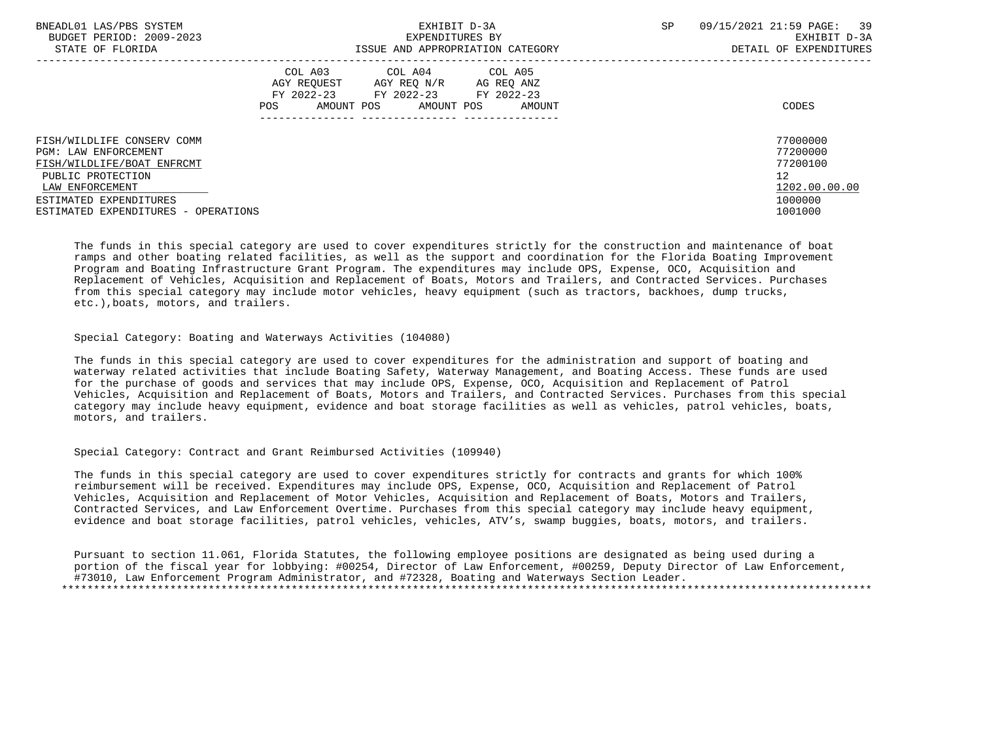| BNEADL01 LAS/PBS SYSTEM             | EXHIBIT D-3A                                                                                                                    | <b>SP</b>            | 09/15/2021 21:59 PAGE: 39 |
|-------------------------------------|---------------------------------------------------------------------------------------------------------------------------------|----------------------|---------------------------|
| BUDGET PERIOD: 2009-2023            | EXPENDITURES BY                                                                                                                 |                      | EXHIBIT D-3A              |
| STATE OF FLORIDA                    | ISSUE AND APPROPRIATION CATEGORY                                                                                                |                      | DETAIL OF EXPENDITURES    |
|                                     | COL A03 COL A04 COL A05<br>AGY REOUEST<br>AGY REO N/R<br>AG REO ANZ<br>FY 2022-23 FY 2022-23<br>AMOUNT POS<br>AMOUNT POS<br>POS | FY 2022-23<br>AMOUNT | CODES                     |
| FISH/WILDLIFE CONSERV COMM          |                                                                                                                                 |                      | 77000000                  |
| PGM: LAW ENFORCEMENT                |                                                                                                                                 |                      | 77200000                  |
| FISH/WILDLIFE/BOAT ENFRCMT          |                                                                                                                                 |                      | 77200100                  |
| PUBLIC PROTECTION                   |                                                                                                                                 |                      | 12                        |
| LAW ENFORCEMENT                     |                                                                                                                                 |                      | 1202.00.00.00             |
| ESTIMATED EXPENDITURES              |                                                                                                                                 |                      | 1000000                   |
| ESTIMATED EXPENDITURES - OPERATIONS |                                                                                                                                 |                      | 1001000                   |

 The funds in this special category are used to cover expenditures strictly for the construction and maintenance of boat ramps and other boating related facilities, as well as the support and coordination for the Florida Boating Improvement Program and Boating Infrastructure Grant Program. The expenditures may include OPS, Expense, OCO, Acquisition and Replacement of Vehicles, Acquisition and Replacement of Boats, Motors and Trailers, and Contracted Services. Purchases from this special category may include motor vehicles, heavy equipment (such as tractors, backhoes, dump trucks, etc.),boats, motors, and trailers.

# Special Category: Boating and Waterways Activities (104080)

 The funds in this special category are used to cover expenditures for the administration and support of boating and waterway related activities that include Boating Safety, Waterway Management, and Boating Access. These funds are used for the purchase of goods and services that may include OPS, Expense, OCO, Acquisition and Replacement of Patrol Vehicles, Acquisition and Replacement of Boats, Motors and Trailers, and Contracted Services. Purchases from this special category may include heavy equipment, evidence and boat storage facilities as well as vehicles, patrol vehicles, boats, motors, and trailers.

### Special Category: Contract and Grant Reimbursed Activities (109940)

 The funds in this special category are used to cover expenditures strictly for contracts and grants for which 100% reimbursement will be received. Expenditures may include OPS, Expense, OCO, Acquisition and Replacement of Patrol Vehicles, Acquisition and Replacement of Motor Vehicles, Acquisition and Replacement of Boats, Motors and Trailers, Contracted Services, and Law Enforcement Overtime. Purchases from this special category may include heavy equipment, evidence and boat storage facilities, patrol vehicles, vehicles, ATV's, swamp buggies, boats, motors, and trailers.

 Pursuant to section 11.061, Florida Statutes, the following employee positions are designated as being used during a portion of the fiscal year for lobbying: #00254, Director of Law Enforcement, #00259, Deputy Director of Law Enforcement, #73010, Law Enforcement Program Administrator, and #72328, Boating and Waterways Section Leader. \*\*\*\*\*\*\*\*\*\*\*\*\*\*\*\*\*\*\*\*\*\*\*\*\*\*\*\*\*\*\*\*\*\*\*\*\*\*\*\*\*\*\*\*\*\*\*\*\*\*\*\*\*\*\*\*\*\*\*\*\*\*\*\*\*\*\*\*\*\*\*\*\*\*\*\*\*\*\*\*\*\*\*\*\*\*\*\*\*\*\*\*\*\*\*\*\*\*\*\*\*\*\*\*\*\*\*\*\*\*\*\*\*\*\*\*\*\*\*\*\*\*\*\*\*\*\*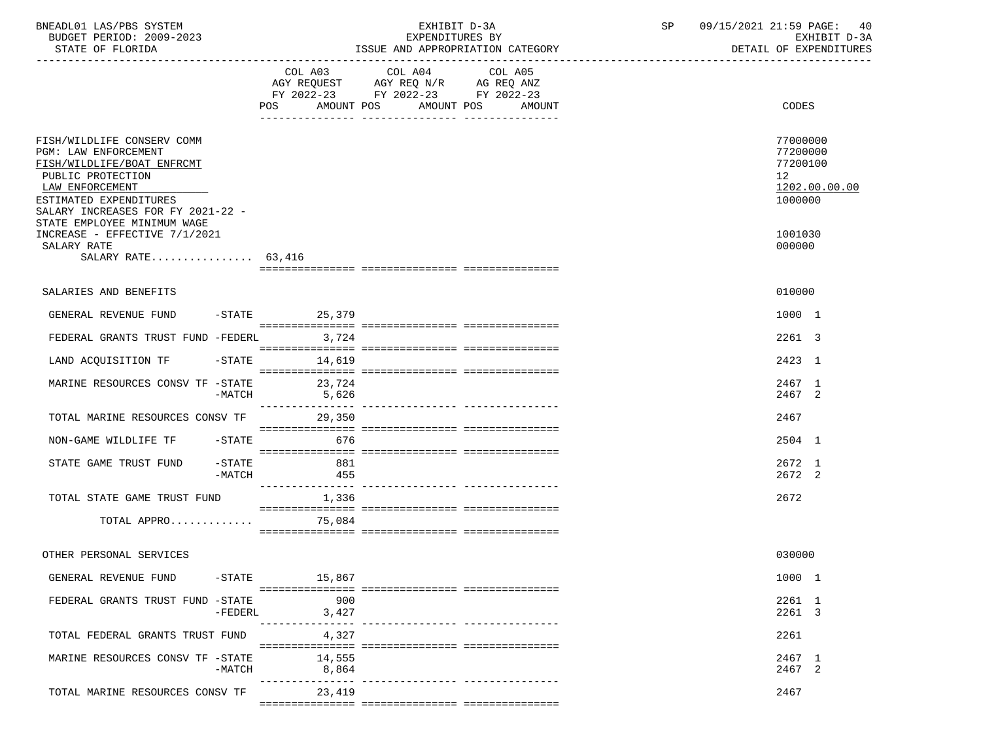| BNEADL01 LAS/PBS SYSTEM<br>BUDGET PERIOD: 2009-2023<br>STATE OF FLORIDA                                                                                                                 |                       | EXHIBIT D-3A<br>EXPENDITURES BY<br>ISSUE AND APPROPRIATION CATEGORY |                                                                                                                               |         |  | 09/15/2021 21:59 PAGE: 40<br>SP |                                                                | EXHIBIT D-3A<br>DETAIL OF EXPENDITURES |
|-----------------------------------------------------------------------------------------------------------------------------------------------------------------------------------------|-----------------------|---------------------------------------------------------------------|-------------------------------------------------------------------------------------------------------------------------------|---------|--|---------------------------------|----------------------------------------------------------------|----------------------------------------|
|                                                                                                                                                                                         |                       |                                                                     | COL A03 COL A04<br>AGY REQUEST AGY REQ N/R AG REQ ANZ<br>FY 2022-23 FY 2022-23 FY 2022-23<br>POS AMOUNT POS AMOUNT POS AMOUNT | COL A05 |  |                                 | CODES                                                          |                                        |
| FISH/WILDLIFE CONSERV COMM<br>PGM: LAW ENFORCEMENT<br>FISH/WILDLIFE/BOAT ENFRCMT<br>PUBLIC PROTECTION<br>LAW ENFORCEMENT<br>ESTIMATED EXPENDITURES<br>SALARY INCREASES FOR FY 2021-22 - |                       |                                                                     |                                                                                                                               |         |  |                                 | 77000000<br>77200000<br>77200100<br>12 <sup>°</sup><br>1000000 | 1202.00.00.00                          |
| STATE EMPLOYEE MINIMUM WAGE<br>INCREASE - EFFECTIVE 7/1/2021<br>SALARY RATE<br>SALARY RATE $63.416$                                                                                     |                       |                                                                     |                                                                                                                               |         |  |                                 | 1001030<br>000000                                              |                                        |
| SALARIES AND BENEFITS                                                                                                                                                                   |                       |                                                                     |                                                                                                                               |         |  |                                 | 010000                                                         |                                        |
| GENERAL REVENUE FUND                                                                                                                                                                    |                       | -STATE 25,379                                                       |                                                                                                                               |         |  |                                 | 1000 1                                                         |                                        |
| FEDERAL GRANTS TRUST FUND -FEDERL 3,724                                                                                                                                                 |                       |                                                                     |                                                                                                                               |         |  |                                 | 2261 3                                                         |                                        |
| LAND ACQUISITION TF                                                                                                                                                                     |                       | $-STATE$ 14,619                                                     |                                                                                                                               |         |  |                                 | 2423 1                                                         |                                        |
| MARINE RESOURCES CONSV TF -STATE 23,724                                                                                                                                                 | $-MATCH$              | 5,626                                                               |                                                                                                                               |         |  |                                 | 2467 1<br>2467 2                                               |                                        |
| TOTAL MARINE RESOURCES CONSV TF                                                                                                                                                         |                       | 29,350                                                              |                                                                                                                               |         |  |                                 | 2467                                                           |                                        |
| NON-GAME WILDLIFE TF                                                                                                                                                                    |                       | $-STATE$ 676                                                        |                                                                                                                               |         |  |                                 | 2504 1                                                         |                                        |
| STATE GAME TRUST FUND                                                                                                                                                                   | $-$ STATE<br>$-MATCH$ | 881<br>455                                                          |                                                                                                                               |         |  |                                 | 2672 1<br>2672 2                                               |                                        |
| TOTAL STATE GAME TRUST FUND                                                                                                                                                             |                       | 1,336                                                               |                                                                                                                               |         |  |                                 | 2672                                                           |                                        |
| TOTAL APPRO                                                                                                                                                                             |                       | 75,084                                                              |                                                                                                                               |         |  |                                 |                                                                |                                        |
| OTHER PERSONAL SERVICES                                                                                                                                                                 |                       |                                                                     |                                                                                                                               |         |  |                                 | 030000                                                         |                                        |
| GENERAL REVENUE FUND -STATE 15,867                                                                                                                                                      |                       |                                                                     |                                                                                                                               |         |  |                                 | 1000 1                                                         |                                        |
| FEDERAL GRANTS TRUST FUND -STATE                                                                                                                                                        | $-FEDERL$             | 900<br>3,427<br>----------------                                    |                                                                                                                               |         |  |                                 | 2261 1<br>2261 3                                               |                                        |
| TOTAL FEDERAL GRANTS TRUST FUND                                                                                                                                                         |                       | 4,327                                                               |                                                                                                                               |         |  |                                 | 2261                                                           |                                        |
| MARINE RESOURCES CONSV TF -STATE                                                                                                                                                        | -MATCH                | 14,555<br>8,864                                                     |                                                                                                                               |         |  |                                 | 2467 1<br>2467 2                                               |                                        |
| TOTAL MARINE RESOURCES CONSV TF                                                                                                                                                         |                       | ---------------<br>23,419                                           |                                                                                                                               |         |  |                                 | 2467                                                           |                                        |
|                                                                                                                                                                                         |                       |                                                                     |                                                                                                                               |         |  |                                 |                                                                |                                        |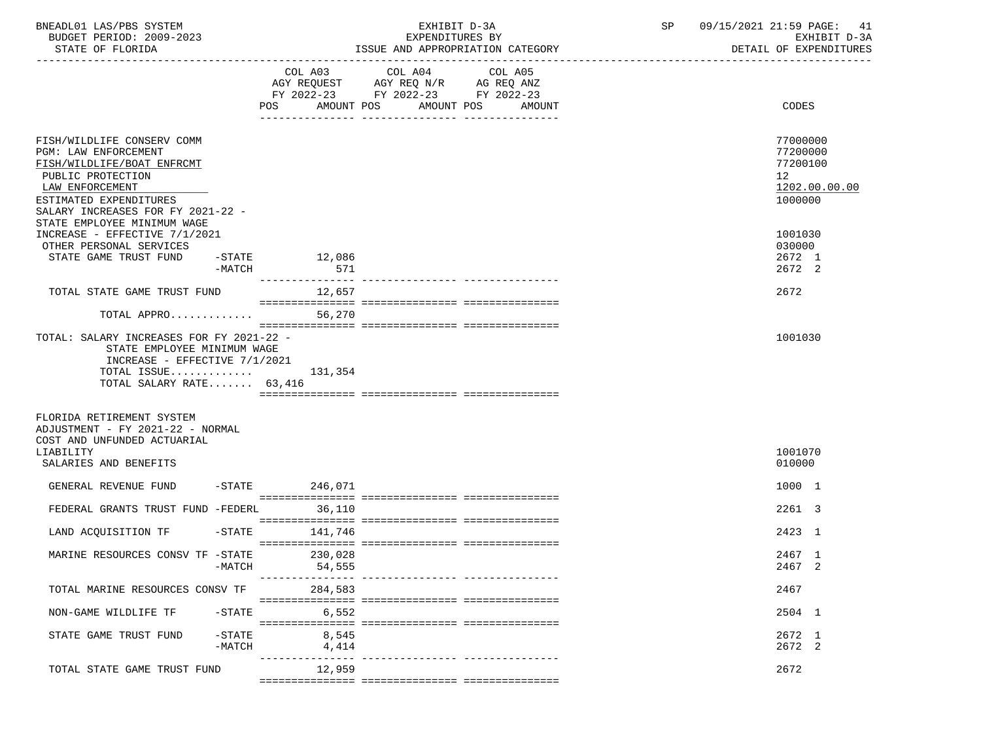| BNEADL01 LAS/PBS SYSTEM<br>BUDGET PERIOD: 2009-2023<br>STATE OF FLORIDA                                                                                                                        |                      | EXHIBIT D-3A<br>EXPENDITURES BY<br>ISSUE AND APPROPRIATION CATEGORY |                |                                                                                                                        |         | 09/15/2021 21:59 PAGE: 41<br>SP<br>DETAIL OF EXPENDITURES<br>_____________________________________ |  |  | EXHIBIT D-3A                                                   |               |
|------------------------------------------------------------------------------------------------------------------------------------------------------------------------------------------------|----------------------|---------------------------------------------------------------------|----------------|------------------------------------------------------------------------------------------------------------------------|---------|----------------------------------------------------------------------------------------------------|--|--|----------------------------------------------------------------|---------------|
|                                                                                                                                                                                                |                      |                                                                     |                | COL A03 COL A04<br>AGY REQUEST AGY REQ N/R AG REQ ANZ<br>FY 2022-23 FY 2022-23 FY 2022-23<br>POS AMOUNT POS AMOUNT POS | COL A05 | AMOUNT                                                                                             |  |  | CODES                                                          |               |
|                                                                                                                                                                                                |                      |                                                                     |                |                                                                                                                        |         |                                                                                                    |  |  |                                                                |               |
| FISH/WILDLIFE CONSERV COMM<br><b>PGM: LAW ENFORCEMENT</b><br>FISH/WILDLIFE/BOAT ENFRCMT<br>PUBLIC PROTECTION<br>LAW ENFORCEMENT<br>ESTIMATED EXPENDITURES<br>SALARY INCREASES FOR FY 2021-22 - |                      |                                                                     |                |                                                                                                                        |         |                                                                                                    |  |  | 77000000<br>77200000<br>77200100<br>12 <sup>°</sup><br>1000000 | 1202.00.00.00 |
| STATE EMPLOYEE MINIMUM WAGE<br>INCREASE - EFFECTIVE 7/1/2021<br>OTHER PERSONAL SERVICES<br>STATE GAME TRUST FUND                                                                               | -MATCH               | $-$ STATE $12,086$                                                  | 571            |                                                                                                                        |         |                                                                                                    |  |  | 1001030<br>030000<br>2672 1<br>2672 2                          |               |
| TOTAL STATE GAME TRUST FUND                                                                                                                                                                    |                      |                                                                     | 12,657         |                                                                                                                        |         |                                                                                                    |  |  | 2672                                                           |               |
| TOTAL APPRO                                                                                                                                                                                    |                      |                                                                     | 56,270         |                                                                                                                        |         |                                                                                                    |  |  |                                                                |               |
| TOTAL: SALARY INCREASES FOR FY 2021-22 -<br>STATE EMPLOYEE MINIMUM WAGE<br>INCREASE - EFFECTIVE 7/1/2021<br>TOTAL ISSUE $131,354$<br>TOTAL SALARY RATE 63,416<br>FLORIDA RETIREMENT SYSTEM     |                      |                                                                     |                |                                                                                                                        |         |                                                                                                    |  |  | 1001030                                                        |               |
| ADJUSTMENT - FY 2021-22 - NORMAL<br>COST AND UNFUNDED ACTUARIAL<br>LIABILITY<br>SALARIES AND BENEFITS                                                                                          |                      |                                                                     |                |                                                                                                                        |         |                                                                                                    |  |  | 1001070<br>010000                                              |               |
| GENERAL REVENUE FUND                                                                                                                                                                           |                      | -STATE 246,071                                                      |                |                                                                                                                        |         |                                                                                                    |  |  | 1000 1                                                         |               |
| FEDERAL GRANTS TRUST FUND -FEDERL 36,110                                                                                                                                                       |                      |                                                                     |                |                                                                                                                        |         |                                                                                                    |  |  | 2261 3                                                         |               |
| LAND ACQUISITION TF -STATE 141,746                                                                                                                                                             |                      |                                                                     |                |                                                                                                                        |         |                                                                                                    |  |  | 2423 1                                                         |               |
| MARINE RESOURCES CONSV TF -STATE                                                                                                                                                               | $-MATCH$             | 230,028<br>------------                                             | 54,555         | ________________________________                                                                                       |         |                                                                                                    |  |  | 2467 1<br>2467 2                                               |               |
| TOTAL MARINE RESOURCES CONSV TF                                                                                                                                                                |                      |                                                                     | 284,583        |                                                                                                                        |         |                                                                                                    |  |  | 2467                                                           |               |
| NON-GAME WILDLIFE TF                                                                                                                                                                           | $-$ STATE            |                                                                     | 6,552          |                                                                                                                        |         |                                                                                                    |  |  | 2504 1                                                         |               |
| STATE GAME TRUST FUND                                                                                                                                                                          | $-STATE$<br>$-MATCH$ |                                                                     | 8,545<br>4,414 |                                                                                                                        |         |                                                                                                    |  |  | 2672 1<br>2672 2                                               |               |
| TOTAL STATE GAME TRUST FUND                                                                                                                                                                    |                      |                                                                     | 12,959         |                                                                                                                        |         |                                                                                                    |  |  | 2672                                                           |               |
|                                                                                                                                                                                                |                      |                                                                     |                |                                                                                                                        |         |                                                                                                    |  |  |                                                                |               |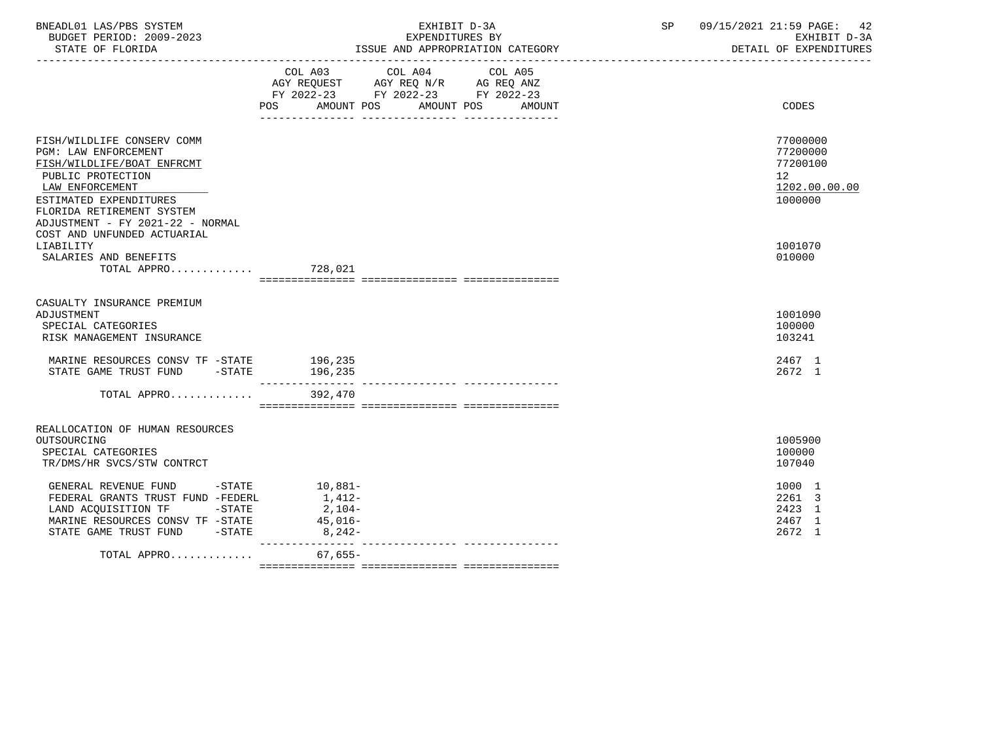| BNEADL01 LAS/PBS SYSTEM<br>BUDGET PERIOD: 2009-2023<br>STATE OF FLORIDA                                                                                                                                             | EXHIBIT D-3A<br>EXPENDITURES BY<br>ISSUE AND APPROPRIATION CATEGORY                                                                                                                                                                | 09/15/2021 21:59 PAGE:<br>SP<br>42<br>EXHIBIT D-3A<br>DETAIL OF EXPENDITURES    |
|---------------------------------------------------------------------------------------------------------------------------------------------------------------------------------------------------------------------|------------------------------------------------------------------------------------------------------------------------------------------------------------------------------------------------------------------------------------|---------------------------------------------------------------------------------|
|                                                                                                                                                                                                                     | COL A03 COL A04 COL A05<br>$\begin{tabular}{lllllll} \bf AGY & \bf REQUEST & \bf AGY & \bf REQ & \bf N/R & \bf AG & \bf REQ & \bf ANZ \\ \end{tabular}$<br>FY 2022-23 FY 2022-23 FY 2022-23<br>POS AMOUNT POS AMOUNT POS<br>AMOUNT | CODES                                                                           |
| FISH/WILDLIFE CONSERV COMM<br>PGM: LAW ENFORCEMENT<br>FISH/WILDLIFE/BOAT ENFRCMT<br>PUBLIC PROTECTION<br>LAW ENFORCEMENT<br>ESTIMATED EXPENDITURES<br>FLORIDA RETIREMENT SYSTEM<br>ADJUSTMENT - FY 2021-22 - NORMAL |                                                                                                                                                                                                                                    | 77000000<br>77200000<br>77200100<br>12 <sub>2</sub><br>1202.00.00.00<br>1000000 |
| COST AND UNFUNDED ACTUARIAL<br>LIABILITY<br>SALARIES AND BENEFITS<br>TOTAL APPRO 728,021                                                                                                                            |                                                                                                                                                                                                                                    | 1001070<br>010000                                                               |
| CASUALTY INSURANCE PREMIUM<br>ADJUSTMENT<br>SPECIAL CATEGORIES<br>RISK MANAGEMENT INSURANCE                                                                                                                         |                                                                                                                                                                                                                                    | 1001090<br>100000<br>103241                                                     |
| MARINE RESOURCES CONSV TF -STATE 196,235<br>STATE GAME TRUST FUND -STATE                                                                                                                                            | 196,235                                                                                                                                                                                                                            | 2467 1<br>2672 1                                                                |
| TOTAL APPRO                                                                                                                                                                                                         | 392,470                                                                                                                                                                                                                            |                                                                                 |
| REALLOCATION OF HUMAN RESOURCES<br>OUTSOURCING<br>SPECIAL CATEGORIES<br>TR/DMS/HR SVCS/STW CONTRCT                                                                                                                  |                                                                                                                                                                                                                                    | 1005900<br>100000<br>107040                                                     |
| GENERAL REVENUE FUND -STATE 10,881-<br>FEDERAL GRANTS TRUST FUND -FEDERL<br>LAND ACQUISITION TF -STATE<br>MARINE RESOURCES CONSV TF -STATE<br>STATE GAME TRUST FUND -STATE                                          | 1,412-<br>2,104-<br>45,016-<br>$8,242-$                                                                                                                                                                                            | 1000 1<br>2261 3<br>2423 1<br>2467 1<br>2672 1                                  |
| TOTAL APPRO                                                                                                                                                                                                         | __________________<br>67,655-                                                                                                                                                                                                      |                                                                                 |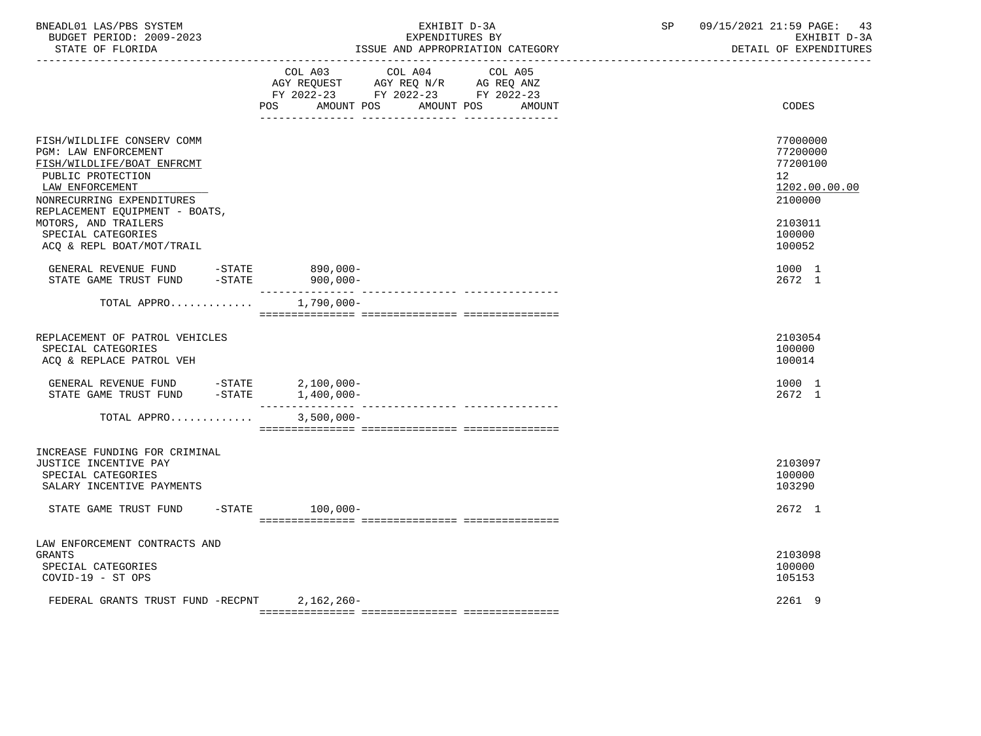| BNEADL01 LAS/PBS SYSTEM |                  |                          |  | EXHIBIT D-3A                     |  |
|-------------------------|------------------|--------------------------|--|----------------------------------|--|
|                         |                  | BUDGET PERIOD: 2009-2023 |  | EXPENDITURES BY                  |  |
|                         | STATE OF FLORIDA |                          |  | ISSUE AND APPROPRIATION CATEGORY |  |

|                                                                                                                                                                                         | COL A03 COL A04 COL A05<br>AGY REQUEST AGY REQ N/R AG REQ ANZ<br>FY 2022-23 FY 2022-23 FY 2022-23 |                                |                                                                    |
|-----------------------------------------------------------------------------------------------------------------------------------------------------------------------------------------|---------------------------------------------------------------------------------------------------|--------------------------------|--------------------------------------------------------------------|
|                                                                                                                                                                                         | POS AMOUNT POS<br>AMOUNT POS<br>-- --------------                                                 | AMOUNT                         | CODES                                                              |
| FISH/WILDLIFE CONSERV COMM<br>PGM: LAW ENFORCEMENT<br>FISH/WILDLIFE/BOAT ENFRCMT<br>PUBLIC PROTECTION<br>LAW ENFORCEMENT<br>NONRECURRING EXPENDITURES<br>REPLACEMENT EQUIPMENT - BOATS, |                                                                                                   |                                | 77000000<br>77200000<br>77200100<br>12<br>1202.00.00.00<br>2100000 |
| MOTORS, AND TRAILERS<br>SPECIAL CATEGORIES<br>ACQ & REPL BOAT/MOT/TRAIL                                                                                                                 |                                                                                                   |                                | 2103011<br>100000<br>100052                                        |
| GENERAL REVENUE FUND -STATE 890,000-<br>STATE GAME TRUST FUND<br>$-\mathtt{STATE}$                                                                                                      | $900,000-$<br>_________________                                                                   | ------------- ---------------  | 1000 1<br>2672 1                                                   |
| TOTAL APPRO                                                                                                                                                                             | $1,790,000 -$                                                                                     |                                |                                                                    |
| REPLACEMENT OF PATROL VEHICLES<br>SPECIAL CATEGORIES<br>ACQ & REPLACE PATROL VEH                                                                                                        |                                                                                                   |                                | 2103054<br>100000<br>100014                                        |
| GENERAL REVENUE FUND $-$ STATE 2,100,000-<br>STATE GAME TRUST FUND $-$ STATE 1,400,000-                                                                                                 | ____________                                                                                      | ------------- ---------------- | 1000 1<br>2672 1                                                   |
| TOTAL APPRO                                                                                                                                                                             | $3,500,000 -$                                                                                     |                                |                                                                    |
| INCREASE FUNDING FOR CRIMINAL<br>JUSTICE INCENTIVE PAY<br>SPECIAL CATEGORIES<br>SALARY INCENTIVE PAYMENTS                                                                               |                                                                                                   |                                | 2103097<br>100000<br>103290                                        |
| STATE GAME TRUST FUND                                                                                                                                                                   | -STATE 100,000-                                                                                   |                                | 2672 1                                                             |
| LAW ENFORCEMENT CONTRACTS AND<br><b>GRANTS</b><br>SPECIAL CATEGORIES<br>COVID-19 - ST OPS                                                                                               |                                                                                                   |                                | 2103098<br>100000<br>105153                                        |
| FEDERAL GRANTS TRUST FUND -RECPNT                                                                                                                                                       | 2,162,260-                                                                                        |                                | 2261 9                                                             |

=============== =============== ===============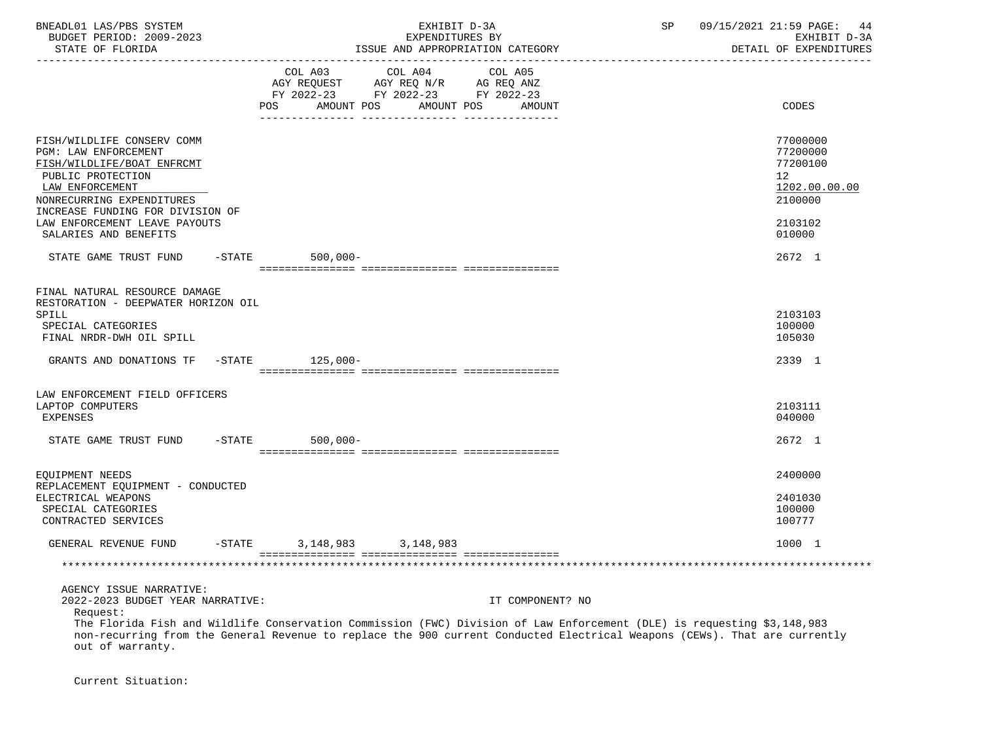| BNEADL01 LAS/PBS SYSTEM<br>BUDGET PERIOD: 2009-2023<br>STATE OF FLORIDA                                                                                                                                                                                                                                                                             |                      | EXHIBIT D-3A<br>EXPENDITURES BY                                                                                    | ISSUE AND APPROPRIATION CATEGORY | SP | 09/15/2021 21:59 PAGE:<br>44<br>EXHIBIT D-3A<br>DETAIL OF EXPENDITURES          |
|-----------------------------------------------------------------------------------------------------------------------------------------------------------------------------------------------------------------------------------------------------------------------------------------------------------------------------------------------------|----------------------|--------------------------------------------------------------------------------------------------------------------|----------------------------------|----|---------------------------------------------------------------------------------|
|                                                                                                                                                                                                                                                                                                                                                     |                      | COL A03 COL A04<br>AGY REQUEST AGY REQ N/R AG REQ ANZ<br>FY 2022-23 FY 2022-23 FY 2022-23<br>AMOUNT POS AMOUNT POS | COL A05<br>AMOUNT                |    | CODES                                                                           |
| FISH/WILDLIFE CONSERV COMM<br>PGM: LAW ENFORCEMENT<br>FISH/WILDLIFE/BOAT ENFRCMT<br>PUBLIC PROTECTION<br>LAW ENFORCEMENT<br>NONRECURRING EXPENDITURES<br>INCREASE FUNDING FOR DIVISION OF                                                                                                                                                           |                      |                                                                                                                    |                                  |    | 77000000<br>77200000<br>77200100<br>12 <sup>°</sup><br>1202.00.00.00<br>2100000 |
| LAW ENFORCEMENT LEAVE PAYOUTS<br>SALARIES AND BENEFITS                                                                                                                                                                                                                                                                                              |                      |                                                                                                                    |                                  |    | 2103102<br>010000                                                               |
| STATE GAME TRUST FUND -STATE 500,000-                                                                                                                                                                                                                                                                                                               |                      |                                                                                                                    |                                  |    | 2672 1                                                                          |
| FINAL NATURAL RESOURCE DAMAGE<br>RESTORATION - DEEPWATER HORIZON OIL<br>SPILL<br>SPECIAL CATEGORIES<br>FINAL NRDR-DWH OIL SPILL                                                                                                                                                                                                                     |                      |                                                                                                                    |                                  |    | 2103103<br>100000<br>105030                                                     |
| GRANTS AND DONATIONS TF                                                                                                                                                                                                                                                                                                                             | $-$ STATE $125,000-$ |                                                                                                                    |                                  |    | 2339 1                                                                          |
| LAW ENFORCEMENT FIELD OFFICERS<br>LAPTOP COMPUTERS<br>EXPENSES                                                                                                                                                                                                                                                                                      |                      |                                                                                                                    |                                  |    | 2103111<br>040000                                                               |
| STATE GAME TRUST FUND -STATE                                                                                                                                                                                                                                                                                                                        | $500,000 -$          |                                                                                                                    |                                  |    | 2672 1                                                                          |
| EQUIPMENT NEEDS<br>REPLACEMENT EQUIPMENT - CONDUCTED<br>ELECTRICAL WEAPONS<br>SPECIAL CATEGORIES<br>CONTRACTED SERVICES                                                                                                                                                                                                                             |                      |                                                                                                                    |                                  |    | 2400000<br>2401030<br>100000<br>100777                                          |
| GENERAL REVENUE FUND -STATE 3,148,983 3,148,983                                                                                                                                                                                                                                                                                                     |                      |                                                                                                                    |                                  |    | 1000 1                                                                          |
|                                                                                                                                                                                                                                                                                                                                                     |                      |                                                                                                                    |                                  |    |                                                                                 |
| AGENCY ISSUE NARRATIVE:<br>2022-2023 BUDGET YEAR NARRATIVE:<br>Request:<br>The Florida Fish and Wildlife Conservation Commission (FWC) Division of Law Enforcement (DLE) is requesting \$3,148,983<br>non-recurring from the General Revenue to replace the 900 current Conducted Electrical Weapons (CEWs). That are currently<br>out of warranty. |                      |                                                                                                                    | IT COMPONENT? NO                 |    |                                                                                 |

Current Situation: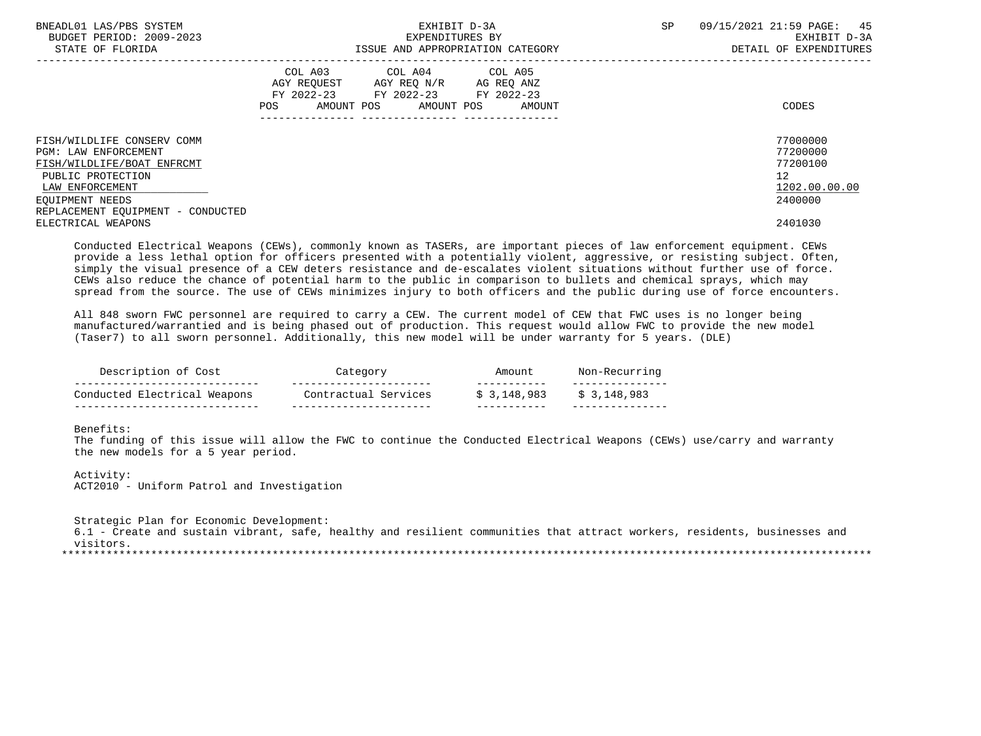| BNEADL01 LAS/PBS SYSTEM<br>BUDGET PERIOD: 2009-2023<br>STATE OF FLORIDA                                                                                                                 | EXHIBIT D-3A<br>EXPENDITURES BY<br>ISSUE AND APPROPRIATION CATEGORY                                                                         | SP<br>09/15/2021 21:59 PAGE: 45<br>EXHIBIT D-3A<br>DETAIL OF EXPENDITURES       |
|-----------------------------------------------------------------------------------------------------------------------------------------------------------------------------------------|---------------------------------------------------------------------------------------------------------------------------------------------|---------------------------------------------------------------------------------|
|                                                                                                                                                                                         | COL A03 COL A04 COL A05<br>AGY REQUEST AGY REQ N/R AG REQ ANZ<br>FY 2022-23 FY 2022-23 FY 2022-23<br>AMOUNT POS AMOUNT POS<br>POS<br>AMOUNT | CODES                                                                           |
| FISH/WILDLIFE CONSERV COMM<br><b>PGM: LAW ENFORCEMENT</b><br>FISH/WILDLIFE/BOAT ENFRCMT<br>PUBLIC PROTECTION<br>LAW ENFORCEMENT<br>EOUIPMENT NEEDS<br>REPLACEMENT EQUIPMENT - CONDUCTED |                                                                                                                                             | 77000000<br>77200000<br>77200100<br>12 <sup>°</sup><br>1202.00.00.00<br>2400000 |
| ELECTRICAL WEAPONS                                                                                                                                                                      |                                                                                                                                             | 2401030                                                                         |

 Conducted Electrical Weapons (CEWs), commonly known as TASERs, are important pieces of law enforcement equipment. CEWs provide a less lethal option for officers presented with a potentially violent, aggressive, or resisting subject. Often, simply the visual presence of a CEW deters resistance and de-escalates violent situations without further use of force. CEWs also reduce the chance of potential harm to the public in comparison to bullets and chemical sprays, which may spread from the source. The use of CEWs minimizes injury to both officers and the public during use of force encounters.

 All 848 sworn FWC personnel are required to carry a CEW. The current model of CEW that FWC uses is no longer being manufactured/warrantied and is being phased out of production. This request would allow FWC to provide the new model (Taser7) to all sworn personnel. Additionally, this new model will be under warranty for 5 years. (DLE)

| Description of Cost          | Category             | Amount       | Non-Recurring |  |
|------------------------------|----------------------|--------------|---------------|--|
| Conducted Electrical Weapons | Contractual Services | \$ 3,148,983 | \$3,148,983   |  |

Benefits:

 The funding of this issue will allow the FWC to continue the Conducted Electrical Weapons (CEWs) use/carry and warranty the new models for a 5 year period.

 Activity: ACT2010 - Uniform Patrol and Investigation

 Strategic Plan for Economic Development: 6.1 - Create and sustain vibrant, safe, healthy and resilient communities that attract workers, residents, businesses and visitors.<br>\*\*\*\*\*\*\*\*\*\*\*\*\*\*\*\*\*\*\*\*\* \*\*\*\*\*\*\*\*\*\*\*\*\*\*\*\*\*\*\*\*\*\*\*\*\*\*\*\*\*\*\*\*\*\*\*\*\*\*\*\*\*\*\*\*\*\*\*\*\*\*\*\*\*\*\*\*\*\*\*\*\*\*\*\*\*\*\*\*\*\*\*\*\*\*\*\*\*\*\*\*\*\*\*\*\*\*\*\*\*\*\*\*\*\*\*\*\*\*\*\*\*\*\*\*\*\*\*\*\*\*\*\*\*\*\*\*\*\*\*\*\*\*\*\*\*\*\*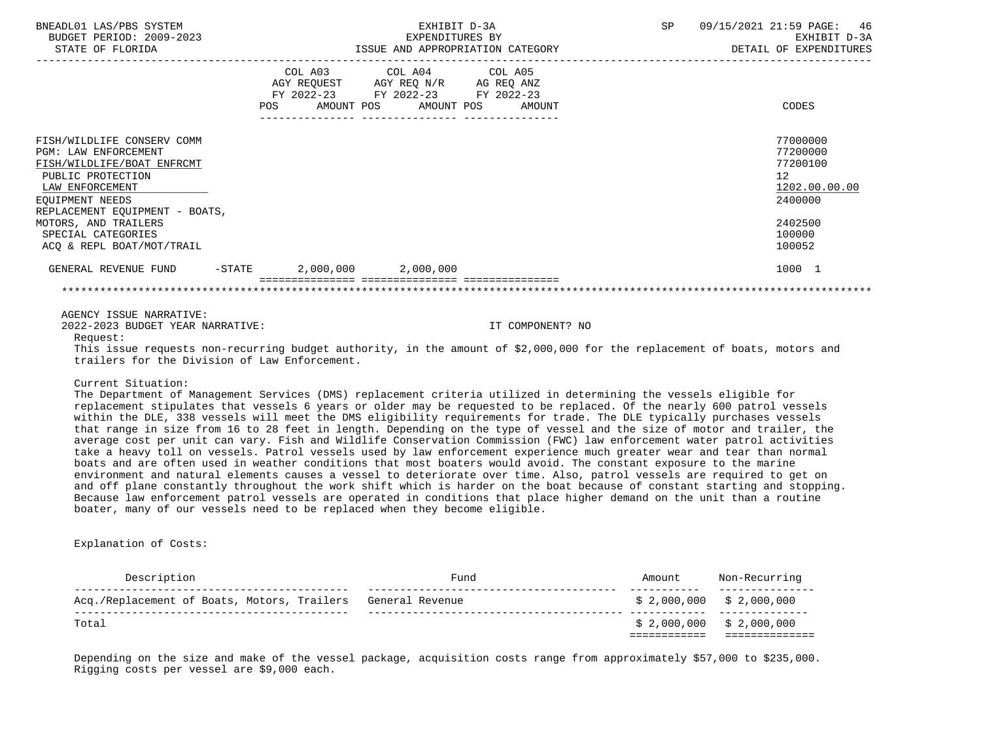| BNEADL01 LAS/PBS SYSTEM<br>BUDGET PERIOD: 2009-2023<br>STATE OF FLORIDA                                                                                                              |                                                                                                                | EXHIBIT D-3A<br>EXPENDITURES BY<br>ISSUE AND APPROPRIATION CATEGORY                                                               | - 46<br>SP<br>09/15/2021 21:59 PAGE:<br>EXHIBIT D-3A<br>DETAIL OF EXPENDITURES |
|--------------------------------------------------------------------------------------------------------------------------------------------------------------------------------------|----------------------------------------------------------------------------------------------------------------|-----------------------------------------------------------------------------------------------------------------------------------|--------------------------------------------------------------------------------|
|                                                                                                                                                                                      | POS FOR THE POST OF THE STATE STATE STATE STATE STATE STATE STATE STATE STATE STATE STATE STATE STATE STATE ST | COL A03 COL A04 COL A05<br>AGY REQUEST AGY REQ N/R AG REQ ANZ<br>FY 2022-23 FY 2022-23 FY 2022-23<br>AMOUNT POS AMOUNT POS AMOUNT | CODES                                                                          |
| FISH/WILDLIFE CONSERV COMM<br><b>PGM: LAW ENFORCEMENT</b><br>FISH/WILDLIFE/BOAT ENFRCMT<br>PUBLIC PROTECTION<br>LAW ENFORCEMENT<br>EOUIPMENT NEEDS<br>REPLACEMENT EOUIPMENT - BOATS, |                                                                                                                |                                                                                                                                   | 77000000<br>77200000<br>77200100<br>12<br>1202.00.00.00<br>2400000             |
| MOTORS, AND TRAILERS<br>SPECIAL CATEGORIES<br>ACO & REPL BOAT/MOT/TRAIL                                                                                                              |                                                                                                                |                                                                                                                                   | 2402500<br>100000<br>100052                                                    |
| GENERAL REVENUE FUND<br>$-$ STATE                                                                                                                                                    | 2,000,000 2,000,000                                                                                            |                                                                                                                                   | 1000 1                                                                         |
|                                                                                                                                                                                      |                                                                                                                |                                                                                                                                   |                                                                                |

### AGENCY ISSUE NARRATIVE:

2022-2023 BUDGET YEAR NARRATIVE: IT COMPONENT? NO

Request:

 This issue requests non-recurring budget authority, in the amount of \$2,000,000 for the replacement of boats, motors and trailers for the Division of Law Enforcement.

### Current Situation:

 The Department of Management Services (DMS) replacement criteria utilized in determining the vessels eligible for replacement stipulates that vessels 6 years or older may be requested to be replaced. Of the nearly 600 patrol vessels within the DLE, 338 vessels will meet the DMS eligibility requirements for trade. The DLE typically purchases vessels that range in size from 16 to 28 feet in length. Depending on the type of vessel and the size of motor and trailer, the average cost per unit can vary. Fish and Wildlife Conservation Commission (FWC) law enforcement water patrol activities take a heavy toll on vessels. Patrol vessels used by law enforcement experience much greater wear and tear than normal boats and are often used in weather conditions that most boaters would avoid. The constant exposure to the marine environment and natural elements causes a vessel to deteriorate over time. Also, patrol vessels are required to get on and off plane constantly throughout the work shift which is harder on the boat because of constant starting and stopping. Because law enforcement patrol vessels are operated in conditions that place higher demand on the unit than a routine boater, many of our vessels need to be replaced when they become eligible.

### Explanation of Costs:

| Description                                                 | Fund | Amount | Non-Recurring             |
|-------------------------------------------------------------|------|--------|---------------------------|
| Acq./Replacement of Boats, Motors, Trailers General Revenue |      |        | $$2,000,000$ $$2,000,000$ |
| Total                                                       |      |        | $$2,000,000$ $$2,000,000$ |

 Depending on the size and make of the vessel package, acquisition costs range from approximately \$57,000 to \$235,000. Rigging costs per vessel are \$9,000 each.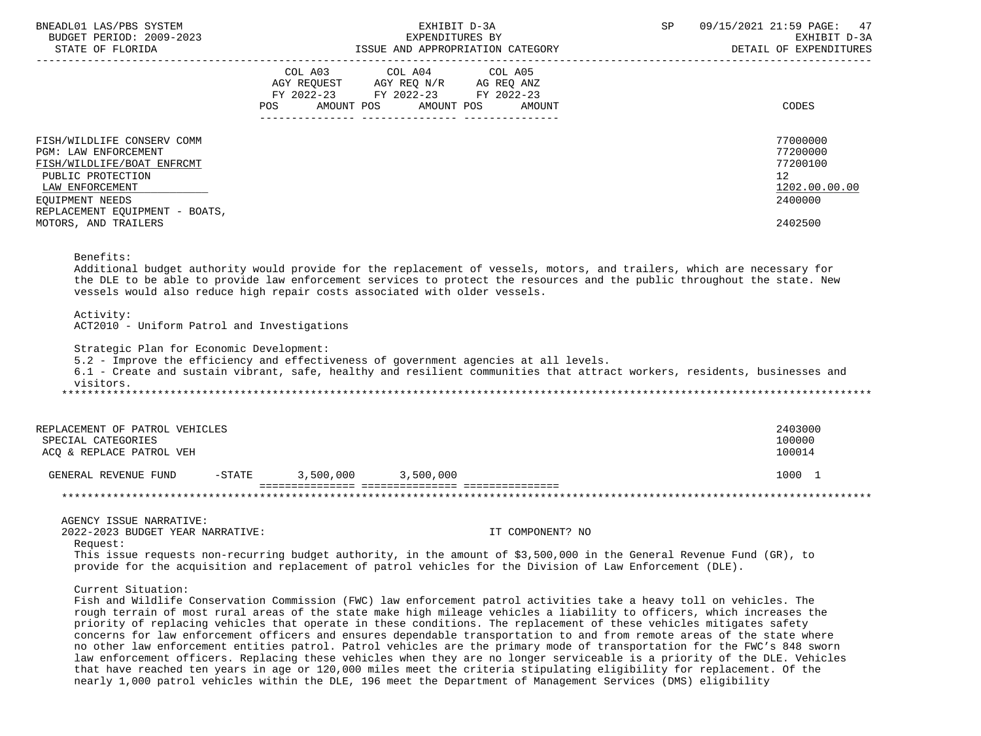| BNEADL01 LAS/PBS SYSTEM<br>BUDGET PERIOD: 2009-2023                                                                                         |                                                                                                                                  | EXHIBIT D-3A<br>EXPENDITURES BY                                                                                                                                                                                                                                                                                                                                                                                                                                                                                                                                                                                              | SP | 09/15/2021 21:59 PAGE:<br>47<br>EXHIBIT D-3A                       |
|---------------------------------------------------------------------------------------------------------------------------------------------|----------------------------------------------------------------------------------------------------------------------------------|------------------------------------------------------------------------------------------------------------------------------------------------------------------------------------------------------------------------------------------------------------------------------------------------------------------------------------------------------------------------------------------------------------------------------------------------------------------------------------------------------------------------------------------------------------------------------------------------------------------------------|----|--------------------------------------------------------------------|
| STATE OF FLORIDA                                                                                                                            |                                                                                                                                  | ISSUE AND APPROPRIATION CATEGORY                                                                                                                                                                                                                                                                                                                                                                                                                                                                                                                                                                                             |    | DETAIL OF EXPENDITURES                                             |
|                                                                                                                                             | COL A03<br>COL A04<br>AGY REQUEST AGY REQ N/R AG REQ ANZ<br>FY 2022-23 FY 2022-23 FY 2022-23<br>POS AMOUNT POS AMOUNT POS AMOUNT | COL A05                                                                                                                                                                                                                                                                                                                                                                                                                                                                                                                                                                                                                      |    | CODES                                                              |
|                                                                                                                                             |                                                                                                                                  |                                                                                                                                                                                                                                                                                                                                                                                                                                                                                                                                                                                                                              |    |                                                                    |
| FISH/WILDLIFE CONSERV COMM<br>PGM: LAW ENFORCEMENT<br>FISH/WILDLIFE/BOAT ENFRCMT<br>PUBLIC PROTECTION<br>LAW ENFORCEMENT<br>EQUIPMENT NEEDS |                                                                                                                                  |                                                                                                                                                                                                                                                                                                                                                                                                                                                                                                                                                                                                                              |    | 77000000<br>77200000<br>77200100<br>12<br>1202.00.00.00<br>2400000 |
| REPLACEMENT EQUIPMENT - BOATS,<br>MOTORS, AND TRAILERS                                                                                      |                                                                                                                                  |                                                                                                                                                                                                                                                                                                                                                                                                                                                                                                                                                                                                                              |    | 2402500                                                            |
| Activity:<br>ACT2010 - Uniform Patrol and Investigations<br>Strategic Plan for Economic Development:<br>visitors.                           | vessels would also reduce high repair costs associated with older vessels.                                                       | the DLE to be able to provide law enforcement services to protect the resources and the public throughout the state. New<br>5.2 - Improve the efficiency and effectiveness of government agencies at all levels.<br>6.1 - Create and sustain vibrant, safe, healthy and resilient communities that attract workers, residents, businesses and                                                                                                                                                                                                                                                                                |    |                                                                    |
| REPLACEMENT OF PATROL VEHICLES<br>SPECIAL CATEGORIES<br>ACQ & REPLACE PATROL VEH                                                            |                                                                                                                                  |                                                                                                                                                                                                                                                                                                                                                                                                                                                                                                                                                                                                                              |    | 2403000<br>100000<br>100014                                        |
| GENERAL REVENUE FUND                                                                                                                        | $-STATE$ 3,500,000 3,500,000                                                                                                     |                                                                                                                                                                                                                                                                                                                                                                                                                                                                                                                                                                                                                              |    | 1000 1                                                             |
|                                                                                                                                             |                                                                                                                                  |                                                                                                                                                                                                                                                                                                                                                                                                                                                                                                                                                                                                                              |    |                                                                    |
| AGENCY ISSUE NARRATIVE:<br>2022-2023 BUDGET YEAR NARRATIVE:<br>Request:                                                                     |                                                                                                                                  | IT COMPONENT? NO                                                                                                                                                                                                                                                                                                                                                                                                                                                                                                                                                                                                             |    |                                                                    |
|                                                                                                                                             |                                                                                                                                  | This issue requests non-recurring budget authority, in the amount of \$3,500,000 in the General Revenue Fund (GR), to<br>provide for the acquisition and replacement of patrol vehicles for the Division of Law Enforcement (DLE).                                                                                                                                                                                                                                                                                                                                                                                           |    |                                                                    |
| Current Situation:                                                                                                                          |                                                                                                                                  | Fish and Wildlife Conservation Commission (FWC) law enforcement patrol activities take a heavy toll on vehicles. The<br>rough terrain of most rural areas of the state make high mileage vehicles a liability to officers, which increases the<br>priority of replacing vehicles that operate in these conditions. The replacement of these vehicles mitigates safety<br>concerns for law enforcement officers and ensures dependable transportation to and from remote areas of the state where<br>no other law enforcement entities patrol. Patrol vehicles are the primary mode of transportation for the FWC's 848 sworn |    |                                                                    |

 law enforcement officers. Replacing these vehicles when they are no longer serviceable is a priority of the DLE. Vehicles that have reached ten years in age or 120,000 miles meet the criteria stipulating eligibility for replacement. Of the nearly 1,000 patrol vehicles within the DLE, 196 meet the Department of Management Services (DMS) eligibility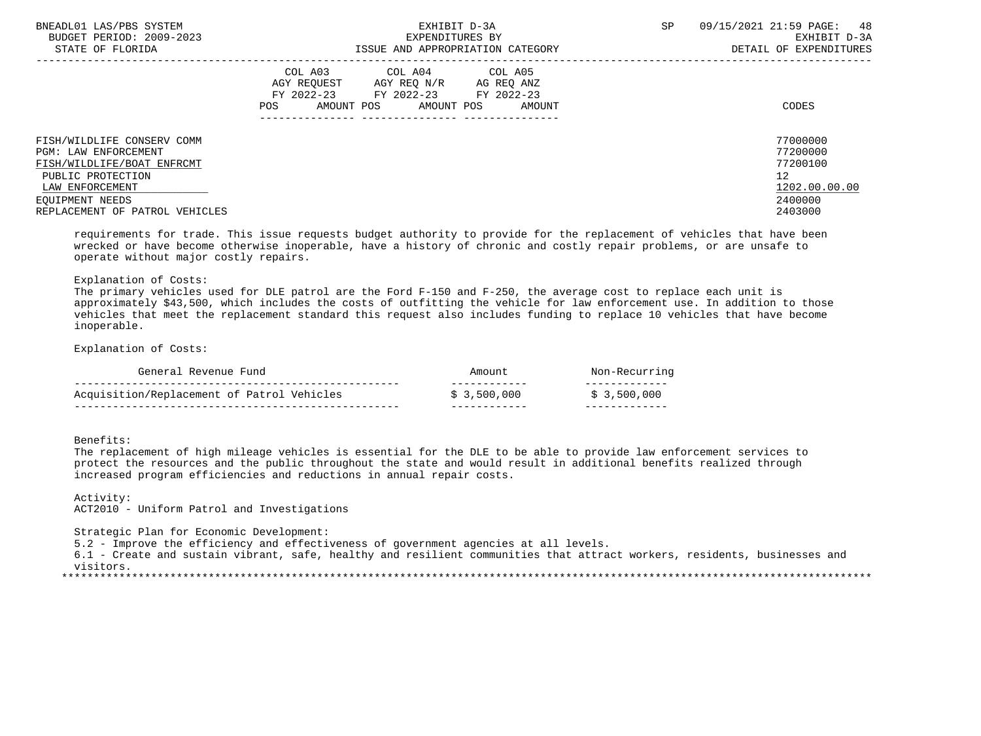| BNEADL01 LAS/PBS SYSTEM<br>BUDGET PERIOD: 2009-2023                | EXHIBIT D-3A<br>EXPENDITURES BY                                                                                                                   | 09/15/2021 21:59 PAGE:<br>48<br>SP<br>EXHIBIT D-3A |
|--------------------------------------------------------------------|---------------------------------------------------------------------------------------------------------------------------------------------------|----------------------------------------------------|
| STATE OF FLORIDA                                                   | ISSUE AND APPROPRIATION CATEGORY                                                                                                                  | DETAIL OF EXPENDITURES                             |
|                                                                    | COL A03 COL A04 COL A05<br>AGY REOUEST<br>AGY REO N/R<br>AG REO ANZ<br>FY 2022-23 FY 2022-23 FY 2022-23<br>AMOUNT POS AMOUNT POS<br>AMOUNT<br>POS | CODES                                              |
| FISH/WILDLIFE CONSERV COMM<br><b>PGM: LAW ENFORCEMENT</b>          |                                                                                                                                                   | 77000000<br>77200000<br>77200100                   |
| FISH/WILDLIFE/BOAT ENFRCMT<br>PUBLIC PROTECTION<br>LAW ENFORCEMENT |                                                                                                                                                   | 12<br>1202.00.00.00                                |
| EOUIPMENT NEEDS<br>REPLACEMENT OF PATROL VEHICLES                  |                                                                                                                                                   | 2400000<br>2403000                                 |

 requirements for trade. This issue requests budget authority to provide for the replacement of vehicles that have been wrecked or have become otherwise inoperable, have a history of chronic and costly repair problems, or are unsafe to operate without major costly repairs.

### Explanation of Costs:

 The primary vehicles used for DLE patrol are the Ford F-150 and F-250, the average cost to replace each unit is approximately \$43,500, which includes the costs of outfitting the vehicle for law enforcement use. In addition to those vehicles that meet the replacement standard this request also includes funding to replace 10 vehicles that have become inoperable.

Explanation of Costs:

| General Revenue Fund                       | Amount       | Non-Recurring |
|--------------------------------------------|--------------|---------------|
| Acquisition/Replacement of Patrol Vehicles | \$ 3,500,000 | \$3,500,000   |

Benefits:

 The replacement of high mileage vehicles is essential for the DLE to be able to provide law enforcement services to protect the resources and the public throughout the state and would result in additional benefits realized through increased program efficiencies and reductions in annual repair costs.

 Activity: ACT2010 - Uniform Patrol and Investigations

Strategic Plan for Economic Development:

5.2 - Improve the efficiency and effectiveness of government agencies at all levels.

 6.1 - Create and sustain vibrant, safe, healthy and resilient communities that attract workers, residents, businesses and visitors.

\*\*\*\*\*\*\*\*\*\*\*\*\*\*\*\*\*\*\*\*\*\*\*\*\*\*\*\*\*\*\*\*\*\*\*\*\*\*\*\*\*\*\*\*\*\*\*\*\*\*\*\*\*\*\*\*\*\*\*\*\*\*\*\*\*\*\*\*\*\*\*\*\*\*\*\*\*\*\*\*\*\*\*\*\*\*\*\*\*\*\*\*\*\*\*\*\*\*\*\*\*\*\*\*\*\*\*\*\*\*\*\*\*\*\*\*\*\*\*\*\*\*\*\*\*\*\*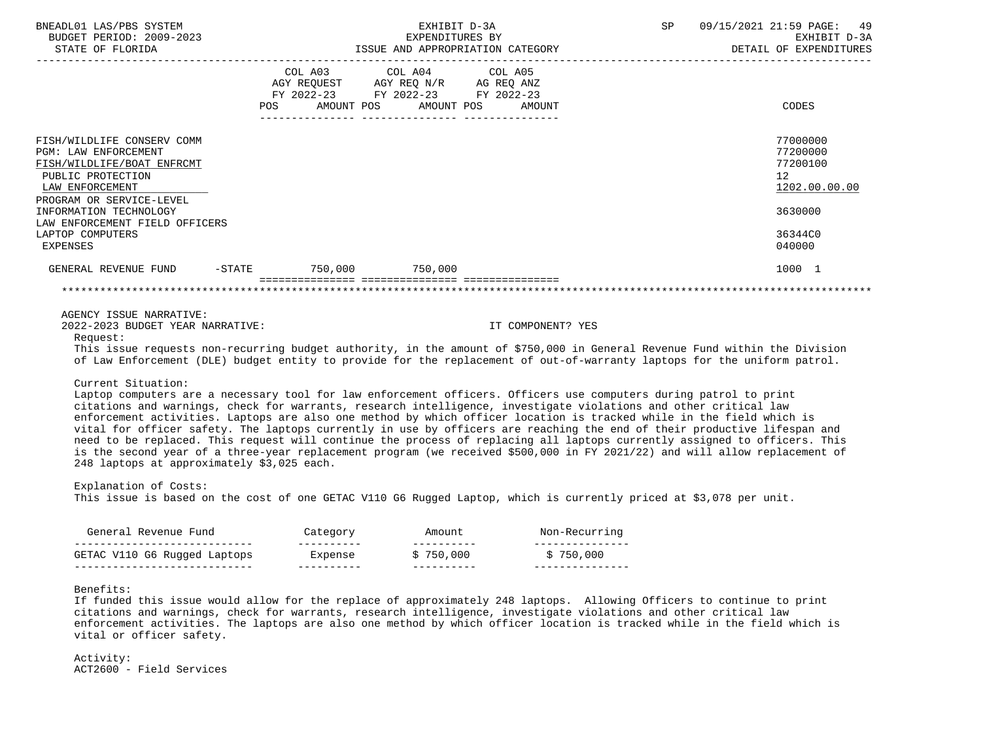| BNEADL01 LAS/PBS SYSTEM<br>BUDGET PERIOD: 2009-2023<br>STATE OF FLORIDA                                                                                                                                                                                                                                                                                                                                                                                                                                                                                                                                                                                                                                                                                                                                                  |                        | EXHIBIT D-3A<br>EXPENDITURES BY                                                                                       | ISSUE AND APPROPRIATION CATEGORY | 09/15/2021 21:59 PAGE:<br>SP<br>49<br>EXHIBIT D-3A<br>DETAIL OF EXPENDITURES  |
|--------------------------------------------------------------------------------------------------------------------------------------------------------------------------------------------------------------------------------------------------------------------------------------------------------------------------------------------------------------------------------------------------------------------------------------------------------------------------------------------------------------------------------------------------------------------------------------------------------------------------------------------------------------------------------------------------------------------------------------------------------------------------------------------------------------------------|------------------------|-----------------------------------------------------------------------------------------------------------------------|----------------------------------|-------------------------------------------------------------------------------|
|                                                                                                                                                                                                                                                                                                                                                                                                                                                                                                                                                                                                                                                                                                                                                                                                                          | COL A03<br>POS FOR     | COL A04<br>COL A05<br>AGY REQUEST AGY REQ N/R AG REQ ANZ<br>FY 2022-23 FY 2022-23 FY 2022-23<br>AMOUNT POS AMOUNT POS | AMOUNT                           | <b>CODES</b>                                                                  |
| FISH/WILDLIFE CONSERV COMM<br><b>PGM: LAW ENFORCEMENT</b><br>FISH/WILDLIFE/BOAT ENFRCMT<br>PUBLIC PROTECTION<br>LAW ENFORCEMENT<br>PROGRAM OR SERVICE-LEVEL<br>INFORMATION TECHNOLOGY<br>LAW ENFORCEMENT FIELD OFFICERS<br>LAPTOP COMPUTERS                                                                                                                                                                                                                                                                                                                                                                                                                                                                                                                                                                              |                        |                                                                                                                       |                                  | 77000000<br>77200000<br>77200100<br>12<br>1202.00.00.00<br>3630000<br>36344C0 |
| <b>EXPENSES</b><br>GENERAL REVENUE FUND                                                                                                                                                                                                                                                                                                                                                                                                                                                                                                                                                                                                                                                                                                                                                                                  | -STATE 750,000 750,000 |                                                                                                                       |                                  | 040000<br>1000 1                                                              |
|                                                                                                                                                                                                                                                                                                                                                                                                                                                                                                                                                                                                                                                                                                                                                                                                                          |                        |                                                                                                                       |                                  |                                                                               |
| AGENCY ISSUE NARRATIVE:<br>2022-2023 BUDGET YEAR NARRATIVE:<br>Request:<br>This issue requests non-recurring budget authority, in the amount of \$750,000 in General Revenue Fund within the Division<br>of Law Enforcement (DLE) budget entity to provide for the replacement of out-of-warranty laptops for the uniform patrol.                                                                                                                                                                                                                                                                                                                                                                                                                                                                                        |                        |                                                                                                                       | IT COMPONENT? YES                |                                                                               |
| Current Situation:<br>Laptop computers are a necessary tool for law enforcement officers. Officers use computers during patrol to print<br>citations and warnings, check for warrants, research intelligence, investigate violations and other critical law<br>enforcement activities. Laptops are also one method by which officer location is tracked while in the field which is<br>vital for officer safety. The laptops currently in use by officers are reaching the end of their productive lifespan and<br>need to be replaced. This request will continue the process of replacing all laptops currently assigned to officers. This<br>is the second year of a three-year replacement program (we received \$500,000 in FY 2021/22) and will allow replacement of<br>248 laptops at approximately \$3,025 each. |                        |                                                                                                                       |                                  |                                                                               |
| Explanation of Costs:<br>This issue is based on the cost of one GETAC V110 G6 Rugged Laptop, which is currently priced at \$3,078 per unit.                                                                                                                                                                                                                                                                                                                                                                                                                                                                                                                                                                                                                                                                              |                        |                                                                                                                       |                                  |                                                                               |
| General Revenue Fund                                                                                                                                                                                                                                                                                                                                                                                                                                                                                                                                                                                                                                                                                                                                                                                                     | Category               | Amount                                                                                                                | Non-Recurring                    |                                                                               |
| _______________________________<br>GETAC V110 G6 Rugged Laptops                                                                                                                                                                                                                                                                                                                                                                                                                                                                                                                                                                                                                                                                                                                                                          | -----------<br>Expense | -----------<br>\$750.000                                                                                              | ----------------<br>\$750,000    |                                                                               |

Benefits:

 If funded this issue would allow for the replace of approximately 248 laptops. Allowing Officers to continue to print citations and warnings, check for warrants, research intelligence, investigate violations and other critical law enforcement activities. The laptops are also one method by which officer location is tracked while in the field which is vital or officer safety.

---------------------------- ---------- ---------- ---------------

 Activity: ACT2600 - Field Services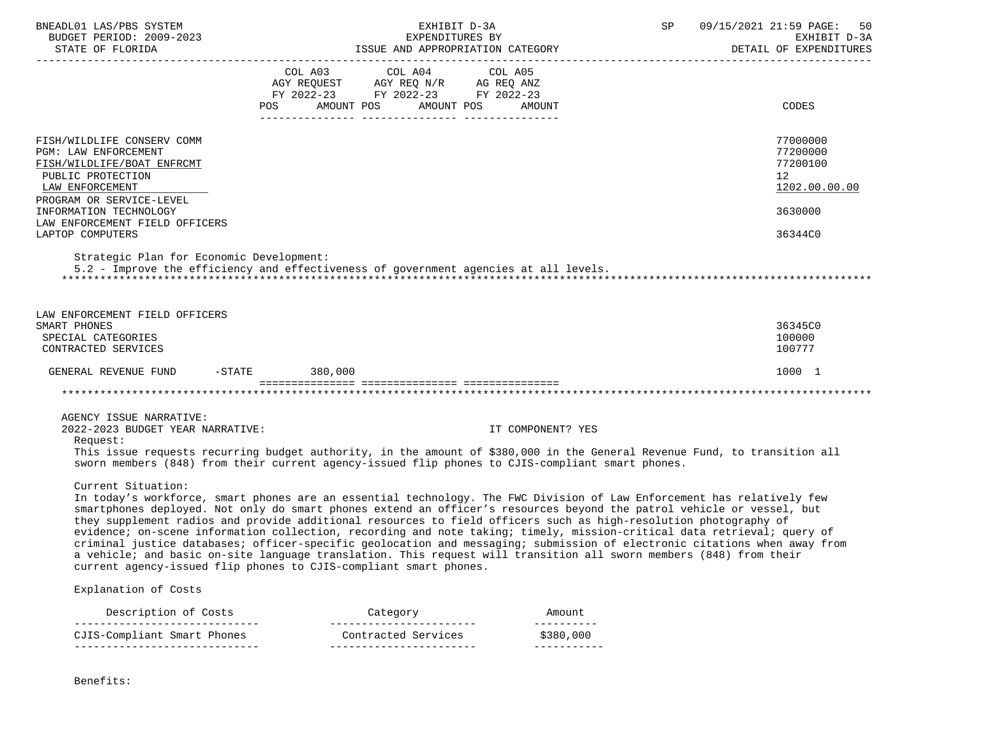| BNEADL01 LAS/PBS SYSTEM<br>BUDGET PERIOD: 2009-2023                                                                                                  | EXHIBIT D-3A<br>EXPENDITURES BY                                                                                                                                                                                                                                                                                                                                                                                                                                                                                                                                                                                                                                                                                                                                                                                        |                          | 09/15/2021 21:59 PAGE: 50<br>SP<br>EXHIBIT D-3A<br>DETAIL OF EXPENDITURES |
|------------------------------------------------------------------------------------------------------------------------------------------------------|------------------------------------------------------------------------------------------------------------------------------------------------------------------------------------------------------------------------------------------------------------------------------------------------------------------------------------------------------------------------------------------------------------------------------------------------------------------------------------------------------------------------------------------------------------------------------------------------------------------------------------------------------------------------------------------------------------------------------------------------------------------------------------------------------------------------|--------------------------|---------------------------------------------------------------------------|
|                                                                                                                                                      | COL A03 COL A04 COL A05<br>AGY REQUEST AGY REQ N/R AG REQ ANZ<br>FY 2022-23 FY 2022-23 FY 2022-23<br>AMOUNT POS<br>AMOUNT POS<br>POS                                                                                                                                                                                                                                                                                                                                                                                                                                                                                                                                                                                                                                                                                   | AMOUNT                   | CODES                                                                     |
| FISH/WILDLIFE CONSERV COMM<br>PGM: LAW ENFORCEMENT<br>FISH/WILDLIFE/BOAT ENFRCMT<br>PUBLIC PROTECTION<br>LAW ENFORCEMENT<br>PROGRAM OR SERVICE-LEVEL |                                                                                                                                                                                                                                                                                                                                                                                                                                                                                                                                                                                                                                                                                                                                                                                                                        |                          | 77000000<br>77200000<br>77200100<br>12<br>1202.00.00.00                   |
| INFORMATION TECHNOLOGY<br>LAW ENFORCEMENT FIELD OFFICERS<br>LAPTOP COMPUTERS                                                                         |                                                                                                                                                                                                                                                                                                                                                                                                                                                                                                                                                                                                                                                                                                                                                                                                                        |                          | 3630000<br>36344C0                                                        |
| Strategic Plan for Economic Development:                                                                                                             | 5.2 - Improve the efficiency and effectiveness of government agencies at all levels.                                                                                                                                                                                                                                                                                                                                                                                                                                                                                                                                                                                                                                                                                                                                   |                          |                                                                           |
| LAW ENFORCEMENT FIELD OFFICERS<br>SMART PHONES<br>SPECIAL CATEGORIES<br>CONTRACTED SERVICES                                                          |                                                                                                                                                                                                                                                                                                                                                                                                                                                                                                                                                                                                                                                                                                                                                                                                                        |                          | 36345C0<br>100000<br>100777                                               |
| GENERAL REVENUE FUND -STATE 380,000                                                                                                                  |                                                                                                                                                                                                                                                                                                                                                                                                                                                                                                                                                                                                                                                                                                                                                                                                                        |                          | 1000 1                                                                    |
|                                                                                                                                                      |                                                                                                                                                                                                                                                                                                                                                                                                                                                                                                                                                                                                                                                                                                                                                                                                                        |                          |                                                                           |
| AGENCY ISSUE NARRATIVE:<br>2022-2023 BUDGET YEAR NARRATIVE:<br>Request:                                                                              | This issue requests recurring budget authority, in the amount of \$380,000 in the General Revenue Fund, to transition all<br>sworn members (848) from their current agency-issued flip phones to CJIS-compliant smart phones.                                                                                                                                                                                                                                                                                                                                                                                                                                                                                                                                                                                          | IT COMPONENT? YES        |                                                                           |
| Current Situation:                                                                                                                                   | In today's workforce, smart phones are an essential technology. The FWC Division of Law Enforcement has relatively few<br>smartphones deployed. Not only do smart phones extend an officer's resources beyond the patrol vehicle or vessel, but<br>they supplement radios and provide additional resources to field officers such as high-resolution photography of<br>evidence; on-scene information collection, recording and note taking; timely, mission-critical data retrieval; query of<br>criminal justice databases; officer-specific geolocation and messaging; submission of electronic citations when away from<br>a vehicle; and basic on-site language translation. This request will transition all sworn members (848) from their<br>current agency-issued flip phones to CJIS-compliant smart phones. |                          |                                                                           |
| Explanation of Costs                                                                                                                                 |                                                                                                                                                                                                                                                                                                                                                                                                                                                                                                                                                                                                                                                                                                                                                                                                                        |                          |                                                                           |
| Description of Costs                                                                                                                                 | Category                                                                                                                                                                                                                                                                                                                                                                                                                                                                                                                                                                                                                                                                                                                                                                                                               | Amount<br>----------     |                                                                           |
| CJIS-Compliant Smart Phones<br>-----------------------------                                                                                         | Contracted Services<br>-----------------------                                                                                                                                                                                                                                                                                                                                                                                                                                                                                                                                                                                                                                                                                                                                                                         | \$380,000<br>----------- |                                                                           |

Benefits: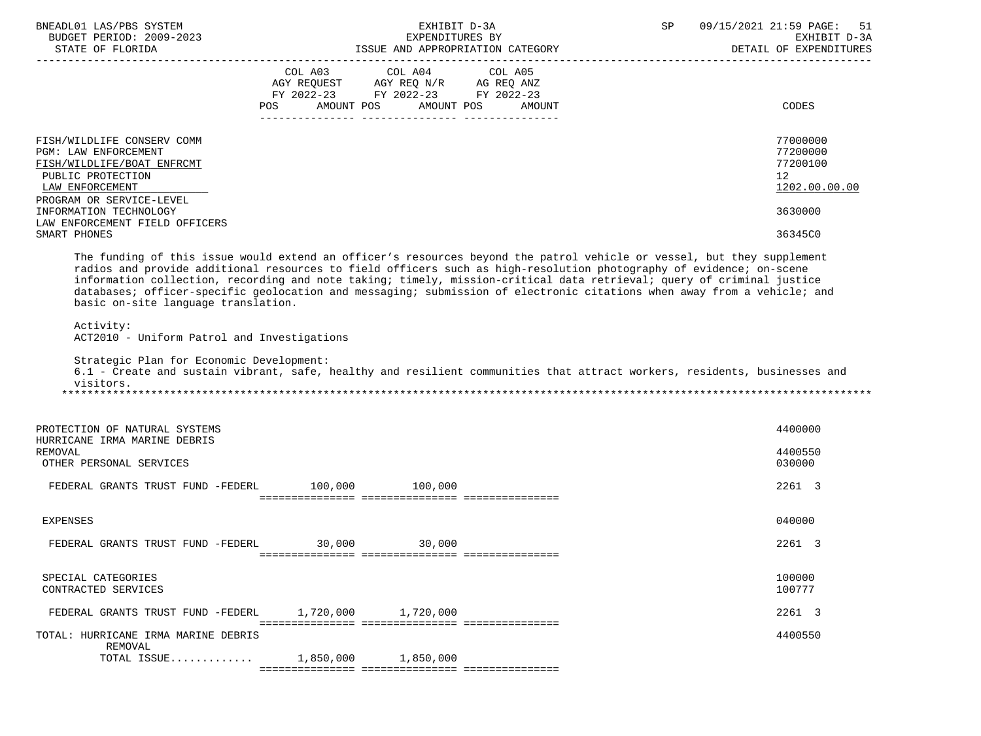| BNEADL01 LAS/PBS SYSTEM                                                                                                                                                                                                                                                                                                                                                                                                                                                                                                                  |                                    | EXHIBIT D-3A    |                              | SP | 09/15/2021 21:59 PAGE:<br>51 |
|------------------------------------------------------------------------------------------------------------------------------------------------------------------------------------------------------------------------------------------------------------------------------------------------------------------------------------------------------------------------------------------------------------------------------------------------------------------------------------------------------------------------------------------|------------------------------------|-----------------|------------------------------|----|------------------------------|
| BUDGET PERIOD: 2009-2023                                                                                                                                                                                                                                                                                                                                                                                                                                                                                                                 |                                    | EXPENDITURES BY |                              |    | EXHIBIT D-3A                 |
| EXERCIT OF THE SERVITIONED BY THE SERVITION OF THE PERIOD BALL OF EXPENDITURES<br>STATE OF FLORIDA TSSUE AND APPROPRIATION CATEGORY DETAIL OF EXPENDITURES                                                                                                                                                                                                                                                                                                                                                                               |                                    |                 |                              |    | DETAIL OF EXPENDITURES       |
|                                                                                                                                                                                                                                                                                                                                                                                                                                                                                                                                          | COL A03                            | COL A04 COL A05 |                              |    |                              |
|                                                                                                                                                                                                                                                                                                                                                                                                                                                                                                                                          | AGY REQUEST AGY REQ N/R AG REQ ANZ |                 |                              |    |                              |
|                                                                                                                                                                                                                                                                                                                                                                                                                                                                                                                                          | FY 2022-23 FY 2022-23 FY 2022-23   |                 |                              |    |                              |
|                                                                                                                                                                                                                                                                                                                                                                                                                                                                                                                                          | POS                                |                 | AMOUNT POS AMOUNT POS AMOUNT |    | CODES                        |
|                                                                                                                                                                                                                                                                                                                                                                                                                                                                                                                                          |                                    |                 |                              |    |                              |
| FISH/WILDLIFE CONSERV COMM                                                                                                                                                                                                                                                                                                                                                                                                                                                                                                               |                                    |                 |                              |    | 77000000                     |
| PGM: LAW ENFORCEMENT                                                                                                                                                                                                                                                                                                                                                                                                                                                                                                                     |                                    |                 |                              |    | 77200000                     |
| FISH/WILDLIFE/BOAT ENFRCMT                                                                                                                                                                                                                                                                                                                                                                                                                                                                                                               |                                    |                 |                              |    | 77200100                     |
| PUBLIC PROTECTION                                                                                                                                                                                                                                                                                                                                                                                                                                                                                                                        |                                    |                 |                              |    | 12 <sup>°</sup>              |
| LAW ENFORCEMENT                                                                                                                                                                                                                                                                                                                                                                                                                                                                                                                          |                                    |                 |                              |    | 1202.00.00.00                |
| PROGRAM OR SERVICE-LEVEL                                                                                                                                                                                                                                                                                                                                                                                                                                                                                                                 |                                    |                 |                              |    |                              |
| INFORMATION TECHNOLOGY                                                                                                                                                                                                                                                                                                                                                                                                                                                                                                                   |                                    |                 |                              |    | 3630000                      |
| LAW ENFORCEMENT FIELD OFFICERS                                                                                                                                                                                                                                                                                                                                                                                                                                                                                                           |                                    |                 |                              |    |                              |
| SMART PHONES                                                                                                                                                                                                                                                                                                                                                                                                                                                                                                                             |                                    |                 |                              |    | 36345C0                      |
| The funding of this issue would extend an officer's resources beyond the patrol vehicle or vessel, but they supplement<br>radios and provide additional resources to field officers such as high-resolution photography of evidence; on-scene<br>information collection, recording and note taking; timely, mission-critical data retrieval; query of criminal justice<br>databases; officer-specific geolocation and messaging; submission of electronic citations when away from a vehicle; and<br>basic on-site language translation. |                                    |                 |                              |    |                              |
| Activity:<br>ACT2010 - Uniform Patrol and Investigations                                                                                                                                                                                                                                                                                                                                                                                                                                                                                 |                                    |                 |                              |    |                              |
| Strategic Plan for Economic Development:<br>6.1 - Create and sustain vibrant, safe, healthy and resilient communities that attract workers, residents, businesses and<br>visitors.                                                                                                                                                                                                                                                                                                                                                       |                                    |                 |                              |    |                              |
| PROTECTION OF NATURAL SYSTEMS<br>HURRICANE IRMA MARINE DEBRIS                                                                                                                                                                                                                                                                                                                                                                                                                                                                            |                                    |                 |                              |    | 4400000                      |
| REMOVAL                                                                                                                                                                                                                                                                                                                                                                                                                                                                                                                                  |                                    |                 |                              |    | 4400550                      |
| OTHER PERSONAL SERVICES                                                                                                                                                                                                                                                                                                                                                                                                                                                                                                                  |                                    |                 |                              |    | 030000                       |
|                                                                                                                                                                                                                                                                                                                                                                                                                                                                                                                                          |                                    |                 |                              |    |                              |
| FEDERAL GRANTS TRUST FUND -FEDERL 100,000 100,000                                                                                                                                                                                                                                                                                                                                                                                                                                                                                        |                                    |                 |                              |    | 2261 3                       |
|                                                                                                                                                                                                                                                                                                                                                                                                                                                                                                                                          |                                    |                 |                              |    |                              |
| <b>EXPENSES</b>                                                                                                                                                                                                                                                                                                                                                                                                                                                                                                                          |                                    |                 |                              |    | 040000                       |
|                                                                                                                                                                                                                                                                                                                                                                                                                                                                                                                                          |                                    |                 |                              |    |                              |
| FEDERAL GRANTS TRUST FUND -FEDERL 30,000                                                                                                                                                                                                                                                                                                                                                                                                                                                                                                 |                                    | 30,000          |                              |    | 2261 3                       |
|                                                                                                                                                                                                                                                                                                                                                                                                                                                                                                                                          |                                    |                 |                              |    |                              |
| SPECIAL CATEGORIES<br>CONTRACTED SERVICES                                                                                                                                                                                                                                                                                                                                                                                                                                                                                                |                                    |                 |                              |    | 100000<br>100777             |
| FEDERAL GRANTS TRUST FUND -FEDERL                                                                                                                                                                                                                                                                                                                                                                                                                                                                                                        | 1,720,000                          | 1,720,000       |                              |    | 2261 3                       |
| TOTAL: HURRICANE IRMA MARINE DEBRIS<br>REMOVAL                                                                                                                                                                                                                                                                                                                                                                                                                                                                                           |                                    |                 |                              |    | 4400550                      |
| TOTAL ISSUE                                                                                                                                                                                                                                                                                                                                                                                                                                                                                                                              | 1,850,000                          | 1,850,000       |                              |    |                              |
|                                                                                                                                                                                                                                                                                                                                                                                                                                                                                                                                          |                                    |                 |                              |    |                              |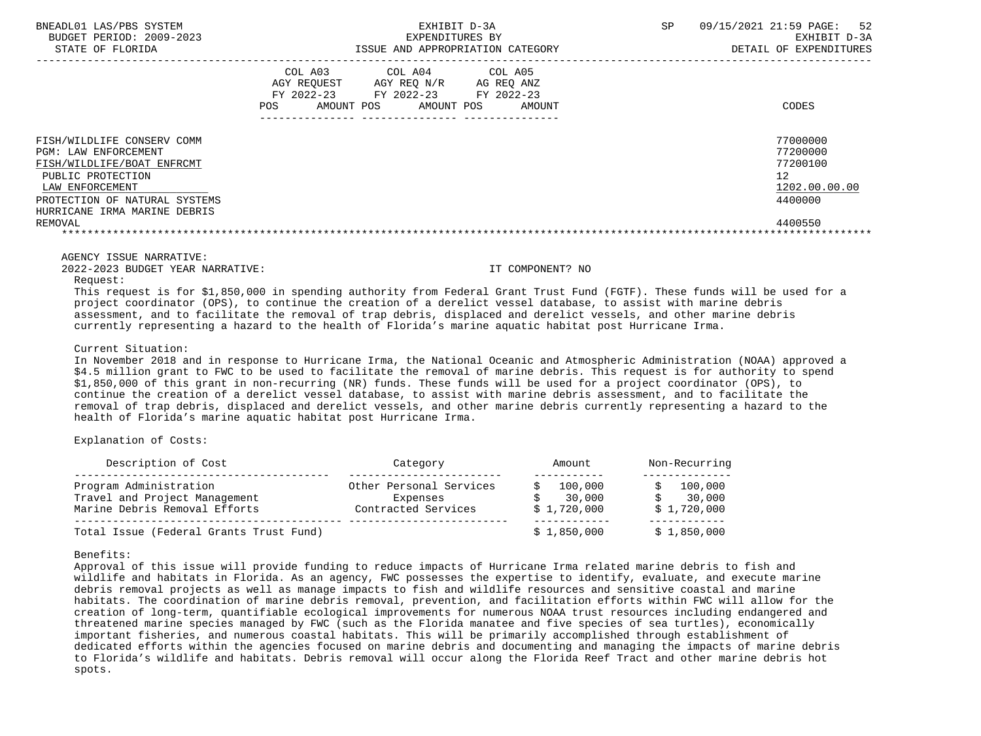| BNEADL01 LAS/PBS SYSTEM<br>BUDGET PERIOD: 2009-2023<br>STATE OF FLORIDA                                                                                                                              | EXHIBIT D-3A<br>EXPENDITURES BY<br>ISSUE AND APPROPRIATION CATEGORY                                                                               | 52<br><b>SP</b><br>09/15/2021 21:59 PAGE:<br>EXHIBIT D-3A<br>DETAIL OF EXPENDITURES |
|------------------------------------------------------------------------------------------------------------------------------------------------------------------------------------------------------|---------------------------------------------------------------------------------------------------------------------------------------------------|-------------------------------------------------------------------------------------|
|                                                                                                                                                                                                      | COL A03<br>COL A04 COL A05<br>AGY REQUEST AGY REQ N/R<br>AG REQ ANZ<br>FY 2022-23 FY 2022-23 FY 2022-23<br>AMOUNT POS AMOUNT POS<br>POS<br>AMOUNT | CODES                                                                               |
| FISH/WILDLIFE CONSERV COMM<br>PGM: LAW ENFORCEMENT<br>FISH/WILDLIFE/BOAT ENFRCMT<br>PUBLIC PROTECTION<br>LAW ENFORCEMENT<br>PROTECTION OF NATURAL SYSTEMS<br>HURRICANE IRMA MARINE DEBRIS<br>REMOVAL |                                                                                                                                                   | 77000000<br>77200000<br>77200100<br>12<br>1202.00.00.00<br>4400000<br>4400550       |

AGENCY ISSUE NARRATIVE:

2022-2023 BUDGET YEAR NARRATIVE: IT COMPONENT? NO

Request:

 This request is for \$1,850,000 in spending authority from Federal Grant Trust Fund (FGTF). These funds will be used for a project coordinator (OPS), to continue the creation of a derelict vessel database, to assist with marine debris assessment, and to facilitate the removal of trap debris, displaced and derelict vessels, and other marine debris currently representing a hazard to the health of Florida's marine aquatic habitat post Hurricane Irma.

Current Situation:

 In November 2018 and in response to Hurricane Irma, the National Oceanic and Atmospheric Administration (NOAA) approved a \$4.5 million grant to FWC to be used to facilitate the removal of marine debris. This request is for authority to spend \$1,850,000 of this grant in non-recurring (NR) funds. These funds will be used for a project coordinator (OPS), to continue the creation of a derelict vessel database, to assist with marine debris assessment, and to facilitate the removal of trap debris, displaced and derelict vessels, and other marine debris currently representing a hazard to the health of Florida's marine aquatic habitat post Hurricane Irma.

Explanation of Costs:

| Description of Cost                     | Category                | Amount      | Non-Recurring |
|-----------------------------------------|-------------------------|-------------|---------------|
| Program Administration                  | Other Personal Services | 100,000     | 100,000       |
| Travel and Project Management           | Expenses                | 30,000      | 30,000        |
| Marine Debris Removal Efforts           | Contracted Services     | \$1,720,000 | \$1,720,000   |
| Total Issue (Federal Grants Trust Fund) |                         | \$1,850,000 | \$1,850,000   |

Benefits:

 Approval of this issue will provide funding to reduce impacts of Hurricane Irma related marine debris to fish and wildlife and habitats in Florida. As an agency, FWC possesses the expertise to identify, evaluate, and execute marine debris removal projects as well as manage impacts to fish and wildlife resources and sensitive coastal and marine habitats. The coordination of marine debris removal, prevention, and facilitation efforts within FWC will allow for the creation of long-term, quantifiable ecological improvements for numerous NOAA trust resources including endangered and threatened marine species managed by FWC (such as the Florida manatee and five species of sea turtles), economically important fisheries, and numerous coastal habitats. This will be primarily accomplished through establishment of dedicated efforts within the agencies focused on marine debris and documenting and managing the impacts of marine debris to Florida's wildlife and habitats. Debris removal will occur along the Florida Reef Tract and other marine debris hot spots.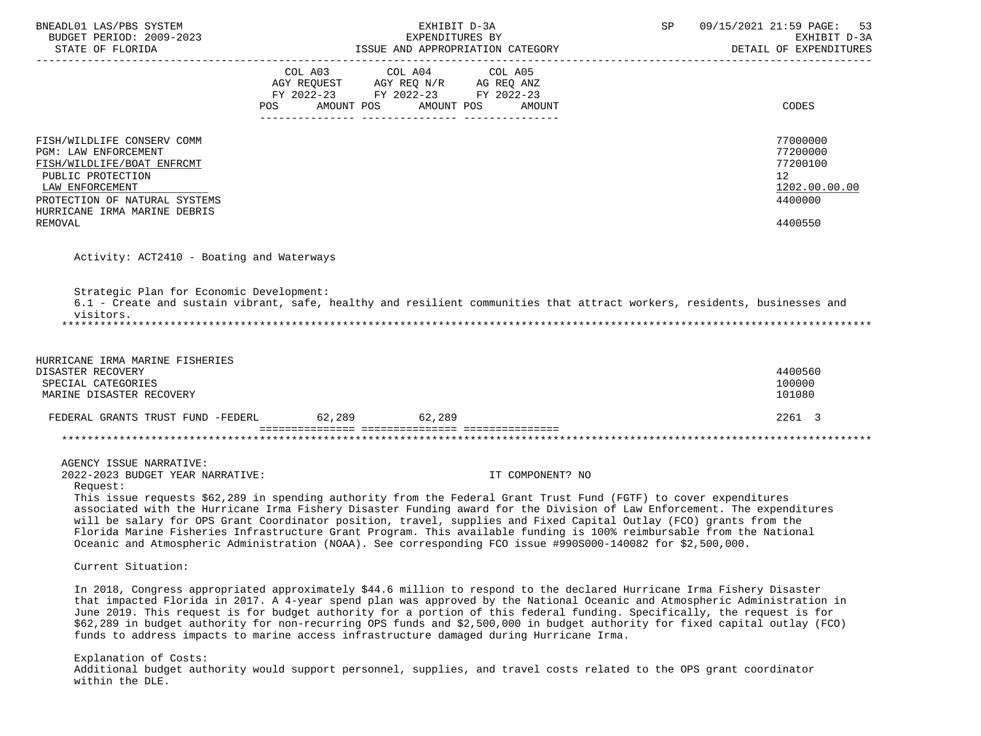| BNEADL01 LAS/PBS SYSTEM                               | EXHIBIT D-3A                                                                                                                                                                                                                                                                                                                                                                                                                                                                                                                                                                                              | SP | 09/15/2021 21:59 PAGE:<br>53           |
|-------------------------------------------------------|-----------------------------------------------------------------------------------------------------------------------------------------------------------------------------------------------------------------------------------------------------------------------------------------------------------------------------------------------------------------------------------------------------------------------------------------------------------------------------------------------------------------------------------------------------------------------------------------------------------|----|----------------------------------------|
| BUDGET PERIOD: 2009-2023<br>STATE OF FLORIDA          | EXPENDITURES BY<br>ISSUE AND APPROPRIATION CATEGORY                                                                                                                                                                                                                                                                                                                                                                                                                                                                                                                                                       |    | EXHIBIT D-3A<br>DETAIL OF EXPENDITURES |
| --------------------------------------                |                                                                                                                                                                                                                                                                                                                                                                                                                                                                                                                                                                                                           |    |                                        |
|                                                       | COL A03 COL A04 COL A05                                                                                                                                                                                                                                                                                                                                                                                                                                                                                                                                                                                   |    |                                        |
|                                                       | AGY REQUEST AGY REQ N/R AG REQ ANZ<br>FY 2022-23 FY 2022-23 FY 2022-23                                                                                                                                                                                                                                                                                                                                                                                                                                                                                                                                    |    |                                        |
|                                                       |                                                                                                                                                                                                                                                                                                                                                                                                                                                                                                                                                                                                           |    |                                        |
|                                                       | POS AMOUNT POS AMOUNT POS AMOUNT                                                                                                                                                                                                                                                                                                                                                                                                                                                                                                                                                                          |    | CODES                                  |
|                                                       |                                                                                                                                                                                                                                                                                                                                                                                                                                                                                                                                                                                                           |    |                                        |
| FISH/WILDLIFE CONSERV COMM                            |                                                                                                                                                                                                                                                                                                                                                                                                                                                                                                                                                                                                           |    | 77000000                               |
| PGM: LAW ENFORCEMENT                                  |                                                                                                                                                                                                                                                                                                                                                                                                                                                                                                                                                                                                           |    | 77200000<br>77200100                   |
| FISH/WILDLIFE/BOAT ENFRCMT                            |                                                                                                                                                                                                                                                                                                                                                                                                                                                                                                                                                                                                           |    |                                        |
| PUBLIC PROTECTION                                     |                                                                                                                                                                                                                                                                                                                                                                                                                                                                                                                                                                                                           |    | 12 <sup>°</sup>                        |
| LAW ENFORCEMENT<br>PROTECTION OF NATURAL SYSTEMS      |                                                                                                                                                                                                                                                                                                                                                                                                                                                                                                                                                                                                           |    | 1202.00.00.00<br>4400000               |
| HURRICANE IRMA MARINE DEBRIS                          |                                                                                                                                                                                                                                                                                                                                                                                                                                                                                                                                                                                                           |    |                                        |
| <b>REMOVAL</b>                                        |                                                                                                                                                                                                                                                                                                                                                                                                                                                                                                                                                                                                           |    | 4400550                                |
|                                                       |                                                                                                                                                                                                                                                                                                                                                                                                                                                                                                                                                                                                           |    |                                        |
| Activity: ACT2410 - Boating and Waterways             |                                                                                                                                                                                                                                                                                                                                                                                                                                                                                                                                                                                                           |    |                                        |
|                                                       |                                                                                                                                                                                                                                                                                                                                                                                                                                                                                                                                                                                                           |    |                                        |
| Strategic Plan for Economic Development:<br>visitors. | 6.1 - Create and sustain vibrant, safe, healthy and resilient communities that attract workers, residents, businesses and                                                                                                                                                                                                                                                                                                                                                                                                                                                                                 |    |                                        |
| HURRICANE IRMA MARINE FISHERIES                       |                                                                                                                                                                                                                                                                                                                                                                                                                                                                                                                                                                                                           |    |                                        |
| DISASTER RECOVERY                                     |                                                                                                                                                                                                                                                                                                                                                                                                                                                                                                                                                                                                           |    | 4400560                                |
| SPECIAL CATEGORIES                                    |                                                                                                                                                                                                                                                                                                                                                                                                                                                                                                                                                                                                           |    | 100000                                 |
| MARINE DISASTER RECOVERY                              |                                                                                                                                                                                                                                                                                                                                                                                                                                                                                                                                                                                                           |    | 101080                                 |
|                                                       |                                                                                                                                                                                                                                                                                                                                                                                                                                                                                                                                                                                                           |    |                                        |
| FEDERAL GRANTS TRUST FUND -FEDERL 62,289 62,289       |                                                                                                                                                                                                                                                                                                                                                                                                                                                                                                                                                                                                           |    | 2261 3                                 |
|                                                       |                                                                                                                                                                                                                                                                                                                                                                                                                                                                                                                                                                                                           |    |                                        |
| AGENCY ISSUE NARRATIVE:                               |                                                                                                                                                                                                                                                                                                                                                                                                                                                                                                                                                                                                           |    |                                        |
| 2022-2023 BUDGET YEAR NARRATIVE:                      | IT COMPONENT? NO                                                                                                                                                                                                                                                                                                                                                                                                                                                                                                                                                                                          |    |                                        |
| Request:                                              |                                                                                                                                                                                                                                                                                                                                                                                                                                                                                                                                                                                                           |    |                                        |
|                                                       | This issue requests \$62,289 in spending authority from the Federal Grant Trust Fund (FGTF) to cover expenditures<br>associated with the Hurricane Irma Fishery Disaster Funding award for the Division of Law Enforcement. The expenditures<br>will be salary for OPS Grant Coordinator position, travel, supplies and Fixed Capital Outlay (FCO) grants from the<br>Florida Marine Fisheries Infrastructure Grant Program. This available funding is 100% reimbursable from the National<br>Oceanic and Atmospheric Administration (NOAA). See corresponding FCO issue #990S000-140082 for \$2,500,000. |    |                                        |
| Current Situation:                                    |                                                                                                                                                                                                                                                                                                                                                                                                                                                                                                                                                                                                           |    |                                        |
|                                                       | In 2018, Congress appropriated approximately \$44.6 million to respond to the declared Hurricane Irma Fishery Disaster                                                                                                                                                                                                                                                                                                                                                                                                                                                                                    |    |                                        |

 that impacted Florida in 2017. A 4-year spend plan was approved by the National Oceanic and Atmospheric Administration in June 2019. This request is for budget authority for a portion of this federal funding. Specifically, the request is for \$62,289 in budget authority for non-recurring OPS funds and \$2,500,000 in budget authority for fixed capital outlay (FCO) funds to address impacts to marine access infrastructure damaged during Hurricane Irma.

Explanation of Costs:

 Additional budget authority would support personnel, supplies, and travel costs related to the OPS grant coordinator within the DLE.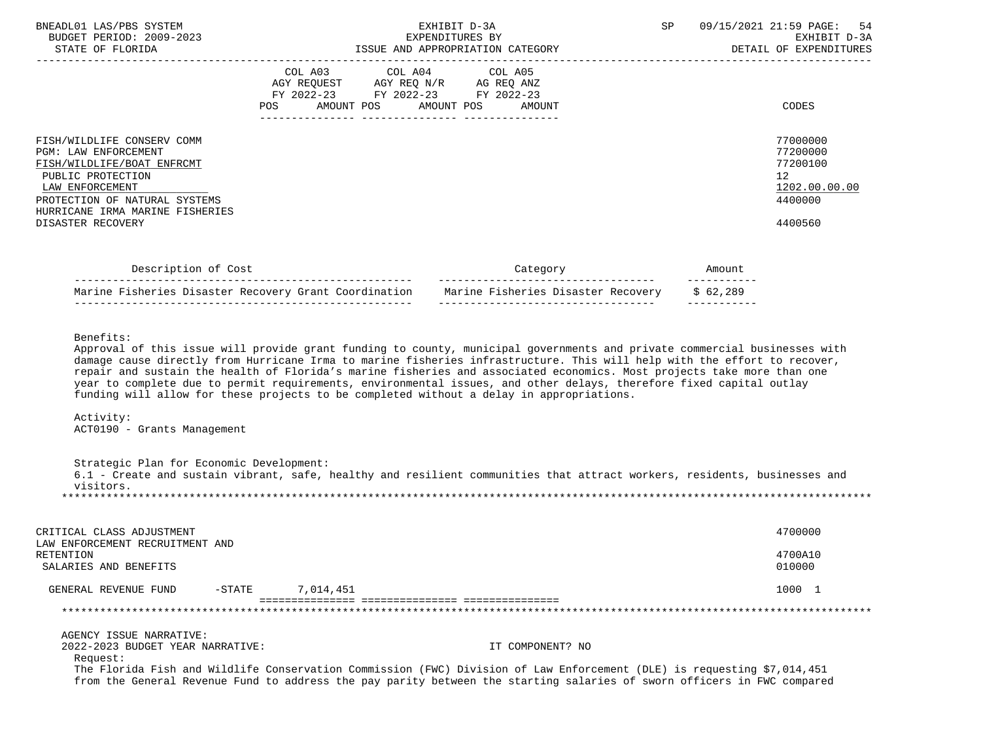| BNEADL01 LAS/PBS SYSTEM<br>BUDGET PERIOD: 2009-2023<br>STATE OF FLORIDA                                                                                                                      | EXHIBIT D-3A<br>EXPENDITURES BY<br>ISSUE AND APPROPRIATION CATEGORY                                                               | 09/15/2021 21:59 PAGE: 54<br>SP<br>EXHIBIT D-3A<br>DETAIL OF EXPENDITURES        |
|----------------------------------------------------------------------------------------------------------------------------------------------------------------------------------------------|-----------------------------------------------------------------------------------------------------------------------------------|----------------------------------------------------------------------------------|
|                                                                                                                                                                                              | COL A03 COL A04 COL A05<br>AGY REOUEST AGY REO N/R AG REO ANZ<br>FY 2022-23 FY 2022-23 FY 2022-23<br>AMOUNT POS AMOUNT POS AMOUNT | CODES                                                                            |
| FISH/WILDLIFE CONSERV COMM<br>PGM: LAW ENFORCEMENT<br>FISH/WILDLIFE/BOAT ENFRCMT<br>PUBLIC PROTECTION<br>LAW ENFORCEMENT<br>PROTECTION OF NATURAL SYSTEMS<br>HURRICANE IRMA MARINE FISHERIES |                                                                                                                                   | 77000000<br>77200000<br>77200100<br>12 <sup>12</sup><br>1202.00.00.00<br>4400000 |
| DISASTER RECOVERY                                                                                                                                                                            |                                                                                                                                   | 4400560                                                                          |

| Description of Cost                                   |                                    |          |
|-------------------------------------------------------|------------------------------------|----------|
| Marine Fisheries Disaster Recovery Grant Coordination | Marine Fisheries Disaster Recovery | \$62.289 |

Benefits:

 Approval of this issue will provide grant funding to county, municipal governments and private commercial businesses with damage cause directly from Hurricane Irma to marine fisheries infrastructure. This will help with the effort to recover, repair and sustain the health of Florida's marine fisheries and associated economics. Most projects take more than one year to complete due to permit requirements, environmental issues, and other delays, therefore fixed capital outlay funding will allow for these projects to be completed without a delay in appropriations.

 Activity: ACT0190 - Grants Management

 Strategic Plan for Economic Development: 6.1 - Create and sustain vibrant, safe, healthy and resilient communities that attract workers, residents, businesses and visitors. \*\*\*\*\*\*\*\*\*\*\*\*\*\*\*\*\*\*\*\*\*\*\*\*\*\*\*\*\*\*\*\*\*\*\*\*\*\*\*\*\*\*\*\*\*\*\*\*\*\*\*\*\*\*\*\*\*\*\*\*\*\*\*\*\*\*\*\*\*\*\*\*\*\*\*\*\*\*\*\*\*\*\*\*\*\*\*\*\*\*\*\*\*\*\*\*\*\*\*\*\*\*\*\*\*\*\*\*\*\*\*\*\*\*\*\*\*\*\*\*\*\*\*\*\*\*\*

| CRITICAL CLASS ADJUSTMENT<br>LAW ENFORCEMENT RECRUITMENT AND |           |                                  | 4700000           |
|--------------------------------------------------------------|-----------|----------------------------------|-------------------|
| RETENTION<br>SALARIES AND BENEFITS                           |           |                                  | 4700A10<br>010000 |
| GENERAL REVENUE FUND                                         | $-$ STATE | 7,014,451                        | 1000 1            |
|                                                              |           | ---------------- --------------- |                   |
| AGENCY ISSUE NARRATIVE:                                      |           |                                  |                   |

2022-2023 BUDGET YEAR NARRATIVE: IT COMPONENT? NO

Request:

 The Florida Fish and Wildlife Conservation Commission (FWC) Division of Law Enforcement (DLE) is requesting \$7,014,451 from the General Revenue Fund to address the pay parity between the starting salaries of sworn officers in FWC compared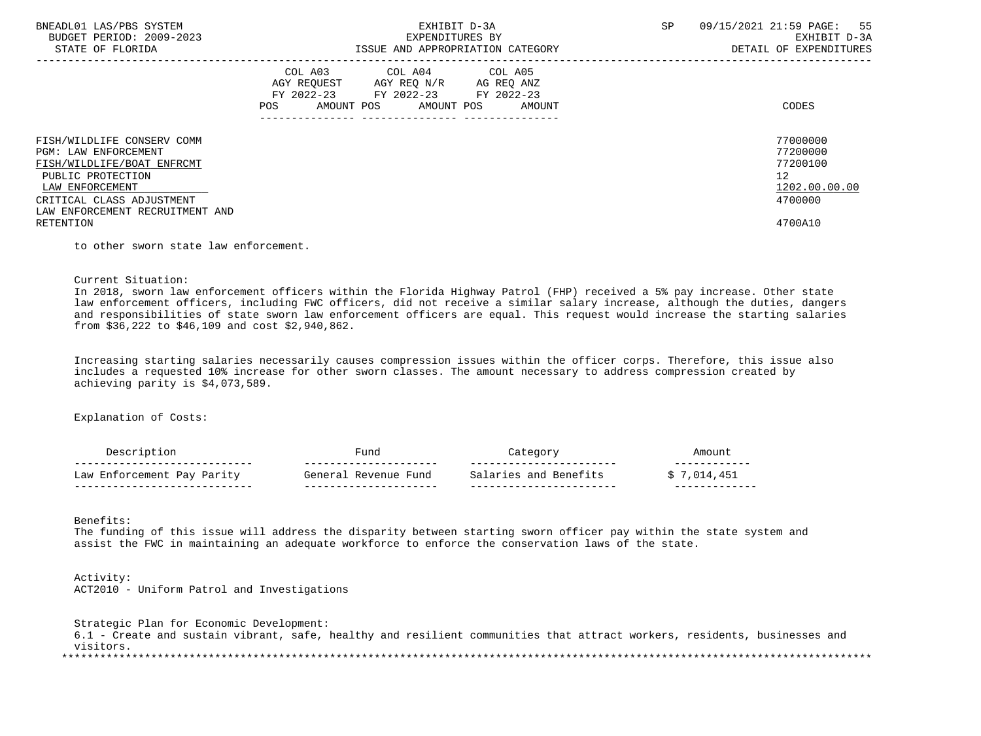| BNEADL01 LAS/PBS SYSTEM<br>BUDGET PERIOD: 2009-2023<br>STATE OF FLORIDA                                                                                                                         | EXHIBIT D-3A<br>EXPENDITURES BY<br>ISSUE AND APPROPRIATION CATEGORY                                                                      | 09/15/2021 21:59 PAGE: 55<br><b>SP</b><br>EXHIBIT D-3A<br>DETAIL OF EXPENDITURES |
|-------------------------------------------------------------------------------------------------------------------------------------------------------------------------------------------------|------------------------------------------------------------------------------------------------------------------------------------------|----------------------------------------------------------------------------------|
|                                                                                                                                                                                                 | COL A03 COL A04 COL A05<br>AGY REQUEST AGY REQ N/R AG REQ ANZ<br>FY 2022-23 FY 2022-23 FY 2022-23<br>AMOUNT POS AMOUNT POS AMOUNT<br>POS | CODES                                                                            |
| FISH/WILDLIFE CONSERV COMM<br><b>PGM: LAW ENFORCEMENT</b><br>FISH/WILDLIFE/BOAT ENFRCMT<br>PUBLIC PROTECTION<br>LAW ENFORCEMENT<br>CRITICAL CLASS ADJUSTMENT<br>LAW ENFORCEMENT RECRUITMENT AND |                                                                                                                                          | 77000000<br>77200000<br>77200100<br>12<br>1202.00.00.00<br>4700000               |
| RETENTION                                                                                                                                                                                       |                                                                                                                                          | 4700A10                                                                          |

to other sworn state law enforcement.

Current Situation:

 In 2018, sworn law enforcement officers within the Florida Highway Patrol (FHP) received a 5% pay increase. Other state law enforcement officers, including FWC officers, did not receive a similar salary increase, although the duties, dangers and responsibilities of state sworn law enforcement officers are equal. This request would increase the starting salaries from \$36,222 to \$46,109 and cost \$2,940,862.

 Increasing starting salaries necessarily causes compression issues within the officer corps. Therefore, this issue also includes a requested 10% increase for other sworn classes. The amount necessary to address compression created by achieving parity is \$4,073,589.

Explanation of Costs:

|                                          | $- - -$<br>____       | $- -$                                           |      |
|------------------------------------------|-----------------------|-------------------------------------------------|------|
| 77 د 0<br>⊥aw<br>Domi<br>ra.<br>1 ui 1 u | Fund<br>Tanar:        | <b>Banc</b><br>and<br>$\cdot$ i $+$ c<br>$\cap$ |      |
| ___                                      | --------------------- | -----------------------                         | ____ |
|                                          | 'uno                  |                                                 |      |

Benefits:

 The funding of this issue will address the disparity between starting sworn officer pay within the state system and assist the FWC in maintaining an adequate workforce to enforce the conservation laws of the state.

 Activity: ACT2010 - Uniform Patrol and Investigations

 Strategic Plan for Economic Development: 6.1 - Create and sustain vibrant, safe, healthy and resilient communities that attract workers, residents, businesses and visitors. \*\*\*\*\*\*\*\*\*\*\*\*\*\*\*\*\*\*\*\*\*\*\*\*\*\*\*\*\*\*\*\*\*\*\*\*\*\*\*\*\*\*\*\*\*\*\*\*\*\*\*\*\*\*\*\*\*\*\*\*\*\*\*\*\*\*\*\*\*\*\*\*\*\*\*\*\*\*\*\*\*\*\*\*\*\*\*\*\*\*\*\*\*\*\*\*\*\*\*\*\*\*\*\*\*\*\*\*\*\*\*\*\*\*\*\*\*\*\*\*\*\*\*\*\*\*\*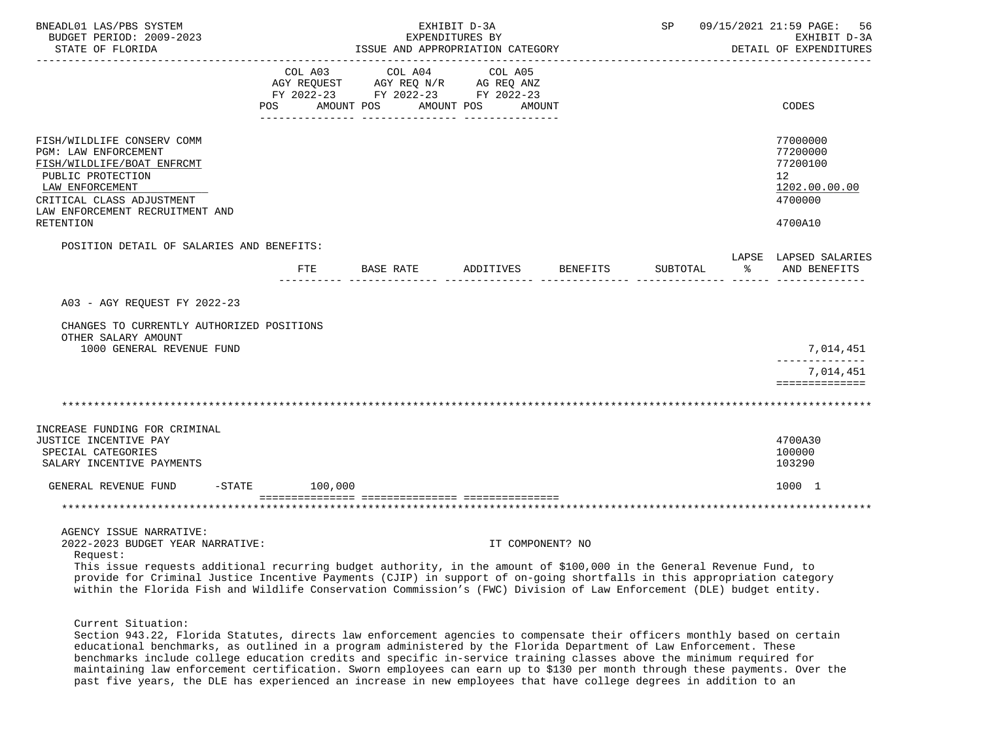| BNEADL01 LAS/PBS SYSTEM<br>BUDGET PERIOD: 2009-2023<br>STATE OF FLORIDA                                                                                                                                                                                                                                                                                                                                                                              |     | ISSUE AND APPROPRIATION CATEGORY                                                                                                      | EXHIBIT D-3A<br>EXPENDITURES BY |          |  | SP 09/15/2021 21:59 PAGE:<br>56<br>EXHIBIT D-3A<br>DETAIL OF EXPENDITURES     |
|------------------------------------------------------------------------------------------------------------------------------------------------------------------------------------------------------------------------------------------------------------------------------------------------------------------------------------------------------------------------------------------------------------------------------------------------------|-----|---------------------------------------------------------------------------------------------------------------------------------------|---------------------------------|----------|--|-------------------------------------------------------------------------------|
|                                                                                                                                                                                                                                                                                                                                                                                                                                                      |     | COL A03 COL A04 COL A05<br>AGY REQUEST AGY REQ N/R AG REQ ANZ<br>FY 2022-23 FY 2022-23 FY 2022-23<br>POS AMOUNT POS AMOUNT POS AMOUNT |                                 |          |  | CODES                                                                         |
| FISH/WILDLIFE CONSERV COMM<br>PGM: LAW ENFORCEMENT<br>FISH/WILDLIFE/BOAT ENFRCMT<br>PUBLIC PROTECTION<br>LAW ENFORCEMENT<br>CRITICAL CLASS ADJUSTMENT<br>LAW ENFORCEMENT RECRUITMENT AND<br><b>RETENTION</b>                                                                                                                                                                                                                                         |     |                                                                                                                                       |                                 |          |  | 77000000<br>77200000<br>77200100<br>12<br>1202.00.00.00<br>4700000<br>4700A10 |
|                                                                                                                                                                                                                                                                                                                                                                                                                                                      |     |                                                                                                                                       |                                 |          |  |                                                                               |
| POSITION DETAIL OF SALARIES AND BENEFITS:                                                                                                                                                                                                                                                                                                                                                                                                            | FTE | BASE RATE ADDITIVES                                                                                                                   |                                 | BENEFITS |  | LAPSE LAPSED SALARIES<br>SUBTOTAL % AND BENEFITS                              |
| A03 - AGY REQUEST FY 2022-23                                                                                                                                                                                                                                                                                                                                                                                                                         |     |                                                                                                                                       |                                 |          |  |                                                                               |
| CHANGES TO CURRENTLY AUTHORIZED POSITIONS<br>OTHER SALARY AMOUNT<br>1000 GENERAL REVENUE FUND                                                                                                                                                                                                                                                                                                                                                        |     |                                                                                                                                       |                                 |          |  | 7,014,451<br>--------------                                                   |
|                                                                                                                                                                                                                                                                                                                                                                                                                                                      |     |                                                                                                                                       |                                 |          |  | 7,014,451<br>==============                                                   |
|                                                                                                                                                                                                                                                                                                                                                                                                                                                      |     |                                                                                                                                       |                                 |          |  |                                                                               |
| INCREASE FUNDING FOR CRIMINAL<br>JUSTICE INCENTIVE PAY<br>SPECIAL CATEGORIES<br>SALARY INCENTIVE PAYMENTS                                                                                                                                                                                                                                                                                                                                            |     |                                                                                                                                       |                                 |          |  | 4700A30<br>100000<br>103290                                                   |
| GENERAL REVENUE FUND -STATE 100,000                                                                                                                                                                                                                                                                                                                                                                                                                  |     |                                                                                                                                       |                                 |          |  | 1000 1                                                                        |
|                                                                                                                                                                                                                                                                                                                                                                                                                                                      |     |                                                                                                                                       |                                 |          |  |                                                                               |
| AGENCY ISSUE NARRATIVE:<br>2022-2023 BUDGET YEAR NARRATIVE:<br>Request:<br>This issue requests additional recurring budget authority, in the amount of \$100,000 in the General Revenue Fund, to<br>provide for Criminal Justice Incentive Payments (CJIP) in support of on-going shortfalls in this appropriation category<br>within the Florida Fish and Wildlife Conservation Commission's (FWC) Division of Law Enforcement (DLE) budget entity. |     |                                                                                                                                       | IT COMPONENT? NO                |          |  |                                                                               |

Current Situation:

 Section 943.22, Florida Statutes, directs law enforcement agencies to compensate their officers monthly based on certain educational benchmarks, as outlined in a program administered by the Florida Department of Law Enforcement. These benchmarks include college education credits and specific in-service training classes above the minimum required for maintaining law enforcement certification. Sworn employees can earn up to \$130 per month through these payments. Over the past five years, the DLE has experienced an increase in new employees that have college degrees in addition to an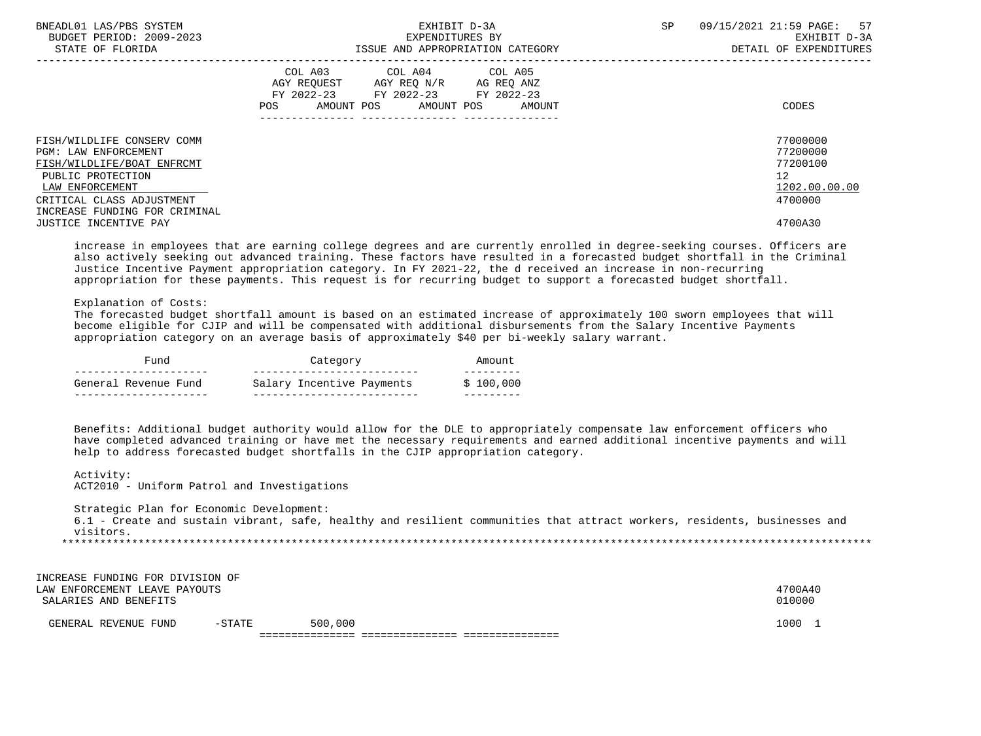| BNEADL01 LAS/PBS SYSTEM<br>BUDGET PERIOD: 2009-2023<br>STATE OF FLORIDA                 | EXHIBIT D-3A<br>EXPENDITURES BY<br>ISSUE AND APPROPRIATION CATEGORY                                                                               | SP. | 57<br>09/15/2021 21:59 PAGE:<br>EXHIBIT D-3A<br>DETAIL OF EXPENDITURES |
|-----------------------------------------------------------------------------------------|---------------------------------------------------------------------------------------------------------------------------------------------------|-----|------------------------------------------------------------------------|
|                                                                                         | COL A04 COL A05<br>COL A03<br>AGY REQUEST AGY REQ N/R<br>AG REQ ANZ<br>FY 2022-23 FY 2022-23 FY 2022-23<br>AMOUNT POS AMOUNT POS<br>POS<br>AMOUNT |     | CODES                                                                  |
| FISH/WILDLIFE CONSERV COMM<br><b>PGM: LAW ENFORCEMENT</b><br>FISH/WILDLIFE/BOAT ENFRCMT |                                                                                                                                                   |     | 77000000<br>77200000<br>77200100                                       |
| PUBLIC PROTECTION<br>LAW ENFORCEMENT                                                    |                                                                                                                                                   |     | 12 <sup>°</sup><br>1202.00.00.00                                       |
| CRITICAL CLASS ADJUSTMENT<br>INCREASE FUNDING FOR CRIMINAL<br>JUSTICE INCENTIVE PAY     |                                                                                                                                                   |     | 4700000<br>4700A30                                                     |

 increase in employees that are earning college degrees and are currently enrolled in degree-seeking courses. Officers are also actively seeking out advanced training. These factors have resulted in a forecasted budget shortfall in the Criminal Justice Incentive Payment appropriation category. In FY 2021-22, the d received an increase in non-recurring appropriation for these payments. This request is for recurring budget to support a forecasted budget shortfall.

Explanation of Costs:

Activity:

 The forecasted budget shortfall amount is based on an estimated increase of approximately 100 sworn employees that will become eligible for CJIP and will be compensated with additional disbursements from the Salary Incentive Payments appropriation category on an average basis of approximately \$40 per bi-weekly salary warrant.

| Fund                 | Category                  | Amount    |
|----------------------|---------------------------|-----------|
| General Revenue Fund | Salary Incentive Payments | \$100.000 |
|                      |                           |           |

 Benefits: Additional budget authority would allow for the DLE to appropriately compensate law enforcement officers who have completed advanced training or have met the necessary requirements and earned additional incentive payments and will help to address forecasted budget shortfalls in the CJIP appropriation category.

| ACT2010 - Uniform Patrol and Investigations                                                                                                                                        |          |         |  |  |                   |  |
|------------------------------------------------------------------------------------------------------------------------------------------------------------------------------------|----------|---------|--|--|-------------------|--|
| Strategic Plan for Economic Development:<br>6.1 - Create and sustain vibrant, safe, healthy and resilient communities that attract workers, residents, businesses and<br>visitors. |          |         |  |  |                   |  |
|                                                                                                                                                                                    |          |         |  |  |                   |  |
| INCREASE FUNDING FOR DIVISION OF<br>LAW ENFORCEMENT LEAVE PAYOUTS<br>SALARIES AND BENEFITS                                                                                         |          |         |  |  | 4700A40<br>010000 |  |
| GENERAL REVENUE FUND                                                                                                                                                               | $-STATE$ | 500,000 |  |  | 1000 7            |  |
|                                                                                                                                                                                    |          |         |  |  |                   |  |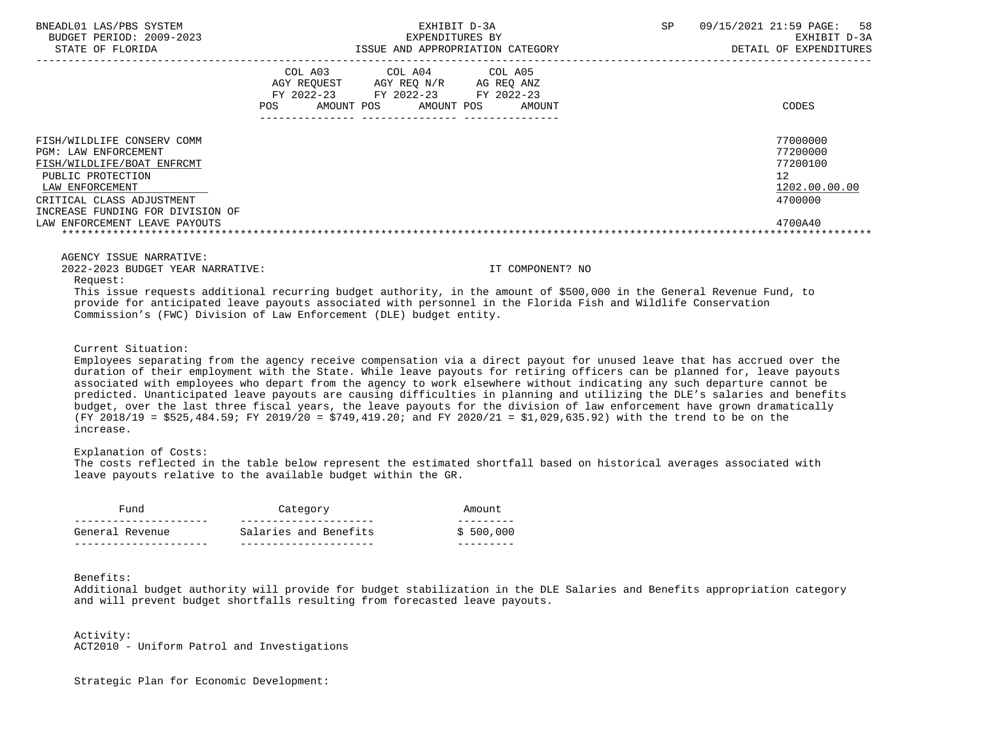| BNEADL01 LAS/PBS SYSTEM<br>BUDGET PERIOD: 2009-2023<br>STATE OF FLORIDA                                                                                                                                                    |                                                                                                          | EXHIBIT D-3A<br>EXPENDITURES BY<br>ISSUE AND APPROPRIATION CATEGORY | SP<br>09/15/2021 21:59 PAGE:<br>DETAIL OF EXPENDITURES                        | 58<br>EXHIBIT D-3A |
|----------------------------------------------------------------------------------------------------------------------------------------------------------------------------------------------------------------------------|----------------------------------------------------------------------------------------------------------|---------------------------------------------------------------------|-------------------------------------------------------------------------------|--------------------|
|                                                                                                                                                                                                                            | COL A03 COL A04 COL A05<br>AGY REQUEST AGY REQ N/R AG REQ ANZ<br>FY 2022-23 FY 2022-23 FY 2022-23<br>POS | AMOUNT POS AMOUNT POS AMOUNT                                        | CODES                                                                         |                    |
| FISH/WILDLIFE CONSERV COMM<br>PGM: LAW ENFORCEMENT<br>FISH/WILDLIFE/BOAT ENFRCMT<br>PUBLIC PROTECTION<br>LAW ENFORCEMENT<br>CRITICAL CLASS ADJUSTMENT<br>INCREASE FUNDING FOR DIVISION OF<br>LAW ENFORCEMENT LEAVE PAYOUTS |                                                                                                          |                                                                     | 77000000<br>77200000<br>77200100<br>12<br>1202.00.00.00<br>4700000<br>4700A40 |                    |
| AGENCY ISSUE NARRATIVE:                                                                                                                                                                                                    |                                                                                                          |                                                                     |                                                                               |                    |

2022-2023 BUDGET YEAR NARRATIVE: IT COMPONENT? NO

Request:

 This issue requests additional recurring budget authority, in the amount of \$500,000 in the General Revenue Fund, to provide for anticipated leave payouts associated with personnel in the Florida Fish and Wildlife Conservation Commission's (FWC) Division of Law Enforcement (DLE) budget entity.

Current Situation:

 Employees separating from the agency receive compensation via a direct payout for unused leave that has accrued over the duration of their employment with the State. While leave payouts for retiring officers can be planned for, leave payouts associated with employees who depart from the agency to work elsewhere without indicating any such departure cannot be predicted. Unanticipated leave payouts are causing difficulties in planning and utilizing the DLE's salaries and benefits budget, over the last three fiscal years, the leave payouts for the division of law enforcement have grown dramatically (FY 2018/19 = \$525,484.59; FY 2019/20 = \$749,419.20; and FY 2020/21 = \$1,029,635.92) with the trend to be on the increase.

Explanation of Costs:

 The costs reflected in the table below represent the estimated shortfall based on historical averages associated with leave payouts relative to the available budget within the GR.

| Fund            | Category              | Amount    |
|-----------------|-----------------------|-----------|
|                 |                       |           |
| General Revenue | Salaries and Benefits | \$500.000 |
|                 |                       |           |

Benefits:

 Additional budget authority will provide for budget stabilization in the DLE Salaries and Benefits appropriation category and will prevent budget shortfalls resulting from forecasted leave payouts.

 Activity: ACT2010 - Uniform Patrol and Investigations

Strategic Plan for Economic Development: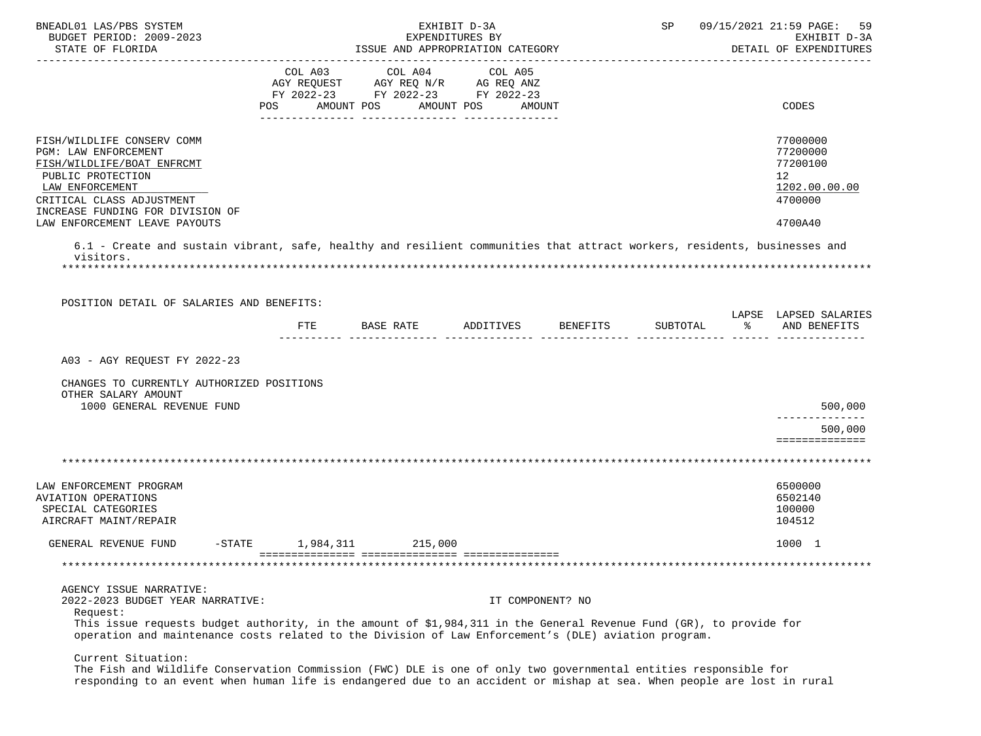| BNEADL01 LAS/PBS SYSTEM                                                                                                                                                                                                                     |                    |                                    | EXHIBIT D-3A         |                  |          | SP 09/15/2021 21:59 PAGE:<br>59        |
|---------------------------------------------------------------------------------------------------------------------------------------------------------------------------------------------------------------------------------------------|--------------------|------------------------------------|----------------------|------------------|----------|----------------------------------------|
| BUDGET PERIOD: 2009-2023<br>STATE OF FLORIDA                                                                                                                                                                                                |                    | ISSUE AND APPROPRIATION CATEGORY   | EXPENDITURES BY      |                  |          | EXHIBIT D-3A<br>DETAIL OF EXPENDITURES |
|                                                                                                                                                                                                                                             |                    | COL A03 COL A04                    | COL A05              |                  |          |                                        |
|                                                                                                                                                                                                                                             |                    | AGY REQUEST AGY REQ N/R AG REQ ANZ |                      |                  |          |                                        |
|                                                                                                                                                                                                                                             |                    | FY 2022-23 FY 2022-23 FY 2022-23   |                      |                  |          |                                        |
|                                                                                                                                                                                                                                             | POS                | AMOUNT POS                         | AMOUNT POS<br>AMOUNT |                  |          | CODES                                  |
| FISH/WILDLIFE CONSERV COMM                                                                                                                                                                                                                  |                    |                                    |                      |                  |          | 77000000                               |
| PGM: LAW ENFORCEMENT                                                                                                                                                                                                                        |                    |                                    |                      |                  |          | 77200000                               |
| FISH/WILDLIFE/BOAT ENFRCMT                                                                                                                                                                                                                  |                    |                                    |                      |                  |          | 77200100                               |
| PUBLIC PROTECTION                                                                                                                                                                                                                           |                    |                                    |                      |                  |          | 12                                     |
| LAW ENFORCEMENT                                                                                                                                                                                                                             |                    |                                    |                      |                  |          | 1202.00.00.00                          |
| CRITICAL CLASS ADJUSTMENT                                                                                                                                                                                                                   |                    |                                    |                      |                  |          | 4700000                                |
| INCREASE FUNDING FOR DIVISION OF                                                                                                                                                                                                            |                    |                                    |                      |                  |          |                                        |
| LAW ENFORCEMENT LEAVE PAYOUTS                                                                                                                                                                                                               |                    |                                    |                      |                  |          | 4700A40                                |
| 6.1 - Create and sustain vibrant, safe, healthy and resilient communities that attract workers, residents, businesses and                                                                                                                   |                    |                                    |                      |                  |          |                                        |
| visitors.                                                                                                                                                                                                                                   |                    |                                    |                      |                  |          |                                        |
|                                                                                                                                                                                                                                             |                    |                                    |                      |                  |          |                                        |
| POSITION DETAIL OF SALARIES AND BENEFITS:                                                                                                                                                                                                   |                    |                                    |                      |                  |          |                                        |
|                                                                                                                                                                                                                                             |                    |                                    |                      |                  |          | LAPSE LAPSED SALARIES                  |
|                                                                                                                                                                                                                                             | FTE                | BASE RATE                          | ADDITIVES            | BENEFITS         | SUBTOTAL | $\sim$ $\approx$<br>AND BENEFITS       |
| A03 - AGY REOUEST FY 2022-23<br>CHANGES TO CURRENTLY AUTHORIZED POSITIONS<br>OTHER SALARY AMOUNT<br>1000 GENERAL REVENUE FUND                                                                                                               |                    |                                    |                      |                  |          | 500,000                                |
|                                                                                                                                                                                                                                             |                    |                                    |                      |                  |          | --------------<br>500,000              |
|                                                                                                                                                                                                                                             |                    |                                    |                      |                  |          | ==============                         |
|                                                                                                                                                                                                                                             |                    |                                    |                      |                  |          |                                        |
|                                                                                                                                                                                                                                             |                    |                                    |                      |                  |          |                                        |
| LAW ENFORCEMENT PROGRAM                                                                                                                                                                                                                     |                    |                                    |                      |                  |          | 6500000                                |
| AVIATION OPERATIONS                                                                                                                                                                                                                         |                    |                                    |                      |                  |          | 6502140                                |
| SPECIAL CATEGORIES                                                                                                                                                                                                                          |                    |                                    |                      |                  |          | 100000                                 |
| AIRCRAFT MAINT/REPAIR                                                                                                                                                                                                                       |                    |                                    |                      |                  |          | 104512                                 |
| GENERAL REVENUE FUND                                                                                                                                                                                                                        | $-STATE$ 1,984,311 | 215,000                            |                      |                  |          | 1000 1                                 |
|                                                                                                                                                                                                                                             |                    |                                    |                      |                  |          |                                        |
|                                                                                                                                                                                                                                             |                    |                                    |                      |                  |          |                                        |
| AGENCY ISSUE NARRATIVE:                                                                                                                                                                                                                     |                    |                                    |                      |                  |          |                                        |
| 2022-2023 BUDGET YEAR NARRATIVE:<br>Request:                                                                                                                                                                                                |                    |                                    |                      | IT COMPONENT? NO |          |                                        |
| This issue requests budget authority, in the amount of \$1,984,311 in the General Revenue Fund (GR), to provide for<br>operation and maintenance costs related to the Division of Law Enforcement's (DLE) aviation program.                 |                    |                                    |                      |                  |          |                                        |
| Current Situation:                                                                                                                                                                                                                          |                    |                                    |                      |                  |          |                                        |
| The Fish and Wildlife Conservation Commission (FWC) DLE is one of only two governmental entities responsible for<br>responding to an event when human life is endangered due to an accident or mishap at sea. When people are lost in rural |                    |                                    |                      |                  |          |                                        |
|                                                                                                                                                                                                                                             |                    |                                    |                      |                  |          |                                        |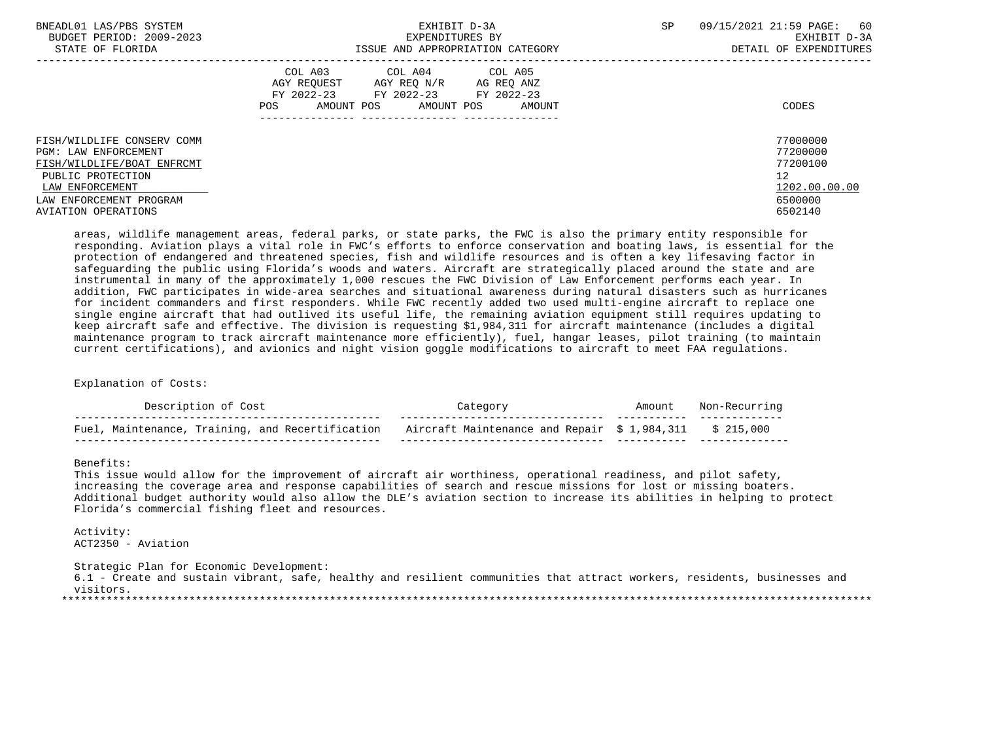| BNEADL01 LAS/PBS SYSTEM<br>BUDGET PERIOD: 2009-2023<br>STATE OF FLORIDA                                              | EXHIBIT D-3A<br>EXPENDITURES BY<br>ISSUE AND APPROPRIATION CATEGORY                                                                                  | 09/15/2021 21:59 PAGE:<br>-60<br>SP<br>EXHIBIT D-3A<br>DETAIL OF EXPENDITURES |
|----------------------------------------------------------------------------------------------------------------------|------------------------------------------------------------------------------------------------------------------------------------------------------|-------------------------------------------------------------------------------|
|                                                                                                                      | COL A03 COL A04 COL A05<br>AGY REOUEST<br>AGY REO N/R<br>AG REQ ANZ<br>FY 2022-23 FY 2022-23 FY 2022-23<br>AMOUNT POS<br>AMOUNT POS<br>POS<br>AMOUNT | CODES                                                                         |
| FISH/WILDLIFE CONSERV COMM<br><b>PGM: LAW ENFORCEMENT</b>                                                            |                                                                                                                                                      | 77000000<br>77200000                                                          |
| FISH/WILDLIFE/BOAT ENFRCMT<br>PUBLIC PROTECTION<br>LAW ENFORCEMENT<br>LAW ENFORCEMENT PROGRAM<br>AVIATION OPERATIONS |                                                                                                                                                      | 77200100<br>12<br>1202.00.00.00<br>6500000<br>6502140                         |

 areas, wildlife management areas, federal parks, or state parks, the FWC is also the primary entity responsible for responding. Aviation plays a vital role in FWC's efforts to enforce conservation and boating laws, is essential for the protection of endangered and threatened species, fish and wildlife resources and is often a key lifesaving factor in safeguarding the public using Florida's woods and waters. Aircraft are strategically placed around the state and are instrumental in many of the approximately 1,000 rescues the FWC Division of Law Enforcement performs each year. In addition, FWC participates in wide-area searches and situational awareness during natural disasters such as hurricanes for incident commanders and first responders. While FWC recently added two used multi-engine aircraft to replace one single engine aircraft that had outlived its useful life, the remaining aviation equipment still requires updating to keep aircraft safe and effective. The division is requesting \$1,984,311 for aircraft maintenance (includes a digital maintenance program to track aircraft maintenance more efficiently), fuel, hangar leases, pilot training (to maintain current certifications), and avionics and night vision goggle modifications to aircraft to meet FAA regulations.

Explanation of Costs:

| Description of Cost                              |                                                         | Amount | Non-Red |
|--------------------------------------------------|---------------------------------------------------------|--------|---------|
| Fuel, Maintenance, Training, and Recertification | Aircraft Maintenance and Repair \$ 1,984,311 \$ 215,000 |        |         |

Benefits:

 This issue would allow for the improvement of aircraft air worthiness, operational readiness, and pilot safety, increasing the coverage area and response capabilities of search and rescue missions for lost or missing boaters. Additional budget authority would also allow the DLE's aviation section to increase its abilities in helping to protect Florida's commercial fishing fleet and resources.

 Activity: ACT2350 - Aviation

 Strategic Plan for Economic Development: 6.1 - Create and sustain vibrant, safe, healthy and resilient communities that attract workers, residents, businesses and visitors.

\*\*\*\*\*\*\*\*\*\*\*\*\*\*\*\*\*\*\*\*\*\*\*\*\*\*\*\*\*\*\*\*\*\*\*\*\*\*\*\*\*\*\*\*\*\*\*\*\*\*\*\*\*\*\*\*\*\*\*\*\*\*\*\*\*\*\*\*\*\*\*\*\*\*\*\*\*\*\*\*\*\*\*\*\*\*\*\*\*\*\*\*\*\*\*\*\*\*\*\*\*\*\*\*\*\*\*\*\*\*\*\*\*\*\*\*\*\*\*\*\*\*\*\*\*\*\*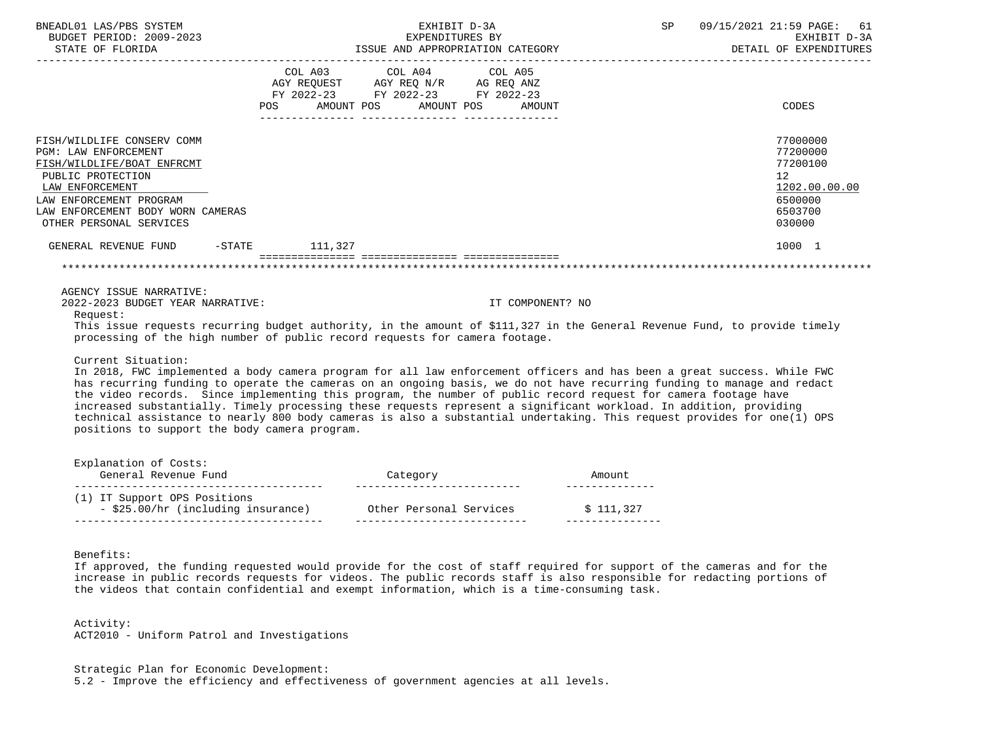| BNEADL01 LAS/PBS SYSTEM<br>BUDGET PERIOD: 2009-2023<br>STATE OF FLORIDA                                                                                                                                                    |                                                                                                                                                                                                                                       | EXHIBIT D-3A<br>EXPENDITURES BY<br>EXPENDITURES BY<br>ISSUE AND APPROPRIATION CATEGORY                                                                                                                                         | SP 09/15/2021 21:59 PAGE: 61<br>EXHIBIT D-3A<br>DETAIL OF EXPENDITURES                               |
|----------------------------------------------------------------------------------------------------------------------------------------------------------------------------------------------------------------------------|---------------------------------------------------------------------------------------------------------------------------------------------------------------------------------------------------------------------------------------|--------------------------------------------------------------------------------------------------------------------------------------------------------------------------------------------------------------------------------|------------------------------------------------------------------------------------------------------|
|                                                                                                                                                                                                                            | COL A03 COL A04 COL A05<br>$\begin{tabular}{lllllll} AGY & \texttt{REQUEST} & \texttt{AGY REQ} & \texttt{N/R} & \texttt{AG REQ} & \texttt{ANZ} \end{tabular}$<br>FY 2022-23 FY 2022-23 FY 2022-23<br>POS AMOUNT POS AMOUNT POS AMOUNT |                                                                                                                                                                                                                                | CODES                                                                                                |
| FISH/WILDLIFE CONSERV COMM<br><b>PGM: LAW ENFORCEMENT</b><br>FISH/WILDLIFE/BOAT ENFRCMT<br>PUBLIC PROTECTION<br>LAW ENFORCEMENT<br>LAW ENFORCEMENT PROGRAM<br>LAW ENFORCEMENT BODY WORN CAMERAS<br>OTHER PERSONAL SERVICES |                                                                                                                                                                                                                                       |                                                                                                                                                                                                                                | 77000000<br>77200000<br>77200100<br>12 <sup>°</sup><br>1202.00.00.00<br>6500000<br>6503700<br>030000 |
| GENERAL REVENUE FUND -STATE 111.327                                                                                                                                                                                        |                                                                                                                                                                                                                                       |                                                                                                                                                                                                                                | 1000 1                                                                                               |
|                                                                                                                                                                                                                            |                                                                                                                                                                                                                                       |                                                                                                                                                                                                                                |                                                                                                      |
| AGENCY ISSUE NARRATIVE:<br>2022-2023 BUDGET YEAR NARRATIVE:<br>Request:                                                                                                                                                    |                                                                                                                                                                                                                                       | IT COMPONENT? NO                                                                                                                                                                                                               |                                                                                                      |
| This issue requests recurring budget authority, in the amount of \$111,327 in the General Revenue Fund, to provide timely<br>processing of the high number of public record requests for camera footage.                   |                                                                                                                                                                                                                                       |                                                                                                                                                                                                                                |                                                                                                      |
| Current Situation:                                                                                                                                                                                                         |                                                                                                                                                                                                                                       | المعتصر والمتار المستنب والمتناقص والمترافع والمتعاون والمستنب والمستنب والمستنب والمستنب والمستنب والمستنب والمستنب والمستنب والمستنب والمستنب والمستنب والمستنب والمستنب والمستنب والمستنب والمستنب والمستنب والمستنب والمست |                                                                                                      |

 In 2018, FWC implemented a body camera program for all law enforcement officers and has been a great success. While FWC has recurring funding to operate the cameras on an ongoing basis, we do not have recurring funding to manage and redact the video records. Since implementing this program, the number of public record request for camera footage have increased substantially. Timely processing these requests represent a significant workload. In addition, providing technical assistance to nearly 800 body cameras is also a substantial undertaking. This request provides for one(1) OPS positions to support the body camera program.

| Category                | Amount    |
|-------------------------|-----------|
|                         |           |
| Other Personal Services | \$111.327 |
|                         |           |

Benefits:

 If approved, the funding requested would provide for the cost of staff required for support of the cameras and for the increase in public records requests for videos. The public records staff is also responsible for redacting portions of the videos that contain confidential and exempt information, which is a time-consuming task.

 Activity: ACT2010 - Uniform Patrol and Investigations

 Strategic Plan for Economic Development: 5.2 - Improve the efficiency and effectiveness of government agencies at all levels.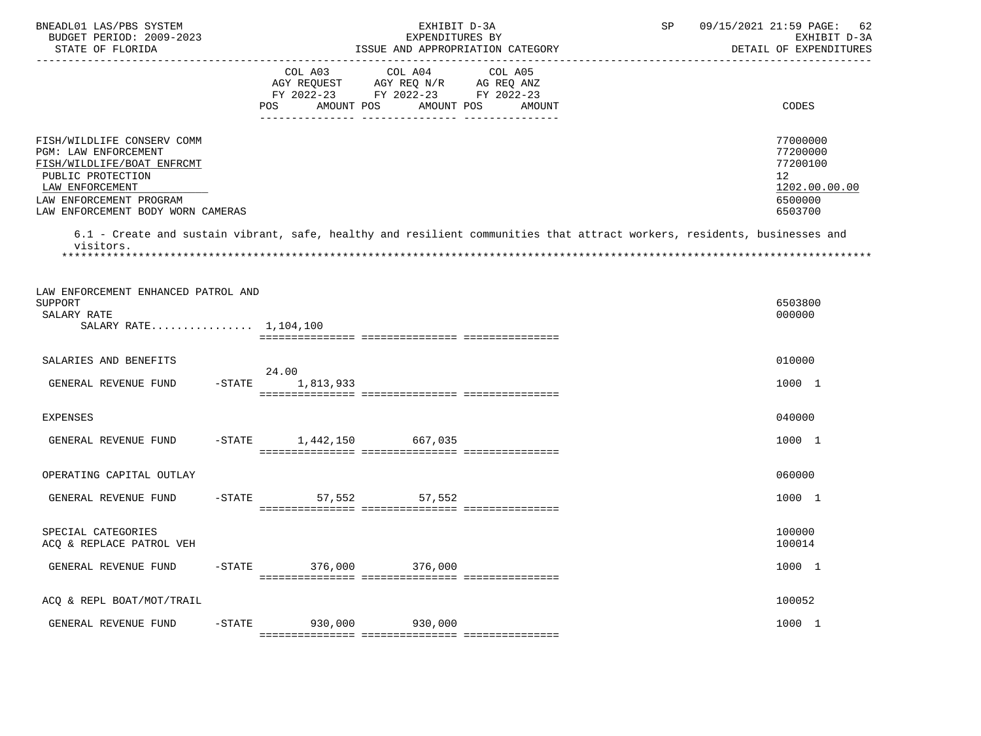| BNEADL01 LAS/PBS SYSTEM<br>BUDGET PERIOD: 2009-2023<br>STATE OF FLORIDA                                                                                                                               | EXHIBIT D-3A<br>EXPENDITURES BY<br>ISSUE AND APPROPRIATION CATEGORY                                                                                      | SP<br>09/15/2021 21:59 PAGE:<br>62<br>EXHIBIT D-3A<br>DETAIL OF EXPENDITURES                 |
|-------------------------------------------------------------------------------------------------------------------------------------------------------------------------------------------------------|----------------------------------------------------------------------------------------------------------------------------------------------------------|----------------------------------------------------------------------------------------------|
|                                                                                                                                                                                                       | COL A03 COL A04<br>COL A05<br>AGY REQUEST AGY REQ N/R AG REQ ANZ<br>FY 2022-23 FY 2022-23 FY 2022-23<br><b>POS</b><br>AMOUNT POS<br>AMOUNT POS<br>AMOUNT | CODES                                                                                        |
| FISH/WILDLIFE CONSERV COMM<br>PGM: LAW ENFORCEMENT<br>FISH/WILDLIFE/BOAT ENFRCMT<br>PUBLIC PROTECTION<br>LAW ENFORCEMENT<br>LAW ENFORCEMENT PROGRAM<br>LAW ENFORCEMENT BODY WORN CAMERAS<br>visitors. | 6.1 - Create and sustain vibrant, safe, healthy and resilient communities that attract workers, residents, businesses and                                | 77000000<br>77200000<br>77200100<br>$12 \overline{ }$<br>1202.00.00.00<br>6500000<br>6503700 |
| LAW ENFORCEMENT ENHANCED PATROL AND<br>SUPPORT<br>SALARY RATE<br>SALARY RATE 1,104,100                                                                                                                |                                                                                                                                                          | 6503800<br>000000                                                                            |
| SALARIES AND BENEFITS                                                                                                                                                                                 |                                                                                                                                                          | 010000                                                                                       |
| GENERAL REVENUE FUND<br>$-$ STATE                                                                                                                                                                     | 24.00<br>1,813,933                                                                                                                                       | 1000 1                                                                                       |
| <b>EXPENSES</b>                                                                                                                                                                                       |                                                                                                                                                          | 040000                                                                                       |
| GENERAL REVENUE FUND                                                                                                                                                                                  | -STATE 1,442,150 667,035                                                                                                                                 | 1000 1                                                                                       |
| OPERATING CAPITAL OUTLAY                                                                                                                                                                              |                                                                                                                                                          | 060000                                                                                       |
| GENERAL REVENUE FUND<br>$-$ STATE                                                                                                                                                                     | 57,552<br>57,552                                                                                                                                         | 1000 1                                                                                       |
| SPECIAL CATEGORIES<br>ACQ & REPLACE PATROL VEH                                                                                                                                                        |                                                                                                                                                          | 100000<br>100014                                                                             |
| $-$ STATE<br>GENERAL REVENUE FUND                                                                                                                                                                     | 376,000<br>376,000                                                                                                                                       | 1000 1                                                                                       |
| ACQ & REPL BOAT/MOT/TRAIL                                                                                                                                                                             |                                                                                                                                                          | 100052                                                                                       |
| GENERAL REVENUE FUND<br>$-$ STATE                                                                                                                                                                     | 930,000<br>930,000                                                                                                                                       | 1000 1                                                                                       |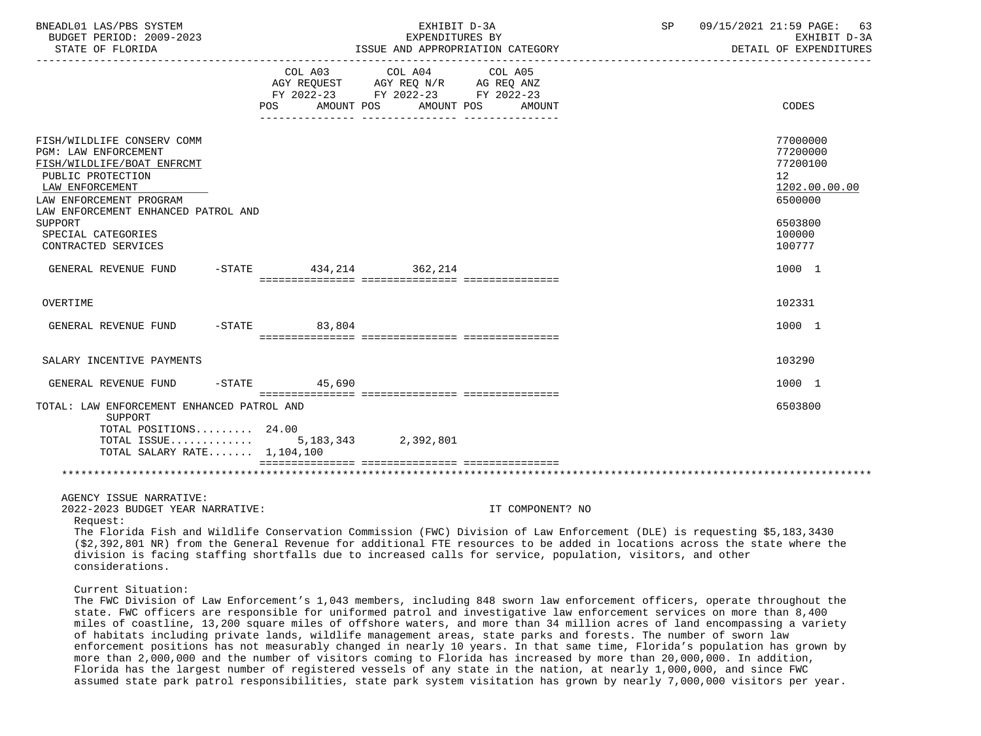| BNEADL01 LAS/PBS SYSTEM<br>BUDGET PERIOD: 2009-2023<br>STATE OF FLORIDA                                                                                                                                                                                     |           |                           | EXHIBIT D-3A<br>EXPENDITURES BY                                                                     | ISSUE AND APPROPRIATION CATEGORY | SP | 09/15/2021 21:59 PAGE:<br>63<br>EXHIBIT D-3A<br>DETAIL OF EXPENDITURES |
|-------------------------------------------------------------------------------------------------------------------------------------------------------------------------------------------------------------------------------------------------------------|-----------|---------------------------|-----------------------------------------------------------------------------------------------------|----------------------------------|----|------------------------------------------------------------------------|
|                                                                                                                                                                                                                                                             | POS.      | AGY REOUEST<br>AMOUNT POS | COL A03 COL A04 COL A05<br>AGY REQ N/R AG REQ ANZ<br>FY 2022-23 FY 2022-23 FY 2022-23<br>AMOUNT POS | AMOUNT                           |    | CODES                                                                  |
| FISH/WILDLIFE CONSERV COMM<br>PGM: LAW ENFORCEMENT<br>FISH/WILDLIFE/BOAT ENFRCMT<br>PUBLIC PROTECTION<br>LAW ENFORCEMENT<br>LAW ENFORCEMENT PROGRAM<br>LAW ENFORCEMENT ENHANCED PATROL AND                                                                  |           |                           |                                                                                                     |                                  |    | 77000000<br>77200000<br>77200100<br>12<br>1202.00.00.00<br>6500000     |
| SUPPORT<br>SPECIAL CATEGORIES<br>CONTRACTED SERVICES                                                                                                                                                                                                        |           |                           |                                                                                                     |                                  |    | 6503800<br>100000<br>100777                                            |
| GENERAL REVENUE FUND                                                                                                                                                                                                                                        |           |                           | -STATE 434, 214 362, 214                                                                            |                                  |    | 1000 1                                                                 |
| OVERTIME                                                                                                                                                                                                                                                    |           |                           |                                                                                                     |                                  |    | 102331                                                                 |
| GENERAL REVENUE FUND                                                                                                                                                                                                                                        | $-STATE$  | 83,804                    |                                                                                                     |                                  |    | 1000 1                                                                 |
| SALARY INCENTIVE PAYMENTS                                                                                                                                                                                                                                   |           |                           |                                                                                                     |                                  |    | 103290                                                                 |
| GENERAL REVENUE FUND                                                                                                                                                                                                                                        | $-$ STATE | 45,690                    |                                                                                                     |                                  |    | 1000 1                                                                 |
| TOTAL: LAW ENFORCEMENT ENHANCED PATROL AND<br>SUPPORT<br>TOTAL POSITIONS 24.00<br>TOTAL ISSUE<br>TOTAL SALARY RATE $1,104,100$                                                                                                                              |           |                           | 5, 183, 343 2, 392, 801                                                                             |                                  |    | 6503800                                                                |
|                                                                                                                                                                                                                                                             |           |                           |                                                                                                     |                                  |    |                                                                        |
| AGENCY ISSUE NARRATIVE:<br>2022-2023 BUDGET YEAR NARRATIVE:<br>Request:<br>The Florida Fish and Wildlife Conservation Commission (FWC) Division of Law Enforcement (DLE) is requesting \$5,183,3430                                                         |           |                           |                                                                                                     | IT COMPONENT? NO                 |    |                                                                        |
| (\$2,392,801 NR) from the General Revenue for additional FTE resources to be added in locations across the state where the<br>division is facing staffing shortfalls due to increased calls for service, population, visitors, and other<br>considerations. |           |                           |                                                                                                     |                                  |    |                                                                        |
| Current Situation:<br>The FWC Division of Law Enforcement's 1,043 members, including 848 sworn law enforcement officers, operate throughout the                                                                                                             |           |                           |                                                                                                     |                                  |    |                                                                        |

 state. FWC officers are responsible for uniformed patrol and investigative law enforcement services on more than 8,400 miles of coastline, 13,200 square miles of offshore waters, and more than 34 million acres of land encompassing a variety of habitats including private lands, wildlife management areas, state parks and forests. The number of sworn law enforcement positions has not measurably changed in nearly 10 years. In that same time, Florida's population has grown by more than 2,000,000 and the number of visitors coming to Florida has increased by more than 20,000,000. In addition, Florida has the largest number of registered vessels of any state in the nation, at nearly 1,000,000, and since FWC assumed state park patrol responsibilities, state park system visitation has grown by nearly 7,000,000 visitors per year.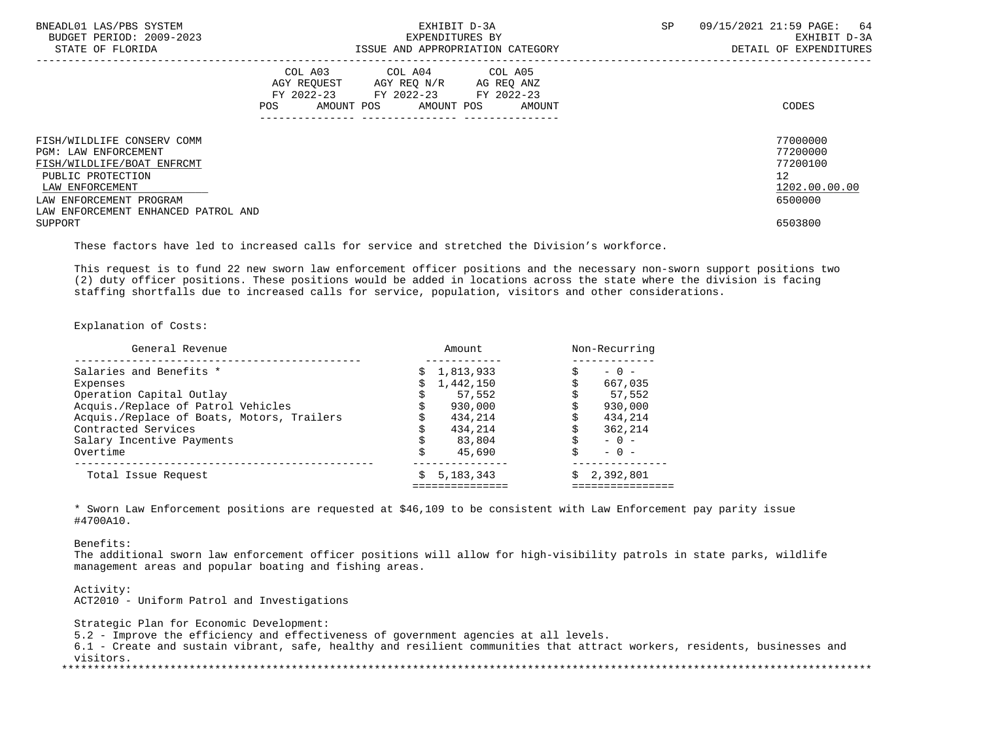| BNEADL01 LAS/PBS SYSTEM<br>BUDGET PERIOD: 2009-2023<br>STATE OF FLORIDA |                    | EXHIBIT D-3A<br>EXPENDITURES BY<br>ISSUE AND APPROPRIATION CATEGORY        | SP                                         | 09/15/2021 21:59 PAGE:<br>64<br>EXHIBIT D-3A<br>DETAIL OF EXPENDITURES |                      |
|-------------------------------------------------------------------------|--------------------|----------------------------------------------------------------------------|--------------------------------------------|------------------------------------------------------------------------|----------------------|
|                                                                         | AGY REOUEST<br>POS | COL A03 COL A04 COL A05<br>AGY REQ N/R<br>FY 2022-23 FY 2022-23 FY 2022-23 | AG REQ ANZ<br>AMOUNT POS AMOUNT POS AMOUNT |                                                                        | CODES                |
| FISH/WILDLIFE CONSERV COMM<br>PGM: LAW ENFORCEMENT                      |                    |                                                                            |                                            |                                                                        | 77000000<br>77200000 |
| FISH/WILDLIFE/BOAT ENFRCMT                                              |                    |                                                                            |                                            |                                                                        | 77200100             |
| PUBLIC PROTECTION                                                       |                    |                                                                            |                                            |                                                                        | $12 \overline{ }$    |
| LAW ENFORCEMENT                                                         |                    |                                                                            |                                            |                                                                        | 1202.00.00.00        |
| LAW ENFORCEMENT PROGRAM                                                 |                    |                                                                            |                                            |                                                                        | 6500000              |
| LAW ENFORCEMENT ENHANCED PATROL AND                                     |                    |                                                                            |                                            |                                                                        |                      |
| SUPPORT                                                                 |                    |                                                                            |                                            |                                                                        | 6503800              |

These factors have led to increased calls for service and stretched the Division's workforce.

 This request is to fund 22 new sworn law enforcement officer positions and the necessary non-sworn support positions two (2) duty officer positions. These positions would be added in locations across the state where the division is facing staffing shortfalls due to increased calls for service, population, visitors and other considerations.

## Explanation of Costs:

| General Revenue                            | Amount.          | Non-Recurring   |  |  |
|--------------------------------------------|------------------|-----------------|--|--|
| Salaries and Benefits *                    | 1,813,933        | $-0 -$          |  |  |
| Expenses                                   | 1,442,150        | 667,035         |  |  |
| Operation Capital Outlay                   | 57,552           | 57,552          |  |  |
| Acquis./Replace of Patrol Vehicles         | 930,000          | 930,000         |  |  |
| Acquis./Replace of Boats, Motors, Trailers | 434,214          | 434,214         |  |  |
| Contracted Services                        | 434,214          | 362,214         |  |  |
| Salary Incentive Payments                  | 83,804           | $-0 -$          |  |  |
| Overtime                                   | 45,690           | $-0 -$          |  |  |
| Total Issue Request                        | 5, 183, 343<br>Ŝ | 2,392,801<br>Ŝ. |  |  |
|                                            |                  |                 |  |  |

 \* Sworn Law Enforcement positions are requested at \$46,109 to be consistent with Law Enforcement pay parity issue #4700A10.

Benefits:

 The additional sworn law enforcement officer positions will allow for high-visibility patrols in state parks, wildlife management areas and popular boating and fishing areas.

 Activity: ACT2010 - Uniform Patrol and Investigations

 Strategic Plan for Economic Development: 5.2 - Improve the efficiency and effectiveness of government agencies at all levels. 6.1 - Create and sustain vibrant, safe, healthy and resilient communities that attract workers, residents, businesses and visitors. \*\*\*\*\*\*\*\*\*\*\*\*\*\*\*\*\*\*\*\*\*\*\*\*\*\*\*\*\*\*\*\*\*\*\*\*\*\*\*\*\*\*\*\*\*\*\*\*\*\*\*\*\*\*\*\*\*\*\*\*\*\*\*\*\*\*\*\*\*\*\*\*\*\*\*\*\*\*\*\*\*\*\*\*\*\*\*\*\*\*\*\*\*\*\*\*\*\*\*\*\*\*\*\*\*\*\*\*\*\*\*\*\*\*\*\*\*\*\*\*\*\*\*\*\*\*\*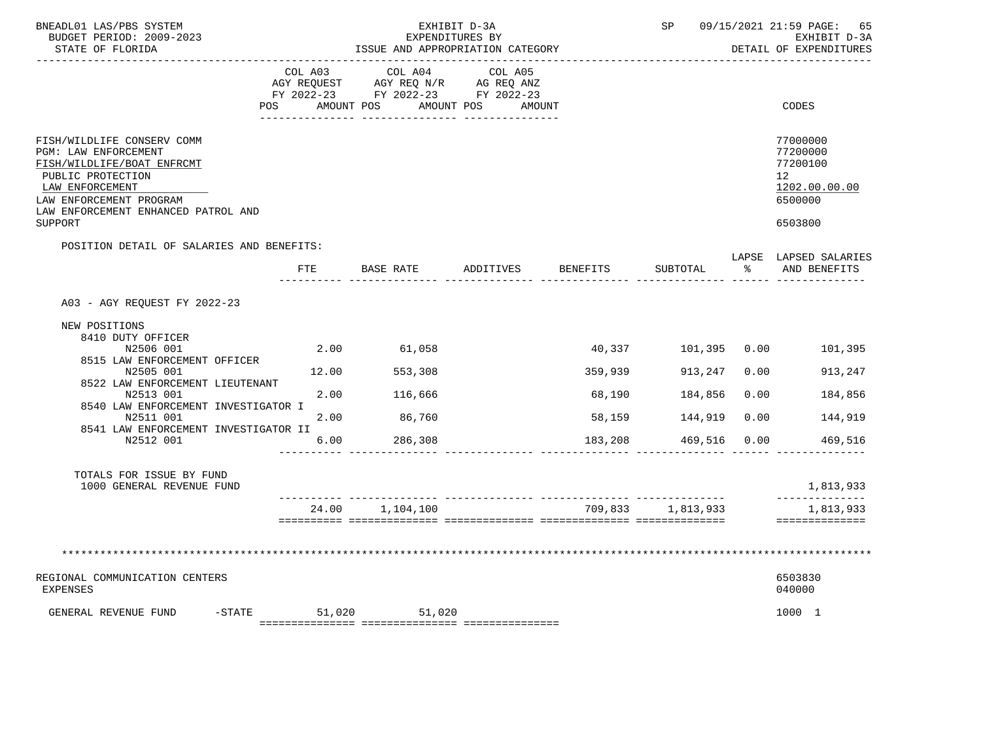| BNEADL01 LAS/PBS SYSTEM<br>BUDGET PERIOD: 2009-2023<br>STATE OF FLORIDA                                                                                                                    | EXHIBIT D-3A<br>EXPENDITURES BY<br>ISSUE AND APPROPRIATION CATEGORY<br>_________________________________ |                                                                                   |                                 |                 |                   |      | 09/15/2021 21:59 PAGE: 65<br>EXHIBIT D-3A<br>DETAIL OF EXPENDITURES |
|--------------------------------------------------------------------------------------------------------------------------------------------------------------------------------------------|----------------------------------------------------------------------------------------------------------|-----------------------------------------------------------------------------------|---------------------------------|-----------------|-------------------|------|---------------------------------------------------------------------|
|                                                                                                                                                                                            | COL A03<br>POS AMOUNT POS                                                                                | COL A04<br>AGY REQUEST AGY REQ N/R AG REQ ANZ<br>FY 2022-23 FY 2022-23 FY 2022-23 | COL A05<br>AMOUNT POS<br>AMOUNT |                 |                   |      | CODES                                                               |
| FISH/WILDLIFE CONSERV COMM<br>PGM: LAW ENFORCEMENT<br>FISH/WILDLIFE/BOAT ENFRCMT<br>PUBLIC PROTECTION<br>LAW ENFORCEMENT<br>LAW ENFORCEMENT PROGRAM<br>LAW ENFORCEMENT ENHANCED PATROL AND |                                                                                                          |                                                                                   |                                 |                 |                   |      | 77000000<br>77200000<br>77200100<br>12<br>1202.00.00.00<br>6500000  |
| SUPPORT                                                                                                                                                                                    |                                                                                                          |                                                                                   |                                 |                 |                   |      | 6503800                                                             |
| POSITION DETAIL OF SALARIES AND BENEFITS:                                                                                                                                                  | FTE                                                                                                      | BASE RATE                                                                         | ADDITIVES                       | <b>BENEFITS</b> | SUBTOTAL          | န္   | LAPSE LAPSED SALARIES<br>AND BENEFITS                               |
| A03 - AGY REOUEST FY 2022-23                                                                                                                                                               |                                                                                                          |                                                                                   |                                 |                 |                   |      |                                                                     |
| NEW POSITIONS<br>8410 DUTY OFFICER<br>N2506 001                                                                                                                                            |                                                                                                          | 2.00 61,058                                                                       |                                 |                 |                   |      | 40,337 101,395 0.00 101,395                                         |
| 8515 LAW ENFORCEMENT OFFICER<br>N2505 001                                                                                                                                                  | 12.00                                                                                                    | 553,308                                                                           |                                 | 359,939         | 913,247           |      | 0.00<br>913,247                                                     |
| 8522 LAW ENFORCEMENT LIEUTENANT<br>N2513 001                                                                                                                                               | 2.00                                                                                                     | 116,666                                                                           |                                 | 68,190          | 184,856           | 0.00 | 184,856                                                             |
| 8540 LAW ENFORCEMENT INVESTIGATOR I<br>N2511 001                                                                                                                                           | 2.00                                                                                                     | 86,760                                                                            |                                 | 58,159          | 144,919           | 0.00 | 144,919                                                             |
| 8541 LAW ENFORCEMENT INVESTIGATOR II<br>N2512 001                                                                                                                                          | 6.00                                                                                                     | 286,308                                                                           |                                 | 183,208         | 469,516           | 0.00 | 469,516                                                             |
| TOTALS FOR ISSUE BY FUND<br>1000 GENERAL REVENUE FUND                                                                                                                                      |                                                                                                          |                                                                                   |                                 |                 |                   |      | 1,813,933                                                           |
|                                                                                                                                                                                            |                                                                                                          | 24.00 1,104,100                                                                   |                                 |                 | 709,833 1,813,933 |      | ______________<br>1,813,933                                         |
| REGIONAL COMMUNICATION CENTERS<br><b>EXPENSES</b>                                                                                                                                          |                                                                                                          |                                                                                   |                                 |                 |                   |      | ==============<br>6503830<br>040000                                 |
| $-$ STATE<br>GENERAL REVENUE FUND                                                                                                                                                          |                                                                                                          | $51,020$ $51,020$                                                                 |                                 |                 |                   |      | 1000 1                                                              |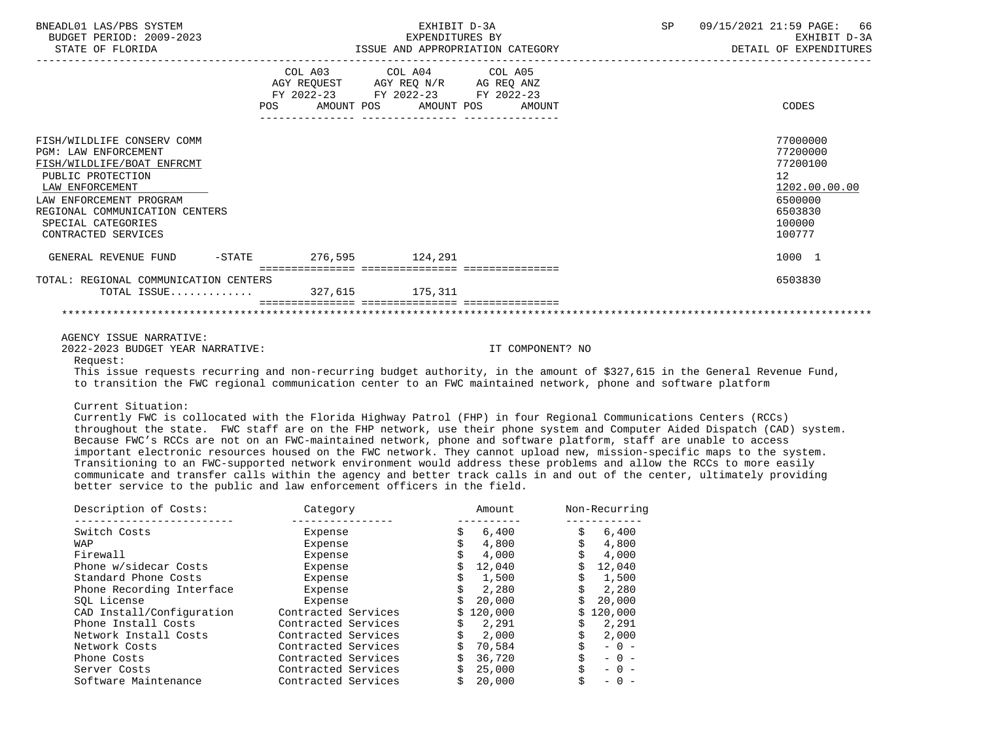|                                       | EXHIBIT D-3A<br>EXPENDITURES BY | SP                                                                         | 09/15/2021 21:59 PAGE: 66<br>EXHIBIT D-3A<br>DETAIL OF EXPENDITURES                                                                                                       |
|---------------------------------------|---------------------------------|----------------------------------------------------------------------------|---------------------------------------------------------------------------------------------------------------------------------------------------------------------------|
|                                       |                                 |                                                                            | CODES                                                                                                                                                                     |
|                                       |                                 |                                                                            | 77000000<br>77200000<br>77200100<br>12 <sup>°</sup><br>1202.00.00.00<br>6500000<br>6503830<br>100000<br>100777                                                            |
|                                       |                                 |                                                                            | 1000 1                                                                                                                                                                    |
| TOTAL: REGIONAL COMMUNICATION CENTERS |                                 |                                                                            | 6503830                                                                                                                                                                   |
|                                       |                                 | GENERAL REVENUE FUND -STATE 276,595 124,291<br>TOTAL ISSUE 327,615 175,311 | ISSUE AND APPROPRIATION CATEGORY<br>COL A03 COL A04 COL A05<br>AGY REQUEST AGY REQ N/R AG REQ ANZ<br>FY 2022-23 FY 2022-23 FY 2022-23<br>POS AMOUNT POS AMOUNT POS AMOUNT |

AGENCY ISSUE NARRATIVE:

2022-2023 BUDGET YEAR NARRATIVE: IT COMPONENT? NO

Request:

 This issue requests recurring and non-recurring budget authority, in the amount of \$327,615 in the General Revenue Fund, to transition the FWC regional communication center to an FWC maintained network, phone and software platform

Current Situation:

 Currently FWC is collocated with the Florida Highway Patrol (FHP) in four Regional Communications Centers (RCCs) throughout the state. FWC staff are on the FHP network, use their phone system and Computer Aided Dispatch (CAD) system. Because FWC's RCCs are not on an FWC-maintained network, phone and software platform, staff are unable to access important electronic resources housed on the FWC network. They cannot upload new, mission-specific maps to the system. Transitioning to an FWC-supported network environment would address these problems and allow the RCCs to more easily communicate and transfer calls within the agency and better track calls in and out of the center, ultimately providing better service to the public and law enforcement officers in the field.

| Description of Costs:     | Category            | Amount    | Non-Recurring |  |  |
|---------------------------|---------------------|-----------|---------------|--|--|
| Switch Costs              | Expense             | 6,400     | \$<br>6,400   |  |  |
| WAP                       | Expense             | 4,800     | 4,800         |  |  |
| Firewall                  | Expense             | 4,000     | 4,000         |  |  |
| Phone w/sidecar Costs     | Expense             | 12,040    | 12,040        |  |  |
| Standard Phone Costs      | Expense             | 1,500     | 1,500         |  |  |
| Phone Recording Interface | Expense             | 2,280     | 2,280         |  |  |
| SOL License               | Expense             | 20,000    | 20,000        |  |  |
| CAD Install/Configuration | Contracted Services | \$120,000 | 120,000<br>Ŝ. |  |  |
| Phone Install Costs       | Contracted Services | 2,291     | 2,291         |  |  |
| Network Install Costs     | Contracted Services | 2,000     | 2,000         |  |  |
| Network Costs             | Contracted Services | 70,584    | $-0 -$        |  |  |
| Phone Costs               | Contracted Services | 36,720    | $- 0 -$       |  |  |
| Server Costs              | Contracted Services | 25,000    | - 0 -         |  |  |
| Software Maintenance      | Contracted Services | 20,000    | $-$           |  |  |
|                           |                     |           |               |  |  |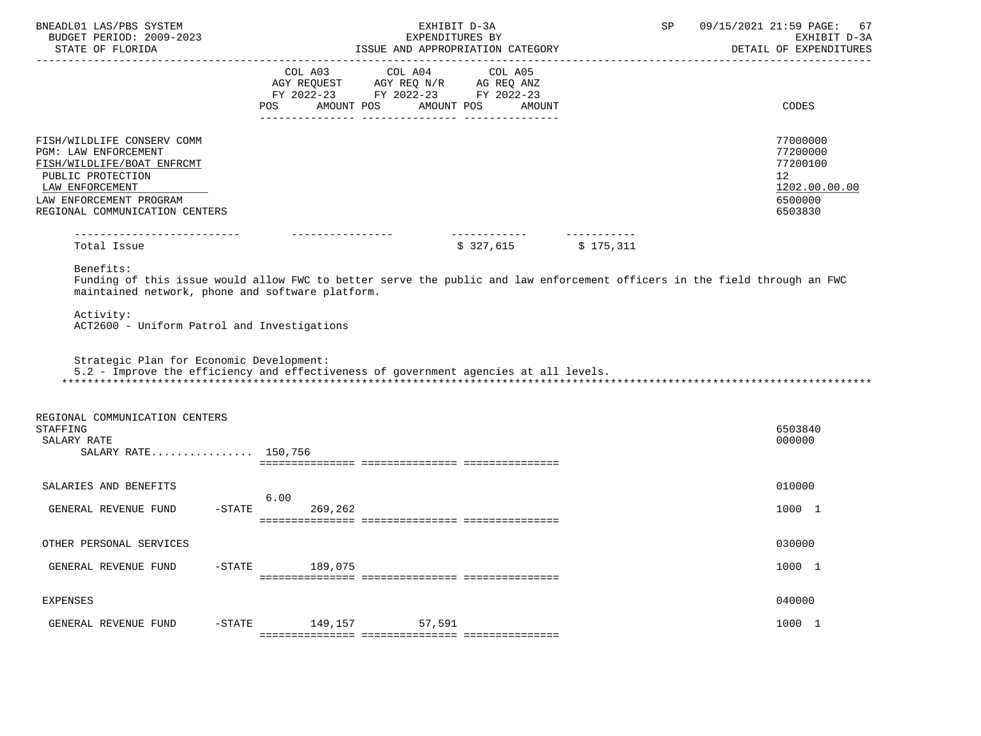| BNEADL01 LAS/PBS SYSTEM<br>BUDGET PERIOD: 2009-2023<br>STATE OF FLORIDA                                                                                                               | EXHIBIT D-3A<br>EXPENDITURES BY<br>ISSUE AND APPROPRIATION CATEGORY                                                                         | 09/15/2021 21:59 PAGE:<br>SP<br>DETAIL OF EXPENDITURES                        | 67<br>EXHIBIT D-3A |
|---------------------------------------------------------------------------------------------------------------------------------------------------------------------------------------|---------------------------------------------------------------------------------------------------------------------------------------------|-------------------------------------------------------------------------------|--------------------|
|                                                                                                                                                                                       | COL A03 COL A04 COL A05<br>AGY REQUEST AGY REQ N/R AG REQ ANZ FY 2022-23 FY 2022-23 FY 2022-23<br>AMOUNT POS<br>AMOUNT POS<br>AMOUNT<br>POS | CODES                                                                         |                    |
| FISH/WILDLIFE CONSERV COMM<br>PGM: LAW ENFORCEMENT<br>FISH/WILDLIFE/BOAT ENFRCMT<br>PUBLIC PROTECTION<br>LAW ENFORCEMENT<br>LAW ENFORCEMENT PROGRAM<br>REGIONAL COMMUNICATION CENTERS |                                                                                                                                             | 77000000<br>77200000<br>77200100<br>12<br>1202.00.00.00<br>6500000<br>6503830 |                    |
| ----------------------------<br>Total Issue                                                                                                                                           | __________________<br>$$327,615$ $$175,311$                                                                                                 |                                                                               |                    |
| Activity:<br>ACT2600 - Uniform Patrol and Investigations<br>Strategic Plan for Economic Development:                                                                                  | 5.2 - Improve the efficiency and effectiveness of government agencies at all levels.                                                        |                                                                               |                    |
| REGIONAL COMMUNICATION CENTERS<br>STAFFING<br>SALARY RATE<br>SALARY RATE 150,756                                                                                                      |                                                                                                                                             | 6503840<br>000000                                                             |                    |
| SALARIES AND BENEFITS                                                                                                                                                                 | 6.00                                                                                                                                        | 010000                                                                        |                    |
| GENERAL REVENUE FUND<br>$-$ STATE                                                                                                                                                     | 269,262                                                                                                                                     | 1000 1                                                                        |                    |
| OTHER PERSONAL SERVICES                                                                                                                                                               |                                                                                                                                             | 030000                                                                        |                    |
| GENERAL REVENUE FUND<br>$-$ STATE                                                                                                                                                     | 189,075                                                                                                                                     | 1000 1                                                                        |                    |
| EXPENSES                                                                                                                                                                              |                                                                                                                                             | 040000                                                                        |                    |
| $-$ STATE<br>GENERAL REVENUE FUND                                                                                                                                                     | 149,157<br>57,591                                                                                                                           | 1000 1                                                                        |                    |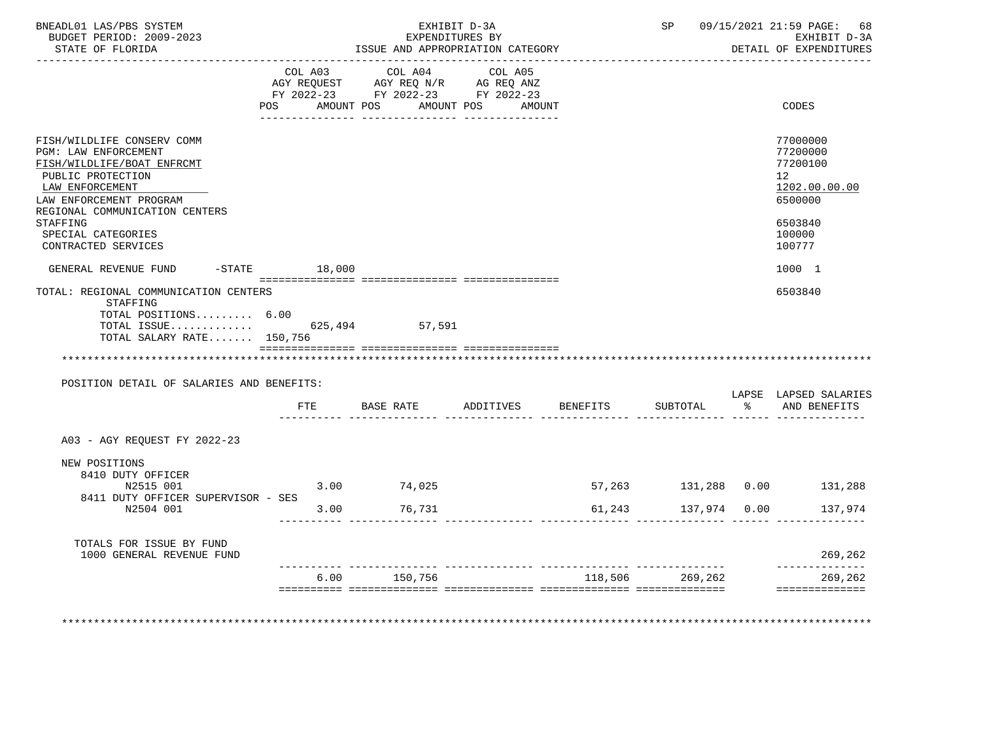| BNEADL01 LAS/PBS SYSTEM                               |      | EXHIBIT D-3A                                                  |                      |                     | SP 09/15/2021 21:59 PAGE: 68           |
|-------------------------------------------------------|------|---------------------------------------------------------------|----------------------|---------------------|----------------------------------------|
| BUDGET PERIOD: 2009-2023<br>STATE OF FLORIDA          |      | EXPENDITURES BY<br>ISSUE AND APPROPRIATION CATEGORY           |                      |                     | EXHIBIT D-3A<br>DETAIL OF EXPENDITURES |
| ______________________________                        |      |                                                               |                      |                     |                                        |
|                                                       |      | COL A03 COL A04 COL A05<br>AGY REQUEST AGY REQ N/R AG REQ ANZ |                      |                     |                                        |
|                                                       |      | FY 2022-23 FY 2022-23 FY 2022-23                              |                      |                     |                                        |
|                                                       |      | POS AMOUNT POS                                                | AMOUNT POS<br>AMOUNT |                     | CODES                                  |
|                                                       |      |                                                               |                      |                     |                                        |
| FISH/WILDLIFE CONSERV COMM                            |      |                                                               |                      |                     | 77000000                               |
| PGM: LAW ENFORCEMENT<br>FISH/WILDLIFE/BOAT ENFRCMT    |      |                                                               |                      |                     | 77200000<br>77200100                   |
| PUBLIC PROTECTION                                     |      |                                                               |                      |                     | 12 <sup>12</sup>                       |
| LAW ENFORCEMENT                                       |      |                                                               |                      |                     | 1202.00.00.00                          |
| LAW ENFORCEMENT PROGRAM                               |      |                                                               |                      |                     | 6500000                                |
| REGIONAL COMMUNICATION CENTERS                        |      |                                                               |                      |                     |                                        |
| STAFFING<br>SPECIAL CATEGORIES                        |      |                                                               |                      |                     | 6503840<br>100000                      |
| CONTRACTED SERVICES                                   |      |                                                               |                      |                     | 100777                                 |
|                                                       |      |                                                               |                      |                     |                                        |
| GENERAL REVENUE FUND -STATE 18,000                    |      |                                                               |                      |                     | 1000 1                                 |
| TOTAL: REGIONAL COMMUNICATION CENTERS<br>STAFFING     |      |                                                               |                      |                     | 6503840                                |
| TOTAL POSITIONS 6.00                                  |      |                                                               |                      |                     |                                        |
| TOTAL ISSUE 625,494 57,591                            |      |                                                               |                      |                     |                                        |
| TOTAL SALARY RATE 150,756                             |      |                                                               |                      |                     |                                        |
|                                                       |      |                                                               |                      |                     |                                        |
| POSITION DETAIL OF SALARIES AND BENEFITS:             |      |                                                               |                      |                     |                                        |
|                                                       |      |                                                               |                      | SUBTOTAL            | LAPSE LAPSED SALARIES                  |
|                                                       |      |                                                               |                      |                     | % AND BENEFITS                         |
| A03 - AGY REQUEST FY 2022-23                          |      |                                                               |                      |                     |                                        |
|                                                       |      |                                                               |                      |                     |                                        |
| NEW POSITIONS                                         |      |                                                               |                      |                     |                                        |
| 8410 DUTY OFFICER<br>N2515 001                        |      | $3.00$ $74.025$                                               |                      |                     | 57,263 131,288 0.00 131,288            |
| 8411 DUTY OFFICER SUPERVISOR - SES                    |      |                                                               |                      |                     |                                        |
| N2504 001                                             |      | 3.00 76,731                                                   |                      | 61,243 137,974 0.00 | 137,974                                |
|                                                       |      |                                                               |                      |                     |                                        |
|                                                       |      |                                                               |                      |                     |                                        |
| TOTALS FOR ISSUE BY FUND<br>1000 GENERAL REVENUE FUND |      |                                                               |                      |                     | 269,262                                |
|                                                       | 6.00 | 150,756                                                       |                      | 118,506 269,262     | --------------<br>269,262              |
|                                                       |      |                                                               |                      |                     |                                        |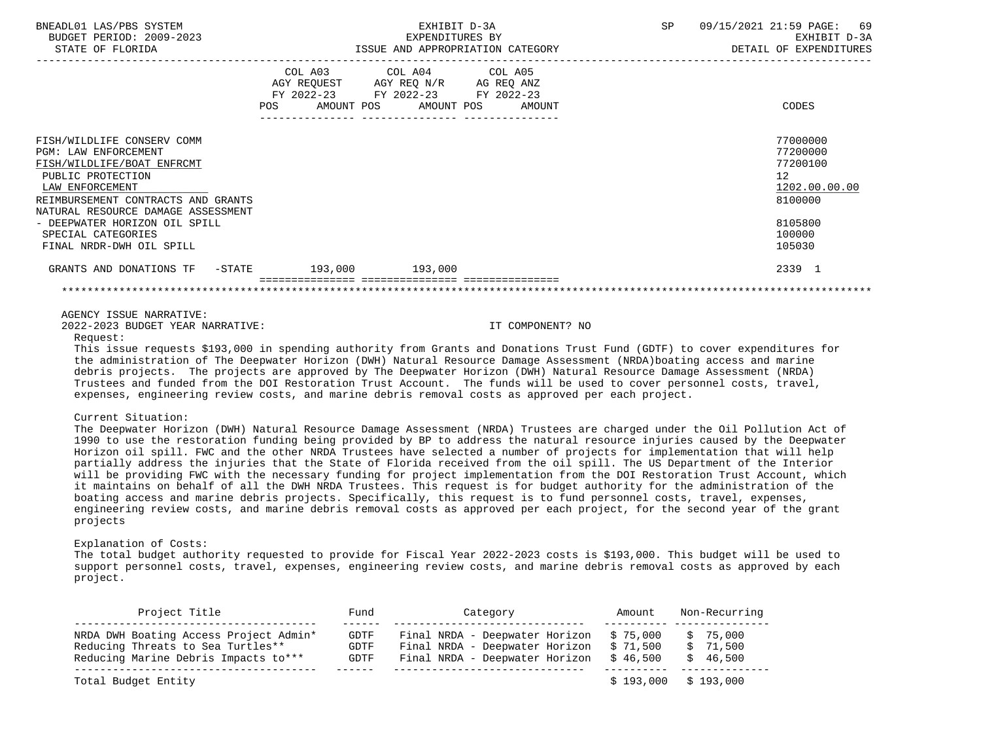| BNEADL01 LAS/PBS SYSTEM<br>BUDGET PERIOD: 2009-2023<br>STATE OF FLORIDA                                                                                                                                                                                                                                                                                                                                                                                                                                                                                                                                                                                                                                                                                                                                                                                                                                                                                                                                                             | EXHIBIT D-3A<br>EXPENDITURES BY                                                                           |                       |                   | SP | 09/15/2021 21:59 PAGE: 69<br>EXHIBIT D-3A<br>DETAIL OF EXPENDITURES                                            |
|-------------------------------------------------------------------------------------------------------------------------------------------------------------------------------------------------------------------------------------------------------------------------------------------------------------------------------------------------------------------------------------------------------------------------------------------------------------------------------------------------------------------------------------------------------------------------------------------------------------------------------------------------------------------------------------------------------------------------------------------------------------------------------------------------------------------------------------------------------------------------------------------------------------------------------------------------------------------------------------------------------------------------------------|-----------------------------------------------------------------------------------------------------------|-----------------------|-------------------|----|----------------------------------------------------------------------------------------------------------------|
|                                                                                                                                                                                                                                                                                                                                                                                                                                                                                                                                                                                                                                                                                                                                                                                                                                                                                                                                                                                                                                     | COL A03<br>AGY REQUEST AGY REQ N/R AG REQ ANZ<br>FY 2022-23 FY 2022-23 FY 2022-23<br>AMOUNT POS<br>POS DO | COL A04<br>AMOUNT POS | COL A05<br>AMOUNT |    | CODES                                                                                                          |
| FISH/WILDLIFE CONSERV COMM<br>PGM: LAW ENFORCEMENT<br>FISH/WILDLIFE/BOAT ENFRCMT<br>PUBLIC PROTECTION<br>LAW ENFORCEMENT<br>REIMBURSEMENT CONTRACTS AND GRANTS<br>NATURAL RESOURCE DAMAGE ASSESSMENT<br>- DEEPWATER HORIZON OIL SPILL<br>SPECIAL CATEGORIES<br>FINAL NRDR-DWH OIL SPILL                                                                                                                                                                                                                                                                                                                                                                                                                                                                                                                                                                                                                                                                                                                                             |                                                                                                           |                       |                   |    | 77000000<br>77200000<br>77200100<br>12 <sup>°</sup><br>1202.00.00.00<br>8100000<br>8105800<br>100000<br>105030 |
| GRANTS AND DONATIONS TF -STATE 193,000 193,000                                                                                                                                                                                                                                                                                                                                                                                                                                                                                                                                                                                                                                                                                                                                                                                                                                                                                                                                                                                      |                                                                                                           |                       |                   |    | 2339 1                                                                                                         |
|                                                                                                                                                                                                                                                                                                                                                                                                                                                                                                                                                                                                                                                                                                                                                                                                                                                                                                                                                                                                                                     |                                                                                                           |                       |                   |    |                                                                                                                |
| AGENCY ISSUE NARRATIVE:<br>2022-2023 BUDGET YEAR NARRATIVE:<br>Request:<br>This issue requests \$193,000 in spending authority from Grants and Donations Trust Fund (GDTF) to cover expenditures for<br>the administration of The Deepwater Horizon (DWH) Natural Resource Damage Assessment (NRDA)boating access and marine<br>debris projects. The projects are approved by The Deepwater Horizon (DWH) Natural Resource Damage Assessment (NRDA)<br>Trustees and funded from the DOI Restoration Trust Account. The funds will be used to cover personnel costs, travel,<br>expenses, engineering review costs, and marine debris removal costs as approved per each project.<br>Current Situation:                                                                                                                                                                                                                                                                                                                              |                                                                                                           |                       | IT COMPONENT? NO  |    |                                                                                                                |
| The Deepwater Horizon (DWH) Natural Resource Damage Assessment (NRDA) Trustees are charged under the Oil Pollution Act of<br>1990 to use the restoration funding being provided by BP to address the natural resource injuries caused by the Deepwater<br>Horizon oil spill. FWC and the other NRDA Trustees have selected a number of projects for implementation that will help<br>partially address the injuries that the State of Florida received from the oil spill. The US Department of the Interior<br>will be providing FWC with the necessary funding for project implementation from the DOI Restoration Trust Account, which<br>it maintains on behalf of all the DWH NRDA Trustees. This request is for budget authority for the administration of the<br>boating access and marine debris projects. Specifically, this request is to fund personnel costs, travel, expenses,<br>engineering review costs, and marine debris removal costs as approved per each project, for the second year of the grant<br>projects |                                                                                                           |                       |                   |    |                                                                                                                |
| Explanation of Costs:<br>The total budget authority requested to provide for Fiscal Year 2022-2023 costs is \$193,000. This budget will be used to<br>support personnel costs, travel, expenses, engineering review costs, and marine debris removal costs as approved by each                                                                                                                                                                                                                                                                                                                                                                                                                                                                                                                                                                                                                                                                                                                                                      |                                                                                                           |                       |                   |    |                                                                                                                |

 support personnel costs, travel, expenses, engineering review costs, and marine debris removal costs as approved by each project.

| Project Title                                                                                                       | Fund                 | Category                                                                                                                         | Amount | Non-Recurring                    |
|---------------------------------------------------------------------------------------------------------------------|----------------------|----------------------------------------------------------------------------------------------------------------------------------|--------|----------------------------------|
| NRDA DWH Boating Access Project Admin*<br>Reducing Threats to Sea Turtles**<br>Reducing Marine Debris Impacts to*** | GDTF<br>GDTF<br>GDTF | Final NRDA - Deepwater Horizon $$75,000$<br>Final NRDA - Deepwater Horizon \$ 71,500<br>Final NRDA - Deepwater Horizon \$ 46,500 |        | \$75,000<br>\$71,500<br>\$46,500 |
| Total Budget Entity                                                                                                 |                      |                                                                                                                                  |        | $$193,000$ $$193,000$            |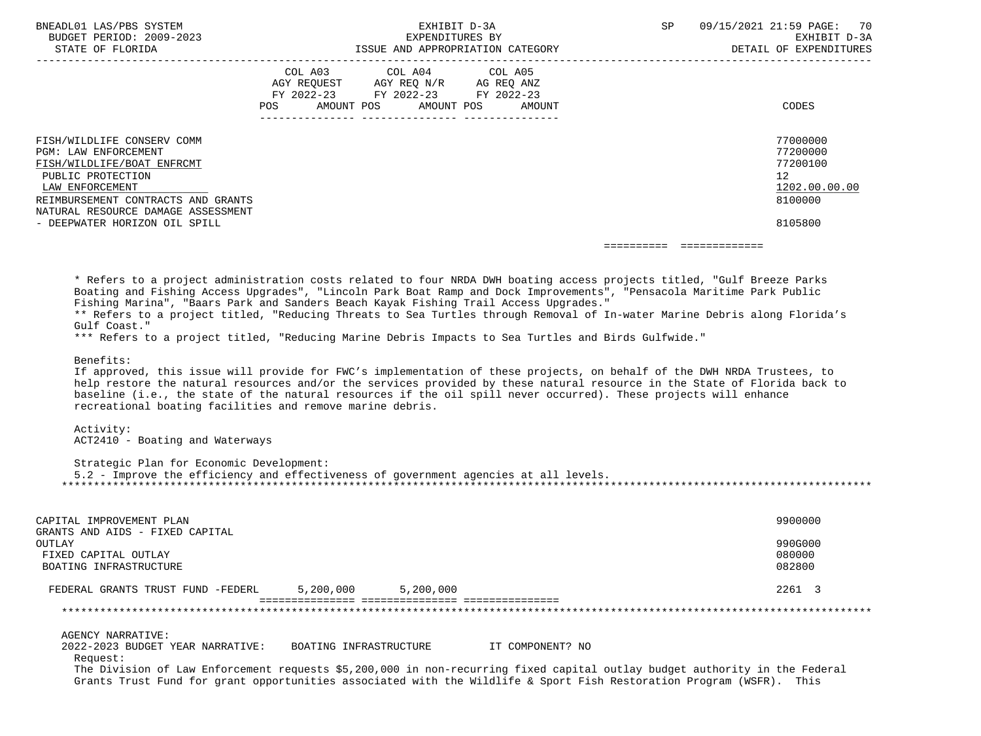| BNEADL01 LAS/PBS SYSTEM<br>BUDGET PERIOD: 2009-2023<br>STATE OF FLORIDA                                                                                                                                                               | EXHIBIT D-3A<br>EXPENDITURES BY<br>ISSUE AND APPROPRIATION CATEGORY                                                                                                                                                                                                                                                                                                                                                                                                                                                                                                                                                                                                                                                                                                                                                                                                                                                                                                                                                                                                                                          | SP                       | 09/15/2021 21:59 PAGE: 70<br>EXHIBIT D-3A<br>DETAIL OF EXPENDITURES           |
|---------------------------------------------------------------------------------------------------------------------------------------------------------------------------------------------------------------------------------------|--------------------------------------------------------------------------------------------------------------------------------------------------------------------------------------------------------------------------------------------------------------------------------------------------------------------------------------------------------------------------------------------------------------------------------------------------------------------------------------------------------------------------------------------------------------------------------------------------------------------------------------------------------------------------------------------------------------------------------------------------------------------------------------------------------------------------------------------------------------------------------------------------------------------------------------------------------------------------------------------------------------------------------------------------------------------------------------------------------------|--------------------------|-------------------------------------------------------------------------------|
|                                                                                                                                                                                                                                       | COL A03 COL A04 COL A05<br>$\begin{tabular}{lllllll} \bf AGY & \bf REQUEST & \bf AGY & \bf REQ & \tt N/R & \bf AG & \bf REQ & \tt ANZ \\ \bf FY & \tt 2022-23 & \tt FY & \tt 2022-23 & \tt FY & \tt 2022-23 \\ \end{tabular}$<br>AMOUNT POS<br>AMOUNT POS<br>POS<br><b>AMOUNT</b>                                                                                                                                                                                                                                                                                                                                                                                                                                                                                                                                                                                                                                                                                                                                                                                                                            |                          | CODES                                                                         |
| FISH/WILDLIFE CONSERV COMM<br>PGM: LAW ENFORCEMENT<br>FISH/WILDLIFE/BOAT ENFRCMT<br>PUBLIC PROTECTION<br>LAW ENFORCEMENT<br>REIMBURSEMENT CONTRACTS AND GRANTS<br>NATURAL RESOURCE DAMAGE ASSESSMENT<br>- DEEPWATER HORIZON OIL SPILL |                                                                                                                                                                                                                                                                                                                                                                                                                                                                                                                                                                                                                                                                                                                                                                                                                                                                                                                                                                                                                                                                                                              |                          | 77000000<br>77200000<br>77200100<br>12<br>1202.00.00.00<br>8100000<br>8105800 |
|                                                                                                                                                                                                                                       |                                                                                                                                                                                                                                                                                                                                                                                                                                                                                                                                                                                                                                                                                                                                                                                                                                                                                                                                                                                                                                                                                                              | ======================== |                                                                               |
| Gulf Coast."<br>Benefits:<br>Activity:<br>ACT2410 - Boating and Waterways<br>Strategic Plan for Economic Development:                                                                                                                 | * Refers to a project administration costs related to four NRDA DWH boating access projects titled, "Gulf Breeze Parks<br>Boating and Fishing Access Upgrades", "Lincoln Park Boat Ramp and Dock Improvements", "Pensacola Maritime Park Public<br>Fishing Marina", "Baars Park and Sanders Beach Kayak Fishing Trail Access Upgrades."<br>** Refers to a project titled, "Reducing Threats to Sea Turtles through Removal of In-water Marine Debris along Florida's<br>*** Refers to a project titled, "Reducing Marine Debris Impacts to Sea Turtles and Birds Gulfwide."<br>If approved, this issue will provide for FWC's implementation of these projects, on behalf of the DWH NRDA Trustees, to<br>help restore the natural resources and/or the services provided by these natural resource in the State of Florida back to<br>baseline (i.e., the state of the natural resources if the oil spill never occurred). These projects will enhance<br>recreational boating facilities and remove marine debris.<br>5.2 - Improve the efficiency and effectiveness of government agencies at all levels. |                          |                                                                               |
| CAPITAL IMPROVEMENT PLAN<br>GRANTS AND AIDS - FIXED CAPITAL                                                                                                                                                                           |                                                                                                                                                                                                                                                                                                                                                                                                                                                                                                                                                                                                                                                                                                                                                                                                                                                                                                                                                                                                                                                                                                              |                          | 9900000                                                                       |
| <b>OUTLAY</b><br>FIXED CAPITAL OUTLAY<br>BOATING INFRASTRUCTURE                                                                                                                                                                       |                                                                                                                                                                                                                                                                                                                                                                                                                                                                                                                                                                                                                                                                                                                                                                                                                                                                                                                                                                                                                                                                                                              |                          | 990G000<br>080000<br>082800                                                   |
| FEDERAL GRANTS TRUST FUND -FEDERL                                                                                                                                                                                                     | 5,200,000<br>5,200,000                                                                                                                                                                                                                                                                                                                                                                                                                                                                                                                                                                                                                                                                                                                                                                                                                                                                                                                                                                                                                                                                                       |                          | 2261 3                                                                        |
|                                                                                                                                                                                                                                       |                                                                                                                                                                                                                                                                                                                                                                                                                                                                                                                                                                                                                                                                                                                                                                                                                                                                                                                                                                                                                                                                                                              |                          |                                                                               |
| <b>AGENCY NARRATIVE:</b><br>2022-2023 BUDGET YEAR NARRATIVE:<br>Request:                                                                                                                                                              | BOATING INFRASTRUCTURE<br>IT COMPONENT? NO<br>The Division of Law Enforcement requests \$5,200,000 in non-recurring fixed capital outlay budget authority in the Federal<br>Grants Trust Fund for grant opportunities associated with the Wildlife & Sport Fish Restoration Program (WSFR). This                                                                                                                                                                                                                                                                                                                                                                                                                                                                                                                                                                                                                                                                                                                                                                                                             |                          |                                                                               |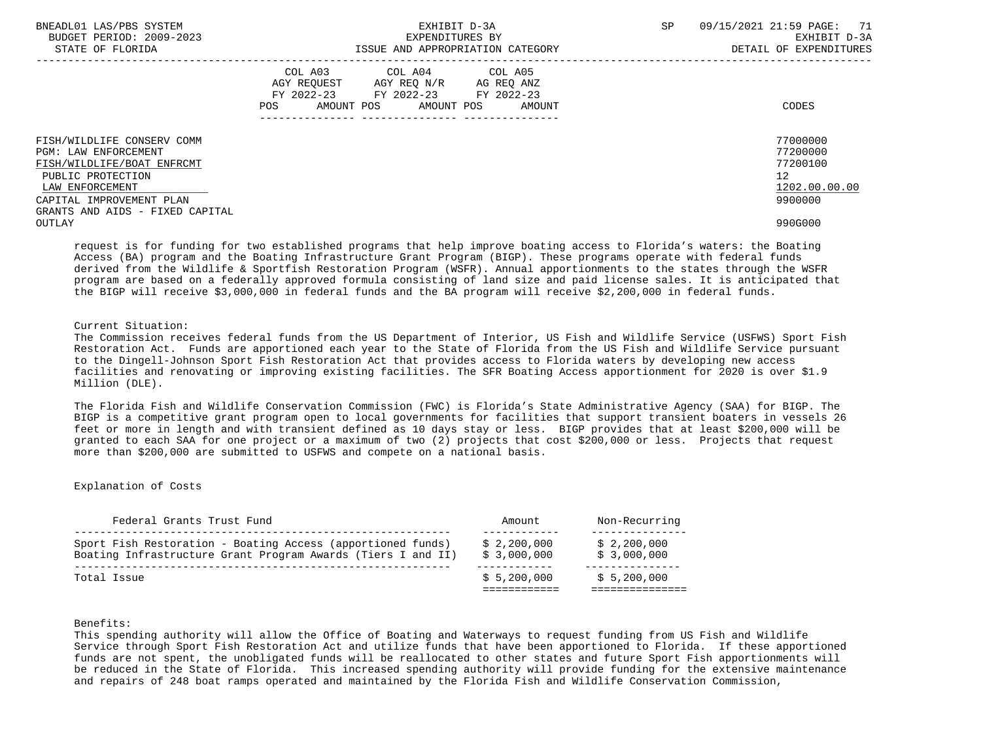| BNEADL01 LAS/PBS SYSTEM<br>BUDGET PERIOD: 2009-2023<br>STATE OF FLORIDA                                                                                                                 | EXHIBIT D-3A<br>EXPENDITURES BY<br>ISSUE AND APPROPRIATION CATEGORY                                                                         | 09/15/2021 21:59 PAGE: 71<br>SP.<br>EXHIBIT D-3A<br>DETAIL OF EXPENDITURES      |
|-----------------------------------------------------------------------------------------------------------------------------------------------------------------------------------------|---------------------------------------------------------------------------------------------------------------------------------------------|---------------------------------------------------------------------------------|
|                                                                                                                                                                                         | COL A03 COL A04 COL A05<br>AGY REQUEST AGY REQ N/R AG REQ ANZ<br>FY 2022-23 FY 2022-23 FY 2022-23<br>AMOUNT POS AMOUNT POS<br>POS<br>AMOUNT | CODES                                                                           |
| FISH/WILDLIFE CONSERV COMM<br>PGM: LAW ENFORCEMENT<br>FISH/WILDLIFE/BOAT ENFRCMT<br>PUBLIC PROTECTION<br>LAW ENFORCEMENT<br>CAPITAL IMPROVEMENT PLAN<br>GRANTS AND AIDS - FIXED CAPITAL |                                                                                                                                             | 77000000<br>77200000<br>77200100<br>12 <sup>°</sup><br>1202.00.00.00<br>9900000 |
| OUTLAY                                                                                                                                                                                  |                                                                                                                                             | 990G000                                                                         |

 request is for funding for two established programs that help improve boating access to Florida's waters: the Boating Access (BA) program and the Boating Infrastructure Grant Program (BIGP). These programs operate with federal funds derived from the Wildlife & Sportfish Restoration Program (WSFR). Annual apportionments to the states through the WSFR program are based on a federally approved formula consisting of land size and paid license sales. It is anticipated that the BIGP will receive \$3,000,000 in federal funds and the BA program will receive \$2,200,000 in federal funds.

# Current Situation:

 The Commission receives federal funds from the US Department of Interior, US Fish and Wildlife Service (USFWS) Sport Fish Restoration Act. Funds are apportioned each year to the State of Florida from the US Fish and Wildlife Service pursuant to the Dingell-Johnson Sport Fish Restoration Act that provides access to Florida waters by developing new access facilities and renovating or improving existing facilities. The SFR Boating Access apportionment for 2020 is over \$1.9 Million (DLE).

 The Florida Fish and Wildlife Conservation Commission (FWC) is Florida's State Administrative Agency (SAA) for BIGP. The BIGP is a competitive grant program open to local governments for facilities that support transient boaters in vessels 26 feet or more in length and with transient defined as 10 days stay or less. BIGP provides that at least \$200,000 will be granted to each SAA for one project or a maximum of two (2) projects that cost \$200,000 or less. Projects that request more than \$200,000 are submitted to USFWS and compete on a national basis.

## Explanation of Costs

| Federal Grants Trust Fund                                                                                                   | Amount                     | Non-Recurring              |
|-----------------------------------------------------------------------------------------------------------------------------|----------------------------|----------------------------|
| Sport Fish Restoration - Boating Access (apportioned funds)<br>Boating Infrastructure Grant Program Awards (Tiers I and II) | \$2,200,000<br>\$3,000,000 | \$2,200,000<br>\$3,000,000 |
| Total Issue                                                                                                                 | \$5,200,000                | \$5,200,000                |

## Benefits:

 This spending authority will allow the Office of Boating and Waterways to request funding from US Fish and Wildlife Service through Sport Fish Restoration Act and utilize funds that have been apportioned to Florida. If these apportioned funds are not spent, the unobligated funds will be reallocated to other states and future Sport Fish apportionments will be reduced in the State of Florida. This increased spending authority will provide funding for the extensive maintenance and repairs of 248 boat ramps operated and maintained by the Florida Fish and Wildlife Conservation Commission,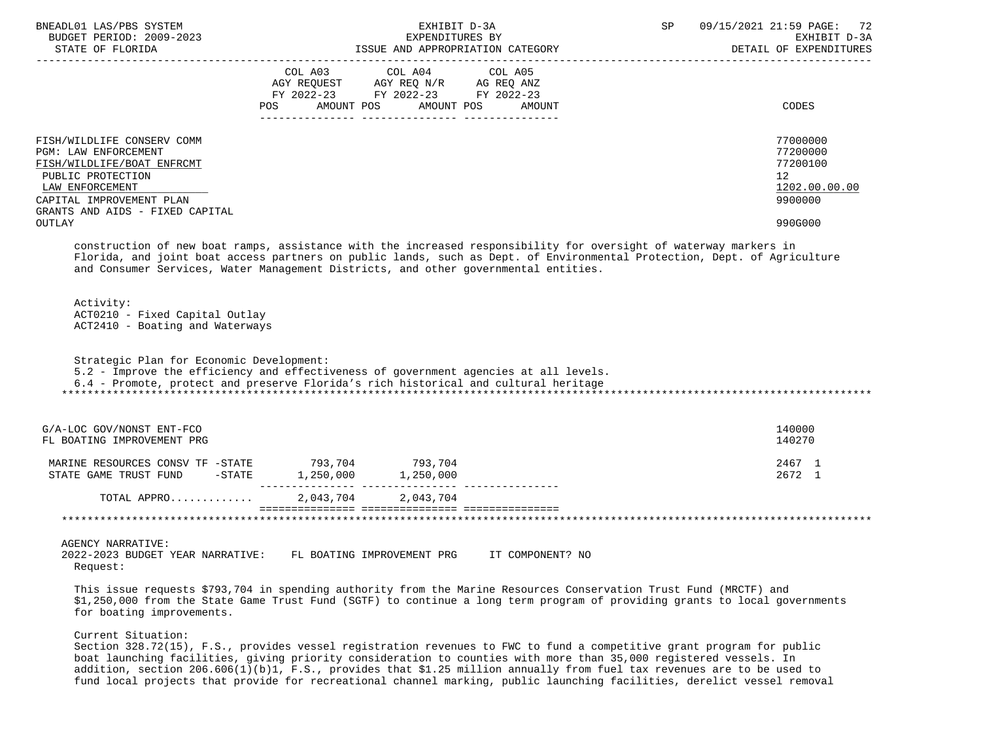| BNEADL01 LAS/PBS SYSTEM<br>BUDGET PERIOD: 2009-2023<br>STATE OF FLORIDA                                                                                                                           | EXHIBIT D-3A<br>EXPENDITURES BY<br>ISSUE AND APPROPRIATION CATEGORY                                                                                                                                                                                                                                                                                                                                                                                                                                                                                                                                                                                                                                                                                                                                  | SP<br>09/15/2021 21:59 PAGE: 72<br>EXHIBIT D-3A<br>DETAIL OF EXPENDITURES     |
|---------------------------------------------------------------------------------------------------------------------------------------------------------------------------------------------------|------------------------------------------------------------------------------------------------------------------------------------------------------------------------------------------------------------------------------------------------------------------------------------------------------------------------------------------------------------------------------------------------------------------------------------------------------------------------------------------------------------------------------------------------------------------------------------------------------------------------------------------------------------------------------------------------------------------------------------------------------------------------------------------------------|-------------------------------------------------------------------------------|
|                                                                                                                                                                                                   | COL A03 COL A04 COL A05<br>AGY REQUEST AGY REQ N/R AG REQ ANZ FY 2022-23 FY 2022-23 FY 2022-23<br>AMOUNT POS<br>AMOUNT POS<br>POS<br>AMOUNT                                                                                                                                                                                                                                                                                                                                                                                                                                                                                                                                                                                                                                                          | CODES                                                                         |
| FISH/WILDLIFE CONSERV COMM<br>PGM: LAW ENFORCEMENT<br>FISH/WILDLIFE/BOAT ENFRCMT<br>PUBLIC PROTECTION<br>LAW ENFORCEMENT<br>CAPITAL IMPROVEMENT PLAN<br>GRANTS AND AIDS - FIXED CAPITAL<br>OUTLAY |                                                                                                                                                                                                                                                                                                                                                                                                                                                                                                                                                                                                                                                                                                                                                                                                      | 77000000<br>77200000<br>77200100<br>12<br>1202.00.00.00<br>9900000<br>990G000 |
|                                                                                                                                                                                                   | construction of new boat ramps, assistance with the increased responsibility for oversight of waterway markers in<br>Florida, and joint boat access partners on public lands, such as Dept. of Environmental Protection, Dept. of Agriculture<br>and Consumer Services, Water Management Districts, and other governmental entities.                                                                                                                                                                                                                                                                                                                                                                                                                                                                 |                                                                               |
| Activity:<br>ACT0210 - Fixed Capital Outlay<br>ACT2410 - Boating and Waterways                                                                                                                    |                                                                                                                                                                                                                                                                                                                                                                                                                                                                                                                                                                                                                                                                                                                                                                                                      |                                                                               |
| Strategic Plan for Economic Development:                                                                                                                                                          | 5.2 - Improve the efficiency and effectiveness of government agencies at all levels.<br>6.4 - Promote, protect and preserve Florida's rich historical and cultural heritage                                                                                                                                                                                                                                                                                                                                                                                                                                                                                                                                                                                                                          |                                                                               |
| G/A-LOC GOV/NONST ENT-FCO<br>FL BOATING IMPROVEMENT PRG                                                                                                                                           |                                                                                                                                                                                                                                                                                                                                                                                                                                                                                                                                                                                                                                                                                                                                                                                                      | 140000<br>140270                                                              |
|                                                                                                                                                                                                   | MARINE RESOURCES CONSV TF -STATE 793,704 793,704<br>STATE GAME TRUST FUND -STATE 1,250,000 1,250,000                                                                                                                                                                                                                                                                                                                                                                                                                                                                                                                                                                                                                                                                                                 | 2467 1<br>2672 1                                                              |
| TOTAL APPRO                                                                                                                                                                                       | 2,043,704 2,043,704                                                                                                                                                                                                                                                                                                                                                                                                                                                                                                                                                                                                                                                                                                                                                                                  |                                                                               |
| AGENCY NARRATIVE:<br>2022-2023 BUDGET YEAR NARRATIVE:<br>Request:<br>for boating improvements.<br>Current Situation:                                                                              | FL BOATING IMPROVEMENT PRG<br>IT COMPONENT? NO<br>This issue requests \$793,704 in spending authority from the Marine Resources Conservation Trust Fund (MRCTF) and<br>\$1,250,000 from the State Game Trust Fund (SGTF) to continue a long term program of providing grants to local governments<br>Section 328.72(15), F.S., provides vessel registration revenues to FWC to fund a competitive grant program for public<br>boat launching facilities, giving priority consideration to counties with more than 35,000 registered vessels. In<br>addition, section 206.606(1)(b)1, F.S., provides that \$1.25 million annually from fuel tax revenues are to be used to<br>fund local projects that provide for recreational channel marking, public launching facilities, derelict vessel removal |                                                                               |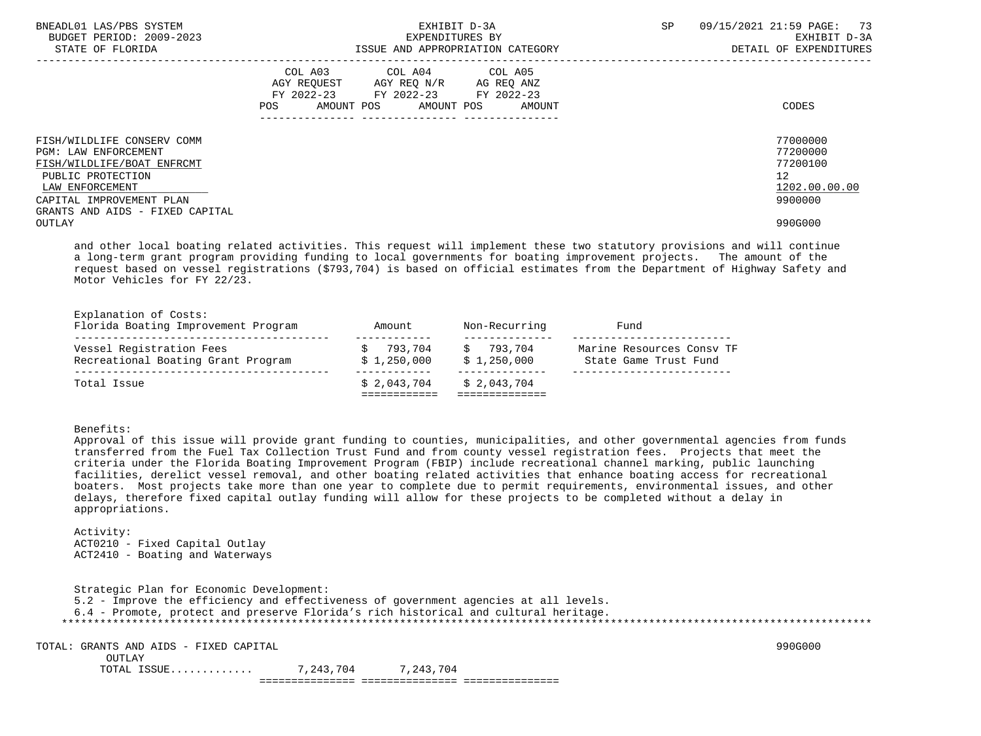| BNEADL01 LAS/PBS SYSTEM<br>BUDGET PERIOD: 2009-2023<br>STATE OF FLORIDA                                                                                                                        | EXHIBIT D-3A<br>EXPENDITURES BY<br>ISSUE AND APPROPRIATION CATEGORY                                                                         | SP<br>09/15/2021 21:59 PAGE: 73<br>EXHIBIT D-3A<br>DETAIL OF EXPENDITURES       |
|------------------------------------------------------------------------------------------------------------------------------------------------------------------------------------------------|---------------------------------------------------------------------------------------------------------------------------------------------|---------------------------------------------------------------------------------|
|                                                                                                                                                                                                | COL A03 COL A04 COL A05<br>AGY REOUEST AGY REO N/R AG REO ANZ<br>FY 2022-23 FY 2022-23 FY 2022-23<br>AMOUNT POS AMOUNT POS<br>POS<br>AMOUNT | CODES                                                                           |
| FISH/WILDLIFE CONSERV COMM<br><b>PGM: LAW ENFORCEMENT</b><br>FISH/WILDLIFE/BOAT ENFRCMT<br>PUBLIC PROTECTION<br>LAW ENFORCEMENT<br>CAPITAL IMPROVEMENT PLAN<br>GRANTS AND AIDS - FIXED CAPITAL |                                                                                                                                             | 77000000<br>77200000<br>77200100<br>12 <sup>°</sup><br>1202.00.00.00<br>9900000 |
| OUTLAY                                                                                                                                                                                         |                                                                                                                                             | 990G000                                                                         |

 and other local boating related activities. This request will implement these two statutory provisions and will continue a long-term grant program providing funding to local governments for boating improvement projects. The amount of the request based on vessel registrations (\$793,704) is based on official estimates from the Department of Highway Safety and Motor Vehicles for FY 22/23.

| Total Issue                                                    | \$2.043.704            | \$2.043.704            |                                                    |
|----------------------------------------------------------------|------------------------|------------------------|----------------------------------------------------|
|                                                                |                        |                        |                                                    |
| Vessel Registration Fees<br>Recreational Boating Grant Program | 793,704<br>\$1,250,000 | 793.704<br>\$1,250,000 | Marine Resources Consy TF<br>State Game Trust Fund |
| Explanation of Costs:<br>Florida Boating Improvement Program   | Amount                 | Non-Recurring          | Fund                                               |

## Benefits:

 Approval of this issue will provide grant funding to counties, municipalities, and other governmental agencies from funds transferred from the Fuel Tax Collection Trust Fund and from county vessel registration fees. Projects that meet the criteria under the Florida Boating Improvement Program (FBIP) include recreational channel marking, public launching facilities, derelict vessel removal, and other boating related activities that enhance boating access for recreational boaters. Most projects take more than one year to complete due to permit requirements, environmental issues, and other delays, therefore fixed capital outlay funding will allow for these projects to be completed without a delay in appropriations.

 Activity: ACT0210 - Fixed Capital Outlay ACT2410 - Boating and Waterways

 Strategic Plan for Economic Development: 5.2 - Improve the efficiency and effectiveness of government agencies at all levels. 6.4 - Promote, protect and preserve Florida's rich historical and cultural heritage. \*\*\*\*\*\*\*\*\*\*\*\*\*\*\*\*\*\*\*\*\*\*\*\*\*\*\*\*\*\*\*\*\*\*\*\*\*\*\*\*\*\*\*\*\*\*\*\*\*\*\*\*\*\*\*\*\*\*\*\*\*\*\*\*\*\*\*\*\*\*\*\*\*\*\*\*\*\*\*\*\*\*\*\*\*\*\*\*\*\*\*\*\*\*\*\*\*\*\*\*\*\*\*\*\*\*\*\*\*\*\*\*\*\*\*\*\*\*\*\*\*\*\*\*\*\*\* TOTAL: GRANTS AND AIDS - FIXED CAPITAL 990G000 OUTLAY

 TOTAL ISSUE............. 7,243,704 7,243,704 =============== =============== ===============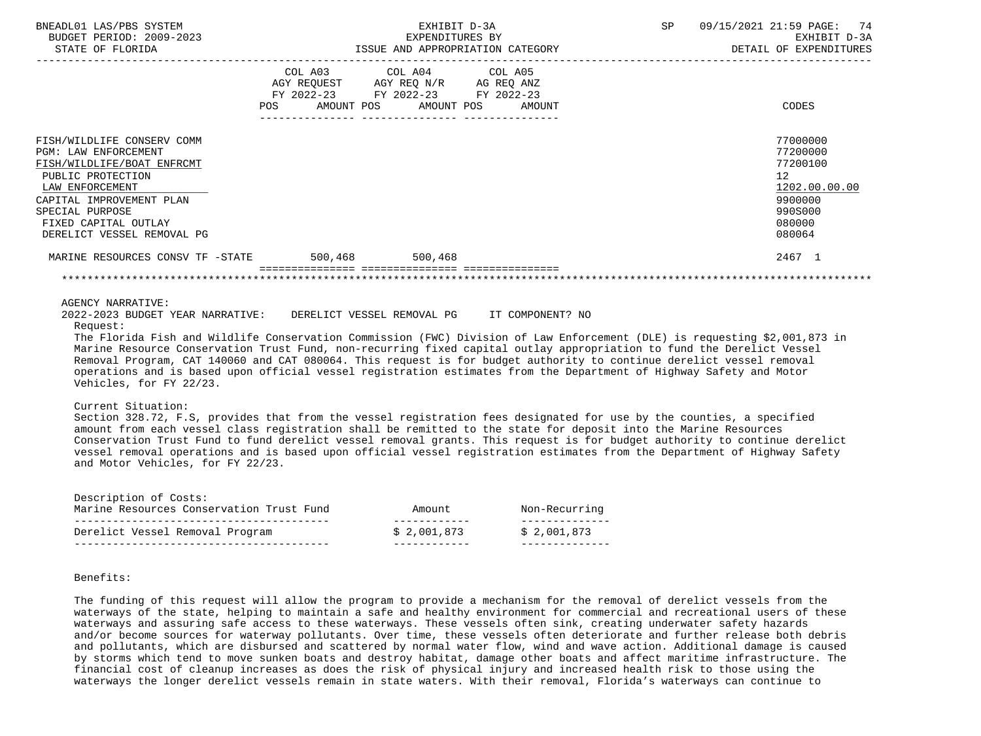| BNEADL01 LAS/PBS SYSTEM<br>BUDGET PERIOD: 2009-2023<br>STATE OF FLORIDA                                                                                                                                                                                                                                                                                                                                                                                                                                                                                                                                                                               | EXHIBIT D-3A<br>EXPENDITURES BY<br>ISSUE AND APPROPRIATION CATEGORY |                                                                                                                            |        | SP | 09/15/2021 21:59 PAGE: 74<br>EXHIBIT D-3A<br>DETAIL OF EXPENDITURES                                            |
|-------------------------------------------------------------------------------------------------------------------------------------------------------------------------------------------------------------------------------------------------------------------------------------------------------------------------------------------------------------------------------------------------------------------------------------------------------------------------------------------------------------------------------------------------------------------------------------------------------------------------------------------------------|---------------------------------------------------------------------|----------------------------------------------------------------------------------------------------------------------------|--------|----|----------------------------------------------------------------------------------------------------------------|
|                                                                                                                                                                                                                                                                                                                                                                                                                                                                                                                                                                                                                                                       | POS                                                                 | COL A03 COL A04 COL A05<br>AGY REQUEST AGY REQ N/R AG REQ ANZ<br>FY 2022-23 FY 2022-23 FY 2022-23<br>AMOUNT POS AMOUNT POS | AMOUNT |    | CODES                                                                                                          |
| FISH/WILDLIFE CONSERV COMM<br>PGM: LAW ENFORCEMENT<br>FISH/WILDLIFE/BOAT ENFRCMT<br>PUBLIC PROTECTION<br>LAW ENFORCEMENT<br>CAPITAL IMPROVEMENT PLAN<br>SPECIAL PURPOSE<br>FIXED CAPITAL OUTLAY<br>DERELICT VESSEL REMOVAL PG                                                                                                                                                                                                                                                                                                                                                                                                                         |                                                                     |                                                                                                                            |        |    | 77000000<br>77200000<br>77200100<br>12 <sup>°</sup><br>1202.00.00.00<br>9900000<br>990S000<br>080000<br>080064 |
| MARINE RESOURCES CONSV TF -STATE 500.468 500.468                                                                                                                                                                                                                                                                                                                                                                                                                                                                                                                                                                                                      |                                                                     |                                                                                                                            |        |    | 2467 1                                                                                                         |
| <b>AGENCY NARRATIVE:</b><br>2022-2023 BUDGET YEAR NARRATIVE: DERELICT VESSEL REMOVAL PG TT COMPONENT? NO<br>Request:<br>The Florida Fish and Wildlife Conservation Commission (FWC) Division of Law Enforcement (DLE) is requesting \$2,001,873 in<br>Marine Resource Conservation Trust Fund, non-recurring fixed capital outlay appropriation to fund the Derelict Vessel<br>Removal Program, CAT 140060 and CAT 080064. This request is for budget authority to continue derelict vessel removal<br>operations and is based upon official vessel registration estimates from the Department of Highway Safety and Motor<br>Vehicles, for FY 22/23. |                                                                     |                                                                                                                            |        |    |                                                                                                                |
| Current Situation:<br>Section 328.72, F.S, provides that from the vessel registration fees designated for use by the counties, a specified<br>amount from each vessel class registration shall be remitted to the state for deposit into the Marine Resources<br>Conservation Trust Fund to fund derelict vessel removal grants. This request is for budget authority to continue derelict<br>vessel removal operations and is based upon official vessel registration estimates from the Department of Highway Safety<br>and Motor Vehicles, for FY 22/23.                                                                                           |                                                                     |                                                                                                                            |        |    |                                                                                                                |

| Description of Costs:<br>Marine Resources Conservation Trust Fund | Amount.     | Non-Recurring |
|-------------------------------------------------------------------|-------------|---------------|
|                                                                   |             |               |
| Derelict Vessel Removal Program                                   | \$2.001.873 | \$2.001.873   |

# Benefits:

 The funding of this request will allow the program to provide a mechanism for the removal of derelict vessels from the waterways of the state, helping to maintain a safe and healthy environment for commercial and recreational users of these waterways and assuring safe access to these waterways. These vessels often sink, creating underwater safety hazards and/or become sources for waterway pollutants. Over time, these vessels often deteriorate and further release both debris and pollutants, which are disbursed and scattered by normal water flow, wind and wave action. Additional damage is caused by storms which tend to move sunken boats and destroy habitat, damage other boats and affect maritime infrastructure. The financial cost of cleanup increases as does the risk of physical injury and increased health risk to those using the waterways the longer derelict vessels remain in state waters. With their removal, Florida's waterways can continue to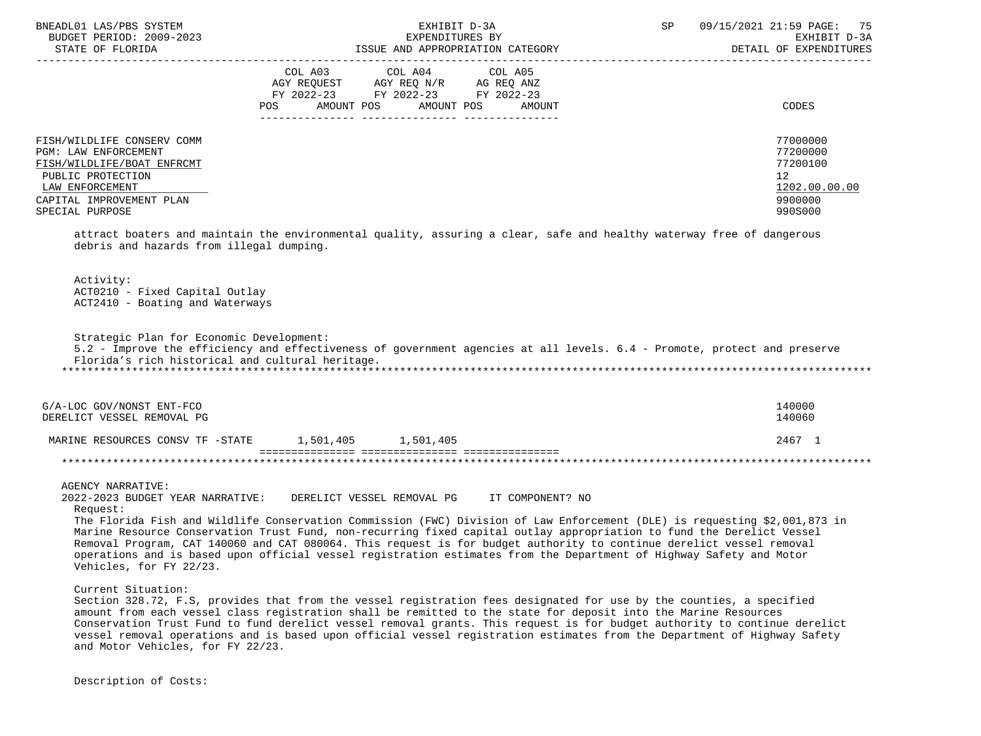| BNEADL01 LAS/PBS SYSTEM<br>BUDGET PERIOD: 2009-2023<br>STATE OF FLORIDA                                                                                                                                                                                                                                                                                                                                                                                                                                                       |                   | EXHIBIT D-3A<br>EXPENDITURES BY<br>ISSUE AND APPROPRIATION CATEGORY    |                  | SP | 09/15/2021 21:59 PAGE: 75<br>EXHIBIT D-3A<br>DETAIL OF EXPENDITURES |
|-------------------------------------------------------------------------------------------------------------------------------------------------------------------------------------------------------------------------------------------------------------------------------------------------------------------------------------------------------------------------------------------------------------------------------------------------------------------------------------------------------------------------------|-------------------|------------------------------------------------------------------------|------------------|----|---------------------------------------------------------------------|
|                                                                                                                                                                                                                                                                                                                                                                                                                                                                                                                               | COL A03           | COL A04                                                                | COL A05          |    |                                                                     |
|                                                                                                                                                                                                                                                                                                                                                                                                                                                                                                                               |                   | AGY REQUEST AGY REQ N/R AG REQ ANZ<br>FY 2022-23 FY 2022-23 FY 2022-23 |                  |    |                                                                     |
|                                                                                                                                                                                                                                                                                                                                                                                                                                                                                                                               | AMOUNT POS<br>POS | AMOUNT POS                                                             | AMOUNT           |    | CODES                                                               |
| FISH/WILDLIFE CONSERV COMM                                                                                                                                                                                                                                                                                                                                                                                                                                                                                                    |                   |                                                                        |                  |    | 77000000                                                            |
| <b>PGM: LAW ENFORCEMENT</b>                                                                                                                                                                                                                                                                                                                                                                                                                                                                                                   |                   |                                                                        |                  |    | 77200000                                                            |
| FISH/WILDLIFE/BOAT ENFRCMT                                                                                                                                                                                                                                                                                                                                                                                                                                                                                                    |                   |                                                                        |                  |    | 77200100                                                            |
| PUBLIC PROTECTION                                                                                                                                                                                                                                                                                                                                                                                                                                                                                                             |                   |                                                                        |                  |    | 12                                                                  |
| LAW ENFORCEMENT<br>CAPITAL IMPROVEMENT PLAN                                                                                                                                                                                                                                                                                                                                                                                                                                                                                   |                   |                                                                        |                  |    | 1202.00.00.00<br>9900000                                            |
| SPECIAL PURPOSE                                                                                                                                                                                                                                                                                                                                                                                                                                                                                                               |                   |                                                                        |                  |    | 990S000                                                             |
| attract boaters and maintain the environmental quality, assuring a clear, safe and healthy waterway free of dangerous<br>debris and hazards from illegal dumping.                                                                                                                                                                                                                                                                                                                                                             |                   |                                                                        |                  |    |                                                                     |
| Activity:<br>ACT0210 - Fixed Capital Outlay<br>ACT2410 - Boating and Waterways                                                                                                                                                                                                                                                                                                                                                                                                                                                |                   |                                                                        |                  |    |                                                                     |
| Strategic Plan for Economic Development:<br>5.2 - Improve the efficiency and effectiveness of government agencies at all levels. 6.4 - Promote, protect and preserve<br>Florida's rich historical and cultural heritage.                                                                                                                                                                                                                                                                                                      |                   |                                                                        |                  |    |                                                                     |
| G/A-LOC GOV/NONST ENT-FCO<br>DERELICT VESSEL REMOVAL PG                                                                                                                                                                                                                                                                                                                                                                                                                                                                       |                   |                                                                        |                  |    | 140000<br>140060                                                    |
| MARINE RESOURCES CONSV TF -STATE                                                                                                                                                                                                                                                                                                                                                                                                                                                                                              |                   | 1,501,405 1,501,405                                                    |                  |    | 2467 1                                                              |
|                                                                                                                                                                                                                                                                                                                                                                                                                                                                                                                               |                   |                                                                        |                  |    |                                                                     |
| <b>AGENCY NARRATIVE:</b><br>2022-2023 BUDGET YEAR NARRATIVE:<br>Request:                                                                                                                                                                                                                                                                                                                                                                                                                                                      |                   | DERELICT VESSEL REMOVAL PG                                             | IT COMPONENT? NO |    |                                                                     |
| The Florida Fish and Wildlife Conservation Commission (FWC) Division of Law Enforcement (DLE) is requesting \$2,001,873 in<br>Marine Resource Conservation Trust Fund, non-recurring fixed capital outlay appropriation to fund the Derelict Vessel<br>Removal Program, CAT 140060 and CAT 080064. This request is for budget authority to continue derelict vessel removal<br>operations and is based upon official vessel registration estimates from the Department of Highway Safety and Motor<br>Vehicles, for FY 22/23. |                   |                                                                        |                  |    |                                                                     |
| Current Situation:<br>Section 328.72, F.S, provides that from the vessel registration fees designated for use by the counties, a specified<br>amount from each vessel class registration shall be remitted to the state for deposit into the Marine Resources<br>Conservation Trust Fund to fund dereligt vessel removal grants. This request is for budget authority to continue dereligt                                                                                                                                    |                   |                                                                        |                  |    |                                                                     |

 Conservation Trust Fund to fund derelict vessel removal grants. This request is for budget authority to continue derelict vessel removal operations and is based upon official vessel registration estimates from the Department of Highway Safety and Motor Vehicles, for FY 22/23.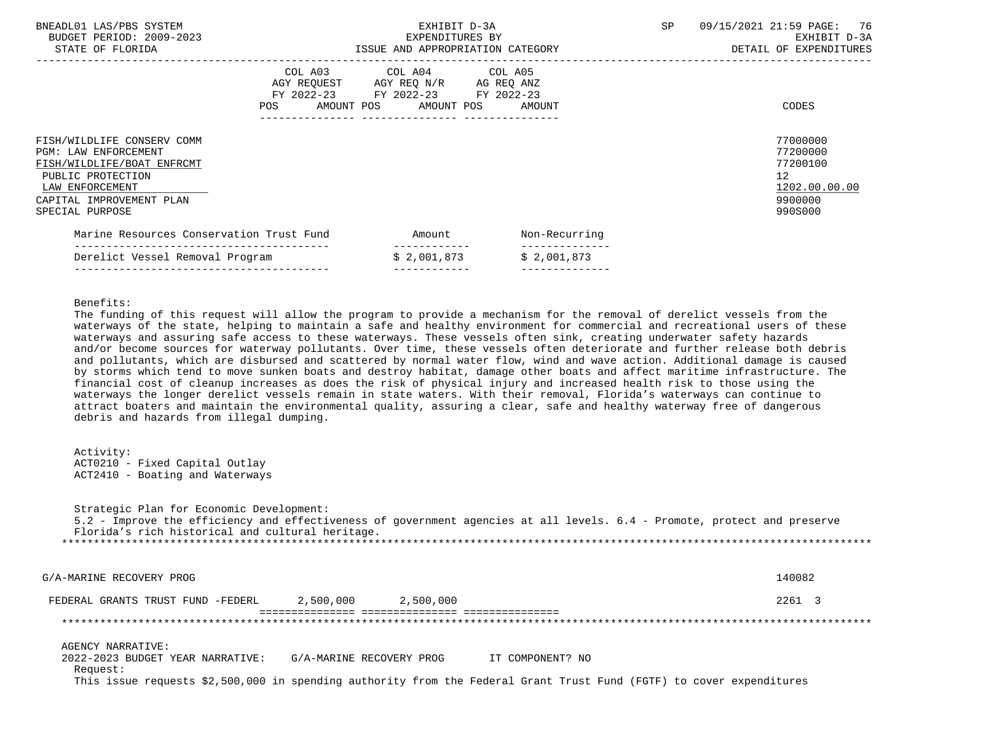| BNEADL01 LAS/PBS SYSTEM<br>BUDGET PERIOD: 2009-2023<br>STATE OF FLORIDA                                                                                                 |     | EXHIBIT D-3A<br>EXPENDITURES BY<br>ISSUE AND APPROPRIATION CATEGORY                                                        |               | SP | 76<br>09/15/2021 21:59 PAGE:<br>EXHIBIT D-3A<br>DETAIL OF EXPENDITURES                     |
|-------------------------------------------------------------------------------------------------------------------------------------------------------------------------|-----|----------------------------------------------------------------------------------------------------------------------------|---------------|----|--------------------------------------------------------------------------------------------|
|                                                                                                                                                                         | POS | COL A03 COL A04 COL A05<br>AGY REQUEST AGY REQ N/R AG REQ ANZ<br>FY 2022-23 FY 2022-23 FY 2022-23<br>AMOUNT POS AMOUNT POS | AMOUNT        |    | CODES                                                                                      |
| FISH/WILDLIFE CONSERV COMM<br>PGM: LAW ENFORCEMENT<br>FISH/WILDLIFE/BOAT ENFRCMT<br>PUBLIC PROTECTION<br>LAW ENFORCEMENT<br>CAPITAL IMPROVEMENT PLAN<br>SPECIAL PURPOSE |     |                                                                                                                            |               |    | 77000000<br>77200000<br>77200100<br>12 <sup>°</sup><br>1202.00.00.00<br>9900000<br>990S000 |
| Marine Resources Conservation Trust Fund                                                                                                                                |     | Amount<br>------------                                                                                                     | Non-Recurring |    |                                                                                            |
| Derelict Vessel Removal Program                                                                                                                                         |     | \$2,001,873                                                                                                                | \$2,001,873   |    |                                                                                            |

---------------------------------------- ------------ --------------

Benefits:

 The funding of this request will allow the program to provide a mechanism for the removal of derelict vessels from the waterways of the state, helping to maintain a safe and healthy environment for commercial and recreational users of these waterways and assuring safe access to these waterways. These vessels often sink, creating underwater safety hazards and/or become sources for waterway pollutants. Over time, these vessels often deteriorate and further release both debris and pollutants, which are disbursed and scattered by normal water flow, wind and wave action. Additional damage is caused by storms which tend to move sunken boats and destroy habitat, damage other boats and affect maritime infrastructure. The financial cost of cleanup increases as does the risk of physical injury and increased health risk to those using the waterways the longer derelict vessels remain in state waters. With their removal, Florida's waterways can continue to attract boaters and maintain the environmental quality, assuring a clear, safe and healthy waterway free of dangerous debris and hazards from illegal dumping.

 Activity: ACT0210 - Fixed Capital Outlay ACT2410 - Boating and Waterways

 Strategic Plan for Economic Development: 5.2 - Improve the efficiency and effectiveness of government agencies at all levels. 6.4 - Promote, protect and preserve Florida's rich historical and cultural heritage. \*\*\*\*\*\*\*\*\*\*\*\*\*\*\*\*\*\*\*\*\*\*\*\*\*\*\*\*\*\*\*\*\*\*\*\*\*\*\*\*\*\*\*\*\*\*\*\*\*\*\*\*\*\*\*\*\*\*\*\*\*\*\*\*\*\*\*\*\*\*\*\*\*\*\*\*\*\*\*\*\*\*\*\*\*\*\*\*\*\*\*\*\*\*\*\*\*\*\*\*\*\*\*\*\*\*\*\*\*\*\*\*\*\*\*\*\*\*\*\*\*\*\*\*\*\*\* G/A-MARINE RECOVERY PROG 140082 FEDERAL GRANTS TRUST FUND -FEDERL 2,500,000 2,500,000 2261 3 =============== =============== =============== \*\*\*\*\*\*\*\*\*\*\*\*\*\*\*\*\*\*\*\*\*\*\*\*\*\*\*\*\*\*\*\*\*\*\*\*\*\*\*\*\*\*\*\*\*\*\*\*\*\*\*\*\*\*\*\*\*\*\*\*\*\*\*\*\*\*\*\*\*\*\*\*\*\*\*\*\*\*\*\*\*\*\*\*\*\*\*\*\*\*\*\*\*\*\*\*\*\*\*\*\*\*\*\*\*\*\*\*\*\*\*\*\*\*\*\*\*\*\*\*\*\*\*\*\*\*\* AGENCY NARRATIVE: 2022-2023 BUDGET YEAR NARRATIVE: G/A-MARINE RECOVERY PROG IT COMPONENT? NO Request: This issue requests \$2,500,000 in spending authority from the Federal Grant Trust Fund (FGTF) to cover expenditures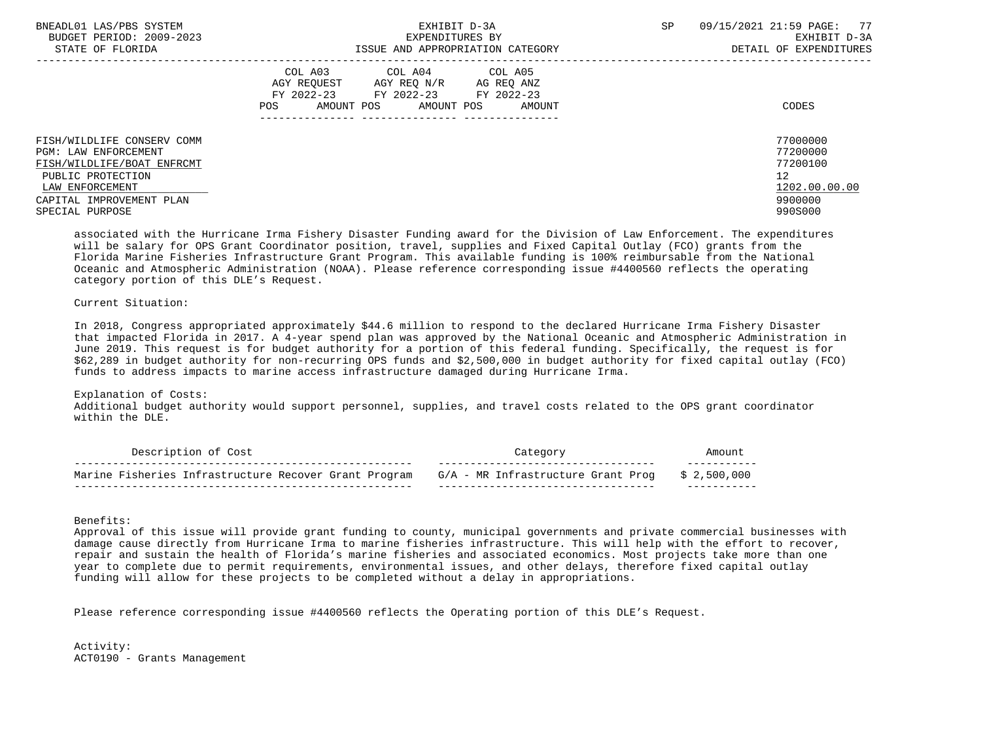| BNEADL01 LAS/PBS SYSTEM<br>BUDGET PERIOD: 2009-2023                                                                                                  | EXHIBIT D-3A<br>EXPENDITURES BY                                                                                                                         | SP<br>09/15/2021 21:59 PAGE: 77<br>EXHIBIT D-3A                    |
|------------------------------------------------------------------------------------------------------------------------------------------------------|---------------------------------------------------------------------------------------------------------------------------------------------------------|--------------------------------------------------------------------|
| STATE OF FLORIDA                                                                                                                                     | ISSUE AND APPROPRIATION CATEGORY                                                                                                                        | DETAIL OF EXPENDITURES                                             |
|                                                                                                                                                      | COL A03 COL A04 COL A05<br>AGY REOUEST<br>AGY REQ N/R<br>AG REO ANZ<br>FY 2022-23<br>FY 2022-23 FY 2022-23<br>AMOUNT POS<br>AMOUNT POS<br>POS<br>AMOUNT | CODES                                                              |
| FISH/WILDLIFE CONSERV COMM<br>PGM: LAW ENFORCEMENT<br>FISH/WILDLIFE/BOAT ENFRCMT<br>PUBLIC PROTECTION<br>LAW ENFORCEMENT<br>CAPITAL IMPROVEMENT PLAN |                                                                                                                                                         | 77000000<br>77200000<br>77200100<br>12<br>1202.00.00.00<br>9900000 |
| SPECIAL PURPOSE                                                                                                                                      |                                                                                                                                                         | 990S000                                                            |

 associated with the Hurricane Irma Fishery Disaster Funding award for the Division of Law Enforcement. The expenditures will be salary for OPS Grant Coordinator position, travel, supplies and Fixed Capital Outlay (FCO) grants from the Florida Marine Fisheries Infrastructure Grant Program. This available funding is 100% reimbursable from the National Oceanic and Atmospheric Administration (NOAA). Please reference corresponding issue #4400560 reflects the operating category portion of this DLE's Request.

# Current Situation:

 In 2018, Congress appropriated approximately \$44.6 million to respond to the declared Hurricane Irma Fishery Disaster that impacted Florida in 2017. A 4-year spend plan was approved by the National Oceanic and Atmospheric Administration in June 2019. This request is for budget authority for a portion of this federal funding. Specifically, the request is for \$62,289 in budget authority for non-recurring OPS funds and \$2,500,000 in budget authority for fixed capital outlay (FCO) funds to address impacts to marine access infrastructure damaged during Hurricane Irma.

## Explanation of Costs:

 Additional budget authority would support personnel, supplies, and travel costs related to the OPS grant coordinator within the DLE.

| Description of Cost                                   |                                    |         |  |
|-------------------------------------------------------|------------------------------------|---------|--|
| Marine Fisheries Infrastructure Recover Grant Program | G/A - MR Infrastructure Grant Prog | \$2.500 |  |

# Benefits:

 Approval of this issue will provide grant funding to county, municipal governments and private commercial businesses with damage cause directly from Hurricane Irma to marine fisheries infrastructure. This will help with the effort to recover, repair and sustain the health of Florida's marine fisheries and associated economics. Most projects take more than one year to complete due to permit requirements, environmental issues, and other delays, therefore fixed capital outlay funding will allow for these projects to be completed without a delay in appropriations.

Please reference corresponding issue #4400560 reflects the Operating portion of this DLE's Request.

 Activity: ACT0190 - Grants Management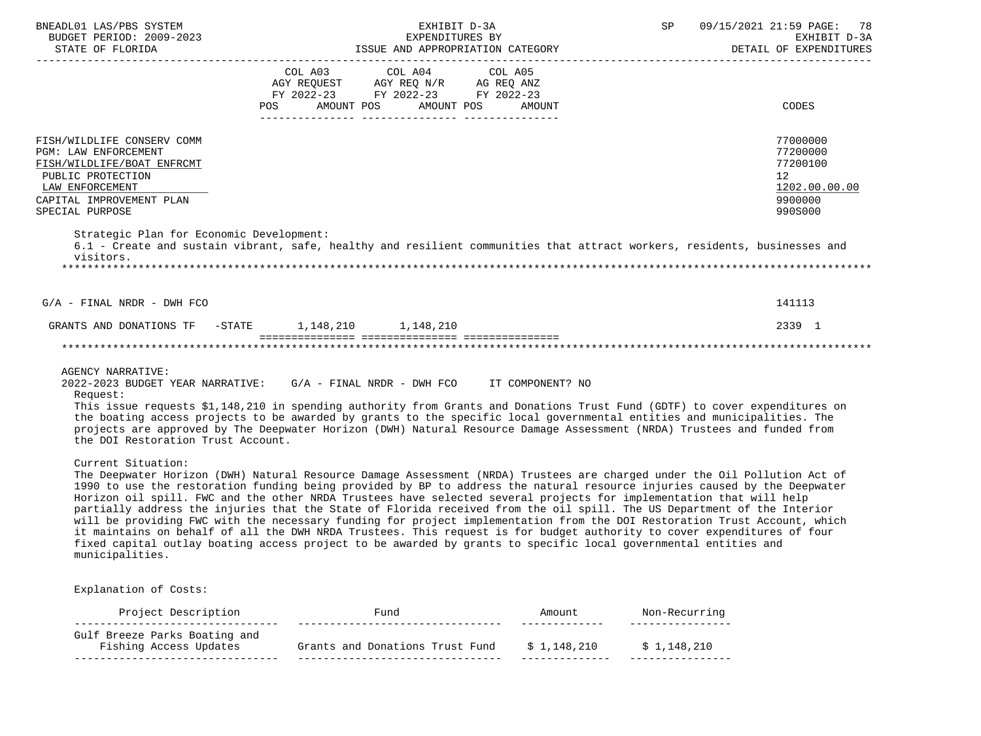|                                                                                                                                                                                |                   | EXHIBIT D-3A                                                                                                                                                                                                                                                                                                                                                                                                                                                                                                                                                                                                                                                                                                                                                                                                                                                                        | SP | 09/15/2021 21:59 PAGE: 78<br>EXHIBIT D-3A<br>DETAIL OF EXPENDITURES           |
|--------------------------------------------------------------------------------------------------------------------------------------------------------------------------------|-------------------|-------------------------------------------------------------------------------------------------------------------------------------------------------------------------------------------------------------------------------------------------------------------------------------------------------------------------------------------------------------------------------------------------------------------------------------------------------------------------------------------------------------------------------------------------------------------------------------------------------------------------------------------------------------------------------------------------------------------------------------------------------------------------------------------------------------------------------------------------------------------------------------|----|-------------------------------------------------------------------------------|
|                                                                                                                                                                                |                   | COL A03 COL A04 COL A05<br>AGY REQUEST AGY REQ N/R AG REQ ANZ FY 2022-23 FY 2022-23 FY 2022-23                                                                                                                                                                                                                                                                                                                                                                                                                                                                                                                                                                                                                                                                                                                                                                                      |    |                                                                               |
|                                                                                                                                                                                | AMOUNT POS<br>POS | AMOUNT POS<br>AMOUNT                                                                                                                                                                                                                                                                                                                                                                                                                                                                                                                                                                                                                                                                                                                                                                                                                                                                |    | CODES                                                                         |
| FISH/WILDLIFE CONSERV COMM<br><b>PGM: LAW ENFORCEMENT</b><br>FISH/WILDLIFE/BOAT ENFRCMT<br>PUBLIC PROTECTION<br>LAW ENFORCEMENT<br>CAPITAL IMPROVEMENT PLAN<br>SPECIAL PURPOSE |                   |                                                                                                                                                                                                                                                                                                                                                                                                                                                                                                                                                                                                                                                                                                                                                                                                                                                                                     |    | 77000000<br>77200000<br>77200100<br>12<br>1202.00.00.00<br>9900000<br>990S000 |
| Strategic Plan for Economic Development:<br>visitors.                                                                                                                          |                   | 6.1 - Create and sustain vibrant, safe, healthy and resilient communities that attract workers, residents, businesses and                                                                                                                                                                                                                                                                                                                                                                                                                                                                                                                                                                                                                                                                                                                                                           |    |                                                                               |
|                                                                                                                                                                                |                   |                                                                                                                                                                                                                                                                                                                                                                                                                                                                                                                                                                                                                                                                                                                                                                                                                                                                                     |    |                                                                               |
| $G/A$ - FINAL NRDR - DWH FCO                                                                                                                                                   |                   |                                                                                                                                                                                                                                                                                                                                                                                                                                                                                                                                                                                                                                                                                                                                                                                                                                                                                     |    | 141113                                                                        |
|                                                                                                                                                                                |                   |                                                                                                                                                                                                                                                                                                                                                                                                                                                                                                                                                                                                                                                                                                                                                                                                                                                                                     |    |                                                                               |
| GRANTS AND DONATIONS TF -STATE 1,148,210 1,148,210                                                                                                                             |                   |                                                                                                                                                                                                                                                                                                                                                                                                                                                                                                                                                                                                                                                                                                                                                                                                                                                                                     |    | 2339 1                                                                        |
|                                                                                                                                                                                |                   |                                                                                                                                                                                                                                                                                                                                                                                                                                                                                                                                                                                                                                                                                                                                                                                                                                                                                     |    |                                                                               |
| <b>AGENCY NARRATIVE:</b><br>2022-2023 BUDGET YEAR NARRATIVE: G/A - FINAL NRDR - DWH FCO IT COMPONENT? NO<br>Request:<br>the DOI Restoration Trust Account.                     |                   | This issue requests \$1,148,210 in spending authority from Grants and Donations Trust Fund (GDTF) to cover expenditures on<br>the boating access projects to be awarded by grants to the specific local governmental entities and municipalities. The<br>projects are approved by The Deepwater Horizon (DWH) Natural Resource Damage Assessment (NRDA) Trustees and funded from                                                                                                                                                                                                                                                                                                                                                                                                                                                                                                    |    |                                                                               |
| Current Situation:<br>municipalities.                                                                                                                                          |                   | The Deepwater Horizon (DWH) Natural Resource Damage Assessment (NRDA) Trustees are charged under the Oil Pollution Act of<br>1990 to use the restoration funding being provided by BP to address the natural resource injuries caused by the Deepwater<br>Horizon oil spill. FWC and the other NRDA Trustees have selected several projects for implementation that will help<br>partially address the injuries that the State of Florida received from the oil spill. The US Department of the Interior<br>will be providing FWC with the necessary funding for project implementation from the DOI Restoration Trust Account, which<br>it maintains on behalf of all the DWH NRDA Trustees. This request is for budget authority to cover expenditures of four<br>fixed capital outlay boating access project to be awarded by grants to specific local governmental entities and |    |                                                                               |
| Explanation of Costs:                                                                                                                                                          |                   |                                                                                                                                                                                                                                                                                                                                                                                                                                                                                                                                                                                                                                                                                                                                                                                                                                                                                     |    |                                                                               |

 Fishing Access Updates Grants and Donations Trust Fund \$ 1,148,210 \$ 1,148,210 -------------------------------- -------------------------------- -------------- ----------------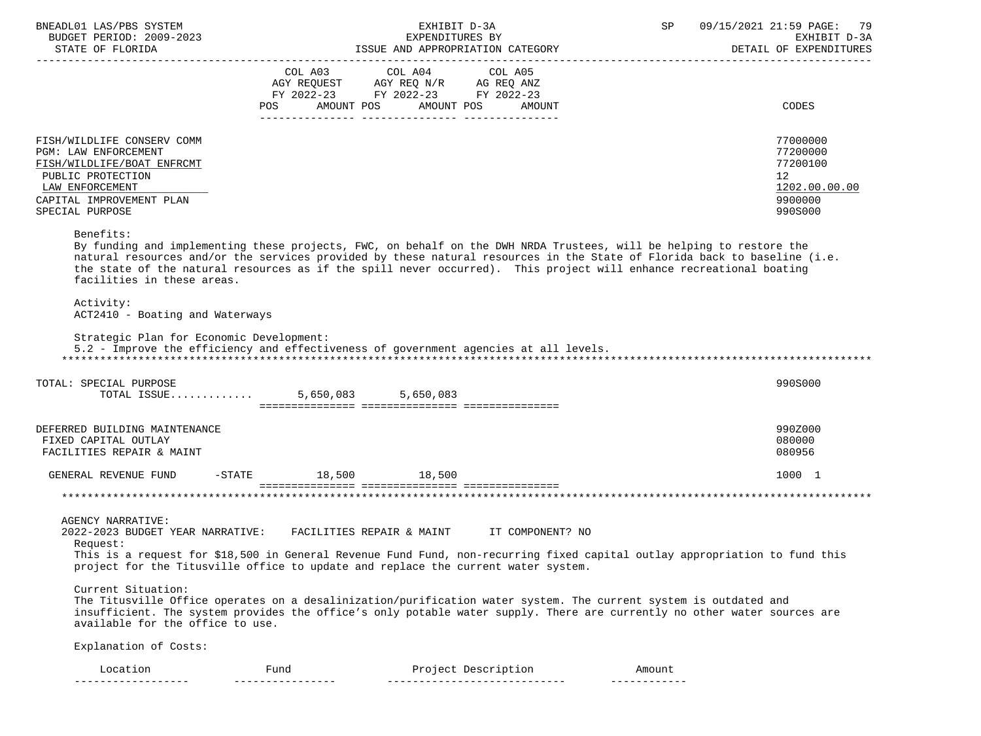|                                                                                                                                                                                                                                                |                                                                                                                                                                                                               | EXHIBIT D-3A    |                     | SP     | 09/15/2021 21:59 PAGE: 79 |
|------------------------------------------------------------------------------------------------------------------------------------------------------------------------------------------------------------------------------------------------|---------------------------------------------------------------------------------------------------------------------------------------------------------------------------------------------------------------|-----------------|---------------------|--------|---------------------------|
| BUDGET PERIOD: 2009-2023                                                                                                                                                                                                                       |                                                                                                                                                                                                               | EXPENDITURES BY |                     |        | EXHIBIT D-3A              |
|                                                                                                                                                                                                                                                |                                                                                                                                                                                                               |                 |                     |        | DETAIL OF EXPENDITURES    |
|                                                                                                                                                                                                                                                |                                                                                                                                                                                                               |                 |                     |        |                           |
|                                                                                                                                                                                                                                                | $\begin{tabular}{lllllllll} COL & A03 & \multicolumn{4}{l} COL & A04 & \multicolumn{4}{l} COL & A05 \\ AGY & REQUEST & \multicolumn{4}{l}AGY & REQ & N/R & \multicolumn{4}{l}AG & REQ & ANZ \\ \end{tabular}$ |                 |                     |        |                           |
|                                                                                                                                                                                                                                                | FY 2022-23 FY 2022-23 FY 2022-23                                                                                                                                                                              |                 |                     |        |                           |
|                                                                                                                                                                                                                                                | POS AMOUNT POS AMOUNT POS AMOUNT                                                                                                                                                                              |                 |                     |        | <b>CODES</b>              |
|                                                                                                                                                                                                                                                |                                                                                                                                                                                                               |                 |                     |        |                           |
| FISH/WILDLIFE CONSERV COMM                                                                                                                                                                                                                     |                                                                                                                                                                                                               |                 |                     |        | 77000000                  |
| PGM: LAW ENFORCEMENT                                                                                                                                                                                                                           |                                                                                                                                                                                                               |                 |                     |        | 77200000                  |
| FISH/WILDLIFE/BOAT ENFRCMT                                                                                                                                                                                                                     |                                                                                                                                                                                                               |                 |                     |        | 77200100                  |
| PUBLIC PROTECTION                                                                                                                                                                                                                              |                                                                                                                                                                                                               |                 |                     |        | 12                        |
| LAW ENFORCEMENT<br>CAPITAL IMPROVEMENT PLAN                                                                                                                                                                                                    |                                                                                                                                                                                                               |                 |                     |        | 1202.00.00.00<br>9900000  |
| SPECIAL PURPOSE                                                                                                                                                                                                                                |                                                                                                                                                                                                               |                 |                     |        | 990S000                   |
|                                                                                                                                                                                                                                                |                                                                                                                                                                                                               |                 |                     |        |                           |
| Benefits:                                                                                                                                                                                                                                      |                                                                                                                                                                                                               |                 |                     |        |                           |
| By funding and implementing these projects, FWC, on behalf on the DWH NRDA Trustees, will be helping to restore the                                                                                                                            |                                                                                                                                                                                                               |                 |                     |        |                           |
| natural resources and/or the services provided by these natural resources in the State of Florida back to baseline (i.e.<br>the state of the natural resources as if the spill never occurred). This project will enhance recreational boating |                                                                                                                                                                                                               |                 |                     |        |                           |
| facilities in these areas.                                                                                                                                                                                                                     |                                                                                                                                                                                                               |                 |                     |        |                           |
|                                                                                                                                                                                                                                                |                                                                                                                                                                                                               |                 |                     |        |                           |
| Activity:                                                                                                                                                                                                                                      |                                                                                                                                                                                                               |                 |                     |        |                           |
| ACT2410 - Boating and Waterways                                                                                                                                                                                                                |                                                                                                                                                                                                               |                 |                     |        |                           |
| Strategic Plan for Economic Development:                                                                                                                                                                                                       |                                                                                                                                                                                                               |                 |                     |        |                           |
| 5.2 - Improve the efficiency and effectiveness of government agencies at all levels.                                                                                                                                                           |                                                                                                                                                                                                               |                 |                     |        |                           |
|                                                                                                                                                                                                                                                |                                                                                                                                                                                                               |                 |                     |        |                           |
|                                                                                                                                                                                                                                                |                                                                                                                                                                                                               |                 |                     |        |                           |
|                                                                                                                                                                                                                                                |                                                                                                                                                                                                               |                 |                     |        |                           |
| TOTAL: SPECIAL PURPOSE<br>TOTAL ISSUE 5,650,083 5,650,083                                                                                                                                                                                      |                                                                                                                                                                                                               |                 |                     |        | 990S000                   |
|                                                                                                                                                                                                                                                |                                                                                                                                                                                                               |                 |                     |        |                           |
|                                                                                                                                                                                                                                                |                                                                                                                                                                                                               |                 |                     |        |                           |
| DEFERRED BUILDING MAINTENANCE                                                                                                                                                                                                                  |                                                                                                                                                                                                               |                 |                     |        | 990Z000                   |
| FIXED CAPITAL OUTLAY                                                                                                                                                                                                                           |                                                                                                                                                                                                               |                 |                     |        | 080000<br>080956          |
| FACILITIES REPAIR & MAINT                                                                                                                                                                                                                      |                                                                                                                                                                                                               |                 |                     |        |                           |
| GENERAL REVENUE FUND                                                                                                                                                                                                                           | -STATE 18,500 18,500                                                                                                                                                                                          |                 |                     |        | 1000 1                    |
|                                                                                                                                                                                                                                                |                                                                                                                                                                                                               |                 |                     |        |                           |
|                                                                                                                                                                                                                                                |                                                                                                                                                                                                               |                 |                     |        |                           |
| AGENCY NARRATIVE:                                                                                                                                                                                                                              |                                                                                                                                                                                                               |                 |                     |        |                           |
| 2022-2023 BUDGET YEAR NARRATIVE: FACILITIES REPAIR & MAINT TT COMPONENT? NO                                                                                                                                                                    |                                                                                                                                                                                                               |                 |                     |        |                           |
| Request:                                                                                                                                                                                                                                       |                                                                                                                                                                                                               |                 |                     |        |                           |
| This is a request for \$18,500 in General Revenue Fund Fund, non-recurring fixed capital outlay appropriation to fund this                                                                                                                     |                                                                                                                                                                                                               |                 |                     |        |                           |
| project for the Titusville office to update and replace the current water system.                                                                                                                                                              |                                                                                                                                                                                                               |                 |                     |        |                           |
| Current Situation:                                                                                                                                                                                                                             |                                                                                                                                                                                                               |                 |                     |        |                           |
| The Titusville Office operates on a desalinization/purification water system. The current system is outdated and                                                                                                                               |                                                                                                                                                                                                               |                 |                     |        |                           |
| insufficient. The system provides the office's only potable water supply. There are currently no other water sources are                                                                                                                       |                                                                                                                                                                                                               |                 |                     |        |                           |
| available for the office to use.                                                                                                                                                                                                               |                                                                                                                                                                                                               |                 |                     |        |                           |
| Explanation of Costs:                                                                                                                                                                                                                          |                                                                                                                                                                                                               |                 |                     |        |                           |
| Location                                                                                                                                                                                                                                       | Fund                                                                                                                                                                                                          |                 | Project Description | Amount |                           |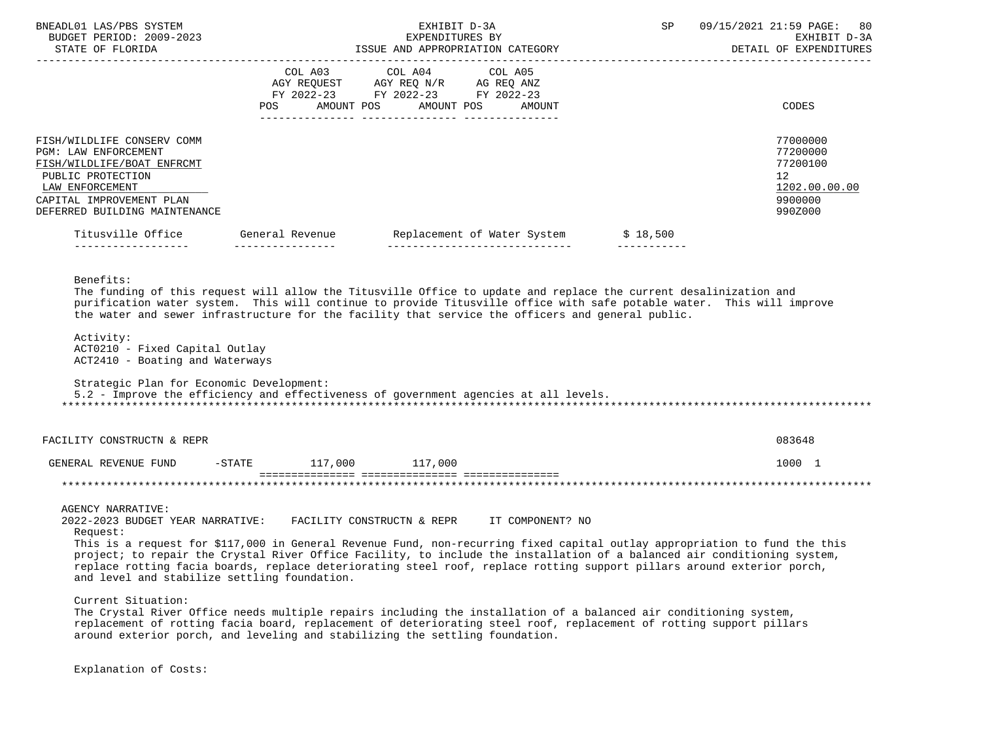| BNEADL01 LAS/PBS SYSTEM<br>BUDGET PERIOD: 2009-2023<br>STATE OF FLORIDA                                                                                                               |                        | EXHIBIT D-3A<br>EXPENDITURES BY<br>ISSUE AND APPROPRIATION CATEGORY                                                                                                                                                                                                                                                                                                                                                                                                                                                                                                                                                                                                                                                                                            | SP          | 09/15/2021 21:59 PAGE:<br>80<br>EXHIBIT D-3A<br>DETAIL OF EXPENDITURES        |
|---------------------------------------------------------------------------------------------------------------------------------------------------------------------------------------|------------------------|----------------------------------------------------------------------------------------------------------------------------------------------------------------------------------------------------------------------------------------------------------------------------------------------------------------------------------------------------------------------------------------------------------------------------------------------------------------------------------------------------------------------------------------------------------------------------------------------------------------------------------------------------------------------------------------------------------------------------------------------------------------|-------------|-------------------------------------------------------------------------------|
|                                                                                                                                                                                       | COL A03                | COL A04<br>COL A05<br>FY 2022-23 FY 2022-23 FY 2022-23<br>POS AMOUNT POS AMOUNT POS AMOUNT                                                                                                                                                                                                                                                                                                                                                                                                                                                                                                                                                                                                                                                                     |             | CODES                                                                         |
| FISH/WILDLIFE CONSERV COMM<br>PGM: LAW ENFORCEMENT<br>FISH/WILDLIFE/BOAT ENFRCMT<br>PUBLIC PROTECTION<br>LAW ENFORCEMENT<br>CAPITAL IMPROVEMENT PLAN<br>DEFERRED BUILDING MAINTENANCE |                        |                                                                                                                                                                                                                                                                                                                                                                                                                                                                                                                                                                                                                                                                                                                                                                |             | 77000000<br>77200000<br>77200100<br>12<br>1202.00.00.00<br>9900000<br>990Z000 |
| ____________________                                                                                                                                                                  | _________________      | Titusville Office General Revenue Replacement of Water System \$ 18,500<br>_________________________________                                                                                                                                                                                                                                                                                                                                                                                                                                                                                                                                                                                                                                                   | ___________ |                                                                               |
| Activity:<br>ACT0210 - Fixed Capital Outlay<br>ACT2410 - Boating and Waterways<br>Strategic Plan for Economic Development:                                                            |                        | purification water system. This will continue to provide Titusville office with safe potable water. This will improve<br>the water and sewer infrastructure for the facility that service the officers and general public.<br>5.2 - Improve the efficiency and effectiveness of government agencies at all levels.                                                                                                                                                                                                                                                                                                                                                                                                                                             |             |                                                                               |
| FACILITY CONSTRUCTN & REPR                                                                                                                                                            |                        |                                                                                                                                                                                                                                                                                                                                                                                                                                                                                                                                                                                                                                                                                                                                                                |             | 083648                                                                        |
| GENERAL REVENUE FUND                                                                                                                                                                  | -STATE 117,000 117,000 |                                                                                                                                                                                                                                                                                                                                                                                                                                                                                                                                                                                                                                                                                                                                                                |             | 1000 1                                                                        |
| AGENCY NARRATIVE:<br>2022-2023 BUDGET YEAR NARRATIVE:<br>Request:<br>and level and stabilize settling foundation.<br>Current Situation:                                               |                        | FACILITY CONSTRUCTN & REPR<br>IT COMPONENT? NO<br>This is a request for \$117,000 in General Revenue Fund, non-recurring fixed capital outlay appropriation to fund the this<br>project; to repair the Crystal River Office Facility, to include the installation of a balanced air conditioning system,<br>replace rotting facia boards, replace deteriorating steel roof, replace rotting support pillars around exterior porch,<br>The Crystal River Office needs multiple repairs including the installation of a balanced air conditioning system,<br>replacement of rotting facia board, replacement of deteriorating steel roof, replacement of rotting support pillars<br>around exterior porch, and leveling and stabilizing the settling foundation. |             |                                                                               |

Explanation of Costs: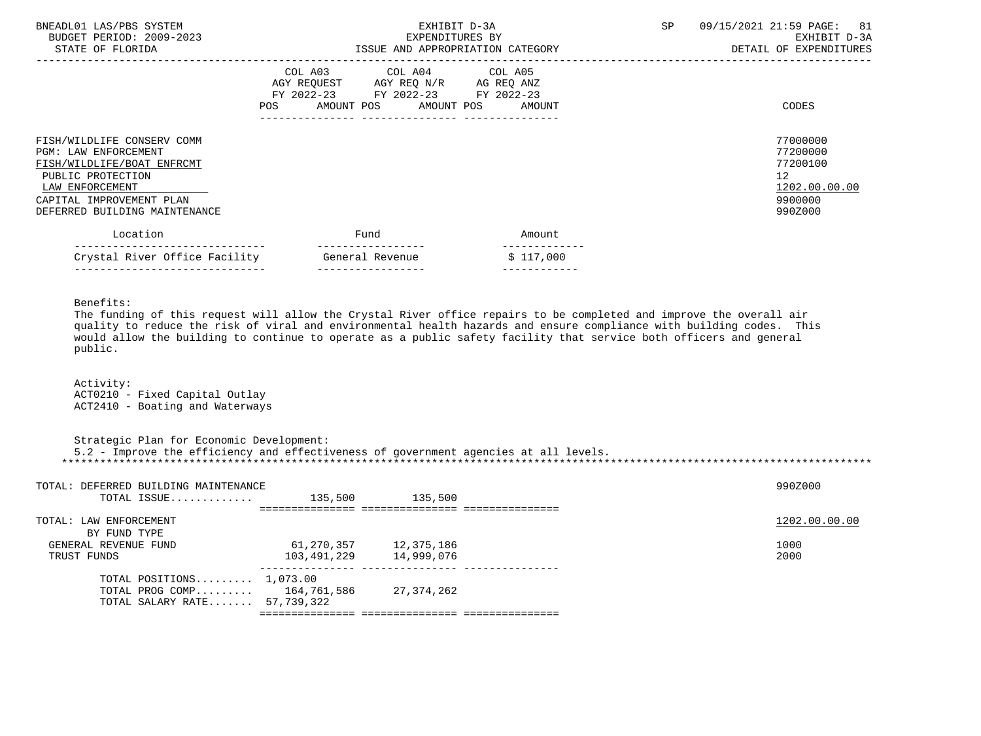| BNEADL01 LAS/PBS SYSTEM<br>BUDGET PERIOD: 2009-2023<br>STATE OF FLORIDA                                                                                                               | EXHIBIT D-3A<br>EXPENDITURES BY<br>ISSUE AND APPROPRIATION CATEGORY                                                               | SP        | 09/15/2021 21:59 PAGE: 81<br>EXHIBIT D-3A<br>DETAIL OF EXPENDITURES |                                                                                            |
|---------------------------------------------------------------------------------------------------------------------------------------------------------------------------------------|-----------------------------------------------------------------------------------------------------------------------------------|-----------|---------------------------------------------------------------------|--------------------------------------------------------------------------------------------|
|                                                                                                                                                                                       | COL A03 COL A04 COL A05<br>AGY REQUEST AGY REQ N/R AG REQ ANZ<br>FY 2022-23 FY 2022-23 FY 2022-23<br>AMOUNT POS AMOUNT POS<br>POS | AMOUNT    |                                                                     | CODES                                                                                      |
| FISH/WILDLIFE CONSERV COMM<br>PGM: LAW ENFORCEMENT<br>FISH/WILDLIFE/BOAT ENFRCMT<br>PUBLIC PROTECTION<br>LAW ENFORCEMENT<br>CAPITAL IMPROVEMENT PLAN<br>DEFERRED BUILDING MAINTENANCE |                                                                                                                                   |           |                                                                     | 77000000<br>77200000<br>77200100<br>12 <sup>°</sup><br>1202.00.00.00<br>9900000<br>990Z000 |
| Location                                                                                                                                                                              | Fund                                                                                                                              | Amount    |                                                                     |                                                                                            |
| ---------------------<br>Crystal River Office Facility                                                                                                                                | General Revenue                                                                                                                   | \$117,000 |                                                                     |                                                                                            |

Benefits:

 The funding of this request will allow the Crystal River office repairs to be completed and improve the overall air quality to reduce the risk of viral and environmental health hazards and ensure compliance with building codes. This would allow the building to continue to operate as a public safety facility that service both officers and general public.

------------------------------ ----------------- ------------

 Activity: ACT0210 - Fixed Capital Outlay ACT2410 - Boating and Waterways

 Strategic Plan for Economic Development: 5.2 - Improve the efficiency and effectiveness of government agencies at all levels. \*\*\*\*\*\*\*\*\*\*\*\*\*\*\*\*\*\*\*\*\*\*\*\*\*\*\*\*\*\*\*\*\*\*\*\*\*\*\*\*\*\*\*\*\*\*\*\*\*\*\*\*\*\*\*\*\*\*\*\*\*\*\*\*\*\*\*\*\*\*\*\*\*\*\*\*\*\*\*\*\*\*\*\*\*\*\*\*\*\*\*\*\*\*\*\*\*\*\*\*\*\*\*\*\*\*\*\*\*\*\*\*\*\*\*\*\*\*\*\*\*\*\*\*\*\*\*

| TOTAL: DEFERRED BUILDING MAINTENANCE |             |            | 990Z000       |
|--------------------------------------|-------------|------------|---------------|
| TOTAL ISSUE                          | 135,500     | 135,500    |               |
|                                      |             |            |               |
| TOTAL: LAW ENFORCEMENT               |             |            | 1202.00.00.00 |
| BY FUND TYPE                         |             |            |               |
| GENERAL REVENUE FUND                 | 61,270,357  | 12,375,186 | 1000          |
| TRUST FUNDS                          | 103,491,229 | 14,999,076 | 2000          |
| TOTAL POSITIONS $1,073.00$           |             |            |               |
| TOTAL PROG COMP $164,761,586$        |             | 27,374,262 |               |
| TOTAL SALARY RATE 57,739,322         |             |            |               |
|                                      |             |            |               |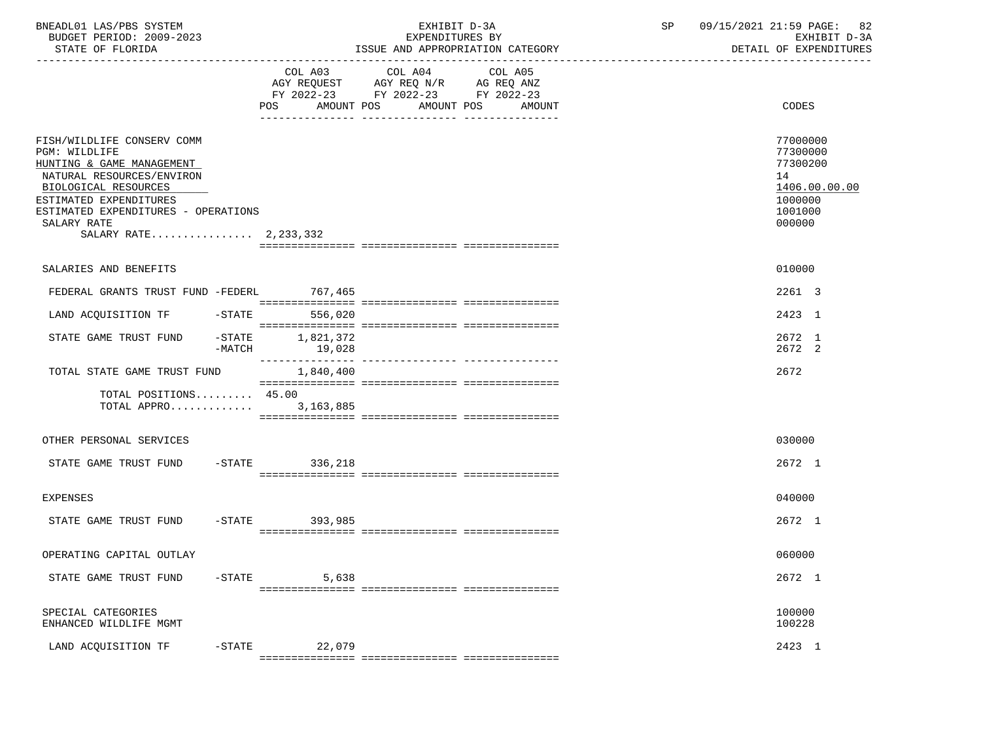| BNEADL01 LAS/PBS SYSTEM |                  |                          | EXHIBIT D-3A                     |  |
|-------------------------|------------------|--------------------------|----------------------------------|--|
|                         |                  | BUDGET PERIOD: 2009-2023 | EXPENDITURES BY                  |  |
|                         | STATE OF FLORIDA |                          | ISSUE AND APPROPRIATION CATEGORY |  |

BUDGET PERIOD: 2009-2023 EXPENDITURES BY EXHIBIT D-3A

|                                                                                                                                                                                                                                          | COL A03<br>AMOUNT POS<br>POS | COL A04<br>AGY REQUEST AGY REQ N/R AG REQ ANZ<br>FY 2022-23 FY 2022-23 FY 2022-23<br>AMOUNT POS | COL A05<br>AMOUNT | CODES                                                                                   |
|------------------------------------------------------------------------------------------------------------------------------------------------------------------------------------------------------------------------------------------|------------------------------|-------------------------------------------------------------------------------------------------|-------------------|-----------------------------------------------------------------------------------------|
|                                                                                                                                                                                                                                          |                              |                                                                                                 |                   |                                                                                         |
| FISH/WILDLIFE CONSERV COMM<br>PGM: WILDLIFE<br>HUNTING & GAME MANAGEMENT<br>NATURAL RESOURCES/ENVIRON<br>BIOLOGICAL RESOURCES<br>ESTIMATED EXPENDITURES<br>ESTIMATED EXPENDITURES - OPERATIONS<br>SALARY RATE<br>SALARY RATE 2, 233, 332 |                              |                                                                                                 |                   | 77000000<br>77300000<br>77300200<br>14<br>1406.00.00.00<br>1000000<br>1001000<br>000000 |
|                                                                                                                                                                                                                                          |                              |                                                                                                 |                   |                                                                                         |
| SALARIES AND BENEFITS                                                                                                                                                                                                                    |                              |                                                                                                 |                   | 010000                                                                                  |
| FEDERAL GRANTS TRUST FUND -FEDERL                                                                                                                                                                                                        | 767,465                      |                                                                                                 |                   | 2261 3                                                                                  |
| LAND ACQUISITION TF<br>$-$ STATE                                                                                                                                                                                                         | 556,020                      |                                                                                                 |                   | 2423 1                                                                                  |
| $-$ STATE<br>STATE GAME TRUST FUND<br>$-MATCH$                                                                                                                                                                                           | 1,821,372<br>19,028          |                                                                                                 |                   | 2672 1<br>2672 2                                                                        |
| TOTAL STATE GAME TRUST FUND                                                                                                                                                                                                              | 1,840,400                    |                                                                                                 |                   | 2672                                                                                    |
| TOTAL POSITIONS 45.00<br>TOTAL APPRO                                                                                                                                                                                                     | 3, 163, 885                  |                                                                                                 |                   |                                                                                         |
| OTHER PERSONAL SERVICES                                                                                                                                                                                                                  |                              |                                                                                                 |                   | 030000                                                                                  |
| STATE GAME TRUST FUND -STATE 336,218                                                                                                                                                                                                     |                              |                                                                                                 |                   | 2672 1                                                                                  |
| EXPENSES                                                                                                                                                                                                                                 |                              |                                                                                                 |                   | 040000                                                                                  |
| STATE GAME TRUST FUND                                                                                                                                                                                                                    | -STATE 393,985               |                                                                                                 |                   | 2672 1                                                                                  |
| OPERATING CAPITAL OUTLAY                                                                                                                                                                                                                 |                              |                                                                                                 |                   | 060000                                                                                  |
| STATE GAME TRUST FUND                                                                                                                                                                                                                    | $-STATE$<br>5,638            |                                                                                                 |                   | 2672 1                                                                                  |
| SPECIAL CATEGORIES<br>ENHANCED WILDLIFE MGMT                                                                                                                                                                                             |                              |                                                                                                 |                   | 100000<br>100228                                                                        |
| LAND ACQUISITION TF                                                                                                                                                                                                                      | $-STATE$ 22,079              |                                                                                                 |                   | 2423 1                                                                                  |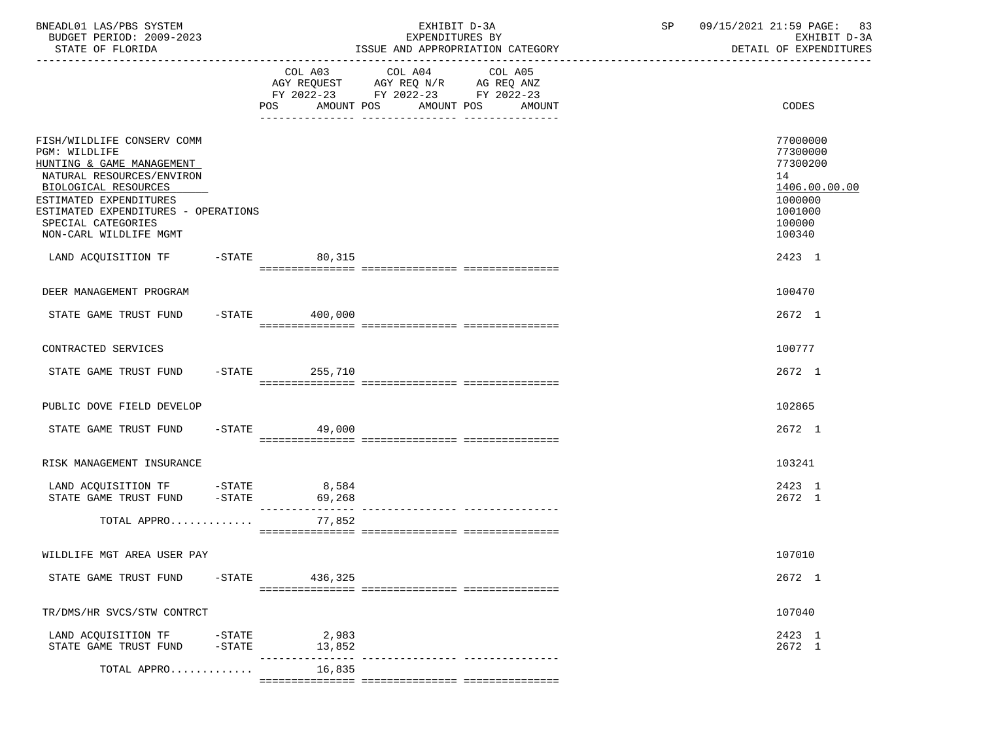| BNEADL01 LAS/PBS SYSTEM<br>BUDGET PERIOD: 2009-2023<br>STATE OF FLORIDA                                                                                                                                                                        |                        |                   | EXHIBIT D-3A<br>EXPENDITURES BY<br>ISSUE AND APPROPRIATION CATEGORY | SP 09/15/2021 21:59 PAGE: 83<br>EXHIBIT D-3A<br>DETAIL OF EXPENDITURES                            |
|------------------------------------------------------------------------------------------------------------------------------------------------------------------------------------------------------------------------------------------------|------------------------|-------------------|---------------------------------------------------------------------|---------------------------------------------------------------------------------------------------|
|                                                                                                                                                                                                                                                |                        | AMOUNT POS<br>POS | COL A03 COL A04 COL A05<br>AMOUNT POS AMOUNT                        | <b>CODES</b>                                                                                      |
| FISH/WILDLIFE CONSERV COMM<br>PGM: WILDLIFE<br>HUNTING & GAME MANAGEMENT<br>NATURAL RESOURCES/ENVIRON<br>BIOLOGICAL RESOURCES<br>ESTIMATED EXPENDITURES<br>ESTIMATED EXPENDITURES - OPERATIONS<br>SPECIAL CATEGORIES<br>NON-CARL WILDLIFE MGMT |                        |                   |                                                                     | 77000000<br>77300000<br>77300200<br>14<br>1406.00.00.00<br>1000000<br>1001000<br>100000<br>100340 |
| LAND ACOUISITION TF -STATE 80,315                                                                                                                                                                                                              |                        |                   |                                                                     | 2423 1                                                                                            |
| DEER MANAGEMENT PROGRAM                                                                                                                                                                                                                        |                        |                   |                                                                     | 100470                                                                                            |
| STATE GAME TRUST FUND                                                                                                                                                                                                                          |                        | $-STATE$ 400,000  |                                                                     | 2672 1                                                                                            |
| CONTRACTED SERVICES                                                                                                                                                                                                                            |                        |                   |                                                                     | 100777                                                                                            |
| STATE GAME TRUST FUND -STATE 255,710                                                                                                                                                                                                           |                        |                   |                                                                     | 2672 1                                                                                            |
| PUBLIC DOVE FIELD DEVELOP                                                                                                                                                                                                                      |                        |                   |                                                                     | 102865                                                                                            |
| STATE GAME TRUST FUND -STATE 49,000                                                                                                                                                                                                            |                        |                   |                                                                     | 2672 1                                                                                            |
| RISK MANAGEMENT INSURANCE                                                                                                                                                                                                                      |                        |                   |                                                                     | 103241                                                                                            |
| LAND ACQUISITION TF -STATE 8,584<br>STATE GAME TRUST FUND -STATE 69,268                                                                                                                                                                        |                        |                   |                                                                     | 2423 1<br>2672 1                                                                                  |
| TOTAL APPRO                                                                                                                                                                                                                                    |                        | 77,852            |                                                                     |                                                                                                   |
| WILDLIFE MGT AREA USER PAY                                                                                                                                                                                                                     |                        |                   |                                                                     | 107010                                                                                            |
| STATE GAME TRUST FUND                                                                                                                                                                                                                          | $-$ STATE              | 436,325           |                                                                     | 2672 1                                                                                            |
|                                                                                                                                                                                                                                                |                        |                   |                                                                     |                                                                                                   |
| TR/DMS/HR SVCS/STW CONTRCT                                                                                                                                                                                                                     |                        |                   |                                                                     | 107040                                                                                            |
| LAND ACQUISITION TF<br>STATE GAME TRUST FUND                                                                                                                                                                                                   | $-$ STATE<br>$-$ STATE | 2,983<br>13,852   | --------------- ---------------                                     | 2423 1<br>2672 1                                                                                  |
| TOTAL APPRO                                                                                                                                                                                                                                    |                        | 16,835            |                                                                     |                                                                                                   |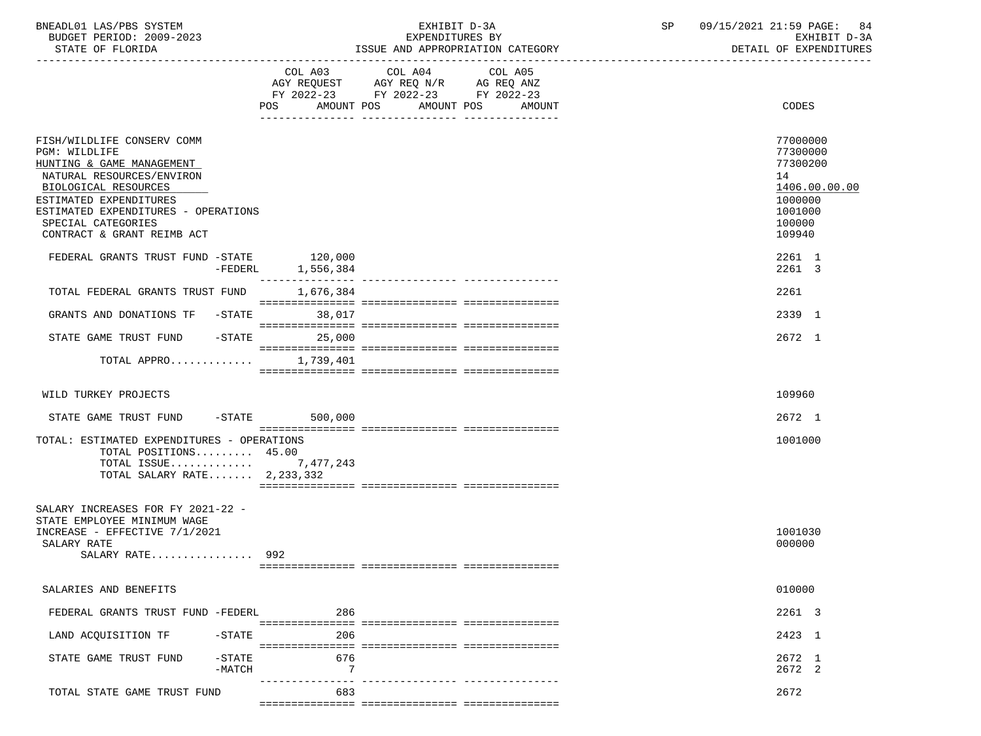| BNEADL01 LAS/PBS SYSTEM |                  |                          | EXHIBIT D-3A                     |  |
|-------------------------|------------------|--------------------------|----------------------------------|--|
|                         |                  | BUDGET PERIOD: 2009-2023 | EXPENDITURES BY                  |  |
|                         | STATE OF FLORIDA |                          | ISSUE AND APPROPRIATION CATEGORY |  |

|                                                                                                                     |                               | COL A03 COL A04 COL A05<br>AGY REQUEST AGY REQ N/R AG REQ ANZ |                                |                                                         |
|---------------------------------------------------------------------------------------------------------------------|-------------------------------|---------------------------------------------------------------|--------------------------------|---------------------------------------------------------|
|                                                                                                                     |                               | FY 2022-23 FY 2022-23 FY 2022-23                              |                                |                                                         |
|                                                                                                                     | POS<br>AMOUNT POS             |                                                               | AMOUNT POS<br>AMOUNT           | CODES                                                   |
|                                                                                                                     |                               |                                                               |                                |                                                         |
| FISH/WILDLIFE CONSERV COMM<br>PGM: WILDLIFE<br>HUNTING & GAME MANAGEMENT<br>NATURAL RESOURCES/ENVIRON               |                               |                                                               |                                | 77000000<br>77300000<br>77300200<br>14<br>1406.00.00.00 |
| BIOLOGICAL RESOURCES<br>ESTIMATED EXPENDITURES                                                                      |                               |                                                               |                                | 1000000                                                 |
| ESTIMATED EXPENDITURES - OPERATIONS                                                                                 |                               |                                                               |                                | 1001000                                                 |
| SPECIAL CATEGORIES                                                                                                  |                               |                                                               |                                | 100000                                                  |
| CONTRACT & GRANT REIMB ACT                                                                                          |                               |                                                               |                                | 109940                                                  |
| FEDERAL GRANTS TRUST FUND -STATE 120,000                                                                            | 1,556,384<br>$-FEDERL$        |                                                               |                                | 2261 1<br>2261 3                                        |
| TOTAL FEDERAL GRANTS TRUST FUND                                                                                     | ----------------<br>1,676,384 |                                                               |                                | 2261                                                    |
|                                                                                                                     |                               |                                                               |                                |                                                         |
| GRANTS AND DONATIONS TF -STATE                                                                                      | 38,017                        |                                                               |                                | 2339 1                                                  |
| STATE GAME TRUST FUND<br>$-$ STATE                                                                                  | 25,000                        |                                                               |                                | 2672 1                                                  |
|                                                                                                                     |                               |                                                               |                                |                                                         |
| TOTAL APPRO                                                                                                         | 1,739,401                     |                                                               |                                |                                                         |
|                                                                                                                     |                               |                                                               |                                |                                                         |
| WILD TURKEY PROJECTS                                                                                                |                               |                                                               |                                | 109960                                                  |
| STATE GAME TRUST FUND -STATE                                                                                        | 500,000                       |                                                               |                                | 2672 1                                                  |
| TOTAL: ESTIMATED EXPENDITURES - OPERATIONS<br>TOTAL POSITIONS 45.00<br>TOTAL ISSUE<br>TOTAL SALARY RATE $2,233,332$ | 7,477,243                     |                                                               |                                | 1001000                                                 |
|                                                                                                                     |                               |                                                               |                                |                                                         |
| SALARY INCREASES FOR FY 2021-22 -<br>STATE EMPLOYEE MINIMUM WAGE<br>INCREASE - EFFECTIVE 7/1/2021<br>SALARY RATE    |                               |                                                               |                                | 1001030<br>000000                                       |
| SALARY RATE 992                                                                                                     |                               |                                                               |                                |                                                         |
|                                                                                                                     |                               |                                                               |                                |                                                         |
| SALARIES AND BENEFITS                                                                                               |                               |                                                               |                                | 010000                                                  |
| FEDERAL GRANTS TRUST FUND -FEDERL                                                                                   | 286                           |                                                               |                                | 2261 3                                                  |
| LAND ACQUISITION TF<br>$-STATE$                                                                                     | 206                           |                                                               |                                | 2423 1                                                  |
| STATE GAME TRUST FUND<br>$-$ STATE                                                                                  | 676                           |                                                               |                                | 2672 1                                                  |
| $-MATCH$                                                                                                            | -7                            |                                                               |                                | 2672 2                                                  |
|                                                                                                                     | --------------- - -<br>683    |                                                               | ------------- ---------------- |                                                         |
| TOTAL STATE GAME TRUST FUND                                                                                         |                               |                                                               |                                | 2672                                                    |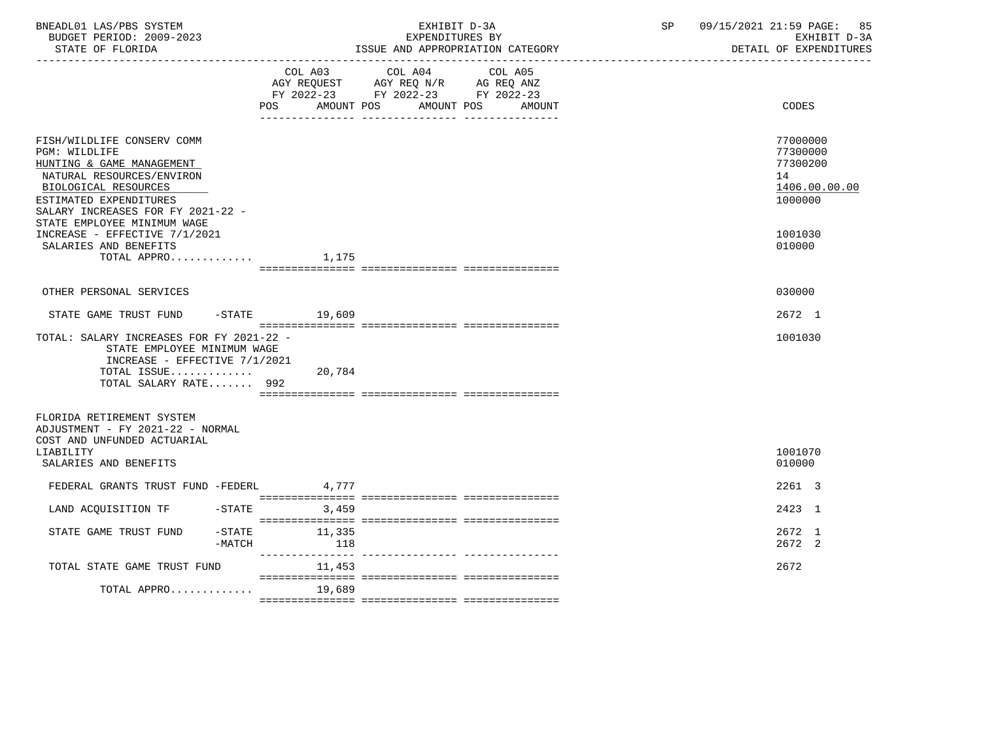| BNEADL01 LAS/PBS SYSTEM<br>BUDGET PERIOD: 2009-2023<br>STATE OF FLORIDA                                                                                                                                                     |                          | EXHIBIT D-3A<br>EXPENDITURES BY<br>ISSUE AND APPROPRIATION CATEGORY                                                          | SP | 09/15/2021 21:59 PAGE:<br>85<br>EXHIBIT D-3A<br>DETAIL OF EXPENDITURES |  |
|-----------------------------------------------------------------------------------------------------------------------------------------------------------------------------------------------------------------------------|--------------------------|------------------------------------------------------------------------------------------------------------------------------|----|------------------------------------------------------------------------|--|
|                                                                                                                                                                                                                             | <b>POS</b><br>AMOUNT POS | COL A03 COL A04<br>COL A05<br>AGY REQUEST AGY REQ N/R AG REQ ANZ<br>FY 2022-23 FY 2022-23 FY 2022-23<br>AMOUNT POS<br>AMOUNT |    | CODES                                                                  |  |
| FISH/WILDLIFE CONSERV COMM<br>PGM: WILDLIFE<br>HUNTING & GAME MANAGEMENT<br>NATURAL RESOURCES/ENVIRON<br>BIOLOGICAL RESOURCES<br>ESTIMATED EXPENDITURES<br>SALARY INCREASES FOR FY 2021-22 -<br>STATE EMPLOYEE MINIMUM WAGE |                          |                                                                                                                              |    | 77000000<br>77300000<br>77300200<br>14<br>1406.00.00.00<br>1000000     |  |
| INCREASE - EFFECTIVE 7/1/2021<br>SALARIES AND BENEFITS<br>TOTAL APPRO                                                                                                                                                       | 1,175                    |                                                                                                                              |    | 1001030<br>010000                                                      |  |
| OTHER PERSONAL SERVICES                                                                                                                                                                                                     |                          |                                                                                                                              |    | 030000                                                                 |  |
| STATE GAME TRUST FUND                                                                                                                                                                                                       | -STATE 19,609            |                                                                                                                              |    | 2672 1                                                                 |  |
| TOTAL: SALARY INCREASES FOR FY 2021-22 -<br>STATE EMPLOYEE MINIMUM WAGE<br>INCREASE - EFFECTIVE 7/1/2021<br>TOTAL ISSUE 20,784<br>TOTAL SALARY RATE 992                                                                     |                          |                                                                                                                              |    | 1001030                                                                |  |
| FLORIDA RETIREMENT SYSTEM<br>ADJUSTMENT - FY 2021-22 - NORMAL<br>COST AND UNFUNDED ACTUARIAL<br>LIABILITY<br>SALARIES AND BENEFITS                                                                                          |                          |                                                                                                                              |    | 1001070<br>010000                                                      |  |
| FEDERAL GRANTS TRUST FUND -FEDERL                                                                                                                                                                                           | 4,777                    |                                                                                                                              |    | 2261 3                                                                 |  |
| LAND ACQUISITION TF<br>$-$ STATE                                                                                                                                                                                            | 3,459                    |                                                                                                                              |    | 2423 1                                                                 |  |
| $-$ STATE<br>STATE GAME TRUST FUND<br>$-MATCH$                                                                                                                                                                              | 11,335<br>118            |                                                                                                                              |    | 2672 1<br>2672 2                                                       |  |
| TOTAL STATE GAME TRUST FUND                                                                                                                                                                                                 | 11,453                   |                                                                                                                              |    | 2672                                                                   |  |
| TOTAL APPRO                                                                                                                                                                                                                 | 19,689                   |                                                                                                                              |    |                                                                        |  |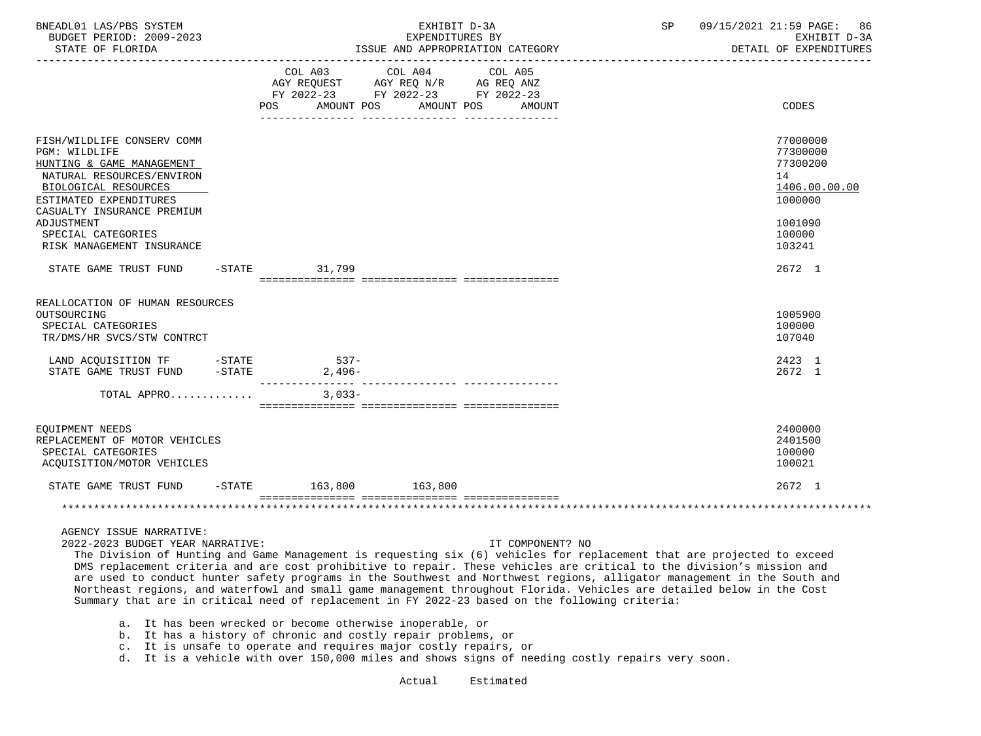| BNEADL01 LAS/PBS SYSTEM<br>BUDGET PERIOD: 2009-2023<br>STATE OF FLORIDA                                                                                                                                                                                |  |  | EXHIBIT D-3A<br>EXPENDITURES BY<br>ISSUE AND APPROPRIATION CATEGORY                                                                   |  |  |  | 09/15/2021 21:59 PAGE: 86<br>SP<br>EXHIBIT D-3A<br>DETAIL OF EXPENDITURES |  |                                                                                                   |
|--------------------------------------------------------------------------------------------------------------------------------------------------------------------------------------------------------------------------------------------------------|--|--|---------------------------------------------------------------------------------------------------------------------------------------|--|--|--|---------------------------------------------------------------------------|--|---------------------------------------------------------------------------------------------------|
|                                                                                                                                                                                                                                                        |  |  | COL A03 COL A04 COL A05<br>AGY REQUEST AGY REQ N/R AG REQ ANZ<br>FY 2022-23 FY 2022-23 FY 2022-23<br>POS AMOUNT POS AMOUNT POS AMOUNT |  |  |  |                                                                           |  | CODES                                                                                             |
| FISH/WILDLIFE CONSERV COMM<br>PGM: WILDLIFE<br>HUNTING & GAME MANAGEMENT<br>NATURAL RESOURCES/ENVIRON<br>BIOLOGICAL RESOURCES<br>ESTIMATED EXPENDITURES<br>CASUALTY INSURANCE PREMIUM<br>ADJUSTMENT<br>SPECIAL CATEGORIES<br>RISK MANAGEMENT INSURANCE |  |  |                                                                                                                                       |  |  |  |                                                                           |  | 77000000<br>77300000<br>77300200<br>14<br>1406.00.00.00<br>1000000<br>1001090<br>100000<br>103241 |
| STATE GAME TRUST FUND -STATE                                                                                                                                                                                                                           |  |  | 31,799                                                                                                                                |  |  |  |                                                                           |  | 2672 1                                                                                            |
| REALLOCATION OF HUMAN RESOURCES<br>OUTSOURCING<br>SPECIAL CATEGORIES<br>TR/DMS/HR SVCS/STW CONTRCT                                                                                                                                                     |  |  |                                                                                                                                       |  |  |  |                                                                           |  | 1005900<br>100000<br>107040                                                                       |
| LAND ACQUISITION TF -STATE<br>STATE GAME TRUST FUND - STATE                                                                                                                                                                                            |  |  | $537 -$<br>$2,496-$                                                                                                                   |  |  |  |                                                                           |  | 2423 1<br>2672 1                                                                                  |
| TOTAL APPRO                                                                                                                                                                                                                                            |  |  | $3.033 -$                                                                                                                             |  |  |  |                                                                           |  |                                                                                                   |
| EOUIPMENT NEEDS<br>REPLACEMENT OF MOTOR VEHICLES<br>SPECIAL CATEGORIES<br>ACQUISITION/MOTOR VEHICLES                                                                                                                                                   |  |  |                                                                                                                                       |  |  |  |                                                                           |  | 2400000<br>2401500<br>100000<br>100021                                                            |
| STATE GAME TRUST FUND -STATE 163,800 163,800                                                                                                                                                                                                           |  |  |                                                                                                                                       |  |  |  |                                                                           |  | 2672 1                                                                                            |
|                                                                                                                                                                                                                                                        |  |  |                                                                                                                                       |  |  |  |                                                                           |  |                                                                                                   |
|                                                                                                                                                                                                                                                        |  |  |                                                                                                                                       |  |  |  |                                                                           |  |                                                                                                   |

AGENCY ISSUE NARRATIVE:

2022-2023 BUDGET YEAR NARRATIVE: IT COMPONENT? NO

 The Division of Hunting and Game Management is requesting six (6) vehicles for replacement that are projected to exceed DMS replacement criteria and are cost prohibitive to repair. These vehicles are critical to the division's mission and are used to conduct hunter safety programs in the Southwest and Northwest regions, alligator management in the South and Northeast regions, and waterfowl and small game management throughout Florida. Vehicles are detailed below in the Cost Summary that are in critical need of replacement in FY 2022-23 based on the following criteria:

- a. It has been wrecked or become otherwise inoperable, or
- b. It has a history of chronic and costly repair problems, or
- c. It is unsafe to operate and requires major costly repairs, or
- d. It is a vehicle with over 150,000 miles and shows signs of needing costly repairs very soon.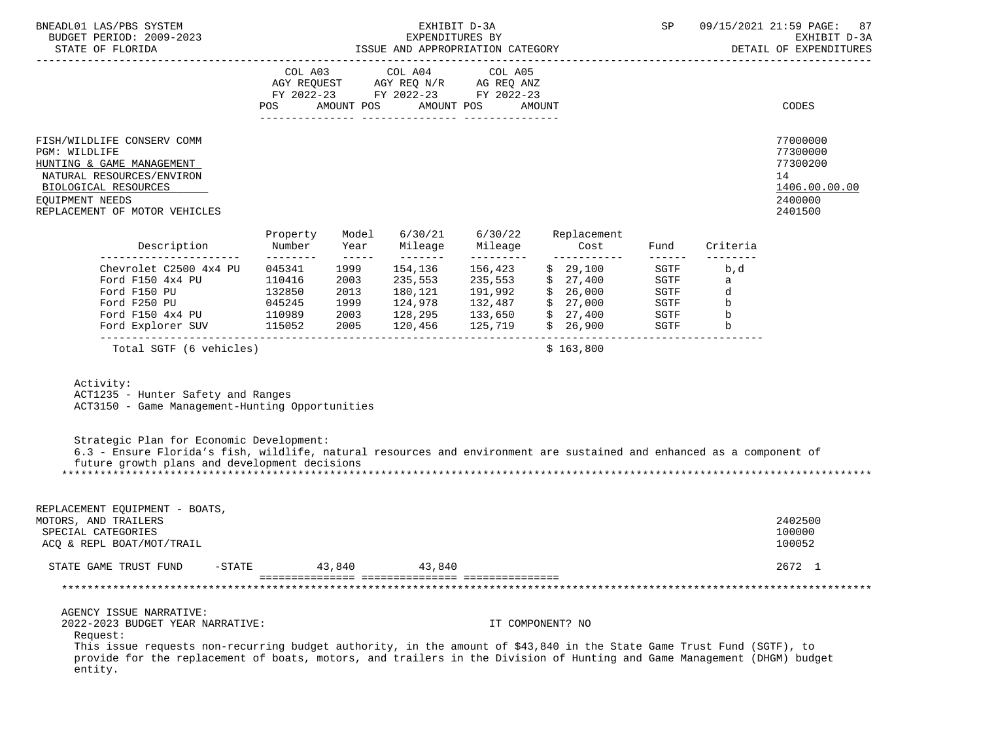| BNEADL01 LAS/PBS SYSTEM<br>BUDGET PERIOD: 2009-2023<br>STATE OF FLORIDA                                                                                                                                                                                                                                                                |                                 |                                                                                                                                                                                                                                                                                                                                                                                                                                                                                                                                | EXHIBIT D-3A<br>EXPENDITURES BY<br>ISSUE AND APPROPRIATION CATEGORY      |                                  |                                                                                                                         | SP                                                   |                                        | 09/15/2021 21:59 PAGE:<br>87<br>EXHIBIT D-3A<br>DETAIL OF EXPENDITURES        |
|----------------------------------------------------------------------------------------------------------------------------------------------------------------------------------------------------------------------------------------------------------------------------------------------------------------------------------------|---------------------------------|--------------------------------------------------------------------------------------------------------------------------------------------------------------------------------------------------------------------------------------------------------------------------------------------------------------------------------------------------------------------------------------------------------------------------------------------------------------------------------------------------------------------------------|--------------------------------------------------------------------------|----------------------------------|-------------------------------------------------------------------------------------------------------------------------|------------------------------------------------------|----------------------------------------|-------------------------------------------------------------------------------|
|                                                                                                                                                                                                                                                                                                                                        | POS                             | AMOUNT POS                                                                                                                                                                                                                                                                                                                                                                                                                                                                                                                     | COL A03 COL A04<br>FY 2022-23 FY 2022-23 FY 2022-23<br>AMOUNT POS        | COL A05                          | AMOUNT                                                                                                                  |                                                      |                                        | CODES                                                                         |
| FISH/WILDLIFE CONSERV COMM<br>PGM: WILDLIFE<br>HUNTING & GAME MANAGEMENT<br>NATURAL RESOURCES/ENVIRON<br>BIOLOGICAL RESOURCES<br>EQUIPMENT NEEDS<br>REPLACEMENT OF MOTOR VEHICLES                                                                                                                                                      |                                 |                                                                                                                                                                                                                                                                                                                                                                                                                                                                                                                                |                                                                          |                                  |                                                                                                                         |                                                      |                                        | 77000000<br>77300000<br>77300200<br>14<br>1406.00.00.00<br>2400000<br>2401500 |
| Description                                                                                                                                                                                                                                                                                                                            | Property<br>Number<br>--------- | Model<br>Year                                                                                                                                                                                                                                                                                                                                                                                                                                                                                                                  | 6/30/21<br>Mileage                                                       | 6/30/22<br>Mileage               | Replacement<br>Cost                                                                                                     | Fund                                                 | Criteria                               |                                                                               |
| ------------------------<br>Chevrolet C2500 4x4 PU<br>Ford F150 4x4 PU<br>132850<br>Ford F150 PU<br>Ford Explorer SUV 115052                                                                                                                                                                                                           | 045341<br>110416                | $\begin{array}{cccccccccc} \multicolumn{2}{c} & \multicolumn{2}{c} & \multicolumn{2}{c} & \multicolumn{2}{c} & \multicolumn{2}{c} & \multicolumn{2}{c} & \multicolumn{2}{c} & \multicolumn{2}{c} & \multicolumn{2}{c} & \multicolumn{2}{c} & \multicolumn{2}{c} & \multicolumn{2}{c} & \multicolumn{2}{c} & \multicolumn{2}{c} & \multicolumn{2}{c} & \multicolumn{2}{c} & \multicolumn{2}{c} & \multicolumn{2}{c} & \multicolumn{2}{c} & \multicolumn{2}{c} & \multicolumn{2}{c} & \$<br>1999<br>2003<br>2013<br>1999<br>2005 | _________<br>154,136<br>235,553<br>180,121<br>124,978<br>120,456 125,719 | ----------<br>156,423<br>235,553 | ------------<br>\$29,100<br>\$27,400<br>191,992 \$ 26,000<br>132,487 \$ 27,000<br>128,295 133,650 \$ 27,400<br>\$26,900 | SGTF<br>SGTF<br>SGTF<br>SGTF<br>SGTF<br>SGTF<br>SGTF | b,d<br>a<br>d<br>b<br>$\mathbf b$<br>b |                                                                               |
| Total SGTF (6 vehicles)                                                                                                                                                                                                                                                                                                                |                                 |                                                                                                                                                                                                                                                                                                                                                                                                                                                                                                                                |                                                                          |                                  | \$163,800                                                                                                               |                                                      | -------------------------              |                                                                               |
| Activity:<br>ACT1235 - Hunter Safety and Ranges<br>ACT3150 - Game Management-Hunting Opportunities                                                                                                                                                                                                                                     |                                 |                                                                                                                                                                                                                                                                                                                                                                                                                                                                                                                                |                                                                          |                                  |                                                                                                                         |                                                      |                                        |                                                                               |
| Strategic Plan for Economic Development:<br>6.3 - Ensure Florida's fish, wildlife, natural resources and environment are sustained and enhanced as a component of<br>future growth plans and development decisions                                                                                                                     |                                 |                                                                                                                                                                                                                                                                                                                                                                                                                                                                                                                                |                                                                          |                                  |                                                                                                                         |                                                      |                                        |                                                                               |
| REPLACEMENT EQUIPMENT - BOATS,<br>MOTORS, AND TRAILERS<br>SPECIAL CATEGORIES<br>ACQ & REPL BOAT/MOT/TRAIL                                                                                                                                                                                                                              |                                 |                                                                                                                                                                                                                                                                                                                                                                                                                                                                                                                                |                                                                          |                                  |                                                                                                                         |                                                      |                                        | 2402500<br>100000<br>100052                                                   |
| STATE GAME TRUST FUND<br>$-STATE$                                                                                                                                                                                                                                                                                                      |                                 | 43,840                                                                                                                                                                                                                                                                                                                                                                                                                                                                                                                         | 43,840                                                                   |                                  |                                                                                                                         |                                                      |                                        | 2672 1                                                                        |
|                                                                                                                                                                                                                                                                                                                                        |                                 |                                                                                                                                                                                                                                                                                                                                                                                                                                                                                                                                |                                                                          |                                  |                                                                                                                         |                                                      |                                        |                                                                               |
| AGENCY ISSUE NARRATIVE:<br>2022-2023 BUDGET YEAR NARRATIVE:<br>Request:<br>This issue requests non-recurring budget authority, in the amount of \$43,840 in the State Game Trust Fund (SGTF), to<br>provide for the replacement of boats, motors, and trailers in the Division of Hunting and Game Management (DHGM) budget<br>entity. |                                 |                                                                                                                                                                                                                                                                                                                                                                                                                                                                                                                                |                                                                          |                                  | IT COMPONENT? NO                                                                                                        |                                                      |                                        |                                                                               |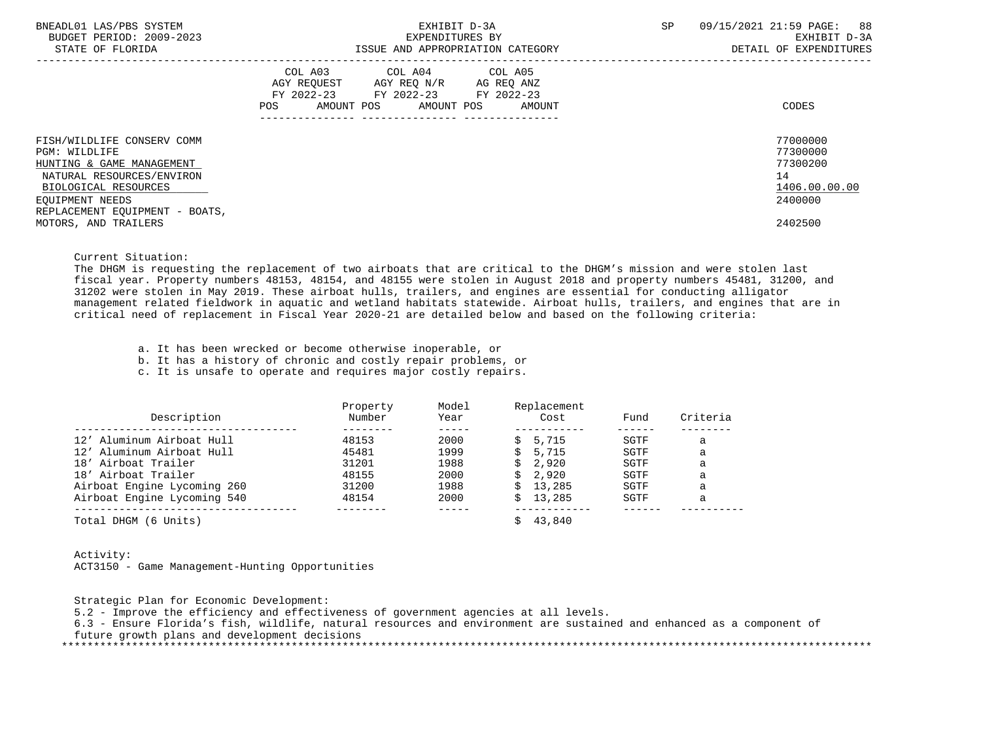| BNEADL01 LAS/PBS SYSTEM<br>BUDGET PERIOD: 2009-2023 | EXHIBIT D-3A<br>EXPENDITURES BY        | 09/15/2021 21:59 PAGE: 88<br><b>SP</b><br>EXHIBIT D-3A |
|-----------------------------------------------------|----------------------------------------|--------------------------------------------------------|
| STATE OF FLORIDA                                    | ISSUE AND APPROPRIATION CATEGORY       | DETAIL OF EXPENDITURES                                 |
|                                                     | COL A03 COL A04 COL A05                |                                                        |
|                                                     | AGY REQUEST AGY REQ N/R AG REQ ANZ     |                                                        |
|                                                     | FY 2022-23 FY 2022-23 FY 2022-23       |                                                        |
|                                                     | AMOUNT POS AMOUNT POS<br>POS<br>AMOUNT | CODES                                                  |
|                                                     |                                        |                                                        |
| FISH/WILDLIFE CONSERV COMM                          |                                        | 77000000                                               |
| PGM: WILDLIFE                                       |                                        | 77300000                                               |
| HUNTING & GAME MANAGEMENT                           |                                        | 77300200                                               |
| NATURAL RESOURCES/ENVIRON                           |                                        | 14                                                     |
| BIOLOGICAL RESOURCES                                |                                        | 1406.00.00.00                                          |
| EOUIPMENT NEEDS                                     |                                        | 2400000                                                |
| REPLACEMENT EOUIPMENT - BOATS,                      |                                        |                                                        |
| MOTORS, AND TRAILERS                                |                                        | 2402500                                                |

Current Situation:

 The DHGM is requesting the replacement of two airboats that are critical to the DHGM's mission and were stolen last fiscal year. Property numbers 48153, 48154, and 48155 were stolen in August 2018 and property numbers 45481, 31200, and 31202 were stolen in May 2019. These airboat hulls, trailers, and engines are essential for conducting alligator management related fieldwork in aquatic and wetland habitats statewide. Airboat hulls, trailers, and engines that are in critical need of replacement in Fiscal Year 2020-21 are detailed below and based on the following criteria:

a. It has been wrecked or become otherwise inoperable, or

b. It has a history of chronic and costly repair problems, or

c. It is unsafe to operate and requires major costly repairs.

|                             | Property | Model | Replacement |      |          |
|-----------------------------|----------|-------|-------------|------|----------|
| Description                 | Number   | Year  | Cost        | Fund | Criteria |
| 12' Aluminum Airboat Hull   | 48153    | 2000  | 5,715       | SGTF |          |
|                             |          |       |             |      | a        |
| 12' Aluminum Airboat Hull   | 45481    | 1999  | 5,715       | SGTF | a        |
| 18' Airboat Trailer         | 31201    | 1988  | 2,920       | SGTF | a        |
| 18' Airboat Trailer         | 48155    | 2000  | 2,920       | SGTF | a        |
| Airboat Engine Lycoming 260 | 31200    | 1988  | 13,285      | SGTF | a        |
| Airboat Engine Lycoming 540 | 48154    | 2000  | 13,285      | SGTF | a        |
|                             |          |       |             |      |          |
| Total DHGM (6 Units)        |          |       | 43,840      |      |          |

| Activity: |                                                 |  |
|-----------|-------------------------------------------------|--|
|           | ACT3150 - Game Management-Hunting Opportunities |  |

 Strategic Plan for Economic Development: 5.2 - Improve the efficiency and effectiveness of government agencies at all levels. 6.3 - Ensure Florida's fish, wildlife, natural resources and environment are sustained and enhanced as a component of future growth plans and development decisions \*\*\*\*\*\*\*\*\*\*\*\*\*\*\*\*\*\*\*\*\*\*\*\*\*\*\*\*\*\*\*\*\*\*\*\*\*\*\*\*\*\*\*\*\*\*\*\*\*\*\*\*\*\*\*\*\*\*\*\*\*\*\*\*\*\*\*\*\*\*\*\*\*\*\*\*\*\*\*\*\*\*\*\*\*\*\*\*\*\*\*\*\*\*\*\*\*\*\*\*\*\*\*\*\*\*\*\*\*\*\*\*\*\*\*\*\*\*\*\*\*\*\*\*\*\*\*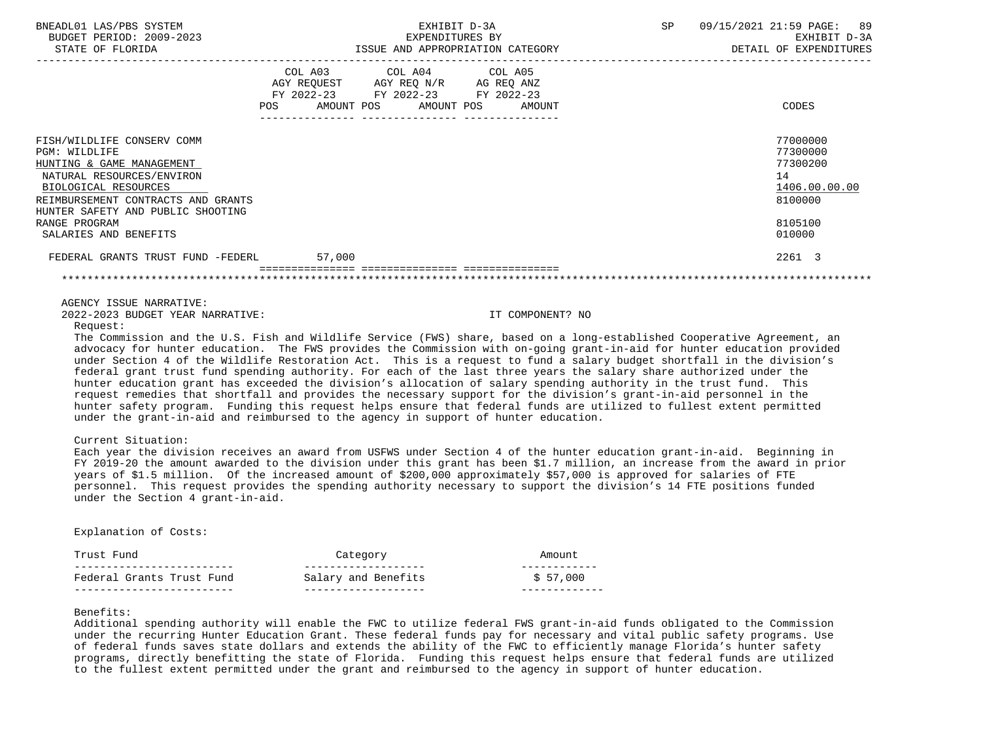| BNEADL01 LAS/PBS SYSTEM<br>BUDGET PERIOD: 2009-2023<br>STATE OF FLORIDA                                                                                                                                  |        | EXHIBIT D-3A<br>EXPENDITURES BY<br>ISSUE AND APPROPRIATION CATEGORY                                                                  | SP | 09/15/2021 21:59 PAGE: 89<br>EXHIBIT D-3A<br>DETAIL OF EXPENDITURES |
|----------------------------------------------------------------------------------------------------------------------------------------------------------------------------------------------------------|--------|--------------------------------------------------------------------------------------------------------------------------------------|----|---------------------------------------------------------------------|
|                                                                                                                                                                                                          | POS    | COL A03 COL A04 COL A05<br>AGY REQUEST AGY REQ N/R AG REQ ANZ<br>FY 2022-23 FY 2022-23 FY 2022-23<br>AMOUNT POS AMOUNT POS<br>AMOUNT |    | CODES                                                               |
| FISH/WILDLIFE CONSERV COMM<br>PGM: WILDLIFE<br>HUNTING & GAME MANAGEMENT<br>NATURAL RESOURCES/ENVIRON<br>BIOLOGICAL RESOURCES<br>REIMBURSEMENT CONTRACTS AND GRANTS<br>HUNTER SAFETY AND PUBLIC SHOOTING |        |                                                                                                                                      |    | 77000000<br>77300000<br>77300200<br>14<br>1406.00.00.00<br>8100000  |
| RANGE PROGRAM<br>SALARIES AND BENEFITS                                                                                                                                                                   |        |                                                                                                                                      |    | 8105100<br>010000                                                   |
| FEDERAL GRANTS TRUST FUND -FEDERL                                                                                                                                                                        | 57,000 |                                                                                                                                      |    | 2261 3                                                              |
|                                                                                                                                                                                                          |        |                                                                                                                                      |    |                                                                     |

AGENCY ISSUE NARRATIVE:

2022-2023 BUDGET YEAR NARRATIVE: IT COMPONENT? NO

## Request:

 The Commission and the U.S. Fish and Wildlife Service (FWS) share, based on a long-established Cooperative Agreement, an advocacy for hunter education. The FWS provides the Commission with on-going grant-in-aid for hunter education provided under Section 4 of the Wildlife Restoration Act. This is a request to fund a salary budget shortfall in the division's federal grant trust fund spending authority. For each of the last three years the salary share authorized under the hunter education grant has exceeded the division's allocation of salary spending authority in the trust fund. This request remedies that shortfall and provides the necessary support for the division's grant-in-aid personnel in the hunter safety program. Funding this request helps ensure that federal funds are utilized to fullest extent permitted under the grant-in-aid and reimbursed to the agency in support of hunter education.

# Current Situation:

 Each year the division receives an award from USFWS under Section 4 of the hunter education grant-in-aid. Beginning in FY 2019-20 the amount awarded to the division under this grant has been \$1.7 million, an increase from the award in prior years of \$1.5 million. Of the increased amount of \$200,000 approximately \$57,000 is approved for salaries of FTE personnel. This request provides the spending authority necessary to support the division's 14 FTE positions funded under the Section 4 grant-in-aid.

### Explanation of Costs:

| Trust Fund                | Category            | Amount   |
|---------------------------|---------------------|----------|
|                           |                     |          |
| Federal Grants Trust Fund | Salary and Benefits | \$57,000 |
|                           |                     |          |

# Benefits:

 Additional spending authority will enable the FWC to utilize federal FWS grant-in-aid funds obligated to the Commission under the recurring Hunter Education Grant. These federal funds pay for necessary and vital public safety programs. Use of federal funds saves state dollars and extends the ability of the FWC to efficiently manage Florida's hunter safety programs, directly benefitting the state of Florida. Funding this request helps ensure that federal funds are utilized to the fullest extent permitted under the grant and reimbursed to the agency in support of hunter education.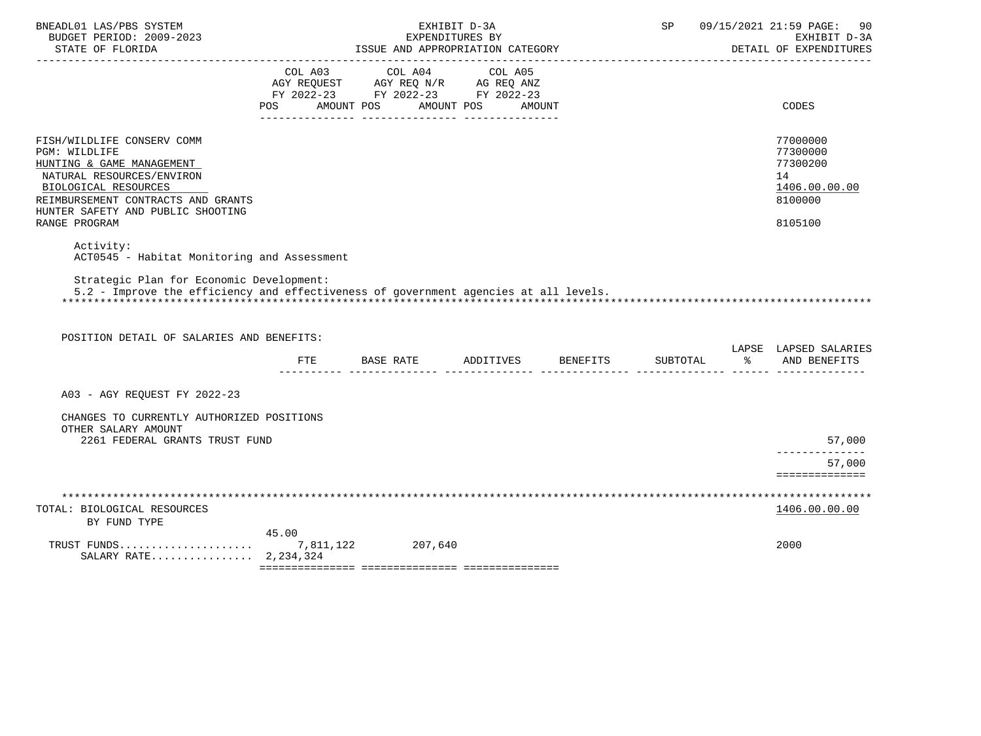| BNEADL01 LAS/PBS SYSTEM<br>BUDGET PERIOD: 2009-2023<br>STATE OF FLORIDA                                                                                                                                                   |                                             | ISSUE AND APPROPRIATION CATEGORY                                                  | EXHIBIT D-3A<br>EXPENDITURES BY |                                                                      | SP | 09/15/2021 21:59 PAGE:<br>-90<br>EXHIBIT D-3A<br>DETAIL OF EXPENDITURES       |
|---------------------------------------------------------------------------------------------------------------------------------------------------------------------------------------------------------------------------|---------------------------------------------|-----------------------------------------------------------------------------------|---------------------------------|----------------------------------------------------------------------|----|-------------------------------------------------------------------------------|
|                                                                                                                                                                                                                           | COL A03<br>POS AMOUNT POS AMOUNT POS AMOUNT | COL A04<br>AGY REQUEST AGY REQ N/R AG REQ ANZ<br>FY 2022-23 FY 2022-23 FY 2022-23 | COL A05                         |                                                                      |    | CODES                                                                         |
|                                                                                                                                                                                                                           |                                             |                                                                                   |                                 |                                                                      |    |                                                                               |
| FISH/WILDLIFE CONSERV COMM<br>PGM: WILDLIFE<br>HUNTING & GAME MANAGEMENT<br>NATURAL RESOURCES/ENVIRON<br>BIOLOGICAL RESOURCES<br>REIMBURSEMENT CONTRACTS AND GRANTS<br>HUNTER SAFETY AND PUBLIC SHOOTING<br>RANGE PROGRAM |                                             |                                                                                   |                                 |                                                                      |    | 77000000<br>77300000<br>77300200<br>14<br>1406.00.00.00<br>8100000<br>8105100 |
| Activity:                                                                                                                                                                                                                 |                                             |                                                                                   |                                 |                                                                      |    |                                                                               |
| ACT0545 - Habitat Monitoring and Assessment                                                                                                                                                                               |                                             |                                                                                   |                                 |                                                                      |    |                                                                               |
| Strategic Plan for Economic Development:<br>5.2 - Improve the efficiency and effectiveness of government agencies at all levels.                                                                                          |                                             |                                                                                   |                                 |                                                                      |    |                                                                               |
| POSITION DETAIL OF SALARIES AND BENEFITS:                                                                                                                                                                                 |                                             |                                                                                   |                                 |                                                                      |    | LAPSE LAPSED SALARIES                                                         |
|                                                                                                                                                                                                                           |                                             |                                                                                   |                                 | FTE BASE RATE ADDITIVES BENEFITS SUBTOTAL $\frac{1}{2}$ and benefits |    |                                                                               |
| A03 - AGY REOUEST FY 2022-23                                                                                                                                                                                              |                                             |                                                                                   |                                 |                                                                      |    |                                                                               |
| CHANGES TO CURRENTLY AUTHORIZED POSITIONS<br>OTHER SALARY AMOUNT<br>2261 FEDERAL GRANTS TRUST FUND                                                                                                                        |                                             |                                                                                   |                                 |                                                                      |    | 57,000                                                                        |
|                                                                                                                                                                                                                           |                                             |                                                                                   |                                 |                                                                      |    | --------------                                                                |
|                                                                                                                                                                                                                           |                                             |                                                                                   |                                 |                                                                      |    | 57,000<br>==============                                                      |
|                                                                                                                                                                                                                           |                                             |                                                                                   |                                 |                                                                      |    |                                                                               |
| TOTAL: BIOLOGICAL RESOURCES<br>BY FUND TYPE                                                                                                                                                                               |                                             |                                                                                   |                                 |                                                                      |    | 1406.00.00.00                                                                 |
| TRUST FUNDS<br>SALARY RATE 2.234.324                                                                                                                                                                                      | 45.00                                       | 7,811,122 207,640                                                                 |                                 |                                                                      |    | 2000                                                                          |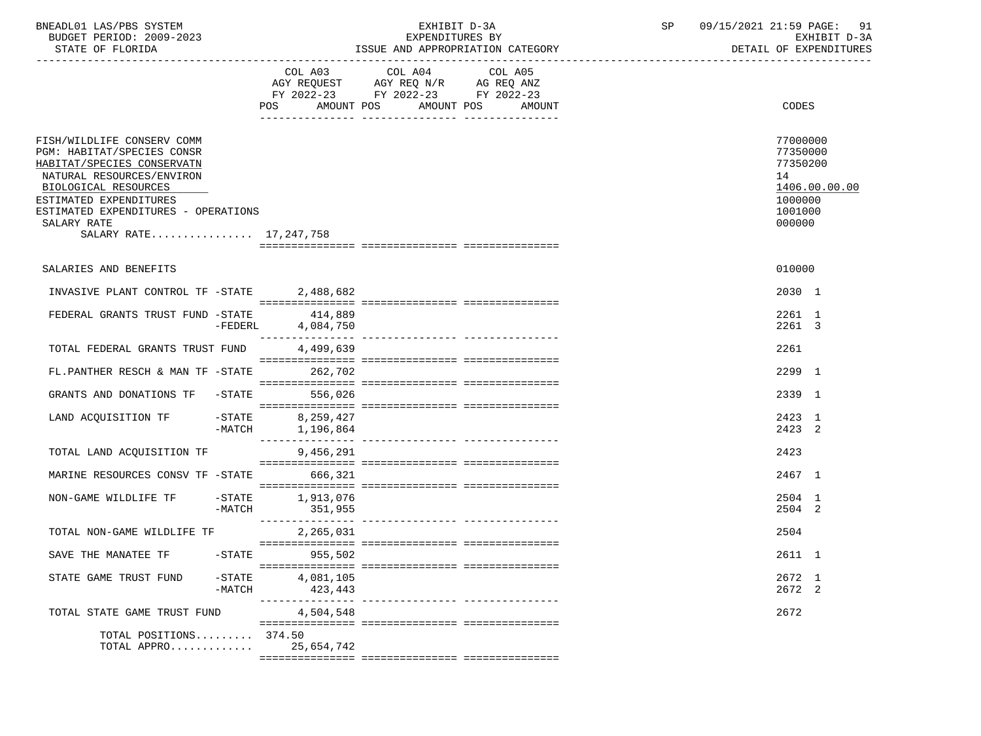| BNEADL01 LAS/PBS SYSTEM |                  |                          | EXHIBIT D-3A                     |  |
|-------------------------|------------------|--------------------------|----------------------------------|--|
|                         |                  | BUDGET PERIOD: 2009-2023 | EXPENDITURES BY                  |  |
|                         | STATE OF FLORIDA |                          | ISSUE AND APPROPRIATION CATEGORY |  |

BUDGET PERIOD: 2009-2023 EXPENDITURES BY EXHIBIT D-3A

|                                                                                                                                                                                                                                                       |           | AMOUNT POS<br>POS              | COL A03 COL A04<br>$\begin{tabular}{lllllll} AGY & \texttt{REQUEST} & \texttt{AGY REQ} & \texttt{N/R} & \texttt{AG REQ} & \texttt{ANZ} \end{tabular}$<br>FY 2022-23 FY 2022-23 FY 2022-23 | COL A05<br>AMOUNT POS AMOUNT |  | CODES                                                                  |               |
|-------------------------------------------------------------------------------------------------------------------------------------------------------------------------------------------------------------------------------------------------------|-----------|--------------------------------|-------------------------------------------------------------------------------------------------------------------------------------------------------------------------------------------|------------------------------|--|------------------------------------------------------------------------|---------------|
| FISH/WILDLIFE CONSERV COMM<br>PGM: HABITAT/SPECIES CONSR<br>HABITAT/SPECIES CONSERVATN<br>NATURAL RESOURCES/ENVIRON<br>BIOLOGICAL RESOURCES<br>ESTIMATED EXPENDITURES<br>ESTIMATED EXPENDITURES - OPERATIONS<br>SALARY RATE<br>SALARY RATE 17,247,758 |           |                                |                                                                                                                                                                                           |                              |  | 77000000<br>77350000<br>77350200<br>14<br>1000000<br>1001000<br>000000 | 1406.00.00.00 |
|                                                                                                                                                                                                                                                       |           |                                |                                                                                                                                                                                           |                              |  |                                                                        |               |
| SALARIES AND BENEFITS                                                                                                                                                                                                                                 |           |                                |                                                                                                                                                                                           |                              |  | 010000                                                                 |               |
| INVASIVE PLANT CONTROL TF -STATE                                                                                                                                                                                                                      |           | 2,488,682                      |                                                                                                                                                                                           |                              |  | 2030 1                                                                 |               |
| FEDERAL GRANTS TRUST FUND -STATE                                                                                                                                                                                                                      | $-FEDERL$ | 414,889<br>4,084,750           |                                                                                                                                                                                           |                              |  | 2261 1<br>2261 3                                                       |               |
| TOTAL FEDERAL GRANTS TRUST FUND                                                                                                                                                                                                                       |           | 4,499,639                      |                                                                                                                                                                                           |                              |  | 2261                                                                   |               |
| FL.PANTHER RESCH & MAN TF -STATE                                                                                                                                                                                                                      |           | 262,702                        |                                                                                                                                                                                           |                              |  | 2299 1                                                                 |               |
| GRANTS AND DONATIONS TF -STATE                                                                                                                                                                                                                        |           | 556,026                        |                                                                                                                                                                                           |                              |  | 2339 1                                                                 |               |
| LAND ACOUISITION TF                                                                                                                                                                                                                                   | -MATCH    | -STATE 8,259,427<br>1,196,864  |                                                                                                                                                                                           |                              |  | 2423 1<br>2423 2                                                       |               |
| TOTAL LAND ACQUISITION TF                                                                                                                                                                                                                             |           | 9,456,291                      |                                                                                                                                                                                           |                              |  | 2423                                                                   |               |
| MARINE RESOURCES CONSV TF -STATE                                                                                                                                                                                                                      |           | 666,321                        |                                                                                                                                                                                           |                              |  | 2467 1                                                                 |               |
| NON-GAME WILDLIFE TF -STATE 1,913,076                                                                                                                                                                                                                 | -MATCH    | 351,955                        |                                                                                                                                                                                           |                              |  | 2504 1<br>2504 2                                                       |               |
| TOTAL NON-GAME WILDLIFE TF                                                                                                                                                                                                                            |           | 2,265,031                      |                                                                                                                                                                                           |                              |  | 2504                                                                   |               |
| SAVE THE MANATEE TF                                                                                                                                                                                                                                   | $-$ STATE | 955,502                        |                                                                                                                                                                                           |                              |  | 2611 1                                                                 |               |
| STATE GAME TRUST FUND                                                                                                                                                                                                                                 | -MATCH    | $-$ STATE 4,081,105<br>423,443 |                                                                                                                                                                                           |                              |  | 2672 1<br>2672 2                                                       |               |
| TOTAL STATE GAME TRUST FUND                                                                                                                                                                                                                           |           | 4,504,548                      |                                                                                                                                                                                           |                              |  | 2672                                                                   |               |
| TOTAL POSITIONS 374.50<br>TOTAL APPRO 25,654,742                                                                                                                                                                                                      |           |                                |                                                                                                                                                                                           |                              |  |                                                                        |               |
|                                                                                                                                                                                                                                                       |           |                                |                                                                                                                                                                                           |                              |  |                                                                        |               |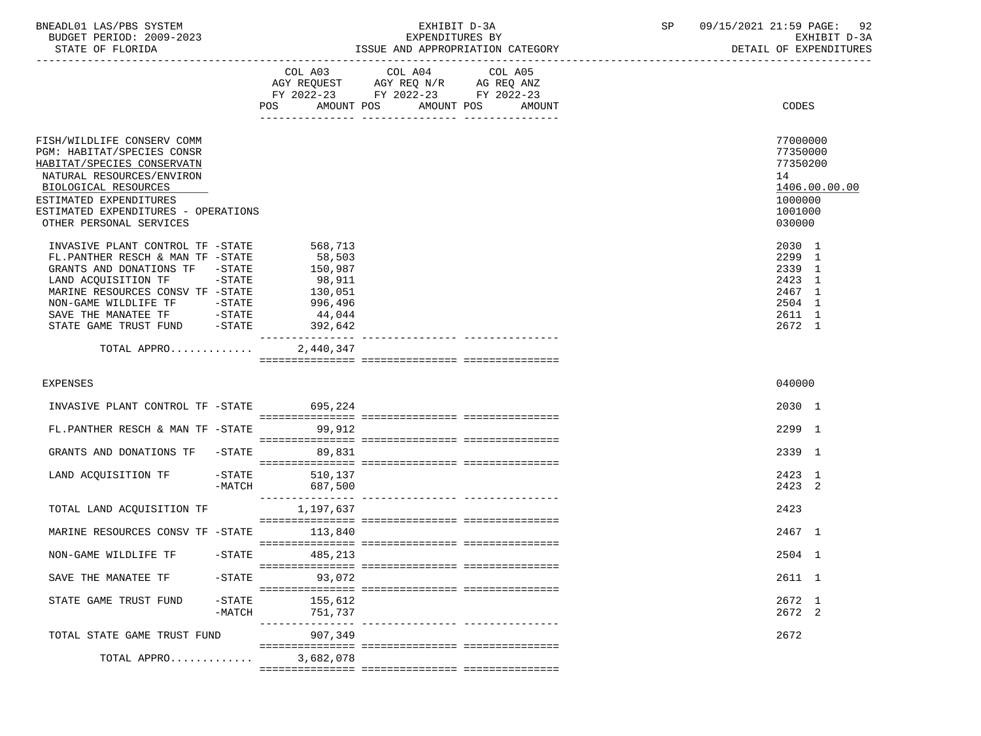| BNEADL01 LAS/PBS SYSTEM  | "XHIBIT D-3A                           | 92<br>09/15/2021 21:59 PAGE: |
|--------------------------|----------------------------------------|------------------------------|
| BUDGET PERIOD: 2009-2023 | EXPENDITURES BY                        | EXHIBIT D-3A                 |
| STATE OF FLORIDA         | A AND APPROPRIATION CATEGORY<br>"SSIIE | DETAIL OF EXPENDITURES       |

-----------------------------------------------------------------------------------------------------------------------------------

|                                                                                                                                                                                                                                         |                       | COL A03<br>AGY REQUEST<br>FY 2022-23<br>AMOUNT POS<br>POS                         | COL A04<br>AGY REQ N/R<br>FY 2022-23 | AMOUNT POS | COL A05<br>AG REQ ANZ<br>FY 2022-23<br>AMOUNT | <b>CODES</b>                                                                 |               |
|-----------------------------------------------------------------------------------------------------------------------------------------------------------------------------------------------------------------------------------------|-----------------------|-----------------------------------------------------------------------------------|--------------------------------------|------------|-----------------------------------------------|------------------------------------------------------------------------------|---------------|
| FISH/WILDLIFE CONSERV COMM<br>PGM: HABITAT/SPECIES CONSR<br>HABITAT/SPECIES CONSERVATN<br>NATURAL RESOURCES/ENVIRON<br>BIOLOGICAL RESOURCES<br>ESTIMATED EXPENDITURES<br>ESTIMATED EXPENDITURES - OPERATIONS<br>OTHER PERSONAL SERVICES |                       |                                                                                   |                                      |            |                                               | 77000000<br>77350000<br>77350200<br>14<br>1000000<br>1001000<br>030000       | 1406.00.00.00 |
| INVASIVE PLANT CONTROL TF -STATE<br>FL.PANTHER RESCH & MAN TF -STATE<br>GRANTS AND DONATIONS TF -STATE<br>LAND ACQUISITION TF -STATE<br>MARINE RESOURCES CONSV TF -STATE<br>STATE GAME TRUST FUND -STATE                                |                       | 568,713<br>58,503<br>150,987<br>98,911<br>130,051<br>996,496<br>44,044<br>392,642 |                                      |            |                                               | 2030 1<br>2299 1<br>2339 1<br>2423 1<br>2467 1<br>2504 1<br>2611 1<br>2672 1 |               |
| TOTAL APPRO                                                                                                                                                                                                                             |                       | 2,440,347                                                                         |                                      |            |                                               |                                                                              |               |
| <b>EXPENSES</b>                                                                                                                                                                                                                         |                       |                                                                                   |                                      |            |                                               | 040000                                                                       |               |
| INVASIVE PLANT CONTROL TF -STATE 695,224                                                                                                                                                                                                |                       |                                                                                   |                                      |            |                                               | 2030 1                                                                       |               |
| FL.PANTHER RESCH & MAN TF -STATE                                                                                                                                                                                                        |                       | 99,912                                                                            |                                      |            |                                               | 2299 1                                                                       |               |
| GRANTS AND DONATIONS TF                                                                                                                                                                                                                 | $-$ STATE             | 89,831                                                                            |                                      |            |                                               | 2339 1                                                                       |               |
| LAND ACQUISITION TF                                                                                                                                                                                                                     | $-$ STATE<br>$-MATCH$ | 510,137<br>687,500                                                                |                                      |            |                                               | 2423 1<br>2423 2                                                             |               |
| TOTAL LAND ACQUISITION TF                                                                                                                                                                                                               |                       | 1,197,637                                                                         |                                      |            |                                               | 2423                                                                         |               |
| MARINE RESOURCES CONSV TF -STATE                                                                                                                                                                                                        |                       | 113,840                                                                           |                                      |            |                                               | 2467 1                                                                       |               |
| NON-GAME WILDLIFE TF                                                                                                                                                                                                                    | $-STATE$              | 485,213                                                                           |                                      |            |                                               | 2504 1                                                                       |               |
| SAVE THE MANATEE TF                                                                                                                                                                                                                     | $-$ STATE             | 93,072                                                                            |                                      |            |                                               | 2611 1                                                                       |               |
| STATE GAME TRUST FUND                                                                                                                                                                                                                   | $-$ STATE<br>$-MATCH$ | 155,612<br>751,737                                                                |                                      |            |                                               | 2672 1<br>2672 2                                                             |               |
| TOTAL STATE GAME TRUST FUND                                                                                                                                                                                                             |                       | 907,349                                                                           |                                      |            |                                               | 2672                                                                         |               |
| TOTAL APPRO                                                                                                                                                                                                                             |                       | 3,682,078                                                                         |                                      |            |                                               |                                                                              |               |
|                                                                                                                                                                                                                                         |                       |                                                                                   |                                      |            |                                               |                                                                              |               |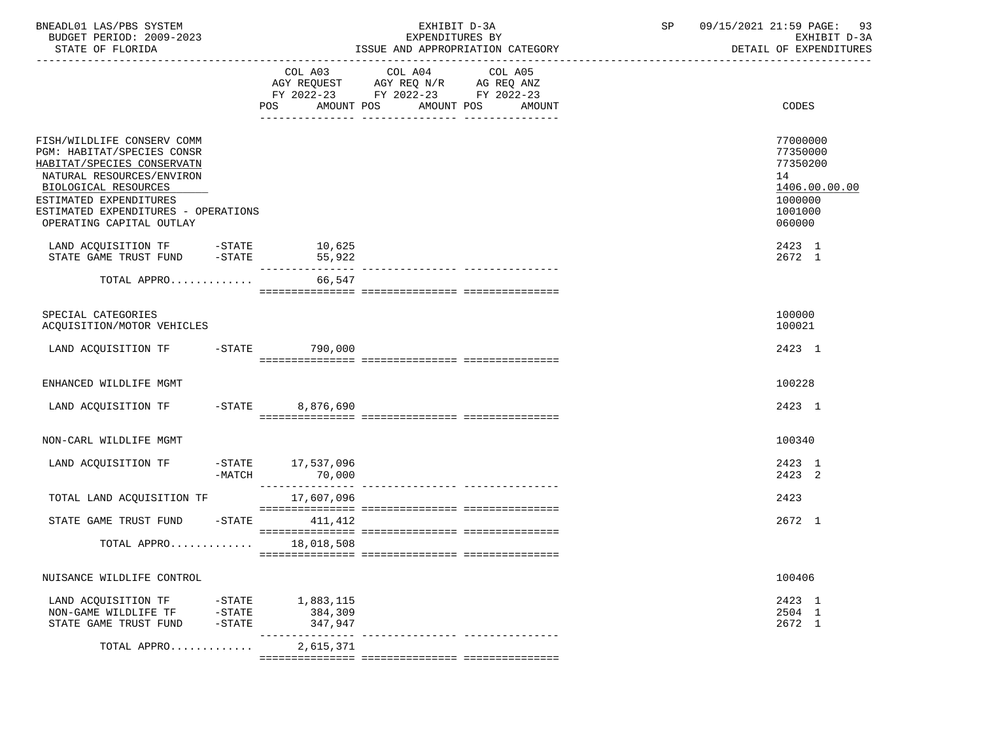| BNEADL01 LAS/PBS SYSTEM<br>BUDGET PERIOD: 2009-2023<br>STATE OF FLORIDA                                                                                                                                                                  |                                    |                                 | EXHIBIT D-3A<br>EXPENDITURES BY<br>ISSUE AND APPROPRIATION CATEGORY                                                            | SP     | 09/15/2021 21:59 PAGE:<br>93<br>EXHIBIT D-3A<br>DETAIL OF EXPENDITURES                  |
|------------------------------------------------------------------------------------------------------------------------------------------------------------------------------------------------------------------------------------------|------------------------------------|---------------------------------|--------------------------------------------------------------------------------------------------------------------------------|--------|-----------------------------------------------------------------------------------------|
|                                                                                                                                                                                                                                          |                                    |                                 | COL A03 COL A04 COL A05<br>AGY REQUEST AGY REQ N/R AG REQ ANZ<br>FY 2022-23 FY 2022-23 FY 2022-23<br>POS AMOUNT POS AMOUNT POS | AMOUNT | CODES                                                                                   |
| FISH/WILDLIFE CONSERV COMM<br>PGM: HABITAT/SPECIES CONSR<br>HABITAT/SPECIES CONSERVATN<br>NATURAL RESOURCES/ENVIRON<br>BIOLOGICAL RESOURCES<br>ESTIMATED EXPENDITURES<br>ESTIMATED EXPENDITURES - OPERATIONS<br>OPERATING CAPITAL OUTLAY |                                    |                                 |                                                                                                                                |        | 77000000<br>77350000<br>77350200<br>14<br>1406.00.00.00<br>1000000<br>1001000<br>060000 |
| LAND ACQUISITION TF -STATE 10,625<br>STATE GAME TRUST FUND -STATE                                                                                                                                                                        |                                    | 55,922                          |                                                                                                                                |        | 2423 1<br>2672 1                                                                        |
| TOTAL APPRO 66,547                                                                                                                                                                                                                       |                                    |                                 |                                                                                                                                |        |                                                                                         |
| SPECIAL CATEGORIES<br>ACOUISITION/MOTOR VEHICLES                                                                                                                                                                                         |                                    |                                 |                                                                                                                                |        | 100000<br>100021                                                                        |
| LAND ACQUISITION TF -STATE 790,000                                                                                                                                                                                                       |                                    |                                 |                                                                                                                                |        | 2423 1                                                                                  |
| ENHANCED WILDLIFE MGMT                                                                                                                                                                                                                   |                                    |                                 |                                                                                                                                |        | 100228                                                                                  |
| LAND ACQUISITION TF -STATE 8,876,690                                                                                                                                                                                                     |                                    |                                 |                                                                                                                                |        | 2423 1                                                                                  |
| NON-CARL WILDLIFE MGMT                                                                                                                                                                                                                   |                                    |                                 |                                                                                                                                |        | 100340                                                                                  |
| LAND ACQUISITION TF -STATE 17,537,096                                                                                                                                                                                                    | $-MATCH$                           | 70,000                          |                                                                                                                                |        | 2423 1<br>2423 2                                                                        |
| TOTAL LAND ACQUISITION TF                                                                                                                                                                                                                |                                    | 17,607,096                      |                                                                                                                                |        | 2423                                                                                    |
| STATE GAME TRUST FUND -STATE 411, 412                                                                                                                                                                                                    |                                    |                                 |                                                                                                                                |        | 2672 1                                                                                  |
| TOTAL APPRO 18,018,508                                                                                                                                                                                                                   |                                    |                                 |                                                                                                                                |        |                                                                                         |
| NUISANCE WILDLIFE CONTROL                                                                                                                                                                                                                |                                    |                                 |                                                                                                                                |        | 100406                                                                                  |
| LAND ACQUISITION TF<br>NON-GAME WILDLIFE TF<br>STATE GAME TRUST FUND                                                                                                                                                                     | $-$ STATE<br>$-$ STATE<br>$-STATE$ | 1,883,115<br>384,309<br>347,947 |                                                                                                                                |        | 2423 1<br>2504 1<br>2672 1                                                              |
| TOTAL APPRO                                                                                                                                                                                                                              |                                    | 2,615,371                       |                                                                                                                                |        |                                                                                         |
|                                                                                                                                                                                                                                          |                                    |                                 |                                                                                                                                |        |                                                                                         |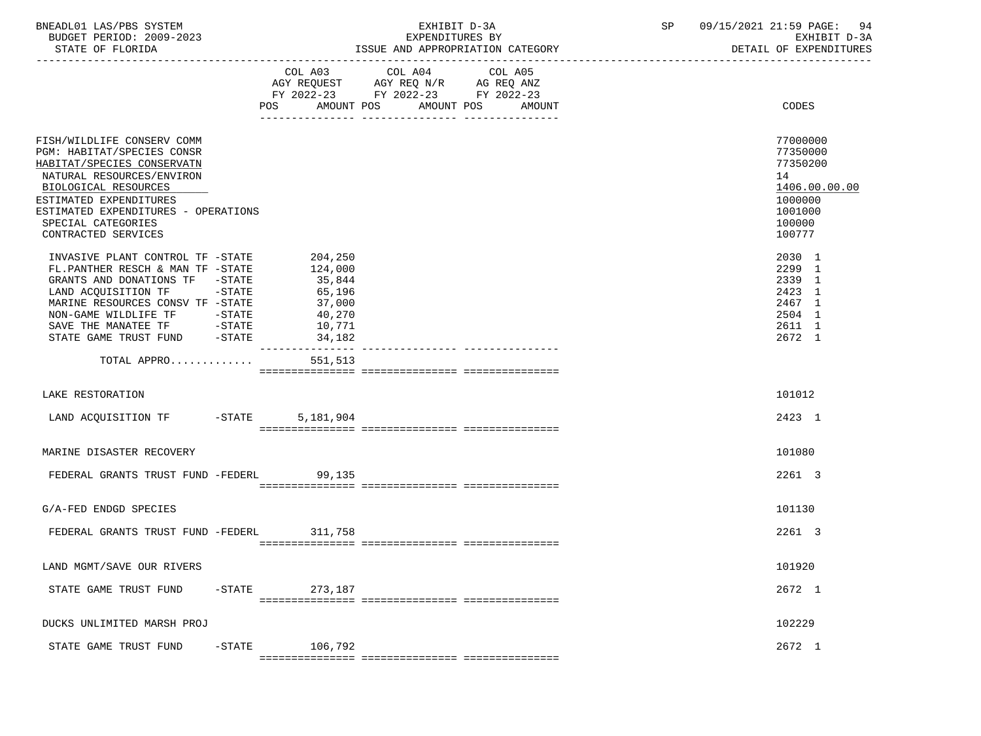| BNEADL01 LAS/PBS SYSTEM  | TRTT<br>CXH.               | SΡ | 09/15/2021 21:59 PAGE:<br>94 |
|--------------------------|----------------------------|----|------------------------------|
| BUDGET PERIOD: 2009-2023 | EXPENDITURES BY            |    | EXHIBIT D-3A                 |
| STATE OF FLORIDA         | AND APPROPRIATION CATEGORY |    | DETAIL OF EXPENDITURES       |

# ${\small \begin{array}{l} \texttt{EXHIBIT D-3A} \\ \texttt{EXPENDITURES BY} \end{array} \begin{array}{l} \texttt{BY} \end{array} \begin{array}{l} \texttt{SP} \end{array} \begin{array}{l} \texttt{09/15/2021 21:59 PAGE:} \end{array} \begin{array}{l} \texttt{PAGE:} \\ \texttt{EXHIBIT D-3A} \end{array} \end{array}$ ISSUE AND APPROPRIATION CATEGORY

|                                                                                                                                                                                                                                                           | COL A03<br>AMOUNT POS<br>POS                                                   | COL A04<br>$\begin{tabular}{lllllll} \bf AGY & \bf REQUEST & \bf AGY & \bf REQ & \bf N/R & \bf AG & \bf REQ & \bf ANZ \\ \end{tabular}$<br>FY 2022-23 FY 2022-23 FY 2022-23 | COL A05<br>AMOUNT POS AMOUNT | CODES                                                                                             |
|-----------------------------------------------------------------------------------------------------------------------------------------------------------------------------------------------------------------------------------------------------------|--------------------------------------------------------------------------------|-----------------------------------------------------------------------------------------------------------------------------------------------------------------------------|------------------------------|---------------------------------------------------------------------------------------------------|
| FISH/WILDLIFE CONSERV COMM<br>PGM: HABITAT/SPECIES CONSR<br>HABITAT/SPECIES CONSERVATN<br>NATURAL RESOURCES/ENVIRON<br>BIOLOGICAL RESOURCES<br>ESTIMATED EXPENDITURES<br>ESTIMATED EXPENDITURES - OPERATIONS<br>SPECIAL CATEGORIES<br>CONTRACTED SERVICES |                                                                                |                                                                                                                                                                             |                              | 77000000<br>77350000<br>77350200<br>14<br>1406.00.00.00<br>1000000<br>1001000<br>100000<br>100777 |
| INVASIVE PLANT CONTROL TF -STATE<br>FL.PANTHER RESCH & MAN TF -STATE<br>GRANTS AND DONATIONS TF -STATE<br>LAND ACOUISITION TF -STATE<br>MARINE RESOURCES CONSV TF -STATE                                                                                  | 204,250<br>124,000<br>35,844<br>65,196<br>37,000<br>40,270<br>10,771<br>34,182 |                                                                                                                                                                             |                              | 2030 1<br>2299 1<br>2339 1<br>2423 1<br>2467 1<br>2504 1<br>2611 1<br>2672 1                      |
| TOTAL APPRO                                                                                                                                                                                                                                               | 551,513                                                                        |                                                                                                                                                                             |                              |                                                                                                   |
| LAKE RESTORATION                                                                                                                                                                                                                                          |                                                                                |                                                                                                                                                                             |                              | 101012                                                                                            |
| LAND ACQUISITION TF -STATE 5,181,904                                                                                                                                                                                                                      |                                                                                |                                                                                                                                                                             |                              | 2423 1                                                                                            |
| MARINE DISASTER RECOVERY                                                                                                                                                                                                                                  |                                                                                |                                                                                                                                                                             |                              | 101080                                                                                            |
| FEDERAL GRANTS TRUST FUND -FEDERL                                                                                                                                                                                                                         | 99,135                                                                         |                                                                                                                                                                             |                              | 2261 3                                                                                            |
| G/A-FED ENDGD SPECIES                                                                                                                                                                                                                                     |                                                                                |                                                                                                                                                                             |                              | 101130                                                                                            |
| FEDERAL GRANTS TRUST FUND -FEDERL 311,758                                                                                                                                                                                                                 |                                                                                |                                                                                                                                                                             |                              | 2261 3                                                                                            |
| LAND MGMT/SAVE OUR RIVERS                                                                                                                                                                                                                                 |                                                                                |                                                                                                                                                                             |                              | 101920                                                                                            |
| STATE GAME TRUST FUND                                                                                                                                                                                                                                     | -STATE 273,187                                                                 |                                                                                                                                                                             |                              | 2672 1                                                                                            |
| DUCKS UNLIMITED MARSH PROJ                                                                                                                                                                                                                                |                                                                                |                                                                                                                                                                             |                              | 102229                                                                                            |
| STATE GAME TRUST FUND -STATE                                                                                                                                                                                                                              | 106,792                                                                        |                                                                                                                                                                             |                              | 2672 1                                                                                            |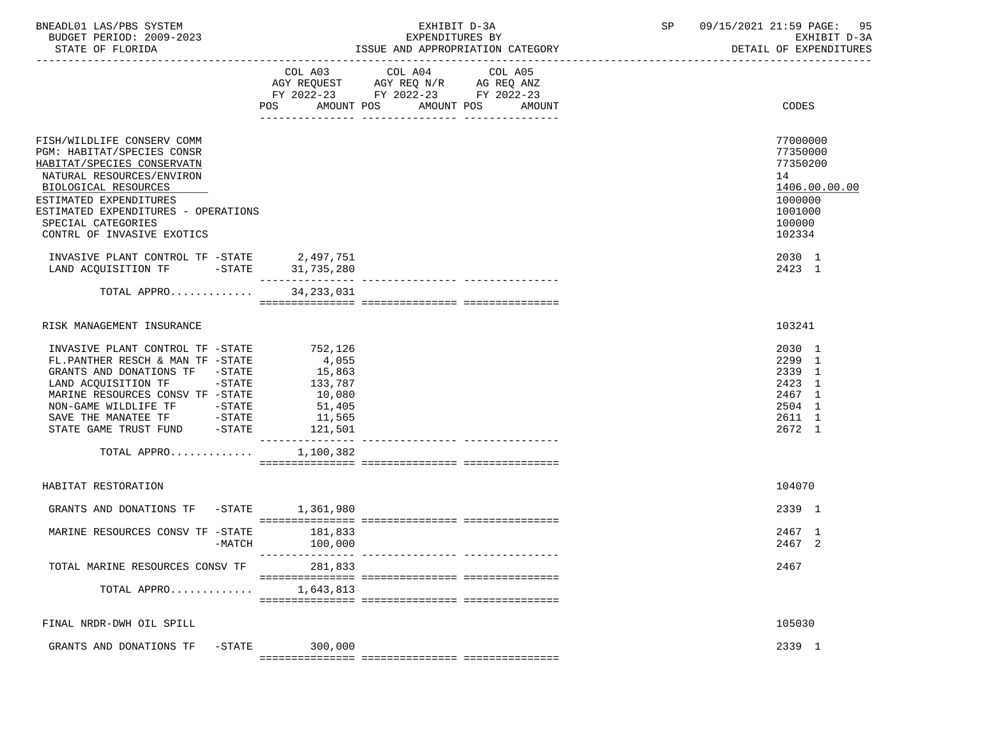| BNEADL01 LAS/PBS SYSTEM |                  |                          |  | EXHIBIT D-3A                     |  |
|-------------------------|------------------|--------------------------|--|----------------------------------|--|
|                         |                  | BUDGET PERIOD: 2009-2023 |  | EXPENDITURES BY                  |  |
|                         | STATE OF FLORIDA |                          |  | ISSUE AND APPROPRIATION CATEGORY |  |

# BXHIBIT D-3A SP  $09/15/2021$   $21:59$  PAGE: 95<br>EXPENDITURES BY SP  $\overline{X}$ BUDGET PERIOD: 2009-2023 EXPENDITURES BY EXHIBIT D-3A

|                                                                                                                                                                                                                                                                                                        | COL A03<br>POS<br>AMOUNT POS                                                   | COL A04<br>AGY REQUEST AGY REQ N/R AG REQ ANZ<br>FY 2022-23 FY 2022-23 FY 2022-23 | COL A05<br>AMOUNT POS AMOUNT      | CODES                                                                                             |
|--------------------------------------------------------------------------------------------------------------------------------------------------------------------------------------------------------------------------------------------------------------------------------------------------------|--------------------------------------------------------------------------------|-----------------------------------------------------------------------------------|-----------------------------------|---------------------------------------------------------------------------------------------------|
| FISH/WILDLIFE CONSERV COMM<br>PGM: HABITAT/SPECIES CONSR<br>HABITAT/SPECIES CONSERVATN<br>NATURAL RESOURCES/ENVIRON<br>BIOLOGICAL RESOURCES<br>ESTIMATED EXPENDITURES<br>ESTIMATED EXPENDITURES - OPERATIONS<br>SPECIAL CATEGORIES<br>CONTRL OF INVASIVE EXOTICS                                       |                                                                                |                                                                                   |                                   | 77000000<br>77350000<br>77350200<br>14<br>1406.00.00.00<br>1000000<br>1001000<br>100000<br>102334 |
| INVASIVE PLANT CONTROL TF -STATE 2,497,751                                                                                                                                                                                                                                                             |                                                                                |                                                                                   |                                   | 2030 1                                                                                            |
| LAND ACQUISITION TF -STATE 31,735,280                                                                                                                                                                                                                                                                  |                                                                                |                                                                                   |                                   | 2423 1                                                                                            |
| TOTAL APPRO                                                                                                                                                                                                                                                                                            | ________________<br>34, 233, 031                                               |                                                                                   | ---------------- ---------------- |                                                                                                   |
| RISK MANAGEMENT INSURANCE                                                                                                                                                                                                                                                                              |                                                                                |                                                                                   |                                   | 103241                                                                                            |
| INVASIVE PLANT CONTROL TF -STATE<br>FL.PANTHER RESCH & MAN TF -STATE<br>GRANTS AND DONATIONS TF -STATE<br>LAND ACQUISITION TF -STATE<br>MARINE RESOURCES CONSV TF -STATE<br>NON-GAME WILDLIFE TF            -STATE<br>SAVE THE MANATEE TF              -STATE<br>STATE GAME TRUST FUND          -STATE | 752,126<br>4,055<br>15,863<br>133,787<br>10,080<br>51,405<br>11,565<br>121,501 |                                                                                   |                                   | 2030 1<br>2299 1<br>2339 1<br>2423 1<br>2467 1<br>2504 1<br>2611 1<br>2672 1                      |
| TOTAL APPRO                                                                                                                                                                                                                                                                                            | 1,100,382                                                                      |                                                                                   |                                   |                                                                                                   |
| HABITAT RESTORATION                                                                                                                                                                                                                                                                                    |                                                                                |                                                                                   |                                   | 104070                                                                                            |
| GRANTS AND DONATIONS TF<br>$-$ STATE                                                                                                                                                                                                                                                                   | 1,361,980                                                                      |                                                                                   |                                   | 2339 1                                                                                            |
| MARINE RESOURCES CONSV TF -STATE<br>$-MATCH$                                                                                                                                                                                                                                                           | 181,833<br>100,000                                                             |                                                                                   |                                   | 2467 1<br>2467 2                                                                                  |
| TOTAL MARINE RESOURCES CONSV TF                                                                                                                                                                                                                                                                        | 281,833                                                                        |                                                                                   |                                   | 2467                                                                                              |
| TOTAL APPRO                                                                                                                                                                                                                                                                                            | 1,643,813                                                                      |                                                                                   |                                   |                                                                                                   |
| FINAL NRDR-DWH OIL SPILL                                                                                                                                                                                                                                                                               |                                                                                |                                                                                   |                                   | 105030                                                                                            |
| -STATE<br>GRANTS AND DONATIONS TF                                                                                                                                                                                                                                                                      | 300,000                                                                        |                                                                                   |                                   | 2339 1                                                                                            |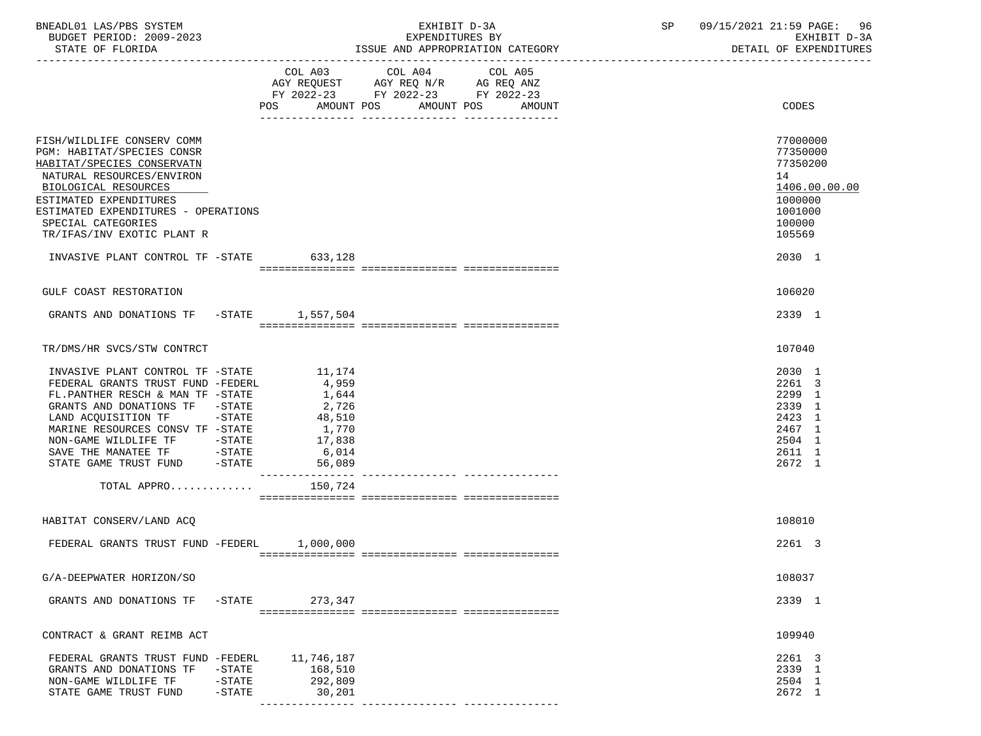| BNEADL01 LAS/PBS SYSTEM<br>BUDGET PERIOD: 2009-2023<br>STATE OF FLORIDA                                                                                                                                                                                                                                      |                                     |                                                                                   |                                                                                                                 | EXHIBIT D-3A<br>EXPENDITURES BY<br>ISSUE AND APPROPRIATION CATEGORY | SP 09/15/2021 21:59 PAGE: 96<br>EXHIBIT D-3A<br>DETAIL OF EXPENDITURES                                      |
|--------------------------------------------------------------------------------------------------------------------------------------------------------------------------------------------------------------------------------------------------------------------------------------------------------------|-------------------------------------|-----------------------------------------------------------------------------------|-----------------------------------------------------------------------------------------------------------------|---------------------------------------------------------------------|-------------------------------------------------------------------------------------------------------------|
|                                                                                                                                                                                                                                                                                                              |                                     | POS<br>AMOUNT POS                                                                 | COL A03 COL A04 COL A05<br>AGY REQUEST AGY REQ N/R AG REQ ANZ<br>FY 2022-23 FY 2022-23 FY 2022-23<br>AMOUNT POS | AMOUNT                                                              | <b>CODES</b>                                                                                                |
| FISH/WILDLIFE CONSERV COMM<br>PGM: HABITAT/SPECIES CONSR<br>HABITAT/SPECIES CONSERVATN<br>NATURAL RESOURCES/ENVIRON<br>BIOLOGICAL RESOURCES<br>ESTIMATED EXPENDITURES<br>ESTIMATED EXPENDITURES - OPERATIONS<br>SPECIAL CATEGORIES<br>TR/IFAS/INV EXOTIC PLANT R<br>INVASIVE PLANT CONTROL TF -STATE 633,128 |                                     |                                                                                   |                                                                                                                 |                                                                     | 77000000<br>77350000<br>77350200<br>14<br>1406.00.00.00<br>1000000<br>1001000<br>100000<br>105569<br>2030 1 |
|                                                                                                                                                                                                                                                                                                              |                                     |                                                                                   |                                                                                                                 |                                                                     |                                                                                                             |
| GULF COAST RESTORATION                                                                                                                                                                                                                                                                                       |                                     |                                                                                   |                                                                                                                 |                                                                     | 106020                                                                                                      |
| GRANTS AND DONATIONS TF -STATE 1,557,504                                                                                                                                                                                                                                                                     |                                     |                                                                                   |                                                                                                                 |                                                                     | 2339 1                                                                                                      |
| TR/DMS/HR SVCS/STW CONTRCT                                                                                                                                                                                                                                                                                   |                                     |                                                                                   |                                                                                                                 |                                                                     | 107040                                                                                                      |
| INVASIVE PLANT CONTROL TF -STATE<br>FEDERAL GRANTS TRUST FUND -FEDERL<br>FL.PANTHER RESCH & MAN TF -STATE<br>GRANTS AND DONATIONS TF -STATE<br>LAND ACQUISITION TF -STATE<br>MARINE RESOURCES CONSV TF -STATE<br>NON-GAME WILDLIFE TF -STATE<br>SAVE THE MANATEE TF -STATE<br>STATE GAME TRUST FUND -STATE   |                                     | 11,174<br>4,959<br>1,644<br>2,726<br>48,510<br>1,770<br>17,838<br>6,014<br>56,089 |                                                                                                                 |                                                                     | 2030 1<br>2261 3<br>2299 1<br>2339 1<br>2423 1<br>2467 1<br>2504 1<br>2611 1<br>2672 1                      |
| TOTAL APPRO                                                                                                                                                                                                                                                                                                  |                                     | 150,724                                                                           |                                                                                                                 |                                                                     |                                                                                                             |
| HABITAT CONSERV/LAND ACQ                                                                                                                                                                                                                                                                                     |                                     |                                                                                   |                                                                                                                 |                                                                     | 108010                                                                                                      |
| FEDERAL GRANTS TRUST FUND -FEDERL 1,000,000                                                                                                                                                                                                                                                                  |                                     |                                                                                   |                                                                                                                 |                                                                     | 2261 3                                                                                                      |
| G/A-DEEPWATER HORIZON/SO                                                                                                                                                                                                                                                                                     |                                     |                                                                                   |                                                                                                                 |                                                                     | 108037                                                                                                      |
| GRANTS AND DONATIONS TF                                                                                                                                                                                                                                                                                      | $-$ STATE                           | 273,347                                                                           |                                                                                                                 |                                                                     | 2339 1                                                                                                      |
| CONTRACT & GRANT REIMB ACT                                                                                                                                                                                                                                                                                   |                                     |                                                                                   |                                                                                                                 |                                                                     | 109940                                                                                                      |
| FEDERAL GRANTS TRUST FUND -FEDERL<br>GRANTS AND DONATIONS TF<br>NON-GAME WILDLIFE TF<br>STATE GAME TRUST FUND                                                                                                                                                                                                | $-$ STATE<br>$-$ STATE<br>$-$ STATE | 11,746,187<br>168,510<br>292,809<br>30,201                                        |                                                                                                                 |                                                                     | 2261 3<br>2339 1<br>2504 1<br>2672 1                                                                        |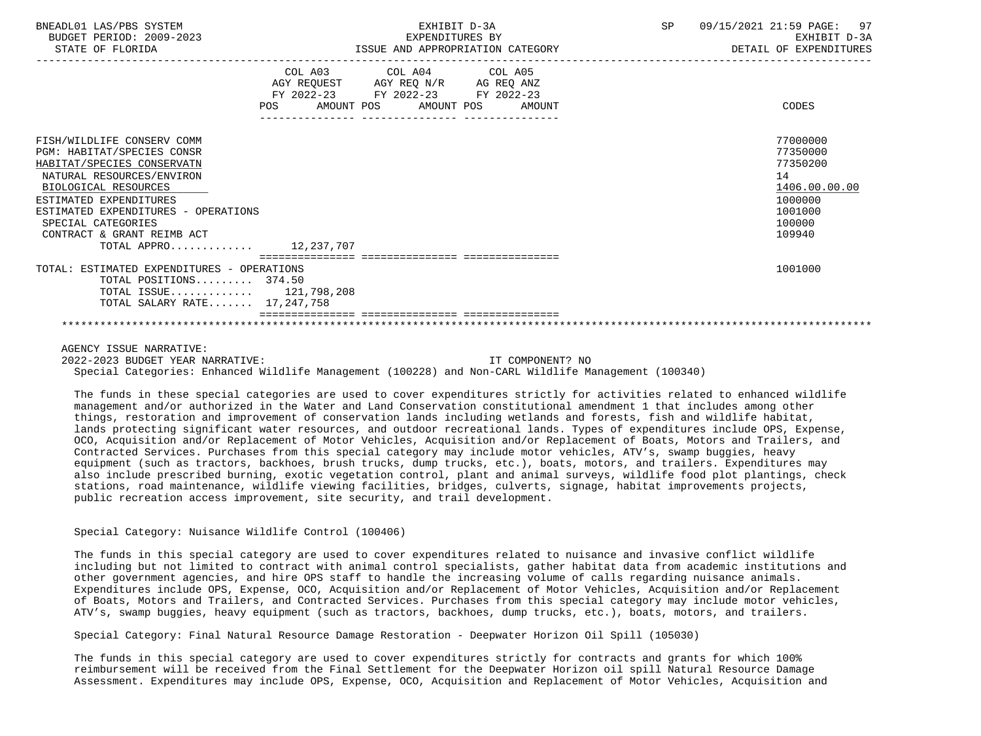| BNEADL01 LAS/PBS SYSTEM<br>BUDGET PERIOD: 2009-2023<br>STATE OF FLORIDA                                                                                                                                                                                                                           | EXHIBIT D-3A<br>EXPENDITURES BY<br>ISSUE AND APPROPRIATION CATEGORY                                                                                   | 97<br>SP<br>09/15/2021 21:59 PAGE:<br>EXHIBIT D-3A<br>DETAIL OF EXPENDITURES                      |
|---------------------------------------------------------------------------------------------------------------------------------------------------------------------------------------------------------------------------------------------------------------------------------------------------|-------------------------------------------------------------------------------------------------------------------------------------------------------|---------------------------------------------------------------------------------------------------|
|                                                                                                                                                                                                                                                                                                   | COL A03<br>COL A04 COL A05<br>AGY REQUEST AGY REQ N/R AG REQ ANZ<br>FY 2022-23 FY 2022-23 FY 2022-23<br>POS<br>AMOUNT POS AMOUNT POS<br><b>AMOUNT</b> | CODES                                                                                             |
| FISH/WILDLIFE CONSERV COMM<br><b>PGM: HABITAT/SPECIES CONSR</b><br>HABITAT/SPECIES CONSERVATN<br>NATURAL RESOURCES/ENVIRON<br>BIOLOGICAL RESOURCES<br>ESTIMATED EXPENDITURES<br>ESTIMATED EXPENDITURES - OPERATIONS<br>SPECIAL CATEGORIES<br>CONTRACT & GRANT REIMB ACT<br>TOTAL APPRO 12,237,707 |                                                                                                                                                       | 77000000<br>77350000<br>77350200<br>14<br>1406.00.00.00<br>1000000<br>1001000<br>100000<br>109940 |
| TOTAL: ESTIMATED EXPENDITURES - OPERATIONS<br>TOTAL POSITIONS 374.50<br>TOTAL ISSUE $121,798,208$<br>TOTAL SALARY RATE 17,247,758                                                                                                                                                                 |                                                                                                                                                       | 1001000                                                                                           |

AGENCY ISSUE NARRATIVE:

 2022-2023 BUDGET YEAR NARRATIVE: IT COMPONENT? NO Special Categories: Enhanced Wildlife Management (100228) and Non-CARL Wildlife Management (100340)

 The funds in these special categories are used to cover expenditures strictly for activities related to enhanced wildlife management and/or authorized in the Water and Land Conservation constitutional amendment 1 that includes among other things, restoration and improvement of conservation lands including wetlands and forests, fish and wildlife habitat, lands protecting significant water resources, and outdoor recreational lands. Types of expenditures include OPS, Expense, OCO, Acquisition and/or Replacement of Motor Vehicles, Acquisition and/or Replacement of Boats, Motors and Trailers, and Contracted Services. Purchases from this special category may include motor vehicles, ATV's, swamp buggies, heavy equipment (such as tractors, backhoes, brush trucks, dump trucks, etc.), boats, motors, and trailers. Expenditures may also include prescribed burning, exotic vegetation control, plant and animal surveys, wildlife food plot plantings, check stations, road maintenance, wildlife viewing facilities, bridges, culverts, signage, habitat improvements projects, public recreation access improvement, site security, and trail development.

## Special Category: Nuisance Wildlife Control (100406)

 The funds in this special category are used to cover expenditures related to nuisance and invasive conflict wildlife including but not limited to contract with animal control specialists, gather habitat data from academic institutions and other government agencies, and hire OPS staff to handle the increasing volume of calls regarding nuisance animals. Expenditures include OPS, Expense, OCO, Acquisition and/or Replacement of Motor Vehicles, Acquisition and/or Replacement of Boats, Motors and Trailers, and Contracted Services. Purchases from this special category may include motor vehicles, ATV's, swamp buggies, heavy equipment (such as tractors, backhoes, dump trucks, etc.), boats, motors, and trailers.

Special Category: Final Natural Resource Damage Restoration - Deepwater Horizon Oil Spill (105030)

 The funds in this special category are used to cover expenditures strictly for contracts and grants for which 100% reimbursement will be received from the Final Settlement for the Deepwater Horizon oil spill Natural Resource Damage Assessment. Expenditures may include OPS, Expense, OCO, Acquisition and Replacement of Motor Vehicles, Acquisition and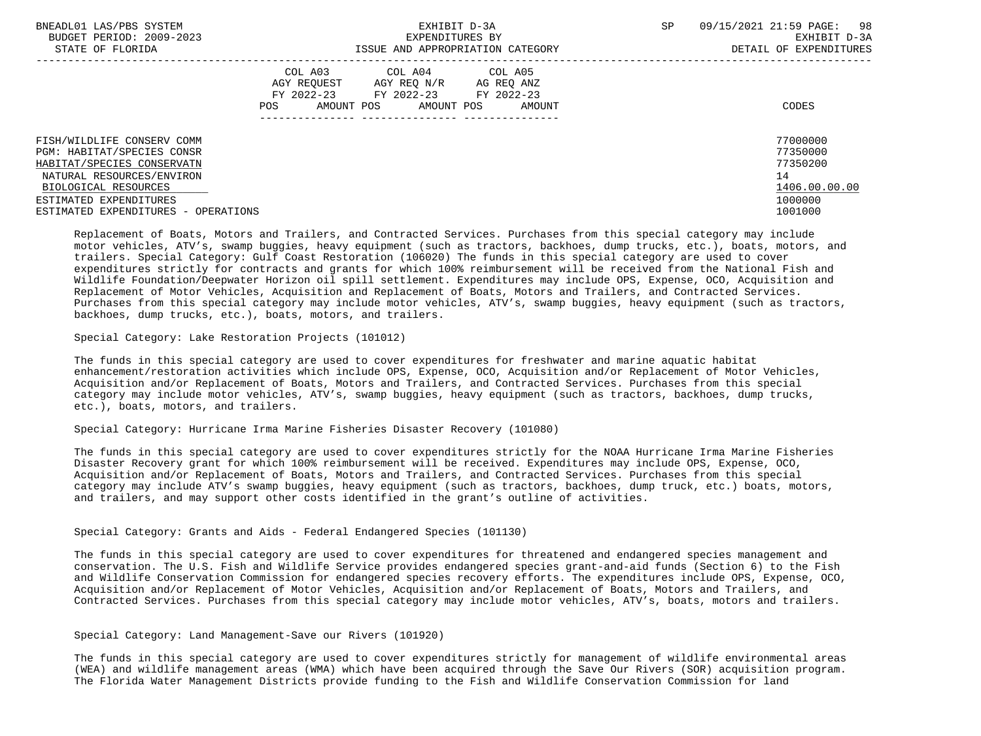| BNEADL01 LAS/PBS SYSTEM             | EXHIBIT D-3A              |                                                                 |                                  | SP | 98<br>09/15/2021 21:59 PAGE: |
|-------------------------------------|---------------------------|-----------------------------------------------------------------|----------------------------------|----|------------------------------|
| BUDGET PERIOD: 2009-2023            |                           | EXPENDITURES BY                                                 |                                  |    | EXHIBIT D-3A                 |
| STATE OF FLORIDA                    |                           |                                                                 | ISSUE AND APPROPRIATION CATEGORY |    | DETAIL OF EXPENDITURES       |
|                                     | AGY REOUEST<br>FY 2022-23 | COL A03 COL A04 COL A05<br>AGY REO N/R<br>FY 2022-23 FY 2022-23 | AG REO ANZ                       |    |                              |
|                                     | AMOUNT POS<br>POS         | AMOUNT POS                                                      | AMOUNT                           |    | CODES                        |
|                                     |                           |                                                                 |                                  |    |                              |
| FISH/WILDLIFE CONSERV COMM          |                           |                                                                 |                                  |    | 77000000                     |
| PGM: HABITAT/SPECIES CONSR          |                           |                                                                 |                                  |    | 77350000                     |
| HABITAT/SPECIES CONSERVATN          |                           |                                                                 |                                  |    | 77350200                     |
| NATURAL RESOURCES/ENVIRON           |                           |                                                                 |                                  |    | 14                           |
| BIOLOGICAL RESOURCES                |                           |                                                                 |                                  |    | 1406.00.00.00                |
| ESTIMATED EXPENDITURES              |                           |                                                                 |                                  |    | 1000000                      |
| ESTIMATED EXPENDITURES - OPERATIONS |                           |                                                                 |                                  |    | 1001000                      |

 Replacement of Boats, Motors and Trailers, and Contracted Services. Purchases from this special category may include motor vehicles, ATV's, swamp buggies, heavy equipment (such as tractors, backhoes, dump trucks, etc.), boats, motors, and trailers. Special Category: Gulf Coast Restoration (106020) The funds in this special category are used to cover expenditures strictly for contracts and grants for which 100% reimbursement will be received from the National Fish and Wildlife Foundation/Deepwater Horizon oil spill settlement. Expenditures may include OPS, Expense, OCO, Acquisition and Replacement of Motor Vehicles, Acquisition and Replacement of Boats, Motors and Trailers, and Contracted Services. Purchases from this special category may include motor vehicles, ATV's, swamp buggies, heavy equipment (such as tractors, backhoes, dump trucks, etc.), boats, motors, and trailers.

Special Category: Lake Restoration Projects (101012)

 The funds in this special category are used to cover expenditures for freshwater and marine aquatic habitat enhancement/restoration activities which include OPS, Expense, OCO, Acquisition and/or Replacement of Motor Vehicles, Acquisition and/or Replacement of Boats, Motors and Trailers, and Contracted Services. Purchases from this special category may include motor vehicles, ATV's, swamp buggies, heavy equipment (such as tractors, backhoes, dump trucks, etc.), boats, motors, and trailers.

## Special Category: Hurricane Irma Marine Fisheries Disaster Recovery (101080)

 The funds in this special category are used to cover expenditures strictly for the NOAA Hurricane Irma Marine Fisheries Disaster Recovery grant for which 100% reimbursement will be received. Expenditures may include OPS, Expense, OCO, Acquisition and/or Replacement of Boats, Motors and Trailers, and Contracted Services. Purchases from this special category may include ATV's swamp buggies, heavy equipment (such as tractors, backhoes, dump truck, etc.) boats, motors, and trailers, and may support other costs identified in the grant's outline of activities.

Special Category: Grants and Aids - Federal Endangered Species (101130)

 The funds in this special category are used to cover expenditures for threatened and endangered species management and conservation. The U.S. Fish and Wildlife Service provides endangered species grant-and-aid funds (Section 6) to the Fish and Wildlife Conservation Commission for endangered species recovery efforts. The expenditures include OPS, Expense, OCO, Acquisition and/or Replacement of Motor Vehicles, Acquisition and/or Replacement of Boats, Motors and Trailers, and Contracted Services. Purchases from this special category may include motor vehicles, ATV's, boats, motors and trailers.

Special Category: Land Management-Save our Rivers (101920)

 The funds in this special category are used to cover expenditures strictly for management of wildlife environmental areas (WEA) and wildlife management areas (WMA) which have been acquired through the Save Our Rivers (SOR) acquisition program. The Florida Water Management Districts provide funding to the Fish and Wildlife Conservation Commission for land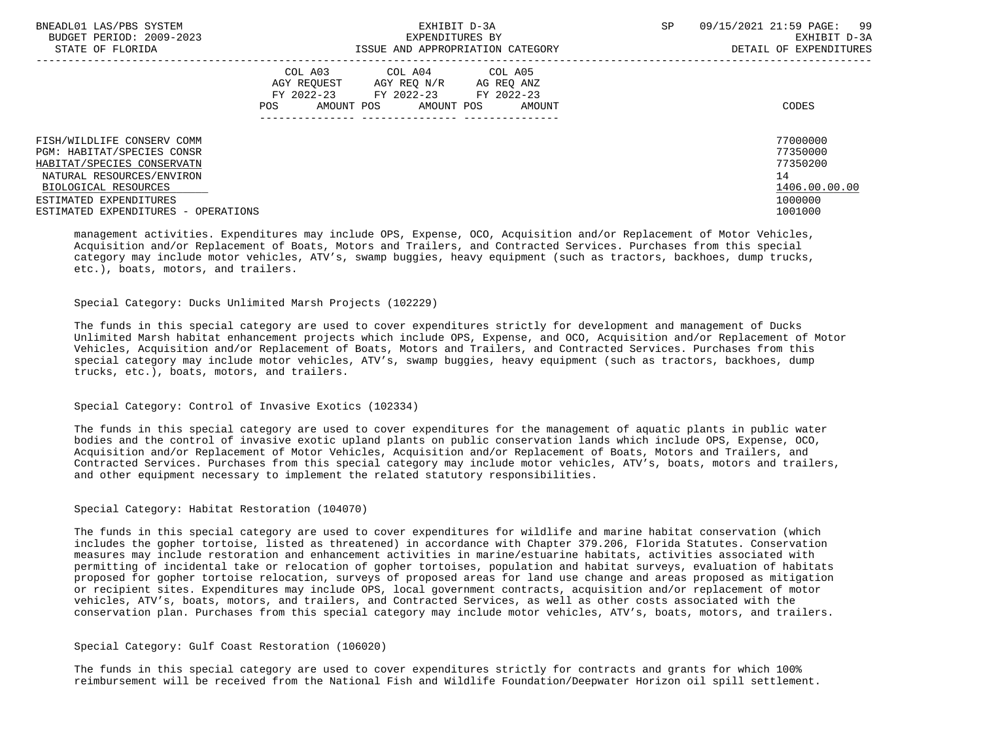| BNEADL01 LAS/PBS SYSTEM<br>BUDGET PERIOD: 2009-2023<br>STATE OF FLORIDA | EXHIBIT D-3A<br>EXPENDITURES BY<br>ISSUE AND APPROPRIATION CATEGORY |                                                |            | SP. | 09/15/2021 21:59 PAGE: 99<br>EXHIBIT D-3A<br>DETAIL OF EXPENDITURES |
|-------------------------------------------------------------------------|---------------------------------------------------------------------|------------------------------------------------|------------|-----|---------------------------------------------------------------------|
|                                                                         |                                                                     | COL A03 COL A04 COL A05                        |            |     |                                                                     |
|                                                                         | AGY REOUEST                                                         | AGY REO N/R                                    | AG REQ ANZ |     |                                                                     |
|                                                                         | AMOUNT POS<br>POS.                                                  | FY 2022-23 FY 2022-23 FY 2022-23<br>AMOUNT POS | AMOUNT     |     | CODES                                                               |
|                                                                         |                                                                     |                                                |            |     |                                                                     |
| FISH/WILDLIFE CONSERV COMM                                              |                                                                     |                                                |            |     | 77000000                                                            |
| PGM: HABITAT/SPECIES CONSR                                              |                                                                     |                                                |            |     | 77350000                                                            |
| HABITAT/SPECIES CONSERVATN                                              |                                                                     |                                                |            |     | 77350200                                                            |
| NATURAL RESOURCES/ENVIRON                                               |                                                                     |                                                |            |     | 14                                                                  |
| BIOLOGICAL RESOURCES                                                    |                                                                     |                                                |            |     | 1406.00.00.00                                                       |
| ESTIMATED EXPENDITURES                                                  |                                                                     |                                                |            |     | 1000000                                                             |
| ESTIMATED EXPENDITURES - OPERATIONS                                     |                                                                     |                                                |            |     | 1001000                                                             |

 management activities. Expenditures may include OPS, Expense, OCO, Acquisition and/or Replacement of Motor Vehicles, Acquisition and/or Replacement of Boats, Motors and Trailers, and Contracted Services. Purchases from this special category may include motor vehicles, ATV's, swamp buggies, heavy equipment (such as tractors, backhoes, dump trucks, etc.), boats, motors, and trailers.

## Special Category: Ducks Unlimited Marsh Projects (102229)

 The funds in this special category are used to cover expenditures strictly for development and management of Ducks Unlimited Marsh habitat enhancement projects which include OPS, Expense, and OCO, Acquisition and/or Replacement of Motor Vehicles, Acquisition and/or Replacement of Boats, Motors and Trailers, and Contracted Services. Purchases from this special category may include motor vehicles, ATV's, swamp buggies, heavy equipment (such as tractors, backhoes, dump trucks, etc.), boats, motors, and trailers.

## Special Category: Control of Invasive Exotics (102334)

 The funds in this special category are used to cover expenditures for the management of aquatic plants in public water bodies and the control of invasive exotic upland plants on public conservation lands which include OPS, Expense, OCO, Acquisition and/or Replacement of Motor Vehicles, Acquisition and/or Replacement of Boats, Motors and Trailers, and Contracted Services. Purchases from this special category may include motor vehicles, ATV's, boats, motors and trailers, and other equipment necessary to implement the related statutory responsibilities.

# Special Category: Habitat Restoration (104070)

 The funds in this special category are used to cover expenditures for wildlife and marine habitat conservation (which includes the gopher tortoise, listed as threatened) in accordance with Chapter 379.206, Florida Statutes. Conservation measures may include restoration and enhancement activities in marine/estuarine habitats, activities associated with permitting of incidental take or relocation of gopher tortoises, population and habitat surveys, evaluation of habitats proposed for gopher tortoise relocation, surveys of proposed areas for land use change and areas proposed as mitigation or recipient sites. Expenditures may include OPS, local government contracts, acquisition and/or replacement of motor vehicles, ATV's, boats, motors, and trailers, and Contracted Services, as well as other costs associated with the conservation plan. Purchases from this special category may include motor vehicles, ATV's, boats, motors, and trailers.

## Special Category: Gulf Coast Restoration (106020)

 The funds in this special category are used to cover expenditures strictly for contracts and grants for which 100% reimbursement will be received from the National Fish and Wildlife Foundation/Deepwater Horizon oil spill settlement.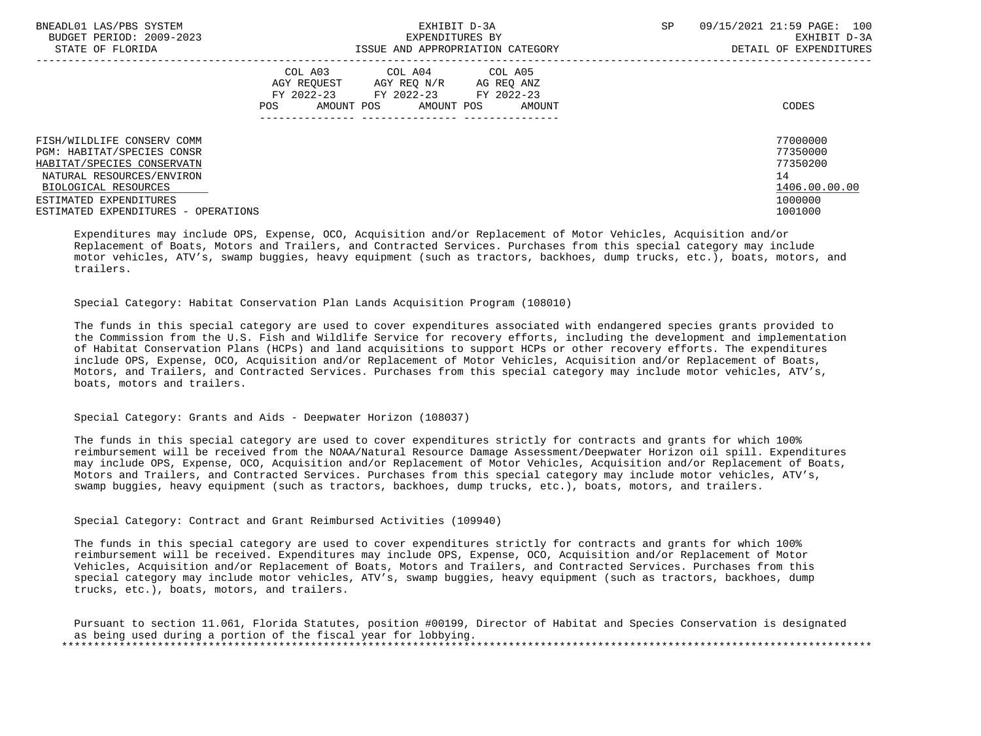| BNEADL01 LAS/PBS SYSTEM<br>BUDGET PERIOD: 2009-2023<br>STATE OF FLORIDA | EXHIBIT D-3A<br>EXPENDITURES BY<br>ISSUE AND APPROPRIATION CATEGORY |                                                                                          |                      | <b>SP</b> | 09/15/2021 21:59 PAGE: 100<br>EXHIBIT D-3A<br>DETAIL OF EXPENDITURES |
|-------------------------------------------------------------------------|---------------------------------------------------------------------|------------------------------------------------------------------------------------------|----------------------|-----------|----------------------------------------------------------------------|
|                                                                         | AGY REOUEST<br>POS<br>AMOUNT POS                                    | COL A03 COL A04 COL A05<br>AGY REO N/R<br>FY 2022-23 FY 2022-23 FY 2022-23<br>AMOUNT POS | AG REQ ANZ<br>AMOUNT |           | CODES                                                                |
| FISH/WILDLIFE CONSERV COMM<br><b>PGM: HABITAT/SPECIES CONSR</b>         |                                                                     |                                                                                          |                      |           | 77000000<br>77350000                                                 |
| HABITAT/SPECIES CONSERVATN                                              |                                                                     |                                                                                          |                      |           | 77350200                                                             |
| NATURAL RESOURCES/ENVIRON                                               |                                                                     |                                                                                          |                      |           | 14                                                                   |
| BIOLOGICAL RESOURCES                                                    |                                                                     |                                                                                          |                      |           | 1406.00.00.00                                                        |
| ESTIMATED EXPENDITURES                                                  |                                                                     |                                                                                          |                      |           | 1000000                                                              |
| ESTIMATED EXPENDITURES - OPERATIONS                                     |                                                                     |                                                                                          |                      |           | 1001000                                                              |

 Expenditures may include OPS, Expense, OCO, Acquisition and/or Replacement of Motor Vehicles, Acquisition and/or Replacement of Boats, Motors and Trailers, and Contracted Services. Purchases from this special category may include motor vehicles, ATV's, swamp buggies, heavy equipment (such as tractors, backhoes, dump trucks, etc.), boats, motors, and trailers.

Special Category: Habitat Conservation Plan Lands Acquisition Program (108010)

 The funds in this special category are used to cover expenditures associated with endangered species grants provided to the Commission from the U.S. Fish and Wildlife Service for recovery efforts, including the development and implementation of Habitat Conservation Plans (HCPs) and land acquisitions to support HCPs or other recovery efforts. The expenditures include OPS, Expense, OCO, Acquisition and/or Replacement of Motor Vehicles, Acquisition and/or Replacement of Boats, Motors, and Trailers, and Contracted Services. Purchases from this special category may include motor vehicles, ATV's, boats, motors and trailers.

Special Category: Grants and Aids - Deepwater Horizon (108037)

 The funds in this special category are used to cover expenditures strictly for contracts and grants for which 100% reimbursement will be received from the NOAA/Natural Resource Damage Assessment/Deepwater Horizon oil spill. Expenditures may include OPS, Expense, OCO, Acquisition and/or Replacement of Motor Vehicles, Acquisition and/or Replacement of Boats, Motors and Trailers, and Contracted Services. Purchases from this special category may include motor vehicles, ATV's, swamp buggies, heavy equipment (such as tractors, backhoes, dump trucks, etc.), boats, motors, and trailers.

Special Category: Contract and Grant Reimbursed Activities (109940)

 The funds in this special category are used to cover expenditures strictly for contracts and grants for which 100% reimbursement will be received. Expenditures may include OPS, Expense, OCO, Acquisition and/or Replacement of Motor Vehicles, Acquisition and/or Replacement of Boats, Motors and Trailers, and Contracted Services. Purchases from this special category may include motor vehicles, ATV's, swamp buggies, heavy equipment (such as tractors, backhoes, dump trucks, etc.), boats, motors, and trailers.

 Pursuant to section 11.061, Florida Statutes, position #00199, Director of Habitat and Species Conservation is designated as being used during a portion of the fiscal year for lobbying. \*\*\*\*\*\*\*\*\*\*\*\*\*\*\*\*\*\*\*\*\*\*\*\*\*\*\*\*\*\*\*\*\*\*\*\*\*\*\*\*\*\*\*\*\*\*\*\*\*\*\*\*\*\*\*\*\*\*\*\*\*\*\*\*\*\*\*\*\*\*\*\*\*\*\*\*\*\*\*\*\*\*\*\*\*\*\*\*\*\*\*\*\*\*\*\*\*\*\*\*\*\*\*\*\*\*\*\*\*\*\*\*\*\*\*\*\*\*\*\*\*\*\*\*\*\*\*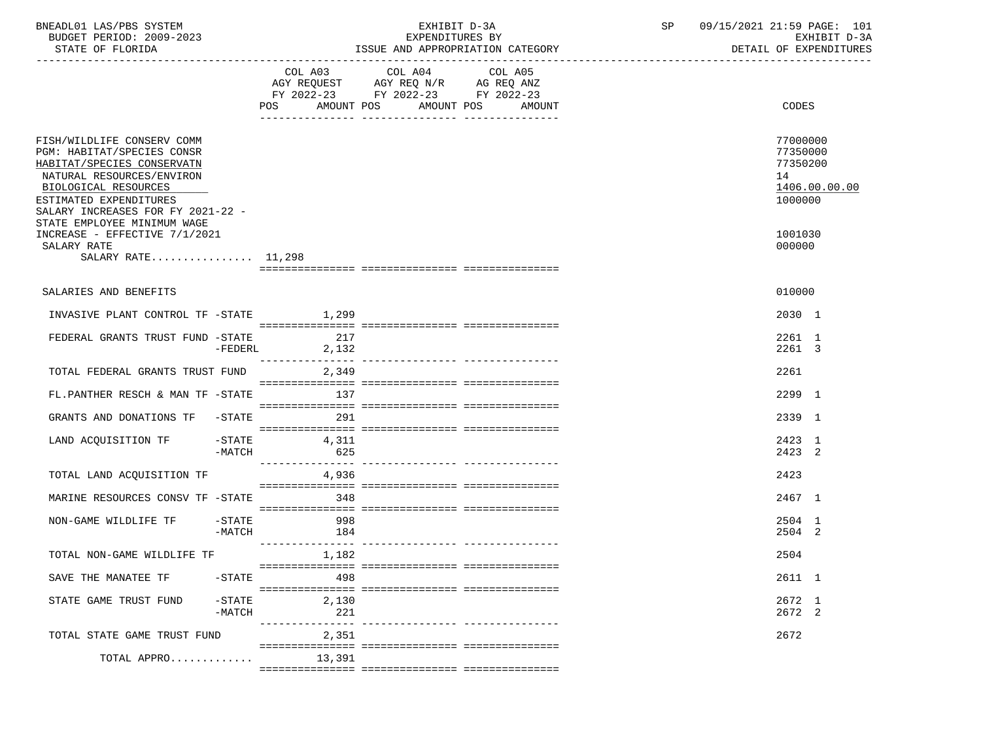| BNEADL01 LAS/PBS SYSTEM<br>BUDGET PERIOD: 2009-2023<br>STATE OF FLORIDA                                                                                                                                                                   |                                  | EXHIBIT D-3A<br>EXPENDITURES BY<br>ISSUE AND APPROPRIATION CATEGORY                                                                      | SP 09/15/2021 21:59 PAGE: 101<br>EXHIBIT D-3A<br>DETAIL OF EXPENDITURES |
|-------------------------------------------------------------------------------------------------------------------------------------------------------------------------------------------------------------------------------------------|----------------------------------|------------------------------------------------------------------------------------------------------------------------------------------|-------------------------------------------------------------------------|
|                                                                                                                                                                                                                                           |                                  | COL A03 COL A04<br>COL A05<br>AGY REQUEST AGY REQ N/R AG REQ ANZ<br>FY 2022-23 FY 2022-23 FY 2022-23<br>POS AMOUNT POS AMOUNT POS AMOUNT | CODES                                                                   |
| FISH/WILDLIFE CONSERV COMM<br>PGM: HABITAT/SPECIES CONSR<br>HABITAT/SPECIES CONSERVATN<br>NATURAL RESOURCES/ENVIRON<br>BIOLOGICAL RESOURCES<br>ESTIMATED EXPENDITURES<br>SALARY INCREASES FOR FY 2021-22 -<br>STATE EMPLOYEE MINIMUM WAGE |                                  |                                                                                                                                          | 77000000<br>77350000<br>77350200<br>14<br>1406.00.00.00<br>1000000      |
| INCREASE - EFFECTIVE 7/1/2021<br>SALARY RATE<br>SALARY RATE 11,298                                                                                                                                                                        |                                  |                                                                                                                                          | 1001030<br>000000                                                       |
| SALARIES AND BENEFITS                                                                                                                                                                                                                     |                                  |                                                                                                                                          | 010000                                                                  |
| INVASIVE PLANT CONTROL TF -STATE 1,299                                                                                                                                                                                                    |                                  |                                                                                                                                          | 2030 1                                                                  |
| FEDERAL GRANTS TRUST FUND -STATE                                                                                                                                                                                                          | 217<br>$-FEDERL$<br>2,132        |                                                                                                                                          | 2261 1<br>2261 3                                                        |
| TOTAL FEDERAL GRANTS TRUST FUND 2,349                                                                                                                                                                                                     |                                  |                                                                                                                                          | 2261                                                                    |
| FL.PANTHER RESCH & MAN TF -STATE 137                                                                                                                                                                                                      |                                  |                                                                                                                                          | 2299 1                                                                  |
| GRANTS AND DONATIONS TF -STATE 291                                                                                                                                                                                                        |                                  |                                                                                                                                          | 2339 1                                                                  |
| LAND ACQUISITION TF -STATE<br>-MATCH                                                                                                                                                                                                      | 4,311<br>625                     |                                                                                                                                          | 2423 1<br>2423 2                                                        |
| TOTAL LAND ACQUISITION TF                                                                                                                                                                                                                 | 4,936                            |                                                                                                                                          | 2423                                                                    |
| MARINE RESOURCES CONSV TF -STATE                                                                                                                                                                                                          | 348                              |                                                                                                                                          | 2467 1                                                                  |
| NON-GAME WILDLIFE TF -STATE 998<br>$-MATCH$                                                                                                                                                                                               | 184                              |                                                                                                                                          | 2504 1<br>2504 2                                                        |
| TOTAL NON-GAME WILDLIFE TF                                                                                                                                                                                                                | 1,182                            |                                                                                                                                          | 2504                                                                    |
| SAVE THE MANATEE TF<br>$-$ STATE                                                                                                                                                                                                          | 498                              |                                                                                                                                          | 2611 1                                                                  |
| $-$ STATE<br>STATE GAME TRUST FUND<br>$-MATCH$                                                                                                                                                                                            | 2,130<br>221<br>---------------- | -------------- ----------------                                                                                                          | 2672 1<br>2672 2                                                        |
| TOTAL STATE GAME TRUST FUND                                                                                                                                                                                                               | 2,351                            |                                                                                                                                          | 2672                                                                    |
| TOTAL APPRO                                                                                                                                                                                                                               | 13,391                           |                                                                                                                                          |                                                                         |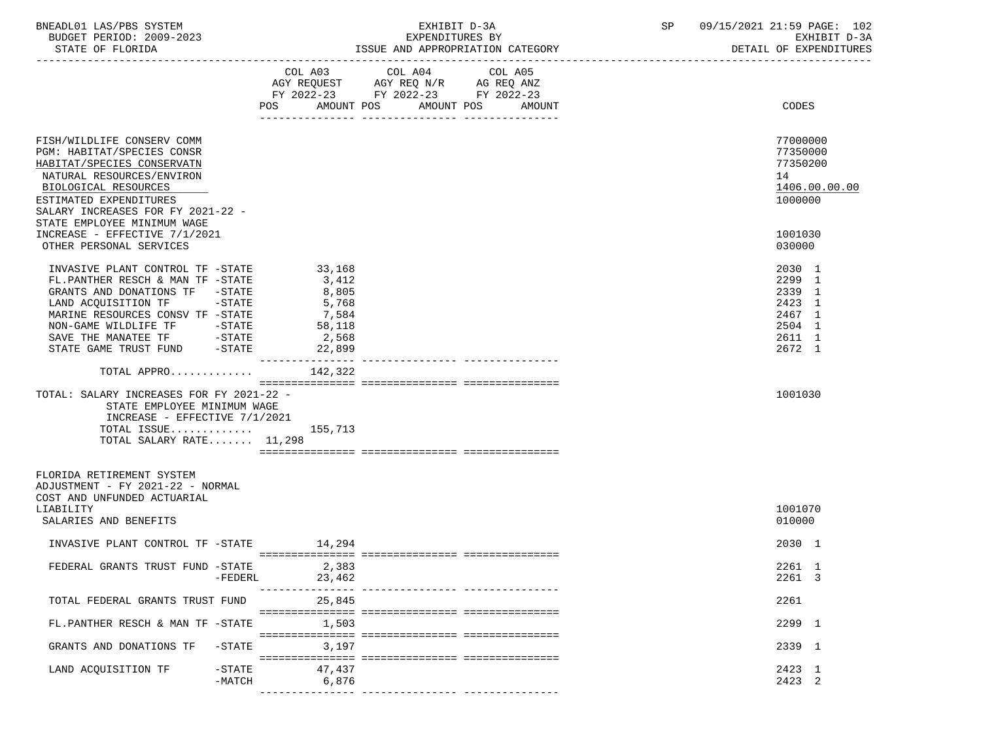| BNEADL01 LAS/PBS SYSTEM  | EXHIBIT D-3A                     | 09/15/2021 21:59 PAGE: 102 |
|--------------------------|----------------------------------|----------------------------|
| BUDGET PERIOD: 2009-2023 | EXPENDITURES BY                  | EXHIBIT D-3A               |
| STATE OF FLORIDA         | ISSUE AND APPROPRIATION CATEGORY | DETAIL OF EXPENDITURES     |

|                                                                                                                                                                                                                                                                                                        | POS AMOUNT POS                                                          | COL A03 COL A04 COL A05<br>AGY REQUEST AGY REQ N/R AG REQ ANZ FY 2022-23 FY 2022-23 FY 2022-23 | AMOUNT POS<br>AMOUNT | CODES                                                                        |
|--------------------------------------------------------------------------------------------------------------------------------------------------------------------------------------------------------------------------------------------------------------------------------------------------------|-------------------------------------------------------------------------|------------------------------------------------------------------------------------------------|----------------------|------------------------------------------------------------------------------|
| FISH/WILDLIFE CONSERV COMM<br>PGM: HABITAT/SPECIES CONSR<br>HABITAT/SPECIES CONSERVATN<br>NATURAL RESOURCES/ENVIRON<br>BIOLOGICAL RESOURCES<br>ESTIMATED EXPENDITURES<br>SALARY INCREASES FOR FY 2021-22 -                                                                                             |                                                                         |                                                                                                |                      | 77000000<br>77350000<br>77350200<br>14<br>1406.00.00.00<br>1000000           |
| STATE EMPLOYEE MINIMUM WAGE<br>INCREASE - EFFECTIVE 7/1/2021<br>OTHER PERSONAL SERVICES                                                                                                                                                                                                                |                                                                         |                                                                                                |                      | 1001030<br>030000                                                            |
| INVASIVE PLANT CONTROL TF -STATE<br>FL.PANTHER RESCH & MAN TF -STATE<br>GRANTS AND DONATIONS TF -STATE<br>$-STATE$<br>LAND ACQUISITION TF<br>MARINE RESOURCES CONSV TF -STATE<br>NON-GAME WILDLIFE TF           -STATE<br>SAVE THE MANATEE TF            -STATE<br>STATE GAME TRUST FUND        -STATE | 33,168<br>3,412<br>8,805<br>5,768<br>7,584<br>58,118<br>2,568<br>22,899 |                                                                                                |                      | 2030 1<br>2299 1<br>2339 1<br>2423 1<br>2467 1<br>2504 1<br>2611 1<br>2672 1 |
| TOTAL APPRO                                                                                                                                                                                                                                                                                            | 142,322                                                                 |                                                                                                |                      |                                                                              |
| TOTAL: SALARY INCREASES FOR FY 2021-22 -<br>STATE EMPLOYEE MINIMUM WAGE<br>INCREASE - EFFECTIVE $7/1/2021$<br>TOTAL ISSUE 155,713<br>TOTAL SALARY RATE 11,298                                                                                                                                          |                                                                         |                                                                                                |                      | 1001030                                                                      |
| FLORIDA RETIREMENT SYSTEM<br>ADJUSTMENT - FY 2021-22 - NORMAL<br>COST AND UNFUNDED ACTUARIAL                                                                                                                                                                                                           |                                                                         |                                                                                                |                      |                                                                              |
| LIABILITY<br>SALARIES AND BENEFITS                                                                                                                                                                                                                                                                     |                                                                         |                                                                                                |                      | 1001070<br>010000                                                            |
| INVASIVE PLANT CONTROL TF -STATE                                                                                                                                                                                                                                                                       | 14,294                                                                  |                                                                                                |                      | 2030 1                                                                       |
| FEDERAL GRANTS TRUST FUND -STATE<br>$-FEDERL$                                                                                                                                                                                                                                                          | 2,383<br>23,462                                                         |                                                                                                |                      | 2261 1<br>2261 3                                                             |
| TOTAL FEDERAL GRANTS TRUST FUND                                                                                                                                                                                                                                                                        | 25,845                                                                  |                                                                                                |                      | 2261                                                                         |
| FL.PANTHER RESCH & MAN TF -STATE                                                                                                                                                                                                                                                                       | 1,503                                                                   |                                                                                                |                      | 2299 1                                                                       |
| $-$ STATE<br>GRANTS AND DONATIONS TF                                                                                                                                                                                                                                                                   | 3,197                                                                   |                                                                                                |                      | 2339 1                                                                       |
| $-$ STATE<br>LAND ACQUISITION TF<br>$-MATCH$                                                                                                                                                                                                                                                           | 47,437<br>6,876                                                         |                                                                                                |                      | 2423 1<br>2423 2                                                             |

--------------- --------------- ---------------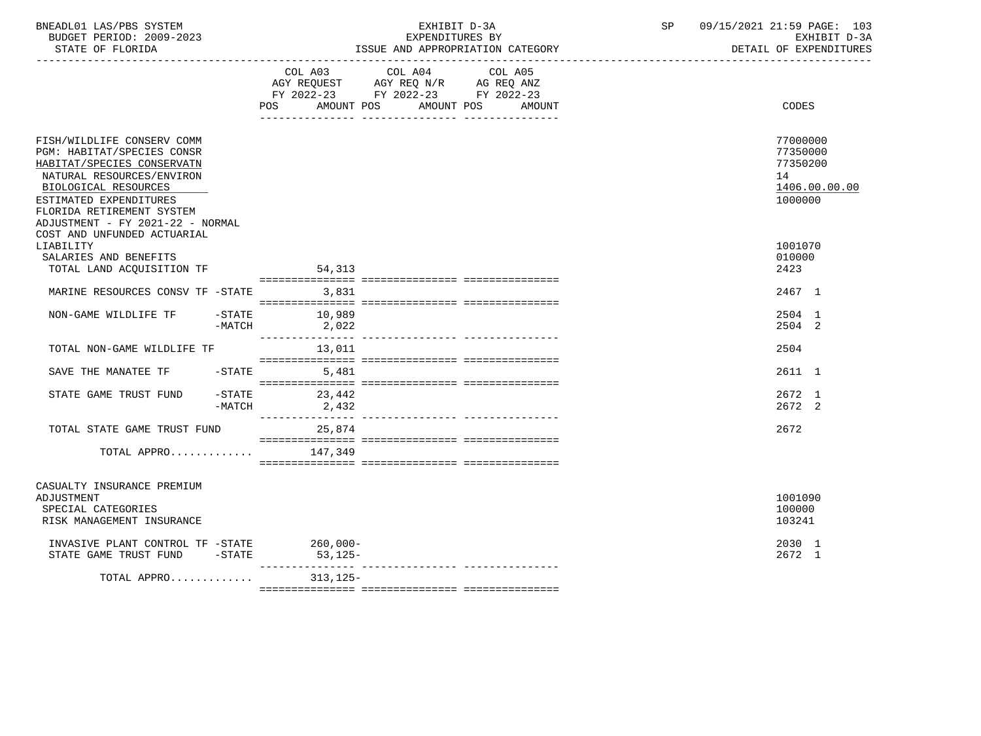| BNEADL01 LAS/PBS SYSTEM<br>BUDGET PERIOD: 2009-2023<br>ISSUE AND APPROPRIATION CATEGORY<br>STATE OF FLORIDA                                                                                                                            |        |                              | 09/15/2021 21:59 PAGE: 103<br>SP<br>EXHIBIT D-3A<br>EXPENDITURES BY<br>EXHIBIT D-3A<br>DETAIL OF EXPENDITURES              |                                   |  |  |                                                                    |
|----------------------------------------------------------------------------------------------------------------------------------------------------------------------------------------------------------------------------------------|--------|------------------------------|----------------------------------------------------------------------------------------------------------------------------|-----------------------------------|--|--|--------------------------------------------------------------------|
|                                                                                                                                                                                                                                        |        | POS                          | COL A03 COL A04 COL A05<br>AGY REQUEST AGY REQ N/R AG REQ ANZ<br>FY 2022-23 FY 2022-23 FY 2022-23<br>AMOUNT POS AMOUNT POS | AMOUNT                            |  |  | CODES                                                              |
| FISH/WILDLIFE CONSERV COMM<br>PGM: HABITAT/SPECIES CONSR<br>HABITAT/SPECIES CONSERVATN<br>NATURAL RESOURCES/ENVIRON<br>BIOLOGICAL RESOURCES<br>ESTIMATED EXPENDITURES<br>FLORIDA RETIREMENT SYSTEM<br>ADJUSTMENT - FY 2021-22 - NORMAL |        |                              |                                                                                                                            |                                   |  |  | 77000000<br>77350000<br>77350200<br>14<br>1406.00.00.00<br>1000000 |
| COST AND UNFUNDED ACTUARIAL<br>LIABILITY                                                                                                                                                                                               |        |                              |                                                                                                                            |                                   |  |  | 1001070                                                            |
| SALARIES AND BENEFITS                                                                                                                                                                                                                  |        |                              |                                                                                                                            |                                   |  |  | 010000                                                             |
| TOTAL LAND ACQUISITION TF                                                                                                                                                                                                              |        | 54,313                       |                                                                                                                            |                                   |  |  | 2423                                                               |
| MARINE RESOURCES CONSV TF -STATE 3,831                                                                                                                                                                                                 |        |                              |                                                                                                                            |                                   |  |  | 2467 1                                                             |
| NON-GAME WILDLIFE TF -STATE 10,989                                                                                                                                                                                                     | -MATCH | 2,022                        |                                                                                                                            |                                   |  |  | 2504 1<br>2504 2                                                   |
| TOTAL NON-GAME WILDLIFE TF                                                                                                                                                                                                             |        | _______________<br>13,011    |                                                                                                                            | ---------------- ---------------- |  |  | 2504                                                               |
| SAVE THE MANATEE TF                                                                                                                                                                                                                    |        | $-$ STATE 5,481              |                                                                                                                            |                                   |  |  | 2611 1                                                             |
| STATE GAME TRUST FUND                                                                                                                                                                                                                  | -MATCH | $-STATE$ 23,442<br>2,432     |                                                                                                                            |                                   |  |  | 2672 1<br>2672 2                                                   |
| TOTAL STATE GAME TRUST FUND                                                                                                                                                                                                            |        | 25,874                       |                                                                                                                            |                                   |  |  | 2672                                                               |
| TOTAL APPRO $147,349$                                                                                                                                                                                                                  |        |                              |                                                                                                                            |                                   |  |  |                                                                    |
| CASUALTY INSURANCE PREMIUM<br>ADJUSTMENT<br>SPECIAL CATEGORIES<br>RISK MANAGEMENT INSURANCE                                                                                                                                            |        |                              |                                                                                                                            |                                   |  |  | 1001090<br>100000<br>103241                                        |
| INVASIVE PLANT CONTROL TF -STATE 260,000-<br>STATE GAME TRUST FUND -STATE                                                                                                                                                              |        | 53,125-                      |                                                                                                                            |                                   |  |  | 2030 1<br>2672 1                                                   |
| TOTAL APPRO                                                                                                                                                                                                                            |        | ________________<br>313,125- |                                                                                                                            |                                   |  |  |                                                                    |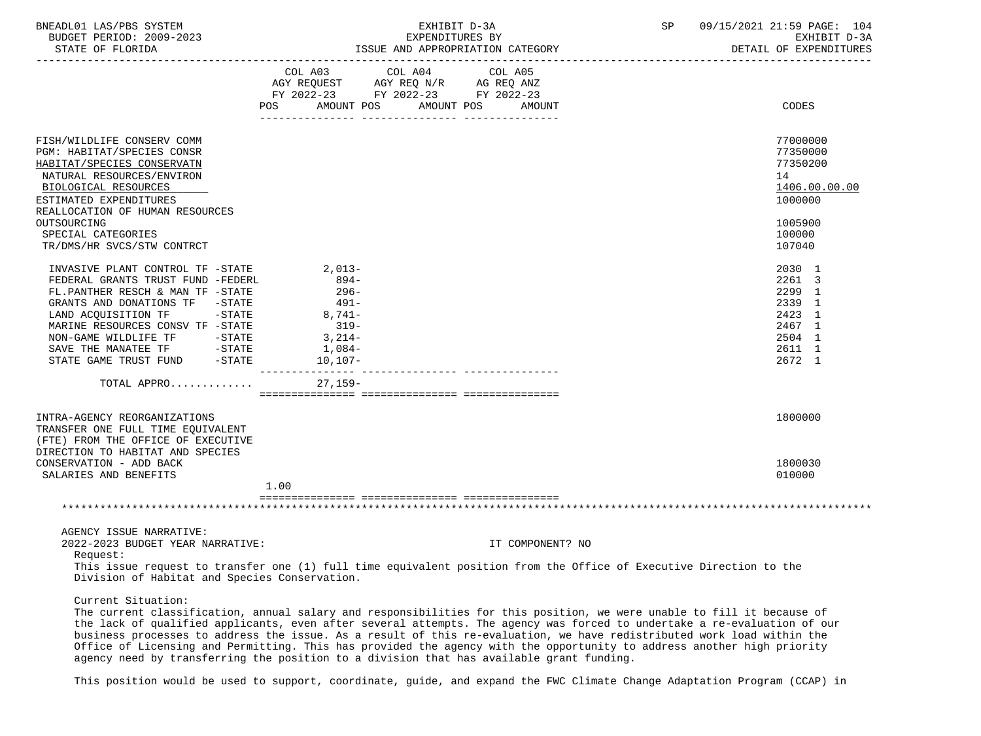| BNEADL01<br>$T \Delta C / D R C$<br>SYSTEM<br>1⁄2 تەك | ---------<br>EXH 1<br>د ک               | 09/15/2021<br><b>DACT.</b><br>PAGE.<br>$\sim$<br>the contract of the contract of the contract of the contract of the contract of the contract of the contract of | 104             |
|-------------------------------------------------------|-----------------------------------------|------------------------------------------------------------------------------------------------------------------------------------------------------------------|-----------------|
| 2009-2023<br>BUDGET PERIOD:                           | EXPENDITURES<br><b>RY</b><br><u>ـ ب</u> | חדם דשעת<br>- ⊶                                                                                                                                                  | $ -$<br>$1 - 1$ |

STATE OF FLORIDA **ISSUE AND APPROPRIATION CATEGORY ISSUE AND APPROPRIATION CATEGORY DETAIL OF EXPENDITURES** 

|                                                                                                                                                                                                                                                                                                                                                    | AGY REQUEST AGY REQ N/R AG REQ ANZ<br>FY 2022-23 FY 2022-23 FY 2022-23<br>AMOUNT POS<br><b>POS</b> | COL A03 COL A04 | COL A05<br>AMOUNT POS | AMOUNT           | CODES            |
|----------------------------------------------------------------------------------------------------------------------------------------------------------------------------------------------------------------------------------------------------------------------------------------------------------------------------------------------------|----------------------------------------------------------------------------------------------------|-----------------|-----------------------|------------------|------------------|
|                                                                                                                                                                                                                                                                                                                                                    |                                                                                                    |                 |                       |                  |                  |
| FISH/WILDLIFE CONSERV COMM                                                                                                                                                                                                                                                                                                                         |                                                                                                    |                 |                       |                  | 77000000         |
| PGM: HABITAT/SPECIES CONSR                                                                                                                                                                                                                                                                                                                         |                                                                                                    |                 |                       |                  | 77350000         |
| HABITAT/SPECIES CONSERVATN                                                                                                                                                                                                                                                                                                                         |                                                                                                    |                 |                       |                  | 77350200         |
| NATURAL RESOURCES/ENVIRON                                                                                                                                                                                                                                                                                                                          |                                                                                                    |                 |                       |                  | 14               |
| BIOLOGICAL RESOURCES                                                                                                                                                                                                                                                                                                                               |                                                                                                    |                 |                       |                  | 1406.00.00.00    |
| ESTIMATED EXPENDITURES                                                                                                                                                                                                                                                                                                                             |                                                                                                    |                 |                       |                  | 1000000          |
| REALLOCATION OF HUMAN RESOURCES                                                                                                                                                                                                                                                                                                                    |                                                                                                    |                 |                       |                  |                  |
| OUTSOURCING                                                                                                                                                                                                                                                                                                                                        |                                                                                                    |                 |                       |                  | 1005900          |
| SPECIAL CATEGORIES                                                                                                                                                                                                                                                                                                                                 |                                                                                                    |                 |                       |                  | 100000           |
| TR/DMS/HR SVCS/STW CONTRCT                                                                                                                                                                                                                                                                                                                         |                                                                                                    |                 |                       |                  | 107040           |
| INVASIVE PLANT CONTROL TF -STATE                                                                                                                                                                                                                                                                                                                   | $2,013-$                                                                                           |                 |                       |                  | 2030 1           |
| FEDERAL GRANTS TRUST FUND -FEDERL                                                                                                                                                                                                                                                                                                                  | 894-                                                                                               |                 |                       |                  | 2261 3           |
| FL.PANTHER RESCH & MAN TF -STATE                                                                                                                                                                                                                                                                                                                   | $296-$                                                                                             |                 |                       |                  | 2299 1           |
| GRANTS AND DONATIONS TF -STATE                                                                                                                                                                                                                                                                                                                     | $491 -$                                                                                            |                 |                       |                  | 2339 1           |
| $-STATE$                                                                                                                                                                                                                                                                                                                                           | $8,741-$                                                                                           |                 |                       |                  | 2423 1           |
| LAND ACQUISITION TF<br>MARINE RESOURCES CONSV TF -STATE                                                                                                                                                                                                                                                                                            | $319-$                                                                                             |                 |                       |                  | 2467 1           |
|                                                                                                                                                                                                                                                                                                                                                    |                                                                                                    |                 |                       |                  | 2504 1           |
| NON-GAME WILDLIFE TF -STATE                                                                                                                                                                                                                                                                                                                        | $3,214-$                                                                                           |                 |                       |                  |                  |
| $\begin{tabular}{lllllll} \bf SAVE & \bf THE & \bf MANATEE & \bf TF & \bf \hspace{3.5cm} & \bf \hspace{3.5cm} & \bf \hspace{3.5cm} & \bf \hspace{3.5cm} & \bf \hspace{3.5cm} & \bf \hspace{3.5cm} & \bf \hspace{3.5cm} & \bf \hspace{3.5cm} & \bf \hspace{3.5cm} & \bf \hspace{3.5cm} & \bf \end{tabular}$<br>STATE GAME TRUST FUND -STATE 10,107- | 1,084-                                                                                             |                 |                       |                  | 2611 1<br>2672 1 |
|                                                                                                                                                                                                                                                                                                                                                    |                                                                                                    |                 |                       |                  |                  |
| TOTAL APPRO $27,159-$                                                                                                                                                                                                                                                                                                                              |                                                                                                    |                 |                       |                  |                  |
|                                                                                                                                                                                                                                                                                                                                                    |                                                                                                    |                 |                       |                  |                  |
| INTRA-AGENCY REORGANIZATIONS                                                                                                                                                                                                                                                                                                                       |                                                                                                    |                 |                       |                  | 1800000          |
| TRANSFER ONE FULL TIME EOUIVALENT                                                                                                                                                                                                                                                                                                                  |                                                                                                    |                 |                       |                  |                  |
| (FTE) FROM THE OFFICE OF EXECUTIVE                                                                                                                                                                                                                                                                                                                 |                                                                                                    |                 |                       |                  |                  |
| DIRECTION TO HABITAT AND SPECIES                                                                                                                                                                                                                                                                                                                   |                                                                                                    |                 |                       |                  |                  |
| CONSERVATION - ADD BACK                                                                                                                                                                                                                                                                                                                            |                                                                                                    |                 |                       |                  | 1800030          |
| SALARIES AND BENEFITS                                                                                                                                                                                                                                                                                                                              | 1.00                                                                                               |                 |                       |                  | 010000           |
|                                                                                                                                                                                                                                                                                                                                                    |                                                                                                    |                 |                       |                  |                  |
|                                                                                                                                                                                                                                                                                                                                                    |                                                                                                    |                 |                       |                  |                  |
|                                                                                                                                                                                                                                                                                                                                                    |                                                                                                    |                 |                       |                  |                  |
| AGENCY ISSUE NARRATIVE:                                                                                                                                                                                                                                                                                                                            |                                                                                                    |                 |                       |                  |                  |
| 2022-2023 BUDGET YEAR NARRATIVE:                                                                                                                                                                                                                                                                                                                   |                                                                                                    |                 |                       | IT COMPONENT? NO |                  |
| Request:                                                                                                                                                                                                                                                                                                                                           |                                                                                                    |                 |                       |                  |                  |
| This issue request to transfer one (1) full time equivalent position from the Office of Executive Direction to the                                                                                                                                                                                                                                 |                                                                                                    |                 |                       |                  |                  |
| Division of Habitat and Species Conservation.                                                                                                                                                                                                                                                                                                      |                                                                                                    |                 |                       |                  |                  |
| Current Situation:                                                                                                                                                                                                                                                                                                                                 |                                                                                                    |                 |                       |                  |                  |
|                                                                                                                                                                                                                                                                                                                                                    |                                                                                                    |                 |                       |                  |                  |
| The current classification, annual salary and responsibilities for this position, we were unable to fill it because of                                                                                                                                                                                                                             |                                                                                                    |                 |                       |                  |                  |

 Office of Licensing and Permitting. This has provided the agency with the opportunity to address another high priority agency need by transferring the position to a division that has available grant funding.

This position would be used to support, coordinate, guide, and expand the FWC Climate Change Adaptation Program (CCAP) in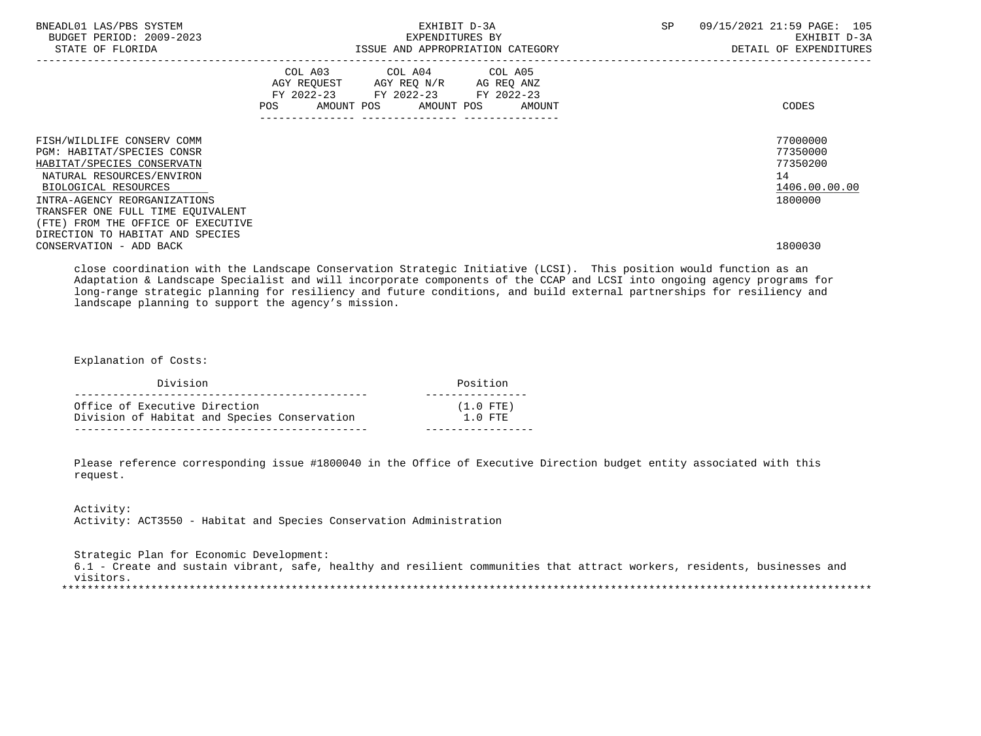| BNEADL01 LAS/PBS SYSTEM<br>BUDGET PERIOD: 2009-2023<br>STATE OF FLORIDA                                                                                                                                                                                                                    | EXHIBIT D-3A<br>EXPENDITURES BY<br>ISSUE AND APPROPRIATION CATEGORY                                                                      | SP<br>09/15/2021 21:59 PAGE: 105<br>EXHIBIT D-3A<br>DETAIL OF EXPENDITURES |
|--------------------------------------------------------------------------------------------------------------------------------------------------------------------------------------------------------------------------------------------------------------------------------------------|------------------------------------------------------------------------------------------------------------------------------------------|----------------------------------------------------------------------------|
|                                                                                                                                                                                                                                                                                            | COL A03 COL A04 COL A05<br>AGY REQUEST AGY REQ N/R AG REQ ANZ<br>FY 2022-23 FY 2022-23 FY 2022-23<br>AMOUNT POS AMOUNT POS AMOUNT<br>POS | CODES                                                                      |
| FISH/WILDLIFE CONSERV COMM<br>PGM: HABITAT/SPECIES CONSR<br>HABITAT/SPECIES CONSERVATN<br>NATURAL RESOURCES/ENVIRON<br>BIOLOGICAL RESOURCES<br>INTRA-AGENCY REORGANIZATIONS<br>TRANSFER ONE FULL TIME EOUIVALENT<br>(FTE) FROM THE OFFICE OF EXECUTIVE<br>DIRECTION TO HABITAT AND SPECIES |                                                                                                                                          | 77000000<br>77350000<br>77350200<br>14<br>1406.00.00.00<br>1800000         |
| CONSERVATION - ADD BACK                                                                                                                                                                                                                                                                    |                                                                                                                                          | 1800030                                                                    |

 close coordination with the Landscape Conservation Strategic Initiative (LCSI). This position would function as an Adaptation & Landscape Specialist and will incorporate components of the CCAP and LCSI into ongoing agency programs for long-range strategic planning for resiliency and future conditions, and build external partnerships for resiliency and landscape planning to support the agency's mission.

Explanation of Costs:

| Division                                     | Position    |
|----------------------------------------------|-------------|
| Office of Executive Direction                | $(1.0$ FTE) |
| Division of Habitat and Species Conservation | $1.0$ FTE   |

 Please reference corresponding issue #1800040 in the Office of Executive Direction budget entity associated with this request.

 Activity: Activity: ACT3550 - Habitat and Species Conservation Administration

 Strategic Plan for Economic Development: 6.1 - Create and sustain vibrant, safe, healthy and resilient communities that attract workers, residents, businesses and visitors. \*\*\*\*\*\*\*\*\*\*\*\*\*\*\*\*\*\*\*\*\*\*\*\*\*\*\*\*\*\*\*\*\*\*\*\*\*\*\*\*\*\*\*\*\*\*\*\*\*\*\*\*\*\*\*\*\*\*\*\*\*\*\*\*\*\*\*\*\*\*\*\*\*\*\*\*\*\*\*\*\*\*\*\*\*\*\*\*\*\*\*\*\*\*\*\*\*\*\*\*\*\*\*\*\*\*\*\*\*\*\*\*\*\*\*\*\*\*\*\*\*\*\*\*\*\*\*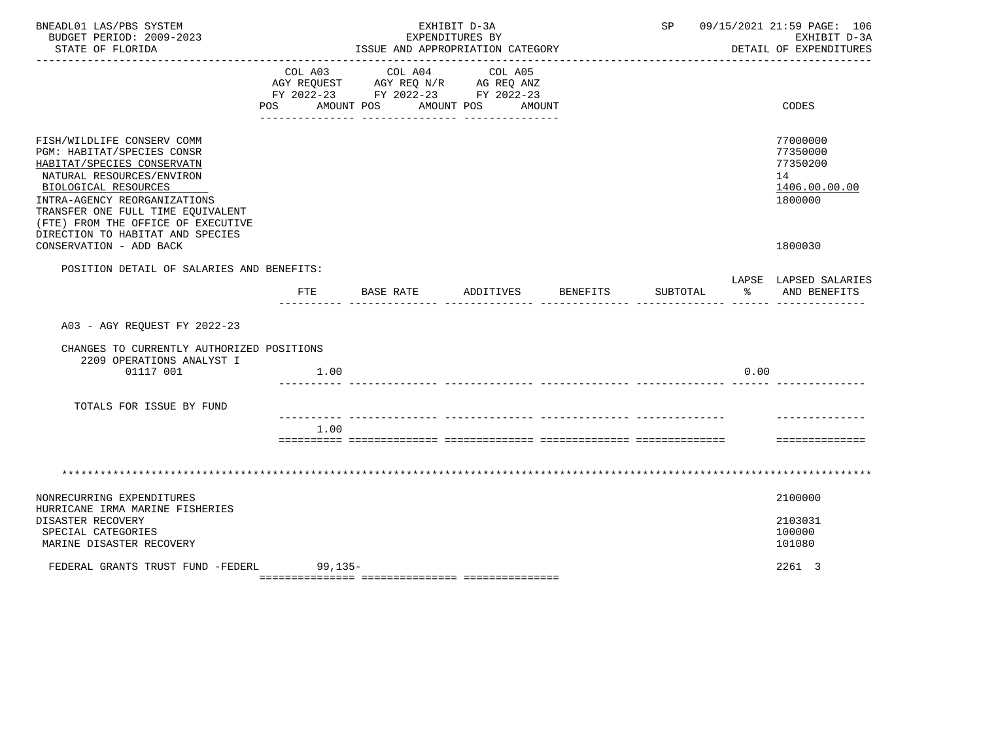| BNEADL01 LAS/PBS SYSTEM<br>BUDGET PERIOD: 2009-2023<br>STATE OF FLORIDA                                                                                                                                                                                                                                               | EXHIBIT D-3A<br>EXPENDITURES BY<br>ISSUE AND APPROPRIATION CATEGORY<br>-------------------------------- |           |                                                                                                        | SP 09/15/2021 21:59 PAGE: 106<br>EXHIBIT D-3A<br>DETAIL OF EXPENDITURES |          |                      |                                                                               |
|-----------------------------------------------------------------------------------------------------------------------------------------------------------------------------------------------------------------------------------------------------------------------------------------------------------------------|---------------------------------------------------------------------------------------------------------|-----------|--------------------------------------------------------------------------------------------------------|-------------------------------------------------------------------------|----------|----------------------|-------------------------------------------------------------------------------|
|                                                                                                                                                                                                                                                                                                                       | COL A03<br>POS AMOUNT POS                                                                               | COL A04   | COL A05<br>AGY REQUEST AGY REQ N/R AG REQ ANZ<br>FY 2022-23 FY 2022-23 FY 2022-23<br>AMOUNT POS AMOUNT |                                                                         |          |                      | CODES                                                                         |
| FISH/WILDLIFE CONSERV COMM<br>PGM: HABITAT/SPECIES CONSR<br>HABITAT/SPECIES CONSERVATN<br>NATURAL RESOURCES/ENVIRON<br>BIOLOGICAL RESOURCES<br>INTRA-AGENCY REORGANIZATIONS<br>TRANSFER ONE FULL TIME EOUIVALENT<br>(FTE) FROM THE OFFICE OF EXECUTIVE<br>DIRECTION TO HABITAT AND SPECIES<br>CONSERVATION - ADD BACK |                                                                                                         |           |                                                                                                        |                                                                         |          |                      | 77000000<br>77350000<br>77350200<br>14<br>1406.00.00.00<br>1800000<br>1800030 |
| POSITION DETAIL OF SALARIES AND BENEFITS:                                                                                                                                                                                                                                                                             |                                                                                                         |           |                                                                                                        |                                                                         |          |                      | LAPSE LAPSED SALARIES                                                         |
|                                                                                                                                                                                                                                                                                                                       | FTE                                                                                                     | BASE RATE | ADDITIVES                                                                                              | BENEFITS                                                                | SUBTOTAL | - 2010년 - 2010년 - 3월 | AND BENEFITS                                                                  |
| A03 - AGY REOUEST FY 2022-23                                                                                                                                                                                                                                                                                          |                                                                                                         |           |                                                                                                        |                                                                         |          |                      |                                                                               |
| CHANGES TO CURRENTLY AUTHORIZED POSITIONS<br>2209 OPERATIONS ANALYST I<br>01117 001                                                                                                                                                                                                                                   | 1.00                                                                                                    |           |                                                                                                        |                                                                         |          | 0.00                 |                                                                               |
| TOTALS FOR ISSUE BY FUND                                                                                                                                                                                                                                                                                              |                                                                                                         |           |                                                                                                        |                                                                         |          |                      |                                                                               |
|                                                                                                                                                                                                                                                                                                                       | 1.00                                                                                                    |           |                                                                                                        |                                                                         |          |                      | ==============                                                                |
|                                                                                                                                                                                                                                                                                                                       |                                                                                                         |           |                                                                                                        |                                                                         |          |                      |                                                                               |
| NONRECURRING EXPENDITURES                                                                                                                                                                                                                                                                                             |                                                                                                         |           |                                                                                                        |                                                                         |          |                      | 2100000                                                                       |
| HURRICANE IRMA MARINE FISHERIES<br>DISASTER RECOVERY<br>SPECIAL CATEGORIES<br>MARINE DISASTER RECOVERY                                                                                                                                                                                                                |                                                                                                         |           |                                                                                                        |                                                                         |          |                      | 2103031<br>100000<br>101080                                                   |
| FEDERAL GRANTS TRUST FUND -FEDERL                                                                                                                                                                                                                                                                                     | $99,135-$                                                                                               |           |                                                                                                        |                                                                         |          |                      | 2261 3                                                                        |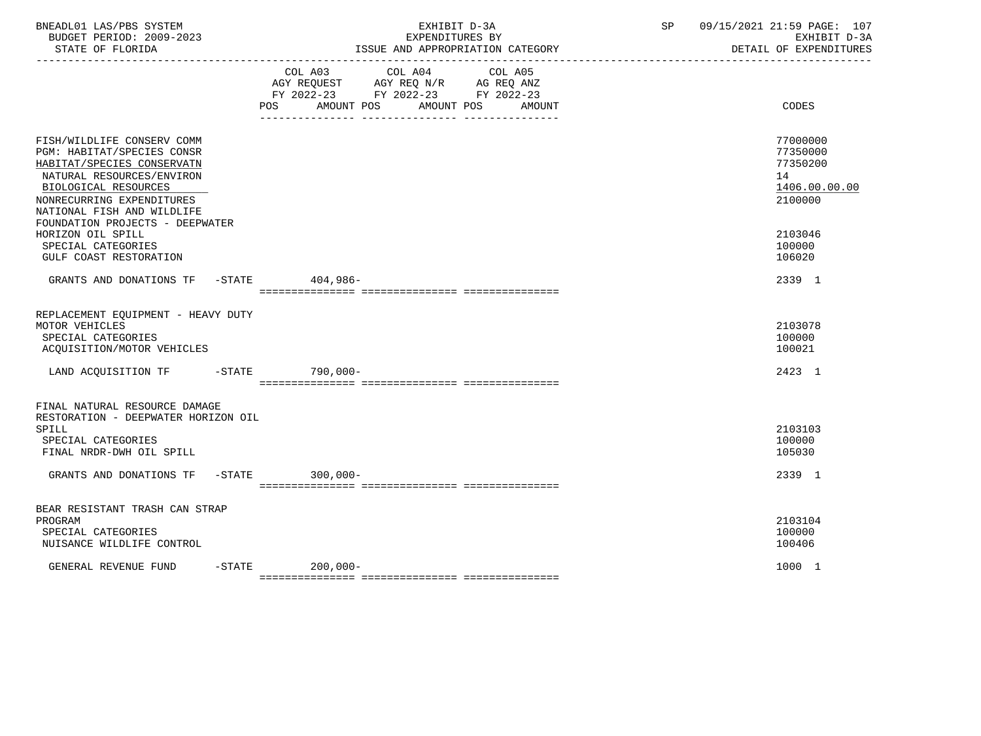| BNEADL01 LAS/PBS SYSTEM<br>BUDGET PERIOD: 2009-2023<br>STATE OF FLORIDA                                                                                                                                                                   | EXHIBIT D-3A<br>EXPENDITURES BY<br>ISSUE AND APPROPRIATION CATEGORY                                                                   | 09/15/2021 21:59 PAGE: 107<br>SP<br>EXHIBIT D-3A<br>DETAIL OF EXPENDITURES |
|-------------------------------------------------------------------------------------------------------------------------------------------------------------------------------------------------------------------------------------------|---------------------------------------------------------------------------------------------------------------------------------------|----------------------------------------------------------------------------|
|                                                                                                                                                                                                                                           | COL A03 COL A04 COL A05<br>AGY REQUEST AGY REQ N/R AG REQ ANZ<br>FY 2022-23 FY 2022-23 FY 2022-23<br>POS AMOUNT POS AMOUNT POS AMOUNT | CODES                                                                      |
| FISH/WILDLIFE CONSERV COMM<br>PGM: HABITAT/SPECIES CONSR<br>HABITAT/SPECIES CONSERVATN<br>NATURAL RESOURCES/ENVIRON<br>BIOLOGICAL RESOURCES<br>NONRECURRING EXPENDITURES<br>NATIONAL FISH AND WILDLIFE<br>FOUNDATION PROJECTS - DEEPWATER |                                                                                                                                       | 77000000<br>77350000<br>77350200<br>14<br>1406.00.00.00<br>2100000         |
| HORIZON OIL SPILL<br>SPECIAL CATEGORIES<br>GULF COAST RESTORATION                                                                                                                                                                         |                                                                                                                                       | 2103046<br>100000<br>106020                                                |
| GRANTS AND DONATIONS TF -STATE 404,986-                                                                                                                                                                                                   |                                                                                                                                       | 2339 1                                                                     |
| REPLACEMENT EOUIPMENT - HEAVY DUTY<br>MOTOR VEHICLES<br>SPECIAL CATEGORIES<br>ACQUISITION/MOTOR VEHICLES                                                                                                                                  |                                                                                                                                       | 2103078<br>100000<br>100021                                                |
| LAND ACQUISITION TF -STATE 790,000-                                                                                                                                                                                                       |                                                                                                                                       | 2423 1                                                                     |
| FINAL NATURAL RESOURCE DAMAGE<br>RESTORATION - DEEPWATER HORIZON OIL<br>SPILL<br>SPECIAL CATEGORIES<br>FINAL NRDR-DWH OIL SPILL<br>GRANTS AND DONATIONS TF -STATE                                                                         | $300,000 -$                                                                                                                           | 2103103<br>100000<br>105030<br>2339 1                                      |
|                                                                                                                                                                                                                                           |                                                                                                                                       |                                                                            |
| BEAR RESISTANT TRASH CAN STRAP<br>PROGRAM<br>SPECIAL CATEGORIES<br>NUISANCE WILDLIFE CONTROL                                                                                                                                              |                                                                                                                                       | 2103104<br>100000<br>100406                                                |
| GENERAL REVENUE FUND<br>$-$ STATE                                                                                                                                                                                                         | $200,000-$                                                                                                                            | 1000 1                                                                     |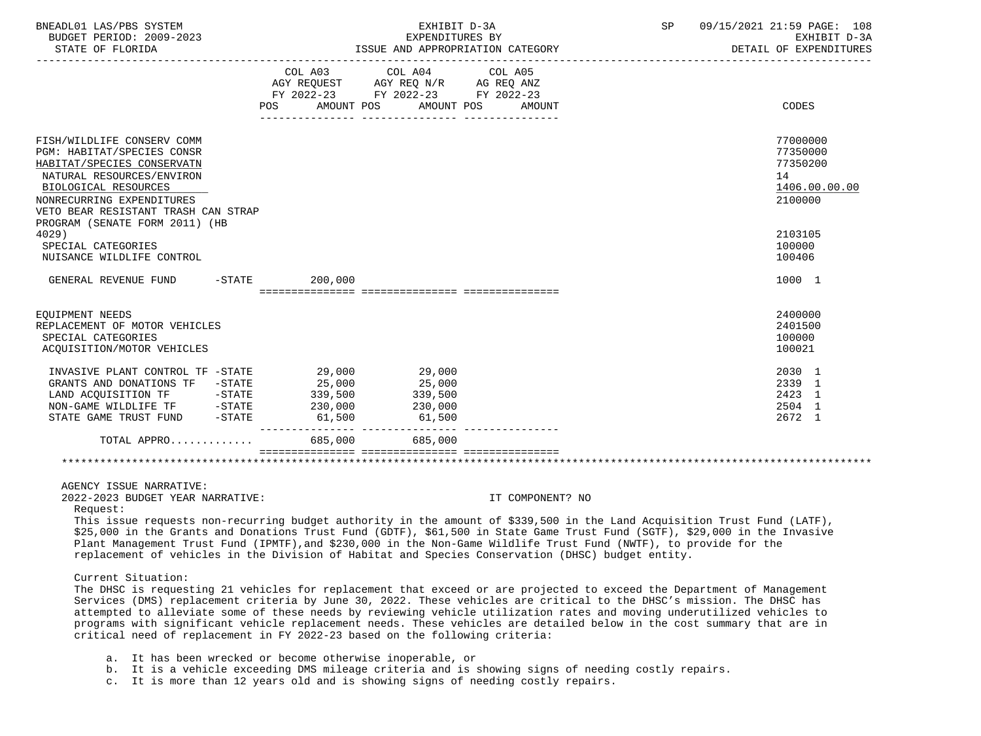| BNEADL01 LAS/PBS SYSTEM<br>BUDGET PERIOD: 2009-2023<br>STATE OF FLORIDA                                                                                                                                                                                                                                                                                                                                                                                                                                                                                                                                                                                                                                                                                                                                                                                                                                                                                                                                                   |                           | EXHIBIT D-3A<br>EXPENDITURES BY<br>ISSUE AND APPROPRIATION CATEGORY                       | SP                | 09/15/2021 21:59 PAGE: 108<br>EXHIBIT D-3A<br>DETAIL OF EXPENDITURES |                                                                    |
|---------------------------------------------------------------------------------------------------------------------------------------------------------------------------------------------------------------------------------------------------------------------------------------------------------------------------------------------------------------------------------------------------------------------------------------------------------------------------------------------------------------------------------------------------------------------------------------------------------------------------------------------------------------------------------------------------------------------------------------------------------------------------------------------------------------------------------------------------------------------------------------------------------------------------------------------------------------------------------------------------------------------------|---------------------------|-------------------------------------------------------------------------------------------|-------------------|----------------------------------------------------------------------|--------------------------------------------------------------------|
|                                                                                                                                                                                                                                                                                                                                                                                                                                                                                                                                                                                                                                                                                                                                                                                                                                                                                                                                                                                                                           | POS AMOUNT POS AMOUNT POS | COL A03 COL A04<br>AGY REQUEST AGY REQ N/R AG REQ ANZ<br>FY 2022-23 FY 2022-23 FY 2022-23 | COL A05<br>AMOUNT |                                                                      | CODES                                                              |
|                                                                                                                                                                                                                                                                                                                                                                                                                                                                                                                                                                                                                                                                                                                                                                                                                                                                                                                                                                                                                           |                           |                                                                                           |                   |                                                                      |                                                                    |
| FISH/WILDLIFE CONSERV COMM<br>PGM: HABITAT/SPECIES CONSR<br>HABITAT/SPECIES CONSERVATN<br>NATURAL RESOURCES/ENVIRON<br>BIOLOGICAL RESOURCES<br>NONRECURRING EXPENDITURES<br>VETO BEAR RESISTANT TRASH CAN STRAP                                                                                                                                                                                                                                                                                                                                                                                                                                                                                                                                                                                                                                                                                                                                                                                                           |                           |                                                                                           |                   |                                                                      | 77000000<br>77350000<br>77350200<br>14<br>1406.00.00.00<br>2100000 |
| PROGRAM (SENATE FORM 2011) (HB<br>4029)                                                                                                                                                                                                                                                                                                                                                                                                                                                                                                                                                                                                                                                                                                                                                                                                                                                                                                                                                                                   |                           |                                                                                           |                   |                                                                      | 2103105                                                            |
| SPECIAL CATEGORIES<br>NUISANCE WILDLIFE CONTROL                                                                                                                                                                                                                                                                                                                                                                                                                                                                                                                                                                                                                                                                                                                                                                                                                                                                                                                                                                           |                           |                                                                                           |                   |                                                                      | 100000<br>100406                                                   |
| GENERAL REVENUE FUND -STATE                                                                                                                                                                                                                                                                                                                                                                                                                                                                                                                                                                                                                                                                                                                                                                                                                                                                                                                                                                                               | 200,000                   |                                                                                           |                   |                                                                      | 1000 1                                                             |
| EQUIPMENT NEEDS<br>REPLACEMENT OF MOTOR VEHICLES<br>SPECIAL CATEGORIES<br>ACQUISITION/MOTOR VEHICLES                                                                                                                                                                                                                                                                                                                                                                                                                                                                                                                                                                                                                                                                                                                                                                                                                                                                                                                      |                           |                                                                                           |                   |                                                                      | 2400000<br>2401500<br>100000<br>100021                             |
| INVASIVE PLANT CONTROL TF -STATE<br>GRANTS AND DONATIONS TF -STATE                                                                                                                                                                                                                                                                                                                                                                                                                                                                                                                                                                                                                                                                                                                                                                                                                                                                                                                                                        | 29,000<br>25,000          | 29,000<br>25,000<br>339,500<br>230,000<br>61,500                                          |                   |                                                                      | 2030 1<br>2339 1<br>2423 1<br>2504 1<br>2672 1                     |
| TOTAL APPRO                                                                                                                                                                                                                                                                                                                                                                                                                                                                                                                                                                                                                                                                                                                                                                                                                                                                                                                                                                                                               |                           | 685,000 685,000                                                                           |                   |                                                                      |                                                                    |
|                                                                                                                                                                                                                                                                                                                                                                                                                                                                                                                                                                                                                                                                                                                                                                                                                                                                                                                                                                                                                           |                           |                                                                                           |                   |                                                                      |                                                                    |
| AGENCY ISSUE NARRATIVE:<br>2022-2023 BUDGET YEAR NARRATIVE:                                                                                                                                                                                                                                                                                                                                                                                                                                                                                                                                                                                                                                                                                                                                                                                                                                                                                                                                                               |                           |                                                                                           | IT COMPONENT? NO  |                                                                      |                                                                    |
| Request:<br>This issue requests non-recurring budget authority in the amount of \$339,500 in the Land Acquisition Trust Fund (LATF),<br>\$25,000 in the Grants and Donations Trust Fund (GDTF), \$61,500 in State Game Trust Fund (SGTF), \$29,000 in the Invasive<br>Plant Management Trust Fund (IPMTF), and \$230,000 in the Non-Game Wildlife Trust Fund (NWTF), to provide for the<br>replacement of vehicles in the Division of Habitat and Species Conservation (DHSC) budget entity.<br>Current Situation:<br>The DHSC is requesting 21 vehicles for replacement that exceed or are projected to exceed the Department of Management<br>Services (DMS) replacement criteria by June 30, 2022. These vehicles are critical to the DHSC's mission. The DHSC has<br>attempted to alleviate some of these needs by reviewing vehicle utilization rates and moving underutilized vehicles to<br>programs with significant vehicle replacement needs. These vehicles are detailed below in the cost summary that are in |                           |                                                                                           |                   |                                                                      |                                                                    |
| critical need of replacement in FY 2022-23 based on the following criteria:                                                                                                                                                                                                                                                                                                                                                                                                                                                                                                                                                                                                                                                                                                                                                                                                                                                                                                                                               |                           |                                                                                           |                   |                                                                      |                                                                    |

- a. It has been wrecked or become otherwise inoperable, or
- b. It is a vehicle exceeding DMS mileage criteria and is showing signs of needing costly repairs.
- c. It is more than 12 years old and is showing signs of needing costly repairs.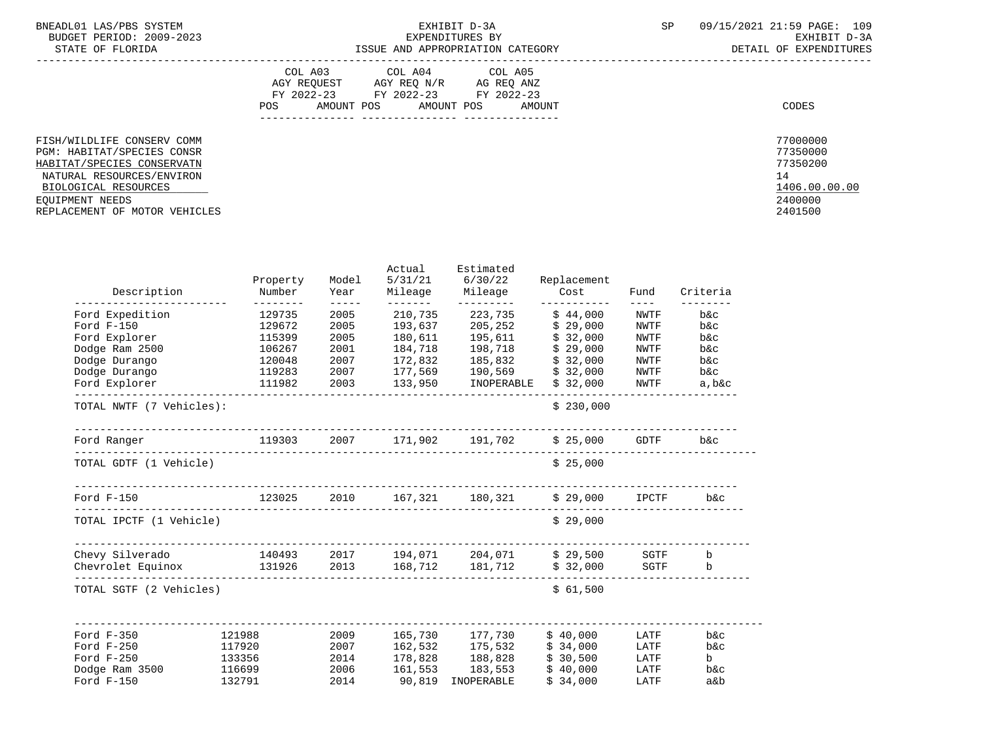| BNEADL01 LAS/PBS SYSTEM  | EXHIBIT D-3A                     | 09/15/2021 21:59 PAGE: 109 |
|--------------------------|----------------------------------|----------------------------|
| BUDGET PERIOD: 2009-2023 | EXPENDITURES BY                  | RXHIRIT D-3A               |
| STATE OF FLORIDA         | ISSUE AND APPROPRIATION CATEGORY | DETAIL OF EXPENDITURES     |

|                                                                                        | COL A03<br>COL A04<br>COL A05<br>AGY REQ N/R<br>AGY REQUEST<br>AG REO ANZ<br>FY 2022-23<br>FY 2022-23<br>FY 2022-23<br>AMOUNT POS<br><b>POS</b><br>AMOUNT POS<br>AMOUNT | CODES                            |
|----------------------------------------------------------------------------------------|-------------------------------------------------------------------------------------------------------------------------------------------------------------------------|----------------------------------|
| FISH/WILDLIFE CONSERV COMM<br>PGM: HABITAT/SPECIES CONSR<br>HABITAT/SPECIES CONSERVATN |                                                                                                                                                                         | 77000000<br>77350000<br>77350200 |
| NATURAL RESOURCES/ENVIRON                                                              |                                                                                                                                                                         | 14                               |
| BIOLOGICAL RESOURCES                                                                   |                                                                                                                                                                         | 1406.00.00.00                    |
| EOUIPMENT NEEDS                                                                        |                                                                                                                                                                         | 2400000                          |
| REPLACEMENT OF MOTOR VEHICLES                                                          |                                                                                                                                                                         | 2401500                          |

| Property<br>Number       | Model<br>Year                                                                                           | 5/31/21                                                                                   | Estimated<br>6/30/22<br>Mileage                              | Replacement<br>Cost                                                                                                                            | Fund                                                                                                                                                                                                                                                                    | Criteria                                                                                                                                                           |
|--------------------------|---------------------------------------------------------------------------------------------------------|-------------------------------------------------------------------------------------------|--------------------------------------------------------------|------------------------------------------------------------------------------------------------------------------------------------------------|-------------------------------------------------------------------------------------------------------------------------------------------------------------------------------------------------------------------------------------------------------------------------|--------------------------------------------------------------------------------------------------------------------------------------------------------------------|
| 129735                   | 2005                                                                                                    | 210,735                                                                                   | 223,735                                                      | \$44,000                                                                                                                                       | <b>NWTF</b>                                                                                                                                                                                                                                                             | b&c                                                                                                                                                                |
| 129672                   | 2005                                                                                                    | 193,637                                                                                   |                                                              |                                                                                                                                                | NWTF                                                                                                                                                                                                                                                                    | $b$ & $c$                                                                                                                                                          |
|                          |                                                                                                         |                                                                                           |                                                              |                                                                                                                                                |                                                                                                                                                                                                                                                                         | $b$ & $c$                                                                                                                                                          |
|                          |                                                                                                         |                                                                                           |                                                              |                                                                                                                                                |                                                                                                                                                                                                                                                                         | $b$ & $c$                                                                                                                                                          |
|                          |                                                                                                         |                                                                                           |                                                              |                                                                                                                                                |                                                                                                                                                                                                                                                                         | $b$ & $c$                                                                                                                                                          |
|                          |                                                                                                         |                                                                                           |                                                              |                                                                                                                                                |                                                                                                                                                                                                                                                                         | $b$ & $c$                                                                                                                                                          |
|                          |                                                                                                         |                                                                                           |                                                              |                                                                                                                                                |                                                                                                                                                                                                                                                                         | a, b&c                                                                                                                                                             |
| TOTAL NWTF (7 Vehicles): |                                                                                                         |                                                                                           |                                                              | \$230,000                                                                                                                                      |                                                                                                                                                                                                                                                                         |                                                                                                                                                                    |
|                          |                                                                                                         |                                                                                           |                                                              |                                                                                                                                                |                                                                                                                                                                                                                                                                         | b&c                                                                                                                                                                |
| TOTAL GDTF (1 Vehicle)   |                                                                                                         |                                                                                           |                                                              | \$25,000                                                                                                                                       |                                                                                                                                                                                                                                                                         |                                                                                                                                                                    |
|                          |                                                                                                         |                                                                                           |                                                              |                                                                                                                                                |                                                                                                                                                                                                                                                                         | b&c                                                                                                                                                                |
| TOTAL IPCTF (1 Vehicle)  |                                                                                                         |                                                                                           |                                                              | \$29,000                                                                                                                                       |                                                                                                                                                                                                                                                                         |                                                                                                                                                                    |
|                          |                                                                                                         |                                                                                           |                                                              |                                                                                                                                                |                                                                                                                                                                                                                                                                         |                                                                                                                                                                    |
|                          |                                                                                                         |                                                                                           |                                                              |                                                                                                                                                |                                                                                                                                                                                                                                                                         | $\mathbf b$                                                                                                                                                        |
| TOTAL SGTF (2 Vehicles)  |                                                                                                         |                                                                                           |                                                              | \$61,500                                                                                                                                       |                                                                                                                                                                                                                                                                         |                                                                                                                                                                    |
|                          |                                                                                                         |                                                                                           |                                                              |                                                                                                                                                |                                                                                                                                                                                                                                                                         |                                                                                                                                                                    |
|                          |                                                                                                         |                                                                                           |                                                              |                                                                                                                                                |                                                                                                                                                                                                                                                                         | $b$ & $c$                                                                                                                                                          |
|                          |                                                                                                         |                                                                                           |                                                              |                                                                                                                                                |                                                                                                                                                                                                                                                                         | $b$ & $c$                                                                                                                                                          |
|                          |                                                                                                         |                                                                                           |                                                              |                                                                                                                                                |                                                                                                                                                                                                                                                                         | b<br>$b$ & $c$                                                                                                                                                     |
|                          |                                                                                                         |                                                                                           |                                                              |                                                                                                                                                |                                                                                                                                                                                                                                                                         | $a\&b$                                                                                                                                                             |
|                          | _____________________<br>--------<br>115399<br>106267<br>120048<br>121988<br>117920<br>133356<br>116699 | $- - - - -$<br>2005<br>2001<br>2007<br>119283 2007<br>111982 2003<br>2007<br>2014<br>2006 | --------<br>180,611<br>184,718<br>172,832<br>2009<br>161,553 | Mileage<br>----------<br>205,252<br>195,611<br>198,718<br>185,832<br>162,532 175,532<br>178,828 188,828<br>90,819 INOPERABLE<br>132791<br>2014 | \$29,000<br>\$32,000<br>\$29,000<br>\$32,000<br>177,569 190,569<br>\$32,000<br>133,950 INOPERABLE<br>\$32,000<br>-----------<br>Chevrolet Equinox 131926 2013 168,712 181,712<br>\$32,000<br>165,730 177,730<br>\$40,000<br>\$34,000<br>\$30,500<br>\$40,000<br>183,553 | $- - - -$<br>NWTF<br>NWTF<br>NWTF<br>NWTF<br>NWTF<br>123025 2010 167,321 180,321 \$29,000 IPCTF<br><b>SGTF</b><br>LATF<br>LATF<br>LATF<br>LATF<br>\$34,000<br>LATF |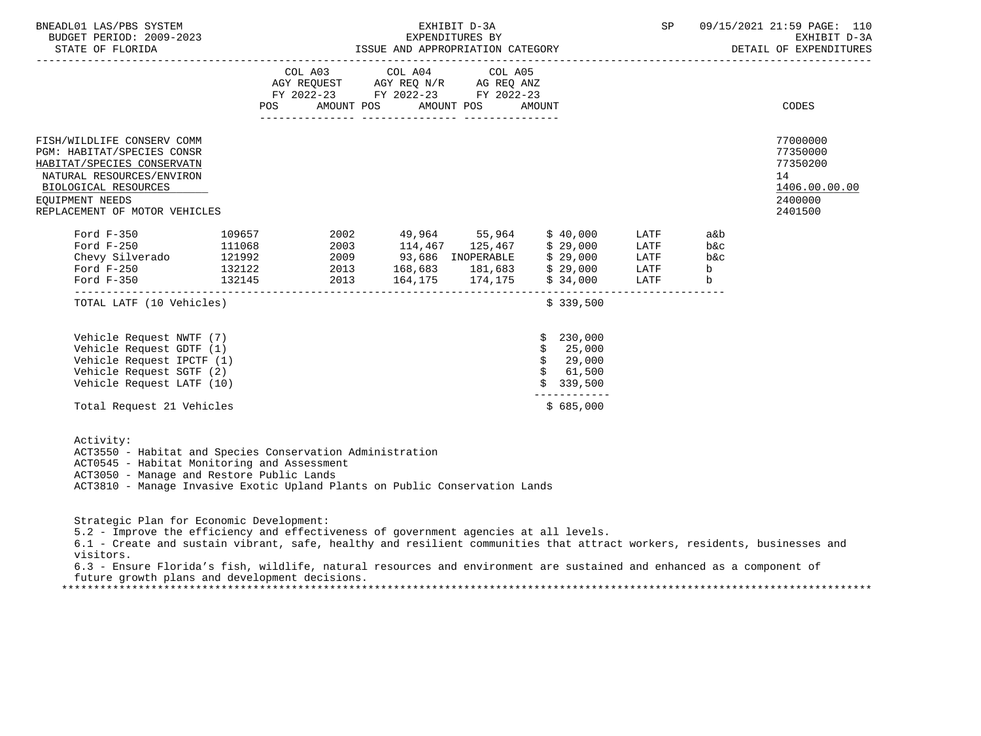| COL A03 COL A04 COL A05<br>AGY REQUEST AGY REQ N/R AG REQ ANZ<br>FY 2022-23 FY 2022-23 FY 2022-23<br>POS AMOUNT POS AMOUNT POS AMOUNT<br>CODES<br>77000000<br>FISH/WILDLIFE CONSERV COMM<br>77350000<br>PGM: HABITAT/SPECIES CONSR<br>77350200<br>HABITAT/SPECIES CONSERVATN<br>14<br>NATURAL RESOURCES/ENVIRON<br>BIOLOGICAL RESOURCES<br>2400000<br>EOUIPMENT NEEDS<br>2401500<br>REPLACEMENT OF MOTOR VEHICLES<br>LATF<br>a&b<br>Ford F-250 111068 2003 114,467 125,467 \$29,000<br>Chevy Silverado 121992 2009 93,686 INOPERABLE \$29,000<br>Ford F-250 132122 2013 168,683 181,683 \$29,000<br>LATF<br><b>b</b> &c<br>$b$ & $c$<br>LATF<br>b<br>LATF<br>164,175 174,175 \$34,000<br>Ford F-350 132145<br>2013<br>LATF<br>$\mathbf b$<br>TOTAL LATF (10 Vehicles)<br>\$339,500<br>Vehicle Request NWTF (7)<br>230,000<br>Vehicle Request GDTF (1)<br>25,000<br>\$<br>Vehicle Request IPCTF (1)<br>\$29,000<br>Vehicle Request SGTF (2)<br>\$61,500<br>Vehicle Request LATF (10)<br>339,500<br>-----------<br>\$685,000<br>Total Request 21 Vehicles | BNEADL01 LAS/PBS SYSTEM<br>BUDGET PERIOD: 2009-2023<br>STATE OF FLORIDA |  |  | EXHIBIT D-3A<br>EXPENDITURES BY |  | SP | 09/15/2021 21:59 PAGE: 110<br>EXHIBIT D-3A<br>ISSUE AND APPROPRIATION CATEGORY <b>Extracted TEST AND APPROPRIATION</b> CATEGORY |
|---------------------------------------------------------------------------------------------------------------------------------------------------------------------------------------------------------------------------------------------------------------------------------------------------------------------------------------------------------------------------------------------------------------------------------------------------------------------------------------------------------------------------------------------------------------------------------------------------------------------------------------------------------------------------------------------------------------------------------------------------------------------------------------------------------------------------------------------------------------------------------------------------------------------------------------------------------------------------------------------------------------------------------------------------------|-------------------------------------------------------------------------|--|--|---------------------------------|--|----|---------------------------------------------------------------------------------------------------------------------------------|
|                                                                                                                                                                                                                                                                                                                                                                                                                                                                                                                                                                                                                                                                                                                                                                                                                                                                                                                                                                                                                                                         |                                                                         |  |  |                                 |  |    |                                                                                                                                 |
|                                                                                                                                                                                                                                                                                                                                                                                                                                                                                                                                                                                                                                                                                                                                                                                                                                                                                                                                                                                                                                                         |                                                                         |  |  |                                 |  |    | 1406.00.00.00                                                                                                                   |
|                                                                                                                                                                                                                                                                                                                                                                                                                                                                                                                                                                                                                                                                                                                                                                                                                                                                                                                                                                                                                                                         |                                                                         |  |  |                                 |  |    |                                                                                                                                 |
|                                                                                                                                                                                                                                                                                                                                                                                                                                                                                                                                                                                                                                                                                                                                                                                                                                                                                                                                                                                                                                                         |                                                                         |  |  |                                 |  |    |                                                                                                                                 |
|                                                                                                                                                                                                                                                                                                                                                                                                                                                                                                                                                                                                                                                                                                                                                                                                                                                                                                                                                                                                                                                         |                                                                         |  |  |                                 |  |    |                                                                                                                                 |
|                                                                                                                                                                                                                                                                                                                                                                                                                                                                                                                                                                                                                                                                                                                                                                                                                                                                                                                                                                                                                                                         |                                                                         |  |  |                                 |  |    |                                                                                                                                 |

| Activity: |                                                           |
|-----------|-----------------------------------------------------------|
|           | ACT3550 - Habitat and Species Conservation Administration |
|           | ACT0545 - Habitat Monitoring and Assessment               |
|           | ACT3050 - Manage and Restore Public Lands                 |
|           |                                                           |

ACT3810 - Manage Invasive Exotic Upland Plants on Public Conservation Lands

Strategic Plan for Economic Development:

5.2 - Improve the efficiency and effectiveness of government agencies at all levels.

 6.1 - Create and sustain vibrant, safe, healthy and resilient communities that attract workers, residents, businesses and visitors.

 6.3 - Ensure Florida's fish, wildlife, natural resources and environment are sustained and enhanced as a component of future growth plans and development decisions.

\*\*\*\*\*\*\*\*\*\*\*\*\*\*\*\*\*\*\*\*\*\*\*\*\*\*\*\*\*\*\*\*\*\*\*\*\*\*\*\*\*\*\*\*\*\*\*\*\*\*\*\*\*\*\*\*\*\*\*\*\*\*\*\*\*\*\*\*\*\*\*\*\*\*\*\*\*\*\*\*\*\*\*\*\*\*\*\*\*\*\*\*\*\*\*\*\*\*\*\*\*\*\*\*\*\*\*\*\*\*\*\*\*\*\*\*\*\*\*\*\*\*\*\*\*\*\*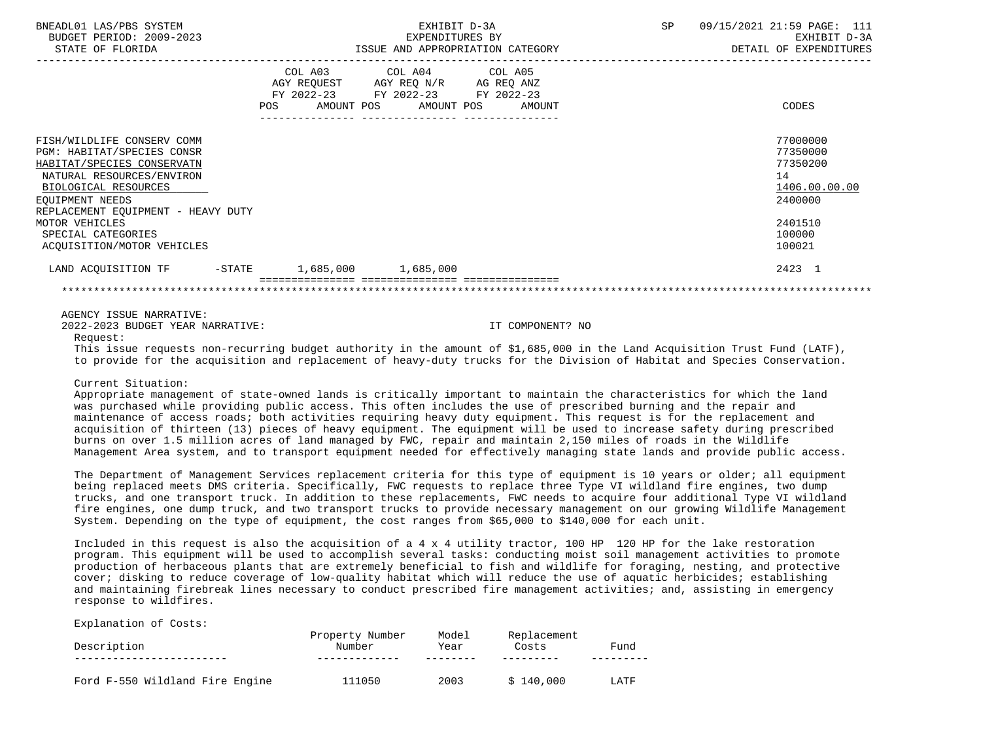| BNEADL01 LAS/PBS SYSTEM<br>BUDGET PERIOD: 2009-2023<br>STATE OF FLORIDA                                                                                                                              |                                  | EXHIBIT D-3A<br>EXPENDITURES BY<br>ISSUE AND APPROPRIATION CATEGORY                                                                   | 09/15/2021 21:59 PAGE: 111<br>SP<br>EXHIBIT D-3A<br>DETAIL OF EXPENDITURES |
|------------------------------------------------------------------------------------------------------------------------------------------------------------------------------------------------------|----------------------------------|---------------------------------------------------------------------------------------------------------------------------------------|----------------------------------------------------------------------------|
|                                                                                                                                                                                                      | --------------- ---------------- | COL A03 COL A04 COL A05<br>AGY REQUEST AGY REQ N/R AG REQ ANZ<br>FY 2022-23 FY 2022-23 FY 2022-23<br>POS AMOUNT POS AMOUNT POS AMOUNT | CODES                                                                      |
| FISH/WILDLIFE CONSERV COMM<br>PGM: HABITAT/SPECIES CONSR<br>HABITAT/SPECIES CONSERVATN<br>NATURAL RESOURCES/ENVIRON<br>BIOLOGICAL RESOURCES<br>EOUIPMENT NEEDS<br>REPLACEMENT EQUIPMENT - HEAVY DUTY |                                  |                                                                                                                                       | 77000000<br>77350000<br>77350200<br>14<br>1406.00.00.00<br>2400000         |
| MOTOR VEHICLES<br>SPECIAL CATEGORIES<br>ACOUISITION/MOTOR VEHICLES                                                                                                                                   |                                  |                                                                                                                                       | 2401510<br>100000<br>100021                                                |
| LAND ACOUISITION TF -STATE 1,685,000 1,685,000                                                                                                                                                       |                                  |                                                                                                                                       | 2423 1                                                                     |
|                                                                                                                                                                                                      |                                  |                                                                                                                                       |                                                                            |

2022-2023 BUDGET YEAR NARRATIVE: IT COMPONENT? NO

Request:

 This issue requests non-recurring budget authority in the amount of \$1,685,000 in the Land Acquisition Trust Fund (LATF), to provide for the acquisition and replacement of heavy-duty trucks for the Division of Habitat and Species Conservation.

# Current Situation:

 Appropriate management of state-owned lands is critically important to maintain the characteristics for which the land was purchased while providing public access. This often includes the use of prescribed burning and the repair and maintenance of access roads; both activities requiring heavy duty equipment. This request is for the replacement and acquisition of thirteen (13) pieces of heavy equipment. The equipment will be used to increase safety during prescribed burns on over 1.5 million acres of land managed by FWC, repair and maintain 2,150 miles of roads in the Wildlife Management Area system, and to transport equipment needed for effectively managing state lands and provide public access.

 The Department of Management Services replacement criteria for this type of equipment is 10 years or older; all equipment being replaced meets DMS criteria. Specifically, FWC requests to replace three Type VI wildland fire engines, two dump trucks, and one transport truck. In addition to these replacements, FWC needs to acquire four additional Type VI wildland fire engines, one dump truck, and two transport trucks to provide necessary management on our growing Wildlife Management System. Depending on the type of equipment, the cost ranges from \$65,000 to \$140,000 for each unit.

 Included in this request is also the acquisition of a 4 x 4 utility tractor, 100 HP 120 HP for the lake restoration program. This equipment will be used to accomplish several tasks: conducting moist soil management activities to promote production of herbaceous plants that are extremely beneficial to fish and wildlife for foraging, nesting, and protective cover; disking to reduce coverage of low-quality habitat which will reduce the use of aquatic herbicides; establishing and maintaining firebreak lines necessary to conduct prescribed fire management activities; and, assisting in emergency response to wildfires.

## Explanation of Costs:

| Description                     | Property Number<br>Number | Model<br>Year | Replacement<br>Costs | Fund |
|---------------------------------|---------------------------|---------------|----------------------|------|
|                                 |                           |               |                      |      |
| Ford F-550 Wildland Fire Engine | 111050                    | 2003          | \$140.000            | LATF |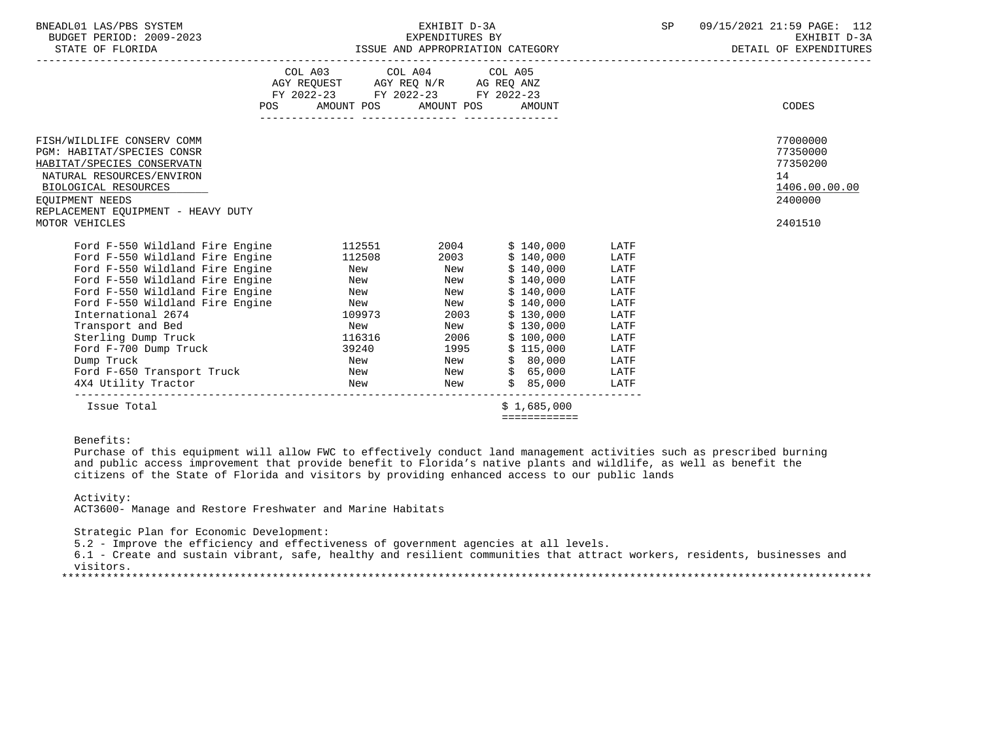| BNEADL01<br>LAS/PBS SYSTEM     | EX.H.I                              | SD | 09/15/2021<br>$\mathtt{PAGE}$ :<br>21:59                                                                                                                                                                                      | - - -<br>⊥⊥∠ |
|--------------------------------|-------------------------------------|----|-------------------------------------------------------------------------------------------------------------------------------------------------------------------------------------------------------------------------------|--------------|
| 2009-2023<br>PERIOD:<br>BUDGET | EXPENDITURES BY                     |    | EXHIBIT                                                                                                                                                                                                                       | $D - 3D$     |
| $27.777$ $27.777$ $27.777$     | $    -$<br>$\overline{\phantom{a}}$ |    | post the only published property of the state of the state of the state of the state of the state of the state of the state of the state of the state of the state of the state of the state of the state of the state of the |              |

STATE OF FLORIDA STATE OF STATE OF EXPENDITURES ISSUE AND APPROPRIATION CATEGORY STATE OF EXPENDITURES

| <b>POS</b>                                                                                                                                                                                                                                                                                                                                                                   | COL A03 COL A04 COL A05<br>AGY REQUEST AGY REQ N/R AG REQ ANZ<br>FY 2022-23 FY 2022-23 FY 2022-23<br>AMOUNT POS AMOUNT POS |                                                                                              | AMOUNT                                                                                                                                                             |                                                                                                      | CODES                                                              |
|------------------------------------------------------------------------------------------------------------------------------------------------------------------------------------------------------------------------------------------------------------------------------------------------------------------------------------------------------------------------------|----------------------------------------------------------------------------------------------------------------------------|----------------------------------------------------------------------------------------------|--------------------------------------------------------------------------------------------------------------------------------------------------------------------|------------------------------------------------------------------------------------------------------|--------------------------------------------------------------------|
|                                                                                                                                                                                                                                                                                                                                                                              |                                                                                                                            |                                                                                              |                                                                                                                                                                    |                                                                                                      |                                                                    |
| FISH/WILDLIFE CONSERV COMM<br>PGM: HABITAT/SPECIES CONSR<br>HABITAT/SPECIES CONSERVATN<br>NATURAL RESOURCES/ENVIRON<br>BIOLOGICAL RESOURCES<br>EOUIPMENT NEEDS                                                                                                                                                                                                               |                                                                                                                            |                                                                                              |                                                                                                                                                                    |                                                                                                      | 77000000<br>77350000<br>77350200<br>14<br>1406.00.00.00<br>2400000 |
| REPLACEMENT EQUIPMENT - HEAVY DUTY<br>MOTOR VEHICLES                                                                                                                                                                                                                                                                                                                         |                                                                                                                            |                                                                                              |                                                                                                                                                                    |                                                                                                      | 2401510                                                            |
|                                                                                                                                                                                                                                                                                                                                                                              |                                                                                                                            |                                                                                              |                                                                                                                                                                    |                                                                                                      |                                                                    |
| Ford F-550 Wildland Fire Engine<br>Ford F-550 Wildland Fire Engine<br>Ford F-550 Wildland Fire Engine<br>Ford F-550 Wildland Fire Engine<br>Ford F-550 Wildland Fire Engine<br>Ford F-550 Wildland Fire Engine<br>International 2674<br>Transport and Bed<br>Sterling Dump Truck<br>Ford F-700 Dump Truck<br>Dump Truck<br>Ford F-650 Transport Truck<br>4X4 Utility Tractor | 112551<br>112508<br>New<br>New<br>New<br>New<br>109973<br>New<br>116316<br>39240<br>New<br>New<br>New                      | 2004<br>2003<br>New<br>New<br>New<br>New<br>2003<br>New<br>2006<br>1995<br>New<br>New<br>New | \$140,000<br>\$140,000<br>\$140,000<br>\$140,000<br>\$140,000<br>\$140,000<br>\$130,000<br>\$130,000<br>\$100,000<br>\$115,000<br>\$80,000<br>\$65,000<br>\$85,000 | LATF<br>LATF<br>LATF<br>LATF<br>LATF<br>LATF<br>LATF<br>LATF<br>LATF<br>LATF<br>LATF<br>LATF<br>LATF |                                                                    |
| Issue Total                                                                                                                                                                                                                                                                                                                                                                  |                                                                                                                            |                                                                                              | \$1.685.000<br>============                                                                                                                                        |                                                                                                      |                                                                    |

Benefits:

 Purchase of this equipment will allow FWC to effectively conduct land management activities such as prescribed burning and public access improvement that provide benefit to Florida's native plants and wildlife, as well as benefit the citizens of the State of Florida and visitors by providing enhanced access to our public lands

# Activity:

ACT3600- Manage and Restore Freshwater and Marine Habitats

Strategic Plan for Economic Development:

5.2 - Improve the efficiency and effectiveness of government agencies at all levels.

 6.1 - Create and sustain vibrant, safe, healthy and resilient communities that attract workers, residents, businesses and visitors.

\*\*\*\*\*\*\*\*\*\*\*\*\*\*\*\*\*\*\*\*\*\*\*\*\*\*\*\*\*\*\*\*\*\*\*\*\*\*\*\*\*\*\*\*\*\*\*\*\*\*\*\*\*\*\*\*\*\*\*\*\*\*\*\*\*\*\*\*\*\*\*\*\*\*\*\*\*\*\*\*\*\*\*\*\*\*\*\*\*\*\*\*\*\*\*\*\*\*\*\*\*\*\*\*\*\*\*\*\*\*\*\*\*\*\*\*\*\*\*\*\*\*\*\*\*\*\*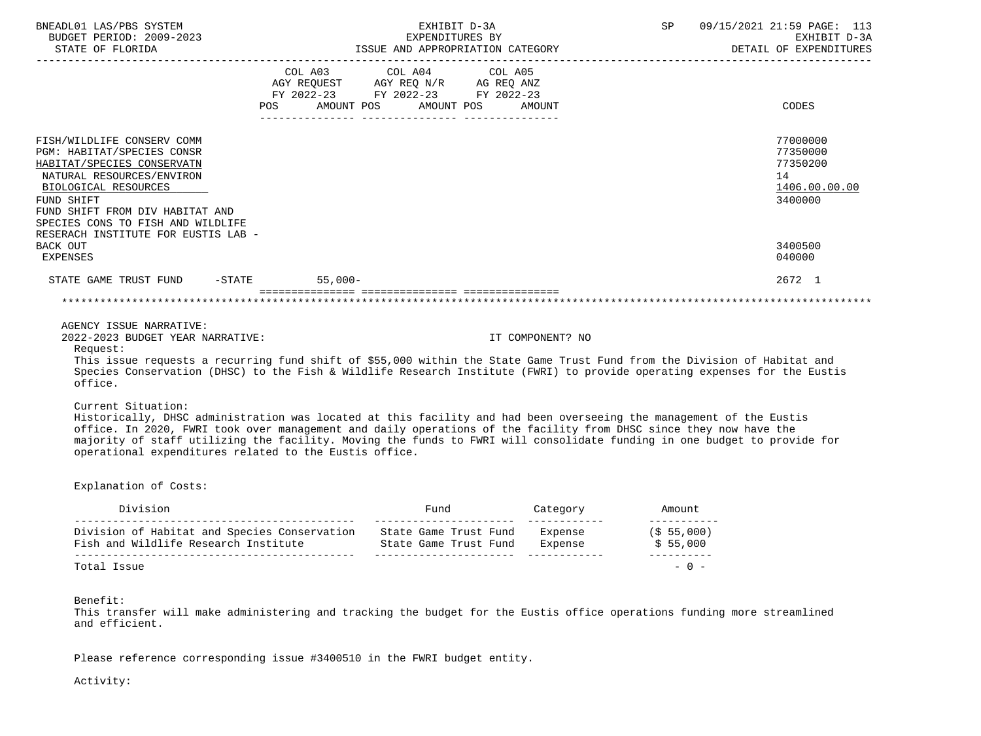| BNEADL01 LAS/PBS SYSTEM<br>BUDGET PERIOD: 2009-2023<br>STATE OF FLORIDA                                                                                                                                                                                                                                                                                                                                                                              | EXHIBIT D-3A<br>EXPENDITURES BY<br>ISSUE AND APPROPRIATION CATEGORY |                                                                                                                 |      |            | SP<br>09/15/2021 21:59 PAGE: 113<br>EXHIBIT D-3A<br>DETAIL OF EXPENDITURES |        |                                                                    |
|------------------------------------------------------------------------------------------------------------------------------------------------------------------------------------------------------------------------------------------------------------------------------------------------------------------------------------------------------------------------------------------------------------------------------------------------------|---------------------------------------------------------------------|-----------------------------------------------------------------------------------------------------------------|------|------------|----------------------------------------------------------------------------|--------|--------------------------------------------------------------------|
|                                                                                                                                                                                                                                                                                                                                                                                                                                                      | POS                                                                 | COL A03 COL A04 COL A05<br>AGY REQUEST AGY REQ N/R AG REQ ANZ<br>FY 2022-23 FY 2022-23 FY 2022-23<br>AMOUNT POS |      | AMOUNT POS | AMOUNT                                                                     |        | CODES                                                              |
| FISH/WILDLIFE CONSERV COMM<br>PGM: HABITAT/SPECIES CONSR<br>HABITAT/SPECIES CONSERVATN<br>NATURAL RESOURCES/ENVIRON<br>BIOLOGICAL RESOURCES<br>FUND SHIFT<br>FUND SHIFT FROM DIV HABITAT AND<br>SPECIES CONS TO FISH AND WILDLIFE                                                                                                                                                                                                                    |                                                                     |                                                                                                                 |      |            |                                                                            |        | 77000000<br>77350000<br>77350200<br>14<br>1406.00.00.00<br>3400000 |
| RESERACH INSTITUTE FOR EUSTIS LAB -<br>BACK OUT<br>EXPENSES                                                                                                                                                                                                                                                                                                                                                                                          |                                                                     |                                                                                                                 |      |            |                                                                            |        | 3400500<br>040000                                                  |
| STATE GAME TRUST FUND -STATE                                                                                                                                                                                                                                                                                                                                                                                                                         |                                                                     | $55,000-$                                                                                                       |      |            |                                                                            |        | 2672 1                                                             |
|                                                                                                                                                                                                                                                                                                                                                                                                                                                      |                                                                     |                                                                                                                 |      |            |                                                                            |        |                                                                    |
| AGENCY ISSUE NARRATIVE:<br>2022-2023 BUDGET YEAR NARRATIVE:<br>Request:                                                                                                                                                                                                                                                                                                                                                                              |                                                                     |                                                                                                                 |      |            | IT COMPONENT? NO                                                           |        |                                                                    |
| This issue requests a recurring fund shift of \$55,000 within the State Game Trust Fund from the Division of Habitat and<br>Species Conservation (DHSC) to the Fish & Wildlife Research Institute (FWRI) to provide operating expenses for the Eustis<br>office.                                                                                                                                                                                     |                                                                     |                                                                                                                 |      |            |                                                                            |        |                                                                    |
| Current Situation:<br>Historically, DHSC administration was located at this facility and had been overseeing the management of the Eustis<br>office. In 2020, FWRI took over management and daily operations of the facility from DHSC since they now have the<br>majority of staff utilizing the facility. Moving the funds to FWRI will consolidate funding in one budget to provide for<br>operational expenditures related to the Eustis office. |                                                                     |                                                                                                                 |      |            |                                                                            |        |                                                                    |
| Explanation of Costs:                                                                                                                                                                                                                                                                                                                                                                                                                                |                                                                     |                                                                                                                 |      |            |                                                                            |        |                                                                    |
| Division                                                                                                                                                                                                                                                                                                                                                                                                                                             |                                                                     |                                                                                                                 | Fund |            | Category                                                                   | Amount |                                                                    |

| <b>DIVIDIUI</b>                                                                      | r unu                                          | Caccyory           | AIIIU UII L            |
|--------------------------------------------------------------------------------------|------------------------------------------------|--------------------|------------------------|
| Division of Habitat and Species Conservation<br>Fish and Wildlife Research Institute | State Game Trust Fund<br>State Game Trust Fund | Expense<br>Expense | (S 55.000)<br>\$55.000 |
| Total Issue                                                                          |                                                |                    | $-0 -$                 |

Benefit:

 This transfer will make administering and tracking the budget for the Eustis office operations funding more streamlined and efficient.

Please reference corresponding issue #3400510 in the FWRI budget entity.

Activity: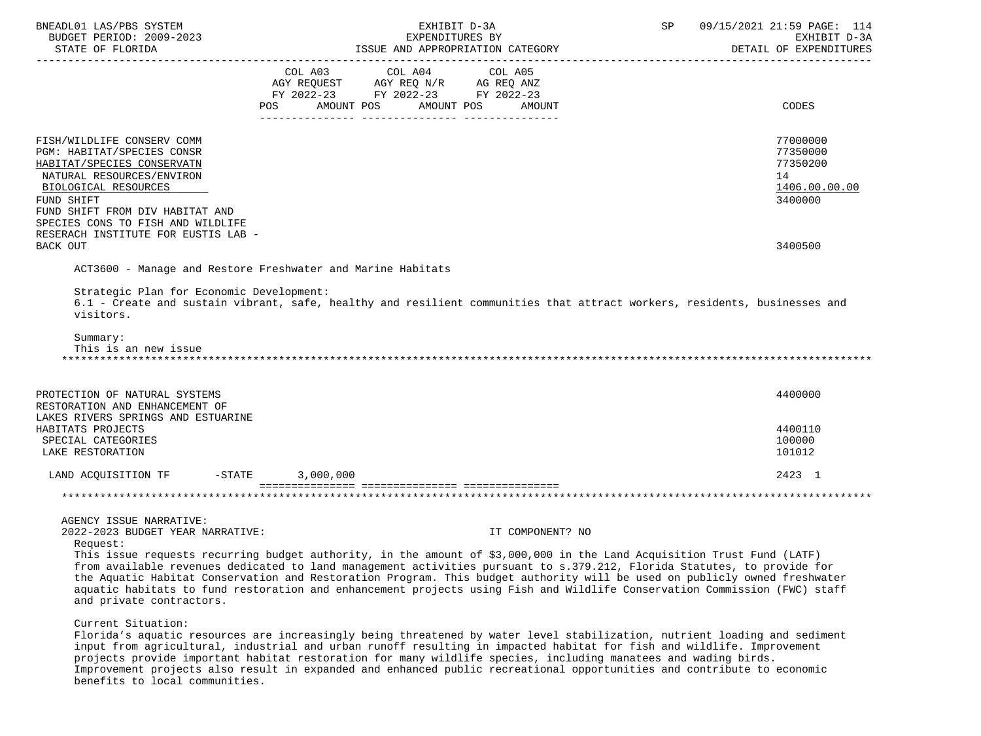| BNEADL01 LAS/PBS SYSTEM<br>BUDGET PERIOD: 2009-2023<br>STATE OF FLORIDA                                                                                                                                                           | EXHIBIT D-3A<br>EXPENDITURES BY<br>ISSUE AND APPROPRIATION CATEGORY                                                                                                                                                                                                                                                                                                                                                                                                                                                             | 09/15/2021 21:59 PAGE: 114<br>SP<br>EXHIBIT D-3A<br>DETAIL OF EXPENDITURES |
|-----------------------------------------------------------------------------------------------------------------------------------------------------------------------------------------------------------------------------------|---------------------------------------------------------------------------------------------------------------------------------------------------------------------------------------------------------------------------------------------------------------------------------------------------------------------------------------------------------------------------------------------------------------------------------------------------------------------------------------------------------------------------------|----------------------------------------------------------------------------|
|                                                                                                                                                                                                                                   | COL A03 COL A04 COL A05<br>AGY REQUEST AGY REQ N/R AG REQ ANZ<br>FY 2022-23 FY 2022-23 FY 2022-23<br>AMOUNT POS<br>AMOUNT POS<br>POS<br>AMOUNT                                                                                                                                                                                                                                                                                                                                                                                  | CODES                                                                      |
| FISH/WILDLIFE CONSERV COMM<br>PGM: HABITAT/SPECIES CONSR<br>HABITAT/SPECIES CONSERVATN<br>NATURAL RESOURCES/ENVIRON<br>BIOLOGICAL RESOURCES<br>FUND SHIFT<br>FUND SHIFT FROM DIV HABITAT AND<br>SPECIES CONS TO FISH AND WILDLIFE |                                                                                                                                                                                                                                                                                                                                                                                                                                                                                                                                 | 77000000<br>77350000<br>77350200<br>14<br>1406.00.00.00<br>3400000         |
| RESERACH INSTITUTE FOR EUSTIS LAB -<br>BACK OUT                                                                                                                                                                                   |                                                                                                                                                                                                                                                                                                                                                                                                                                                                                                                                 | 3400500                                                                    |
|                                                                                                                                                                                                                                   | ACT3600 - Manage and Restore Freshwater and Marine Habitats                                                                                                                                                                                                                                                                                                                                                                                                                                                                     |                                                                            |
| Strategic Plan for Economic Development:<br>visitors.<br>Summary:<br>This is an new issue                                                                                                                                         | 6.1 - Create and sustain vibrant, safe, healthy and resilient communities that attract workers, residents, businesses and                                                                                                                                                                                                                                                                                                                                                                                                       |                                                                            |
| PROTECTION OF NATURAL SYSTEMS<br>RESTORATION AND ENHANCEMENT OF                                                                                                                                                                   |                                                                                                                                                                                                                                                                                                                                                                                                                                                                                                                                 | 4400000                                                                    |
| LAKES RIVERS SPRINGS AND ESTUARINE<br>HABITATS PROJECTS<br>SPECIAL CATEGORIES<br>LAKE RESTORATION                                                                                                                                 |                                                                                                                                                                                                                                                                                                                                                                                                                                                                                                                                 | 4400110<br>100000<br>101012                                                |
| LAND ACQUISITION TF -STATE 3,000,000                                                                                                                                                                                              |                                                                                                                                                                                                                                                                                                                                                                                                                                                                                                                                 | 2423 1                                                                     |
|                                                                                                                                                                                                                                   |                                                                                                                                                                                                                                                                                                                                                                                                                                                                                                                                 |                                                                            |
| AGENCY ISSUE NARRATIVE:<br>2022-2023 BUDGET YEAR NARRATIVE:<br>Request:<br>and private contractors.                                                                                                                               | IT COMPONENT? NO<br>This issue requests recurring budget authority, in the amount of \$3,000,000 in the Land Acquisition Trust Fund (LATF)<br>from available revenues dedicated to land management activities pursuant to s.379.212, Florida Statutes, to provide for<br>the Aquatic Habitat Conservation and Restoration Program. This budget authority will be used on publicly owned freshwater<br>aquatic habitats to fund restoration and enhancement projects using Fish and Wildlife Conservation Commission (FWC) staff |                                                                            |
| Current Situation:                                                                                                                                                                                                                | Florida's aquatic resources are increasingly being threatened by water level stabilization, nutrient loading and sediment<br>input from agricultural, industrial and urban runoff resulting in impacted habitat for fish and wildlife. Improvement<br>projects provide important habitat restoration for many wildlife species, including manatees and wading birds.                                                                                                                                                            |                                                                            |

 Improvement projects also result in expanded and enhanced public recreational opportunities and contribute to economic benefits to local communities.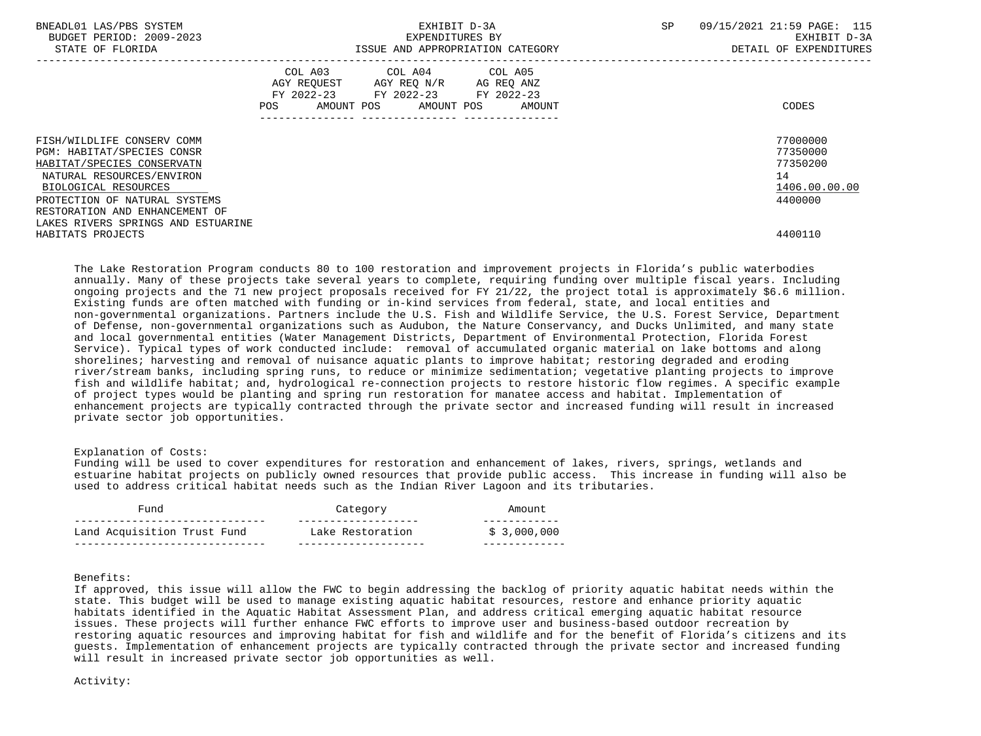| BNEADL01 LAS/PBS SYSTEM<br>BUDGET PERIOD: 2009-2023<br>STATE OF FLORIDA |                              | EXHIBIT D-3A<br>EXPENDITURES BY<br>ISSUE AND APPROPRIATION CATEGORY                                     |        | SP. | 09/15/2021 21:59 PAGE: 115<br>EXHIBIT D-3A<br>DETAIL OF EXPENDITURES |
|-------------------------------------------------------------------------|------------------------------|---------------------------------------------------------------------------------------------------------|--------|-----|----------------------------------------------------------------------|
|                                                                         | COL A03<br>POS<br>AMOUNT POS | COL A04 COL A05<br>AGY REQUEST AGY REO N/R AG REO ANZ<br>FY 2022-23 FY 2022-23 FY 2022-23<br>AMOUNT POS | AMOUNT |     | CODES                                                                |
| FISH/WILDLIFE CONSERV COMM                                              |                              |                                                                                                         |        |     | 77000000                                                             |
| PGM: HABITAT/SPECIES CONSR                                              |                              |                                                                                                         |        |     | 77350000<br>77350200                                                 |
| HABITAT/SPECIES CONSERVATN                                              |                              |                                                                                                         |        |     | 14                                                                   |
| NATURAL RESOURCES/ENVIRON                                               |                              |                                                                                                         |        |     |                                                                      |
| BIOLOGICAL RESOURCES                                                    |                              |                                                                                                         |        |     | 1406.00.00.00                                                        |
| PROTECTION OF NATURAL SYSTEMS                                           |                              |                                                                                                         |        |     | 4400000                                                              |
| RESTORATION AND ENHANCEMENT OF                                          |                              |                                                                                                         |        |     |                                                                      |
| LAKES RIVERS SPRINGS AND ESTUARINE                                      |                              |                                                                                                         |        |     |                                                                      |
| HABITATS PROJECTS                                                       |                              |                                                                                                         |        |     | 4400110                                                              |

 The Lake Restoration Program conducts 80 to 100 restoration and improvement projects in Florida's public waterbodies annually. Many of these projects take several years to complete, requiring funding over multiple fiscal years. Including ongoing projects and the 71 new project proposals received for FY 21/22, the project total is approximately \$6.6 million. Existing funds are often matched with funding or in-kind services from federal, state, and local entities and non-governmental organizations. Partners include the U.S. Fish and Wildlife Service, the U.S. Forest Service, Department of Defense, non-governmental organizations such as Audubon, the Nature Conservancy, and Ducks Unlimited, and many state and local governmental entities (Water Management Districts, Department of Environmental Protection, Florida Forest Service). Typical types of work conducted include: removal of accumulated organic material on lake bottoms and along shorelines; harvesting and removal of nuisance aquatic plants to improve habitat; restoring degraded and eroding river/stream banks, including spring runs, to reduce or minimize sedimentation; vegetative planting projects to improve fish and wildlife habitat; and, hydrological re-connection projects to restore historic flow regimes. A specific example of project types would be planting and spring run restoration for manatee access and habitat. Implementation of enhancement projects are typically contracted through the private sector and increased funding will result in increased private sector job opportunities.

# Explanation of Costs:

 Funding will be used to cover expenditures for restoration and enhancement of lakes, rivers, springs, wetlands and estuarine habitat projects on publicly owned resources that provide public access. This increase in funding will also be used to address critical habitat needs such as the Indian River Lagoon and its tributaries.

| Fund                        | Category         | Amount       |
|-----------------------------|------------------|--------------|
| Land Acquisition Trust Fund | Lake Restoration | \$ 3,000,000 |

# Benefits:

 If approved, this issue will allow the FWC to begin addressing the backlog of priority aquatic habitat needs within the state. This budget will be used to manage existing aquatic habitat resources, restore and enhance priority aquatic habitats identified in the Aquatic Habitat Assessment Plan, and address critical emerging aquatic habitat resource issues. These projects will further enhance FWC efforts to improve user and business-based outdoor recreation by restoring aquatic resources and improving habitat for fish and wildlife and for the benefit of Florida's citizens and its guests. Implementation of enhancement projects are typically contracted through the private sector and increased funding will result in increased private sector job opportunities as well.

#### Activity: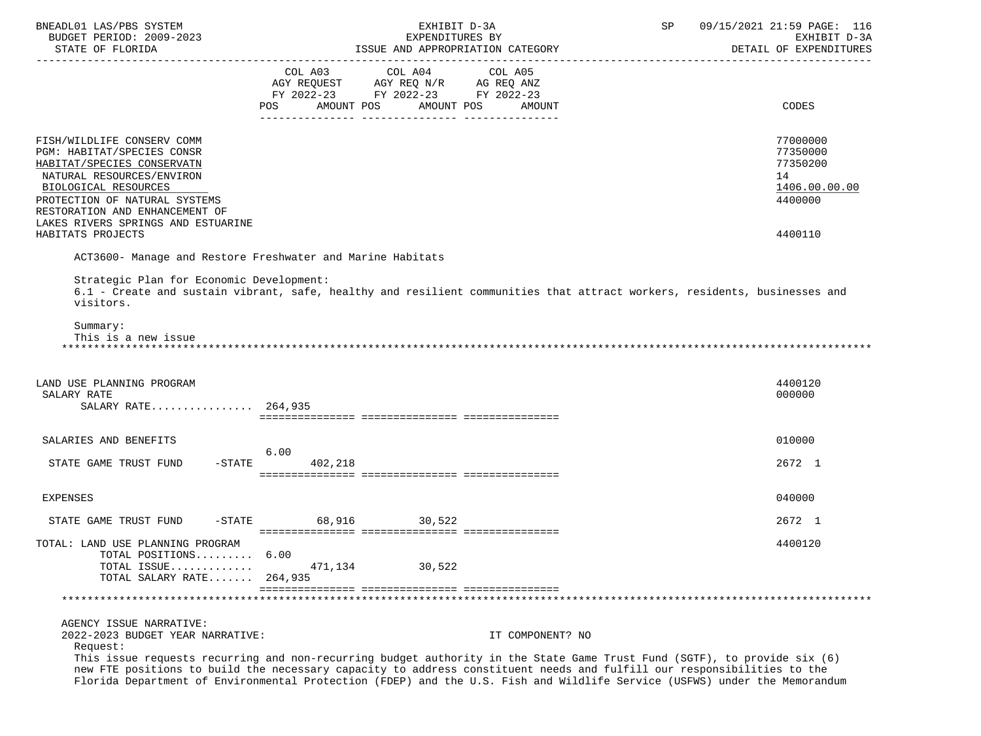| BUDGET PERIOD: 2009-2023<br>EXPENDITURES BY<br>EXHIBIT D-3A<br>ISSUE AND APPROPRIATION CATEGORY<br>DETAIL OF EXPENDITURES<br>STATE OF FLORIDA<br>COL A03<br>COL A04<br>COL A05<br>AGY REQUEST AGY REQ N/R AG REQ ANZ<br>FY 2022-23 FY 2022-23 FY 2022-23<br><b>POS</b><br>AMOUNT POS<br>AMOUNT POS AMOUNT<br>CODES<br>FISH/WILDLIFE CONSERV COMM<br>77000000<br>PGM: HABITAT/SPECIES CONSR<br>77350000<br>77350200<br>HABITAT/SPECIES CONSERVATN<br>NATURAL RESOURCES/ENVIRON<br>14<br>BIOLOGICAL RESOURCES<br>1406.00.00.00<br>PROTECTION OF NATURAL SYSTEMS<br>4400000<br>RESTORATION AND ENHANCEMENT OF<br>LAKES RIVERS SPRINGS AND ESTUARINE<br>HABITATS PROJECTS<br>4400110<br>ACT3600- Manage and Restore Freshwater and Marine Habitats<br>Strategic Plan for Economic Development:<br>6.1 - Create and sustain vibrant, safe, healthy and resilient communities that attract workers, residents, businesses and<br>visitors.<br>Summary:<br>This is a new issue<br>LAND USE PLANNING PROGRAM<br>4400120<br>SALARY RATE<br>000000<br>SALARY RATE 264,935<br>SALARIES AND BENEFITS<br>010000<br>6.00<br>$-$ STATE 402, 218<br>2672 1<br>STATE GAME TRUST FUND<br>040000<br><b>EXPENSES</b><br>-STATE 68,916 30,522<br>STATE GAME TRUST FUND<br>2672 1<br>TOTAL: LAND USE PLANNING PROGRAM<br>4400120<br>TOTAL POSITIONS 6.00<br>TOTAL ISSUE<br>471,134<br>30,522<br>TOTAL SALARY RATE 264,935<br>AGENCY ISSUE NARRATIVE:<br>2022-2023 BUDGET YEAR NARRATIVE:<br>IT COMPONENT? NO<br>Request:<br>This issue requests recurring and non-recurring budget authority in the State Game Trust Fund (SGTF), to provide six (6)<br>new FTE positions to build the necessary capacity to address constituent needs and fulfill our responsibilities to the<br>Florida Department of Environmental Protection (FDEP) and the U.S. Fish and Wildlife Service (USFWS) under the Memorandum | BNEADL01 LAS/PBS SYSTEM | EXHIBIT D-3A | 09/15/2021 21:59 PAGE: 116<br>SP |
|---------------------------------------------------------------------------------------------------------------------------------------------------------------------------------------------------------------------------------------------------------------------------------------------------------------------------------------------------------------------------------------------------------------------------------------------------------------------------------------------------------------------------------------------------------------------------------------------------------------------------------------------------------------------------------------------------------------------------------------------------------------------------------------------------------------------------------------------------------------------------------------------------------------------------------------------------------------------------------------------------------------------------------------------------------------------------------------------------------------------------------------------------------------------------------------------------------------------------------------------------------------------------------------------------------------------------------------------------------------------------------------------------------------------------------------------------------------------------------------------------------------------------------------------------------------------------------------------------------------------------------------------------------------------------------------------------------------------------------------------------------------------------------------------------------------------------------------------------------------------------------------|-------------------------|--------------|----------------------------------|
|                                                                                                                                                                                                                                                                                                                                                                                                                                                                                                                                                                                                                                                                                                                                                                                                                                                                                                                                                                                                                                                                                                                                                                                                                                                                                                                                                                                                                                                                                                                                                                                                                                                                                                                                                                                                                                                                                       |                         |              |                                  |
|                                                                                                                                                                                                                                                                                                                                                                                                                                                                                                                                                                                                                                                                                                                                                                                                                                                                                                                                                                                                                                                                                                                                                                                                                                                                                                                                                                                                                                                                                                                                                                                                                                                                                                                                                                                                                                                                                       |                         |              |                                  |
|                                                                                                                                                                                                                                                                                                                                                                                                                                                                                                                                                                                                                                                                                                                                                                                                                                                                                                                                                                                                                                                                                                                                                                                                                                                                                                                                                                                                                                                                                                                                                                                                                                                                                                                                                                                                                                                                                       |                         |              |                                  |
|                                                                                                                                                                                                                                                                                                                                                                                                                                                                                                                                                                                                                                                                                                                                                                                                                                                                                                                                                                                                                                                                                                                                                                                                                                                                                                                                                                                                                                                                                                                                                                                                                                                                                                                                                                                                                                                                                       |                         |              |                                  |
|                                                                                                                                                                                                                                                                                                                                                                                                                                                                                                                                                                                                                                                                                                                                                                                                                                                                                                                                                                                                                                                                                                                                                                                                                                                                                                                                                                                                                                                                                                                                                                                                                                                                                                                                                                                                                                                                                       |                         |              |                                  |
|                                                                                                                                                                                                                                                                                                                                                                                                                                                                                                                                                                                                                                                                                                                                                                                                                                                                                                                                                                                                                                                                                                                                                                                                                                                                                                                                                                                                                                                                                                                                                                                                                                                                                                                                                                                                                                                                                       |                         |              |                                  |
|                                                                                                                                                                                                                                                                                                                                                                                                                                                                                                                                                                                                                                                                                                                                                                                                                                                                                                                                                                                                                                                                                                                                                                                                                                                                                                                                                                                                                                                                                                                                                                                                                                                                                                                                                                                                                                                                                       |                         |              |                                  |
|                                                                                                                                                                                                                                                                                                                                                                                                                                                                                                                                                                                                                                                                                                                                                                                                                                                                                                                                                                                                                                                                                                                                                                                                                                                                                                                                                                                                                                                                                                                                                                                                                                                                                                                                                                                                                                                                                       |                         |              |                                  |
|                                                                                                                                                                                                                                                                                                                                                                                                                                                                                                                                                                                                                                                                                                                                                                                                                                                                                                                                                                                                                                                                                                                                                                                                                                                                                                                                                                                                                                                                                                                                                                                                                                                                                                                                                                                                                                                                                       |                         |              |                                  |
|                                                                                                                                                                                                                                                                                                                                                                                                                                                                                                                                                                                                                                                                                                                                                                                                                                                                                                                                                                                                                                                                                                                                                                                                                                                                                                                                                                                                                                                                                                                                                                                                                                                                                                                                                                                                                                                                                       |                         |              |                                  |
|                                                                                                                                                                                                                                                                                                                                                                                                                                                                                                                                                                                                                                                                                                                                                                                                                                                                                                                                                                                                                                                                                                                                                                                                                                                                                                                                                                                                                                                                                                                                                                                                                                                                                                                                                                                                                                                                                       |                         |              |                                  |
|                                                                                                                                                                                                                                                                                                                                                                                                                                                                                                                                                                                                                                                                                                                                                                                                                                                                                                                                                                                                                                                                                                                                                                                                                                                                                                                                                                                                                                                                                                                                                                                                                                                                                                                                                                                                                                                                                       |                         |              |                                  |
|                                                                                                                                                                                                                                                                                                                                                                                                                                                                                                                                                                                                                                                                                                                                                                                                                                                                                                                                                                                                                                                                                                                                                                                                                                                                                                                                                                                                                                                                                                                                                                                                                                                                                                                                                                                                                                                                                       |                         |              |                                  |
|                                                                                                                                                                                                                                                                                                                                                                                                                                                                                                                                                                                                                                                                                                                                                                                                                                                                                                                                                                                                                                                                                                                                                                                                                                                                                                                                                                                                                                                                                                                                                                                                                                                                                                                                                                                                                                                                                       |                         |              |                                  |
|                                                                                                                                                                                                                                                                                                                                                                                                                                                                                                                                                                                                                                                                                                                                                                                                                                                                                                                                                                                                                                                                                                                                                                                                                                                                                                                                                                                                                                                                                                                                                                                                                                                                                                                                                                                                                                                                                       |                         |              |                                  |
|                                                                                                                                                                                                                                                                                                                                                                                                                                                                                                                                                                                                                                                                                                                                                                                                                                                                                                                                                                                                                                                                                                                                                                                                                                                                                                                                                                                                                                                                                                                                                                                                                                                                                                                                                                                                                                                                                       |                         |              |                                  |
|                                                                                                                                                                                                                                                                                                                                                                                                                                                                                                                                                                                                                                                                                                                                                                                                                                                                                                                                                                                                                                                                                                                                                                                                                                                                                                                                                                                                                                                                                                                                                                                                                                                                                                                                                                                                                                                                                       |                         |              |                                  |
|                                                                                                                                                                                                                                                                                                                                                                                                                                                                                                                                                                                                                                                                                                                                                                                                                                                                                                                                                                                                                                                                                                                                                                                                                                                                                                                                                                                                                                                                                                                                                                                                                                                                                                                                                                                                                                                                                       |                         |              |                                  |
|                                                                                                                                                                                                                                                                                                                                                                                                                                                                                                                                                                                                                                                                                                                                                                                                                                                                                                                                                                                                                                                                                                                                                                                                                                                                                                                                                                                                                                                                                                                                                                                                                                                                                                                                                                                                                                                                                       |                         |              |                                  |
|                                                                                                                                                                                                                                                                                                                                                                                                                                                                                                                                                                                                                                                                                                                                                                                                                                                                                                                                                                                                                                                                                                                                                                                                                                                                                                                                                                                                                                                                                                                                                                                                                                                                                                                                                                                                                                                                                       |                         |              |                                  |
|                                                                                                                                                                                                                                                                                                                                                                                                                                                                                                                                                                                                                                                                                                                                                                                                                                                                                                                                                                                                                                                                                                                                                                                                                                                                                                                                                                                                                                                                                                                                                                                                                                                                                                                                                                                                                                                                                       |                         |              |                                  |
|                                                                                                                                                                                                                                                                                                                                                                                                                                                                                                                                                                                                                                                                                                                                                                                                                                                                                                                                                                                                                                                                                                                                                                                                                                                                                                                                                                                                                                                                                                                                                                                                                                                                                                                                                                                                                                                                                       |                         |              |                                  |
|                                                                                                                                                                                                                                                                                                                                                                                                                                                                                                                                                                                                                                                                                                                                                                                                                                                                                                                                                                                                                                                                                                                                                                                                                                                                                                                                                                                                                                                                                                                                                                                                                                                                                                                                                                                                                                                                                       |                         |              |                                  |
|                                                                                                                                                                                                                                                                                                                                                                                                                                                                                                                                                                                                                                                                                                                                                                                                                                                                                                                                                                                                                                                                                                                                                                                                                                                                                                                                                                                                                                                                                                                                                                                                                                                                                                                                                                                                                                                                                       |                         |              |                                  |
|                                                                                                                                                                                                                                                                                                                                                                                                                                                                                                                                                                                                                                                                                                                                                                                                                                                                                                                                                                                                                                                                                                                                                                                                                                                                                                                                                                                                                                                                                                                                                                                                                                                                                                                                                                                                                                                                                       |                         |              |                                  |
|                                                                                                                                                                                                                                                                                                                                                                                                                                                                                                                                                                                                                                                                                                                                                                                                                                                                                                                                                                                                                                                                                                                                                                                                                                                                                                                                                                                                                                                                                                                                                                                                                                                                                                                                                                                                                                                                                       |                         |              |                                  |
|                                                                                                                                                                                                                                                                                                                                                                                                                                                                                                                                                                                                                                                                                                                                                                                                                                                                                                                                                                                                                                                                                                                                                                                                                                                                                                                                                                                                                                                                                                                                                                                                                                                                                                                                                                                                                                                                                       |                         |              |                                  |
|                                                                                                                                                                                                                                                                                                                                                                                                                                                                                                                                                                                                                                                                                                                                                                                                                                                                                                                                                                                                                                                                                                                                                                                                                                                                                                                                                                                                                                                                                                                                                                                                                                                                                                                                                                                                                                                                                       |                         |              |                                  |
|                                                                                                                                                                                                                                                                                                                                                                                                                                                                                                                                                                                                                                                                                                                                                                                                                                                                                                                                                                                                                                                                                                                                                                                                                                                                                                                                                                                                                                                                                                                                                                                                                                                                                                                                                                                                                                                                                       |                         |              |                                  |
|                                                                                                                                                                                                                                                                                                                                                                                                                                                                                                                                                                                                                                                                                                                                                                                                                                                                                                                                                                                                                                                                                                                                                                                                                                                                                                                                                                                                                                                                                                                                                                                                                                                                                                                                                                                                                                                                                       |                         |              |                                  |
|                                                                                                                                                                                                                                                                                                                                                                                                                                                                                                                                                                                                                                                                                                                                                                                                                                                                                                                                                                                                                                                                                                                                                                                                                                                                                                                                                                                                                                                                                                                                                                                                                                                                                                                                                                                                                                                                                       |                         |              |                                  |
|                                                                                                                                                                                                                                                                                                                                                                                                                                                                                                                                                                                                                                                                                                                                                                                                                                                                                                                                                                                                                                                                                                                                                                                                                                                                                                                                                                                                                                                                                                                                                                                                                                                                                                                                                                                                                                                                                       |                         |              |                                  |
|                                                                                                                                                                                                                                                                                                                                                                                                                                                                                                                                                                                                                                                                                                                                                                                                                                                                                                                                                                                                                                                                                                                                                                                                                                                                                                                                                                                                                                                                                                                                                                                                                                                                                                                                                                                                                                                                                       |                         |              |                                  |
|                                                                                                                                                                                                                                                                                                                                                                                                                                                                                                                                                                                                                                                                                                                                                                                                                                                                                                                                                                                                                                                                                                                                                                                                                                                                                                                                                                                                                                                                                                                                                                                                                                                                                                                                                                                                                                                                                       |                         |              |                                  |
|                                                                                                                                                                                                                                                                                                                                                                                                                                                                                                                                                                                                                                                                                                                                                                                                                                                                                                                                                                                                                                                                                                                                                                                                                                                                                                                                                                                                                                                                                                                                                                                                                                                                                                                                                                                                                                                                                       |                         |              |                                  |
|                                                                                                                                                                                                                                                                                                                                                                                                                                                                                                                                                                                                                                                                                                                                                                                                                                                                                                                                                                                                                                                                                                                                                                                                                                                                                                                                                                                                                                                                                                                                                                                                                                                                                                                                                                                                                                                                                       |                         |              |                                  |
|                                                                                                                                                                                                                                                                                                                                                                                                                                                                                                                                                                                                                                                                                                                                                                                                                                                                                                                                                                                                                                                                                                                                                                                                                                                                                                                                                                                                                                                                                                                                                                                                                                                                                                                                                                                                                                                                                       |                         |              |                                  |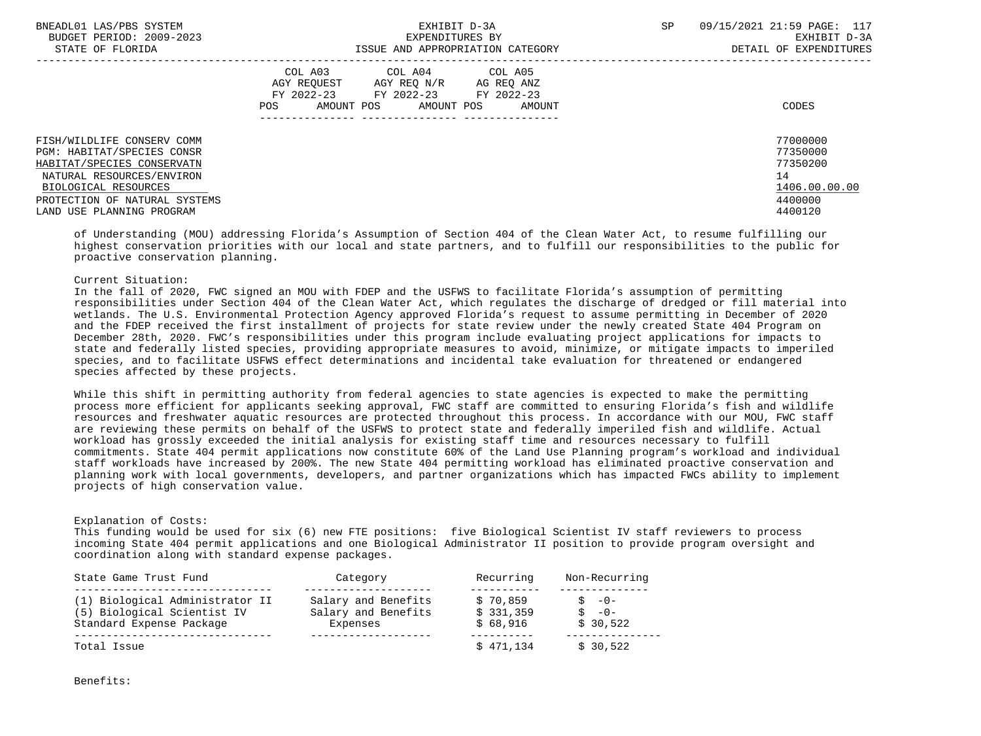| BNEADL01 LAS/PBS SYSTEM<br>BUDGET PERIOD: 2009-2023 | EXHIBIT D-3A<br>EXPENDITURES BY                                  | 09/15/2021 21:59 PAGE: 117<br><b>SP</b><br>EXHIBIT D-3A |
|-----------------------------------------------------|------------------------------------------------------------------|---------------------------------------------------------|
| STATE OF FLORIDA                                    | ISSUE AND APPROPRIATION CATEGORY                                 | DETAIL OF EXPENDITURES                                  |
|                                                     | COL A03 COL A04 COL A05<br>AGY REOUEST AGY REO N/R<br>AG REO ANZ |                                                         |
|                                                     | FY 2022-23 FY 2022-23<br>FY 2022-23                              |                                                         |
|                                                     | AMOUNT POS AMOUNT POS<br>POS<br>AMOUNT                           | CODES                                                   |
|                                                     |                                                                  |                                                         |
| FISH/WILDLIFE CONSERV COMM                          |                                                                  | 77000000                                                |
| PGM: HABITAT/SPECIES CONSR                          |                                                                  | 77350000                                                |
| HABITAT/SPECIES CONSERVATN                          |                                                                  | 77350200                                                |
| NATURAL RESOURCES/ENVIRON                           |                                                                  | 14                                                      |
| BIOLOGICAL RESOURCES                                |                                                                  | 1406.00.00.00                                           |
| PROTECTION OF NATURAL SYSTEMS                       |                                                                  | 4400000                                                 |
| LAND USE PLANNING PROGRAM                           |                                                                  | 4400120                                                 |
|                                                     |                                                                  |                                                         |

 of Understanding (MOU) addressing Florida's Assumption of Section 404 of the Clean Water Act, to resume fulfilling our highest conservation priorities with our local and state partners, and to fulfill our responsibilities to the public for proactive conservation planning.

# Current Situation:

 In the fall of 2020, FWC signed an MOU with FDEP and the USFWS to facilitate Florida's assumption of permitting responsibilities under Section 404 of the Clean Water Act, which regulates the discharge of dredged or fill material into wetlands. The U.S. Environmental Protection Agency approved Florida's request to assume permitting in December of 2020 and the FDEP received the first installment of projects for state review under the newly created State 404 Program on December 28th, 2020. FWC's responsibilities under this program include evaluating project applications for impacts to state and federally listed species, providing appropriate measures to avoid, minimize, or mitigate impacts to imperiled species, and to facilitate USFWS effect determinations and incidental take evaluation for threatened or endangered species affected by these projects.

 While this shift in permitting authority from federal agencies to state agencies is expected to make the permitting process more efficient for applicants seeking approval, FWC staff are committed to ensuring Florida's fish and wildlife resources and freshwater aquatic resources are protected throughout this process. In accordance with our MOU, FWC staff are reviewing these permits on behalf of the USFWS to protect state and federally imperiled fish and wildlife. Actual workload has grossly exceeded the initial analysis for existing staff time and resources necessary to fulfill commitments. State 404 permit applications now constitute 60% of the Land Use Planning program's workload and individual staff workloads have increased by 200%. The new State 404 permitting workload has eliminated proactive conservation and planning work with local governments, developers, and partner organizations which has impacted FWCs ability to implement projects of high conservation value.

# Explanation of Costs:

 This funding would be used for six (6) new FTE positions: five Biological Scientist IV staff reviewers to process incoming State 404 permit applications and one Biological Administrator II position to provide program oversight and coordination along with standard expense packages.

| State Game Trust Fund           | Category            | Recurring | Non-Recurring |
|---------------------------------|---------------------|-----------|---------------|
| (1) Biological Administrator II | Salary and Benefits | \$70,859  | $S - 0 -$     |
| (5) Biological Scientist IV     | Salary and Benefits | \$331,359 | $S - 0 -$     |
| Standard Expense Package        | Expenses            | \$68.916  | \$30.522      |
| Total Issue                     |                     | \$471,134 | \$30,522      |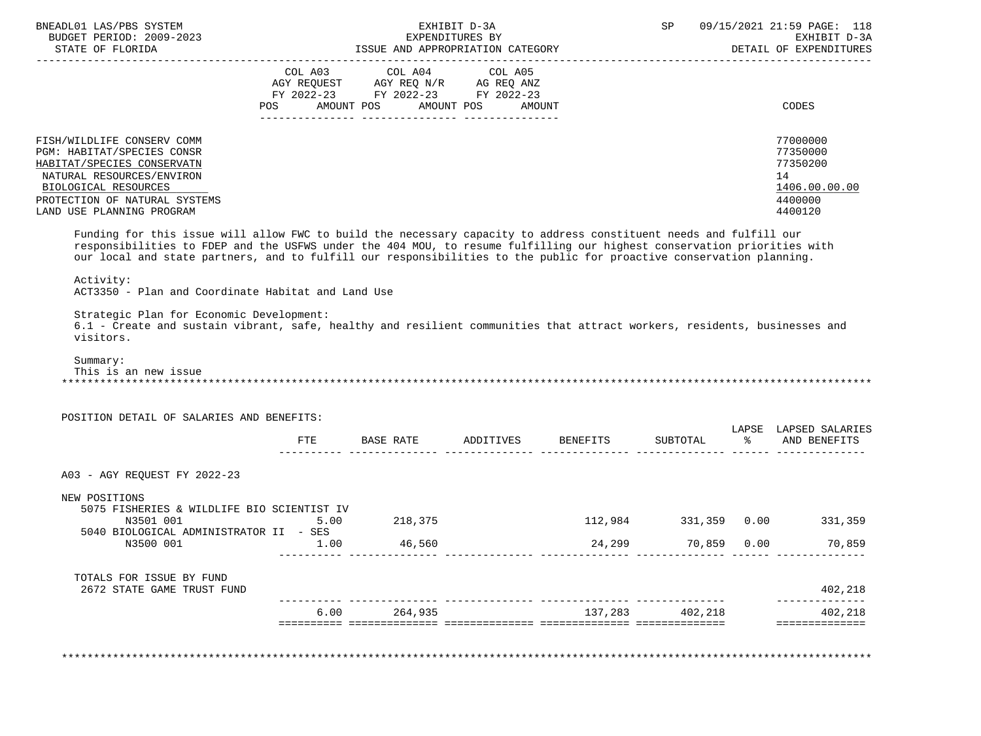| BNEADL01 LAS/PBS SYSTEM<br>BUDGET PERIOD: 2009-2023                                                                                                                                                                    |                                                                                                                |                                                               | EXHIBIT D-3A<br>EXPENDITURES BY |         |                 | SP 09/15/2021 21:59 PAGE: 118                             |
|------------------------------------------------------------------------------------------------------------------------------------------------------------------------------------------------------------------------|----------------------------------------------------------------------------------------------------------------|---------------------------------------------------------------|---------------------------------|---------|-----------------|-----------------------------------------------------------|
|                                                                                                                                                                                                                        |                                                                                                                |                                                               |                                 |         |                 | EXHIBIT D-3A<br>DETAIL OF EXPENDITURES                    |
|                                                                                                                                                                                                                        |                                                                                                                |                                                               |                                 |         |                 |                                                           |
|                                                                                                                                                                                                                        |                                                                                                                | COL A03 COL A04 COL A05<br>AGY REQUEST AGY REQ N/R AG REQ ANZ |                                 |         |                 |                                                           |
|                                                                                                                                                                                                                        |                                                                                                                | FY 2022-23 FY 2022-23 FY 2022-23                              |                                 |         |                 |                                                           |
|                                                                                                                                                                                                                        | POS FOR THE POST OF THE STATE STATE STATE STATE STATE STATE STATE STATE STATE STATE STATE STATE STATE STATE ST | AMOUNT POS AMOUNT POS AMOUNT                                  |                                 |         |                 | CODES                                                     |
|                                                                                                                                                                                                                        |                                                                                                                |                                                               |                                 |         |                 |                                                           |
| FISH/WILDLIFE CONSERV COMM                                                                                                                                                                                             |                                                                                                                |                                                               |                                 |         |                 | 77000000                                                  |
| PGM: HABITAT/SPECIES CONSR                                                                                                                                                                                             |                                                                                                                |                                                               |                                 |         |                 | 77350000                                                  |
| HABITAT/SPECIES CONSERVATN                                                                                                                                                                                             |                                                                                                                |                                                               |                                 |         |                 | 77350200                                                  |
| NATURAL RESOURCES/ENVIRON                                                                                                                                                                                              |                                                                                                                |                                                               |                                 |         |                 | 14                                                        |
| BIOLOGICAL RESOURCES                                                                                                                                                                                                   |                                                                                                                |                                                               |                                 |         |                 | 1406.00.00.00                                             |
| PROTECTION OF NATURAL SYSTEMS                                                                                                                                                                                          |                                                                                                                |                                                               |                                 |         |                 | 4400000                                                   |
| LAND USE PLANNING PROGRAM                                                                                                                                                                                              |                                                                                                                |                                                               |                                 |         |                 | 4400120                                                   |
| Activity:<br>ACT3350 - Plan and Coordinate Habitat and Land Use                                                                                                                                                        |                                                                                                                |                                                               |                                 |         |                 |                                                           |
| Strategic Plan for Economic Development:<br>6.1 - Create and sustain vibrant, safe, healthy and resilient communities that attract workers, residents, businesses and<br>visitors.<br>Summary:<br>This is an new issue |                                                                                                                |                                                               |                                 |         |                 |                                                           |
| POSITION DETAIL OF SALARIES AND BENEFITS:                                                                                                                                                                              |                                                                                                                | FTE BASE RATE ADDITIVES BENEFITS                              |                                 |         | SUBTOTAL        | LAPSE LAPSED SALARIES<br>% AND BENEFITS                   |
|                                                                                                                                                                                                                        |                                                                                                                |                                                               |                                 |         |                 |                                                           |
| A03 - AGY REQUEST FY 2022-23                                                                                                                                                                                           |                                                                                                                |                                                               |                                 |         |                 |                                                           |
|                                                                                                                                                                                                                        |                                                                                                                |                                                               |                                 |         |                 |                                                           |
| NEW POSITIONS                                                                                                                                                                                                          |                                                                                                                |                                                               |                                 |         |                 |                                                           |
| 5075 FISHERIES & WILDLIFE BIO SCIENTIST IV                                                                                                                                                                             |                                                                                                                |                                                               |                                 |         |                 |                                                           |
| N3501 001                                                                                                                                                                                                              | 5.00                                                                                                           | 218,375                                                       |                                 | 112,984 | 331,359 0.00    |                                                           |
| 5040 BIOLOGICAL ADMINISTRATOR II - SES<br>N3500 001                                                                                                                                                                    | 1.00                                                                                                           | 46,560                                                        |                                 | 24,299  | 70,859 0.00     |                                                           |
|                                                                                                                                                                                                                        |                                                                                                                |                                                               |                                 |         |                 |                                                           |
| TOTALS FOR ISSUE BY FUND<br>2672 STATE GAME TRUST FUND                                                                                                                                                                 |                                                                                                                |                                                               |                                 |         |                 |                                                           |
|                                                                                                                                                                                                                        |                                                                                                                |                                                               |                                 |         |                 |                                                           |
|                                                                                                                                                                                                                        |                                                                                                                | $6.00$ 264,935                                                |                                 |         | 137,283 402,218 | 331,359<br>70,859<br>402,218<br>402,218<br>============== |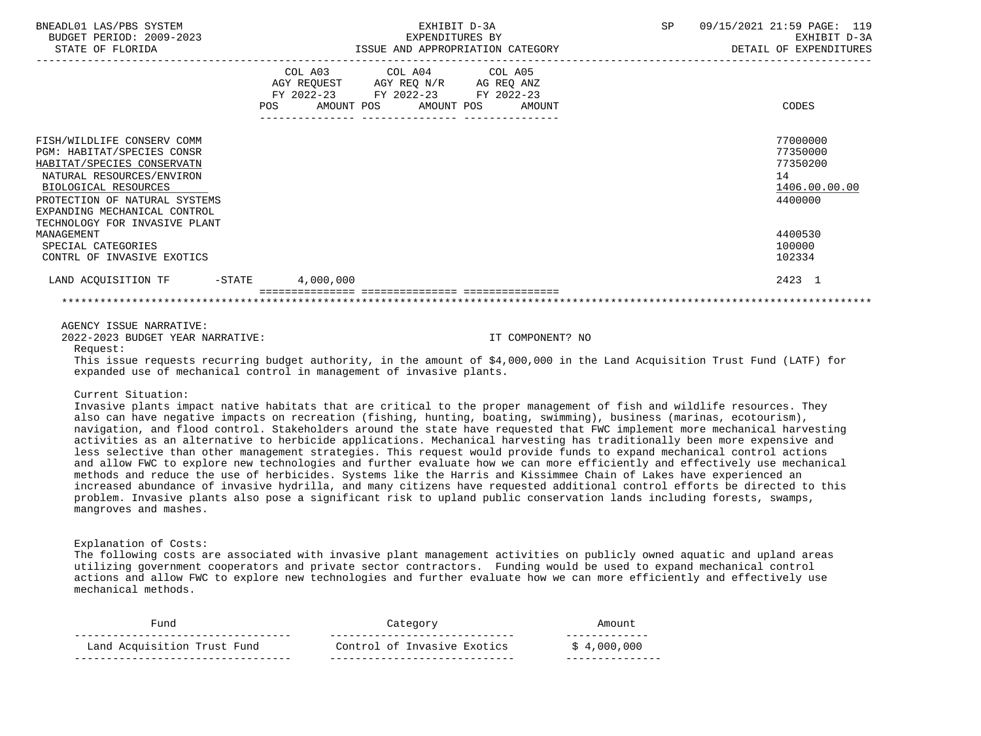| BNEADL01 LAS/PBS SYSTEM<br>BUDGET PERIOD: 2009-2023<br>STATE OF FLORIDA                                                                                                                                                                       | EXHIBIT D-3A<br>EXPENDITURES BY<br>ISSUE AND APPROPRIATION CATEGORY                                                                   | 09/15/2021 21:59 PAGE: 119<br>SP<br>EXHIBIT D-3A<br>DETAIL OF EXPENDITURES |
|-----------------------------------------------------------------------------------------------------------------------------------------------------------------------------------------------------------------------------------------------|---------------------------------------------------------------------------------------------------------------------------------------|----------------------------------------------------------------------------|
|                                                                                                                                                                                                                                               | COL A03 COL A04 COL A05<br>AGY REQUEST AGY REQ N/R AG REQ ANZ<br>FY 2022-23 FY 2022-23 FY 2022-23<br>POS AMOUNT POS AMOUNT POS AMOUNT | CODES                                                                      |
| FISH/WILDLIFE CONSERV COMM<br>PGM: HABITAT/SPECIES CONSR<br>HABITAT/SPECIES CONSERVATN<br>NATURAL RESOURCES/ENVIRON<br>BIOLOGICAL RESOURCES<br>PROTECTION OF NATURAL SYSTEMS<br>EXPANDING MECHANICAL CONTROL<br>TECHNOLOGY FOR INVASIVE PLANT |                                                                                                                                       | 77000000<br>77350000<br>77350200<br>14<br>1406.00.00.00<br>4400000         |
| MANAGEMENT<br>SPECIAL CATEGORIES<br>CONTRL OF INVASIVE EXOTICS                                                                                                                                                                                |                                                                                                                                       | 4400530<br>100000<br>102334                                                |
| LAND ACQUISITION TF -STATE 4,000,000                                                                                                                                                                                                          |                                                                                                                                       | 2423 1                                                                     |
|                                                                                                                                                                                                                                               |                                                                                                                                       |                                                                            |

2022-2023 BUDGET YEAR NARRATIVE: IT COMPONENT? NO

Request:

 This issue requests recurring budget authority, in the amount of \$4,000,000 in the Land Acquisition Trust Fund (LATF) for expanded use of mechanical control in management of invasive plants.

Current Situation:

 Invasive plants impact native habitats that are critical to the proper management of fish and wildlife resources. They also can have negative impacts on recreation (fishing, hunting, boating, swimming), business (marinas, ecotourism), navigation, and flood control. Stakeholders around the state have requested that FWC implement more mechanical harvesting activities as an alternative to herbicide applications. Mechanical harvesting has traditionally been more expensive and less selective than other management strategies. This request would provide funds to expand mechanical control actions and allow FWC to explore new technologies and further evaluate how we can more efficiently and effectively use mechanical methods and reduce the use of herbicides. Systems like the Harris and Kissimmee Chain of Lakes have experienced an increased abundance of invasive hydrilla, and many citizens have requested additional control efforts be directed to this problem. Invasive plants also pose a significant risk to upland public conservation lands including forests, swamps, mangroves and mashes.

Explanation of Costs:

 The following costs are associated with invasive plant management activities on publicly owned aquatic and upland areas utilizing government cooperators and private sector contractors. Funding would be used to expand mechanical control actions and allow FWC to explore new technologies and further evaluate how we can more efficiently and effectively use mechanical methods.

| Fund                        | Category                    | Amouni      |
|-----------------------------|-----------------------------|-------------|
| Land Acquisition Trust Fund | Control of Invasive Exotics | \$4,000,000 |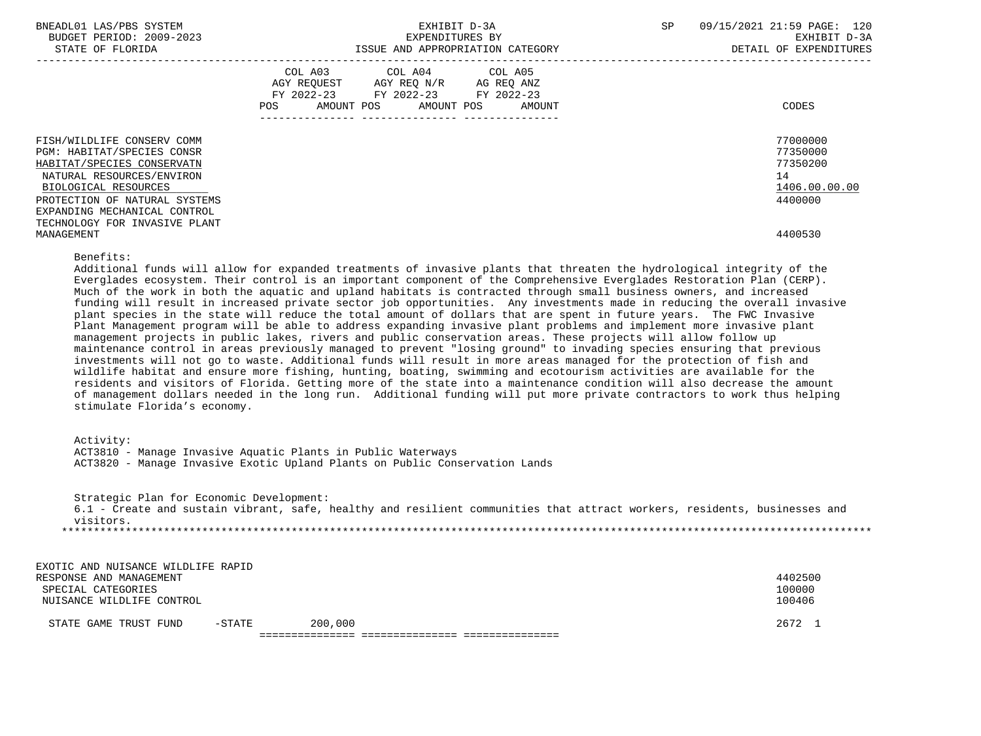| BNEADL01 LAS/PBS SYSTEM<br>BUDGET PERIOD: 2009-2023<br>STATE OF FLORIDA                                                                                                                                                                       | EXHIBIT D-3A<br>EXPENDITURES BY<br>ISSUE AND APPROPRIATION CATEGORY                                                                            | 09/15/2021 21:59 PAGE: 120<br>SP<br>EXHIBIT D-3A<br>DETAIL OF EXPENDITURES |
|-----------------------------------------------------------------------------------------------------------------------------------------------------------------------------------------------------------------------------------------------|------------------------------------------------------------------------------------------------------------------------------------------------|----------------------------------------------------------------------------|
|                                                                                                                                                                                                                                               | COL A03<br>COL A04 COL A05<br>AGY REQUEST AGY REQ N/R AG REQ ANZ<br>FY 2022-23 FY 2022-23 FY 2022-23<br>AMOUNT POS AMOUNT POS<br>POS<br>AMOUNT | CODES                                                                      |
| FISH/WILDLIFE CONSERV COMM<br>PGM: HABITAT/SPECIES CONSR<br>HABITAT/SPECIES CONSERVATN<br>NATURAL RESOURCES/ENVIRON<br>BIOLOGICAL RESOURCES<br>PROTECTION OF NATURAL SYSTEMS<br>EXPANDING MECHANICAL CONTROL<br>TECHNOLOGY FOR INVASIVE PLANT |                                                                                                                                                | 77000000<br>77350000<br>77350200<br>14<br>1406.00.00.00<br>4400000         |
| MANAGEMENT                                                                                                                                                                                                                                    |                                                                                                                                                | 4400530                                                                    |

#### Benefits:

 Additional funds will allow for expanded treatments of invasive plants that threaten the hydrological integrity of the Everglades ecosystem. Their control is an important component of the Comprehensive Everglades Restoration Plan (CERP). Much of the work in both the aquatic and upland habitats is contracted through small business owners, and increased funding will result in increased private sector job opportunities. Any investments made in reducing the overall invasive plant species in the state will reduce the total amount of dollars that are spent in future years. The FWC Invasive Plant Management program will be able to address expanding invasive plant problems and implement more invasive plant management projects in public lakes, rivers and public conservation areas. These projects will allow follow up maintenance control in areas previously managed to prevent "losing ground" to invading species ensuring that previous investments will not go to waste. Additional funds will result in more areas managed for the protection of fish and wildlife habitat and ensure more fishing, hunting, boating, swimming and ecotourism activities are available for the residents and visitors of Florida. Getting more of the state into a maintenance condition will also decrease the amount of management dollars needed in the long run. Additional funding will put more private contractors to work thus helping stimulate Florida's economy.

#### Activity:

|  | ACT3810 - Manage Invasive Aquatic Plants in Public Waterways |  |  |  |                                                                             |  |
|--|--------------------------------------------------------------|--|--|--|-----------------------------------------------------------------------------|--|
|  |                                                              |  |  |  | ACT3820 - Manage Invasive Exotic Upland Plants on Public Conservation Lands |  |

 Strategic Plan for Economic Development: 6.1 - Create and sustain vibrant, safe, healthy and resilient communities that attract workers, residents, businesses and visitors. \*\*\*\*\*\*\*\*\*\*\*\*\*\*\*\*\*\*\*\*\*\*\*\*\*\*\*\*\*\*\*\*\*\*\*\*\*\*\*\*\*\*\*\*\*\*\*\*\*\*\*\*\*\*\*\*\*\*\*\*\*\*\*\*\*\*\*\*\*\*\*\*\*\*\*\*\*\*\*\*\*\*\*\*\*\*\*\*\*\*\*\*\*\*\*\*\*\*\*\*\*\*\*\*\*\*\*\*\*\*\*\*\*\*\*\*\*\*\*\*\*\*\*\*\*\*\*

| EXOTIC AND NUISANCE WILDLIFE RAPID |           |         |         |
|------------------------------------|-----------|---------|---------|
| RESPONSE AND MANAGEMENT            |           |         | 4402500 |
| SPECIAL CATEGORIES                 |           |         | 100000  |
| NUISANCE WILDLIFE CONTROL          |           |         | 100406  |
| STATE GAME TRUST FUND              | $-$ STATE | 200,000 | 2672 1  |
|                                    |           |         |         |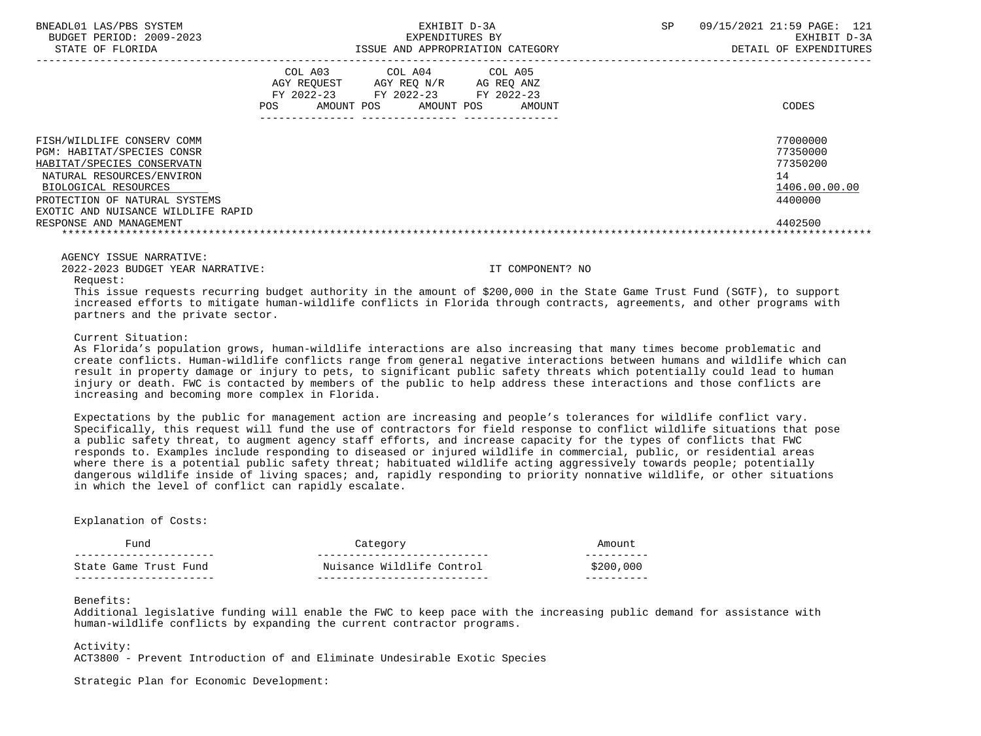| BNEADL01 LAS/PBS SYSTEM |                  |                          | EXHIBIT D-3A                     | 09/15/2021 21:59 PAGE: 121 |              |
|-------------------------|------------------|--------------------------|----------------------------------|----------------------------|--------------|
|                         |                  | BUDGET PERIOD: 2009-2023 | EXPENDITURES BY                  |                            | EXHIBIT D-3A |
|                         | STATE OF FLORIDA |                          | ISSUE AND APPROPRIATION CATEGORY | DETAIL OF EXPENDITURES     |              |

|                                                                                                                                                                                                                                                      | COL A03<br>AGY REOUEST<br>$FY$ 2022-23<br>AMOUNT POS<br>POS. | COL A04<br>AGY REO N/R<br>FY 2022-23<br>AMOUNT POS | COL A05<br>AG REO ANZ<br>FY 2022-23<br>AMOUNT | CODES                                                                         |
|------------------------------------------------------------------------------------------------------------------------------------------------------------------------------------------------------------------------------------------------------|--------------------------------------------------------------|----------------------------------------------------|-----------------------------------------------|-------------------------------------------------------------------------------|
| FISH/WILDLIFE CONSERV COMM<br><b>PGM: HABITAT/SPECIES CONSR</b><br>HABITAT/SPECIES CONSERVATN<br>NATURAL RESOURCES/ENVIRON<br>BIOLOGICAL RESOURCES<br>PROTECTION OF NATURAL SYSTEMS<br>EXOTIC AND NUISANCE WILDLIFE RAPID<br>RESPONSE AND MANAGEMENT |                                                              |                                                    |                                               | 77000000<br>77350000<br>77350200<br>14<br>1406.00.00.00<br>4400000<br>4402500 |

2022-2023 BUDGET YEAR NARRATIVE: IT COMPONENT? NO

Request:

 This issue requests recurring budget authority in the amount of \$200,000 in the State Game Trust Fund (SGTF), to support increased efforts to mitigate human-wildlife conflicts in Florida through contracts, agreements, and other programs with partners and the private sector.

Current Situation:

 As Florida's population grows, human-wildlife interactions are also increasing that many times become problematic and create conflicts. Human-wildlife conflicts range from general negative interactions between humans and wildlife which can result in property damage or injury to pets, to significant public safety threats which potentially could lead to human injury or death. FWC is contacted by members of the public to help address these interactions and those conflicts are increasing and becoming more complex in Florida.

 Expectations by the public for management action are increasing and people's tolerances for wildlife conflict vary. Specifically, this request will fund the use of contractors for field response to conflict wildlife situations that pose a public safety threat, to augment agency staff efforts, and increase capacity for the types of conflicts that FWC responds to. Examples include responding to diseased or injured wildlife in commercial, public, or residential areas where there is a potential public safety threat; habituated wildlife acting aggressively towards people; potentially dangerous wildlife inside of living spaces; and, rapidly responding to priority nonnative wildlife, or other situations in which the level of conflict can rapidly escalate.

# Explanation of Costs:

| Fund                  | Category                  |           |
|-----------------------|---------------------------|-----------|
| State Game Trust Fund | Nuisance Wildlife Control | \$200,000 |
|                       |                           |           |

# Benefits:

 Additional legislative funding will enable the FWC to keep pace with the increasing public demand for assistance with human-wildlife conflicts by expanding the current contractor programs.

Activity:

ACT3800 - Prevent Introduction of and Eliminate Undesirable Exotic Species

Strategic Plan for Economic Development: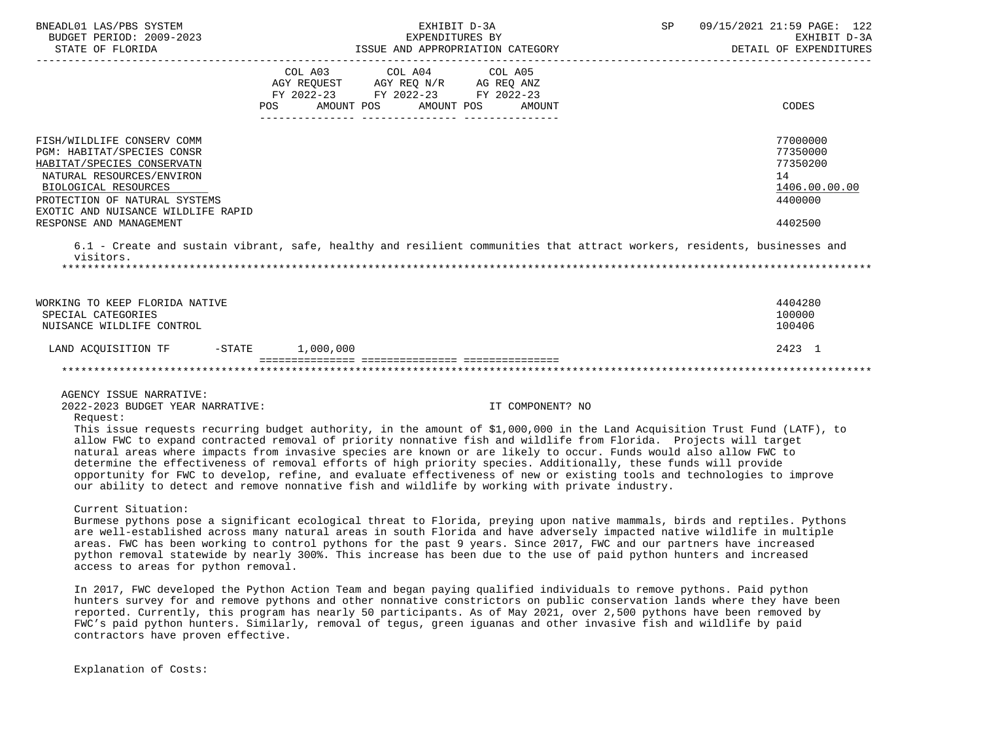| BNEADL01 LAS/PBS SYSTEM<br>BUDGET PERIOD: 2009-2023                                                                                                                                                                                           | EXHIBIT D-3A<br>EXPENDITURES BY<br>ISSUE AND APPROPRIATION CATEGORY                                                                                                                                                                                                                                                                                                                                                                                                                                                                                                                                                                                                                                                  | SP | 09/15/2021 21:59 PAGE: 122<br>EXHIBIT D-3A                                    |
|-----------------------------------------------------------------------------------------------------------------------------------------------------------------------------------------------------------------------------------------------|----------------------------------------------------------------------------------------------------------------------------------------------------------------------------------------------------------------------------------------------------------------------------------------------------------------------------------------------------------------------------------------------------------------------------------------------------------------------------------------------------------------------------------------------------------------------------------------------------------------------------------------------------------------------------------------------------------------------|----|-------------------------------------------------------------------------------|
| STATE OF FLORIDA                                                                                                                                                                                                                              |                                                                                                                                                                                                                                                                                                                                                                                                                                                                                                                                                                                                                                                                                                                      |    | DETAIL OF EXPENDITURES                                                        |
|                                                                                                                                                                                                                                               | COL A03 COL A04<br>COL A05<br>AGY REQUEST AGY REQ N/R AG REQ ANZ<br>FY 2022-23 FY 2022-23 FY 2022-23<br>POS AMOUNT POS AMOUNT POS<br>AMOUNT                                                                                                                                                                                                                                                                                                                                                                                                                                                                                                                                                                          |    | <b>CODES</b>                                                                  |
| FISH/WILDLIFE CONSERV COMM<br>PGM: HABITAT/SPECIES CONSR<br>HABITAT/SPECIES CONSERVATN<br>NATURAL RESOURCES/ENVIRON<br>BIOLOGICAL RESOURCES<br>PROTECTION OF NATURAL SYSTEMS<br>EXOTIC AND NUISANCE WILDLIFE RAPID<br>RESPONSE AND MANAGEMENT |                                                                                                                                                                                                                                                                                                                                                                                                                                                                                                                                                                                                                                                                                                                      |    | 77000000<br>77350000<br>77350200<br>14<br>1406.00.00.00<br>4400000<br>4402500 |
| visitors.                                                                                                                                                                                                                                     | 6.1 - Create and sustain vibrant, safe, healthy and resilient communities that attract workers, residents, businesses and                                                                                                                                                                                                                                                                                                                                                                                                                                                                                                                                                                                            |    |                                                                               |
| WORKING TO KEEP FLORIDA NATIVE<br>SPECIAL CATEGORIES<br>NUISANCE WILDLIFE CONTROL                                                                                                                                                             |                                                                                                                                                                                                                                                                                                                                                                                                                                                                                                                                                                                                                                                                                                                      |    | 4404280<br>100000<br>100406                                                   |
| LAND ACQUISITION TF                                                                                                                                                                                                                           | $-STATE$ 1,000,000                                                                                                                                                                                                                                                                                                                                                                                                                                                                                                                                                                                                                                                                                                   |    | 2423 1                                                                        |
|                                                                                                                                                                                                                                               |                                                                                                                                                                                                                                                                                                                                                                                                                                                                                                                                                                                                                                                                                                                      |    |                                                                               |
| AGENCY ISSUE NARRATIVE:<br>2022-2023 BUDGET YEAR NARRATIVE:                                                                                                                                                                                   | IT COMPONENT? NO                                                                                                                                                                                                                                                                                                                                                                                                                                                                                                                                                                                                                                                                                                     |    |                                                                               |
| Request:                                                                                                                                                                                                                                      | This issue requests recurring budget authority, in the amount of \$1,000,000 in the Land Acquisition Trust Fund (LATF), to<br>allow FWC to expand contracted removal of priority nonnative fish and wildlife from Florida. Projects will target<br>natural areas where impacts from invasive species are known or are likely to occur. Funds would also allow FWC to<br>determine the effectiveness of removal efforts of high priority species. Additionally, these funds will provide<br>opportunity for FWC to develop, refine, and evaluate effectiveness of new or existing tools and technologies to improve<br>our ability to detect and remove nonnative fish and wildlife by working with private industry. |    |                                                                               |
| Current Situation:<br>access to areas for python removal.                                                                                                                                                                                     | Burmese pythons pose a significant ecological threat to Florida, preying upon native mammals, birds and reptiles. Pythons<br>are well-established across many natural areas in south Florida and have adversely impacted native wildlife in multiple<br>areas. FWC has been working to control pythons for the past 9 years. Since 2017, FWC and our partners have increased<br>python removal statewide by nearly 300%. This increase has been due to the use of paid python hunters and increased                                                                                                                                                                                                                  |    |                                                                               |
|                                                                                                                                                                                                                                               | In 2017, FWC developed the Python Action Team and began paying qualified individuals to remove pythons. Paid python<br>hunters survey for and remove pythons and other nonnative constrictors on public conservation lands where they have been                                                                                                                                                                                                                                                                                                                                                                                                                                                                      |    |                                                                               |

 reported. Currently, this program has nearly 50 participants. As of May 2021, over 2,500 pythons have been removed by FWC's paid python hunters. Similarly, removal of tegus, green iguanas and other invasive fish and wildlife by paid contractors have proven effective.

Explanation of Costs: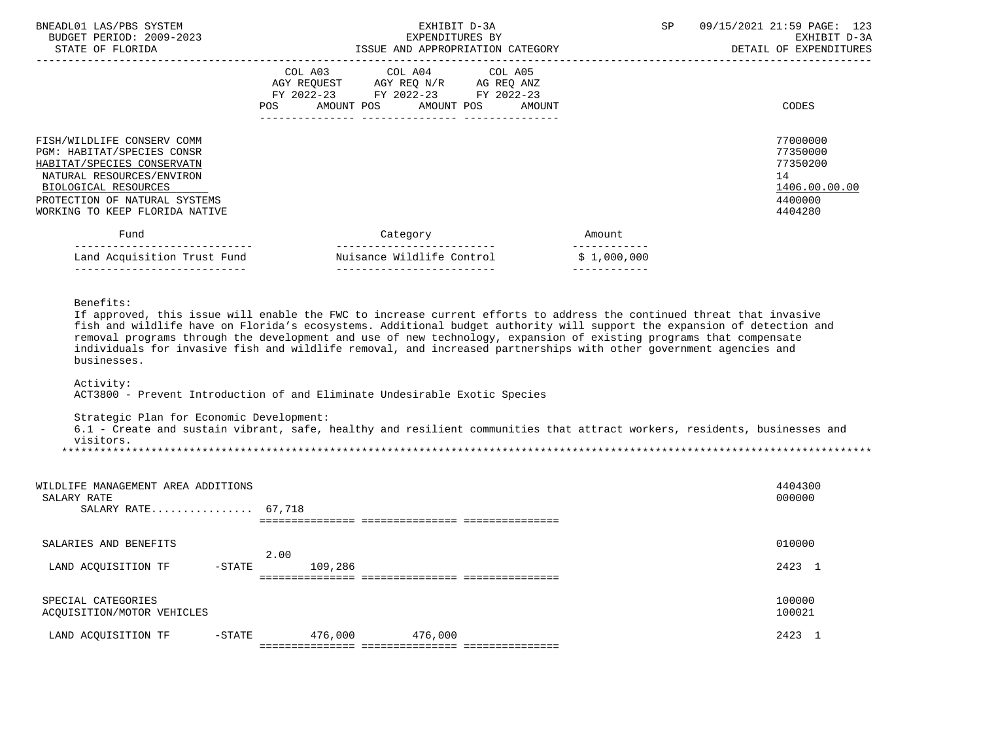| BNEADL01 LAS/PBS SYSTEM<br>BUDGET PERIOD: 2009-2023<br>STATE OF FLORIDA                                                                                                                                        | EXHIBIT D-3A<br>EXPENDITURES BY<br>ISSUE AND APPROPRIATION CATEGORY                                                                                                                                                                                                                                                                                                                                                                                                                                                                                                                                                                                                                                    | SP                           | 09/15/2021 21:59 PAGE: 123<br>EXHIBIT D-3A<br>DETAIL OF EXPENDITURES          |
|----------------------------------------------------------------------------------------------------------------------------------------------------------------------------------------------------------------|--------------------------------------------------------------------------------------------------------------------------------------------------------------------------------------------------------------------------------------------------------------------------------------------------------------------------------------------------------------------------------------------------------------------------------------------------------------------------------------------------------------------------------------------------------------------------------------------------------------------------------------------------------------------------------------------------------|------------------------------|-------------------------------------------------------------------------------|
|                                                                                                                                                                                                                | COL A03 COL A04<br>COL A05<br>AGY REQUEST AGY REQ N/R AG REQ ANZ<br>FY 2022-23 FY 2022-23 FY 2022-23<br>POS AMOUNT POS AMOUNT POS<br>AMOUNT                                                                                                                                                                                                                                                                                                                                                                                                                                                                                                                                                            |                              | CODES                                                                         |
| FISH/WILDLIFE CONSERV COMM<br>PGM: HABITAT/SPECIES CONSR<br>HABITAT/SPECIES CONSERVATN<br>NATURAL RESOURCES/ENVIRON<br>BIOLOGICAL RESOURCES<br>PROTECTION OF NATURAL SYSTEMS<br>WORKING TO KEEP FLORIDA NATIVE |                                                                                                                                                                                                                                                                                                                                                                                                                                                                                                                                                                                                                                                                                                        |                              | 77000000<br>77350000<br>77350200<br>14<br>1406.00.00.00<br>4400000<br>4404280 |
| Fund<br>------------------------------                                                                                                                                                                         | Category<br>______________________________                                                                                                                                                                                                                                                                                                                                                                                                                                                                                                                                                                                                                                                             | Amount<br>____________       |                                                                               |
| Land Acquisition Trust Fund<br>______________________________                                                                                                                                                  | Nuisance Wildlife Control<br>_____________________________                                                                                                                                                                                                                                                                                                                                                                                                                                                                                                                                                                                                                                             | \$1,000,000<br>_____________ |                                                                               |
| businesses.<br>Activity:<br>Strategic Plan for Economic Development:<br>visitors.                                                                                                                              | If approved, this issue will enable the FWC to increase current efforts to address the continued threat that invasive<br>fish and wildlife have on Florida's ecosystems. Additional budget authority will support the expansion of detection and<br>removal programs through the development and use of new technology, expansion of existing programs that compensate<br>individuals for invasive fish and wildlife removal, and increased partnerships with other government agencies and<br>ACT3800 - Prevent Introduction of and Eliminate Undesirable Exotic Species<br>6.1 - Create and sustain vibrant, safe, healthy and resilient communities that attract workers, residents, businesses and |                              |                                                                               |
| WILDLIFE MANAGEMENT AREA ADDITIONS<br>SALARY RATE<br>SALARY RATE 67,718                                                                                                                                        |                                                                                                                                                                                                                                                                                                                                                                                                                                                                                                                                                                                                                                                                                                        |                              | 4404300<br>000000                                                             |
| SALARIES AND BENEFITS                                                                                                                                                                                          |                                                                                                                                                                                                                                                                                                                                                                                                                                                                                                                                                                                                                                                                                                        |                              | 010000                                                                        |
| LAND ACQUISITION TF<br>$-$ STATE                                                                                                                                                                               | 2.00<br>109,286                                                                                                                                                                                                                                                                                                                                                                                                                                                                                                                                                                                                                                                                                        |                              | 2423 1                                                                        |
| SPECIAL CATEGORIES<br>ACOUISITION/MOTOR VEHICLES                                                                                                                                                               |                                                                                                                                                                                                                                                                                                                                                                                                                                                                                                                                                                                                                                                                                                        |                              | 100000<br>100021                                                              |

| LAND<br>$\overline{m}$<br>~ | m.<br>$\overline{\phantom{0}}$<br>--- | nnr.      | 000                                                                     | $\cdots$ |
|-----------------------------|---------------------------------------|-----------|-------------------------------------------------------------------------|----------|
|                             | $- - -$<br>---                        | _________ | _______<br>. _ _ _ _ _ _ _ _ _ _ _<br>___<br>_ _ _ _ _ _ _ _ _ _<br>___ |          |

ACQUISITION/MOTOR VEHICLES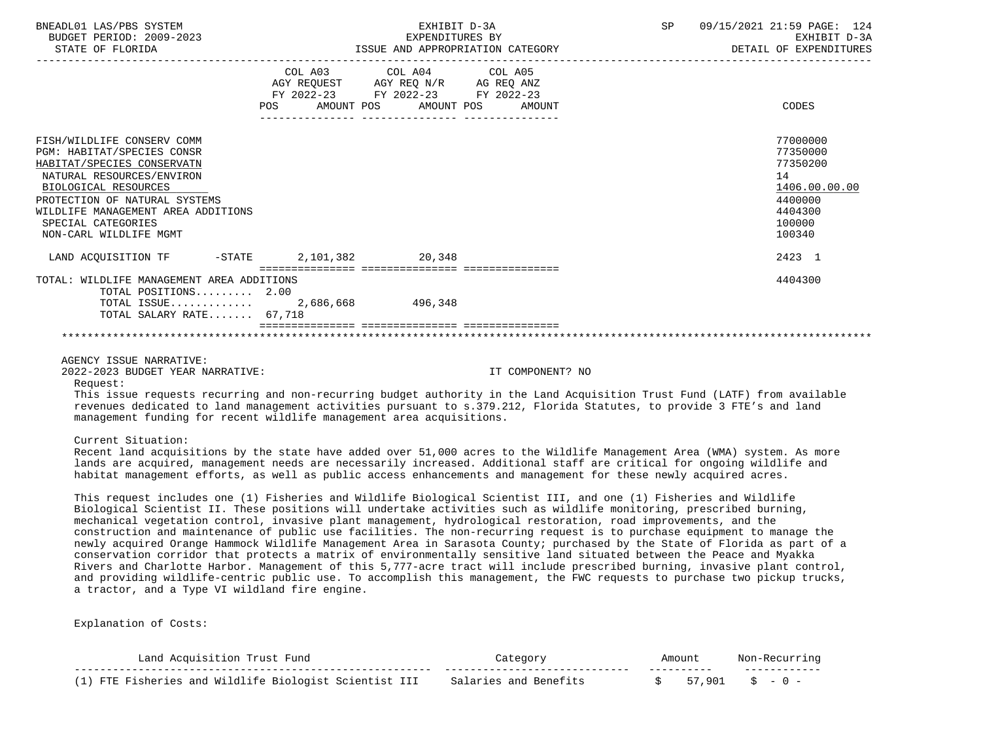| COL A03 COL A04<br>AGY REQUEST AGY REQ N/R AG REQ ANZ<br>FY 2022-23 FY 2022-23 FY 2022-23<br>AMOUNT POS<br>POS DO                                                                                                                                                                                                                                                                                                                                                                                                                                                                                                                                                                                                                                                                                                                                                                                                                                                                                                                                      | COL A05<br>AMOUNT POS<br>AMOUNT | CODES                                                                                             |
|--------------------------------------------------------------------------------------------------------------------------------------------------------------------------------------------------------------------------------------------------------------------------------------------------------------------------------------------------------------------------------------------------------------------------------------------------------------------------------------------------------------------------------------------------------------------------------------------------------------------------------------------------------------------------------------------------------------------------------------------------------------------------------------------------------------------------------------------------------------------------------------------------------------------------------------------------------------------------------------------------------------------------------------------------------|---------------------------------|---------------------------------------------------------------------------------------------------|
|                                                                                                                                                                                                                                                                                                                                                                                                                                                                                                                                                                                                                                                                                                                                                                                                                                                                                                                                                                                                                                                        |                                 |                                                                                                   |
| FISH/WILDLIFE CONSERV COMM<br>PGM: HABITAT/SPECIES CONSR<br>HABITAT/SPECIES CONSERVATN<br>NATURAL RESOURCES/ENVIRON<br>BIOLOGICAL RESOURCES<br>PROTECTION OF NATURAL SYSTEMS<br>WILDLIFE MANAGEMENT AREA ADDITIONS<br>SPECIAL CATEGORIES<br>NON-CARL WILDLIFE MGMT                                                                                                                                                                                                                                                                                                                                                                                                                                                                                                                                                                                                                                                                                                                                                                                     |                                 | 77000000<br>77350000<br>77350200<br>14<br>1406.00.00.00<br>4400000<br>4404300<br>100000<br>100340 |
| LAND ACQUISITION TF -STATE 2,101,382 20,348                                                                                                                                                                                                                                                                                                                                                                                                                                                                                                                                                                                                                                                                                                                                                                                                                                                                                                                                                                                                            |                                 | 2423 1                                                                                            |
| TOTAL: WILDLIFE MANAGEMENT AREA ADDITIONS<br>TOTAL POSITIONS $2.00$<br>TOTAL SALARY RATE 67,718                                                                                                                                                                                                                                                                                                                                                                                                                                                                                                                                                                                                                                                                                                                                                                                                                                                                                                                                                        |                                 | 4404300                                                                                           |
| AGENCY ISSUE NARRATIVE:<br>2022-2023 BUDGET YEAR NARRATIVE:<br>Request:<br>This issue requests recurring and non-recurring budget authority in the Land Acquisition Trust Fund (LATF) from available<br>revenues dedicated to land management activities pursuant to s.379.212, Florida Statutes, to provide 3 FTE's and land<br>management funding for recent wildlife management area acquisitions.                                                                                                                                                                                                                                                                                                                                                                                                                                                                                                                                                                                                                                                  | IT COMPONENT? NO                |                                                                                                   |
| Current Situation:<br>Recent land acquisitions by the state have added over 51,000 acres to the Wildlife Management Area (WMA) system. As more<br>lands are acquired, management needs are necessarily increased. Additional staff are critical for ongoing wildlife and<br>habitat management efforts, as well as public access enhancements and management for these newly acquired acres.                                                                                                                                                                                                                                                                                                                                                                                                                                                                                                                                                                                                                                                           |                                 |                                                                                                   |
| This request includes one (1) Fisheries and Wildlife Biological Scientist III, and one (1) Fisheries and Wildlife<br>Biological Scientist II. These positions will undertake activities such as wildlife monitoring, prescribed burning,<br>mechanical vegetation control, invasive plant management, hydrological restoration, road improvements, and the<br>construction and maintenance of public use facilities. The non-recurring request is to purchase equipment to manage the<br>newly acquired Orange Hammock Wildlife Management Area in Sarasota County; purchased by the State of Florida as part of a<br>conservation corridor that protects a matrix of environmentally sensitive land situated between the Peace and Myakka<br>Rivers and Charlotte Harbor. Management of this 5,777-acre tract will include prescribed burning, invasive plant control,<br>and providing wildlife-centric public use. To accomplish this management, the FWC requests to purchase two pickup trucks,<br>a tractor, and a Type VI wildland fire engine. |                                 |                                                                                                   |

Explanation of Costs:

| Land Acquisition Trust Fund                            |                       | Amount |                   |
|--------------------------------------------------------|-----------------------|--------|-------------------|
| (1) FTE Fisheries and Wildlife Biologist Scientist III | Salaries and Benefits |        | $57.901$ \$ - 0 - |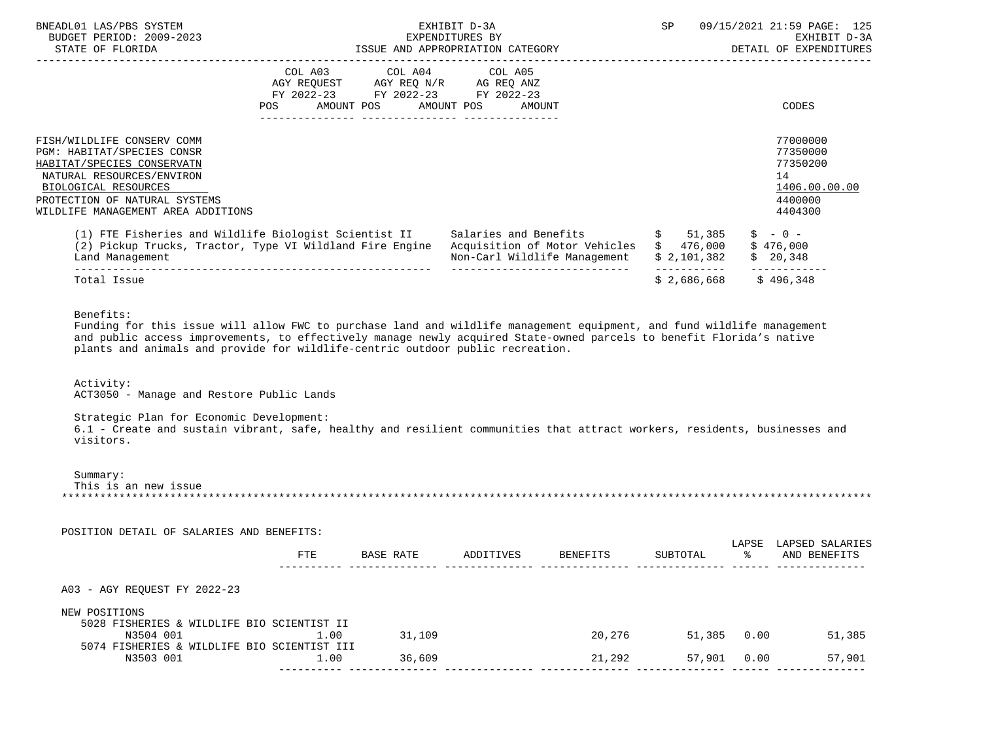| BNEADL01 LAS/PBS SYSTEM<br>BUDGET PERIOD: 2009-2023<br>STATE OF FLORIDA                                                                                                                                            |                                                                                                                                                                                                                                                                   | EXHIBIT D-3A<br>EXPENDITURES BY<br>ISSUE AND APPROPRIATION CATEGORY                                                                                                                                                                                                                                                                                                         |             | SP 09/15/2021 21:59 PAGE: 125<br>EXHIBIT D-3A<br>DETAIL OF EXPENDITURES       |
|--------------------------------------------------------------------------------------------------------------------------------------------------------------------------------------------------------------------|-------------------------------------------------------------------------------------------------------------------------------------------------------------------------------------------------------------------------------------------------------------------|-----------------------------------------------------------------------------------------------------------------------------------------------------------------------------------------------------------------------------------------------------------------------------------------------------------------------------------------------------------------------------|-------------|-------------------------------------------------------------------------------|
|                                                                                                                                                                                                                    | COL A03 COL A04 COL A05<br>$\begin{tabular}{lllllll} \bf AGY & \bf REQUEST & \bf AGY & \bf REQ & \tt N/R & \tt AG & \tt REQ & \tt ANZ \\ \bf FY & \tt 2022-23 & \tt FY & \tt 2022-23 & \tt FY & \tt 2022-23 \\ \end{tabular}$<br>POS AMOUNT POS AMOUNT POS AMOUNT |                                                                                                                                                                                                                                                                                                                                                                             |             | <b>CODES</b>                                                                  |
| FISH/WILDLIFE CONSERV COMM<br>PGM: HABITAT/SPECIES CONSR<br>HABITAT/SPECIES CONSERVATN<br>NATURAL RESOURCES/ENVIRON<br>BIOLOGICAL RESOURCES<br>PROTECTION OF NATURAL SYSTEMS<br>WILDLIFE MANAGEMENT AREA ADDITIONS |                                                                                                                                                                                                                                                                   |                                                                                                                                                                                                                                                                                                                                                                             |             | 77000000<br>77350000<br>77350200<br>14<br>1406.00.00.00<br>4400000<br>4404300 |
| Land Management                                                                                                                                                                                                    |                                                                                                                                                                                                                                                                   | (1) FTE Fisheries and Wildlife Biologist Scientist II Salaries and Benefits \$ 51,385<br>(2) Pickup Trucks, Tractor, Type VI Wildland Fire Engine Acquisition of Motor Vehicles \$ 476,000<br>Non-Carl Wildlife Management                                                                                                                                                  | \$2,101,382 | $$ - 0 -$<br>\$476,000<br>\$20,348                                            |
| Total Issue                                                                                                                                                                                                        |                                                                                                                                                                                                                                                                   | ______________________________                                                                                                                                                                                                                                                                                                                                              | \$2,686,668 | ------------<br>\$496,348                                                     |
| Benefits:<br>Activity:<br>ACT3050 - Manage and Restore Public Lands<br>Strategic Plan for Economic Development:<br>visitors.                                                                                       | plants and animals and provide for wildlife-centric outdoor public recreation.                                                                                                                                                                                    | Funding for this issue will allow FWC to purchase land and wildlife management equipment, and fund wildlife management<br>and public access improvements, to effectively manage newly acquired State-owned parcels to benefit Florida's native<br>6.1 - Create and sustain vibrant, safe, healthy and resilient communities that attract workers, residents, businesses and |             |                                                                               |
| Summary:<br>This is an new issue<br>POSITION DETAIL OF SALARIES AND BENEFITS:                                                                                                                                      |                                                                                                                                                                                                                                                                   |                                                                                                                                                                                                                                                                                                                                                                             |             |                                                                               |

|                                            | FTE                                         | BASE RATE | ADDITIVES | BENEFITS | SUBTOTAL | LAPSE<br>ిన | LAPSED SALARIES<br>AND BENEFITS |
|--------------------------------------------|---------------------------------------------|-----------|-----------|----------|----------|-------------|---------------------------------|
| A03 - AGY REQUEST FY 2022-23               |                                             |           |           |          |          |             |                                 |
| NEW POSITIONS                              |                                             |           |           |          |          |             |                                 |
| 5028 FISHERIES & WILDLIFE BIO SCIENTIST II |                                             |           |           |          |          |             |                                 |
| N3504 001                                  | L.OO                                        | 31,109    |           | 20,276   | 51,385   | 0.00        | 51,385                          |
|                                            | 5074 FISHERIES & WILDLIFE BIO SCIENTIST III |           |           |          |          |             |                                 |
| N3503 001                                  | 1.00                                        | 36,609    |           | 21,292   | 57,901   | 0.00        | 57,901                          |
|                                            |                                             |           |           |          |          |             |                                 |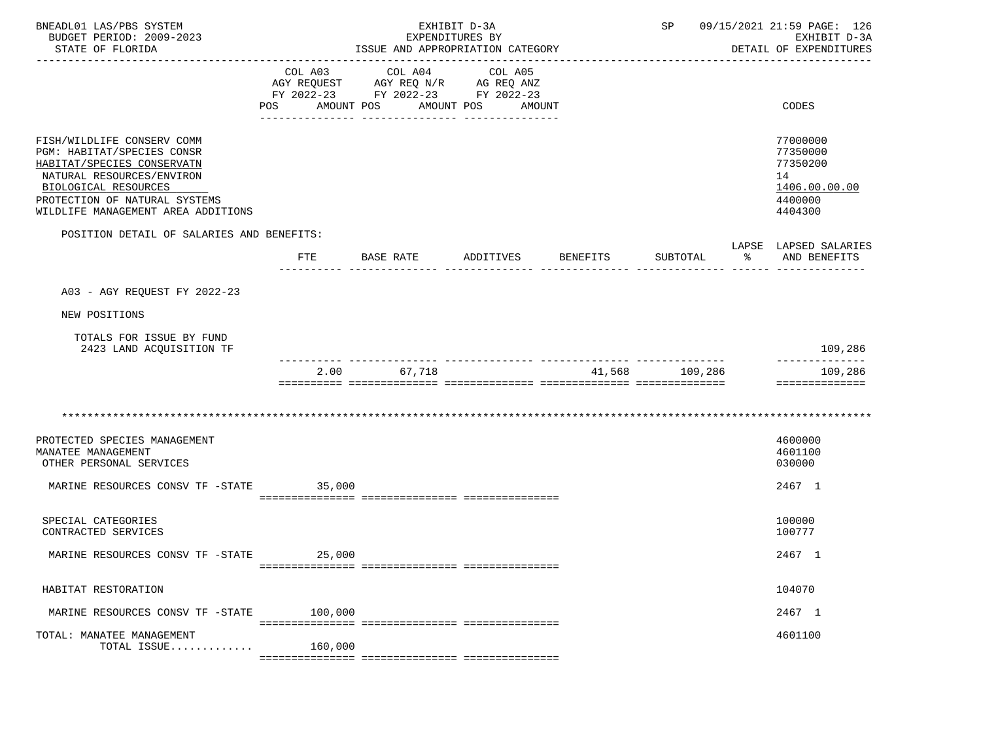| BNEADL01 LAS/PBS SYSTEM<br>BUDGET PERIOD: 2009-2023<br>STATE OF FLORIDA                                                                                                                                            |              | ISSUE AND APPROPRIATION CATEGORY                                                                        | EXHIBIT D-3A<br>EXPENDITURES BY |          |                |                      | SP 09/15/2021 21:59 PAGE: 126<br>EXHIBIT D-3A<br>DETAIL OF EXPENDITURES       |
|--------------------------------------------------------------------------------------------------------------------------------------------------------------------------------------------------------------------|--------------|---------------------------------------------------------------------------------------------------------|---------------------------------|----------|----------------|----------------------|-------------------------------------------------------------------------------|
|                                                                                                                                                                                                                    | POS          | COL A03 COL A04<br>AGY REQUEST AGY REQ N/R AG REQ ANZ<br>FY 2022-23 FY 2022-23 FY 2022-23<br>AMOUNT POS | COL A05<br>AMOUNT POS AMOUNT    |          |                |                      | CODES                                                                         |
| FISH/WILDLIFE CONSERV COMM<br>PGM: HABITAT/SPECIES CONSR<br>HABITAT/SPECIES CONSERVATN<br>NATURAL RESOURCES/ENVIRON<br>BIOLOGICAL RESOURCES<br>PROTECTION OF NATURAL SYSTEMS<br>WILDLIFE MANAGEMENT AREA ADDITIONS |              |                                                                                                         |                                 |          |                |                      | 77000000<br>77350000<br>77350200<br>14<br>1406.00.00.00<br>4400000<br>4404300 |
| POSITION DETAIL OF SALARIES AND BENEFITS:                                                                                                                                                                          | $_{\rm FTE}$ | BASE RATE                                                                                               | ADDITIVES                       | BENEFITS | SUBTOTAL       | $\sim$ $\sim$ $\sim$ | LAPSE LAPSED SALARIES<br>AND BENEFITS                                         |
| A03 - AGY REQUEST FY 2022-23                                                                                                                                                                                       |              |                                                                                                         |                                 |          |                |                      |                                                                               |
| NEW POSITIONS                                                                                                                                                                                                      |              |                                                                                                         |                                 |          |                |                      |                                                                               |
| TOTALS FOR ISSUE BY FUND<br>2423 LAND ACQUISITION TF                                                                                                                                                               |              |                                                                                                         |                                 |          |                |                      | 109,286                                                                       |
|                                                                                                                                                                                                                    |              | 2.00 67,718                                                                                             |                                 |          | 41,568 109,286 |                      | --------------<br>109,286<br>==============                                   |
|                                                                                                                                                                                                                    |              |                                                                                                         |                                 |          |                |                      |                                                                               |
| PROTECTED SPECIES MANAGEMENT<br>MANATEE MANAGEMENT<br>OTHER PERSONAL SERVICES                                                                                                                                      |              |                                                                                                         |                                 |          |                |                      | 4600000<br>4601100<br>030000                                                  |
| MARINE RESOURCES CONSV TF -STATE 35,000                                                                                                                                                                            |              |                                                                                                         |                                 |          |                |                      | 2467 1                                                                        |
| SPECIAL CATEGORIES<br>CONTRACTED SERVICES                                                                                                                                                                          |              |                                                                                                         |                                 |          |                |                      | 100000<br>100777                                                              |
| MARINE RESOURCES CONSV TF -STATE                                                                                                                                                                                   | 25,000       |                                                                                                         |                                 |          |                |                      | 2467 1                                                                        |
| HABITAT RESTORATION                                                                                                                                                                                                |              |                                                                                                         |                                 |          |                |                      | 104070                                                                        |
| MARINE RESOURCES CONSV TF -STATE                                                                                                                                                                                   | 100,000      |                                                                                                         |                                 |          |                |                      | 2467 1                                                                        |
| TOTAL: MANATEE MANAGEMENT<br>TOTAL ISSUE                                                                                                                                                                           | 160,000      |                                                                                                         |                                 |          |                |                      | 4601100                                                                       |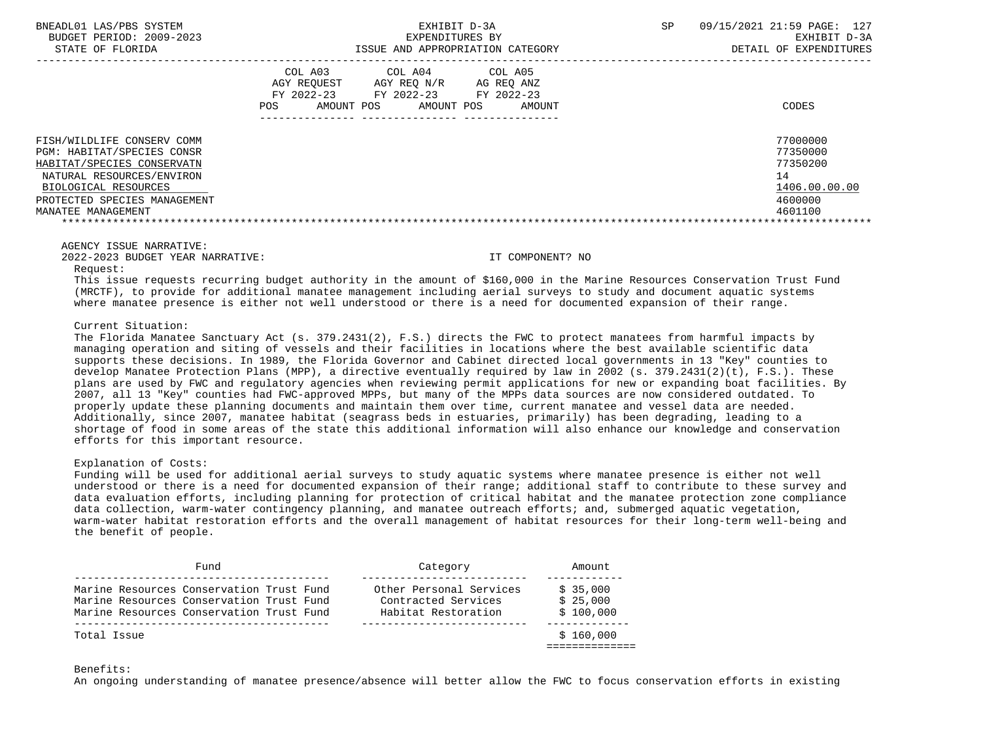|                                                                                                                                                                                                   | COL A03<br>AGY REQUEST<br>FY 2022-23<br>POS.<br>AMOUNT POS | COL A04<br>AGY REO N/R<br>FY 2022-23<br>AMOUNT POS | COL A05<br>AG REO ANZ<br>FY 2022-23<br>AMOUNT | CODES                                                                         |
|---------------------------------------------------------------------------------------------------------------------------------------------------------------------------------------------------|------------------------------------------------------------|----------------------------------------------------|-----------------------------------------------|-------------------------------------------------------------------------------|
| FISH/WILDLIFE CONSERV COMM<br>PGM: HABITAT/SPECIES CONSR<br>HABITAT/SPECIES CONSERVATN<br>NATURAL RESOURCES/ENVIRON<br>BIOLOGICAL RESOURCES<br>PROTECTED SPECIES MANAGEMENT<br>MANATEE MANAGEMENT |                                                            |                                                    |                                               | 77000000<br>77350000<br>77350200<br>14<br>1406.00.00.00<br>4600000<br>4601100 |

2022-2023 BUDGET YEAR NARRATIVE: IT COMPONENT? NO

Request:

 This issue requests recurring budget authority in the amount of \$160,000 in the Marine Resources Conservation Trust Fund (MRCTF), to provide for additional manatee management including aerial surveys to study and document aquatic systems where manatee presence is either not well understood or there is a need for documented expansion of their range.

# Current Situation:

 The Florida Manatee Sanctuary Act (s. 379.2431(2), F.S.) directs the FWC to protect manatees from harmful impacts by managing operation and siting of vessels and their facilities in locations where the best available scientific data supports these decisions. In 1989, the Florida Governor and Cabinet directed local governments in 13 "Key" counties to develop Manatee Protection Plans (MPP), a directive eventually required by law in 2002 (s. 379.2431(2)(t), F.S.). These plans are used by FWC and regulatory agencies when reviewing permit applications for new or expanding boat facilities. By 2007, all 13 "Key" counties had FWC-approved MPPs, but many of the MPPs data sources are now considered outdated. To properly update these planning documents and maintain them over time, current manatee and vessel data are needed. Additionally, since 2007, manatee habitat (seagrass beds in estuaries, primarily) has been degrading, leading to a shortage of food in some areas of the state this additional information will also enhance our knowledge and conservation efforts for this important resource.

# Explanation of Costs:

 Funding will be used for additional aerial surveys to study aquatic systems where manatee presence is either not well understood or there is a need for documented expansion of their range; additional staff to contribute to these survey and data evaluation efforts, including planning for protection of critical habitat and the manatee protection zone compliance data collection, warm-water contingency planning, and manatee outreach efforts; and, submerged aquatic vegetation, warm-water habitat restoration efforts and the overall management of habitat resources for their long-term well-being and the benefit of people.

|  | Fund                                     | Category                | Amount    |
|--|------------------------------------------|-------------------------|-----------|
|  | Marine Resources Conservation Trust Fund | Other Personal Services | \$35,000  |
|  | Marine Resources Conservation Trust Fund | Contracted Services     | \$25.000  |
|  | Marine Resources Conservation Trust Fund | Habitat Restoration     | \$100.000 |

## Benefits:

An ongoing understanding of manatee presence/absence will better allow the FWC to focus conservation efforts in existing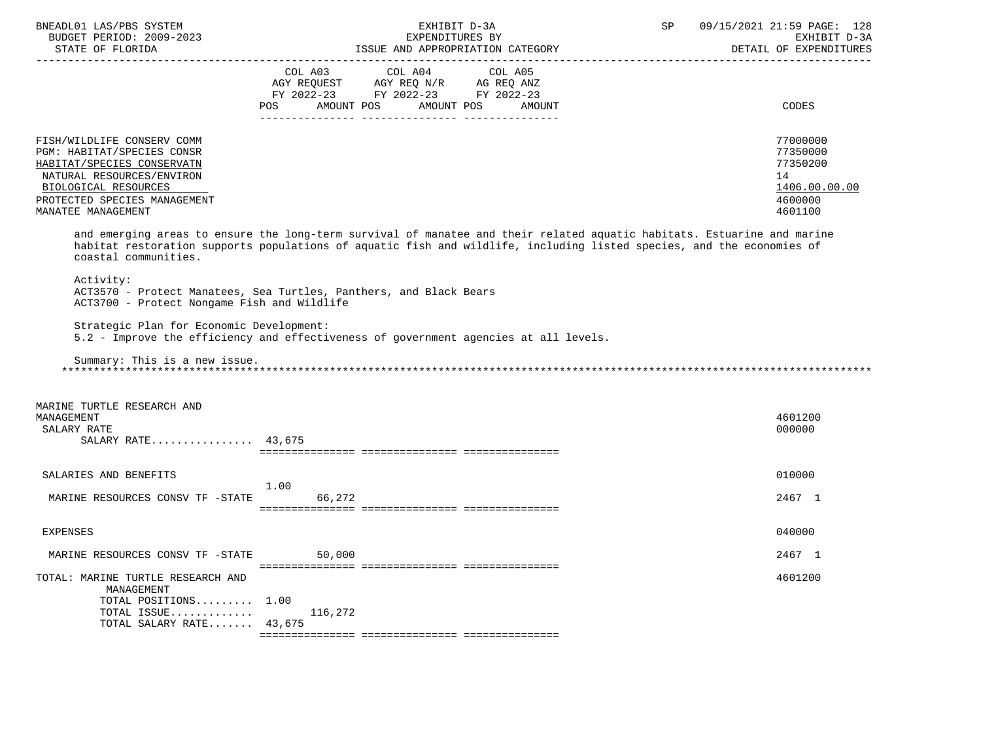| BNEADL01 LAS/PBS SYSTEM<br>BUDGET PERIOD: 2009-2023                                                                                                                                               | EXHIBIT D-3A<br>EXPENDITURES BY                                                                                                                                                                                                                  | 09/15/2021 21:59 PAGE: 128<br>SP<br>EXHIBIT D-3A                              |
|---------------------------------------------------------------------------------------------------------------------------------------------------------------------------------------------------|--------------------------------------------------------------------------------------------------------------------------------------------------------------------------------------------------------------------------------------------------|-------------------------------------------------------------------------------|
|                                                                                                                                                                                                   | STATE OF FLORIDA PERIODA ESSUE AND APPROPRIATION CATEGORY PERIODA DETAIL OF EXPENDITURES                                                                                                                                                         | DETAIL OF EXPENDITURES                                                        |
|                                                                                                                                                                                                   | COL A03<br>COL A04<br>COL A05<br>AGY REQUEST AGY REQ N/R AG REQ ANZ<br>FY 2022-23 FY 2022-23 FY 2022-23<br>AMOUNT POS AMOUNT POS<br>POS<br>AMOUNT                                                                                                | CODES                                                                         |
| FISH/WILDLIFE CONSERV COMM<br>PGM: HABITAT/SPECIES CONSR<br>HABITAT/SPECIES CONSERVATN<br>NATURAL RESOURCES/ENVIRON<br>BIOLOGICAL RESOURCES<br>PROTECTED SPECIES MANAGEMENT<br>MANATEE MANAGEMENT |                                                                                                                                                                                                                                                  | 77000000<br>77350000<br>77350200<br>14<br>1406.00.00.00<br>4600000<br>4601100 |
| coastal communities.                                                                                                                                                                              | and emerging areas to ensure the long-term survival of manatee and their related aquatic habitats. Estuarine and marine<br>habitat restoration supports populations of aquatic fish and wildlife, including listed species, and the economies of |                                                                               |
| Activity:<br>ACT3700 - Protect Nongame Fish and Wildlife                                                                                                                                          | ACT3570 - Protect Manatees, Sea Turtles, Panthers, and Black Bears                                                                                                                                                                               |                                                                               |
| Strategic Plan for Economic Development:                                                                                                                                                          | 5.2 - Improve the efficiency and effectiveness of government agencies at all levels.                                                                                                                                                             |                                                                               |
| Summary: This is a new issue.                                                                                                                                                                     |                                                                                                                                                                                                                                                  |                                                                               |
| MARINE TURTLE RESEARCH AND<br>MANAGEMENT<br>SALARY RATE<br>SALARY RATE 43,675                                                                                                                     |                                                                                                                                                                                                                                                  | 4601200<br>000000                                                             |
| SALARIES AND BENEFITS                                                                                                                                                                             |                                                                                                                                                                                                                                                  | 010000                                                                        |
| MARINE RESOURCES CONSV TF -STATE                                                                                                                                                                  | 1.00<br>66,272                                                                                                                                                                                                                                   | 2467 1                                                                        |
| <b>EXPENSES</b>                                                                                                                                                                                   |                                                                                                                                                                                                                                                  | 040000                                                                        |
| MARINE RESOURCES CONSV TF -STATE                                                                                                                                                                  | 50,000                                                                                                                                                                                                                                           | 2467 1                                                                        |
| TOTAL: MARINE TURTLE RESEARCH AND<br>MANAGEMENT                                                                                                                                                   |                                                                                                                                                                                                                                                  | 4601200                                                                       |
| TOTAL POSITIONS 1.00<br>TOTAL ISSUE<br>TOTAL SALARY RATE 43,675                                                                                                                                   | 116,272                                                                                                                                                                                                                                          |                                                                               |
|                                                                                                                                                                                                   |                                                                                                                                                                                                                                                  |                                                                               |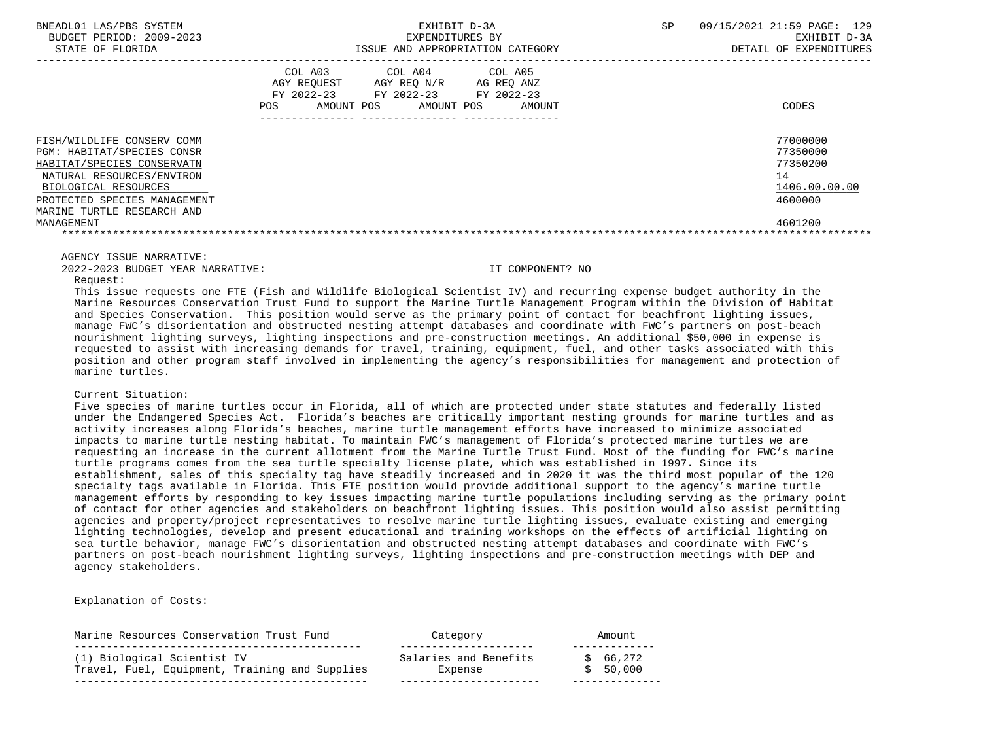| BUDGET PERIOD: 2009-2023<br>EXPENDITURES BY<br>STATE OF FLORIDA<br>ISSUE AND APPROPRIATION CATEGORY                                                                                                       | EXHIBIT D-3A<br>DETAIL OF EXPENDITURES                                        |
|-----------------------------------------------------------------------------------------------------------------------------------------------------------------------------------------------------------|-------------------------------------------------------------------------------|
| COL A03<br>COL A05<br>COL A04<br>AGY REQUEST AGY REQ N/R AG REQ ANZ<br>FY 2022-23 FY 2022-23 FY 2022-23<br><b>POS</b><br>AMOUNT POS<br>AMOUNT POS<br>AMOUNT                                               | CODES                                                                         |
| FISH/WILDLIFE CONSERV COMM<br>PGM: HABITAT/SPECIES CONSR<br>HABITAT/SPECIES CONSERVATN<br>NATURAL RESOURCES/ENVIRON<br>BIOLOGICAL RESOURCES<br>PROTECTED SPECIES MANAGEMENT<br>MARINE TURTLE RESEARCH AND | 77000000<br>77350000<br>77350200<br>14<br>1406.00.00.00<br>4600000<br>4601200 |
| MANAGEMENT                                                                                                                                                                                                |                                                                               |

2022-2023 BUDGET YEAR NARRATIVE: IT COMPONENT? NO

Request:

 This issue requests one FTE (Fish and Wildlife Biological Scientist IV) and recurring expense budget authority in the Marine Resources Conservation Trust Fund to support the Marine Turtle Management Program within the Division of Habitat and Species Conservation. This position would serve as the primary point of contact for beachfront lighting issues, manage FWC's disorientation and obstructed nesting attempt databases and coordinate with FWC's partners on post-beach nourishment lighting surveys, lighting inspections and pre-construction meetings. An additional \$50,000 in expense is requested to assist with increasing demands for travel, training, equipment, fuel, and other tasks associated with this position and other program staff involved in implementing the agency's responsibilities for management and protection of marine turtles.

## Current Situation:

 Five species of marine turtles occur in Florida, all of which are protected under state statutes and federally listed under the Endangered Species Act. Florida's beaches are critically important nesting grounds for marine turtles and as activity increases along Florida's beaches, marine turtle management efforts have increased to minimize associated impacts to marine turtle nesting habitat. To maintain FWC's management of Florida's protected marine turtles we are requesting an increase in the current allotment from the Marine Turtle Trust Fund. Most of the funding for FWC's marine turtle programs comes from the sea turtle specialty license plate, which was established in 1997. Since its establishment, sales of this specialty tag have steadily increased and in 2020 it was the third most popular of the 120 specialty tags available in Florida. This FTE position would provide additional support to the agency's marine turtle management efforts by responding to key issues impacting marine turtle populations including serving as the primary point of contact for other agencies and stakeholders on beachfront lighting issues. This position would also assist permitting agencies and property/project representatives to resolve marine turtle lighting issues, evaluate existing and emerging lighting technologies, develop and present educational and training workshops on the effects of artificial lighting on sea turtle behavior, manage FWC's disorientation and obstructed nesting attempt databases and coordinate with FWC's partners on post-beach nourishment lighting surveys, lighting inspections and pre-construction meetings with DEP and agency stakeholders.

Explanation of Costs:

| Marine Resources Conservation Trust Fund       | Category              | Amount   |
|------------------------------------------------|-----------------------|----------|
| (1) Biological Scientist IV                    | Salaries and Benefits | 66,272   |
| Travel, Fuel, Equipment, Training and Supplies | Expense               | \$50,000 |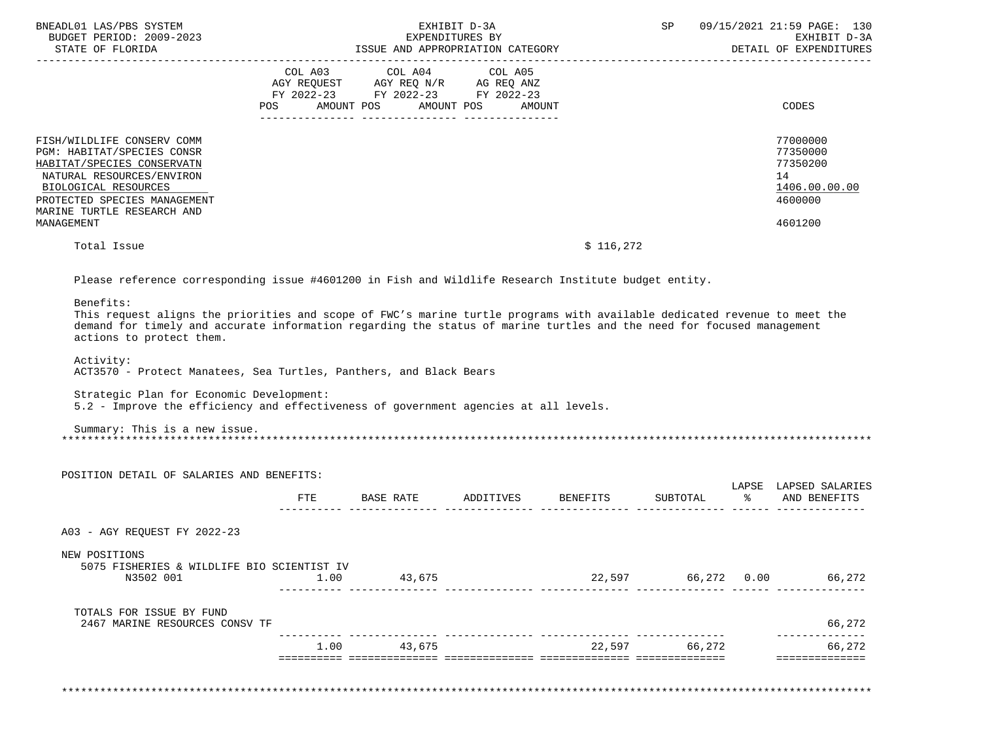| BNEADL01 LAS/PBS SYSTEM<br>BUDGET PERIOD: 2009-2023<br>STATE OF FLORIDA                                                                                                                                                        | EXHIBIT D-3A<br>SP<br>EXPENDITURES BY<br>ISSUE AND APPROPRIATION CATEGORY                                                                                                                                                                          | 09/15/2021 21:59 PAGE: 130<br>EXHIBIT D-3A<br>DETAIL OF EXPENDITURES          |
|--------------------------------------------------------------------------------------------------------------------------------------------------------------------------------------------------------------------------------|----------------------------------------------------------------------------------------------------------------------------------------------------------------------------------------------------------------------------------------------------|-------------------------------------------------------------------------------|
|                                                                                                                                                                                                                                | COL A03 COL A04 COL A05<br>AGY REQUEST AGY REQ N/R AG REQ ANZ<br>FY 2022-23 FY 2022-23 FY 2022-23<br>AMOUNT POS AMOUNT POS<br>POS<br>AMOUNT                                                                                                        | CODES                                                                         |
| FISH/WILDLIFE CONSERV COMM<br><b>PGM: HABITAT/SPECIES CONSR</b><br>HABITAT/SPECIES CONSERVATN<br>NATURAL RESOURCES/ENVIRON<br>BIOLOGICAL RESOURCES<br>PROTECTED SPECIES MANAGEMENT<br>MARINE TURTLE RESEARCH AND<br>MANAGEMENT |                                                                                                                                                                                                                                                    | 77000000<br>77350000<br>77350200<br>14<br>1406.00.00.00<br>4600000<br>4601200 |
| Total Issue                                                                                                                                                                                                                    | \$116,272                                                                                                                                                                                                                                          |                                                                               |
|                                                                                                                                                                                                                                | Please reference corresponding issue #4601200 in Fish and Wildlife Research Institute budget entity.                                                                                                                                               |                                                                               |
| Benefits:                                                                                                                                                                                                                      | This request aligns the priorities and scope of FWC's marine turtle programs with available dedicated revenue to meet the<br>demand for timely and accurate information regarding the status of marine turtles and the need for focused management |                                                                               |

actions to protect them.

Activity:

ACT3570 - Protect Manatees, Sea Turtles, Panthers, and Black Bears

Strategic Plan for Economic Development:

5.2 - Improve the efficiency and effectiveness of government agencies at all levels.

 Summary: This is a new issue. \*\*\*\*\*\*\*\*\*\*\*\*\*\*\*\*\*\*\*\*\*\*\*\*\*\*\*\*\*\*\*\*\*\*\*\*\*\*\*\*\*\*\*\*\*\*\*\*\*\*\*\*\*\*\*\*\*\*\*\*\*\*\*\*\*\*\*\*\*\*\*\*\*\*\*\*\*\*\*\*\*\*\*\*\*\*\*\*\*\*\*\*\*\*\*\*\*\*\*\*\*\*\*\*\*\*\*\*\*\*\*\*\*\*\*\*\*\*\*\*\*\*\*\*\*\*\*

| POSITION DETAIL OF SALARIES AND BENEFITS:                   |      |           |           |          |             |           | LAPSE LAPSED SALARIES |
|-------------------------------------------------------------|------|-----------|-----------|----------|-------------|-----------|-----------------------|
|                                                             | FTE  | BASE RATE | ADDITIVES | BENEFITS | SUBTOTAL    | $\approx$ | AND BENEFITS          |
| A03 - AGY REOUEST FY 2022-23                                |      |           |           |          |             |           |                       |
| NEW POSITIONS<br>5075 FISHERIES & WILDLIFE BIO SCIENTIST IV |      |           |           |          |             |           |                       |
| N3502 001                                                   | 1.00 | 43,675    |           | 22,597   | 66,272 0.00 |           | 66,272                |
| TOTALS FOR ISSUE BY FUND                                    |      |           |           |          |             |           |                       |
| 2467 MARINE RESOURCES CONSV TF                              |      |           |           |          |             |           | 66,272                |
|                                                             | 1.00 | 43,675    |           | 22,597   | 66,272      |           | 66,272                |

\*\*\*\*\*\*\*\*\*\*\*\*\*\*\*\*\*\*\*\*\*\*\*\*\*\*\*\*\*\*\*\*\*\*\*\*\*\*\*\*\*\*\*\*\*\*\*\*\*\*\*\*\*\*\*\*\*\*\*\*\*\*\*\*\*\*\*\*\*\*\*\*\*\*\*\*\*\*\*\*\*\*\*\*\*\*\*\*\*\*\*\*\*\*\*\*\*\*\*\*\*\*\*\*\*\*\*\*\*\*\*\*\*\*\*\*\*\*\*\*\*\*\*\*\*\*\*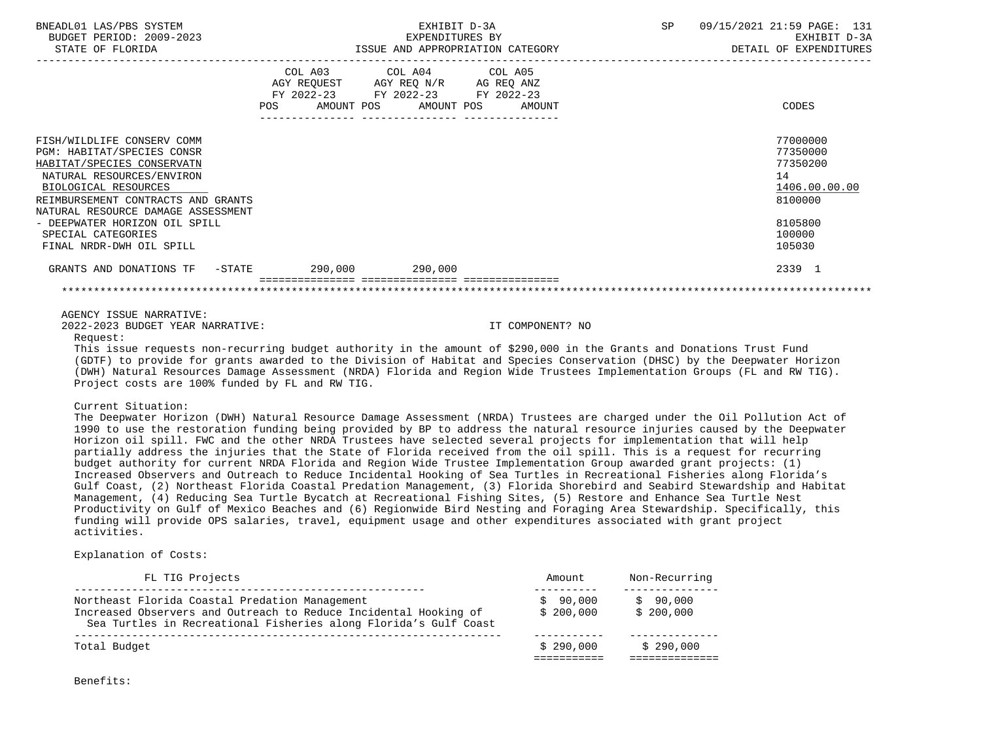| BNEADL01 LAS/PBS SYSTEM<br>BUDGET PERIOD: 2009-2023<br>STATE OF FLORIDA                                                                                                                                                 |         | EXHIBIT D-3A<br>EXPENDITURES BY<br>ISSUE AND APPROPRIATION CATEGORY                                                                                       | SP<br>09/15/2021 21:59 PAGE: 131<br>EXHIBIT D-3A<br>DETAIL OF EXPENDITURES |  |
|-------------------------------------------------------------------------------------------------------------------------------------------------------------------------------------------------------------------------|---------|-----------------------------------------------------------------------------------------------------------------------------------------------------------|----------------------------------------------------------------------------|--|
|                                                                                                                                                                                                                         |         | COL A03 COL A04 COL A05<br>AGY REQUEST AGY REQ N/R AG REQ ANZ<br>FY 2022-23 FY 2022-23 FY 2022-23<br>POS AMOUNT POS AMOUNT POS AMOUNT<br>---------------- | CODES                                                                      |  |
| FISH/WILDLIFE CONSERV COMM<br>PGM: HABITAT/SPECIES CONSR<br>HABITAT/SPECIES CONSERVATN<br>NATURAL RESOURCES/ENVIRON<br>BIOLOGICAL RESOURCES<br>REIMBURSEMENT CONTRACTS AND GRANTS<br>NATURAL RESOURCE DAMAGE ASSESSMENT |         |                                                                                                                                                           | 77000000<br>77350000<br>77350200<br>14<br>1406.00.00.00<br>8100000         |  |
| - DEEPWATER HORIZON OIL SPILL<br>SPECIAL CATEGORIES<br>FINAL NRDR-DWH OIL SPILL                                                                                                                                         |         |                                                                                                                                                           | 8105800<br>100000<br>105030                                                |  |
| GRANTS AND DONATIONS TF -STATE                                                                                                                                                                                          | 290.000 | 290.000                                                                                                                                                   | 2339 1                                                                     |  |
|                                                                                                                                                                                                                         |         |                                                                                                                                                           |                                                                            |  |

2022-2023 BUDGET YEAR NARRATIVE: IT COMPONENT? NO

Request:

 This issue requests non-recurring budget authority in the amount of \$290,000 in the Grants and Donations Trust Fund (GDTF) to provide for grants awarded to the Division of Habitat and Species Conservation (DHSC) by the Deepwater Horizon (DWH) Natural Resources Damage Assessment (NRDA) Florida and Region Wide Trustees Implementation Groups (FL and RW TIG). Project costs are 100% funded by FL and RW TIG.

Current Situation:

 The Deepwater Horizon (DWH) Natural Resource Damage Assessment (NRDA) Trustees are charged under the Oil Pollution Act of 1990 to use the restoration funding being provided by BP to address the natural resource injuries caused by the Deepwater Horizon oil spill. FWC and the other NRDA Trustees have selected several projects for implementation that will help partially address the injuries that the State of Florida received from the oil spill. This is a request for recurring budget authority for current NRDA Florida and Region Wide Trustee Implementation Group awarded grant projects: (1) Increased Observers and Outreach to Reduce Incidental Hooking of Sea Turtles in Recreational Fisheries along Florida's Gulf Coast, (2) Northeast Florida Coastal Predation Management, (3) Florida Shorebird and Seabird Stewardship and Habitat Management, (4) Reducing Sea Turtle Bycatch at Recreational Fishing Sites, (5) Restore and Enhance Sea Turtle Nest Productivity on Gulf of Mexico Beaches and (6) Regionwide Bird Nesting and Foraging Area Stewardship. Specifically, this funding will provide OPS salaries, travel, equipment usage and other expenditures associated with grant project activities.

Explanation of Costs:

| FL TIG Projects                                                                                                                      | Amount    | Non-Recurring |
|--------------------------------------------------------------------------------------------------------------------------------------|-----------|---------------|
| Northeast Florida Coastal Predation Management                                                                                       | \$90,000  | \$90,000      |
| Increased Observers and Outreach to Reduce Incidental Hooking of<br>Sea Turtles in Recreational Fisheries along Florida's Gulf Coast | \$200.000 | \$200,000     |
|                                                                                                                                      |           |               |
| Total Budget                                                                                                                         | \$290.000 | \$290.000     |
|                                                                                                                                      |           |               |

Benefits: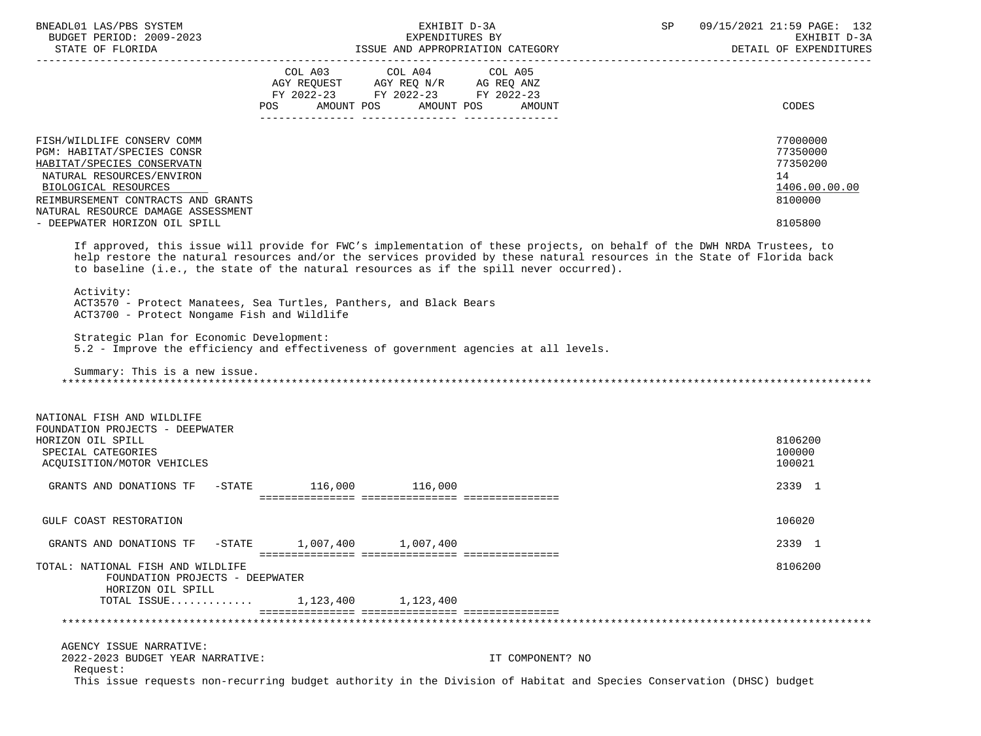| BNEADL01 LAS/PBS SYSTEM                                                  | EXHIBIT D-3A                                                                                                                                                                                                                                                                                                                                 | 09/15/2021 21:59 PAGE: 132<br>SP       |
|--------------------------------------------------------------------------|----------------------------------------------------------------------------------------------------------------------------------------------------------------------------------------------------------------------------------------------------------------------------------------------------------------------------------------------|----------------------------------------|
| BUDGET PERIOD: 2009-2023<br>STATE OF FLORIDA                             | EXPENDITURES BY<br>ISSUE AND APPROPRIATION CATEGORY                                                                                                                                                                                                                                                                                          | EXHIBIT D-3A<br>DETAIL OF EXPENDITURES |
|                                                                          |                                                                                                                                                                                                                                                                                                                                              |                                        |
|                                                                          | COL A03<br>COL A04<br>COL A05<br>AGY REQUEST AGY REQ N/R AG REQ ANZ                                                                                                                                                                                                                                                                          |                                        |
|                                                                          | FY 2022-23 FY 2022-23 FY 2022-23                                                                                                                                                                                                                                                                                                             |                                        |
|                                                                          | POS AMOUNT POS AMOUNT POS AMOUNT                                                                                                                                                                                                                                                                                                             | CODES                                  |
|                                                                          |                                                                                                                                                                                                                                                                                                                                              |                                        |
| FISH/WILDLIFE CONSERV COMM<br>PGM: HABITAT/SPECIES CONSR                 |                                                                                                                                                                                                                                                                                                                                              | 77000000<br>77350000                   |
| HABITAT/SPECIES CONSERVATN                                               |                                                                                                                                                                                                                                                                                                                                              | 77350200                               |
| NATURAL RESOURCES/ENVIRON                                                |                                                                                                                                                                                                                                                                                                                                              | 14                                     |
| BIOLOGICAL RESOURCES                                                     |                                                                                                                                                                                                                                                                                                                                              | 1406.00.00.00                          |
| REIMBURSEMENT CONTRACTS AND GRANTS<br>NATURAL RESOURCE DAMAGE ASSESSMENT |                                                                                                                                                                                                                                                                                                                                              | 8100000                                |
| - DEEPWATER HORIZON OIL SPILL                                            |                                                                                                                                                                                                                                                                                                                                              | 8105800                                |
|                                                                          | If approved, this issue will provide for FWC's implementation of these projects, on behalf of the DWH NRDA Trustees, to<br>help restore the natural resources and/or the services provided by these natural resources in the State of Florida back<br>to baseline (i.e., the state of the natural resources as if the spill never occurred). |                                        |
| Activity:<br>ACT3700 - Protect Nongame Fish and Wildlife                 | ACT3570 - Protect Manatees, Sea Turtles, Panthers, and Black Bears                                                                                                                                                                                                                                                                           |                                        |
| Strategic Plan for Economic Development:                                 | 5.2 - Improve the efficiency and effectiveness of government agencies at all levels.                                                                                                                                                                                                                                                         |                                        |
| Summary: This is a new issue.                                            |                                                                                                                                                                                                                                                                                                                                              |                                        |
| NATIONAL FISH AND WILDLIFE                                               |                                                                                                                                                                                                                                                                                                                                              |                                        |
| FOUNDATION PROJECTS - DEEPWATER                                          |                                                                                                                                                                                                                                                                                                                                              |                                        |
| HORIZON OIL SPILL                                                        |                                                                                                                                                                                                                                                                                                                                              | 8106200                                |
| SPECIAL CATEGORIES                                                       |                                                                                                                                                                                                                                                                                                                                              | 100000                                 |
| ACQUISITION/MOTOR VEHICLES                                               |                                                                                                                                                                                                                                                                                                                                              | 100021                                 |
| GRANTS AND DONATIONS TF                                                  | $-STATE$ 116,000 116,000                                                                                                                                                                                                                                                                                                                     | 2339 1                                 |
|                                                                          |                                                                                                                                                                                                                                                                                                                                              |                                        |
| GULF COAST RESTORATION                                                   |                                                                                                                                                                                                                                                                                                                                              | 106020                                 |
| GRANTS AND DONATIONS TF -STATE                                           | 1,007,400<br>1,007,400                                                                                                                                                                                                                                                                                                                       | 2339 1                                 |
| TOTAL: NATIONAL FISH AND WILDLIFE                                        |                                                                                                                                                                                                                                                                                                                                              | 8106200                                |
| FOUNDATION PROJECTS - DEEPWATER<br>HORIZON OIL SPILL                     |                                                                                                                                                                                                                                                                                                                                              |                                        |
| TOTAL ISSUE                                                              | 1, 123, 400 1, 123, 400                                                                                                                                                                                                                                                                                                                      |                                        |
|                                                                          |                                                                                                                                                                                                                                                                                                                                              |                                        |
| AGENCY ISSUE NARRATIVE:                                                  |                                                                                                                                                                                                                                                                                                                                              |                                        |
| 2022-2023 BUDGET YEAR NARRATIVE:<br>Request:                             | IT COMPONENT? NO                                                                                                                                                                                                                                                                                                                             |                                        |
|                                                                          | This issue requests non-recurring budget authority in the Division of Habitat and Species Conservation (DHSC) budget                                                                                                                                                                                                                         |                                        |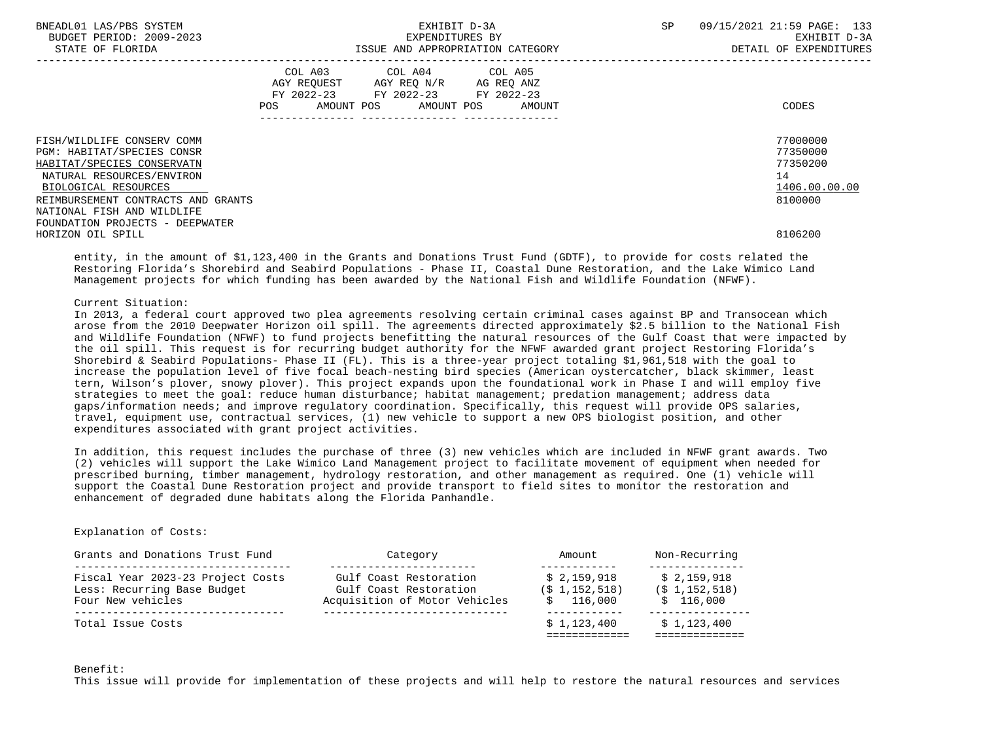| BNEADL01 LAS/PBS SYSTEM<br>BUDGET PERIOD: 2009-2023<br>STATE OF FLORIDA |                | EXHIBIT D-3A<br>EXPENDITURES BY<br>ISSUE AND APPROPRIATION CATEGORY                                                |        | <b>SP</b> | 09/15/2021 21:59 PAGE: 133<br>EXHIBIT D-3A<br>DETAIL OF EXPENDITURES |
|-------------------------------------------------------------------------|----------------|--------------------------------------------------------------------------------------------------------------------|--------|-----------|----------------------------------------------------------------------|
|                                                                         | COL A03<br>POS | COL A04 COL A05<br>AGY REOUEST AGY REO N/R AG REO ANZ<br>FY 2022-23 FY 2022-23 FY 2022-23<br>AMOUNT POS AMOUNT POS | AMOUNT |           | CODES                                                                |
| FISH/WILDLIFE CONSERV COMM<br>PGM: HABITAT/SPECIES CONSR                |                |                                                                                                                    |        |           | 77000000<br>77350000                                                 |
| HABITAT/SPECIES CONSERVATN                                              |                |                                                                                                                    |        |           | 77350200                                                             |
| NATURAL RESOURCES/ENVIRON                                               |                |                                                                                                                    |        |           | 14                                                                   |
| BIOLOGICAL RESOURCES                                                    |                |                                                                                                                    |        |           | 1406.00.00.00                                                        |
| REIMBURSEMENT CONTRACTS AND GRANTS                                      |                |                                                                                                                    |        |           | 8100000                                                              |
| NATIONAL FISH AND WILDLIFE                                              |                |                                                                                                                    |        |           |                                                                      |
| FOUNDATION PROJECTS - DEEPWATER                                         |                |                                                                                                                    |        |           |                                                                      |
| HORIZON OIL SPILL                                                       |                |                                                                                                                    |        |           | 8106200                                                              |

 entity, in the amount of \$1,123,400 in the Grants and Donations Trust Fund (GDTF), to provide for costs related the Restoring Florida's Shorebird and Seabird Populations - Phase II, Coastal Dune Restoration, and the Lake Wimico Land Management projects for which funding has been awarded by the National Fish and Wildlife Foundation (NFWF).

# Current Situation:

 In 2013, a federal court approved two plea agreements resolving certain criminal cases against BP and Transocean which arose from the 2010 Deepwater Horizon oil spill. The agreements directed approximately \$2.5 billion to the National Fish and Wildlife Foundation (NFWF) to fund projects benefitting the natural resources of the Gulf Coast that were impacted by the oil spill. This request is for recurring budget authority for the NFWF awarded grant project Restoring Florida's Shorebird & Seabird Populations- Phase II (FL). This is a three-year project totaling \$1,961,518 with the goal to increase the population level of five focal beach-nesting bird species (American oystercatcher, black skimmer, least tern, Wilson's plover, snowy plover). This project expands upon the foundational work in Phase I and will employ five strategies to meet the goal: reduce human disturbance; habitat management; predation management; address data gaps/information needs; and improve regulatory coordination. Specifically, this request will provide OPS salaries, travel, equipment use, contractual services, (1) new vehicle to support a new OPS biologist position, and other expenditures associated with grant project activities.

 In addition, this request includes the purchase of three (3) new vehicles which are included in NFWF grant awards. Two (2) vehicles will support the Lake Wimico Land Management project to facilitate movement of equipment when needed for prescribed burning, timber management, hydrology restoration, and other management as required. One (1) vehicle will support the Coastal Dune Restoration project and provide transport to field sites to monitor the restoration and enhancement of degraded dune habitats along the Florida Panhandle.

# Explanation of Costs:

| Grants and Donations Trust Fund                                                       | Category                                                                          | Amount                                      | Non-Recurring                                 |  |
|---------------------------------------------------------------------------------------|-----------------------------------------------------------------------------------|---------------------------------------------|-----------------------------------------------|--|
| Fiscal Year 2023-23 Project Costs<br>Less: Recurring Base Budget<br>Four New vehicles | Gulf Coast Restoration<br>Gulf Coast Restoration<br>Acquisition of Motor Vehicles | \$2,159,918<br>$(S_1, 152, 518)$<br>116,000 | \$2,159,918<br>$(S_1, 152, 518)$<br>\$116.000 |  |
| Total Issue Costs                                                                     |                                                                                   | \$1,123,400                                 | \$1,123,400                                   |  |

#### Benefit:

This issue will provide for implementation of these projects and will help to restore the natural resources and services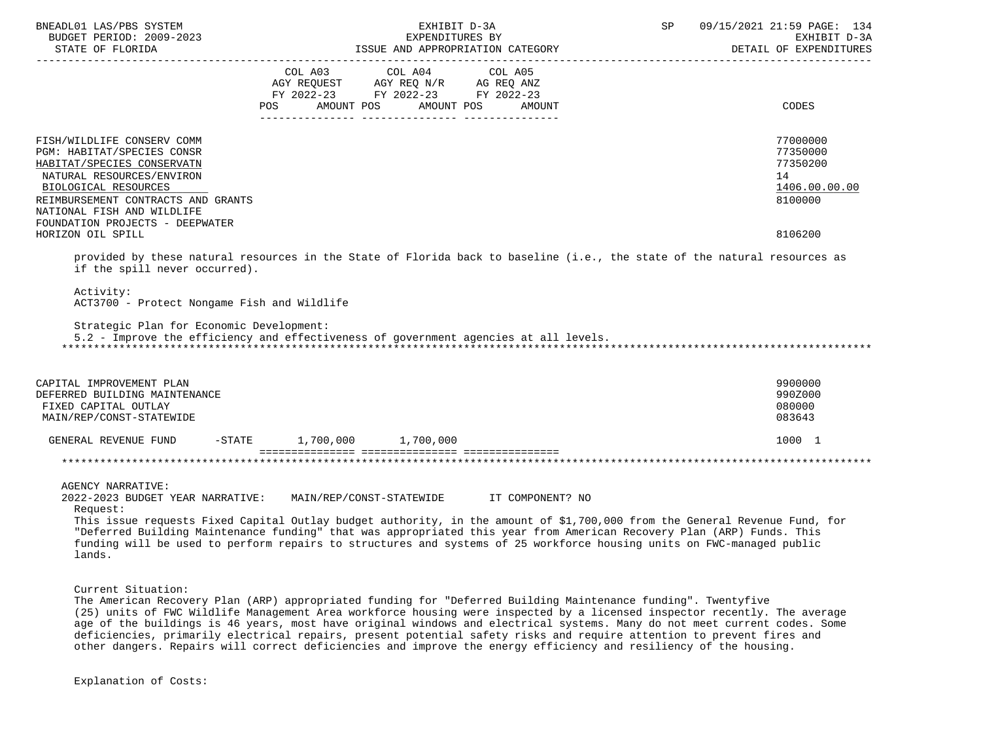| BNEADL01 LAS/PBS SYSTEM<br>BUDGET PERIOD: 2009-2023<br>STATE OF FLORIDA                                                                                                                                                                                                 | EXHIBIT D-3A<br>EXPENDITURES BY<br>ISSUE AND APPROPRIATION CATEGORY |                                                                                                   | SP                 | 09/15/2021 21:59 PAGE: 134<br>EXHIBIT D-3A<br>DETAIL OF EXPENDITURES |                                                                               |
|-------------------------------------------------------------------------------------------------------------------------------------------------------------------------------------------------------------------------------------------------------------------------|---------------------------------------------------------------------|---------------------------------------------------------------------------------------------------|--------------------|----------------------------------------------------------------------|-------------------------------------------------------------------------------|
|                                                                                                                                                                                                                                                                         | POS AMOUNT POS                                                      | COL A03 COL A04 COL A05<br>AGY REQUEST AGY REQ N/R AG REQ ANZ<br>FY 2022-23 FY 2022-23 FY 2022-23 | AMOUNT POS AMOUNT  |                                                                      | CODES                                                                         |
| FISH/WILDLIFE CONSERV COMM<br>PGM: HABITAT/SPECIES CONSR<br>HABITAT/SPECIES CONSERVATN<br>NATURAL RESOURCES/ENVIRON<br>BIOLOGICAL RESOURCES<br>REIMBURSEMENT CONTRACTS AND GRANTS<br>NATIONAL FISH AND WILDLIFE<br>FOUNDATION PROJECTS - DEEPWATER<br>HORIZON OIL SPILL |                                                                     |                                                                                                   |                    |                                                                      | 77000000<br>77350000<br>77350200<br>14<br>1406.00.00.00<br>8100000<br>8106200 |
| provided by these natural resources in the State of Florida back to baseline (i.e., the state of the natural resources as<br>if the spill never occurred).<br>Activity:                                                                                                 |                                                                     |                                                                                                   |                    |                                                                      |                                                                               |
| ACT3700 - Protect Nongame Fish and Wildlife                                                                                                                                                                                                                             |                                                                     |                                                                                                   |                    |                                                                      |                                                                               |
| Strategic Plan for Economic Development:<br>5.2 - Improve the efficiency and effectiveness of government agencies at all levels.                                                                                                                                        |                                                                     |                                                                                                   |                    |                                                                      |                                                                               |
| CAPITAL IMPROVEMENT PLAN<br>DEFERRED BUILDING MAINTENANCE<br>FIXED CAPITAL OUTLAY<br>MAIN/REP/CONST-STATEWIDE                                                                                                                                                           |                                                                     |                                                                                                   |                    |                                                                      | 9900000<br>990Z000<br>080000<br>083643                                        |
| GENERAL REVENUE FUND                                                                                                                                                                                                                                                    | $-STATE$ 1,700,000 1,700,000                                        |                                                                                                   |                    |                                                                      | 1000 1                                                                        |
|                                                                                                                                                                                                                                                                         |                                                                     |                                                                                                   |                    |                                                                      |                                                                               |
| AGENCY NARRATIVE:                                                                                                                                                                                                                                                       |                                                                     |                                                                                                   | TEL COMPONIBUTO NO |                                                                      |                                                                               |

2022-2023 BUDGET YEAR NARRATIVE: MAIN/REP/CONST-STATEWIDE IT COMPONENT? NO

 Request: This issue requests Fixed Capital Outlay budget authority, in the amount of \$1,700,000 from the General Revenue Fund, for "Deferred Building Maintenance funding" that was appropriated this year from American Recovery Plan (ARP) Funds. This funding will be used to perform repairs to structures and systems of 25 workforce housing units on FWC-managed public lands.

Current Situation:

 The American Recovery Plan (ARP) appropriated funding for "Deferred Building Maintenance funding". Twentyfive (25) units of FWC Wildlife Management Area workforce housing were inspected by a licensed inspector recently. The average age of the buildings is 46 years, most have original windows and electrical systems. Many do not meet current codes. Some deficiencies, primarily electrical repairs, present potential safety risks and require attention to prevent fires and other dangers. Repairs will correct deficiencies and improve the energy efficiency and resiliency of the housing.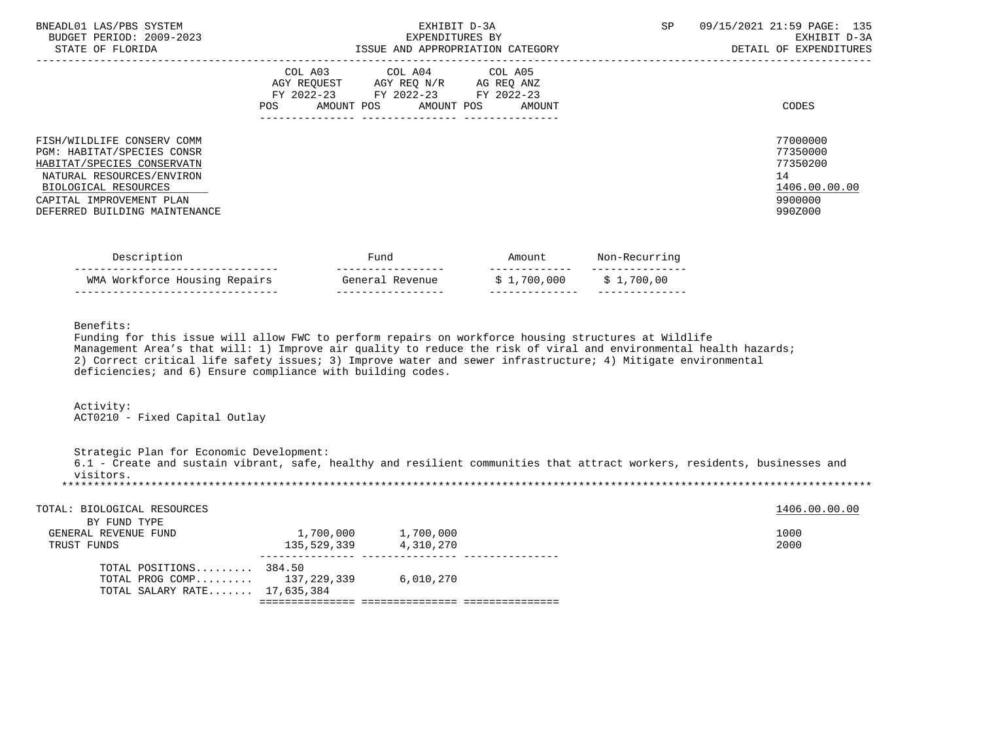| BNEADL01 LAS/PBS SYSTEM<br>BUDGET PERIOD: 2009-2023<br>STATE OF FLORIDA                                                                                                                                  | EXHIBIT D-3A<br>EXPENDITURES BY<br>ISSUE AND APPROPRIATION CATEGORY                                                                      | SP<br>09/15/2021 21:59 PAGE: 135<br>EXHIBIT D-3A<br>DETAIL OF EXPENDITURES             |
|----------------------------------------------------------------------------------------------------------------------------------------------------------------------------------------------------------|------------------------------------------------------------------------------------------------------------------------------------------|----------------------------------------------------------------------------------------|
| FISH/WILDLIFE CONSERV COMM<br>PGM: HABITAT/SPECIES CONSR<br>HABITAT/SPECIES CONSERVATN<br>NATURAL RESOURCES/ENVIRON<br>BIOLOGICAL RESOURCES<br>CAPITAL IMPROVEMENT PLAN<br>DEFERRED BUILDING MAINTENANCE | COL A03 COL A04 COL A05<br>AGY REOUEST AGY REO N/R AG REO ANZ<br>FY 2022-23 FY 2022-23 FY 2022-23<br>POS<br>AMOUNT POS AMOUNT POS AMOUNT | CODES<br>77000000<br>77350000<br>77350200<br>14<br>1406.00.00.00<br>9900000<br>990Z000 |

| Description                   | Fund               | Amour       | Non-Recurri |  |
|-------------------------------|--------------------|-------------|-------------|--|
| WMA Workforce Housing Repairs | Revenue<br>General | \$1,700,000 | \$1,700,00  |  |

Benefits:

 Funding for this issue will allow FWC to perform repairs on workforce housing structures at Wildlife Management Area's that will: 1) Improve air quality to reduce the risk of viral and environmental health hazards; 2) Correct critical life safety issues; 3) Improve water and sewer infrastructure; 4) Mitigate environmental deficiencies; and 6) Ensure compliance with building codes.

 Activity: ACT0210 - Fixed Capital Outlay

 Strategic Plan for Economic Development: 6.1 - Create and sustain vibrant, safe, healthy and resilient communities that attract workers, residents, businesses and visitors. \*\*\*\*\*\*\*\*\*\*\*\*\*\*\*\*\*\*\*\*\*\*\*\*\*\*\*\*\*\*\*\*\*\*\*\*\*\*\*\*\*\*\*\*\*\*\*\*\*\*\*\*\*\*\*\*\*\*\*\*\*\*\*\*\*\*\*\*\*\*\*\*\*\*\*\*\*\*\*\*\*\*\*\*\*\*\*\*\*\*\*\*\*\*\*\*\*\*\*\*\*\*\*\*\*\*\*\*\*\*\*\*\*\*\*\*\*\*\*\*\*\*\*\*\*\*\*

| 2000                  |
|-----------------------|
| 1406.00.00.00<br>1000 |
|                       |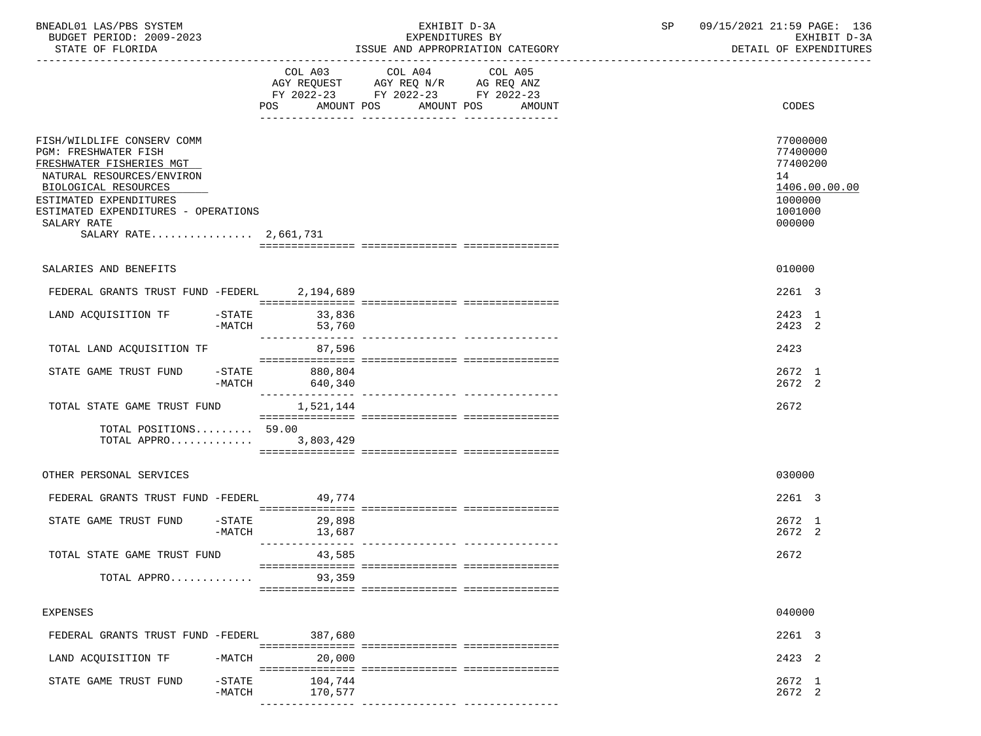| BNEADL01 LAS/PBS SYSTEM  | EXHIBIT D-3A                     | SP | 09/15/2021 21:59 PAGE: 136 |
|--------------------------|----------------------------------|----|----------------------------|
| BUDGET PERIOD: 2009-2023 | EXPENDITURES BY                  |    | EXHIBIT D-3A               |
| STATE OF FLORIDA         | ISSUE AND APPROPRIATION CATEGORY |    | DETAIL OF EXPENDITURES     |

| STATE OF FLORIDA                                                                                                                                                                                                                             |                       |                    | ISSUE AND APPROPRIATION CATEGORY | DETAIL OF EXPENDITURES           |                                                                                         |  |
|----------------------------------------------------------------------------------------------------------------------------------------------------------------------------------------------------------------------------------------------|-----------------------|--------------------|----------------------------------|----------------------------------|-----------------------------------------------------------------------------------------|--|
|                                                                                                                                                                                                                                              |                       |                    | FY 2022-23 FY 2022-23 FY 2022-23 | POS AMOUNT POS AMOUNT POS AMOUNT | CODES                                                                                   |  |
| FISH/WILDLIFE CONSERV COMM<br>PGM: FRESHWATER FISH<br>FRESHWATER FISHERIES MGT<br>NATURAL RESOURCES/ENVIRON<br>BIOLOGICAL RESOURCES<br>ESTIMATED EXPENDITURES<br>ESTIMATED EXPENDITURES - OPERATIONS<br>SALARY RATE<br>SALARY RATE 2,661,731 |                       |                    |                                  |                                  | 77000000<br>77400000<br>77400200<br>14<br>1406.00.00.00<br>1000000<br>1001000<br>000000 |  |
| SALARIES AND BENEFITS                                                                                                                                                                                                                        |                       |                    |                                  |                                  | 010000                                                                                  |  |
| FEDERAL GRANTS TRUST FUND -FEDERL 2,194,689                                                                                                                                                                                                  |                       |                    |                                  |                                  | 2261 3                                                                                  |  |
| LAND ACQUISITION TF -STATE 33,836                                                                                                                                                                                                            | -MATCH                | 53,760             |                                  |                                  | 2423 1<br>2423 2                                                                        |  |
| TOTAL LAND ACQUISITION TF                                                                                                                                                                                                                    |                       | 87,596             |                                  |                                  | 2423                                                                                    |  |
| STATE GAME TRUST FUND -STATE 880,804                                                                                                                                                                                                         | -MATCH                | 640,340            |                                  |                                  | 2672 1<br>2672 2                                                                        |  |
| TOTAL STATE GAME TRUST FUND                                                                                                                                                                                                                  |                       | 1,521,144          |                                  |                                  | 2672                                                                                    |  |
| TOTAL POSITIONS 59.00<br>TOTAL APPRO 3,803,429                                                                                                                                                                                               |                       |                    |                                  |                                  |                                                                                         |  |
| OTHER PERSONAL SERVICES                                                                                                                                                                                                                      |                       |                    |                                  |                                  | 030000                                                                                  |  |
| FEDERAL GRANTS TRUST FUND -FEDERL 49,774                                                                                                                                                                                                     |                       |                    |                                  |                                  | 2261 3                                                                                  |  |
| STATE GAME TRUST FUND -STATE 29,898                                                                                                                                                                                                          | -MATCH                | 13,687             |                                  |                                  | 2672 1<br>2672 2                                                                        |  |
| TOTAL STATE GAME TRUST FUND                                                                                                                                                                                                                  |                       | 43,585             |                                  |                                  | 2672                                                                                    |  |
| TOTAL APPRO                                                                                                                                                                                                                                  |                       | 93,359             |                                  |                                  |                                                                                         |  |
| <b>EXPENSES</b>                                                                                                                                                                                                                              |                       |                    |                                  |                                  | 040000                                                                                  |  |
| FEDERAL GRANTS TRUST FUND -FEDERL                                                                                                                                                                                                            |                       | 387,680            |                                  |                                  | 2261 3                                                                                  |  |
| LAND ACQUISITION TF                                                                                                                                                                                                                          | $-MATCH$              | 20,000             |                                  |                                  | 2423 2                                                                                  |  |
| STATE GAME TRUST FUND                                                                                                                                                                                                                        | $-$ STATE<br>$-MATCH$ | 104,744<br>170,577 |                                  |                                  | 2672 1<br>2672 2                                                                        |  |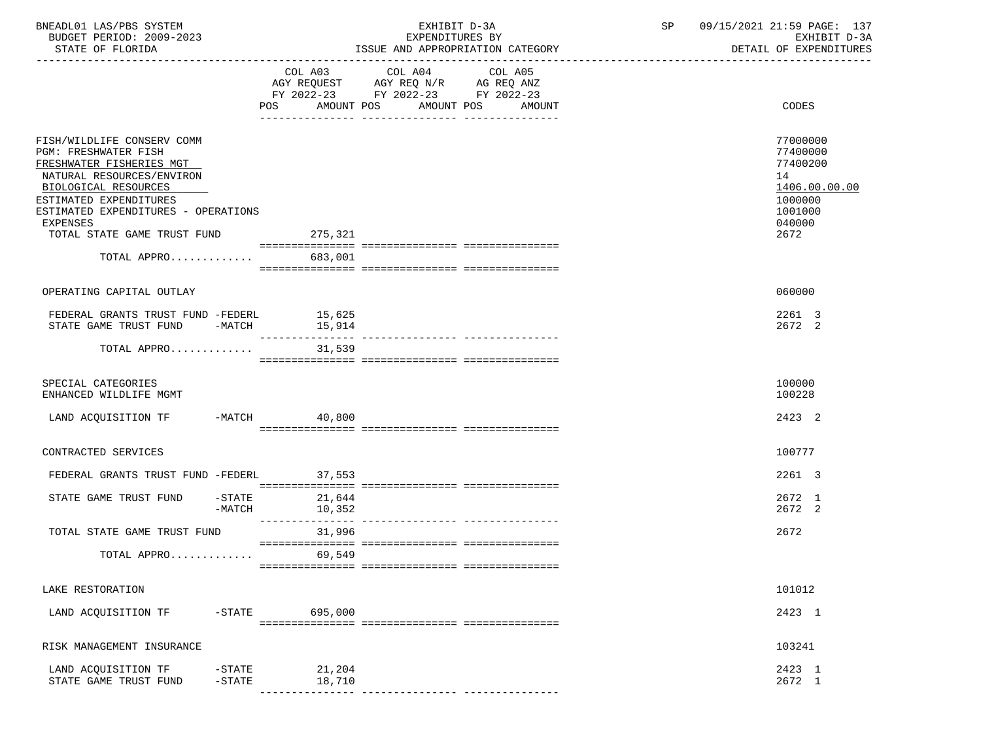| BNEADL01 LAS/PBS SYSTEM<br>BUDGET PERIOD: 2009-2023<br>STATE OF FLORIDA                                                                                                                                                                                               |                           | EXHIBIT D-3A<br>EXPENDITURES BY<br>ISSUE AND APPROPRIATION CATEGORY                                                                        | SP 09/15/2021 21:59 PAGE: 137 | EXHIBIT D-3A<br>DETAIL OF EXPENDITURES                                                          |  |
|-----------------------------------------------------------------------------------------------------------------------------------------------------------------------------------------------------------------------------------------------------------------------|---------------------------|--------------------------------------------------------------------------------------------------------------------------------------------|-------------------------------|-------------------------------------------------------------------------------------------------|--|
|                                                                                                                                                                                                                                                                       | POS                       | COL A03 COL A04<br>COL A05<br>AGY REQUEST AGY REQ N/R AG REQ ANZ<br>FY 2022-23 FY 2022-23 FY 2022-23<br>AMOUNT POS<br>AMOUNT POS<br>AMOUNT |                               | CODES                                                                                           |  |
| FISH/WILDLIFE CONSERV COMM<br>PGM: FRESHWATER FISH<br>FRESHWATER FISHERIES MGT<br>NATURAL RESOURCES/ENVIRON<br>BIOLOGICAL RESOURCES<br>ESTIMATED EXPENDITURES<br>ESTIMATED EXPENDITURES - OPERATIONS<br><b>EXPENSES</b><br>TOTAL STATE GAME TRUST FUND<br>TOTAL APPRO | 275, 321<br>683,001       |                                                                                                                                            |                               | 77000000<br>77400000<br>77400200<br>14<br>1406.00.00.00<br>1000000<br>1001000<br>040000<br>2672 |  |
| OPERATING CAPITAL OUTLAY                                                                                                                                                                                                                                              |                           |                                                                                                                                            |                               | 060000                                                                                          |  |
| FEDERAL GRANTS TRUST FUND -FEDERL 15,625<br>STATE GAME TRUST FUND<br>TOTAL APPRO                                                                                                                                                                                      | $-MATCH$ 15,914<br>31,539 |                                                                                                                                            |                               | 2261 3<br>2672 2                                                                                |  |
| SPECIAL CATEGORIES<br>ENHANCED WILDLIFE MGMT                                                                                                                                                                                                                          |                           |                                                                                                                                            |                               | 100000<br>100228                                                                                |  |
| LAND ACQUISITION TF -MATCH 40,800                                                                                                                                                                                                                                     |                           |                                                                                                                                            |                               | 2423 2                                                                                          |  |
| CONTRACTED SERVICES                                                                                                                                                                                                                                                   |                           |                                                                                                                                            |                               | 100777                                                                                          |  |
| FEDERAL GRANTS TRUST FUND -FEDERL 37,553                                                                                                                                                                                                                              |                           |                                                                                                                                            |                               | 2261 3                                                                                          |  |
| STATE GAME TRUST FUND<br>$-$ STATE<br>-MATCH                                                                                                                                                                                                                          | 21,644<br>10,352          |                                                                                                                                            |                               | 2672 1<br>2672 2                                                                                |  |
| TOTAL STATE GAME TRUST FUND<br>TOTAL APPRO                                                                                                                                                                                                                            | 31,996<br>69,549          |                                                                                                                                            |                               | 2672                                                                                            |  |
|                                                                                                                                                                                                                                                                       |                           |                                                                                                                                            |                               |                                                                                                 |  |
| LAKE RESTORATION<br>LAND ACQUISITION TF                                                                                                                                                                                                                               | -STATE 695,000            |                                                                                                                                            |                               | 101012<br>2423 1                                                                                |  |
| RISK MANAGEMENT INSURANCE                                                                                                                                                                                                                                             |                           |                                                                                                                                            |                               | 103241                                                                                          |  |
| LAND ACQUISITION TF<br>$-$ STATE<br>STATE GAME TRUST FUND<br>$-$ STATE                                                                                                                                                                                                | 21,204<br>18,710          |                                                                                                                                            |                               | 2423 1<br>2672 1                                                                                |  |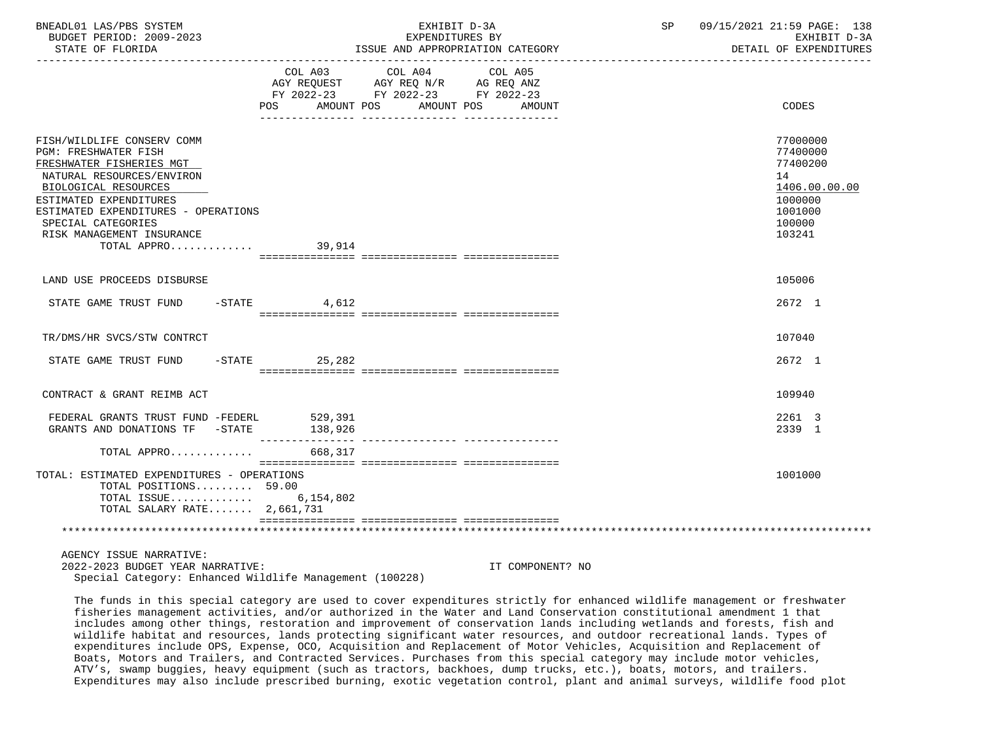| BNEADL01 LAS/PBS SYSTEM<br>BUDGET PERIOD: 2009-2023<br>STATE OF FLORIDA                                                                                                                                                                                                |                   | EXHIBIT D-3A<br>EXPENDITURES BY<br>ISSUE AND APPROPRIATION CATEGORY                                                                     | SP | 09/15/2021 21:59 PAGE: 138<br>EXHIBIT D-3A<br>DETAIL OF EXPENDITURES                              |
|------------------------------------------------------------------------------------------------------------------------------------------------------------------------------------------------------------------------------------------------------------------------|-------------------|-----------------------------------------------------------------------------------------------------------------------------------------|----|---------------------------------------------------------------------------------------------------|
|                                                                                                                                                                                                                                                                        | POS FOR           | COL A03 COL A04<br>COL A05<br>AGY REQUEST AGY REQ N/R AG REQ ANZ<br>FY 2022-23 FY 2022-23 FY 2022-23<br>AMOUNT POS AMOUNT POS<br>AMOUNT |    | CODES                                                                                             |
| FISH/WILDLIFE CONSERV COMM<br>PGM: FRESHWATER FISH<br>FRESHWATER FISHERIES MGT<br>NATURAL RESOURCES/ENVIRON<br>BIOLOGICAL RESOURCES<br>ESTIMATED EXPENDITURES<br>ESTIMATED EXPENDITURES - OPERATIONS<br>SPECIAL CATEGORIES<br>RISK MANAGEMENT INSURANCE<br>TOTAL APPRO | 39,914            |                                                                                                                                         |    | 77000000<br>77400000<br>77400200<br>14<br>1406.00.00.00<br>1000000<br>1001000<br>100000<br>103241 |
| LAND USE PROCEEDS DISBURSE                                                                                                                                                                                                                                             |                   |                                                                                                                                         |    | 105006                                                                                            |
| STATE GAME TRUST FUND -STATE 4,612                                                                                                                                                                                                                                     |                   |                                                                                                                                         |    | 2672 1                                                                                            |
| TR/DMS/HR SVCS/STW CONTRCT                                                                                                                                                                                                                                             |                   |                                                                                                                                         |    | 107040                                                                                            |
| STATE GAME TRUST FUND                                                                                                                                                                                                                                                  | $-$ STATE 25, 282 |                                                                                                                                         |    | 2672 1                                                                                            |
| CONTRACT & GRANT REIMB ACT                                                                                                                                                                                                                                             |                   |                                                                                                                                         |    | 109940                                                                                            |
| FEDERAL GRANTS TRUST FUND -FEDERL 529,391<br>GRANTS AND DONATIONS TF -STATE 138,926                                                                                                                                                                                    |                   |                                                                                                                                         |    | 2261 3<br>2339 1                                                                                  |
| TOTAL APPRO                                                                                                                                                                                                                                                            | 668,317           |                                                                                                                                         |    |                                                                                                   |
| TOTAL: ESTIMATED EXPENDITURES - OPERATIONS<br>TOTAL POSITIONS $59.00$<br>TOTAL ISSUE $6,154,802$<br>TOTAL SALARY RATE $2,661,731$                                                                                                                                      |                   |                                                                                                                                         |    | 1001000                                                                                           |
|                                                                                                                                                                                                                                                                        |                   |                                                                                                                                         |    |                                                                                                   |
| AGENCY ISSUE NARRATIVE:                                                                                                                                                                                                                                                |                   |                                                                                                                                         |    |                                                                                                   |

 2022-2023 BUDGET YEAR NARRATIVE: IT COMPONENT? NO Special Category: Enhanced Wildlife Management (100228)

 The funds in this special category are used to cover expenditures strictly for enhanced wildlife management or freshwater fisheries management activities, and/or authorized in the Water and Land Conservation constitutional amendment 1 that includes among other things, restoration and improvement of conservation lands including wetlands and forests, fish and wildlife habitat and resources, lands protecting significant water resources, and outdoor recreational lands. Types of expenditures include OPS, Expense, OCO, Acquisition and Replacement of Motor Vehicles, Acquisition and Replacement of Boats, Motors and Trailers, and Contracted Services. Purchases from this special category may include motor vehicles, ATV's, swamp buggies, heavy equipment (such as tractors, backhoes, dump trucks, etc.), boats, motors, and trailers. Expenditures may also include prescribed burning, exotic vegetation control, plant and animal surveys, wildlife food plot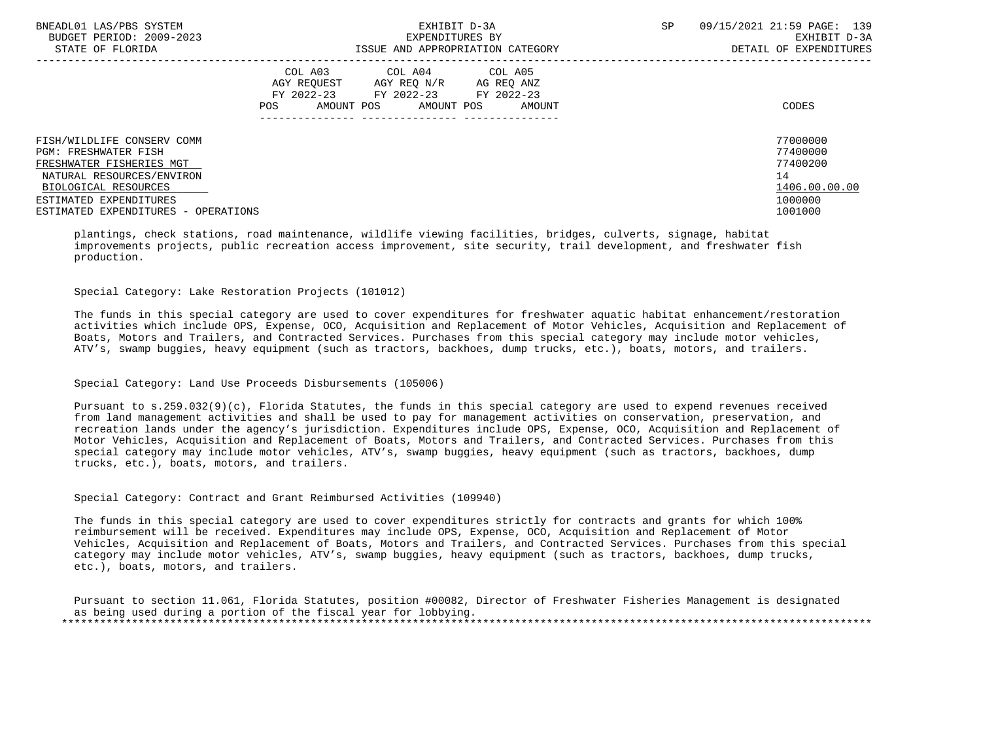| BNEADL01 LAS/PBS SYSTEM<br>EXHIBIT D-3A<br>BUDGET PERIOD: 2009-2023<br>EXPENDITURES BY |                                                                                      |                           |                                    | SP | 09/15/2021 21:59 PAGE: 139<br>EXHIBIT D-3A |
|----------------------------------------------------------------------------------------|--------------------------------------------------------------------------------------|---------------------------|------------------------------------|----|--------------------------------------------|
| STATE OF FLORIDA                                                                       | ISSUE AND APPROPRIATION CATEGORY                                                     |                           |                                    |    | DETAIL OF EXPENDITURES                     |
|                                                                                        | COL A03 COL A04 COL A05<br>AGY REOUEST<br>FY 2022-23 FY 2022-23<br>AMOUNT POS<br>POS | AGY REO N/R<br>AMOUNT POS | AG REO ANZ<br>FY 2022-23<br>AMOUNT |    | CODES                                      |
| FISH/WILDLIFE CONSERV COMM                                                             |                                                                                      |                           |                                    |    | 77000000                                   |
| <b>PGM: FRESHWATER FISH</b>                                                            |                                                                                      |                           |                                    |    | 77400000                                   |
| FRESHWATER FISHERIES MGT                                                               |                                                                                      |                           |                                    |    | 77400200                                   |
| NATURAL RESOURCES/ENVIRON                                                              |                                                                                      |                           |                                    |    | 14                                         |
| BIOLOGICAL RESOURCES                                                                   |                                                                                      |                           |                                    |    | 1406.00.00.00                              |
| ESTIMATED EXPENDITURES                                                                 |                                                                                      |                           |                                    |    | 1000000                                    |
| ESTIMATED EXPENDITURES - OPERATIONS                                                    |                                                                                      |                           |                                    |    | 1001000                                    |

 plantings, check stations, road maintenance, wildlife viewing facilities, bridges, culverts, signage, habitat improvements projects, public recreation access improvement, site security, trail development, and freshwater fish production.

#### Special Category: Lake Restoration Projects (101012)

 The funds in this special category are used to cover expenditures for freshwater aquatic habitat enhancement/restoration activities which include OPS, Expense, OCO, Acquisition and Replacement of Motor Vehicles, Acquisition and Replacement of Boats, Motors and Trailers, and Contracted Services. Purchases from this special category may include motor vehicles, ATV's, swamp buggies, heavy equipment (such as tractors, backhoes, dump trucks, etc.), boats, motors, and trailers.

# Special Category: Land Use Proceeds Disbursements (105006)

 Pursuant to s.259.032(9)(c), Florida Statutes, the funds in this special category are used to expend revenues received from land management activities and shall be used to pay for management activities on conservation, preservation, and recreation lands under the agency's jurisdiction. Expenditures include OPS, Expense, OCO, Acquisition and Replacement of Motor Vehicles, Acquisition and Replacement of Boats, Motors and Trailers, and Contracted Services. Purchases from this special category may include motor vehicles, ATV's, swamp buggies, heavy equipment (such as tractors, backhoes, dump trucks, etc.), boats, motors, and trailers.

#### Special Category: Contract and Grant Reimbursed Activities (109940)

 The funds in this special category are used to cover expenditures strictly for contracts and grants for which 100% reimbursement will be received. Expenditures may include OPS, Expense, OCO, Acquisition and Replacement of Motor Vehicles, Acquisition and Replacement of Boats, Motors and Trailers, and Contracted Services. Purchases from this special category may include motor vehicles, ATV's, swamp buggies, heavy equipment (such as tractors, backhoes, dump trucks, etc.), boats, motors, and trailers.

 Pursuant to section 11.061, Florida Statutes, position #00082, Director of Freshwater Fisheries Management is designated as being used during a portion of the fiscal year for lobbying. \*\*\*\*\*\*\*\*\*\*\*\*\*\*\*\*\*\*\*\*\*\*\*\*\*\*\*\*\*\*\*\*\*\*\*\*\*\*\*\*\*\*\*\*\*\*\*\*\*\*\*\*\*\*\*\*\*\*\*\*\*\*\*\*\*\*\*\*\*\*\*\*\*\*\*\*\*\*\*\*\*\*\*\*\*\*\*\*\*\*\*\*\*\*\*\*\*\*\*\*\*\*\*\*\*\*\*\*\*\*\*\*\*\*\*\*\*\*\*\*\*\*\*\*\*\*\*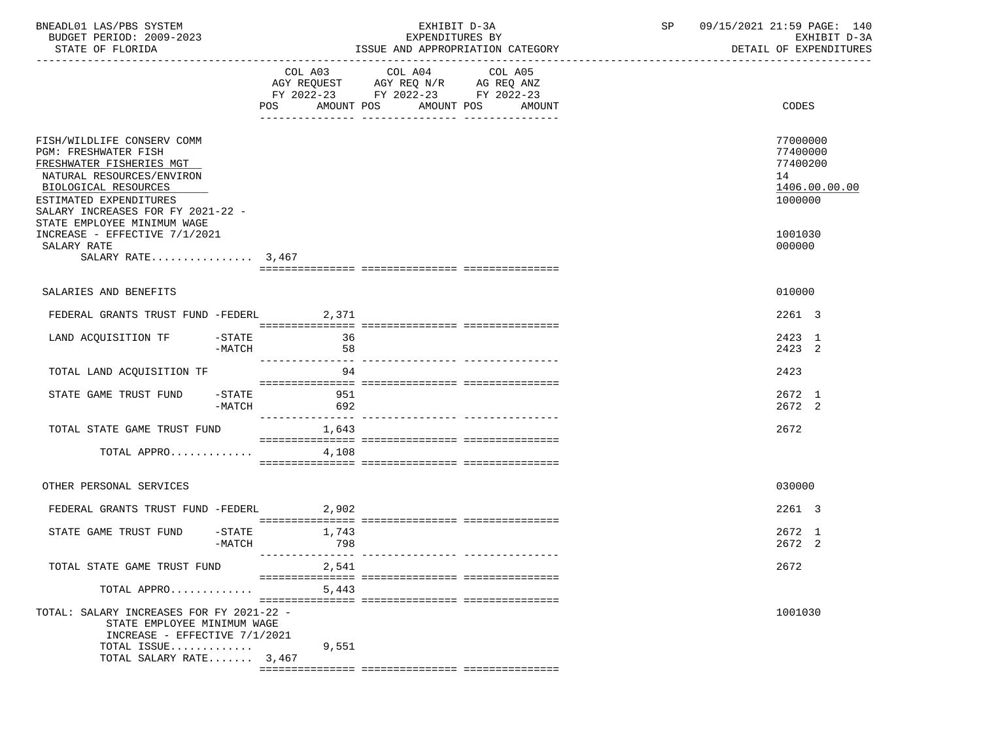| BNEADL01 LAS/PBS SYSTEM<br>BUDGET PERIOD: 2009-2023<br>STATE OF FLORIDA                                                                                                                                                                  | EXHIBIT D-3A<br>EXPENDITURES BY<br>ISSUE AND APPROPRIATION CATEGORY |                                                                                   |         | SP | 09/15/2021 21:59 PAGE: 140<br>EXHIBIT D-3A<br>DETAIL OF EXPENDITURES |
|------------------------------------------------------------------------------------------------------------------------------------------------------------------------------------------------------------------------------------------|---------------------------------------------------------------------|-----------------------------------------------------------------------------------|---------|----|----------------------------------------------------------------------|
|                                                                                                                                                                                                                                          | COL A03<br>POS AMOUNT POS AMOUNT POS AMOUNT                         | COL A04<br>AGY REQUEST AGY REQ N/R AG REQ ANZ<br>FY 2022-23 FY 2022-23 FY 2022-23 | COL A05 |    | CODES                                                                |
| FISH/WILDLIFE CONSERV COMM<br><b>PGM: FRESHWATER FISH</b><br>FRESHWATER FISHERIES MGT<br>NATURAL RESOURCES/ENVIRON<br>BIOLOGICAL RESOURCES<br>ESTIMATED EXPENDITURES<br>SALARY INCREASES FOR FY 2021-22 -<br>STATE EMPLOYEE MINIMUM WAGE |                                                                     |                                                                                   |         |    | 77000000<br>77400000<br>77400200<br>14<br>1406.00.00.00<br>1000000   |
| INCREASE - EFFECTIVE 7/1/2021<br>SALARY RATE<br>SALARY RATE $3,467$                                                                                                                                                                      |                                                                     |                                                                                   |         |    | 1001030<br>000000                                                    |
| SALARIES AND BENEFITS                                                                                                                                                                                                                    |                                                                     |                                                                                   |         |    | 010000                                                               |
| FEDERAL GRANTS TRUST FUND -FEDERL                                                                                                                                                                                                        | 2,371                                                               |                                                                                   |         |    | 2261 3                                                               |
| LAND ACQUISITION TF -STATE 36<br>-MATCH                                                                                                                                                                                                  | 58                                                                  |                                                                                   |         |    | 2423 1<br>2423 2                                                     |
| TOTAL LAND ACQUISITION TF                                                                                                                                                                                                                | 94                                                                  |                                                                                   |         |    | 2423                                                                 |
| STATE GAME TRUST FUND -STATE<br>-MATCH                                                                                                                                                                                                   | 951<br>692                                                          |                                                                                   |         |    | 2672 1<br>2672 2                                                     |
| TOTAL STATE GAME TRUST FUND 1,643                                                                                                                                                                                                        |                                                                     |                                                                                   |         |    | 2672                                                                 |
| TOTAL APPRO                                                                                                                                                                                                                              | 4,108                                                               |                                                                                   |         |    |                                                                      |
| OTHER PERSONAL SERVICES                                                                                                                                                                                                                  |                                                                     |                                                                                   |         |    | 030000                                                               |
| FEDERAL GRANTS TRUST FUND -FEDERL 2,902                                                                                                                                                                                                  |                                                                     |                                                                                   |         |    | 2261 3                                                               |
| STATE GAME TRUST FUND<br>$-STATE$<br>$-MATCH$                                                                                                                                                                                            | 1,743<br>798                                                        |                                                                                   |         |    | 2672 1<br>2672 2                                                     |
| TOTAL STATE GAME TRUST FUND                                                                                                                                                                                                              | 2,541                                                               |                                                                                   |         |    | 2672                                                                 |
| TOTAL APPRO                                                                                                                                                                                                                              | 5,443                                                               |                                                                                   |         |    |                                                                      |
| TOTAL: SALARY INCREASES FOR FY 2021-22 -<br>STATE EMPLOYEE MINIMUM WAGE<br>INCREASE - EFFECTIVE 7/1/2021<br>TOTAL ISSUE<br>TOTAL SALARY RATE 3,467                                                                                       | 9,551                                                               |                                                                                   |         |    | 1001030                                                              |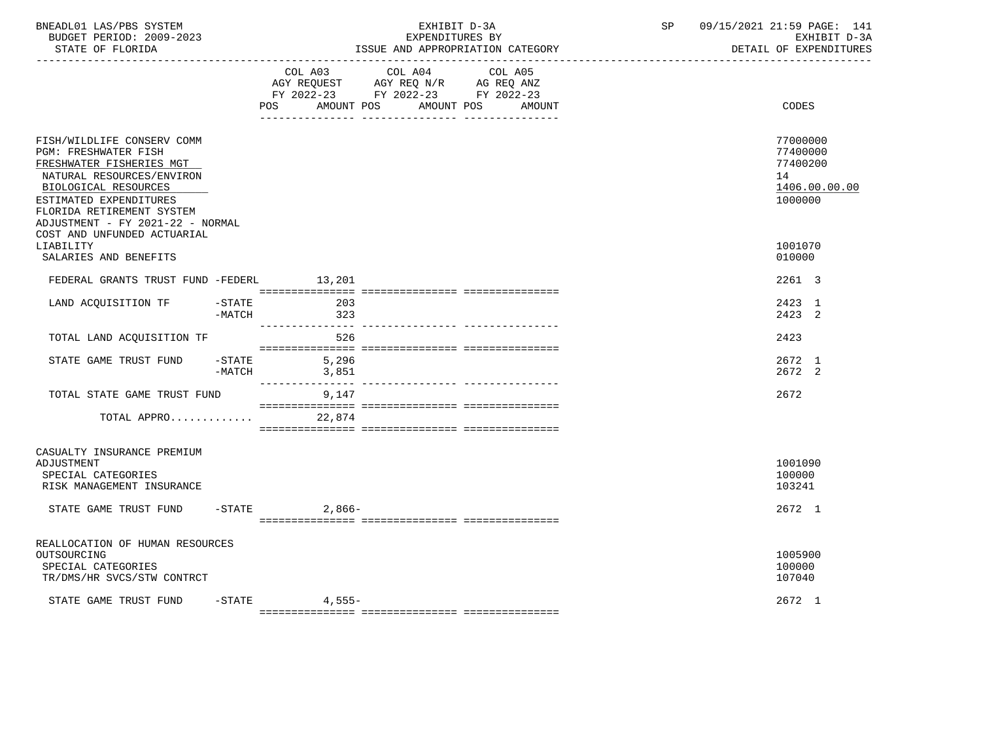| BNEADL01 LAS/PBS SYSTEM<br>BUDGET PERIOD: 2009-2023<br>STATE OF FLORIDA<br>. _ _ _ _ _ _ _ _ _ _ _ _ _ _ _ _                                                                                                                                                         |                       |                    | EXHIBIT D-3A<br>EXPENDITURES BY<br>ISSUE AND APPROPRIATION CATEGORY                       | SP and the set of the set of the set of the set of the set of the set of the set of the set of the set of the set of the set of the set of the set of the set of the set of the set of the set of the set of the set of the se | 09/15/2021 21:59 PAGE: 141<br>EXHIBIT D-3A<br>DETAIL OF EXPENDITURES |                                                                    |  |
|----------------------------------------------------------------------------------------------------------------------------------------------------------------------------------------------------------------------------------------------------------------------|-----------------------|--------------------|-------------------------------------------------------------------------------------------|--------------------------------------------------------------------------------------------------------------------------------------------------------------------------------------------------------------------------------|----------------------------------------------------------------------|--------------------------------------------------------------------|--|
|                                                                                                                                                                                                                                                                      |                       | AMOUNT POS<br>POS. | COL A03 COL A04<br>AGY REQUEST AGY REQ N/R AG REQ ANZ<br>FY 2022-23 FY 2022-23 FY 2022-23 | COL A05<br>AMOUNT POS<br>AMOUNT                                                                                                                                                                                                |                                                                      | CODES                                                              |  |
| FISH/WILDLIFE CONSERV COMM<br><b>PGM: FRESHWATER FISH</b><br>FRESHWATER FISHERIES MGT<br>NATURAL RESOURCES/ENVIRON<br>BIOLOGICAL RESOURCES<br>ESTIMATED EXPENDITURES<br>FLORIDA RETIREMENT SYSTEM<br>ADJUSTMENT - FY 2021-22 - NORMAL<br>COST AND UNFUNDED ACTUARIAL |                       |                    |                                                                                           |                                                                                                                                                                                                                                |                                                                      | 77000000<br>77400000<br>77400200<br>14<br>1406.00.00.00<br>1000000 |  |
| LIABILITY<br>SALARIES AND BENEFITS                                                                                                                                                                                                                                   |                       |                    |                                                                                           |                                                                                                                                                                                                                                |                                                                      | 1001070<br>010000                                                  |  |
| FEDERAL GRANTS TRUST FUND -FEDERL 13,201                                                                                                                                                                                                                             |                       |                    |                                                                                           |                                                                                                                                                                                                                                |                                                                      | 2261 3                                                             |  |
| LAND ACQUISITION TF                                                                                                                                                                                                                                                  | -STATE<br>$-MATCH$    | 203<br>323         |                                                                                           |                                                                                                                                                                                                                                |                                                                      | 2423 1<br>2423 2                                                   |  |
| TOTAL LAND ACQUISITION TF                                                                                                                                                                                                                                            |                       | 526                |                                                                                           |                                                                                                                                                                                                                                |                                                                      | 2423                                                               |  |
| STATE GAME TRUST FUND                                                                                                                                                                                                                                                | $-$ STATE<br>$-MATCH$ | 5,296<br>3,851     |                                                                                           |                                                                                                                                                                                                                                |                                                                      | 2672 1<br>2672 2                                                   |  |
| TOTAL STATE GAME TRUST FUND                                                                                                                                                                                                                                          |                       | 9,147              |                                                                                           |                                                                                                                                                                                                                                |                                                                      | 2672                                                               |  |
| TOTAL APPRO                                                                                                                                                                                                                                                          |                       | 22,874             |                                                                                           |                                                                                                                                                                                                                                |                                                                      |                                                                    |  |
| CASUALTY INSURANCE PREMIUM<br>ADJUSTMENT<br>SPECIAL CATEGORIES<br>RISK MANAGEMENT INSURANCE                                                                                                                                                                          |                       |                    |                                                                                           |                                                                                                                                                                                                                                |                                                                      | 1001090<br>100000<br>103241                                        |  |
| STATE GAME TRUST FUND                                                                                                                                                                                                                                                |                       | $-STATE$<br>2,866- |                                                                                           |                                                                                                                                                                                                                                |                                                                      | 2672 1                                                             |  |
| REALLOCATION OF HUMAN RESOURCES<br>OUTSOURCING<br>SPECIAL CATEGORIES<br>TR/DMS/HR SVCS/STW CONTRCT<br>STATE GAME TRUST FUND -STATE 4,555-                                                                                                                            |                       |                    |                                                                                           |                                                                                                                                                                                                                                |                                                                      | 1005900<br>100000<br>107040<br>2672 1                              |  |
|                                                                                                                                                                                                                                                                      |                       |                    |                                                                                           |                                                                                                                                                                                                                                |                                                                      |                                                                    |  |

=============== =============== ===============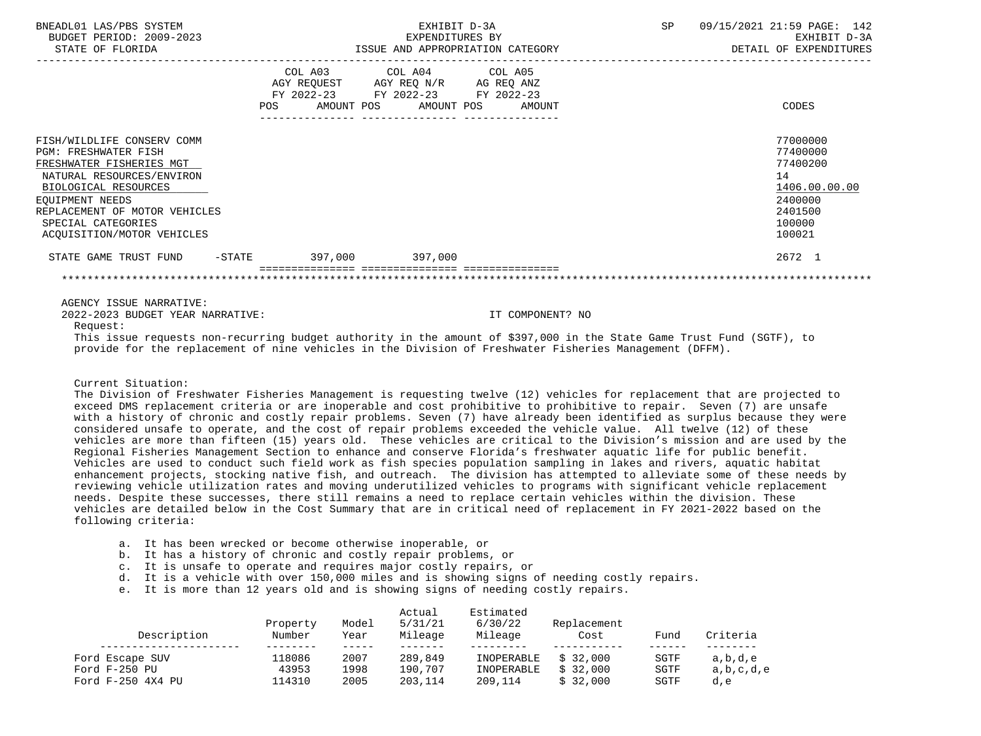| BNEADL01 LAS/PBS SYSTEM<br>BUDGET PERIOD: 2009-2023<br>STATE OF FLORIDA                                                                                                                                                                                                                                     | EXHIBIT D-3A<br>EXPENDITURES BY                                                                                                       | EXPENDITURES BY<br>ISSUE AND APPROPRIATION CATEGORY | SP | 09/15/2021 21:59 PAGE: 142<br>EXHIBIT D-3A<br>DETAIL OF EXPENDITURES                              |
|-------------------------------------------------------------------------------------------------------------------------------------------------------------------------------------------------------------------------------------------------------------------------------------------------------------|---------------------------------------------------------------------------------------------------------------------------------------|-----------------------------------------------------|----|---------------------------------------------------------------------------------------------------|
|                                                                                                                                                                                                                                                                                                             | COL A03 COL A04 COL A05<br>AGY REQUEST AGY REQ N/R AG REQ ANZ<br>FY 2022-23 FY 2022-23 FY 2022-23<br>POS AMOUNT POS AMOUNT POS AMOUNT |                                                     |    | CODES                                                                                             |
| FISH/WILDLIFE CONSERV COMM<br><b>PGM: FRESHWATER FISH</b><br>FRESHWATER FISHERIES MGT<br>NATURAL RESOURCES/ENVIRON<br>BIOLOGICAL RESOURCES<br>EOUIPMENT NEEDS<br>REPLACEMENT OF MOTOR VEHICLES<br>SPECIAL CATEGORIES<br>ACOUISITION/MOTOR VEHICLES                                                          |                                                                                                                                       |                                                     |    | 77000000<br>77400000<br>77400200<br>14<br>1406.00.00.00<br>2400000<br>2401500<br>100000<br>100021 |
| STATE GAME TRUST FUND -STATE 397,000 397,000                                                                                                                                                                                                                                                                |                                                                                                                                       |                                                     |    | 2672 1                                                                                            |
| AGENCY ISSUE NARRATIVE:<br>2022-2023 BUDGET YEAR NARRATIVE:<br>Request:<br>This issue requests non-recurring budget authority in the amount of \$397,000 in the State Game Trust Fund (SGTF), to<br>provide for the replacement of nine vehicles in the Division of Freshwater Fisheries Management (DFFM). |                                                                                                                                       | IT COMPONENT? NO                                    |    |                                                                                                   |

Current Situation:

 The Division of Freshwater Fisheries Management is requesting twelve (12) vehicles for replacement that are projected to exceed DMS replacement criteria or are inoperable and cost prohibitive to prohibitive to repair. Seven (7) are unsafe with a history of chronic and costly repair problems. Seven (7) have already been identified as surplus because they were considered unsafe to operate, and the cost of repair problems exceeded the vehicle value. All twelve (12) of these vehicles are more than fifteen (15) years old. These vehicles are critical to the Division's mission and are used by the Regional Fisheries Management Section to enhance and conserve Florida's freshwater aquatic life for public benefit. Vehicles are used to conduct such field work as fish species population sampling in lakes and rivers, aquatic habitat enhancement projects, stocking native fish, and outreach. The division has attempted to alleviate some of these needs by reviewing vehicle utilization rates and moving underutilized vehicles to programs with significant vehicle replacement needs. Despite these successes, there still remains a need to replace certain vehicles within the division. These vehicles are detailed below in the Cost Summary that are in critical need of replacement in FY 2021-2022 based on the following criteria:

- a. It has been wrecked or become otherwise inoperable, or
- b. It has a history of chronic and costly repair problems, or
- c. It is unsafe to operate and requires major costly repairs, or
- d. It is a vehicle with over 150,000 miles and is showing signs of needing costly repairs.
- e. It is more than 12 years old and is showing signs of needing costly repairs.

| Description       | Property<br>Number | Model<br>Year | Actual<br>5/31/21<br>Mileage | Estimated<br>6/30/22<br>Mileage | Replacement<br>Cost | Fund | Criteria  |
|-------------------|--------------------|---------------|------------------------------|---------------------------------|---------------------|------|-----------|
|                   |                    |               |                              |                                 |                     |      |           |
| Ford Escape SUV   | 118086             | 2007          | 289,849                      | INOPERABLE                      | \$32,000            | SGTF | a,b,d,e   |
| Ford F-250 PU     | 43953              | 1998          | 190,707                      | INOPERABLE                      | \$32,000            | SGTF | a,b,c,d,e |
| Ford F-250 4X4 PU | 114310             | 2005          | 203,114                      | 209,114                         | \$32,000            | SGTF | d,e       |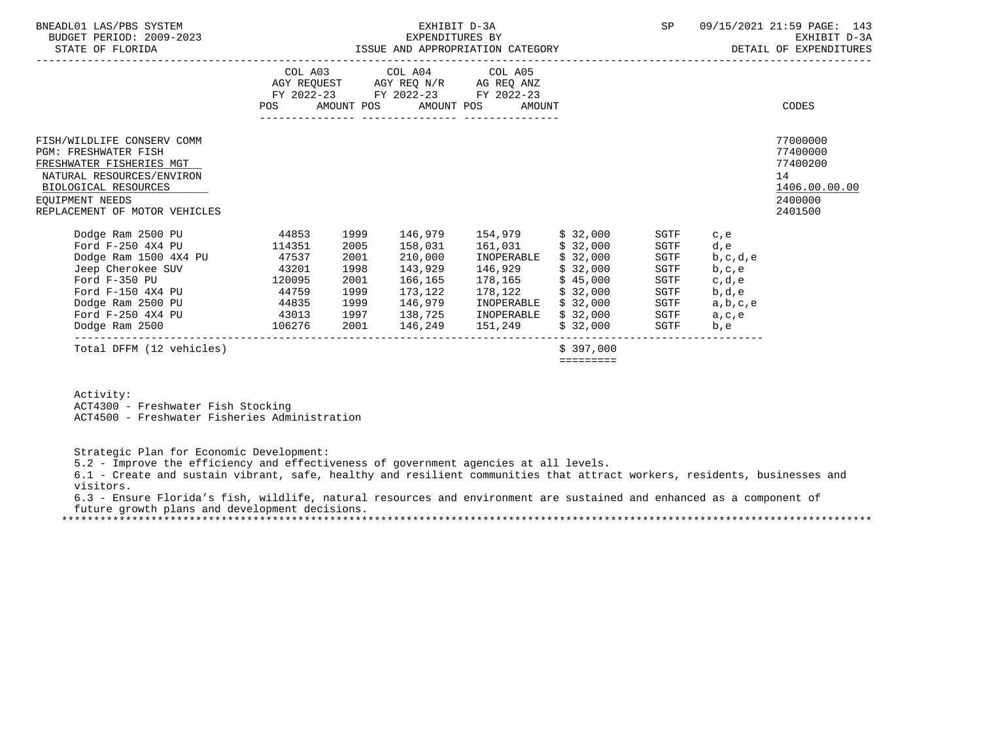| BNEADL01 LAS/PBS SYSTEM<br>BUDGET PERIOD: 2009-2023<br>STATE OF FLORIDA                                                                                                                        | EXHIBIT D-3A<br>EXPENDITURES BY<br>ISSUE AND APPROPRIATION CATEGORY              |                                                                      |                                                                |                                                                                                                        |                                                                               | SP                                                                   |                                                                                     | 09/15/2021 21:59 PAGE: 143<br>EXHIBIT D-3A<br>DETAIL OF EXPENDITURES          |
|------------------------------------------------------------------------------------------------------------------------------------------------------------------------------------------------|----------------------------------------------------------------------------------|----------------------------------------------------------------------|----------------------------------------------------------------|------------------------------------------------------------------------------------------------------------------------|-------------------------------------------------------------------------------|----------------------------------------------------------------------|-------------------------------------------------------------------------------------|-------------------------------------------------------------------------------|
|                                                                                                                                                                                                | <b>POS</b>                                                                       |                                                                      | COL A03 COL A04 COL A05<br>AMOUNT POS AMOUNT POS               | AGY REQUEST AGY REQ N/R AG REQ ANZ<br>FY 2022-23 FY 2022-23 FY 2022-23<br>AMOUNT                                       |                                                                               |                                                                      |                                                                                     | CODES                                                                         |
| FISH/WILDLIFE CONSERV COMM<br><b>PGM: FRESHWATER FISH</b><br>FRESHWATER FISHERIES MGT<br>NATURAL RESOURCES/ENVIRON<br>BIOLOGICAL RESOURCES<br>EOUIPMENT NEEDS<br>REPLACEMENT OF MOTOR VEHICLES |                                                                                  |                                                                      |                                                                |                                                                                                                        |                                                                               |                                                                      |                                                                                     | 77000000<br>77400000<br>77400200<br>14<br>1406.00.00.00<br>2400000<br>2401500 |
| Dodge Ram 2500 PU<br>Ford F-250 4X4 PU<br>Dodge Ram 1500 4X4 PU<br>Jeep Cherokee SUV<br>Ford F-350 PU<br>Ford F-150 4X4 PU<br>Dodge Ram 2500 PU<br>Ford F-250 4X4 PU<br>Dodge Ram 2500         | 44853<br>114351<br>47537<br>43201<br>120095<br>44759<br>44835<br>43013<br>106276 | 1999<br>2005<br>2001<br>1998<br>2001<br>1999<br>1999<br>1997<br>2001 | 158,031<br>210,000<br>143,929<br>166,165<br>173,122<br>146,979 | 161,031 \$ 32,000<br>INOPERABLE<br>146,929<br>178,165<br>INOPERABLE<br>138,725 INOPERABLE \$ 32,000<br>146,249 151,249 | \$32,000<br>\$32,000<br>\$45,000<br>178,122 \$ 32,000<br>\$32,000<br>\$32,000 | SGTF<br>SGTF<br>SGTF<br>SGTF<br>SGTF<br>SGTF<br>SGTF<br>SGTF<br>SGTF | c, e<br>d,e<br>b, c, d, e<br>b, c, e<br>c,d,e<br>b,d,e<br>a,b,c,e<br>a, c, e<br>b,e |                                                                               |
| Total DFFM (12 vehicles)                                                                                                                                                                       |                                                                                  |                                                                      |                                                                |                                                                                                                        | \$397.000<br>=========                                                        |                                                                      |                                                                                     |                                                                               |

Activity:

ACT4300 - Freshwater Fish Stocking

ACT4500 - Freshwater Fisheries Administration

Strategic Plan for Economic Development:

5.2 - Improve the efficiency and effectiveness of government agencies at all levels.

 6.1 - Create and sustain vibrant, safe, healthy and resilient communities that attract workers, residents, businesses and visitors.

 6.3 - Ensure Florida's fish, wildlife, natural resources and environment are sustained and enhanced as a component of future growth plans and development decisions.

\*\*\*\*\*\*\*\*\*\*\*\*\*\*\*\*\*\*\*\*\*\*\*\*\*\*\*\*\*\*\*\*\*\*\*\*\*\*\*\*\*\*\*\*\*\*\*\*\*\*\*\*\*\*\*\*\*\*\*\*\*\*\*\*\*\*\*\*\*\*\*\*\*\*\*\*\*\*\*\*\*\*\*\*\*\*\*\*\*\*\*\*\*\*\*\*\*\*\*\*\*\*\*\*\*\*\*\*\*\*\*\*\*\*\*\*\*\*\*\*\*\*\*\*\*\*\*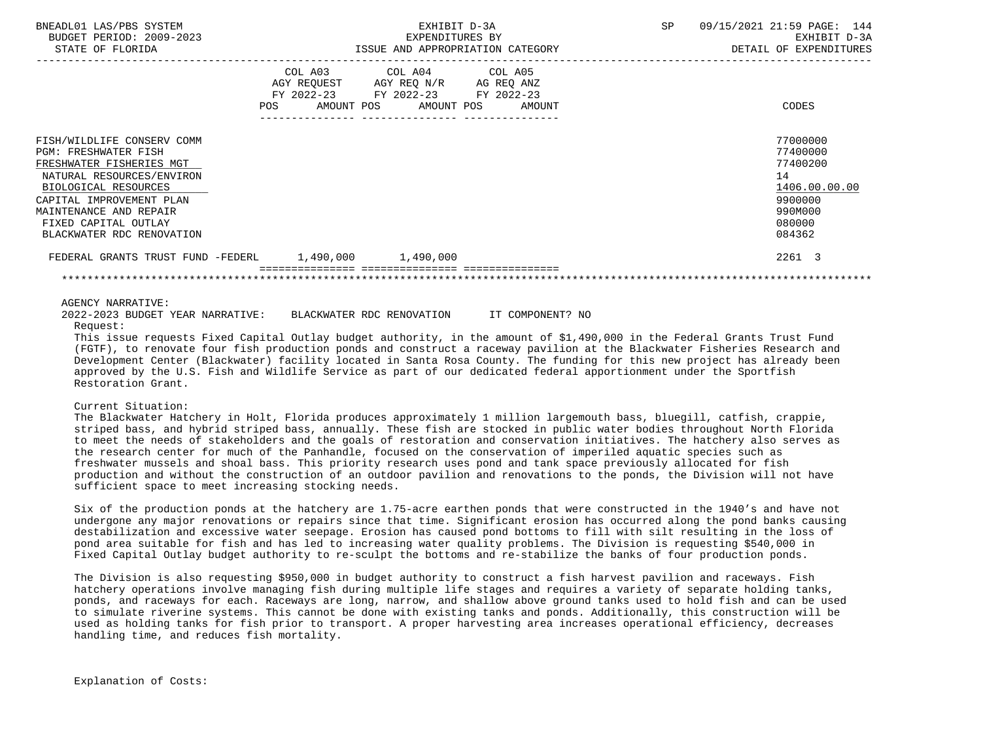| BNEADL01 LAS/PBS SYSTEM<br>BUDGET PERIOD: 2009-2023<br>STATE OF FLORIDA                                                                                                                                                                               | EXHIBIT D-3A<br>ISSUE AND APPROPRIATION CATEGORY |                                                                                                                              | SP                                                                                                | 09/15/2021 21:59 PAGE: 144<br>EXHIBIT D-3A<br>DETAIL OF EXPENDITURES |  |
|-------------------------------------------------------------------------------------------------------------------------------------------------------------------------------------------------------------------------------------------------------|--------------------------------------------------|------------------------------------------------------------------------------------------------------------------------------|---------------------------------------------------------------------------------------------------|----------------------------------------------------------------------|--|
|                                                                                                                                                                                                                                                       | COL A03<br>POS                                   | COL A04 COL A05<br>AGY REQUEST AGY REQ N/R AG REQ ANZ<br>FY 2022-23 FY 2022-23 FY 2022-23<br>AMOUNT POS AMOUNT POS<br>AMOUNT | CODES                                                                                             |                                                                      |  |
| FISH/WILDLIFE CONSERV COMM<br><b>PGM: FRESHWATER FISH</b><br>FRESHWATER FISHERIES MGT<br>NATURAL RESOURCES/ENVIRON<br>BIOLOGICAL RESOURCES<br>CAPITAL IMPROVEMENT PLAN<br>MAINTENANCE AND REPAIR<br>FIXED CAPITAL OUTLAY<br>BLACKWATER RDC RENOVATION |                                                  |                                                                                                                              | 77000000<br>77400000<br>77400200<br>14<br>1406.00.00.00<br>9900000<br>990M000<br>080000<br>084362 |                                                                      |  |
| FEDERAL GRANTS TRUST FUND -FEDERL                                                                                                                                                                                                                     | $1,490,000$ $1,490,000$                          |                                                                                                                              | 2261 3                                                                                            |                                                                      |  |
|                                                                                                                                                                                                                                                       |                                                  |                                                                                                                              |                                                                                                   |                                                                      |  |

# AGENCY NARRATIVE:

 2022-2023 BUDGET YEAR NARRATIVE: BLACKWATER RDC RENOVATION IT COMPONENT? NO Request:

 This issue requests Fixed Capital Outlay budget authority, in the amount of \$1,490,000 in the Federal Grants Trust Fund (FGTF), to renovate four fish production ponds and construct a raceway pavilion at the Blackwater Fisheries Research and Development Center (Blackwater) facility located in Santa Rosa County. The funding for this new project has already been approved by the U.S. Fish and Wildlife Service as part of our dedicated federal apportionment under the Sportfish Restoration Grant.

# Current Situation:

 The Blackwater Hatchery in Holt, Florida produces approximately 1 million largemouth bass, bluegill, catfish, crappie, striped bass, and hybrid striped bass, annually. These fish are stocked in public water bodies throughout North Florida to meet the needs of stakeholders and the goals of restoration and conservation initiatives. The hatchery also serves as the research center for much of the Panhandle, focused on the conservation of imperiled aquatic species such as freshwater mussels and shoal bass. This priority research uses pond and tank space previously allocated for fish production and without the construction of an outdoor pavilion and renovations to the ponds, the Division will not have sufficient space to meet increasing stocking needs.

 Six of the production ponds at the hatchery are 1.75-acre earthen ponds that were constructed in the 1940's and have not undergone any major renovations or repairs since that time. Significant erosion has occurred along the pond banks causing destabilization and excessive water seepage. Erosion has caused pond bottoms to fill with silt resulting in the loss of pond area suitable for fish and has led to increasing water quality problems. The Division is requesting \$540,000 in Fixed Capital Outlay budget authority to re-sculpt the bottoms and re-stabilize the banks of four production ponds.

 The Division is also requesting \$950,000 in budget authority to construct a fish harvest pavilion and raceways. Fish hatchery operations involve managing fish during multiple life stages and requires a variety of separate holding tanks, ponds, and raceways for each. Raceways are long, narrow, and shallow above ground tanks used to hold fish and can be used to simulate riverine systems. This cannot be done with existing tanks and ponds. Additionally, this construction will be used as holding tanks for fish prior to transport. A proper harvesting area increases operational efficiency, decreases handling time, and reduces fish mortality.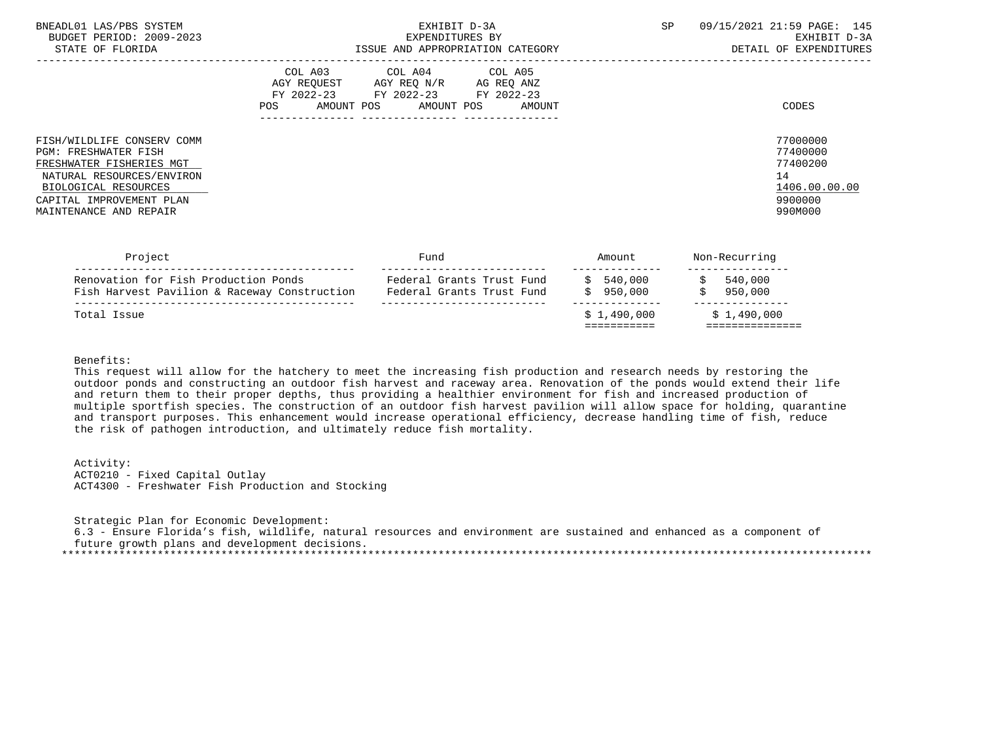| BNEADL01 LAS/PBS SYSTEM<br>BUDGET PERIOD: 2009-2023<br>STATE OF FLORIDA                                                                                                                          | EXHIBIT D-3A<br>EXPENDITURES BY<br>ISSUE AND APPROPRIATION CATEGORY                                                                      | SP.<br>09/15/2021 21:59 PAGE: 145<br>EXHIBIT D-3A<br>DETAIL OF EXPENDITURES   |
|--------------------------------------------------------------------------------------------------------------------------------------------------------------------------------------------------|------------------------------------------------------------------------------------------------------------------------------------------|-------------------------------------------------------------------------------|
|                                                                                                                                                                                                  | COL A03 COL A04 COL A05<br>AGY REQUEST AGY REQ N/R AG REQ ANZ<br>FY 2022-23 FY 2022-23 FY 2022-23<br>POS<br>AMOUNT POS AMOUNT POS AMOUNT | CODES                                                                         |
| FISH/WILDLIFE CONSERV COMM<br><b>PGM: FRESHWATER FISH</b><br>FRESHWATER FISHERIES MGT<br>NATURAL RESOURCES/ENVIRON<br>BIOLOGICAL RESOURCES<br>CAPITAL IMPROVEMENT PLAN<br>MAINTENANCE AND REPAIR |                                                                                                                                          | 77000000<br>77400000<br>77400200<br>14<br>1406.00.00.00<br>9900000<br>990M000 |

| Project                                                                              | Fund                                                   | Amount               | Non-Recurring      |  |
|--------------------------------------------------------------------------------------|--------------------------------------------------------|----------------------|--------------------|--|
| Renovation for Fish Production Ponds<br>Fish Harvest Pavilion & Raceway Construction | Federal Grants Trust Fund<br>Federal Grants Trust Fund | 540,000<br>\$950.000 | 540,000<br>950,000 |  |
| Total Issue                                                                          |                                                        | \$1.490.000          | \$1,490,000        |  |

Benefits:

 This request will allow for the hatchery to meet the increasing fish production and research needs by restoring the outdoor ponds and constructing an outdoor fish harvest and raceway area. Renovation of the ponds would extend their life and return them to their proper depths, thus providing a healthier environment for fish and increased production of multiple sportfish species. The construction of an outdoor fish harvest pavilion will allow space for holding, quarantine and transport purposes. This enhancement would increase operational efficiency, decrease handling time of fish, reduce the risk of pathogen introduction, and ultimately reduce fish mortality.

 Activity: ACT0210 - Fixed Capital Outlay ACT4300 - Freshwater Fish Production and Stocking

 Strategic Plan for Economic Development: 6.3 - Ensure Florida's fish, wildlife, natural resources and environment are sustained and enhanced as a component of future growth plans and development decisions. \*\*\*\*\*\*\*\*\*\*\*\*\*\*\*\*\*\*\*\*\*\*\*\*\*\*\*\*\*\*\*\*\*\*\*\*\*\*\*\*\*\*\*\*\*\*\*\*\*\*\*\*\*\*\*\*\*\*\*\*\*\*\*\*\*\*\*\*\*\*\*\*\*\*\*\*\*\*\*\*\*\*\*\*\*\*\*\*\*\*\*\*\*\*\*\*\*\*\*\*\*\*\*\*\*\*\*\*\*\*\*\*\*\*\*\*\*\*\*\*\*\*\*\*\*\*\*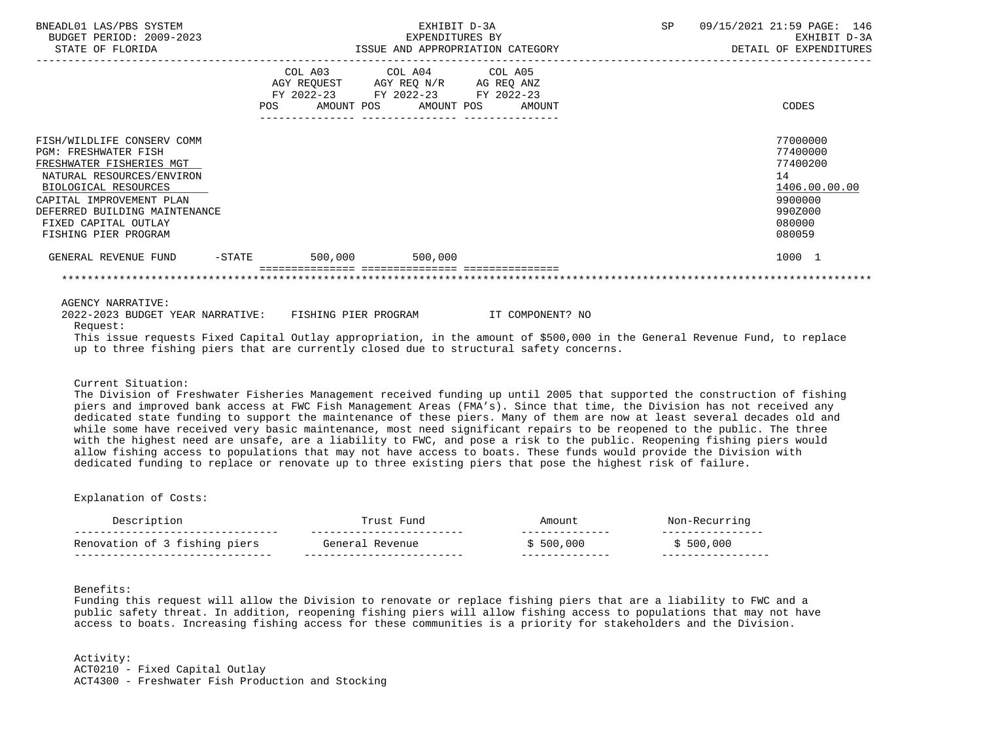| BNEADL01 LAS/PBS SYSTEM<br>BUDGET PERIOD: 2009-2023<br>STATE OF FLORIDA                |     | EXHIBIT D-3A<br>EXPENDITURES BY<br>ISSUE AND APPROPRIATION CATEGORY                               |                       |  |        | SP 09/15/2021 21:59 PAGE: 146<br>EXHIBIT D-3A<br>DETAIL OF EXPENDITURES |                                                                                                                            |
|----------------------------------------------------------------------------------------|-----|---------------------------------------------------------------------------------------------------|-----------------------|--|--------|-------------------------------------------------------------------------|----------------------------------------------------------------------------------------------------------------------------|
|                                                                                        | POS | COL A03 COL A04 COL A05<br>AGY REQUEST AGY REQ N/R AG REQ ANZ<br>FY 2022-23 FY 2022-23 FY 2022-23 | AMOUNT POS AMOUNT POS |  | AMOUNT |                                                                         | CODES                                                                                                                      |
| FISH/WILDLIFE CONSERV COMM                                                             |     |                                                                                                   |                       |  |        |                                                                         | 77000000                                                                                                                   |
| <b>PGM: FRESHWATER FISH</b>                                                            |     |                                                                                                   |                       |  |        |                                                                         | 77400000                                                                                                                   |
| FRESHWATER FISHERIES MGT<br>NATURAL RESOURCES/ENVIRON                                  |     |                                                                                                   |                       |  |        |                                                                         | 77400200<br>14                                                                                                             |
| BIOLOGICAL RESOURCES                                                                   |     |                                                                                                   |                       |  |        |                                                                         | 1406.00.00.00                                                                                                              |
| CAPITAL IMPROVEMENT PLAN                                                               |     |                                                                                                   |                       |  |        |                                                                         | 9900000                                                                                                                    |
| DEFERRED BUILDING MAINTENANCE                                                          |     |                                                                                                   |                       |  |        |                                                                         | 990Z000                                                                                                                    |
| FIXED CAPITAL OUTLAY                                                                   |     |                                                                                                   |                       |  |        |                                                                         | 080000                                                                                                                     |
| FISHING PIER PROGRAM                                                                   |     |                                                                                                   |                       |  |        |                                                                         | 080059                                                                                                                     |
| GENERAL REVENUE FUND -STATE 500,000 500,000                                            |     |                                                                                                   |                       |  |        |                                                                         | 1000 1                                                                                                                     |
|                                                                                        |     |                                                                                                   |                       |  |        |                                                                         |                                                                                                                            |
| AGENCY NARRATIVE:                                                                      |     |                                                                                                   |                       |  |        |                                                                         |                                                                                                                            |
| 2022-2023 BUDGET YEAR NARRATIVE: FISHING PIER PROGRAM THE COMPONENT? NO<br>Request:    |     |                                                                                                   |                       |  |        |                                                                         |                                                                                                                            |
|                                                                                        |     |                                                                                                   |                       |  |        |                                                                         |                                                                                                                            |
| up to three fishing piers that are currently closed due to structural safety concerns. |     |                                                                                                   |                       |  |        |                                                                         | This issue requests Fixed Capital Outlay appropriation, in the amount of \$500,000 in the General Revenue Fund, to replace |

# Current Situation:

 The Division of Freshwater Fisheries Management received funding up until 2005 that supported the construction of fishing piers and improved bank access at FWC Fish Management Areas (FMA's). Since that time, the Division has not received any dedicated state funding to support the maintenance of these piers. Many of them are now at least several decades old and while some have received very basic maintenance, most need significant repairs to be reopened to the public. The three with the highest need are unsafe, are a liability to FWC, and pose a risk to the public. Reopening fishing piers would allow fishing access to populations that may not have access to boats. These funds would provide the Division with dedicated funding to replace or renovate up to three existing piers that pose the highest risk of failure.

#### Explanation of Costs:

|                               |                               | $m \cap 11$    |         |
|-------------------------------|-------------------------------|----------------|---------|
| Renovation of 3 fishing piers | <sup>n</sup> evenue<br>Genera | 500<br>000     | 500,000 |
| $ -$<br>----                  |                               | -------------- |         |

# Benefits:

 Funding this request will allow the Division to renovate or replace fishing piers that are a liability to FWC and a public safety threat. In addition, reopening fishing piers will allow fishing access to populations that may not have access to boats. Increasing fishing access for these communities is a priority for stakeholders and the Division.

 Activity: ACT0210 - Fixed Capital Outlay ACT4300 - Freshwater Fish Production and Stocking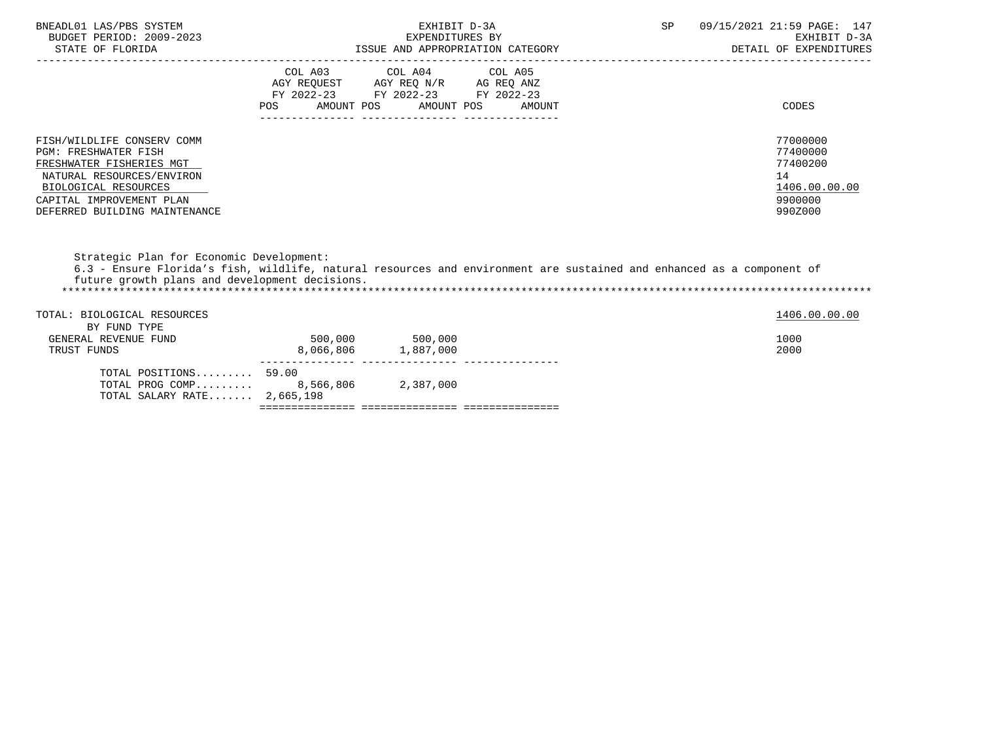| BNEADL01 LAS/PBS SYSTEM<br>BUDGET PERIOD: 2009-2023<br>STATE OF FLORIDA                                                                                                                                 |                   | EXHIBIT D-3A<br>EXPENDITURES BY<br>ISSUE AND APPROPRIATION CATEGORY                                                       | SP                                                                                                                    | 09/15/2021 21:59 PAGE: 147<br>EXHIBIT D-3A<br>DETAIL OF EXPENDITURES          |
|---------------------------------------------------------------------------------------------------------------------------------------------------------------------------------------------------------|-------------------|---------------------------------------------------------------------------------------------------------------------------|-----------------------------------------------------------------------------------------------------------------------|-------------------------------------------------------------------------------|
|                                                                                                                                                                                                         | AMOUNT POS<br>POS | COL A03 COL A04 COL A05<br>AGY REQUEST AGY REQ N/R AG REQ ANZ<br>FY 2022-23 FY 2022-23 FY 2022-23<br>AMOUNT POS<br>AMOUNT |                                                                                                                       | CODES                                                                         |
| FISH/WILDLIFE CONSERV COMM<br><b>PGM: FRESHWATER FISH</b><br>FRESHWATER FISHERIES MGT<br>NATURAL RESOURCES/ENVIRON<br>BIOLOGICAL RESOURCES<br>CAPITAL IMPROVEMENT PLAN<br>DEFERRED BUILDING MAINTENANCE |                   |                                                                                                                           |                                                                                                                       | 77000000<br>77400000<br>77400200<br>14<br>1406.00.00.00<br>9900000<br>990Z000 |
| Strategic Plan for Economic Development:<br>future growth plans and development decisions.                                                                                                              |                   |                                                                                                                           | 6.3 - Ensure Florida's fish, wildlife, natural resources and environment are sustained and enhanced as a component of |                                                                               |
| TOTAL: BIOLOGICAL RESOURCES<br>BY FUND TYPE<br>GENERAL REVENUE FUND<br>TRUST FUNDS                                                                                                                      | 500,000 500,000   | 8,066,806 1,887,000                                                                                                       |                                                                                                                       | 1406.00.00.00<br>1000<br>2000                                                 |
|                                                                                                                                                                                                         |                   |                                                                                                                           |                                                                                                                       |                                                                               |

| TOTAL SALARY RATE 2,665,198 |           |  |
|-----------------------------|-----------|--|
| TOTAL PROG COMP  8,566,806  | 2,387,000 |  |
| $TOTAL$ $POSTTIONS$ $59.00$ |           |  |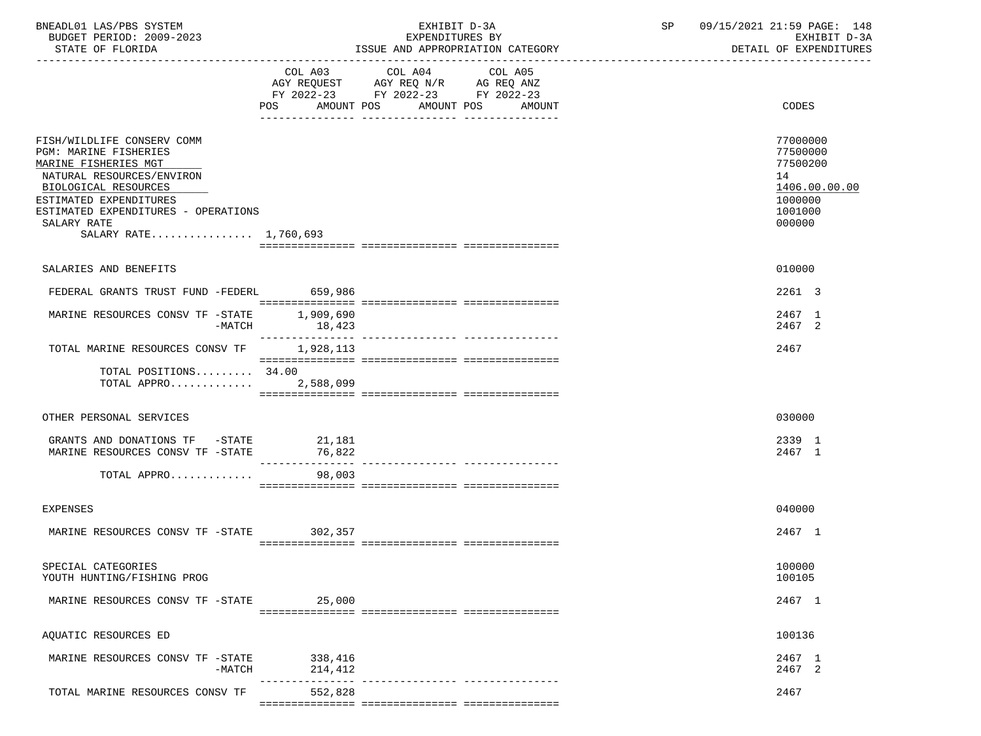| BNEADL01 LAS/PBS SYSTEM |                  |                          | EXHIBIT D-3A                     |  |
|-------------------------|------------------|--------------------------|----------------------------------|--|
|                         |                  | BUDGET PERIOD: 2009-2023 | EXPENDITURES BY                  |  |
|                         | STATE OF FLORIDA |                          | ISSUE AND APPROPRIATION CATEGORY |  |

BUDGET PERIOD: 2009-2023 EXPENDITURES BY EXHIBIT D-3A

|                                                                                                                                                                                                                                           | POS AMOUNT POS AMOUNT POS | COL A03 COL A04<br>AGY REQUEST AGY REQ N/R AG REQ ANZ<br>FY 2022-23 FY 2022-23 FY 2022-23 | COL A05<br>AMOUNT | CODES                                                                                   |
|-------------------------------------------------------------------------------------------------------------------------------------------------------------------------------------------------------------------------------------------|---------------------------|-------------------------------------------------------------------------------------------|-------------------|-----------------------------------------------------------------------------------------|
| FISH/WILDLIFE CONSERV COMM<br>PGM: MARINE FISHERIES<br>MARINE FISHERIES MGT<br>NATURAL RESOURCES/ENVIRON<br>BIOLOGICAL RESOURCES<br>ESTIMATED EXPENDITURES<br>ESTIMATED EXPENDITURES - OPERATIONS<br>SALARY RATE<br>SALARY RATE 1,760,693 |                           |                                                                                           |                   | 77000000<br>77500000<br>77500200<br>14<br>1406.00.00.00<br>1000000<br>1001000<br>000000 |
| SALARIES AND BENEFITS                                                                                                                                                                                                                     |                           |                                                                                           |                   | 010000                                                                                  |
| FEDERAL GRANTS TRUST FUND -FEDERL 659,986                                                                                                                                                                                                 |                           |                                                                                           |                   | 2261 3                                                                                  |
| MARINE RESOURCES CONSV TF -STATE<br>$-MATCH$                                                                                                                                                                                              | 1,909,690<br>18,423       |                                                                                           |                   | 2467 1<br>2467 2                                                                        |
| TOTAL MARINE RESOURCES CONSV TF 1,928,113                                                                                                                                                                                                 |                           |                                                                                           |                   | 2467                                                                                    |
| TOTAL POSITIONS $34.00$<br>TOTAL APPRO 2,588,099                                                                                                                                                                                          |                           |                                                                                           |                   |                                                                                         |
| OTHER PERSONAL SERVICES                                                                                                                                                                                                                   |                           |                                                                                           |                   | 030000                                                                                  |
| GRANTS AND DONATIONS TF -STATE<br>MARINE RESOURCES CONSV TF -STATE                                                                                                                                                                        | 21,181<br>76,822          |                                                                                           |                   | 2339 1<br>2467 1                                                                        |
| TOTAL APPRO                                                                                                                                                                                                                               | 98,003                    |                                                                                           |                   |                                                                                         |
| <b>EXPENSES</b>                                                                                                                                                                                                                           |                           |                                                                                           |                   | 040000                                                                                  |
| MARINE RESOURCES CONSV TF -STATE                                                                                                                                                                                                          | 302,357                   |                                                                                           |                   | 2467 1                                                                                  |
| SPECIAL CATEGORIES<br>YOUTH HUNTING/FISHING PROG                                                                                                                                                                                          |                           |                                                                                           |                   | 100000<br>100105                                                                        |
| MARINE RESOURCES CONSV TF -STATE                                                                                                                                                                                                          | 25,000                    |                                                                                           |                   | 2467 1                                                                                  |
| AQUATIC RESOURCES ED                                                                                                                                                                                                                      |                           |                                                                                           |                   | 100136                                                                                  |
| MARINE RESOURCES CONSV TF -STATE<br>-MATCH                                                                                                                                                                                                | 338,416<br>214,412        |                                                                                           |                   | 2467 1<br>2467 2                                                                        |
| TOTAL MARINE RESOURCES CONSV TF                                                                                                                                                                                                           | 552,828                   |                                                                                           |                   | 2467                                                                                    |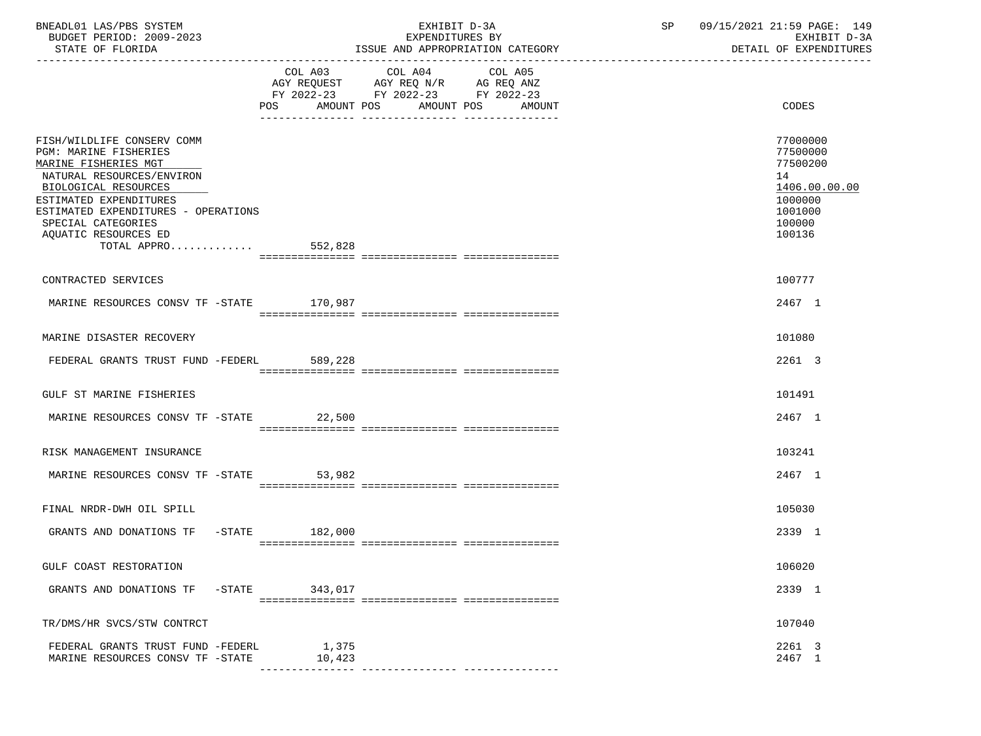| BNEADL01 LAS/PBS SYSTEM |                  |                          |  | EXHIBIT D-3A                     |  |
|-------------------------|------------------|--------------------------|--|----------------------------------|--|
|                         |                  | BUDGET PERIOD: 2009-2023 |  | EXPENDITURES BY                  |  |
|                         | STATE OF FLORIDA |                          |  | ISSUE AND APPROPRIATION CATEGORY |  |

|                                                                                     | COL A03<br>FY 2022-23 FY 2022-23 FY 2022-23<br>POS AMOUNT POS | COL A04<br>$\begin{tabular}{lllllll} \bf AGY & \bf REQUEST & \bf AGY & \bf REQ & \bf N/R & \bf AG & \bf REQ & \bf ANZ \\ \end{tabular}$ | COL A05<br>AMOUNT POS AMOUNT | CODES                        |
|-------------------------------------------------------------------------------------|---------------------------------------------------------------|-----------------------------------------------------------------------------------------------------------------------------------------|------------------------------|------------------------------|
| FISH/WILDLIFE CONSERV COMM                                                          |                                                               |                                                                                                                                         |                              | 77000000                     |
| PGM: MARINE FISHERIES<br>MARINE FISHERIES MGT                                       |                                                               |                                                                                                                                         |                              | 77500000<br>77500200         |
| NATURAL RESOURCES/ENVIRON<br>BIOLOGICAL RESOURCES                                   |                                                               |                                                                                                                                         |                              | 14<br>1406.00.00.00          |
| ESTIMATED EXPENDITURES<br>ESTIMATED EXPENDITURES - OPERATIONS<br>SPECIAL CATEGORIES |                                                               |                                                                                                                                         |                              | 1000000<br>1001000<br>100000 |
| AQUATIC RESOURCES ED<br>TOTAL APPRO $552,828$                                       |                                                               |                                                                                                                                         |                              | 100136                       |
|                                                                                     |                                                               |                                                                                                                                         |                              |                              |
| CONTRACTED SERVICES                                                                 |                                                               |                                                                                                                                         |                              | 100777                       |
| MARINE RESOURCES CONSV TF -STATE 170,987                                            |                                                               |                                                                                                                                         |                              | 2467 1                       |
| MARINE DISASTER RECOVERY                                                            |                                                               |                                                                                                                                         |                              | 101080                       |
| FEDERAL GRANTS TRUST FUND -FEDERL                                                   | 589,228                                                       |                                                                                                                                         |                              | 2261 3                       |
| GULF ST MARINE FISHERIES                                                            |                                                               |                                                                                                                                         |                              | 101491                       |
| MARINE RESOURCES CONSV TF -STATE 22,500                                             |                                                               |                                                                                                                                         |                              | 2467 1                       |
|                                                                                     |                                                               |                                                                                                                                         |                              |                              |
| RISK MANAGEMENT INSURANCE                                                           |                                                               |                                                                                                                                         |                              | 103241                       |
| MARINE RESOURCES CONSV TF -STATE                                                    | 53,982                                                        |                                                                                                                                         |                              | 2467 1                       |
| FINAL NRDR-DWH OIL SPILL                                                            |                                                               |                                                                                                                                         |                              | 105030                       |
| GRANTS AND DONATIONS TF -STATE 182,000                                              |                                                               |                                                                                                                                         |                              | 2339 1                       |
|                                                                                     |                                                               |                                                                                                                                         |                              |                              |
| GULF COAST RESTORATION                                                              |                                                               |                                                                                                                                         |                              | 106020                       |
| GRANTS AND DONATIONS TF -STATE 343,017                                              |                                                               |                                                                                                                                         |                              | 2339 1                       |
| TR/DMS/HR SVCS/STW CONTRCT                                                          |                                                               |                                                                                                                                         |                              | 107040                       |
| FEDERAL GRANTS TRUST FUND -FEDERL<br>MARINE RESOURCES CONSV TF -STATE               | 1,375<br>10,423                                               |                                                                                                                                         |                              | 2261 3<br>2467 1             |

--------------- --------------- ---------------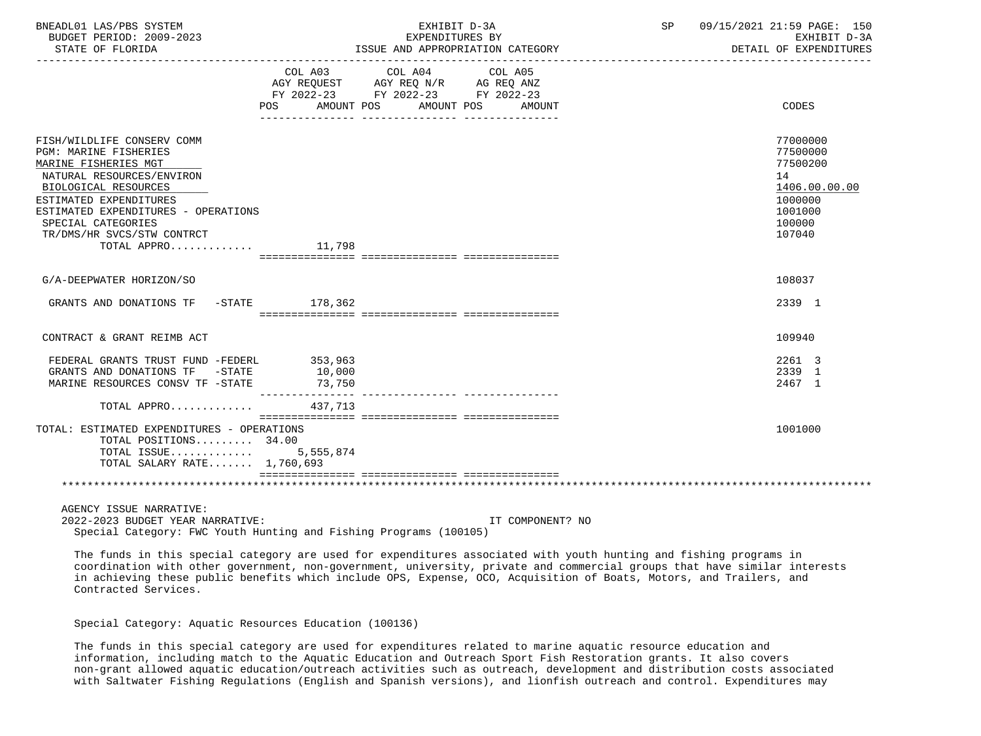| BNEADL01 LAS/PBS SYSTEM<br>BUDGET PERIOD: 2009-2023 |                            | EXHIBIT D-3A<br>EXPENDITURES BY                                        |        | SP and the set of the set of the set of the set of the set of the set of the set of the set of the set of the set of the set of the set of the set of the set of the set of the set of the set of the set of the set of the se | 09/15/2021 21:59 PAGE: 150<br>EXHIBIT D-3A |
|-----------------------------------------------------|----------------------------|------------------------------------------------------------------------|--------|--------------------------------------------------------------------------------------------------------------------------------------------------------------------------------------------------------------------------------|--------------------------------------------|
| STATE OF FLORIDA                                    |                            | ISSUE AND APPROPRIATION CATEGORY                                       |        |                                                                                                                                                                                                                                | DETAIL OF EXPENDITURES                     |
|                                                     |                            | COL A03 COL A04 COL A05                                                |        |                                                                                                                                                                                                                                |                                            |
|                                                     |                            | AGY REQUEST AGY REQ N/R AG REQ ANZ<br>FY 2022-23 FY 2022-23 FY 2022-23 |        |                                                                                                                                                                                                                                |                                            |
|                                                     |                            | POS AMOUNT POS AMOUNT POS                                              | AMOUNT |                                                                                                                                                                                                                                | CODES                                      |
|                                                     |                            |                                                                        |        |                                                                                                                                                                                                                                |                                            |
| FISH/WILDLIFE CONSERV COMM                          |                            |                                                                        |        |                                                                                                                                                                                                                                | 77000000                                   |
| <b>PGM: MARINE FISHERIES</b>                        |                            |                                                                        |        |                                                                                                                                                                                                                                | 77500000                                   |
| MARINE FISHERIES MGT                                |                            |                                                                        |        |                                                                                                                                                                                                                                | 77500200                                   |
| NATURAL RESOURCES/ENVIRON                           |                            |                                                                        |        |                                                                                                                                                                                                                                | 14                                         |
| BIOLOGICAL RESOURCES                                |                            |                                                                        |        |                                                                                                                                                                                                                                | 1406.00.00.00                              |
| ESTIMATED EXPENDITURES                              |                            |                                                                        |        |                                                                                                                                                                                                                                | 1000000                                    |
| ESTIMATED EXPENDITURES - OPERATIONS                 |                            |                                                                        |        |                                                                                                                                                                                                                                | 1001000                                    |
| SPECIAL CATEGORIES<br>TR/DMS/HR SVCS/STW CONTRCT    |                            |                                                                        |        |                                                                                                                                                                                                                                | 100000<br>107040                           |
| TOTAL APPRO                                         | 11,798                     |                                                                        |        |                                                                                                                                                                                                                                |                                            |
|                                                     |                            |                                                                        |        |                                                                                                                                                                                                                                |                                            |
| G/A-DEEPWATER HORIZON/SO                            |                            |                                                                        |        |                                                                                                                                                                                                                                | 108037                                     |
| GRANTS AND DONATIONS TF -STATE 178,362              |                            |                                                                        |        |                                                                                                                                                                                                                                | 2339 1                                     |
|                                                     |                            |                                                                        |        |                                                                                                                                                                                                                                |                                            |
| CONTRACT & GRANT REIMB ACT                          |                            |                                                                        |        |                                                                                                                                                                                                                                | 109940                                     |
| FEDERAL GRANTS TRUST FUND -FEDERL 353,963           |                            |                                                                        |        |                                                                                                                                                                                                                                | 2261 3                                     |
| GRANTS AND DONATIONS TF -STATE                      | 10,000                     |                                                                        |        |                                                                                                                                                                                                                                | 2339 1                                     |
| MARINE RESOURCES CONSV TF -STATE                    | 73,750<br>---------------- |                                                                        |        |                                                                                                                                                                                                                                | 2467 1                                     |
| TOTAL APPRO 437,713                                 |                            |                                                                        |        |                                                                                                                                                                                                                                |                                            |
| TOTAL: ESTIMATED EXPENDITURES - OPERATIONS          |                            |                                                                        |        |                                                                                                                                                                                                                                | 1001000                                    |
| TOTAL POSITIONS 34.00                               |                            |                                                                        |        |                                                                                                                                                                                                                                |                                            |
| TOTAL ISSUE                                         | 5,555,874                  |                                                                        |        |                                                                                                                                                                                                                                |                                            |
| TOTAL SALARY RATE 1,760,693                         |                            |                                                                        |        |                                                                                                                                                                                                                                |                                            |
|                                                     |                            |                                                                        |        |                                                                                                                                                                                                                                |                                            |
|                                                     |                            |                                                                        |        |                                                                                                                                                                                                                                |                                            |

AGENCY ISSUE NARRATIVE:

 2022-2023 BUDGET YEAR NARRATIVE: IT COMPONENT? NO Special Category: FWC Youth Hunting and Fishing Programs (100105)

 The funds in this special category are used for expenditures associated with youth hunting and fishing programs in coordination with other government, non-government, university, private and commercial groups that have similar interests in achieving these public benefits which include OPS, Expense, OCO, Acquisition of Boats, Motors, and Trailers, and Contracted Services.

Special Category: Aquatic Resources Education (100136)

 The funds in this special category are used for expenditures related to marine aquatic resource education and information, including match to the Aquatic Education and Outreach Sport Fish Restoration grants. It also covers non-grant allowed aquatic education/outreach activities such as outreach, development and distribution costs associated with Saltwater Fishing Regulations (English and Spanish versions), and lionfish outreach and control. Expenditures may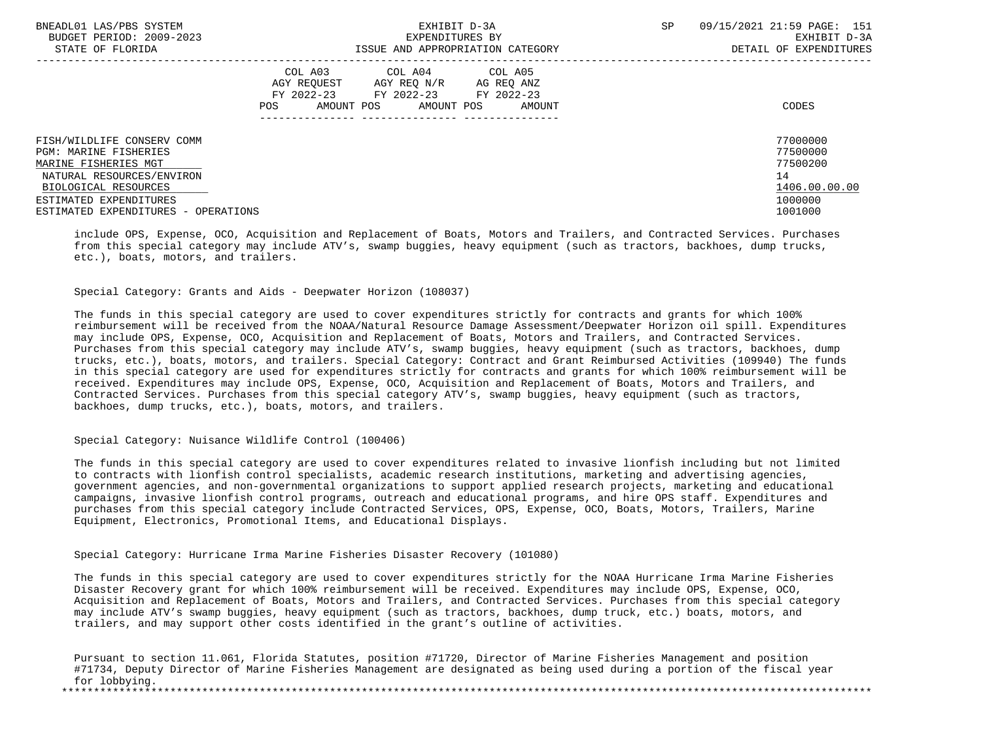| BNEADL01 LAS/PBS SYSTEM             | EXHIBIT D-3A      |                                  | SP | 09/15/2021 21:59 PAGE: 151 |
|-------------------------------------|-------------------|----------------------------------|----|----------------------------|
| BUDGET PERIOD: 2009-2023            |                   | EXPENDITURES BY                  |    | EXHIBIT D-3A               |
| STATE OF FLORIDA                    |                   | ISSUE AND APPROPRIATION CATEGORY |    | DETAIL OF EXPENDITURES     |
|                                     |                   | COL A03 COL A04 COL A05          |    |                            |
|                                     |                   |                                  |    |                            |
|                                     | AGY REOUEST       | AGY REO N/R<br>AG REO ANZ        |    |                            |
|                                     |                   | FY 2022-23 FY 2022-23 FY 2022-23 |    |                            |
|                                     | AMOUNT POS<br>POS | AMOUNT POS<br>AMOUNT             |    | CODES                      |
|                                     |                   |                                  |    |                            |
| FISH/WILDLIFE CONSERV COMM          |                   |                                  |    | 77000000                   |
| <b>PGM: MARINE FISHERIES</b>        |                   |                                  |    | 77500000                   |
| MARINE FISHERIES MGT                |                   |                                  |    | 77500200                   |
| NATURAL RESOURCES/ENVIRON           |                   |                                  |    | 14                         |
| BIOLOGICAL RESOURCES                |                   |                                  |    | 1406.00.00.00              |
| ESTIMATED EXPENDITURES              |                   |                                  |    | 1000000                    |
| ESTIMATED EXPENDITURES - OPERATIONS |                   |                                  |    | 1001000                    |

 include OPS, Expense, OCO, Acquisition and Replacement of Boats, Motors and Trailers, and Contracted Services. Purchases from this special category may include ATV's, swamp buggies, heavy equipment (such as tractors, backhoes, dump trucks, etc.), boats, motors, and trailers.

Special Category: Grants and Aids - Deepwater Horizon (108037)

 The funds in this special category are used to cover expenditures strictly for contracts and grants for which 100% reimbursement will be received from the NOAA/Natural Resource Damage Assessment/Deepwater Horizon oil spill. Expenditures may include OPS, Expense, OCO, Acquisition and Replacement of Boats, Motors and Trailers, and Contracted Services. Purchases from this special category may include ATV's, swamp buggies, heavy equipment (such as tractors, backhoes, dump trucks, etc.), boats, motors, and trailers. Special Category: Contract and Grant Reimbursed Activities (109940) The funds in this special category are used for expenditures strictly for contracts and grants for which 100% reimbursement will be received. Expenditures may include OPS, Expense, OCO, Acquisition and Replacement of Boats, Motors and Trailers, and Contracted Services. Purchases from this special category ATV's, swamp buggies, heavy equipment (such as tractors, backhoes, dump trucks, etc.), boats, motors, and trailers.

Special Category: Nuisance Wildlife Control (100406)

 The funds in this special category are used to cover expenditures related to invasive lionfish including but not limited to contracts with lionfish control specialists, academic research institutions, marketing and advertising agencies, government agencies, and non-governmental organizations to support applied research projects, marketing and educational campaigns, invasive lionfish control programs, outreach and educational programs, and hire OPS staff. Expenditures and purchases from this special category include Contracted Services, OPS, Expense, OCO, Boats, Motors, Trailers, Marine Equipment, Electronics, Promotional Items, and Educational Displays.

Special Category: Hurricane Irma Marine Fisheries Disaster Recovery (101080)

 The funds in this special category are used to cover expenditures strictly for the NOAA Hurricane Irma Marine Fisheries Disaster Recovery grant for which 100% reimbursement will be received. Expenditures may include OPS, Expense, OCO, Acquisition and Replacement of Boats, Motors and Trailers, and Contracted Services. Purchases from this special category may include ATV's swamp buggies, heavy equipment (such as tractors, backhoes, dump truck, etc.) boats, motors, and trailers, and may support other costs identified in the grant's outline of activities.

 Pursuant to section 11.061, Florida Statutes, position #71720, Director of Marine Fisheries Management and position #71734, Deputy Director of Marine Fisheries Management are designated as being used during a portion of the fiscal year for lobbying.<br>\*\*\*\*\*\*\*\*\*\*\*\*\*\*\*\*\* \*\*\*\*\*\*\*\*\*\*\*\*\*\*\*\*\*\*\*\*\*\*\*\*\*\*\*\*\*\*\*\*\*\*\*\*\*\*\*\*\*\*\*\*\*\*\*\*\*\*\*\*\*\*\*\*\*\*\*\*\*\*\*\*\*\*\*\*\*\*\*\*\*\*\*\*\*\*\*\*\*\*\*\*\*\*\*\*\*\*\*\*\*\*\*\*\*\*\*\*\*\*\*\*\*\*\*\*\*\*\*\*\*\*\*\*\*\*\*\*\*\*\*\*\*\*\*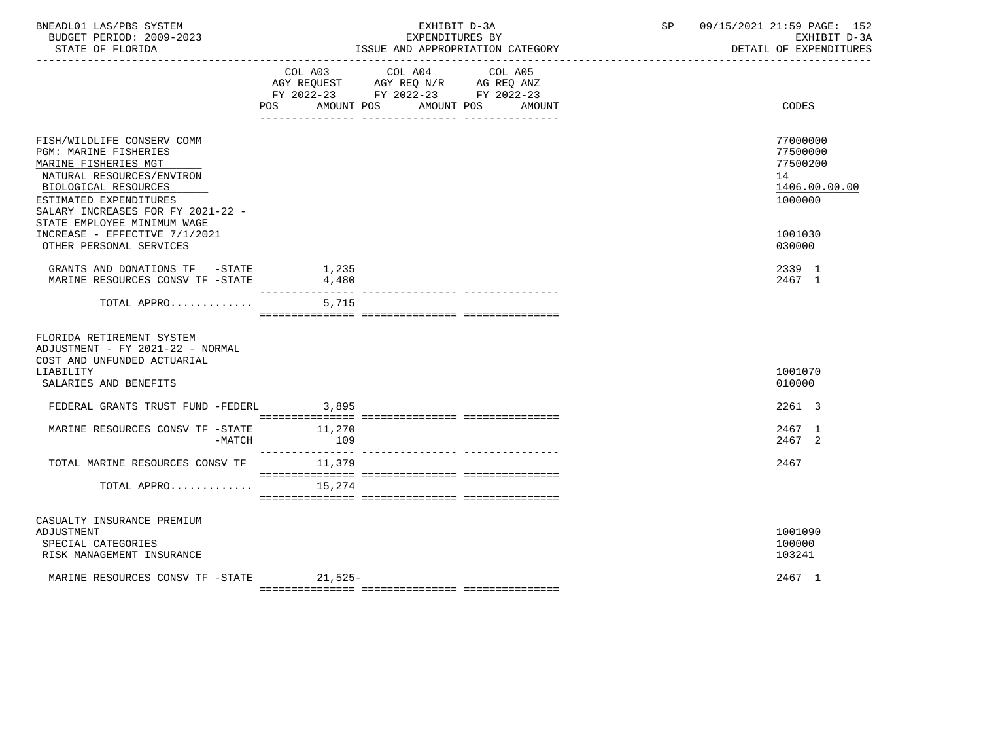| BNEADL01 LAS/PBS SYSTEM<br>BUDGET PERIOD: 2009-2023<br>STATE OF FLORIDA                                                                                                                                                                                                                    |                | EXHIBIT D-3A<br>EXPENDITURES BY<br>ISSUE AND APPROPRIATION CATEGORY                                                          | SP 09/15/2021 21:59 PAGE: 152<br>EXHIBIT D-3A<br>DETAIL OF EXPENDITURES                 |
|--------------------------------------------------------------------------------------------------------------------------------------------------------------------------------------------------------------------------------------------------------------------------------------------|----------------|------------------------------------------------------------------------------------------------------------------------------|-----------------------------------------------------------------------------------------|
|                                                                                                                                                                                                                                                                                            | COL A03<br>POS | COL A04<br>COL A05<br>AGY REQUEST AGY REQ N/R AG REQ ANZ<br>FY 2022-23 FY 2022-23 FY 2022-23<br>AMOUNT POS AMOUNT POS AMOUNT | CODES                                                                                   |
| FISH/WILDLIFE CONSERV COMM<br>PGM: MARINE FISHERIES<br>MARINE FISHERIES MGT<br>NATURAL RESOURCES/ENVIRON<br>BIOLOGICAL RESOURCES<br>ESTIMATED EXPENDITURES<br>SALARY INCREASES FOR FY 2021-22 -<br>STATE EMPLOYEE MINIMUM WAGE<br>INCREASE - EFFECTIVE 7/1/2021<br>OTHER PERSONAL SERVICES |                |                                                                                                                              | 77000000<br>77500000<br>77500200<br>14<br>1406.00.00.00<br>1000000<br>1001030<br>030000 |
| GRANTS AND DONATIONS TF -STATE<br>MARINE RESOURCES CONSV TF -STATE                                                                                                                                                                                                                         | 1,235<br>4,480 |                                                                                                                              | 2339 1<br>2467 1                                                                        |
| TOTAL APPRO                                                                                                                                                                                                                                                                                | 5,715          |                                                                                                                              |                                                                                         |
| FLORIDA RETIREMENT SYSTEM<br>ADJUSTMENT - FY 2021-22 - NORMAL<br>COST AND UNFUNDED ACTUARIAL<br>LIABILITY<br>SALARIES AND BENEFITS                                                                                                                                                         |                |                                                                                                                              | 1001070<br>010000                                                                       |
| FEDERAL GRANTS TRUST FUND -FEDERL 3,895                                                                                                                                                                                                                                                    |                |                                                                                                                              | 2261 3                                                                                  |
| MARINE RESOURCES CONSV TF -STATE<br>$-MATCH$                                                                                                                                                                                                                                               | 11,270<br>109  |                                                                                                                              | 2467 1<br>2467 2                                                                        |
| TOTAL MARINE RESOURCES CONSV TF 11,379                                                                                                                                                                                                                                                     |                |                                                                                                                              | 2467                                                                                    |
| TOTAL APPRO                                                                                                                                                                                                                                                                                | 15,274         |                                                                                                                              |                                                                                         |
| CASUALTY INSURANCE PREMIUM<br>ADJUSTMENT<br>SPECIAL CATEGORIES<br>RISK MANAGEMENT INSURANCE<br>MARINE RESOURCES CONSV TF -STATE                                                                                                                                                            | 21,525-        |                                                                                                                              | 1001090<br>100000<br>103241<br>2467 1                                                   |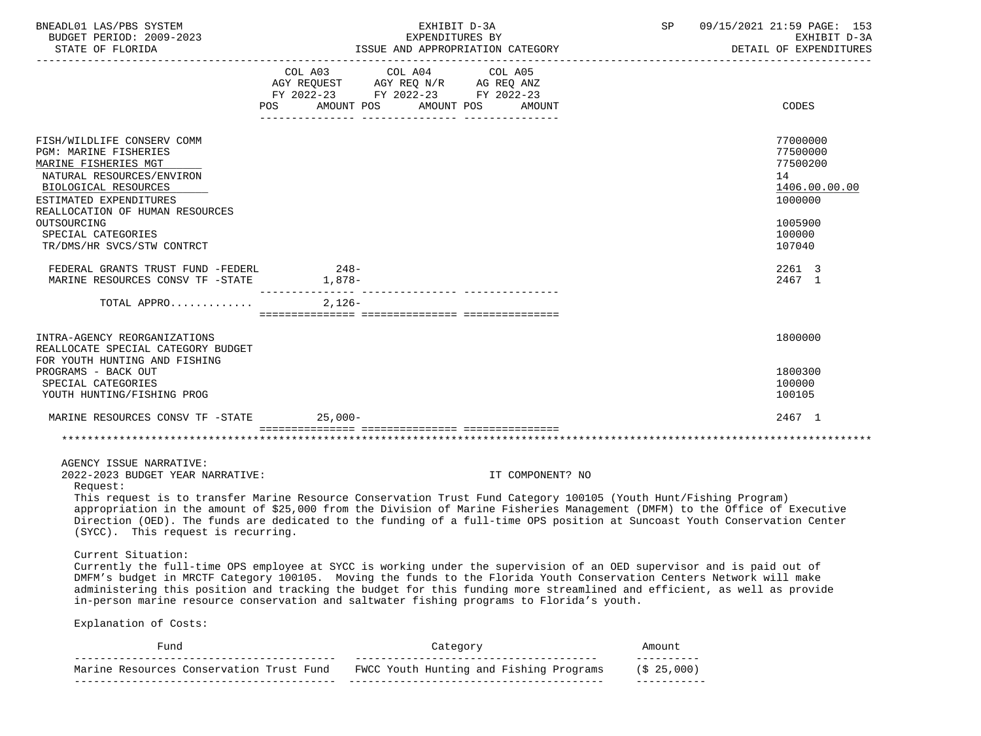| BNEADL01 LAS/PBS SYSTEM<br>BUDGET PERIOD: 2009-2023                                                                                                                                                                                                                                                                                                                                                                                                                                                                  |        | EXHIBIT D-3A<br>EXPENDITURES BY                           |                  | SP 09/15/2021 21:59 PAGE: 153<br>EXHIBIT D-3A<br>DETAIL OF EXPENDITURES       |
|----------------------------------------------------------------------------------------------------------------------------------------------------------------------------------------------------------------------------------------------------------------------------------------------------------------------------------------------------------------------------------------------------------------------------------------------------------------------------------------------------------------------|--------|-----------------------------------------------------------|------------------|-------------------------------------------------------------------------------|
|                                                                                                                                                                                                                                                                                                                                                                                                                                                                                                                      | POS    | FY 2022-23 FY 2022-23 FY 2022-23<br>AMOUNT POS AMOUNT POS | AMOUNT           | CODES                                                                         |
| FISH/WILDLIFE CONSERV COMM<br>PGM: MARINE FISHERIES<br>MARINE FISHERIES MGT<br>NATURAL RESOURCES/ENVIRON<br>BIOLOGICAL RESOURCES<br>ESTIMATED EXPENDITURES<br>REALLOCATION OF HUMAN RESOURCES<br>OUTSOURCING                                                                                                                                                                                                                                                                                                         |        |                                                           |                  | 77000000<br>77500000<br>77500200<br>14<br>1406.00.00.00<br>1000000<br>1005900 |
| SPECIAL CATEGORIES<br>TR/DMS/HR SVCS/STW CONTRCT                                                                                                                                                                                                                                                                                                                                                                                                                                                                     |        |                                                           |                  | 100000<br>107040                                                              |
| FEDERAL GRANTS TRUST FUND -FEDERL<br>MARINE RESOURCES CONSV TF -STATE 1,878-                                                                                                                                                                                                                                                                                                                                                                                                                                         | $248-$ |                                                           |                  | 2261 3<br>2467 1                                                              |
| TOTAL APPRO                                                                                                                                                                                                                                                                                                                                                                                                                                                                                                          | 2,126- |                                                           |                  |                                                                               |
| INTRA-AGENCY REORGANIZATIONS<br>REALLOCATE SPECIAL CATEGORY BUDGET<br>FOR YOUTH HUNTING AND FISHING<br>PROGRAMS - BACK OUT<br>SPECIAL CATEGORIES<br>YOUTH HUNTING/FISHING PROG                                                                                                                                                                                                                                                                                                                                       |        |                                                           |                  | 1800000<br>1800300<br>100000<br>100105                                        |
| MARINE RESOURCES CONSV TF -STATE 25,000-                                                                                                                                                                                                                                                                                                                                                                                                                                                                             |        |                                                           |                  | 2467 1                                                                        |
|                                                                                                                                                                                                                                                                                                                                                                                                                                                                                                                      |        |                                                           |                  |                                                                               |
| AGENCY ISSUE NARRATIVE:<br>2022-2023 BUDGET YEAR NARRATIVE:<br>Request:<br>This request is to transfer Marine Resource Conservation Trust Fund Category 100105 (Youth Hunt/Fishing Program)<br>appropriation in the amount of \$25,000 from the Division of Marine Fisheries Management (DMFM) to the Office of Executive<br>Direction (OED). The funds are dedicated to the funding of a full-time OPS position at Suncoast Youth Conservation Center<br>(SYCC). This request is recurring.                         |        |                                                           | IT COMPONENT? NO |                                                                               |
| Current Situation:<br>Currently the full-time OPS employee at SYCC is working under the supervision of an OED supervisor and is paid out of<br>DMFM's budget in MRCTF Category 100105. Moving the funds to the Florida Youth Conservation Centers Network will make<br>administering this position and tracking the budget for this funding more streamlined and efficient, as well as provide<br>in-person marine resource conservation and saltwater fishing programs to Florida's youth.<br>Explanation of Costs: |        |                                                           |                  |                                                                               |

| Fund                                     | Category                                | Amount        |
|------------------------------------------|-----------------------------------------|---------------|
| Marine Resources Conservation Trust Fund | FWCC Youth Hunting and Fishing Programs | $(5\ 25.000)$ |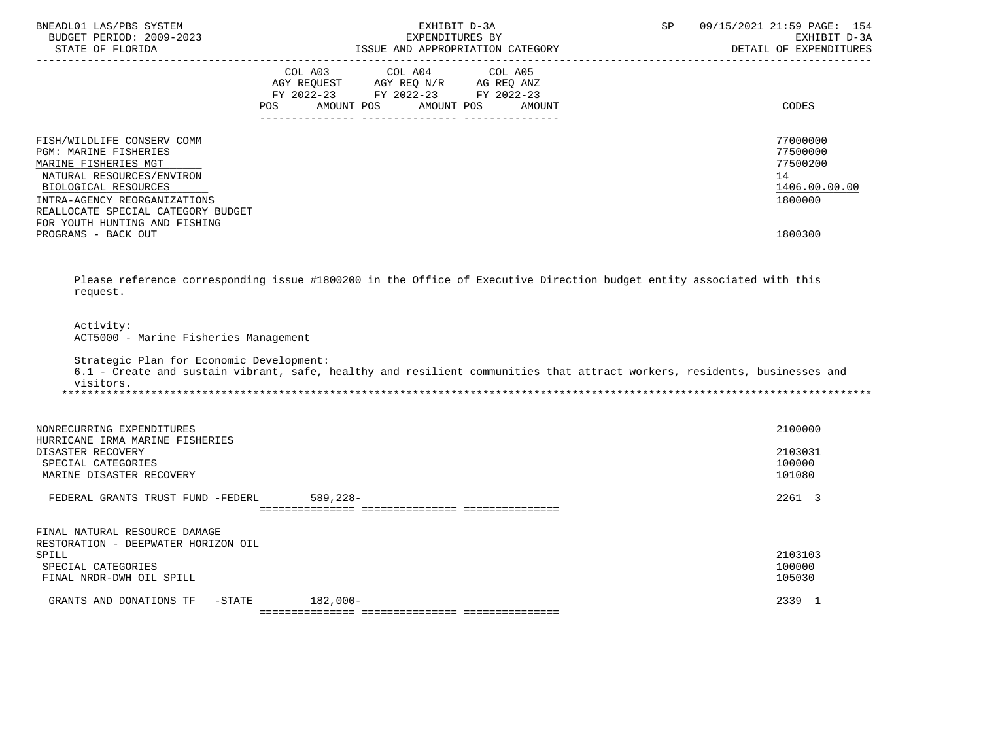| BNEADL01 LAS/PBS SYSTEM<br>BUDGET PERIOD: 2009-2023<br>STATE OF FLORIDA                                                                                                                                                                                               | EXHIBIT D-3A<br>EXPENDITURES BY<br>ISSUE AND APPROPRIATION CATEGORY |                                                                                                                                   | SP | 09/15/2021 21:59 PAGE: 154<br>EXHIBIT D-3A<br>DETAIL OF EXPENDITURES |                                                                               |
|-----------------------------------------------------------------------------------------------------------------------------------------------------------------------------------------------------------------------------------------------------------------------|---------------------------------------------------------------------|-----------------------------------------------------------------------------------------------------------------------------------|----|----------------------------------------------------------------------|-------------------------------------------------------------------------------|
|                                                                                                                                                                                                                                                                       | <b>POS</b>                                                          | COL A03 COL A04 COL A05<br>AGY REQUEST AGY REQ N/R AG REQ ANZ<br>FY 2022-23 FY 2022-23 FY 2022-23<br>AMOUNT POS AMOUNT POS AMOUNT |    |                                                                      | CODES                                                                         |
| FISH/WILDLIFE CONSERV COMM<br><b>PGM: MARINE FISHERIES</b><br>MARINE FISHERIES MGT<br>NATURAL RESOURCES/ENVIRON<br>BIOLOGICAL RESOURCES<br>INTRA-AGENCY REORGANIZATIONS<br>REALLOCATE SPECIAL CATEGORY BUDGET<br>FOR YOUTH HUNTING AND FISHING<br>PROGRAMS - BACK OUT |                                                                     |                                                                                                                                   |    |                                                                      | 77000000<br>77500000<br>77500200<br>14<br>1406.00.00.00<br>1800000<br>1800300 |
| Please reference corresponding issue #1800200 in the Office of Executive Direction budget entity associated with this<br>request.                                                                                                                                     |                                                                     |                                                                                                                                   |    |                                                                      |                                                                               |
| Activity:<br>ACT5000 - Marine Fisheries Management                                                                                                                                                                                                                    |                                                                     |                                                                                                                                   |    |                                                                      |                                                                               |
| Strategic Plan for Economic Development:<br>6.1 - Create and sustain vibrant, safe, healthy and resilient communities that attract workers, residents, businesses and<br>visitors.                                                                                    |                                                                     |                                                                                                                                   |    |                                                                      |                                                                               |

| NONRECURRING EXPENDITURES<br>HURRICANE IRMA MARINE FISHERIES |            | 2100000 |
|--------------------------------------------------------------|------------|---------|
| DISASTER RECOVERY                                            |            | 2103031 |
| SPECIAL CATEGORIES                                           |            | 100000  |
| MARINE DISASTER RECOVERY                                     |            | 101080  |
| FEDERAL GRANTS TRUST FUND -FEDERL                            | $589,228-$ | 2261 3  |
|                                                              |            |         |
| FINAL NATURAL RESOURCE DAMAGE                                |            |         |
| RESTORATION - DEEPWATER HORIZON OIL                          |            |         |
| SPILL                                                        |            | 2103103 |
| SPECIAL CATEGORIES                                           |            | 100000  |
| FINAL NRDR-DWH OIL SPILL                                     |            | 105030  |
| GRANTS AND DONATIONS TF<br>$-$ STATE                         | $182,000-$ | 2339 1  |
|                                                              |            |         |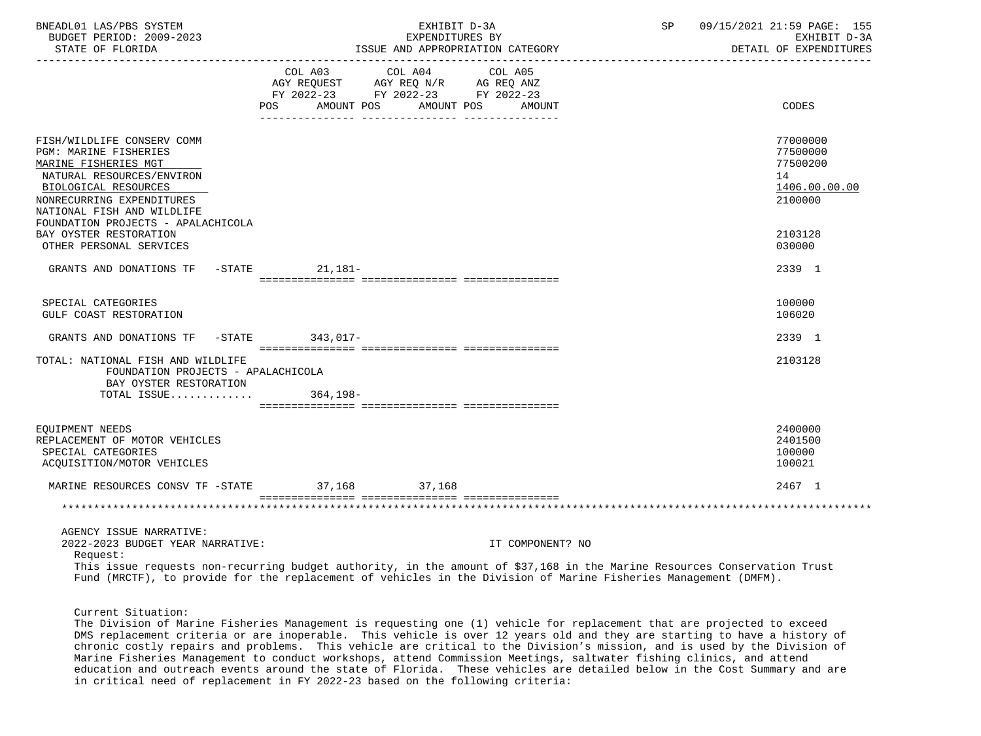| BNEADL01 LAS/PBS SYSTEM<br>BUDGET PERIOD: 2009-2023<br>STATE OF FLORIDA                                                                                                                                                                                                                                                |                 | EXHIBIT D-3A<br>EXPENDITURES BY<br>ISSUE AND APPROPRIATION CATEGORY                                                        |                  | SP and the set of the set of the set of the set of the set of the set of the set of the set of the set of the s | 09/15/2021 21:59 PAGE: 155<br>EXHIBIT D-3A<br>DETAIL OF EXPENDITURES          |
|------------------------------------------------------------------------------------------------------------------------------------------------------------------------------------------------------------------------------------------------------------------------------------------------------------------------|-----------------|----------------------------------------------------------------------------------------------------------------------------|------------------|-----------------------------------------------------------------------------------------------------------------|-------------------------------------------------------------------------------|
|                                                                                                                                                                                                                                                                                                                        | POS             | COL A03 COL A04 COL A05<br>AGY REQUEST AGY REQ N/R AG REQ ANZ<br>FY 2022-23 FY 2022-23 FY 2022-23<br>AMOUNT POS AMOUNT POS | AMOUNT           |                                                                                                                 | CODES                                                                         |
| FISH/WILDLIFE CONSERV COMM<br>PGM: MARINE FISHERIES<br>MARINE FISHERIES MGT<br>NATURAL RESOURCES/ENVIRON<br>BIOLOGICAL RESOURCES<br>NONRECURRING EXPENDITURES<br>NATIONAL FISH AND WILDLIFE<br>FOUNDATION PROJECTS - APALACHICOLA<br>BAY OYSTER RESTORATION                                                            |                 |                                                                                                                            |                  |                                                                                                                 | 77000000<br>77500000<br>77500200<br>14<br>1406.00.00.00<br>2100000<br>2103128 |
| OTHER PERSONAL SERVICES<br>GRANTS AND DONATIONS TF -STATE 21,181-                                                                                                                                                                                                                                                      |                 |                                                                                                                            |                  |                                                                                                                 | 030000<br>2339 1                                                              |
| SPECIAL CATEGORIES<br>GULF COAST RESTORATION                                                                                                                                                                                                                                                                           |                 |                                                                                                                            |                  |                                                                                                                 | 100000<br>106020                                                              |
| GRANTS AND DONATIONS TF                                                                                                                                                                                                                                                                                                | -STATE 343,017- |                                                                                                                            |                  |                                                                                                                 | 2339 1                                                                        |
| TOTAL: NATIONAL FISH AND WILDLIFE<br>FOUNDATION PROJECTS - APALACHICOLA<br>BAY OYSTER RESTORATION<br>TOTAL ISSUE                                                                                                                                                                                                       | 364,198-        |                                                                                                                            |                  |                                                                                                                 | 2103128                                                                       |
| EOUIPMENT NEEDS<br>REPLACEMENT OF MOTOR VEHICLES<br>SPECIAL CATEGORIES<br>ACQUISITION/MOTOR VEHICLES                                                                                                                                                                                                                   |                 |                                                                                                                            |                  |                                                                                                                 | 2400000<br>2401500<br>100000<br>100021                                        |
| MARINE RESOURCES CONSV TF -STATE 37,168 37,168                                                                                                                                                                                                                                                                         |                 |                                                                                                                            |                  |                                                                                                                 | 2467 1                                                                        |
|                                                                                                                                                                                                                                                                                                                        |                 |                                                                                                                            |                  |                                                                                                                 |                                                                               |
| AGENCY ISSUE NARRATIVE:<br>2022-2023 BUDGET YEAR NARRATIVE:<br>Request:<br>This issue requests non-recurring budget authority, in the amount of \$37,168 in the Marine Resources Conservation Trust<br>Fund (MRCTF), to provide for the replacement of vehicles in the Division of Marine Fisheries Management (DMFM). |                 |                                                                                                                            | IT COMPONENT? NO |                                                                                                                 |                                                                               |

Current Situation:

 The Division of Marine Fisheries Management is requesting one (1) vehicle for replacement that are projected to exceed DMS replacement criteria or are inoperable. This vehicle is over 12 years old and they are starting to have a history of chronic costly repairs and problems. This vehicle are critical to the Division's mission, and is used by the Division of Marine Fisheries Management to conduct workshops, attend Commission Meetings, saltwater fishing clinics, and attend education and outreach events around the state of Florida. These vehicles are detailed below in the Cost Summary and are in critical need of replacement in FY 2022-23 based on the following criteria: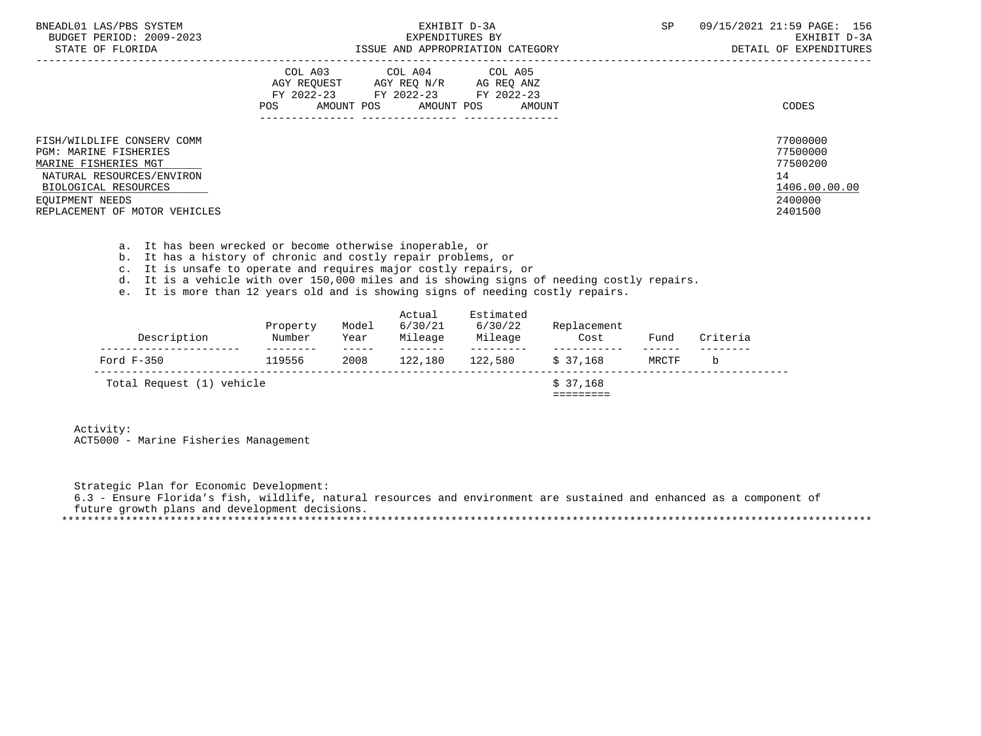| BNEADL01 LAS/PBS SYSTEM<br>BUDGET PERIOD: 2009-2023<br>STATE OF FLORIDA                                                                                                                     | EXHIBIT D-3A<br>EXPENDITURES BY<br>ISSUE AND APPROPRIATION CATEGORY                                                                                        | <b>SP</b><br>09/15/2021 21:59 PAGE: 156<br>EXHIBIT D-3A<br>DETAIL OF EXPENDITURES |
|---------------------------------------------------------------------------------------------------------------------------------------------------------------------------------------------|------------------------------------------------------------------------------------------------------------------------------------------------------------|-----------------------------------------------------------------------------------|
|                                                                                                                                                                                             | COL A03<br>COL A04<br>COL A05<br>AGY REOUEST<br>AGY REQ N/R AG REQ ANZ<br>FY 2022-23 FY 2022-23<br>FY 2022-23<br>AMOUNT POS<br>POS<br>AMOUNT POS<br>AMOUNT | CODES                                                                             |
| FISH/WILDLIFE CONSERV COMM<br><b>PGM: MARINE FISHERIES</b><br>MARINE FISHERIES MGT<br>NATURAL RESOURCES/ENVIRON<br>BIOLOGICAL RESOURCES<br>EOUIPMENT NEEDS<br>REPLACEMENT OF MOTOR VEHICLES |                                                                                                                                                            | 77000000<br>77500000<br>77500200<br>14<br>1406.00.00.00<br>2400000<br>2401500     |

- a. It has been wrecked or become otherwise inoperable, or
- b. It has a history of chronic and costly repair problems, or
- c. It is unsafe to operate and requires major costly repairs, or
- d. It is a vehicle with over 150,000 miles and is showing signs of needing costly repairs.
- e. It is more than 12 years old and is showing signs of needing costly repairs.

| Description               | Property<br>Number | Model<br>Year | Actual<br>6/30/21<br>Mileage | Estimated<br>6/30/22<br>Mileage | Replacement<br>Cost | Fund            | Criteria |
|---------------------------|--------------------|---------------|------------------------------|---------------------------------|---------------------|-----------------|----------|
| Ford $F-350$              | 119556             | 2008          | 122,180                      | 122,580                         | \$37.168            | ------<br>MRCTF | b        |
| Total Request (1) vehicle |                    |               |                              |                                 | \$37.168            |                 |          |

 Activity: ACT5000 - Marine Fisheries Management

 Strategic Plan for Economic Development: 6.3 - Ensure Florida's fish, wildlife, natural resources and environment are sustained and enhanced as a component of future growth plans and development decisions. \*\*\*\*\*\*\*\*\*\*\*\*\*\*\*\*\*\*\*\*\*\*\*\*\*\*\*\*\*\*\*\*\*\*\*\*\*\*\*\*\*\*\*\*\*\*\*\*\*\*\*\*\*\*\*\*\*\*\*\*\*\*\*\*\*\*\*\*\*\*\*\*\*\*\*\*\*\*\*\*\*\*\*\*\*\*\*\*\*\*\*\*\*\*\*\*\*\*\*\*\*\*\*\*\*\*\*\*\*\*\*\*\*\*\*\*\*\*\*\*\*\*\*\*\*\*\*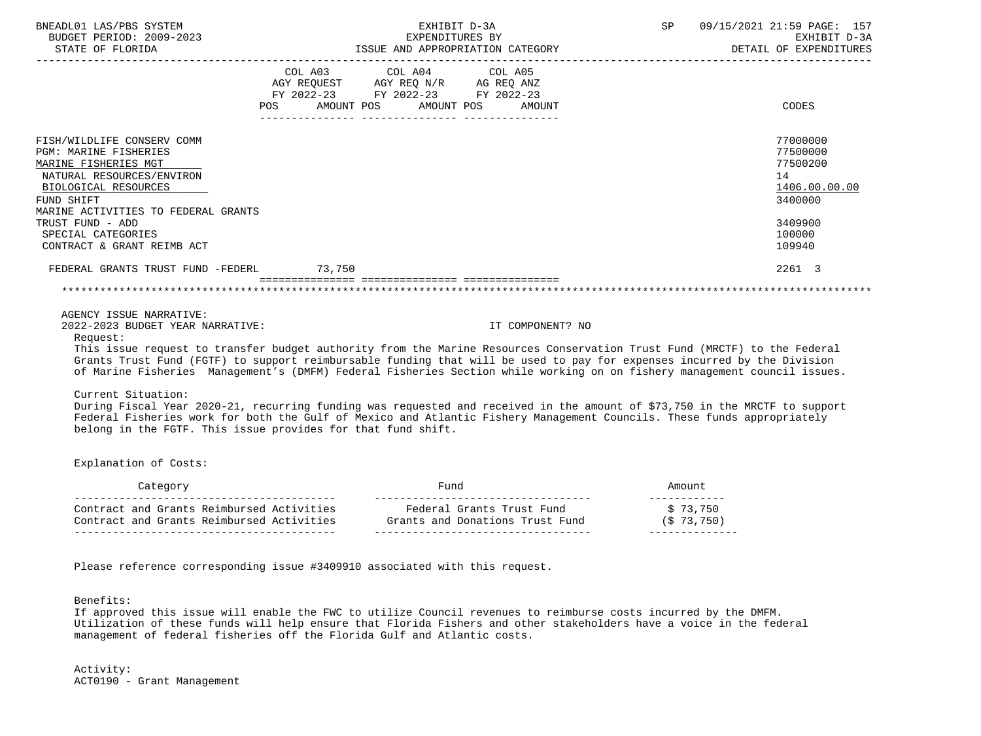| BNEADL01 LAS/PBS SYSTEM<br>BUDGET PERIOD: 2009-2023                                                                        | EXHIBIT D-3A<br>EXPENDITURES BY |                                                                                                                                                                                     |                                  | SP                      | 09/15/2021 21:59 PAGE: 157<br>EXHIBIT D-3A |
|----------------------------------------------------------------------------------------------------------------------------|---------------------------------|-------------------------------------------------------------------------------------------------------------------------------------------------------------------------------------|----------------------------------|-------------------------|--------------------------------------------|
|                                                                                                                            |                                 |                                                                                                                                                                                     |                                  |                         | DETAIL OF EXPENDITURES                     |
|                                                                                                                            |                                 | $\begin{tabular}{lllllllllll} COL & A03 & \multicolumn{2}{l}COL & A04 & \multicolumn{2}{l}COL & A05 \\ AGY & REQUEST & AGY REQ N/R & \multicolumn{2}{l}AG REQ ANZ \\ \end{tabular}$ |                                  |                         |                                            |
|                                                                                                                            |                                 | FY 2022-23 FY 2022-23 FY 2022-23                                                                                                                                                    |                                  |                         |                                            |
|                                                                                                                            |                                 |                                                                                                                                                                                     | POS AMOUNT POS AMOUNT POS AMOUNT |                         | CODES                                      |
| FISH/WILDLIFE CONSERV COMM                                                                                                 |                                 |                                                                                                                                                                                     |                                  |                         | 77000000                                   |
| <b>PGM: MARINE FISHERIES</b>                                                                                               |                                 |                                                                                                                                                                                     |                                  |                         | 77500000                                   |
| MARINE FISHERIES MGT                                                                                                       |                                 |                                                                                                                                                                                     |                                  |                         | 77500200                                   |
| NATURAL RESOURCES/ENVIRON                                                                                                  |                                 |                                                                                                                                                                                     |                                  |                         | 14                                         |
| BIOLOGICAL RESOURCES                                                                                                       |                                 |                                                                                                                                                                                     |                                  |                         | 1406.00.00.00                              |
| FUND SHIFT<br>MARINE ACTIVITIES TO FEDERAL GRANTS                                                                          |                                 |                                                                                                                                                                                     |                                  |                         | 3400000                                    |
| TRUST FUND - ADD                                                                                                           |                                 |                                                                                                                                                                                     |                                  |                         | 3409900                                    |
| SPECIAL CATEGORIES                                                                                                         |                                 |                                                                                                                                                                                     |                                  |                         | 100000                                     |
| CONTRACT & GRANT REIMB ACT                                                                                                 |                                 |                                                                                                                                                                                     |                                  |                         | 109940                                     |
| FEDERAL GRANTS TRUST FUND -FEDERL 73,750                                                                                   |                                 |                                                                                                                                                                                     |                                  |                         | 2261 3                                     |
|                                                                                                                            |                                 |                                                                                                                                                                                     |                                  |                         |                                            |
|                                                                                                                            |                                 |                                                                                                                                                                                     |                                  |                         |                                            |
| AGENCY ISSUE NARRATIVE:                                                                                                    |                                 |                                                                                                                                                                                     |                                  |                         |                                            |
| 2022-2023 BUDGET YEAR NARRATIVE:<br>Request:                                                                               |                                 |                                                                                                                                                                                     | IT COMPONENT? NO                 |                         |                                            |
| This issue request to transfer budget authority from the Marine Resources Conservation Trust Fund (MRCTF) to the Federal   |                                 |                                                                                                                                                                                     |                                  |                         |                                            |
| Grants Trust Fund (FGTF) to support reimbursable funding that will be used to pay for expenses incurred by the Division    |                                 |                                                                                                                                                                                     |                                  |                         |                                            |
| of Marine Fisheries Management's (DMFM) Federal Fisheries Section while working on on fishery management council issues.   |                                 |                                                                                                                                                                                     |                                  |                         |                                            |
| Current Situation:                                                                                                         |                                 |                                                                                                                                                                                     |                                  |                         |                                            |
| During Fiscal Year 2020-21, recurring funding was requested and received in the amount of \$73,750 in the MRCTF to support |                                 |                                                                                                                                                                                     |                                  |                         |                                            |
| Federal Fisheries work for both the Gulf of Mexico and Atlantic Fishery Management Councils. These funds appropriately     |                                 |                                                                                                                                                                                     |                                  |                         |                                            |
| belong in the FGTF. This issue provides for that fund shift.                                                               |                                 |                                                                                                                                                                                     |                                  |                         |                                            |
| Explanation of Costs:                                                                                                      |                                 |                                                                                                                                                                                     |                                  |                         |                                            |
|                                                                                                                            |                                 |                                                                                                                                                                                     |                                  |                         |                                            |
|                                                                                                                            |                                 |                                                                                                                                                                                     |                                  | Amount<br>_____________ |                                            |
| Contract and Grants Reimbursed Activities Federal Grants Trust Fund                                                        |                                 |                                                                                                                                                                                     |                                  | \$73,750                |                                            |
| Contract and Grants Reimbursed Activities Grants and Donations Trust Fund                                                  |                                 |                                                                                                                                                                                     |                                  | (S 73, 750)             |                                            |
|                                                                                                                            |                                 |                                                                                                                                                                                     |                                  | ______________          |                                            |

Please reference corresponding issue #3409910 associated with this request.

Benefits:

 If approved this issue will enable the FWC to utilize Council revenues to reimburse costs incurred by the DMFM. Utilization of these funds will help ensure that Florida Fishers and other stakeholders have a voice in the federal management of federal fisheries off the Florida Gulf and Atlantic costs.

 Activity: ACT0190 - Grant Management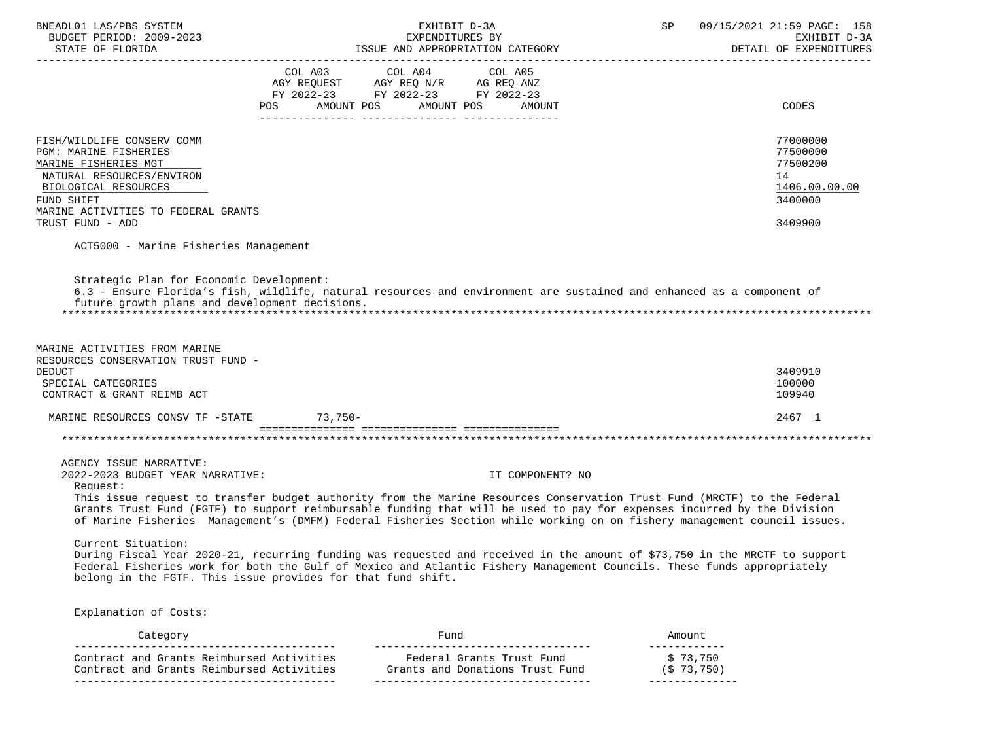| BNEADL01 LAS/PBS SYSTEM<br>BUDGET PERIOD: 2009-2023<br>STATE OF FLORIDA                                     | EXHIBIT D-3A<br>EXPENDITURES BY<br>ISSUE AND APPROPRIATION CATEGORY                                                                                                                                                                                                                                                                                                             | SP | 09/15/2021 21:59 PAGE: 158<br>EXHIBIT D-3A<br>DETAIL OF EXPENDITURES |
|-------------------------------------------------------------------------------------------------------------|---------------------------------------------------------------------------------------------------------------------------------------------------------------------------------------------------------------------------------------------------------------------------------------------------------------------------------------------------------------------------------|----|----------------------------------------------------------------------|
|                                                                                                             | COL A03 COL A04 COL A05                                                                                                                                                                                                                                                                                                                                                         |    |                                                                      |
|                                                                                                             | AGY REQUEST AGY REQ N/R AG REQ ANZ<br>FY 2022-23 FY 2022-23 FY 2022-23                                                                                                                                                                                                                                                                                                          |    |                                                                      |
|                                                                                                             | POS AMOUNT POS<br>AMOUNT POS<br>AMOUNT                                                                                                                                                                                                                                                                                                                                          |    | CODES                                                                |
|                                                                                                             |                                                                                                                                                                                                                                                                                                                                                                                 |    |                                                                      |
| FISH/WILDLIFE CONSERV COMM                                                                                  |                                                                                                                                                                                                                                                                                                                                                                                 |    | 77000000                                                             |
| PGM: MARINE FISHERIES                                                                                       |                                                                                                                                                                                                                                                                                                                                                                                 |    | 77500000                                                             |
| MARINE FISHERIES MGT                                                                                        |                                                                                                                                                                                                                                                                                                                                                                                 |    | 77500200                                                             |
| NATURAL RESOURCES/ENVIRON                                                                                   |                                                                                                                                                                                                                                                                                                                                                                                 |    | 14                                                                   |
| BIOLOGICAL RESOURCES                                                                                        |                                                                                                                                                                                                                                                                                                                                                                                 |    | 1406.00.00.00                                                        |
| FUND SHIFT                                                                                                  |                                                                                                                                                                                                                                                                                                                                                                                 |    | 3400000                                                              |
| MARINE ACTIVITIES TO FEDERAL GRANTS                                                                         |                                                                                                                                                                                                                                                                                                                                                                                 |    |                                                                      |
| TRUST FUND - ADD                                                                                            |                                                                                                                                                                                                                                                                                                                                                                                 |    | 3409900                                                              |
| ACT5000 - Marine Fisheries Management                                                                       |                                                                                                                                                                                                                                                                                                                                                                                 |    |                                                                      |
| MARINE ACTIVITIES FROM MARINE<br>RESOURCES CONSERVATION TRUST FUND -<br><b>DEDUCT</b><br>SPECIAL CATEGORIES |                                                                                                                                                                                                                                                                                                                                                                                 |    | 3409910<br>100000                                                    |
| CONTRACT & GRANT REIMB ACT                                                                                  |                                                                                                                                                                                                                                                                                                                                                                                 |    | 109940                                                               |
| MARINE RESOURCES CONSV TF -STATE 73,750-                                                                    |                                                                                                                                                                                                                                                                                                                                                                                 |    | 2467 1                                                               |
|                                                                                                             |                                                                                                                                                                                                                                                                                                                                                                                 |    |                                                                      |
| AGENCY ISSUE NARRATIVE:                                                                                     |                                                                                                                                                                                                                                                                                                                                                                                 |    |                                                                      |
| 2022-2023 BUDGET YEAR NARRATIVE:<br>Request:                                                                | IT COMPONENT? NO                                                                                                                                                                                                                                                                                                                                                                |    |                                                                      |
|                                                                                                             | This issue request to transfer budget authority from the Marine Resources Conservation Trust Fund (MRCTF) to the Federal<br>Grants Trust Fund (FGTF) to support reimbursable funding that will be used to pay for expenses incurred by the Division<br>of Marine Fisheries Management's (DMFM) Federal Fisheries Section while working on on fishery management council issues. |    |                                                                      |
| Current Situation:                                                                                          |                                                                                                                                                                                                                                                                                                                                                                                 |    |                                                                      |
|                                                                                                             | During Fiscal Year 2020-21, recurring funding was requested and received in the amount of \$73,750 in the MRCTF to support<br>Federal Fisheries work for both the Gulf of Mexico and Atlantic Fishery Management Councils. These funds appropriately<br>belong in the FGTF. This issue provides for that fund shift.                                                            |    |                                                                      |
| — 1 · 1 · 6 · 1 ·                                                                                           |                                                                                                                                                                                                                                                                                                                                                                                 |    |                                                                      |

Explanation of Costs:

| Category                                                                               | Fund                                                         | Amount                   |
|----------------------------------------------------------------------------------------|--------------------------------------------------------------|--------------------------|
| Contract and Grants Reimbursed Activities<br>Contract and Grants Reimbursed Activities | Federal Grants Trust Fund<br>Grants and Donations Trust Fund | \$73.750<br>$(S$ 73,750) |
|                                                                                        |                                                              |                          |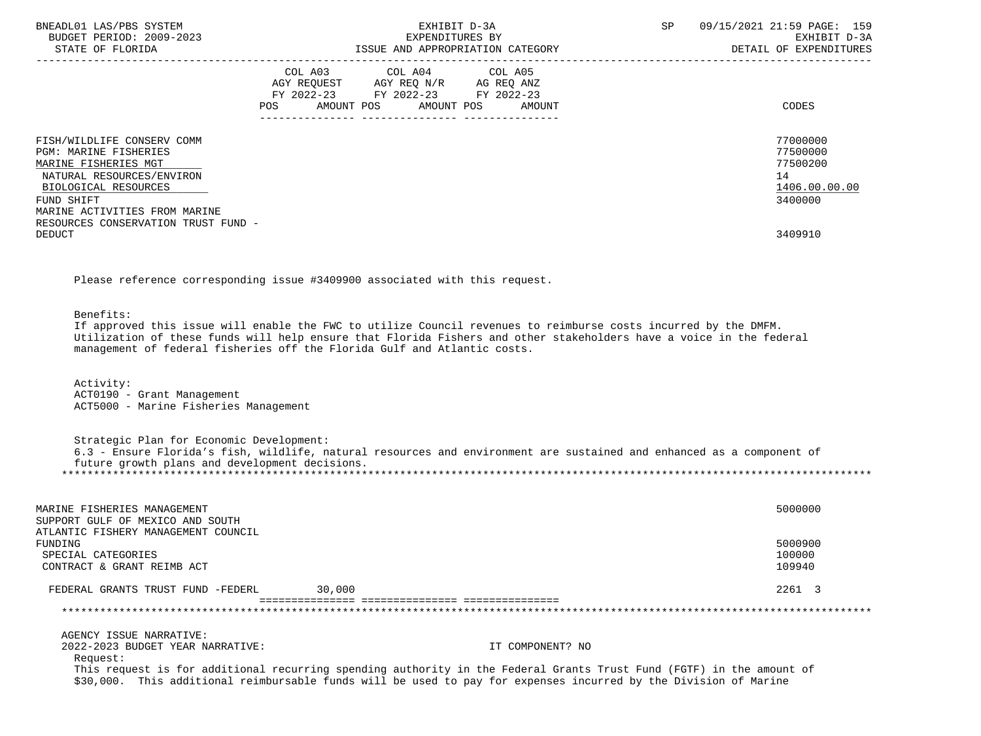| BNEADL01 LAS/PBS SYSTEM<br>BUDGET PERIOD: 2009-2023<br>STATE OF FLORIDA                                                                                                                                                                 | EXHIBIT D-3A<br>EXPENDITURES BY<br>ISSUE AND APPROPRIATION CATEGORY                                                                                | SP<br>09/15/2021 21:59 PAGE: 159<br>EXHIBIT D-3A<br>DETAIL OF EXPENDITURES    |
|-----------------------------------------------------------------------------------------------------------------------------------------------------------------------------------------------------------------------------------------|----------------------------------------------------------------------------------------------------------------------------------------------------|-------------------------------------------------------------------------------|
|                                                                                                                                                                                                                                         | COL A03 COL A04 COL A05<br>AGY REQUEST AGY REQ N/R AG REQ ANZ<br>FY 2022-23 FY 2022-23 FY 2022-23<br><b>POS</b><br>AMOUNT POS AMOUNT POS<br>AMOUNT | CODES                                                                         |
| FISH/WILDLIFE CONSERV COMM<br><b>PGM: MARINE FISHERIES</b><br>MARINE FISHERIES MGT<br>NATURAL RESOURCES/ENVIRON<br>BIOLOGICAL RESOURCES<br>FUND SHIFT<br>MARINE ACTIVITIES FROM MARINE<br>RESOURCES CONSERVATION TRUST FUND -<br>DEDUCT |                                                                                                                                                    | 77000000<br>77500000<br>77500200<br>14<br>1406.00.00.00<br>3400000<br>3409910 |

Please reference corresponding issue #3409900 associated with this request.

Benefits:

 If approved this issue will enable the FWC to utilize Council revenues to reimburse costs incurred by the DMFM. Utilization of these funds will help ensure that Florida Fishers and other stakeholders have a voice in the federal management of federal fisheries off the Florida Gulf and Atlantic costs.

 Activity: ACT0190 - Grant Management ACT5000 - Marine Fisheries Management

 Strategic Plan for Economic Development: 6.3 - Ensure Florida's fish, wildlife, natural resources and environment are sustained and enhanced as a component of future growth plans and development decisions. \*\*\*\*\*\*\*\*\*\*\*\*\*\*\*\*\*\*\*\*\*\*\*\*\*\*\*\*\*\*\*\*\*\*\*\*\*\*\*\*\*\*\*\*\*\*\*\*\*\*\*\*\*\*\*\*\*\*\*\*\*\*\*\*\*\*\*\*\*\*\*\*\*\*\*\*\*\*\*\*\*\*\*\*\*\*\*\*\*\*\*\*\*\*\*\*\*\*\*\*\*\*\*\*\*\*\*\*\*\*\*\*\*\*\*\*\*\*\*\*\*\*\*\*\*\*\*

| MARINE FISHERIES MANAGEMENT<br>SUPPORT GULF OF MEXICO AND SOUTH                                    |        |                                                                                                                                                                                                                                          | 5000000                     |
|----------------------------------------------------------------------------------------------------|--------|------------------------------------------------------------------------------------------------------------------------------------------------------------------------------------------------------------------------------------------|-----------------------------|
| ATLANTIC FISHERY MANAGEMENT COUNCIL<br>FUNDING<br>SPECIAL CATEGORIES<br>CONTRACT & GRANT REIMB ACT |        |                                                                                                                                                                                                                                          | 5000900<br>100000<br>109940 |
|                                                                                                    |        |                                                                                                                                                                                                                                          |                             |
| FEDERAL GRANTS TRUST FUND -FEDERL                                                                  | 30,000 |                                                                                                                                                                                                                                          | 2261 3                      |
|                                                                                                    |        |                                                                                                                                                                                                                                          |                             |
| AGENCY ISSUE NARRATIVE:                                                                            |        |                                                                                                                                                                                                                                          |                             |
| 2022-2023 BUDGET YEAR NARRATIVE:                                                                   |        | IT COMPONENT? NO                                                                                                                                                                                                                         |                             |
| Request:                                                                                           |        |                                                                                                                                                                                                                                          |                             |
|                                                                                                    |        | This request is for additional recurring spending authority in the Federal Grants Trust Fund (FGTF) in the amount of<br>\$30,000. This additional reimbursable funds will be used to pay for expenses incurred by the Division of Marine |                             |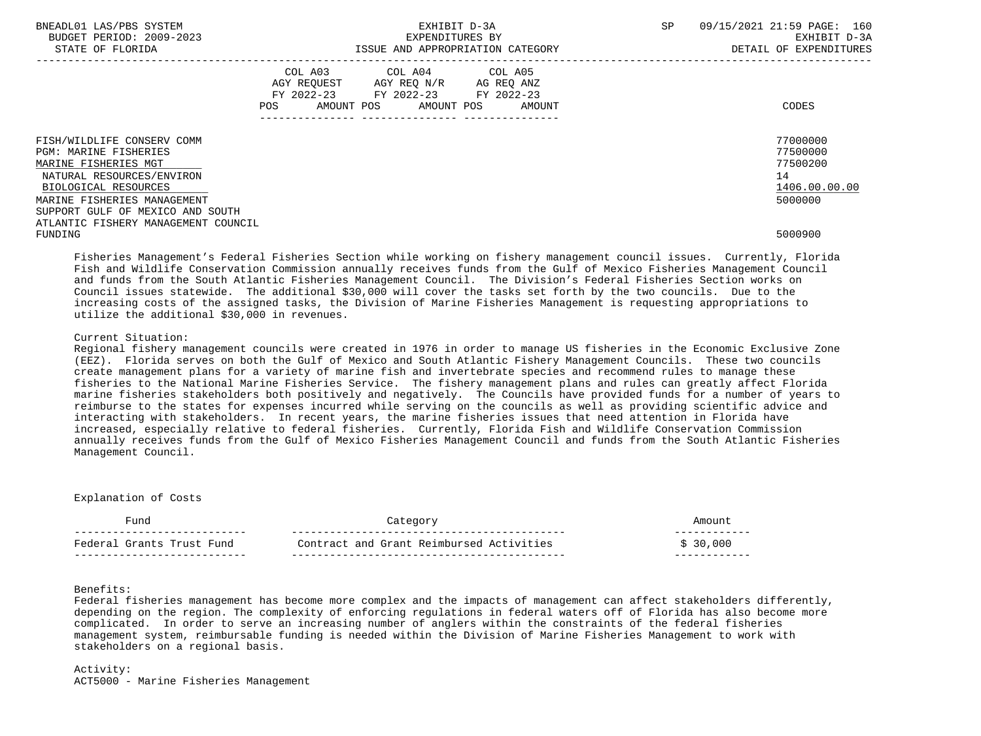| BNEADL01 LAS/PBS SYSTEM<br>BUDGET PERIOD: 2009-2023<br>STATE OF FLORIDA |                | EXHIBIT D-3A<br>EXPENDITURES BY                                                                                    | ISSUE AND APPROPRIATION CATEGORY | <b>SP</b> | 09/15/2021 21:59 PAGE: 160<br>EXHIBIT D-3A<br>DETAIL OF EXPENDITURES |
|-------------------------------------------------------------------------|----------------|--------------------------------------------------------------------------------------------------------------------|----------------------------------|-----------|----------------------------------------------------------------------|
|                                                                         | COL A03<br>POS | COL A04 COL A05<br>AGY REOUEST AGY REO N/R AG REO ANZ<br>FY 2022-23 FY 2022-23 FY 2022-23<br>AMOUNT POS AMOUNT POS | AMOUNT                           |           | CODES                                                                |
| FISH/WILDLIFE CONSERV COMM<br><b>PGM: MARINE FISHERIES</b>              |                |                                                                                                                    |                                  |           | 77000000<br>77500000                                                 |
| MARINE FISHERIES MGT                                                    |                |                                                                                                                    |                                  |           | 77500200                                                             |
| NATURAL RESOURCES/ENVIRON                                               |                |                                                                                                                    |                                  |           | 14                                                                   |
| BIOLOGICAL RESOURCES                                                    |                |                                                                                                                    |                                  |           | 1406.00.00.00                                                        |
| MARINE FISHERIES MANAGEMENT                                             |                |                                                                                                                    |                                  |           | 5000000                                                              |
| SUPPORT GULF OF MEXICO AND SOUTH                                        |                |                                                                                                                    |                                  |           |                                                                      |
| ATLANTIC FISHERY MANAGEMENT COUNCIL                                     |                |                                                                                                                    |                                  |           |                                                                      |
| FUNDING                                                                 |                |                                                                                                                    |                                  |           | 5000900                                                              |

 Fisheries Management's Federal Fisheries Section while working on fishery management council issues. Currently, Florida Fish and Wildlife Conservation Commission annually receives funds from the Gulf of Mexico Fisheries Management Council and funds from the South Atlantic Fisheries Management Council. The Division's Federal Fisheries Section works on Council issues statewide. The additional \$30,000 will cover the tasks set forth by the two councils. Due to the increasing costs of the assigned tasks, the Division of Marine Fisheries Management is requesting appropriations to utilize the additional \$30,000 in revenues.

# Current Situation:

 Regional fishery management councils were created in 1976 in order to manage US fisheries in the Economic Exclusive Zone (EEZ). Florida serves on both the Gulf of Mexico and South Atlantic Fishery Management Councils. These two councils create management plans for a variety of marine fish and invertebrate species and recommend rules to manage these fisheries to the National Marine Fisheries Service. The fishery management plans and rules can greatly affect Florida marine fisheries stakeholders both positively and negatively. The Councils have provided funds for a number of years to reimburse to the states for expenses incurred while serving on the councils as well as providing scientific advice and interacting with stakeholders. In recent years, the marine fisheries issues that need attention in Florida have increased, especially relative to federal fisheries. Currently, Florida Fish and Wildlife Conservation Commission annually receives funds from the Gulf of Mexico Fisheries Management Council and funds from the South Atlantic Fisheries Management Council.

#### Explanation of Costs

| מוות                                                  |                                             |     |
|-------------------------------------------------------|---------------------------------------------|-----|
| Fund<br>''rante<br>$\blacksquare$ True $\blacksquare$ | and Grant Reimbursed Activities<br>Contract | າ ເ |
|                                                       | $- -$                                       |     |

# Benefits:

 Federal fisheries management has become more complex and the impacts of management can affect stakeholders differently, depending on the region. The complexity of enforcing regulations in federal waters off of Florida has also become more complicated. In order to serve an increasing number of anglers within the constraints of the federal fisheries management system, reimbursable funding is needed within the Division of Marine Fisheries Management to work with stakeholders on a regional basis.

# Activity: ACT5000 - Marine Fisheries Management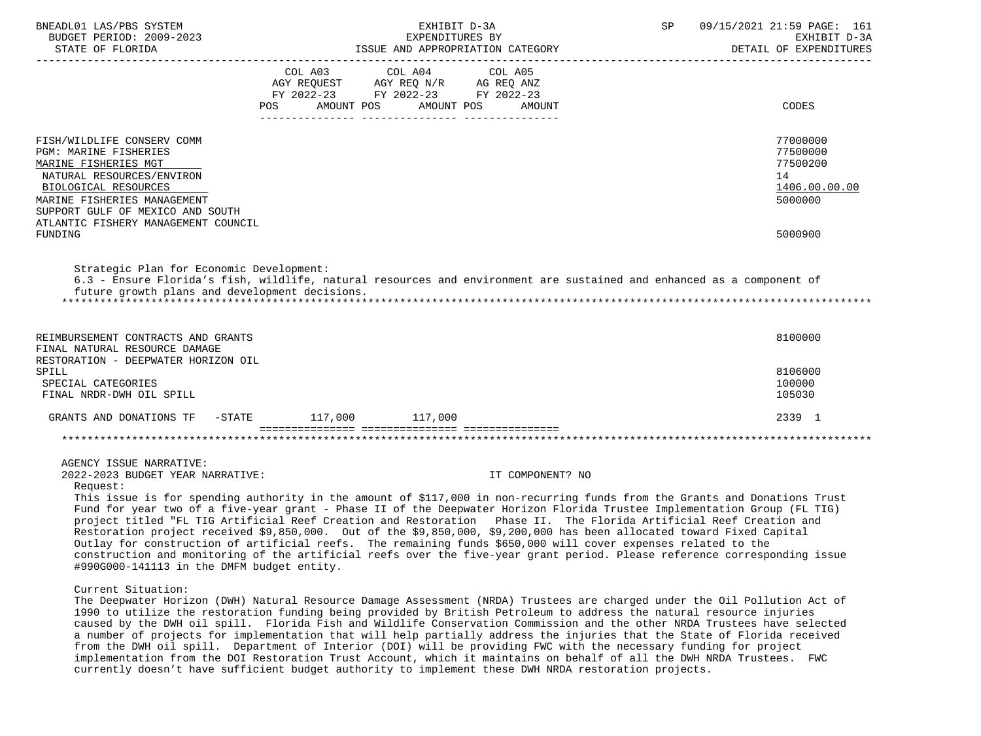| BNEADL01 LAS/PBS SYSTEM<br>BUDGET PERIOD: 2009-2023<br>STATE OF FLORIDA                                                                                                                                                                                                                                                                                                                                                                                                                                                                                                                                                                                                                                                                                                                                                                                                                            |                                                                                                                | EXPENDITURES BY | EXHIBIT D-3A<br>EXPENDITURES BY<br>ISSUE AND APPROPRIATION CATEGORY | SP | 09/15/2021 21:59 PAGE: 161<br>EXHIBIT D-3A<br>DETAIL OF EXPENDITURES<br>______________________________ |
|----------------------------------------------------------------------------------------------------------------------------------------------------------------------------------------------------------------------------------------------------------------------------------------------------------------------------------------------------------------------------------------------------------------------------------------------------------------------------------------------------------------------------------------------------------------------------------------------------------------------------------------------------------------------------------------------------------------------------------------------------------------------------------------------------------------------------------------------------------------------------------------------------|----------------------------------------------------------------------------------------------------------------|-----------------|---------------------------------------------------------------------|----|--------------------------------------------------------------------------------------------------------|
|                                                                                                                                                                                                                                                                                                                                                                                                                                                                                                                                                                                                                                                                                                                                                                                                                                                                                                    | COL A03 COL A04<br>AGY REQUEST AGY REQ N/R AG REQ ANZ<br>FY 2022-23 FY 2022-23 FY 2022-23<br>AMOUNT POS<br>POS | AMOUNT POS      | COL A05<br>AMOUNT                                                   |    | CODES                                                                                                  |
| FISH/WILDLIFE CONSERV COMM<br>PGM: MARINE FISHERIES<br>MARINE FISHERIES MGT<br>NATURAL RESOURCES/ENVIRON<br>BIOLOGICAL RESOURCES<br>MARINE FISHERIES MANAGEMENT<br>SUPPORT GULF OF MEXICO AND SOUTH                                                                                                                                                                                                                                                                                                                                                                                                                                                                                                                                                                                                                                                                                                |                                                                                                                |                 |                                                                     |    | 77000000<br>77500000<br>77500200<br>14<br>1406.00.00.00<br>5000000                                     |
| ATLANTIC FISHERY MANAGEMENT COUNCIL<br>FUNDING                                                                                                                                                                                                                                                                                                                                                                                                                                                                                                                                                                                                                                                                                                                                                                                                                                                     |                                                                                                                |                 |                                                                     |    | 5000900                                                                                                |
| Strategic Plan for Economic Development:<br>6.3 - Ensure Florida's fish, wildlife, natural resources and environment are sustained and enhanced as a component of<br>future growth plans and development decisions.                                                                                                                                                                                                                                                                                                                                                                                                                                                                                                                                                                                                                                                                                |                                                                                                                |                 |                                                                     |    |                                                                                                        |
| REIMBURSEMENT CONTRACTS AND GRANTS<br>FINAL NATURAL RESOURCE DAMAGE                                                                                                                                                                                                                                                                                                                                                                                                                                                                                                                                                                                                                                                                                                                                                                                                                                |                                                                                                                |                 |                                                                     |    | 8100000                                                                                                |
| RESTORATION - DEEPWATER HORIZON OIL<br>SPILL<br>SPECIAL CATEGORIES<br>FINAL NRDR-DWH OIL SPILL                                                                                                                                                                                                                                                                                                                                                                                                                                                                                                                                                                                                                                                                                                                                                                                                     |                                                                                                                |                 |                                                                     |    | 8106000<br>100000<br>105030                                                                            |
| GRANTS AND DONATIONS TF -STATE 117,000 117,000                                                                                                                                                                                                                                                                                                                                                                                                                                                                                                                                                                                                                                                                                                                                                                                                                                                     |                                                                                                                |                 |                                                                     |    | 2339 1                                                                                                 |
|                                                                                                                                                                                                                                                                                                                                                                                                                                                                                                                                                                                                                                                                                                                                                                                                                                                                                                    |                                                                                                                |                 |                                                                     |    |                                                                                                        |
| AGENCY ISSUE NARRATIVE:<br>2022-2023 BUDGET YEAR NARRATIVE:<br>Request:<br>This issue is for spending authority in the amount of \$117,000 in non-recurring funds from the Grants and Donations Trust<br>Fund for year two of a five-year grant - Phase II of the Deepwater Horizon Florida Trustee Implementation Group (FL TIG)<br>project titled "FL TIG Artificial Reef Creation and Restoration Phase II. The Florida Artificial Reef Creation and<br>Restoration project received \$9,850,000. Out of the \$9,850,000, \$9,200,000 has been allocated toward Fixed Capital<br>Outlay for construction of artificial reefs. The remaining funds \$650,000 will cover expenses related to the<br>construction and monitoring of the artificial reefs over the five-year grant period. Please reference corresponding issue<br>#990G000-141113 in the DMFM budget entity.<br>Current Situation: |                                                                                                                |                 | IT COMPONENT? NO                                                    |    |                                                                                                        |
| The Deepwater Horizon (DWH) Natural Resource Damage Assessment (NRDA) Trustees are charged under the Oil Pollution Act of<br>1990 to utilize the restoration funding being provided by British Petroleum to address the natural resource injuries<br>caused by the DWH oil spill. Florida Fish and Wildlife Conservation Commission and the other NRDA Trustees have selected                                                                                                                                                                                                                                                                                                                                                                                                                                                                                                                      |                                                                                                                |                 |                                                                     |    |                                                                                                        |

 a number of projects for implementation that will help partially address the injuries that the State of Florida received from the DWH oil spill. Department of Interior (DOI) will be providing FWC with the necessary funding for project implementation from the DOI Restoration Trust Account, which it maintains on behalf of all the DWH NRDA Trustees. FWC currently doesn't have sufficient budget authority to implement these DWH NRDA restoration projects.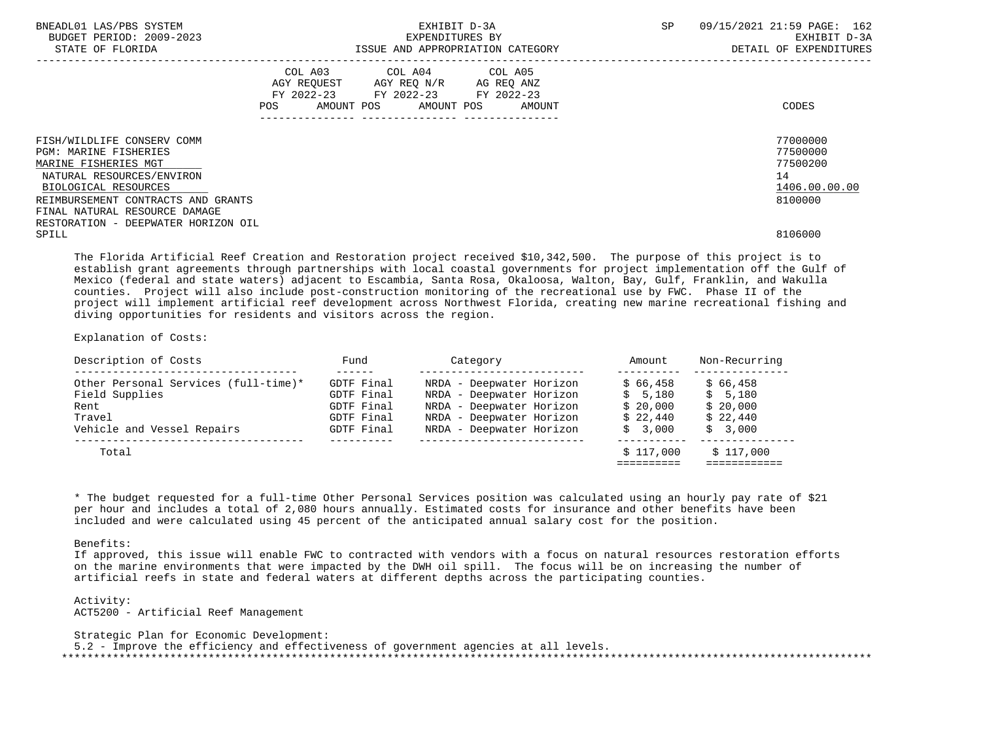| BNEADL01 LAS/PBS SYSTEM<br>BUDGET PERIOD: 2009-2023<br>STATE OF FLORIDA |     | EXHIBIT D-3A<br>EXPENDITURES BY                                                                                            | ISSUE AND APPROPRIATION CATEGORY | <b>SP</b> | 09/15/2021 21:59 PAGE: 162<br>EXHIBIT D-3A<br>DETAIL OF EXPENDITURES |
|-------------------------------------------------------------------------|-----|----------------------------------------------------------------------------------------------------------------------------|----------------------------------|-----------|----------------------------------------------------------------------|
|                                                                         | POS | COL A03 COL A04 COL A05<br>AGY REQUEST AGY REO N/R AG REO ANZ<br>FY 2022-23 FY 2022-23 FY 2022-23<br>AMOUNT POS AMOUNT POS | AMOUNT                           |           | CODES                                                                |
| FISH/WILDLIFE CONSERV COMM                                              |     |                                                                                                                            |                                  |           | 77000000                                                             |
| PGM: MARINE FISHERIES                                                   |     |                                                                                                                            |                                  |           | 77500000                                                             |
| MARINE FISHERIES MGT                                                    |     |                                                                                                                            |                                  |           | 77500200                                                             |
| NATURAL RESOURCES/ENVIRON                                               |     |                                                                                                                            |                                  |           | 14                                                                   |
| BIOLOGICAL RESOURCES                                                    |     |                                                                                                                            |                                  |           | 1406.00.00.00                                                        |
| REIMBURSEMENT CONTRACTS AND GRANTS                                      |     |                                                                                                                            |                                  |           | 8100000                                                              |
| FINAL NATURAL RESOURCE DAMAGE                                           |     |                                                                                                                            |                                  |           |                                                                      |
| RESTORATION - DEEPWATER HORIZON OIL                                     |     |                                                                                                                            |                                  |           |                                                                      |
| SPILL                                                                   |     |                                                                                                                            |                                  |           | 8106000                                                              |

 The Florida Artificial Reef Creation and Restoration project received \$10,342,500. The purpose of this project is to establish grant agreements through partnerships with local coastal governments for project implementation off the Gulf of Mexico (federal and state waters) adjacent to Escambia, Santa Rosa, Okaloosa, Walton, Bay, Gulf, Franklin, and Wakulla counties. Project will also include post-construction monitoring of the recreational use by FWC. Phase II of the project will implement artificial reef development across Northwest Florida, creating new marine recreational fishing and diving opportunities for residents and visitors across the region.

Explanation of Costs:

| Description of Costs                 | Fund       | Category                 | Amount    | Non-Recurring |
|--------------------------------------|------------|--------------------------|-----------|---------------|
|                                      |            |                          |           |               |
| Other Personal Services (full-time)* | GDTF Final | NRDA - Deepwater Horizon | \$66.458  | \$66.458      |
| Field Supplies                       | GDTF Final | NRDA - Deepwater Horizon | \$5,180   | \$5,180       |
| Rent                                 | GDTF Final | NRDA - Deepwater Horizon | \$20.000  | \$20,000      |
| Travel                               | GDTF Final | NRDA - Deepwater Horizon | \$22.440  | \$22.440      |
| Vehicle and Vessel Repairs           | GDTF Final | NRDA - Deepwater Horizon | \$3.000   | \$3,000       |
| Total                                |            |                          | \$117.000 | \$117.000     |
|                                      |            |                          |           |               |

 \* The budget requested for a full-time Other Personal Services position was calculated using an hourly pay rate of \$21 per hour and includes a total of 2,080 hours annually. Estimated costs for insurance and other benefits have been included and were calculated using 45 percent of the anticipated annual salary cost for the position.

Benefits:

 If approved, this issue will enable FWC to contracted with vendors with a focus on natural resources restoration efforts on the marine environments that were impacted by the DWH oil spill. The focus will be on increasing the number of artificial reefs in state and federal waters at different depths across the participating counties.

 Activity: ACT5200 - Artificial Reef Management

 Strategic Plan for Economic Development: 5.2 - Improve the efficiency and effectiveness of government agencies at all levels. \*\*\*\*\*\*\*\*\*\*\*\*\*\*\*\*\*\*\*\*\*\*\*\*\*\*\*\*\*\*\*\*\*\*\*\*\*\*\*\*\*\*\*\*\*\*\*\*\*\*\*\*\*\*\*\*\*\*\*\*\*\*\*\*\*\*\*\*\*\*\*\*\*\*\*\*\*\*\*\*\*\*\*\*\*\*\*\*\*\*\*\*\*\*\*\*\*\*\*\*\*\*\*\*\*\*\*\*\*\*\*\*\*\*\*\*\*\*\*\*\*\*\*\*\*\*\*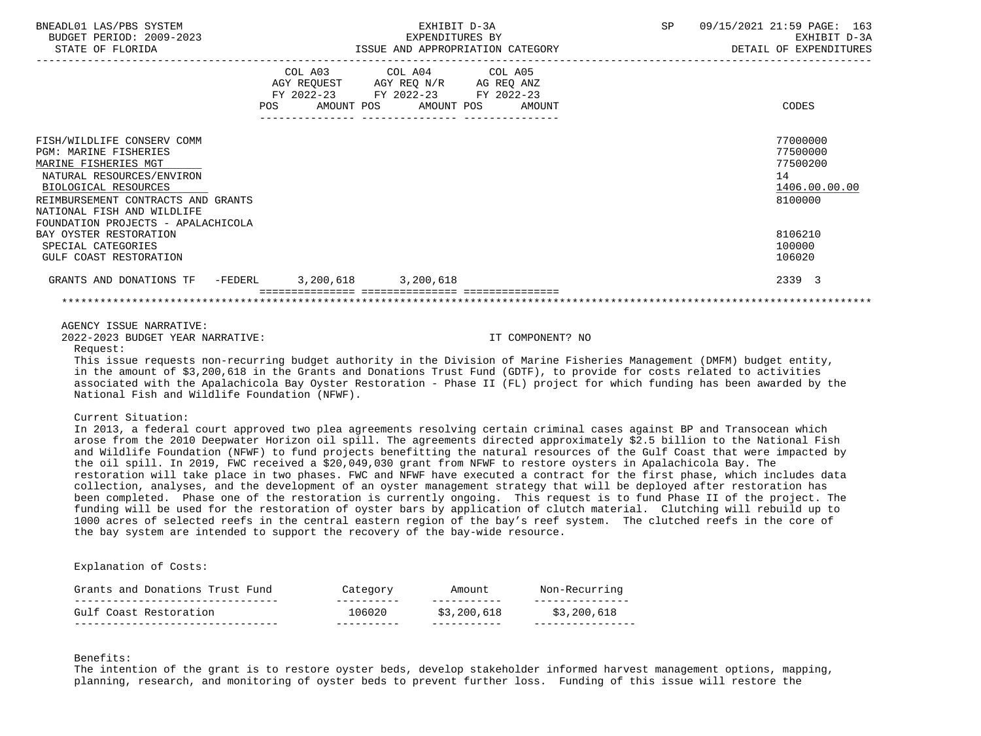| BNEADL01 LAS/PBS SYSTEM<br>BUDGET PERIOD: 2009-2023<br>STATE OF FLORIDA                                                                                                                                                                                                                                                     |                                  | EXHIBIT D-3A<br>EXPENDITURES BY                                                                   | ISSUE AND APPROPRIATION CATEGORY | SP | 09/15/2021 21:59 PAGE: 163<br>EXHIBIT D-3A<br>DETAIL OF EXPENDITURES                              |
|-----------------------------------------------------------------------------------------------------------------------------------------------------------------------------------------------------------------------------------------------------------------------------------------------------------------------------|----------------------------------|---------------------------------------------------------------------------------------------------|----------------------------------|----|---------------------------------------------------------------------------------------------------|
|                                                                                                                                                                                                                                                                                                                             | POS AMOUNT POS AMOUNT POS AMOUNT | COL A03 COL A04 COL A05<br>AGY REQUEST AGY REQ N/R AG REQ ANZ<br>FY 2022-23 FY 2022-23 FY 2022-23 |                                  |    | CODES                                                                                             |
| FISH/WILDLIFE CONSERV COMM<br><b>PGM: MARINE FISHERIES</b><br>MARINE FISHERIES MGT<br>NATURAL RESOURCES/ENVIRON<br>BIOLOGICAL RESOURCES<br>REIMBURSEMENT CONTRACTS AND GRANTS<br>NATIONAL FISH AND WILDLIFE<br>FOUNDATION PROJECTS - APALACHICOLA<br>BAY OYSTER RESTORATION<br>SPECIAL CATEGORIES<br>GULF COAST RESTORATION |                                  |                                                                                                   |                                  |    | 77000000<br>77500000<br>77500200<br>14<br>1406.00.00.00<br>8100000<br>8106210<br>100000<br>106020 |
| GRANTS AND DONATIONS TF -FEDERL 3, 200, 618 3, 200, 618                                                                                                                                                                                                                                                                     | ---------------- --------------- |                                                                                                   |                                  |    | 2339 3                                                                                            |
| AGENCY ISSUE NARRATIVE:<br>2022-2023 BUDGET YEAR NARRATIVE:<br>Request:                                                                                                                                                                                                                                                     |                                  |                                                                                                   | IT COMPONENT? NO                 |    |                                                                                                   |

 This issue requests non-recurring budget authority in the Division of Marine Fisheries Management (DMFM) budget entity, in the amount of \$3,200,618 in the Grants and Donations Trust Fund (GDTF), to provide for costs related to activities associated with the Apalachicola Bay Oyster Restoration - Phase II (FL) project for which funding has been awarded by the National Fish and Wildlife Foundation (NFWF).

# Current Situation:

 In 2013, a federal court approved two plea agreements resolving certain criminal cases against BP and Transocean which arose from the 2010 Deepwater Horizon oil spill. The agreements directed approximately \$2.5 billion to the National Fish and Wildlife Foundation (NFWF) to fund projects benefitting the natural resources of the Gulf Coast that were impacted by the oil spill. In 2019, FWC received a \$20,049,030 grant from NFWF to restore oysters in Apalachicola Bay. The restoration will take place in two phases. FWC and NFWF have executed a contract for the first phase, which includes data collection, analyses, and the development of an oyster management strategy that will be deployed after restoration has been completed. Phase one of the restoration is currently ongoing. This request is to fund Phase II of the project. The funding will be used for the restoration of oyster bars by application of clutch material. Clutching will rebuild up to 1000 acres of selected reefs in the central eastern region of the bay's reef system. The clutched reefs in the core of the bay system are intended to support the recovery of the bay-wide resource.

#### Explanation of Costs:

| Grants and Donations Trust Fund | Category | Amount      | Non-Recurring |
|---------------------------------|----------|-------------|---------------|
| Gulf Coast Restoration          | 106020   | \$3,200,618 | \$3,200,618   |

#### Benefits:

 The intention of the grant is to restore oyster beds, develop stakeholder informed harvest management options, mapping, planning, research, and monitoring of oyster beds to prevent further loss. Funding of this issue will restore the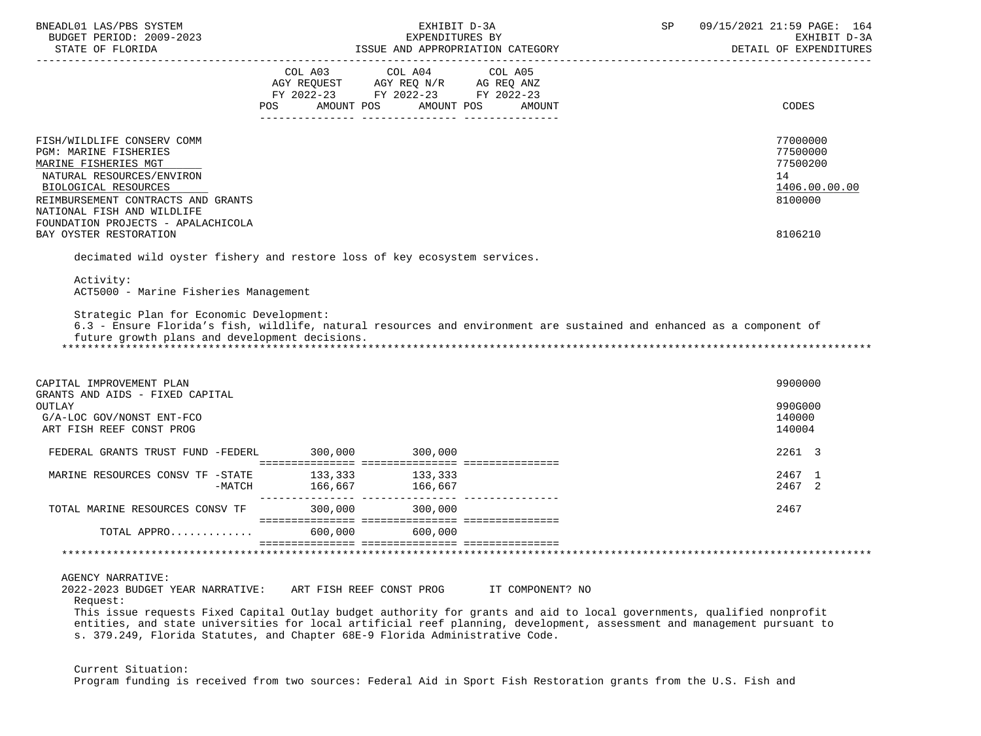| BNEADL01 LAS/PBS SYSTEM<br>BUDGET PERIOD: 2009-2023                                                                                                                                                                                                                                                                                                                                                           |                                                                                                                                                                                                                                                    | EXHIBIT D-3A<br>EXPENDITURES BY |                  | SP | 09/15/2021 21:59 PAGE: 164<br>EXHIBIT D-3A<br>DETAIL OF EXPENDITURES |
|---------------------------------------------------------------------------------------------------------------------------------------------------------------------------------------------------------------------------------------------------------------------------------------------------------------------------------------------------------------------------------------------------------------|----------------------------------------------------------------------------------------------------------------------------------------------------------------------------------------------------------------------------------------------------|---------------------------------|------------------|----|----------------------------------------------------------------------|
|                                                                                                                                                                                                                                                                                                                                                                                                               | COL A03 COL A04 COL A05<br>$\begin{tabular}{lllllll} \bf AGY & \bf REQUEST & \bf AGY & \bf REQ & \tt N/R & \tt AG & \tt REQ & \tt ANZ \\ \bf FY & \tt 2022-23 & \tt FY & \tt 2022-23 & \tt FY & \tt 2022-23 \\ \end{tabular}$<br>AMOUNT POS<br>POS | AMOUNT POS                      | AMOUNT           |    | CODES                                                                |
|                                                                                                                                                                                                                                                                                                                                                                                                               |                                                                                                                                                                                                                                                    |                                 |                  |    |                                                                      |
| FISH/WILDLIFE CONSERV COMM<br><b>PGM: MARINE FISHERIES</b><br>MARINE FISHERIES MGT<br>NATURAL RESOURCES/ENVIRON<br>BIOLOGICAL RESOURCES<br>REIMBURSEMENT CONTRACTS AND GRANTS<br>NATIONAL FISH AND WILDLIFE                                                                                                                                                                                                   |                                                                                                                                                                                                                                                    |                                 |                  |    | 77000000<br>77500000<br>77500200<br>14<br>1406.00.00.00<br>8100000   |
| FOUNDATION PROJECTS - APALACHICOLA<br>BAY OYSTER RESTORATION                                                                                                                                                                                                                                                                                                                                                  |                                                                                                                                                                                                                                                    |                                 |                  |    | 8106210                                                              |
| decimated wild oyster fishery and restore loss of key ecosystem services.                                                                                                                                                                                                                                                                                                                                     |                                                                                                                                                                                                                                                    |                                 |                  |    |                                                                      |
| Activity:<br>ACT5000 - Marine Fisheries Management<br>Strategic Plan for Economic Development:<br>6.3 - Ensure Florida's fish, wildlife, natural resources and environment are sustained and enhanced as a component of<br>future growth plans and development decisions.                                                                                                                                     |                                                                                                                                                                                                                                                    |                                 |                  |    |                                                                      |
| CAPITAL IMPROVEMENT PLAN<br>GRANTS AND AIDS - FIXED CAPITAL                                                                                                                                                                                                                                                                                                                                                   |                                                                                                                                                                                                                                                    |                                 |                  |    | 9900000                                                              |
| OUTLAY<br>G/A-LOC GOV/NONST ENT-FCO<br>ART FISH REEF CONST PROG                                                                                                                                                                                                                                                                                                                                               |                                                                                                                                                                                                                                                    |                                 |                  |    | 990G000<br>140000<br>140004                                          |
| FEDERAL GRANTS TRUST FUND -FEDERL 300,000 300,000                                                                                                                                                                                                                                                                                                                                                             |                                                                                                                                                                                                                                                    |                                 |                  |    | 2261 3                                                               |
| MARINE RESOURCES CONSV TF -STATE<br>-MATCH                                                                                                                                                                                                                                                                                                                                                                    | 133,333<br>166,667 166,667                                                                                                                                                                                                                         |                                 |                  |    | 2467 1<br>2467 2                                                     |
| TOTAL MARINE RESOURCES CONSV TF                                                                                                                                                                                                                                                                                                                                                                               |                                                                                                                                                                                                                                                    | 300,000 300,000                 |                  |    | 2467                                                                 |
| TOTAL APPRO                                                                                                                                                                                                                                                                                                                                                                                                   | 600,000                                                                                                                                                                                                                                            | 600.000                         |                  |    |                                                                      |
|                                                                                                                                                                                                                                                                                                                                                                                                               |                                                                                                                                                                                                                                                    |                                 |                  |    |                                                                      |
| <b>AGENCY NARRATIVE:</b><br>2022-2023 BUDGET YEAR NARRATIVE:<br>Request:<br>This issue requests Fixed Capital Outlay budget authority for grants and aid to local governments, qualified nonprofit<br>entities, and state universities for local artificial reef planning, development, assessment and management pursuant to<br>s. 379.249, Florida Statutes, and Chapter 68E-9 Florida Administrative Code. | ART FISH REEF CONST PROG                                                                                                                                                                                                                           |                                 | IT COMPONENT? NO |    |                                                                      |

Current Situation:

Program funding is received from two sources: Federal Aid in Sport Fish Restoration grants from the U.S. Fish and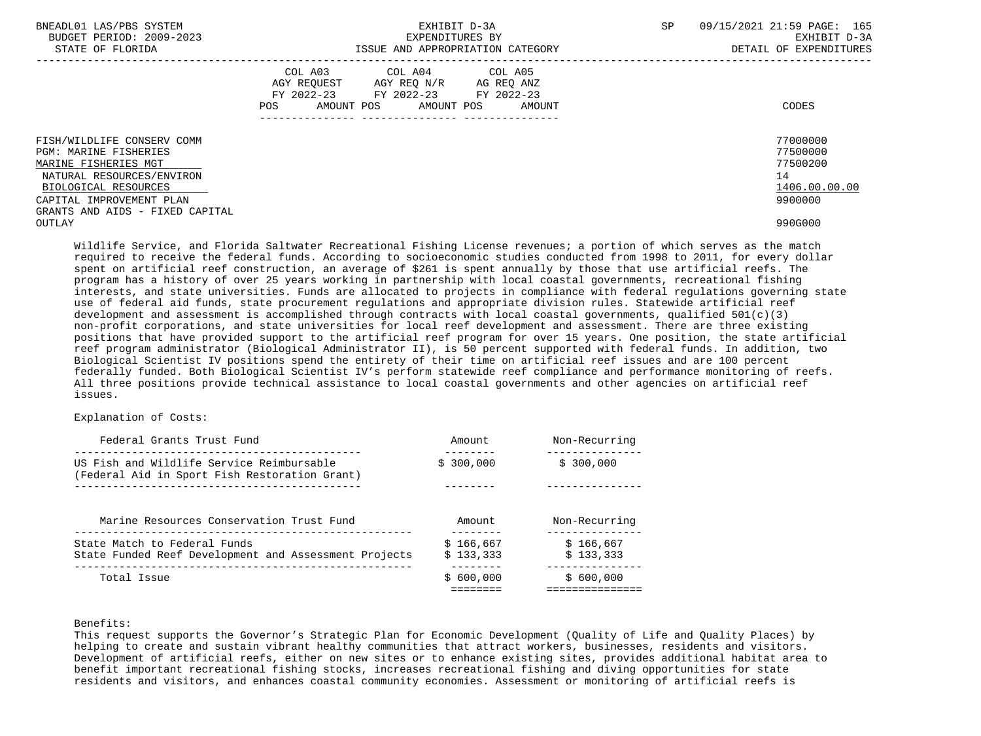| BNEADL01 LAS/PBS SYSTEM<br>BUDGET PERIOD: 2009-2023<br>STATE OF FLORIDA     | EXHIBIT D-3A<br>EXPENDITURES BY<br>ISSUE AND APPROPRIATION CATEGORY                                                                            | 09/15/2021 21:59 PAGE: 165<br><b>SP</b><br>EXHIBIT D-3A<br>DETAIL OF EXPENDITURES |
|-----------------------------------------------------------------------------|------------------------------------------------------------------------------------------------------------------------------------------------|-----------------------------------------------------------------------------------|
|                                                                             | COL A03 COL A04 COL A05<br>AGY REOUEST AGY REO N/R<br>AG REO ANZ<br>FY 2022-23 FY 2022-23 FY 2022-23<br>AMOUNT POS AMOUNT POS<br>POS<br>AMOUNT | CODES                                                                             |
| FISH/WILDLIFE CONSERV COMM<br>PGM: MARINE FISHERIES<br>MARINE FISHERIES MGT |                                                                                                                                                | 77000000<br>77500000<br>77500200                                                  |
| NATURAL RESOURCES/ENVIRON                                                   |                                                                                                                                                | 14                                                                                |
| BIOLOGICAL RESOURCES                                                        |                                                                                                                                                | 1406.00.00.00                                                                     |
| CAPITAL IMPROVEMENT PLAN                                                    |                                                                                                                                                | 9900000                                                                           |
| GRANTS AND AIDS - FIXED CAPITAL                                             |                                                                                                                                                |                                                                                   |
| OUTLAY                                                                      |                                                                                                                                                | 990G000                                                                           |

 Wildlife Service, and Florida Saltwater Recreational Fishing License revenues; a portion of which serves as the match required to receive the federal funds. According to socioeconomic studies conducted from 1998 to 2011, for every dollar spent on artificial reef construction, an average of \$261 is spent annually by those that use artificial reefs. The program has a history of over 25 years working in partnership with local coastal governments, recreational fishing interests, and state universities. Funds are allocated to projects in compliance with federal regulations governing state use of federal aid funds, state procurement regulations and appropriate division rules. Statewide artificial reef development and assessment is accomplished through contracts with local coastal governments, qualified  $501(c)(3)$  non-profit corporations, and state universities for local reef development and assessment. There are three existing positions that have provided support to the artificial reef program for over 15 years. One position, the state artificial reef program administrator (Biological Administrator II), is 50 percent supported with federal funds. In addition, two Biological Scientist IV positions spend the entirety of their time on artificial reef issues and are 100 percent federally funded. Both Biological Scientist IV's perform statewide reef compliance and performance monitoring of reefs. All three positions provide technical assistance to local coastal governments and other agencies on artificial reef issues.

# Explanation of Costs:

| Federal Grants Trust Fund                                                                  | Amount    | Non-Recurring |
|--------------------------------------------------------------------------------------------|-----------|---------------|
| US Fish and Wildlife Service Reimbursable<br>(Federal Aid in Sport Fish Restoration Grant) | \$300.000 | \$300.000     |
|                                                                                            |           |               |
| Marine Resources Conservation Trust Fund                                                   | Amount    | Non-Recurring |
| State Match to Federal Funds                                                               | \$166.667 | \$166.667     |
| State Funded Reef Development and Assessment Projects                                      | \$133.333 | \$133,333     |
| Total Issue                                                                                | \$600.000 | \$600.000     |
|                                                                                            |           |               |

#### Benefits:

 This request supports the Governor's Strategic Plan for Economic Development (Quality of Life and Quality Places) by helping to create and sustain vibrant healthy communities that attract workers, businesses, residents and visitors. Development of artificial reefs, either on new sites or to enhance existing sites, provides additional habitat area to benefit important recreational fishing stocks, increases recreational fishing and diving opportunities for state residents and visitors, and enhances coastal community economies. Assessment or monitoring of artificial reefs is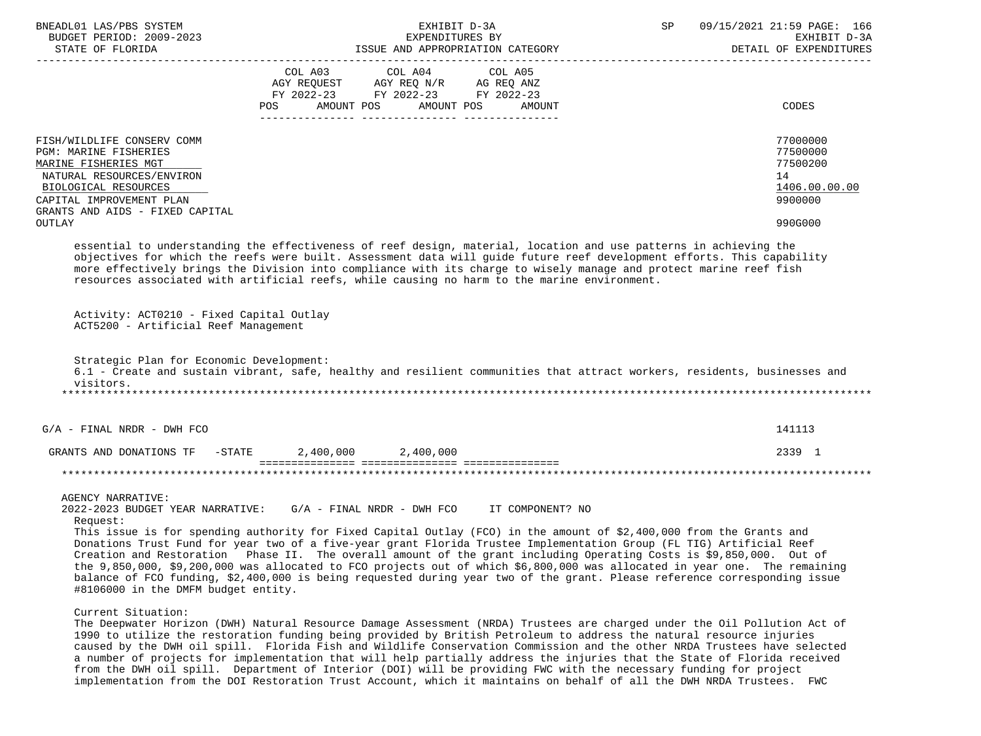| BNEADL01 LAS/PBS SYSTEM<br>BUDGET PERIOD: 2009-2023<br>STATE OF FLORIDA                                                                                                                                          | EXHIBIT D-3A<br>EXPENDITURES BY<br>ISSUE AND APPROPRIATION CATEGORY                                                                                                                                                                                                                                                                                                                                                                                                                                                                                                                                                                                                                                            | SP<br>09/15/2021 21:59 PAGE: 166<br>EXHIBIT D-3A<br>DETAIL OF EXPENDITURES    |
|------------------------------------------------------------------------------------------------------------------------------------------------------------------------------------------------------------------|----------------------------------------------------------------------------------------------------------------------------------------------------------------------------------------------------------------------------------------------------------------------------------------------------------------------------------------------------------------------------------------------------------------------------------------------------------------------------------------------------------------------------------------------------------------------------------------------------------------------------------------------------------------------------------------------------------------|-------------------------------------------------------------------------------|
|                                                                                                                                                                                                                  | COL A03 COL A04 COL A05<br>AGY REQUEST AGY REQ N/R AG REQ ANZ<br>FY 2022-23 FY 2022-23 FY 2022-23<br>AMOUNT POS<br>AMOUNT POS<br>AMOUNT<br>POS                                                                                                                                                                                                                                                                                                                                                                                                                                                                                                                                                                 | CODES                                                                         |
| FISH/WILDLIFE CONSERV COMM<br><b>PGM: MARINE FISHERIES</b><br>MARINE FISHERIES MGT<br>NATURAL RESOURCES/ENVIRON<br>BIOLOGICAL RESOURCES<br>CAPITAL IMPROVEMENT PLAN<br>GRANTS AND AIDS - FIXED CAPITAL<br>OUTLAY |                                                                                                                                                                                                                                                                                                                                                                                                                                                                                                                                                                                                                                                                                                                | 77000000<br>77500000<br>77500200<br>14<br>1406.00.00.00<br>9900000<br>990G000 |
|                                                                                                                                                                                                                  | essential to understanding the effectiveness of reef design, material, location and use patterns in achieving the<br>objectives for which the reefs were built. Assessment data will guide future reef development efforts. This capability<br>more effectively brings the Division into compliance with its charge to wisely manage and protect marine reef fish<br>resources associated with artificial reefs, while causing no harm to the marine environment.                                                                                                                                                                                                                                              |                                                                               |
| Activity: ACT0210 - Fixed Capital Outlay<br>ACT5200 - Artificial Reef Management                                                                                                                                 |                                                                                                                                                                                                                                                                                                                                                                                                                                                                                                                                                                                                                                                                                                                |                                                                               |
| Strategic Plan for Economic Development:<br>visitors.                                                                                                                                                            | 6.1 - Create and sustain vibrant, safe, healthy and resilient communities that attract workers, residents, businesses and                                                                                                                                                                                                                                                                                                                                                                                                                                                                                                                                                                                      |                                                                               |
| $G/A$ - FINAL NRDR - DWH FCO                                                                                                                                                                                     |                                                                                                                                                                                                                                                                                                                                                                                                                                                                                                                                                                                                                                                                                                                | 141113                                                                        |
|                                                                                                                                                                                                                  | GRANTS AND DONATIONS TF $-$ STATE 2,400,000 2,400,000                                                                                                                                                                                                                                                                                                                                                                                                                                                                                                                                                                                                                                                          | 2339 1                                                                        |
|                                                                                                                                                                                                                  |                                                                                                                                                                                                                                                                                                                                                                                                                                                                                                                                                                                                                                                                                                                |                                                                               |
| <b>AGENCY NARRATIVE:</b><br>Request:<br>#8106000 in the DMFM budget entity.                                                                                                                                      | 2022-2023 BUDGET YEAR NARRATIVE: G/A - FINAL NRDR - DWH FCO IT COMPONENT? NO<br>This issue is for spending authority for Fixed Capital Outlay (FCO) in the amount of \$2,400,000 from the Grants and<br>Donations Trust Fund for year two of a five-year grant Florida Trustee Implementation Group (FL TIG) Artificial Reef<br>Creation and Restoration Phase II. The overall amount of the grant including Operating Costs is \$9,850,000. Out of<br>the 9,850,000, \$9,200,000 was allocated to FCO projects out of which \$6,800,000 was allocated in year one. The remaining<br>balance of FCO funding, \$2,400,000 is being requested during year two of the grant. Please reference corresponding issue |                                                                               |
| Current Situation:                                                                                                                                                                                               | The Deepwater Horizon (DWH) Natural Resource Damage Assessment (NRDA) Trustees are charged under the Oil Pollution Act of<br>1990 to utilize the restoration funding being provided by British Petroleum to address the natural resource injuries<br>caused by the DWH oil spill. Florida Fish and Wildlife Conservation Commission and the other NRDA Trustees have selected<br>a number of projects for implementation that will help partially address the injuries that the State of Florida received                                                                                                                                                                                                      |                                                                               |

 from the DWH oil spill. Department of Interior (DOI) will be providing FWC with the necessary funding for project implementation from the DOI Restoration Trust Account, which it maintains on behalf of all the DWH NRDA Trustees. FWC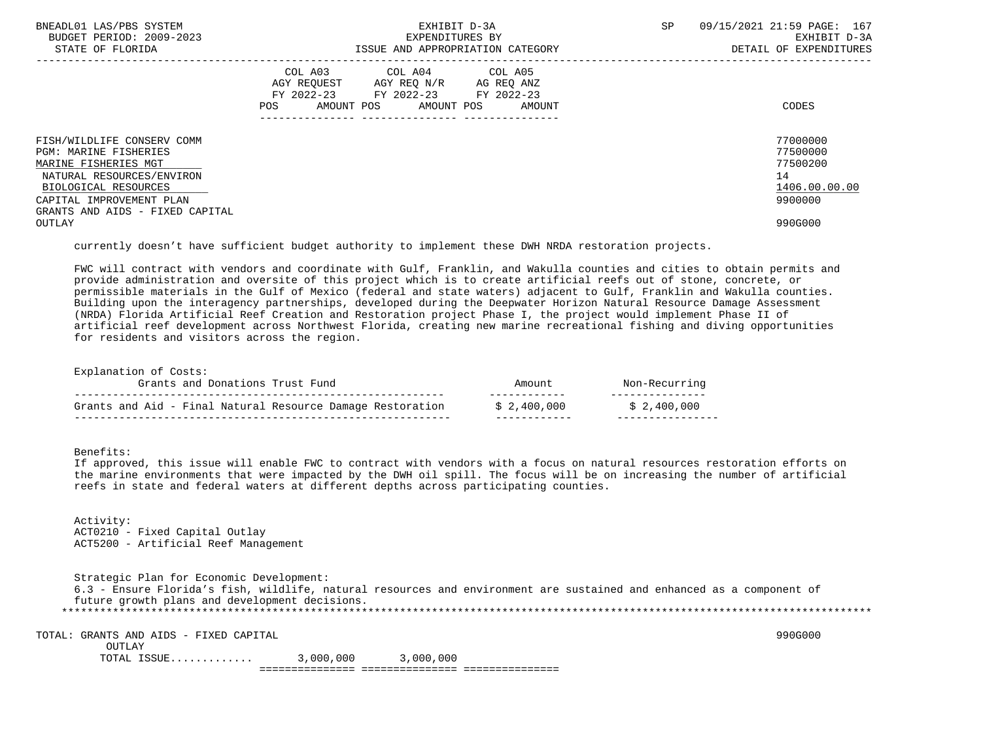| BNEADL01 LAS/PBS SYSTEM<br>BUDGET PERIOD: 2009-2023<br>STATE OF FLORIDA |                                         | EXHIBIT D-3A<br>EXPENDITURES BY<br>ISSUE AND APPROPRIATION CATEGORY | SP         | 09/15/2021 21:59 PAGE: 167<br>EXHIBIT D-3A<br>DETAIL OF EXPENDITURES |               |
|-------------------------------------------------------------------------|-----------------------------------------|---------------------------------------------------------------------|------------|----------------------------------------------------------------------|---------------|
|                                                                         |                                         |                                                                     |            |                                                                      |               |
|                                                                         |                                         | COL A03 COL A04 COL A05                                             |            |                                                                      |               |
|                                                                         | AGY REOUEST AGY REO N/R                 |                                                                     | AG REQ ANZ |                                                                      |               |
|                                                                         | FY 2022-23 FY 2022-23 FY 2022-23<br>POS | AMOUNT POS AMOUNT POS                                               | AMOUNT     |                                                                      | CODES         |
| FISH/WILDLIFE CONSERV COMM                                              |                                         |                                                                     |            |                                                                      | 77000000      |
| PGM: MARINE FISHERIES                                                   |                                         |                                                                     |            |                                                                      | 77500000      |
| MARINE FISHERIES MGT                                                    |                                         |                                                                     |            |                                                                      | 77500200      |
| NATURAL RESOURCES/ENVIRON                                               |                                         |                                                                     |            |                                                                      | 14            |
| BIOLOGICAL RESOURCES                                                    |                                         |                                                                     |            |                                                                      | 1406.00.00.00 |
| CAPITAL IMPROVEMENT PLAN                                                |                                         |                                                                     |            |                                                                      | 9900000       |
| GRANTS AND AIDS - FIXED CAPITAL                                         |                                         |                                                                     |            |                                                                      |               |
| OUTLAY                                                                  |                                         |                                                                     |            |                                                                      | 990G000       |

currently doesn't have sufficient budget authority to implement these DWH NRDA restoration projects.

 FWC will contract with vendors and coordinate with Gulf, Franklin, and Wakulla counties and cities to obtain permits and provide administration and oversite of this project which is to create artificial reefs out of stone, concrete, or permissible materials in the Gulf of Mexico (federal and state waters) adjacent to Gulf, Franklin and Wakulla counties. Building upon the interagency partnerships, developed during the Deepwater Horizon Natural Resource Damage Assessment (NRDA) Florida Artificial Reef Creation and Restoration project Phase I, the project would implement Phase II of artificial reef development across Northwest Florida, creating new marine recreational fishing and diving opportunities for residents and visitors across the region.

Explanation of Costs:

| Grants and Donations Trust Fund                            | Amount      | Non-Recurring |
|------------------------------------------------------------|-------------|---------------|
| Grants and Aid - Final Natural Resource Damage Restoration | \$2,400,000 | \$2,400,000   |
|                                                            |             |               |

Benefits:

 If approved, this issue will enable FWC to contract with vendors with a focus on natural resources restoration efforts on the marine environments that were impacted by the DWH oil spill. The focus will be on increasing the number of artificial reefs in state and federal waters at different depths across participating counties.

 Activity: ACT0210 - Fixed Capital Outlay ACT5200 - Artificial Reef Management

 Strategic Plan for Economic Development: 6.3 - Ensure Florida's fish, wildlife, natural resources and environment are sustained and enhanced as a component of future growth plans and development decisions. \*\*\*\*\*\*\*\*\*\*\*\*\*\*\*\*\*\*\*\*\*\*\*\*\*\*\*\*\*\*\*\*\*\*\*\*\*\*\*\*\*\*\*\*\*\*\*\*\*\*\*\*\*\*\*\*\*\*\*\*\*\*\*\*\*\*\*\*\*\*\*\*\*\*\*\*\*\*\*\*\*\*\*\*\*\*\*\*\*\*\*\*\*\*\*\*\*\*\*\*\*\*\*\*\*\*\*\*\*\*\*\*\*\*\*\*\*\*\*\*\*\*\*\*\*\*\*

 TOTAL: GRANTS AND AIDS - FIXED CAPITAL 990G000 OUTLAY TOTAL ISSUE............. 3,000,000 3,000,000 =============== =============== ===============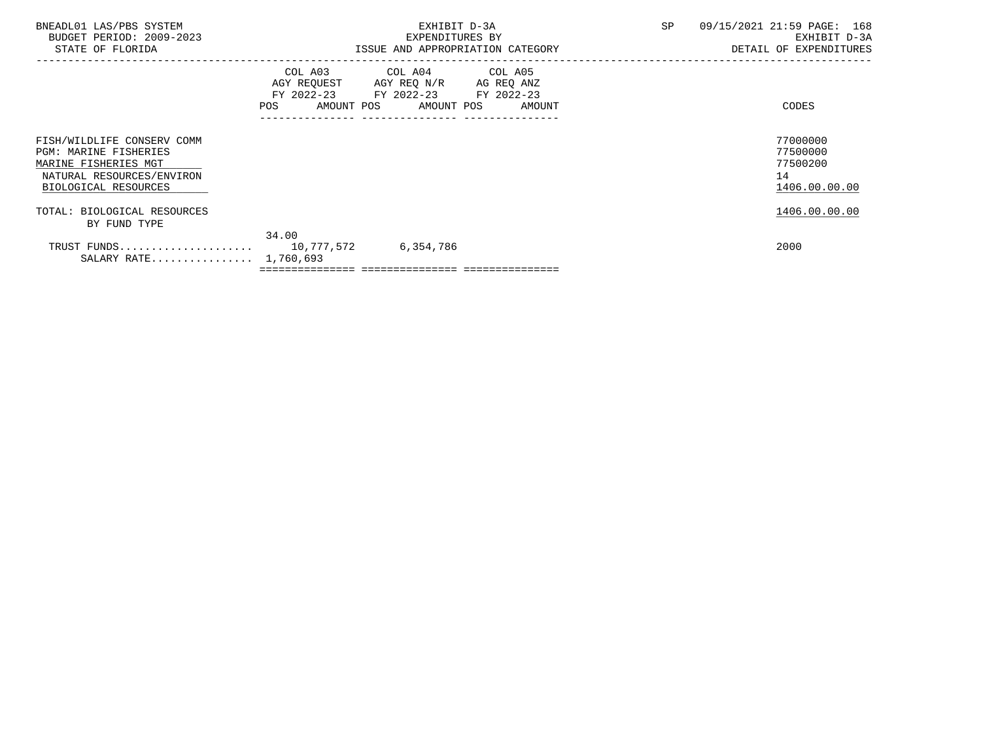| BNEADL01 LAS/PBS SYSTEM                                                            | EXHIBIT D-3A                  |                                                                                                                  |  | SP | 09/15/2021 21:59 PAGE: 168       |
|------------------------------------------------------------------------------------|-------------------------------|------------------------------------------------------------------------------------------------------------------|--|----|----------------------------------|
| BUDGET PERIOD: 2009-2023                                                           |                               | EXPENDITURES BY                                                                                                  |  |    | EXHIBIT D-3A                     |
| STATE OF FLORIDA                                                                   |                               | ISSUE AND APPROPRIATION CATEGORY                                                                                 |  |    | DETAIL OF EXPENDITURES           |
|                                                                                    | COL A03<br>AGY REOUEST<br>POS | COL A04 COL A05<br>AGY REQ N/R<br>AG REQ ANZ<br>FY 2022-23 FY 2022-23 FY 2022-23<br>AMOUNT POS AMOUNT POS AMOUNT |  |    | CODES                            |
| FISH/WILDLIFE CONSERV COMM<br><b>PGM: MARINE FISHERIES</b><br>MARINE FISHERIES MGT |                               |                                                                                                                  |  |    | 77000000<br>77500000<br>77500200 |
| NATURAL RESOURCES/ENVIRON<br>BIOLOGICAL RESOURCES                                  |                               |                                                                                                                  |  |    | 14<br>1406.00.00.00              |
| TOTAL: BIOLOGICAL RESOURCES<br>BY FUND TYPE                                        |                               |                                                                                                                  |  |    | 1406.00.00.00                    |
|                                                                                    | 34.00                         |                                                                                                                  |  |    |                                  |
| SALARY RATE 1,760,693                                                              |                               | 6,354,786                                                                                                        |  |    | 2000                             |
|                                                                                    |                               |                                                                                                                  |  |    |                                  |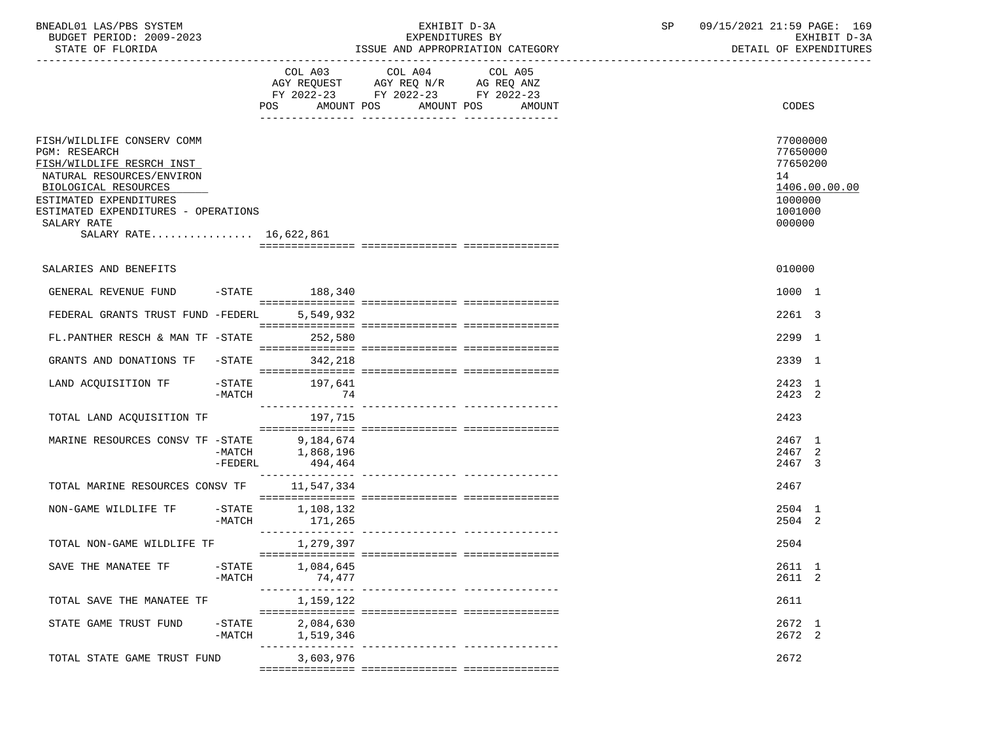| BNEADL01 LAS/PBS SYSTEM |                  |                          | EXHIBIT D-3A                     |  |
|-------------------------|------------------|--------------------------|----------------------------------|--|
|                         |                  | BUDGET PERIOD: 2009-2023 | EXPENDITURES BY                  |  |
|                         | STATE OF FLORIDA |                          | ISSUE AND APPROPRIATION CATEGORY |  |

|                                                                                                                                                                                                                                                |                     | AMOUNT POS<br>POS    | COL A03 COL A04<br>AGY REQUEST AGY REQ N/R AG REQ ANZ<br>FY 2022-23 FY 2022-23 FY 2022-23 | COL A05<br>AMOUNT POS | AMOUNT | CODES                                                                  |               |
|------------------------------------------------------------------------------------------------------------------------------------------------------------------------------------------------------------------------------------------------|---------------------|----------------------|-------------------------------------------------------------------------------------------|-----------------------|--------|------------------------------------------------------------------------|---------------|
|                                                                                                                                                                                                                                                |                     |                      |                                                                                           |                       |        |                                                                        |               |
| FISH/WILDLIFE CONSERV COMM<br><b>PGM: RESEARCH</b><br>FISH/WILDLIFE RESRCH INST<br>NATURAL RESOURCES/ENVIRON<br>BIOLOGICAL RESOURCES<br>ESTIMATED EXPENDITURES<br>ESTIMATED EXPENDITURES - OPERATIONS<br>SALARY RATE<br>SALARY RATE 16,622,861 |                     |                      |                                                                                           |                       |        | 77000000<br>77650000<br>77650200<br>14<br>1000000<br>1001000<br>000000 | 1406.00.00.00 |
|                                                                                                                                                                                                                                                |                     |                      |                                                                                           |                       |        |                                                                        |               |
| SALARIES AND BENEFITS                                                                                                                                                                                                                          |                     |                      |                                                                                           |                       |        | 010000                                                                 |               |
| GENERAL REVENUE FUND                                                                                                                                                                                                                           |                     | $-$ STATE 188,340    |                                                                                           |                       |        | 1000 1                                                                 |               |
| FEDERAL GRANTS TRUST FUND -FEDERL                                                                                                                                                                                                              |                     | 5,549,932            |                                                                                           |                       |        | 2261 3                                                                 |               |
| FL.PANTHER RESCH & MAN TF -STATE                                                                                                                                                                                                               |                     | 252,580              |                                                                                           |                       |        | 2299 1                                                                 |               |
| GRANTS AND DONATIONS TF -STATE                                                                                                                                                                                                                 |                     | 342,218              |                                                                                           |                       |        | 2339 1                                                                 |               |
| LAND ACQUISITION TF -STATE 197,641                                                                                                                                                                                                             | -MATCH              | 74                   |                                                                                           |                       |        | 2423 1<br>2423 2                                                       |               |
| TOTAL LAND ACQUISITION TF                                                                                                                                                                                                                      |                     | 197,715              |                                                                                           |                       |        | 2423                                                                   |               |
| MARINE RESOURCES CONSV TF -STATE 9,184,674                                                                                                                                                                                                     |                     |                      |                                                                                           |                       |        | 2467 1                                                                 |               |
|                                                                                                                                                                                                                                                | $-MATCH$            | 1,868,196            |                                                                                           |                       |        | 2467 2                                                                 |               |
|                                                                                                                                                                                                                                                | -FEDERL             | 494,464              |                                                                                           |                       |        | 2467 3                                                                 |               |
| TOTAL MARINE RESOURCES CONSV TF                                                                                                                                                                                                                |                     | 11,547,334           |                                                                                           |                       |        | 2467                                                                   |               |
| NON-GAME WILDLIFE TF                                                                                                                                                                                                                           | $-$ STATE<br>-MATCH | 1,108,132<br>171,265 |                                                                                           |                       |        | 2504 1<br>2504 2                                                       |               |
|                                                                                                                                                                                                                                                |                     |                      |                                                                                           |                       |        | 2504                                                                   |               |
|                                                                                                                                                                                                                                                |                     |                      |                                                                                           |                       |        |                                                                        |               |
| SAVE THE MANATEE TF                                                                                                                                                                                                                            | $-$ STATE<br>-MATCH | 1,084,645<br>74,477  |                                                                                           |                       |        | 2611 1<br>2611 2                                                       |               |
|                                                                                                                                                                                                                                                |                     |                      |                                                                                           |                       |        |                                                                        |               |
| TOTAL SAVE THE MANATEE TF                                                                                                                                                                                                                      |                     | 1,159,122            |                                                                                           |                       |        | 2611                                                                   |               |
| STATE GAME TRUST FUND                                                                                                                                                                                                                          | $-$ STATE           | 2,084,630            |                                                                                           |                       |        | 2672 1                                                                 |               |
|                                                                                                                                                                                                                                                | -MATCH              | 1,519,346            |                                                                                           |                       |        | 2672 2                                                                 |               |
| TOTAL STATE GAME TRUST FUND                                                                                                                                                                                                                    |                     | 3,603,976            |                                                                                           |                       |        | 2672                                                                   |               |

 $=$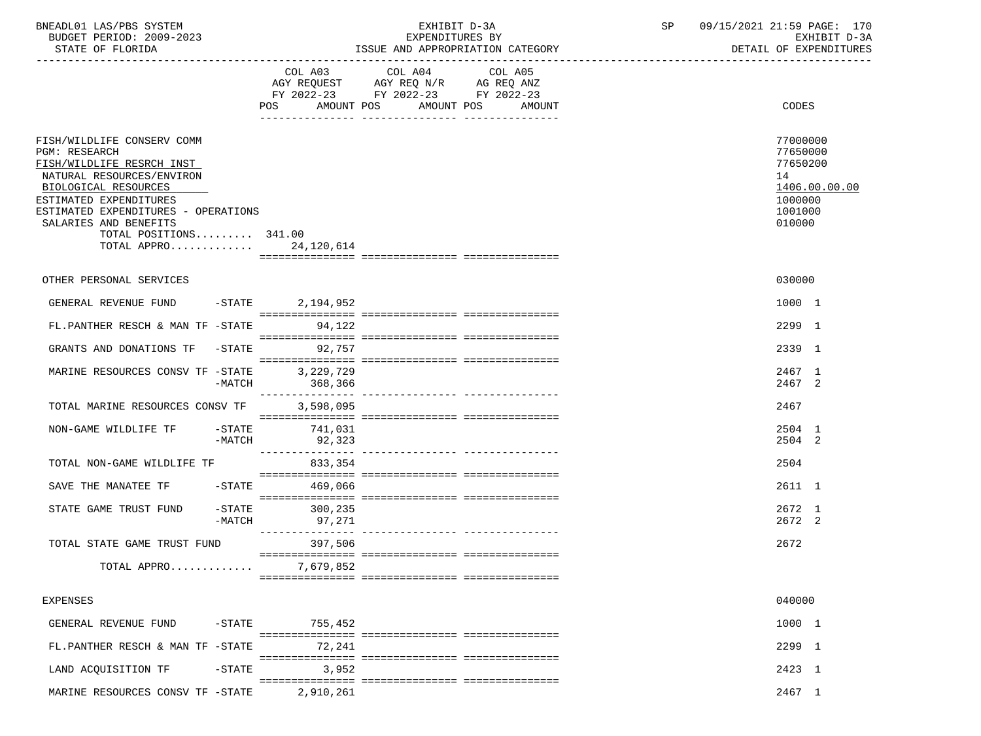|  | BNEADL01 LAS/PBS SYSTEM |                          |
|--|-------------------------|--------------------------|
|  |                         | BUDGET PERIOD: 2009-2023 |
|  | גתדכת זה הם היהיה       |                          |

| STATE OF FLORIDA                                                                                                                                                                                                                                                                     |           |                                                                                  | ISSUE AND APPROPRIATION CATEGORY | DETAIL OF EXPENDITURES                  |                                                                                         |  |
|--------------------------------------------------------------------------------------------------------------------------------------------------------------------------------------------------------------------------------------------------------------------------------------|-----------|----------------------------------------------------------------------------------|----------------------------------|-----------------------------------------|-----------------------------------------------------------------------------------------|--|
|                                                                                                                                                                                                                                                                                      |           | AGY REQUEST AGY REQ N/R AG REQ ANZ<br>FY 2022-23 FY 2022-23 FY 2022-23<br>POS DO | COL A03 COL A04                  | COL A05<br>AMOUNT POS AMOUNT POS AMOUNT | CODES                                                                                   |  |
| FISH/WILDLIFE CONSERV COMM<br><b>PGM: RESEARCH</b><br>FISH/WILDLIFE RESRCH INST<br>NATURAL RESOURCES/ENVIRON<br>BIOLOGICAL RESOURCES<br>ESTIMATED EXPENDITURES<br>ESTIMATED EXPENDITURES - OPERATIONS<br>SALARIES AND BENEFITS<br>TOTAL POSITIONS 341.00<br>TOTAL APPRO 24, 120, 614 |           |                                                                                  |                                  |                                         | 77000000<br>77650000<br>77650200<br>14<br>1406.00.00.00<br>1000000<br>1001000<br>010000 |  |
|                                                                                                                                                                                                                                                                                      |           |                                                                                  |                                  |                                         |                                                                                         |  |
| OTHER PERSONAL SERVICES                                                                                                                                                                                                                                                              |           |                                                                                  |                                  |                                         | 030000                                                                                  |  |
| GENERAL REVENUE FUND -STATE 2,194,952                                                                                                                                                                                                                                                |           |                                                                                  |                                  |                                         | 1000 1                                                                                  |  |
| FL.PANTHER RESCH & MAN TF -STATE                                                                                                                                                                                                                                                     |           | 94,122                                                                           |                                  |                                         | 2299 1                                                                                  |  |
| GRANTS AND DONATIONS TF -STATE 92,757                                                                                                                                                                                                                                                |           |                                                                                  |                                  |                                         | 2339 1                                                                                  |  |
| MARINE RESOURCES CONSV TF -STATE                                                                                                                                                                                                                                                     | $-MATCH$  | 3,229,729<br>368,366                                                             |                                  |                                         | 2467 1<br>2467 2                                                                        |  |
| TOTAL MARINE RESOURCES CONSV TF 3,598,095                                                                                                                                                                                                                                            |           |                                                                                  |                                  |                                         | 2467                                                                                    |  |
| NON-GAME WILDLIFE TF                                                                                                                                                                                                                                                                 | $-$ STATE | 741,031<br>-MATCH 92,323                                                         |                                  |                                         | 2504 1<br>2504 2                                                                        |  |
| TOTAL NON-GAME WILDLIFE TF                                                                                                                                                                                                                                                           |           | 833,354                                                                          |                                  |                                         | 2504                                                                                    |  |
| SAVE THE MANATEE TF CONTRACTE CAST A 469,066                                                                                                                                                                                                                                         |           |                                                                                  |                                  |                                         | 2611 1                                                                                  |  |
| STATE GAME TRUST FUND                                                                                                                                                                                                                                                                | $-MATCH$  | $-STATE$ 300,235<br>97,271                                                       |                                  |                                         | 2672 1<br>2672 2                                                                        |  |
| TOTAL STATE GAME TRUST FUND                                                                                                                                                                                                                                                          |           | 397,506                                                                          |                                  |                                         | 2672                                                                                    |  |
| TOTAL APPRO 7.679.852                                                                                                                                                                                                                                                                |           |                                                                                  |                                  |                                         |                                                                                         |  |
| EXPENSES                                                                                                                                                                                                                                                                             |           |                                                                                  |                                  |                                         | 040000                                                                                  |  |
| GENERAL REVENUE FUND                                                                                                                                                                                                                                                                 |           | $-$ STATE 755,452                                                                |                                  |                                         | 1000 1                                                                                  |  |
| FL.PANTHER RESCH & MAN TF -STATE 72,241                                                                                                                                                                                                                                              |           |                                                                                  |                                  |                                         | 2299 1                                                                                  |  |

|                                     |        | ---       |     |
|-------------------------------------|--------|-----------|-----|
| ACOUISITION TF<br>∟AND              | $\sim$ | QF        |     |
|                                     |        |           |     |
| RESOURCES CONSV TF -STATE<br>MARINE |        | 2,910,261 | ノムト |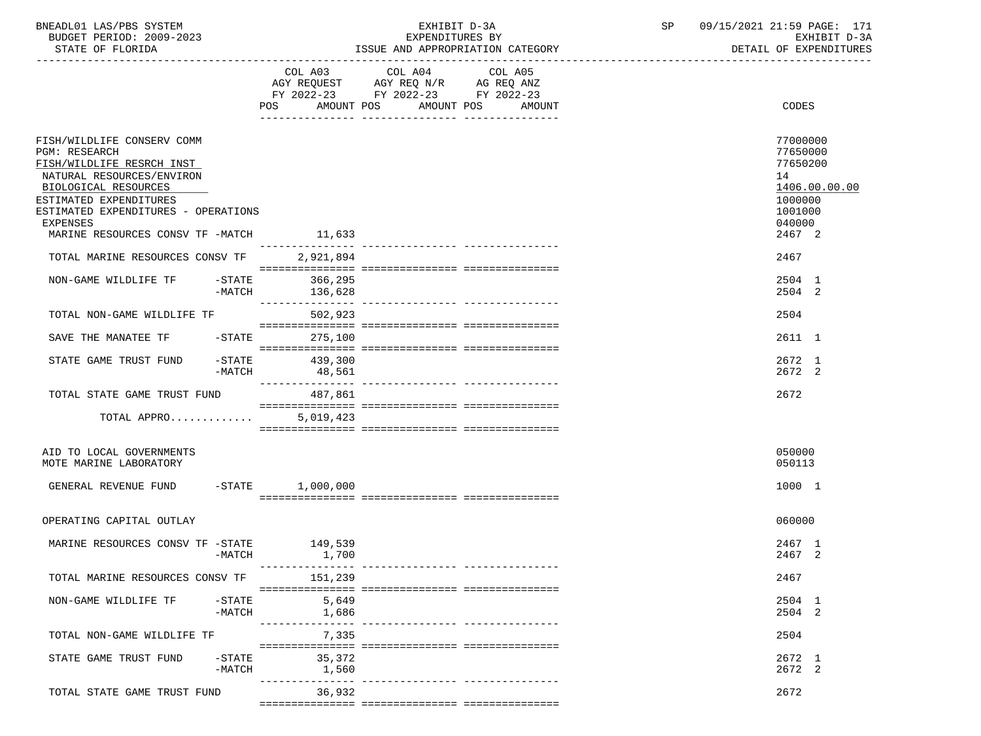BNEADL01 LAS/PBS SYSTEM EXHIBIT D-3A SP 09/15/2021 21:59 PAGE: 171 BUDGET PERIOD: 2009-2023 EXPENDITURES BY EXHIBIT D-3A

ISSUE AND APPROPRIATION CATEGORY

|                                                                                                                                                                                                                                                       | POS<br>AMOUNT POS          | FY 2022-23 FY 2022-23 FY 2022-23 | AMOUNT POS<br>AMOUNT | CODES                                                                                             |
|-------------------------------------------------------------------------------------------------------------------------------------------------------------------------------------------------------------------------------------------------------|----------------------------|----------------------------------|----------------------|---------------------------------------------------------------------------------------------------|
|                                                                                                                                                                                                                                                       |                            |                                  |                      |                                                                                                   |
| FISH/WILDLIFE CONSERV COMM<br><b>PGM: RESEARCH</b><br>FISH/WILDLIFE RESRCH INST<br>NATURAL RESOURCES/ENVIRON<br>BIOLOGICAL RESOURCES<br>ESTIMATED EXPENDITURES<br>ESTIMATED EXPENDITURES - OPERATIONS<br>EXPENSES<br>MARINE RESOURCES CONSV TF -MATCH | 11,633                     |                                  |                      | 77000000<br>77650000<br>77650200<br>14<br>1406.00.00.00<br>1000000<br>1001000<br>040000<br>2467 2 |
| TOTAL MARINE RESOURCES CONSV TF                                                                                                                                                                                                                       | 2,921,894                  |                                  |                      | 2467                                                                                              |
|                                                                                                                                                                                                                                                       |                            |                                  |                      |                                                                                                   |
| $-STATE$<br>NON-GAME WILDLIFE TF<br>-MATCH                                                                                                                                                                                                            | 366,295<br>136,628         |                                  |                      | 2504 1<br>2504 2                                                                                  |
| TOTAL NON-GAME WILDLIFE TF                                                                                                                                                                                                                            | 502,923                    |                                  |                      | 2504                                                                                              |
| SAVE THE MANATEE TF<br>-STATE                                                                                                                                                                                                                         | 275,100                    |                                  |                      | 2611 1                                                                                            |
| $-$ STATE<br>STATE GAME TRUST FUND<br>$-MATCH$                                                                                                                                                                                                        | 439,300<br>48,561          |                                  |                      | 2672 1<br>2672 2                                                                                  |
| TOTAL STATE GAME TRUST FUND                                                                                                                                                                                                                           | 487,861                    |                                  |                      | 2672                                                                                              |
| TOTAL APPRO                                                                                                                                                                                                                                           | 5,019,423                  |                                  |                      |                                                                                                   |
|                                                                                                                                                                                                                                                       |                            |                                  |                      |                                                                                                   |
| AID TO LOCAL GOVERNMENTS<br>MOTE MARINE LABORATORY                                                                                                                                                                                                    |                            |                                  |                      | 050000<br>050113                                                                                  |
| GENERAL REVENUE FUND -STATE 1,000,000                                                                                                                                                                                                                 |                            |                                  |                      | 1000 1                                                                                            |
| OPERATING CAPITAL OUTLAY                                                                                                                                                                                                                              |                            |                                  |                      | 060000                                                                                            |
| MARINE RESOURCES CONSV TF -STATE                                                                                                                                                                                                                      | 149,539                    |                                  |                      | 2467 1                                                                                            |
| $-MATCH$                                                                                                                                                                                                                                              | 1,700                      |                                  |                      | 2467 2                                                                                            |
| TOTAL MARINE RESOURCES CONSV TF                                                                                                                                                                                                                       | ---------------<br>151,239 |                                  |                      | 2467                                                                                              |
| NON-GAME WILDLIFE TF<br>$-$ STATE                                                                                                                                                                                                                     | 5,649                      |                                  |                      | 2504 1                                                                                            |
| $-MATCH$                                                                                                                                                                                                                                              | 1,686<br>-----------       |                                  |                      | 2504 2                                                                                            |
| TOTAL NON-GAME WILDLIFE TF                                                                                                                                                                                                                            | 7,335                      |                                  |                      | 2504                                                                                              |
| STATE GAME TRUST FUND<br>$-STATE$                                                                                                                                                                                                                     | 35,372                     |                                  |                      | 2672 1                                                                                            |
| $-MATCH$                                                                                                                                                                                                                                              | 1,560                      |                                  |                      | 2672 2                                                                                            |
| TOTAL STATE GAME TRUST FUND                                                                                                                                                                                                                           | 36,932                     |                                  |                      | 2672                                                                                              |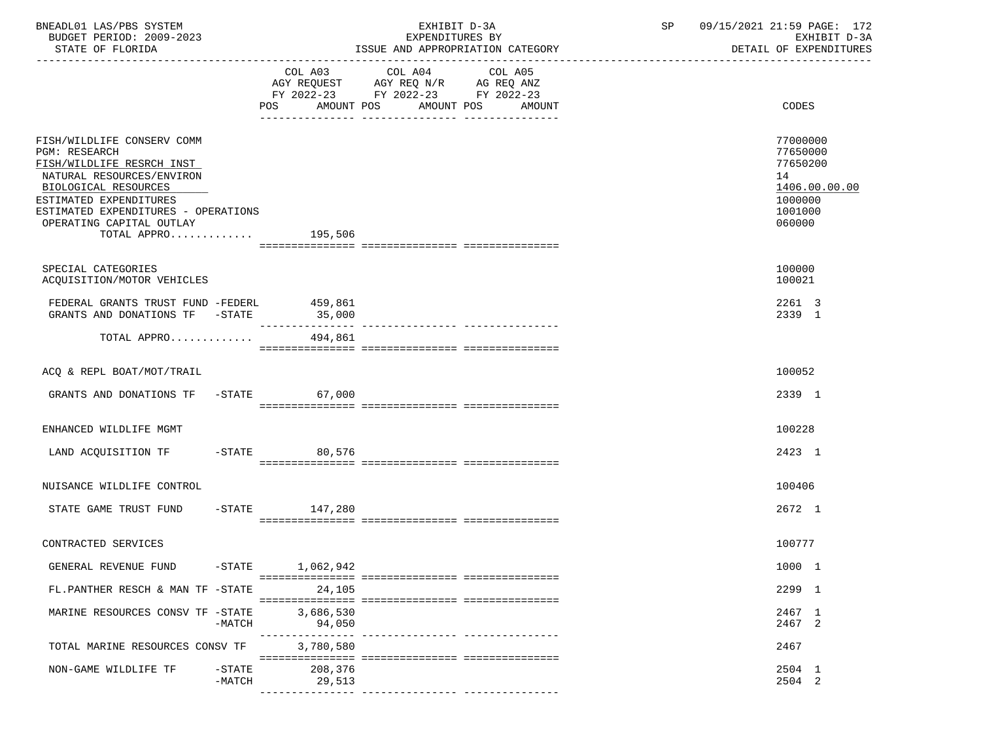| BNEADL01 LAS/PBS SYSTEM |                  |                          | EXHIBIT D-3A                     |  |
|-------------------------|------------------|--------------------------|----------------------------------|--|
|                         |                  | BUDGET PERIOD: 2009-2023 | EXPENDITURES BY                  |  |
|                         | STATE OF FLORIDA |                          | ISSUE AND APPROPRIATION CATEGORY |  |

BUDGET PERIOD: 2009-2023 EXPENDITURES BY EXHIBIT D-3A

|                                                                                                                                                                                                                                                          |                     | COL A03 COL A04<br>AGY REQUEST AGY REQ N/R AG REQ ANZ<br>FY 2022-23 FY 2022-23 FY 2022-23 | COL A05<br>POS AMOUNT POS AMOUNT POS AMOUNT | CODES                                                                                   |
|----------------------------------------------------------------------------------------------------------------------------------------------------------------------------------------------------------------------------------------------------------|---------------------|-------------------------------------------------------------------------------------------|---------------------------------------------|-----------------------------------------------------------------------------------------|
| FISH/WILDLIFE CONSERV COMM<br><b>PGM: RESEARCH</b><br>FISH/WILDLIFE RESRCH INST<br>NATURAL RESOURCES/ENVIRON<br>BIOLOGICAL RESOURCES<br>ESTIMATED EXPENDITURES<br>ESTIMATED EXPENDITURES - OPERATIONS<br>OPERATING CAPITAL OUTLAY<br>TOTAL APPRO 195,506 |                     |                                                                                           |                                             | 77000000<br>77650000<br>77650200<br>14<br>1406.00.00.00<br>1000000<br>1001000<br>060000 |
| SPECIAL CATEGORIES<br>ACQUISITION/MOTOR VEHICLES                                                                                                                                                                                                         |                     |                                                                                           |                                             | 100000<br>100021                                                                        |
| FEDERAL GRANTS TRUST FUND -FEDERL<br>GRANTS AND DONATIONS TF -STATE                                                                                                                                                                                      | 459,861<br>35,000   |                                                                                           |                                             | 2261 3<br>2339 1                                                                        |
| TOTAL APPRO $494,861$                                                                                                                                                                                                                                    |                     |                                                                                           |                                             |                                                                                         |
| ACQ & REPL BOAT/MOT/TRAIL                                                                                                                                                                                                                                |                     |                                                                                           |                                             | 100052                                                                                  |
| GRANTS AND DONATIONS TF -STATE                                                                                                                                                                                                                           | 67,000              |                                                                                           |                                             | 2339 1                                                                                  |
| ENHANCED WILDLIFE MGMT                                                                                                                                                                                                                                   |                     |                                                                                           |                                             | 100228                                                                                  |
| LAND ACQUISITION TF -STATE 80,576                                                                                                                                                                                                                        |                     |                                                                                           |                                             | 2423 1                                                                                  |
| NUISANCE WILDLIFE CONTROL                                                                                                                                                                                                                                |                     |                                                                                           |                                             | 100406                                                                                  |
| STATE GAME TRUST FUND                                                                                                                                                                                                                                    | $-STATE$ 147,280    |                                                                                           |                                             | 2672 1                                                                                  |
| CONTRACTED SERVICES                                                                                                                                                                                                                                      |                     |                                                                                           |                                             | 100777                                                                                  |
| GENERAL REVENUE FUND                                                                                                                                                                                                                                     | $-STATE$ 1,062,942  |                                                                                           |                                             | 1000 1                                                                                  |
| FL.PANTHER RESCH & MAN TF -STATE                                                                                                                                                                                                                         | 24,105              |                                                                                           |                                             | 2299 1                                                                                  |
| MARINE RESOURCES CONSV TF -STATE<br>$-MATCH$                                                                                                                                                                                                             | 3,686,530<br>94,050 |                                                                                           |                                             | 2467 1<br>2467 2                                                                        |
| TOTAL MARINE RESOURCES CONSV TF                                                                                                                                                                                                                          | 3,780,580           |                                                                                           |                                             | 2467                                                                                    |
| NON-GAME WILDLIFE TF<br>$-STATE$<br>$-MATCH$                                                                                                                                                                                                             | 208,376<br>29,513   |                                                                                           |                                             | 2504 1<br>2504 2                                                                        |
|                                                                                                                                                                                                                                                          |                     |                                                                                           |                                             |                                                                                         |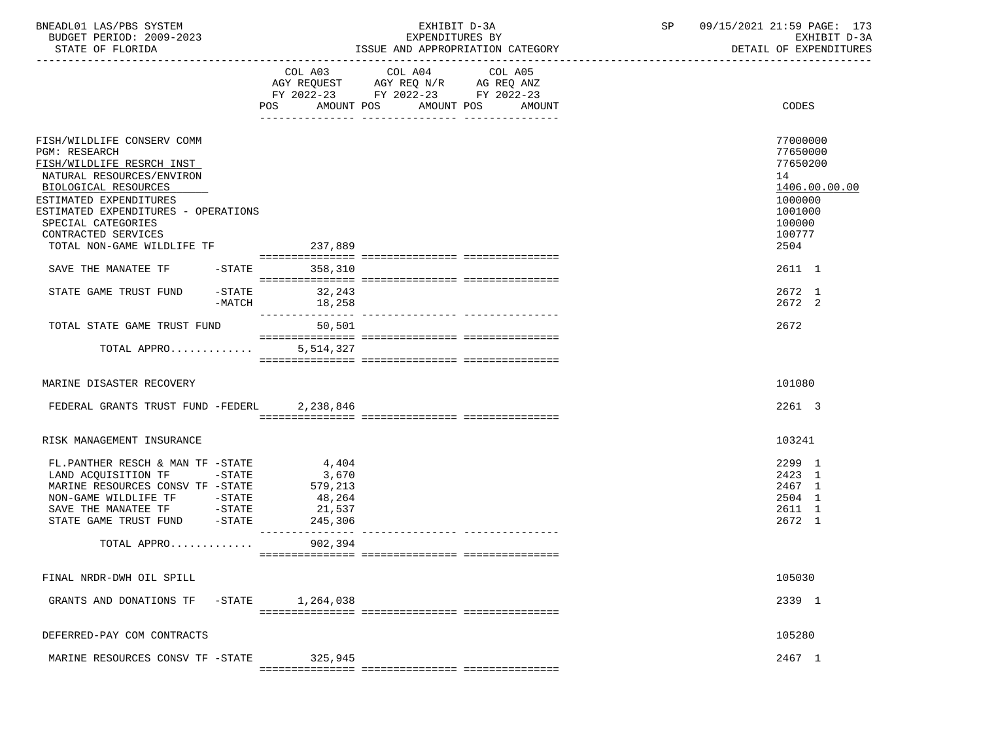| BNEADL01 LAS/PBS SYSTEM |                  |                          | EXHIBIT D-3A                     |  |
|-------------------------|------------------|--------------------------|----------------------------------|--|
|                         |                  | BUDGET PERIOD: 2009-2023 | EXPENDITURES BY                  |  |
|                         | STATE OF FLORIDA |                          | ISSUE AND APPROPRIATION CATEGORY |  |

BUDGET PERIOD: 2009-2023 EXPENDITURES BY EXHIBIT D-3A

|                                                                                                                                                                                                                                                                                                                      | COL A03<br>AMOUNT POS<br>POS                             | COL A04<br>AGY REQUEST AGY REQ N/R AG REQ ANZ<br>FY 2022-23 FY 2022-23 FY 2022-23 | COL A05<br>AMOUNT POS AMOUNT | <b>CODES</b>                                                                                                        |
|----------------------------------------------------------------------------------------------------------------------------------------------------------------------------------------------------------------------------------------------------------------------------------------------------------------------|----------------------------------------------------------|-----------------------------------------------------------------------------------|------------------------------|---------------------------------------------------------------------------------------------------------------------|
| FISH/WILDLIFE CONSERV COMM<br><b>PGM: RESEARCH</b><br>FISH/WILDLIFE RESRCH INST<br>NATURAL RESOURCES/ENVIRON<br>BIOLOGICAL RESOURCES<br>ESTIMATED EXPENDITURES<br>ESTIMATED EXPENDITURES - OPERATIONS<br>SPECIAL CATEGORIES<br>CONTRACTED SERVICES<br>TOTAL NON-GAME WILDLIFE TF<br>SAVE THE MANATEE TF<br>$-$ STATE | 237,889<br>358,310                                       |                                                                                   |                              | 77000000<br>77650000<br>77650200<br>14<br>1406.00.00.00<br>1000000<br>1001000<br>100000<br>100777<br>2504<br>2611 1 |
|                                                                                                                                                                                                                                                                                                                      |                                                          |                                                                                   |                              |                                                                                                                     |
| STATE GAME TRUST FUND -STATE<br>-MATCH                                                                                                                                                                                                                                                                               | 32,243<br>18,258<br>________________                     |                                                                                   |                              | 2672 1<br>2672 2                                                                                                    |
| TOTAL STATE GAME TRUST FUND                                                                                                                                                                                                                                                                                          | 50,501                                                   |                                                                                   |                              | 2672                                                                                                                |
| TOTAL APPRO                                                                                                                                                                                                                                                                                                          | 5,514,327                                                |                                                                                   |                              |                                                                                                                     |
| MARINE DISASTER RECOVERY<br>FEDERAL GRANTS TRUST FUND -FEDERL 2,238,846                                                                                                                                                                                                                                              |                                                          |                                                                                   |                              | 101080<br>2261 3                                                                                                    |
| RISK MANAGEMENT INSURANCE                                                                                                                                                                                                                                                                                            |                                                          |                                                                                   |                              | 103241                                                                                                              |
| FL.PANTHER RESCH & MAN TF -STATE<br>LAND ACQUISITION TF -STATE<br>MARINE RESOURCES CONSV TF -STATE<br>NON-GAME WILDLIFE TF - STATE<br>SAVE THE MANATEE TF - STATE<br>$-$ STATE<br>STATE GAME TRUST FUND                                                                                                              | 4,404<br>3,670<br>579,213<br>48,264<br>21,537<br>245,306 |                                                                                   |                              | 2299 1<br>2423 1<br>2467 1<br>2504 1<br>2611 1<br>2672 1                                                            |
| TOTAL APPRO                                                                                                                                                                                                                                                                                                          | 902,394                                                  |                                                                                   |                              |                                                                                                                     |
| FINAL NRDR-DWH OIL SPILL                                                                                                                                                                                                                                                                                             |                                                          |                                                                                   |                              | 105030                                                                                                              |
| GRANTS AND DONATIONS TF -STATE 1,264,038                                                                                                                                                                                                                                                                             |                                                          |                                                                                   |                              | 2339 1                                                                                                              |
| DEFERRED-PAY COM CONTRACTS                                                                                                                                                                                                                                                                                           |                                                          |                                                                                   |                              | 105280                                                                                                              |
| MARINE RESOURCES CONSV TF -STATE                                                                                                                                                                                                                                                                                     | 325,945                                                  |                                                                                   |                              | 2467 1                                                                                                              |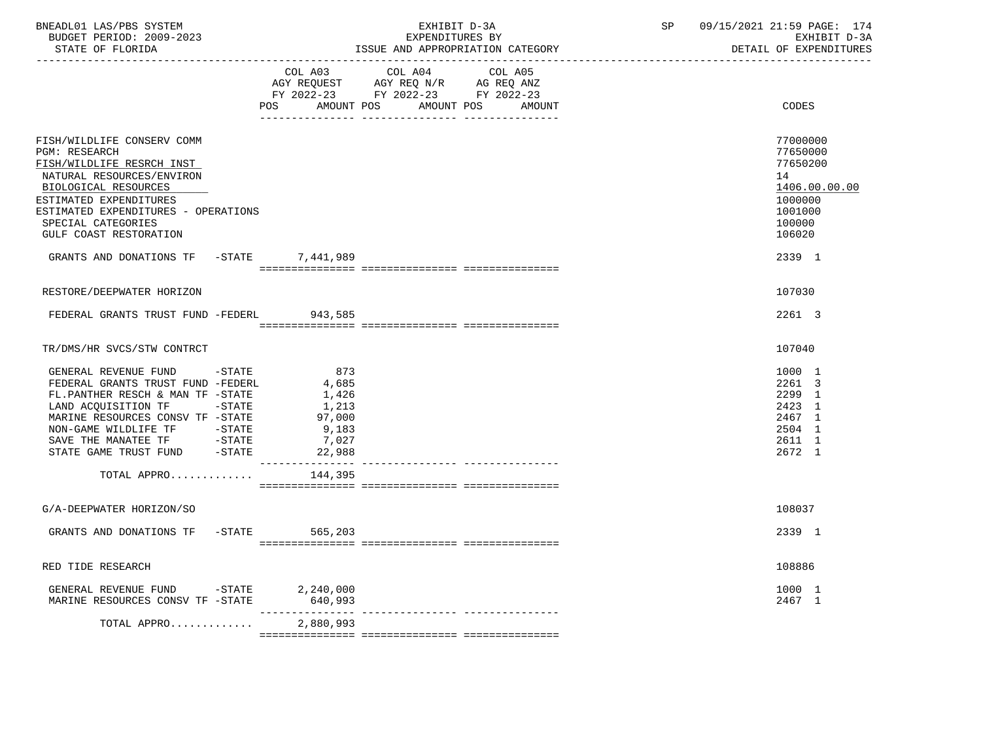| BNEADL01 LAS/PBS SYSTEM<br>BUDGET PERIOD: 2009-2023<br>STATE OF FLORIDA                                                                                                                                                                                                                                             |        |                                                                                                    | EXHIBIT D-3A<br>EXPENDITURES BY<br>ISSUE AND APPROPRIATION CATEGORY                               |                   |  | SP 09/15/2021 21:59 PAGE: 174<br>EXHIBIT D-3A<br>DETAIL OF EXPENDITURES                           |
|---------------------------------------------------------------------------------------------------------------------------------------------------------------------------------------------------------------------------------------------------------------------------------------------------------------------|--------|----------------------------------------------------------------------------------------------------|---------------------------------------------------------------------------------------------------|-------------------|--|---------------------------------------------------------------------------------------------------|
|                                                                                                                                                                                                                                                                                                                     |        | POS AMOUNT POS                                                                                     | COL A03 COL A04 COL A05<br>AGY REQUEST AGY REQ N/R AG REQ ANZ<br>FY 2022-23 FY 2022-23 FY 2022-23 | AMOUNT POS AMOUNT |  | CODES                                                                                             |
| FISH/WILDLIFE CONSERV COMM<br>PGM: RESEARCH<br>FISH/WILDLIFE RESRCH INST<br>NATURAL RESOURCES/ENVIRON<br>BIOLOGICAL RESOURCES<br>ESTIMATED EXPENDITURES<br>ESTIMATED EXPENDITURES - OPERATIONS<br>SPECIAL CATEGORIES<br>GULF COAST RESTORATION                                                                      |        |                                                                                                    |                                                                                                   |                   |  | 77000000<br>77650000<br>77650200<br>14<br>1406.00.00.00<br>1000000<br>1001000<br>100000<br>106020 |
| GRANTS AND DONATIONS TF -STATE 7,441,989                                                                                                                                                                                                                                                                            |        |                                                                                                    |                                                                                                   |                   |  | 2339 1                                                                                            |
| RESTORE/DEEPWATER HORIZON                                                                                                                                                                                                                                                                                           |        |                                                                                                    |                                                                                                   |                   |  | 107030                                                                                            |
| FEDERAL GRANTS TRUST FUND -FEDERL 943,585                                                                                                                                                                                                                                                                           |        |                                                                                                    |                                                                                                   |                   |  | 2261 3                                                                                            |
| TR/DMS/HR SVCS/STW CONTRCT                                                                                                                                                                                                                                                                                          |        |                                                                                                    |                                                                                                   |                   |  | 107040                                                                                            |
| GENERAL REVENUE FUND -STATE<br>FEDERAL GRANTS TRUST FUND -FEDERL<br>FL.PANTHER RESCH & MAN TF -STATE<br>LAND ACQUISITION TF -STATE<br>MARINE RESOURCES CONSV TF -STATE<br>NON-GAME WILDLIFE TF            -STATE<br>SAVE THE MANATEE TF              -STATE<br>STATE GAME TRUST FUND          -STATE<br>TOTAL APPRO |        | 873<br>4,685<br>1,426<br>1,213<br>97,000<br>9,183<br>7,027<br>22,988<br>_______________<br>144,395 |                                                                                                   |                   |  | 1000 1<br>2261 3<br>2299 1<br>2423 1<br>2467 1<br>2504 1<br>2611 1<br>2672 1                      |
| G/A-DEEPWATER HORIZON/SO                                                                                                                                                                                                                                                                                            |        |                                                                                                    |                                                                                                   |                   |  | 108037                                                                                            |
| GRANTS AND DONATIONS TF -STATE 565,203                                                                                                                                                                                                                                                                              |        |                                                                                                    |                                                                                                   |                   |  | 2339 1                                                                                            |
| RED TIDE RESEARCH                                                                                                                                                                                                                                                                                                   |        |                                                                                                    |                                                                                                   |                   |  | 108886                                                                                            |
| GENERAL REVENUE FUND<br>MARINE RESOURCES CONSV TF -STATE                                                                                                                                                                                                                                                            | -STATE | 2,240,000<br>640,993                                                                               |                                                                                                   |                   |  | 1000 1<br>2467 1                                                                                  |
| TOTAL APPRO                                                                                                                                                                                                                                                                                                         |        | 2,880,993                                                                                          |                                                                                                   |                   |  |                                                                                                   |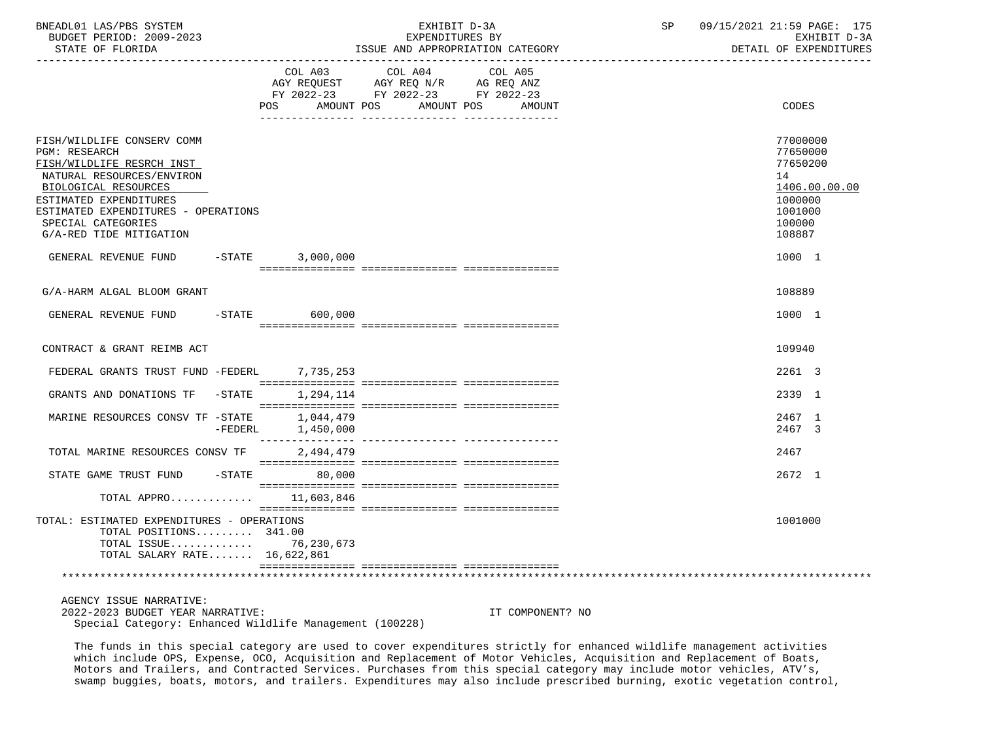| BNEADL01 LAS/PBS SYSTEM  | EXHIBIT D-3A                     | 09/15/2021 21:59 PAGE: 175 |
|--------------------------|----------------------------------|----------------------------|
| BUDGET PERIOD: 2009-2023 | EXPENDITURES BY                  | EXHIBIT D-3A               |
| STATE OF FLORIDA         | ISSUE AND APPROPRIATION CATEGORY | DETAIL OF EXPENDITURES     |

|                                                                                                                                                                                                                                                        | COL A03<br>AMOUNT POS<br>POS. | COL A04 COL A05<br>AGY REQUEST AGY REQ N/R AG REQ ANZ<br>FY 2022-23 FY 2022-23 FY 2022-23<br>AMOUNT POS | AMOUNT | CODES                                                                                             |
|--------------------------------------------------------------------------------------------------------------------------------------------------------------------------------------------------------------------------------------------------------|-------------------------------|---------------------------------------------------------------------------------------------------------|--------|---------------------------------------------------------------------------------------------------|
|                                                                                                                                                                                                                                                        |                               | ____ _______________ ___________                                                                        |        |                                                                                                   |
| FISH/WILDLIFE CONSERV COMM<br><b>PGM: RESEARCH</b><br>FISH/WILDLIFE RESRCH INST<br>NATURAL RESOURCES/ENVIRON<br>BIOLOGICAL RESOURCES<br>ESTIMATED EXPENDITURES<br>ESTIMATED EXPENDITURES - OPERATIONS<br>SPECIAL CATEGORIES<br>G/A-RED TIDE MITIGATION |                               |                                                                                                         |        | 77000000<br>77650000<br>77650200<br>14<br>1406.00.00.00<br>1000000<br>1001000<br>100000<br>108887 |
| GENERAL REVENUE FUND -STATE                                                                                                                                                                                                                            | 3,000,000                     |                                                                                                         |        | 1000 1                                                                                            |
|                                                                                                                                                                                                                                                        |                               |                                                                                                         |        |                                                                                                   |
| G/A-HARM ALGAL BLOOM GRANT                                                                                                                                                                                                                             |                               |                                                                                                         |        | 108889                                                                                            |
| GENERAL REVENUE FUND -STATE 600,000                                                                                                                                                                                                                    |                               |                                                                                                         |        | 1000 1                                                                                            |
| CONTRACT & GRANT REIMB ACT                                                                                                                                                                                                                             |                               |                                                                                                         |        | 109940                                                                                            |
| FEDERAL GRANTS TRUST FUND -FEDERL 7,735,253                                                                                                                                                                                                            |                               |                                                                                                         |        | 2261 3                                                                                            |
| GRANTS AND DONATIONS TF -STATE                                                                                                                                                                                                                         | 1,294,114                     |                                                                                                         |        | 2339 1                                                                                            |
| MARINE RESOURCES CONSV TF -STATE<br>$-FEDERL$                                                                                                                                                                                                          | 1,044,479<br>1,450,000        |                                                                                                         |        | 2467 1<br>2467 3                                                                                  |
| TOTAL MARINE RESOURCES CONSV TF                                                                                                                                                                                                                        | 2,494,479                     |                                                                                                         |        | 2467                                                                                              |
| STATE GAME TRUST FUND                                                                                                                                                                                                                                  | $-STATE$ 80.000               |                                                                                                         |        | 2672 1                                                                                            |
| TOTAL APPRO 11,603,846                                                                                                                                                                                                                                 |                               |                                                                                                         |        |                                                                                                   |
| TOTAL: ESTIMATED EXPENDITURES - OPERATIONS<br>TOTAL POSITIONS 341.00<br>TOTAL ISSUE 76,230,673<br>TOTAL SALARY RATE 16,622,861                                                                                                                         |                               |                                                                                                         |        | 1001000                                                                                           |
|                                                                                                                                                                                                                                                        |                               |                                                                                                         |        |                                                                                                   |
| AGENCY ISSUE NARRATIVE:                                                                                                                                                                                                                                |                               |                                                                                                         |        |                                                                                                   |

 2022-2023 BUDGET YEAR NARRATIVE: IT COMPONENT? NO Special Category: Enhanced Wildlife Management (100228)

 The funds in this special category are used to cover expenditures strictly for enhanced wildlife management activities which include OPS, Expense, OCO, Acquisition and Replacement of Motor Vehicles, Acquisition and Replacement of Boats, Motors and Trailers, and Contracted Services. Purchases from this special category may include motor vehicles, ATV's, swamp buggies, boats, motors, and trailers. Expenditures may also include prescribed burning, exotic vegetation control,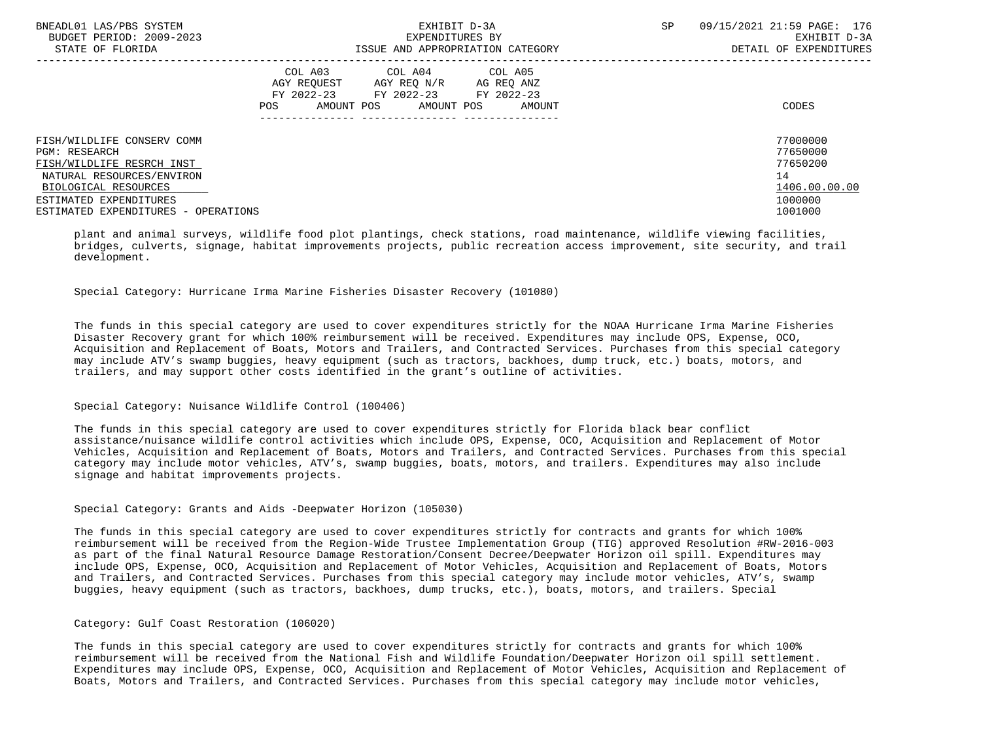| BNEADL01 LAS/PBS SYSTEM<br>BUDGET PERIOD: 2009-2023 | EXHIBIT D-3A<br>EXPENDITURES BY |                                                                                          |                                    | 09/15/2021 21:59 PAGE: 176<br>SP.<br>EXHIBIT D-3A |                        |  |
|-----------------------------------------------------|---------------------------------|------------------------------------------------------------------------------------------|------------------------------------|---------------------------------------------------|------------------------|--|
| STATE OF FLORIDA                                    |                                 |                                                                                          | ISSUE AND APPROPRIATION CATEGORY   |                                                   | DETAIL OF EXPENDITURES |  |
|                                                     | AGY REOUEST<br>POS              | COL A03 COL A04 COL A05<br>AGY REO N/R<br>FY 2022-23 FY 2022-23<br>AMOUNT POS AMOUNT POS | AG REO ANZ<br>FY 2022-23<br>AMOUNT |                                                   | CODES                  |  |
| FISH/WILDLIFE CONSERV COMM                          |                                 |                                                                                          |                                    |                                                   | 77000000               |  |
| <b>PGM: RESEARCH</b>                                |                                 |                                                                                          |                                    |                                                   | 77650000               |  |
| FISH/WILDLIFE RESRCH INST                           |                                 |                                                                                          |                                    |                                                   | 77650200               |  |
| NATURAL RESOURCES/ENVIRON                           |                                 |                                                                                          |                                    |                                                   | 14                     |  |
| BIOLOGICAL RESOURCES                                |                                 |                                                                                          |                                    |                                                   | 1406.00.00.00          |  |
| ESTIMATED EXPENDITURES                              |                                 |                                                                                          |                                    |                                                   | 1000000                |  |
| ESTIMATED EXPENDITURES - OPERATIONS                 |                                 |                                                                                          |                                    |                                                   | 1001000                |  |

 plant and animal surveys, wildlife food plot plantings, check stations, road maintenance, wildlife viewing facilities, bridges, culverts, signage, habitat improvements projects, public recreation access improvement, site security, and trail development.

Special Category: Hurricane Irma Marine Fisheries Disaster Recovery (101080)

 The funds in this special category are used to cover expenditures strictly for the NOAA Hurricane Irma Marine Fisheries Disaster Recovery grant for which 100% reimbursement will be received. Expenditures may include OPS, Expense, OCO, Acquisition and Replacement of Boats, Motors and Trailers, and Contracted Services. Purchases from this special category may include ATV's swamp buggies, heavy equipment (such as tractors, backhoes, dump truck, etc.) boats, motors, and trailers, and may support other costs identified in the grant's outline of activities.

# Special Category: Nuisance Wildlife Control (100406)

 The funds in this special category are used to cover expenditures strictly for Florida black bear conflict assistance/nuisance wildlife control activities which include OPS, Expense, OCO, Acquisition and Replacement of Motor Vehicles, Acquisition and Replacement of Boats, Motors and Trailers, and Contracted Services. Purchases from this special category may include motor vehicles, ATV's, swamp buggies, boats, motors, and trailers. Expenditures may also include signage and habitat improvements projects.

Special Category: Grants and Aids -Deepwater Horizon (105030)

 The funds in this special category are used to cover expenditures strictly for contracts and grants for which 100% reimbursement will be received from the Region-Wide Trustee Implementation Group (TIG) approved Resolution #RW-2016-003 as part of the final Natural Resource Damage Restoration/Consent Decree/Deepwater Horizon oil spill. Expenditures may include OPS, Expense, OCO, Acquisition and Replacement of Motor Vehicles, Acquisition and Replacement of Boats, Motors and Trailers, and Contracted Services. Purchases from this special category may include motor vehicles, ATV's, swamp buggies, heavy equipment (such as tractors, backhoes, dump trucks, etc.), boats, motors, and trailers. Special

#### Category: Gulf Coast Restoration (106020)

 The funds in this special category are used to cover expenditures strictly for contracts and grants for which 100% reimbursement will be received from the National Fish and Wildlife Foundation/Deepwater Horizon oil spill settlement. Expenditures may include OPS, Expense, OCO, Acquisition and Replacement of Motor Vehicles, Acquisition and Replacement of Boats, Motors and Trailers, and Contracted Services. Purchases from this special category may include motor vehicles,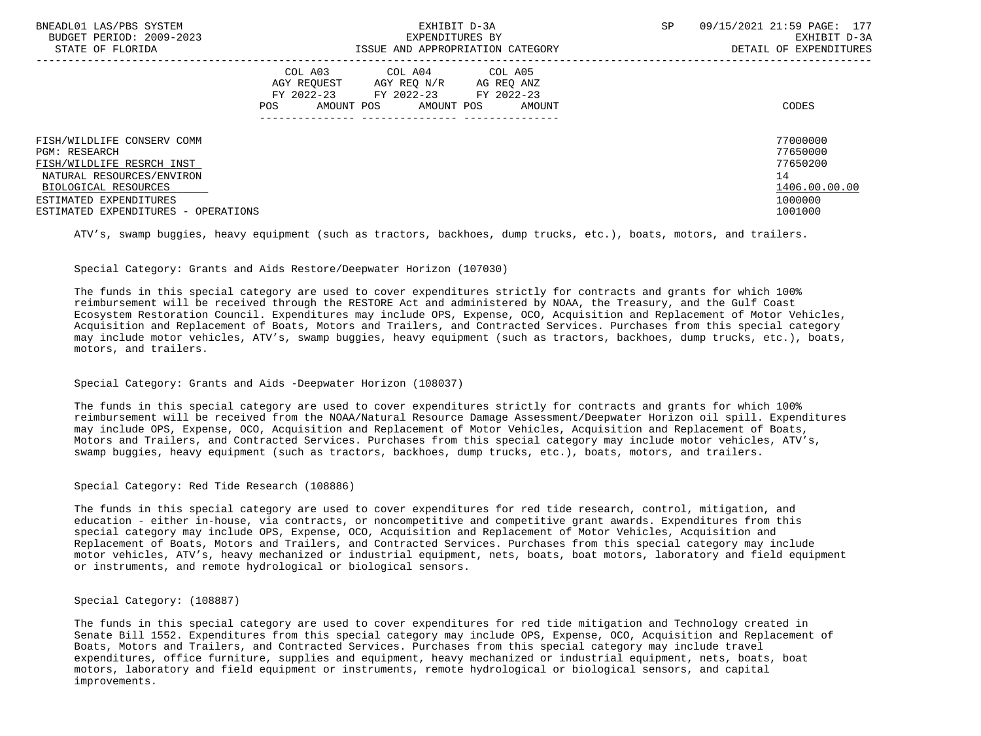| BNEADL01 LAS/PBS SYSTEM<br>BUDGET PERIOD: 2009-2023 | EXHIBIT D-3A<br>EXPENDITURES BY                                                                                |                                    |  | 09/15/2021 21:59 PAGE: 177<br>EXHIBIT D-3A |
|-----------------------------------------------------|----------------------------------------------------------------------------------------------------------------|------------------------------------|--|--------------------------------------------|
| STATE OF FLORIDA                                    |                                                                                                                | ISSUE AND APPROPRIATION CATEGORY   |  | DETAIL OF EXPENDITURES                     |
|                                                     | COL A03 COL A04 COL A05<br>AGY REOUEST<br>AGY REO N/R<br>FY 2022-23 FY 2022-23 FY 2022-23<br>AMOUNT POS<br>POS | AG REO ANZ<br>AMOUNT POS<br>AMOUNT |  | CODES                                      |
| FISH/WILDLIFE CONSERV COMM                          |                                                                                                                |                                    |  | 77000000                                   |
| <b>PGM: RESEARCH</b>                                |                                                                                                                |                                    |  | 77650000                                   |
| FISH/WILDLIFE RESRCH INST                           |                                                                                                                |                                    |  | 77650200                                   |
| NATURAL RESOURCES/ENVIRON                           |                                                                                                                |                                    |  | 14                                         |
| BIOLOGICAL RESOURCES                                |                                                                                                                |                                    |  | 1406.00.00.00                              |
| ESTIMATED EXPENDITURES                              |                                                                                                                |                                    |  | 1000000                                    |
| ESTIMATED EXPENDITURES - OPERATIONS                 |                                                                                                                |                                    |  | 1001000                                    |

ATV's, swamp buggies, heavy equipment (such as tractors, backhoes, dump trucks, etc.), boats, motors, and trailers.

# Special Category: Grants and Aids Restore/Deepwater Horizon (107030)

 The funds in this special category are used to cover expenditures strictly for contracts and grants for which 100% reimbursement will be received through the RESTORE Act and administered by NOAA, the Treasury, and the Gulf Coast Ecosystem Restoration Council. Expenditures may include OPS, Expense, OCO, Acquisition and Replacement of Motor Vehicles, Acquisition and Replacement of Boats, Motors and Trailers, and Contracted Services. Purchases from this special category may include motor vehicles, ATV's, swamp buggies, heavy equipment (such as tractors, backhoes, dump trucks, etc.), boats, motors, and trailers.

# Special Category: Grants and Aids -Deepwater Horizon (108037)

 The funds in this special category are used to cover expenditures strictly for contracts and grants for which 100% reimbursement will be received from the NOAA/Natural Resource Damage Assessment/Deepwater Horizon oil spill. Expenditures may include OPS, Expense, OCO, Acquisition and Replacement of Motor Vehicles, Acquisition and Replacement of Boats, Motors and Trailers, and Contracted Services. Purchases from this special category may include motor vehicles, ATV's, swamp buggies, heavy equipment (such as tractors, backhoes, dump trucks, etc.), boats, motors, and trailers.

#### Special Category: Red Tide Research (108886)

 The funds in this special category are used to cover expenditures for red tide research, control, mitigation, and education - either in-house, via contracts, or noncompetitive and competitive grant awards. Expenditures from this special category may include OPS, Expense, OCO, Acquisition and Replacement of Motor Vehicles, Acquisition and Replacement of Boats, Motors and Trailers, and Contracted Services. Purchases from this special category may include motor vehicles, ATV's, heavy mechanized or industrial equipment, nets, boats, boat motors, laboratory and field equipment or instruments, and remote hydrological or biological sensors.

#### Special Category: (108887)

 The funds in this special category are used to cover expenditures for red tide mitigation and Technology created in Senate Bill 1552. Expenditures from this special category may include OPS, Expense, OCO, Acquisition and Replacement of Boats, Motors and Trailers, and Contracted Services. Purchases from this special category may include travel expenditures, office furniture, supplies and equipment, heavy mechanized or industrial equipment, nets, boats, boat motors, laboratory and field equipment or instruments, remote hydrological or biological sensors, and capital improvements.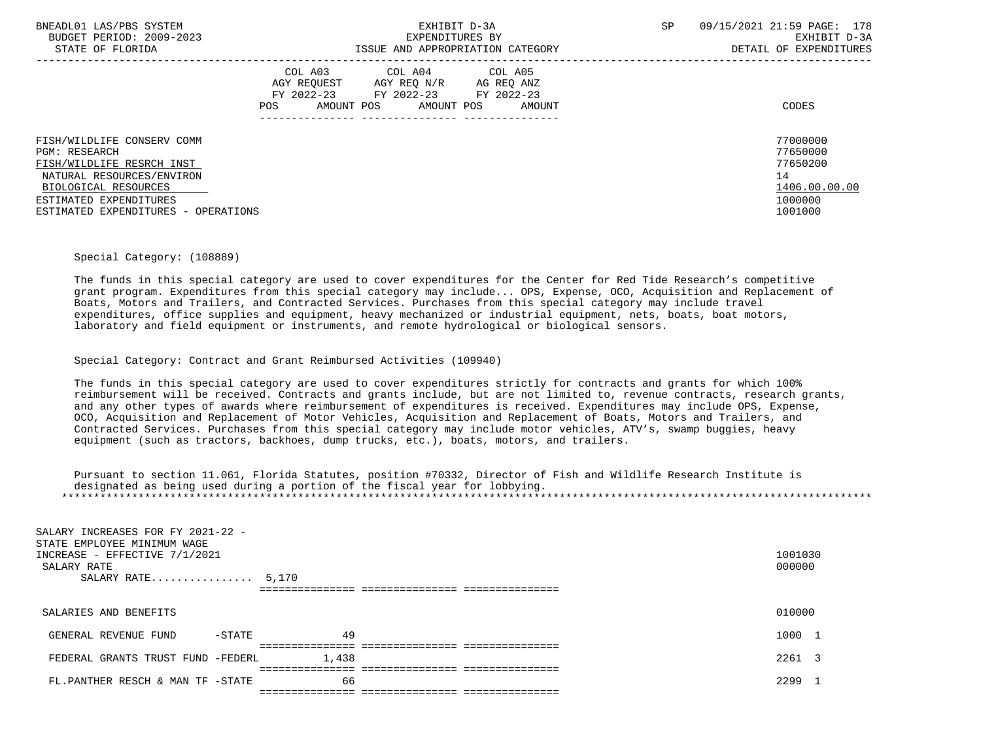| BNEADL01 LAS/PBS SYSTEM<br>BUDGET PERIOD: 2009-2023<br>STATE OF FLORIDA                                                                                                                        | EXHIBIT D-3A<br>EXPENDITURES BY<br>ISSUE AND APPROPRIATION CATEGORY |                                                                                                     |        | 09/15/2021 21:59 PAGE: 178<br>SP<br>EXHIBIT D-3A<br>DETAIL OF EXPENDITURES |                                                                               |  |
|------------------------------------------------------------------------------------------------------------------------------------------------------------------------------------------------|---------------------------------------------------------------------|-----------------------------------------------------------------------------------------------------|--------|----------------------------------------------------------------------------|-------------------------------------------------------------------------------|--|
|                                                                                                                                                                                                | AGY REOUEST<br>POS<br>AMOUNT POS                                    | COL A03 COL A04 COL A05<br>AGY REO N/R AG REO ANZ<br>FY 2022-23 FY 2022-23 FY 2022-23<br>AMOUNT POS | AMOUNT |                                                                            | CODES                                                                         |  |
| FISH/WILDLIFE CONSERV COMM<br>PGM: RESEARCH<br>FISH/WILDLIFE RESRCH INST<br>NATURAL RESOURCES/ENVIRON<br>BIOLOGICAL RESOURCES<br>ESTIMATED EXPENDITURES<br>ESTIMATED EXPENDITURES - OPERATIONS |                                                                     |                                                                                                     |        |                                                                            | 77000000<br>77650000<br>77650200<br>14<br>1406.00.00.00<br>1000000<br>1001000 |  |

#### Special Category: (108889)

 The funds in this special category are used to cover expenditures for the Center for Red Tide Research's competitive grant program. Expenditures from this special category may include... OPS, Expense, OCO, Acquisition and Replacement of Boats, Motors and Trailers, and Contracted Services. Purchases from this special category may include travel expenditures, office supplies and equipment, heavy mechanized or industrial equipment, nets, boats, boat motors, laboratory and field equipment or instruments, and remote hydrological or biological sensors.

Special Category: Contract and Grant Reimbursed Activities (109940)

 The funds in this special category are used to cover expenditures strictly for contracts and grants for which 100% reimbursement will be received. Contracts and grants include, but are not limited to, revenue contracts, research grants, and any other types of awards where reimbursement of expenditures is received. Expenditures may include OPS, Expense, OCO, Acquisition and Replacement of Motor Vehicles, Acquisition and Replacement of Boats, Motors and Trailers, and Contracted Services. Purchases from this special category may include motor vehicles, ATV's, swamp buggies, heavy equipment (such as tractors, backhoes, dump trucks, etc.), boats, motors, and trailers.

 Pursuant to section 11.061, Florida Statutes, position #70332, Director of Fish and Wildlife Research Institute is designated as being used during a portion of the fiscal year for lobbying. \*\*\*\*\*\*\*\*\*\*\*\*\*\*\*\*\*\*\*\*\*\*\*\*\*\*\*\*\*\*\*\*\*\*\*\*\*\*\*\*\*\*\*\*\*\*\*\*\*\*\*\*\*\*\*\*\*\*\*\*\*\*\*\*\*\*\*\*\*\*\*\*\*\*\*\*\*\*\*\*\*\*\*\*\*\*\*\*\*\*\*\*\*\*\*\*\*\*\*\*\*\*\*\*\*\*\*\*\*\*\*\*\*\*\*\*\*\*\*\*\*\*\*\*\*\*\*

| SALARY INCREASES FOR FY 2021-22 -<br>STATE EMPLOYEE MINIMUM WAGE<br>INCREASE - EFFECTIVE 7/1/2021<br>SALARY RATE<br>SALARY RATE $5,170$ |       | 1001030<br>000000 |  |
|-----------------------------------------------------------------------------------------------------------------------------------------|-------|-------------------|--|
| SALARIES AND BENEFITS                                                                                                                   |       | 010000            |  |
| GENERAL REVENUE FUND<br>$-$ STATE                                                                                                       | 49    | 1000              |  |
| FEDERAL GRANTS TRUST FUND -FEDERL                                                                                                       | 1.438 | 2261 3            |  |
| FL.PANTHER RESCH & MAN TF -STATE                                                                                                        | 66    | 2299 1            |  |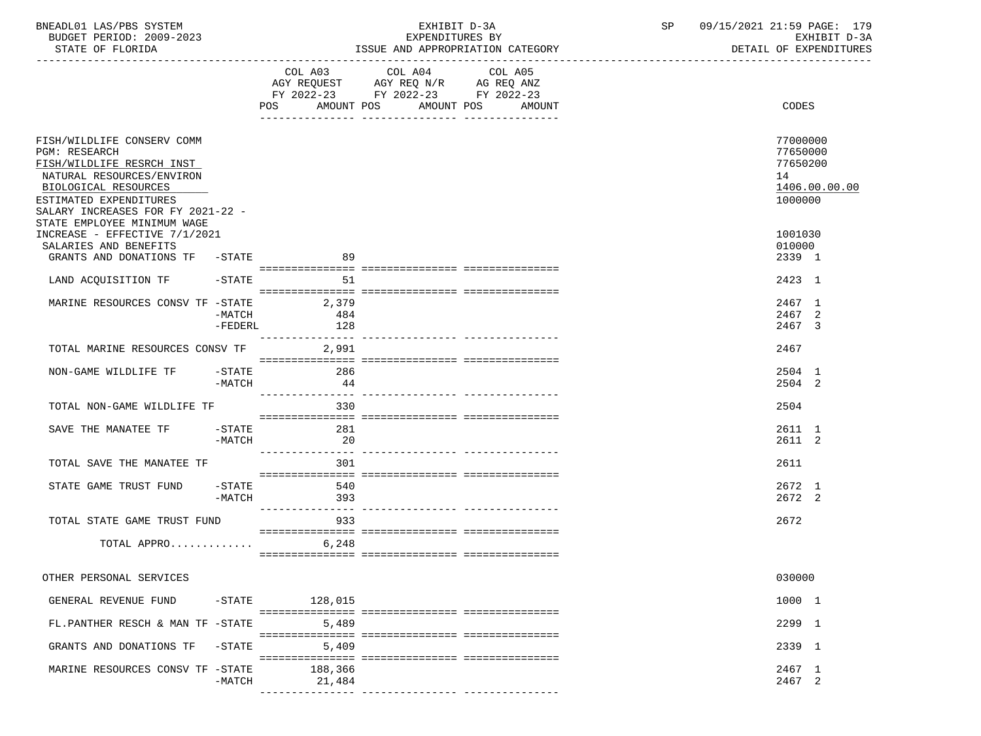| BNEADL01 LAS/PBS SYSTEM |                          |
|-------------------------|--------------------------|
|                         | BUDGET PERIOD: 2009-2023 |
|                         |                          |

BUDGET PERIOD: 2009-2023 EXPENDITURES BY EXHIBIT D-3A

| STATE OF FLORIDA                                                                                                            |                       |                              | ISSUE AND APPROPRIATION CATEGORY                                                                |                   | DETAIL OF EXPENDITURES           |
|-----------------------------------------------------------------------------------------------------------------------------|-----------------------|------------------------------|-------------------------------------------------------------------------------------------------|-------------------|----------------------------------|
|                                                                                                                             |                       | COL A03<br>AMOUNT POS<br>POS | COL A04<br>AGY REQUEST AGY REQ N/R AG REQ ANZ<br>FY 2022-23 FY 2022-23 FY 2022-23<br>AMOUNT POS | COL A05<br>AMOUNT | CODES                            |
|                                                                                                                             |                       |                              |                                                                                                 |                   |                                  |
| FISH/WILDLIFE CONSERV COMM<br><b>PGM: RESEARCH</b><br>FISH/WILDLIFE RESRCH INST                                             |                       |                              |                                                                                                 |                   | 77000000<br>77650000<br>77650200 |
| NATURAL RESOURCES/ENVIRON                                                                                                   |                       |                              |                                                                                                 |                   | 14                               |
| BIOLOGICAL RESOURCES                                                                                                        |                       |                              |                                                                                                 |                   | 1406.00.00.00                    |
| ESTIMATED EXPENDITURES<br>SALARY INCREASES FOR FY 2021-22 -<br>STATE EMPLOYEE MINIMUM WAGE<br>INCREASE - EFFECTIVE 7/1/2021 |                       |                              |                                                                                                 |                   | 1000000<br>1001030               |
| SALARIES AND BENEFITS                                                                                                       |                       |                              |                                                                                                 |                   | 010000                           |
| GRANTS AND DONATIONS TF -STATE                                                                                              |                       | 89                           |                                                                                                 |                   | 2339 1                           |
|                                                                                                                             |                       |                              |                                                                                                 |                   |                                  |
| LAND ACQUISITION TF                                                                                                         | $-$ STATE             | 51                           |                                                                                                 |                   | 2423 1                           |
|                                                                                                                             |                       |                              |                                                                                                 |                   |                                  |
| MARINE RESOURCES CONSV TF -STATE                                                                                            |                       | 2,379                        |                                                                                                 |                   | 2467 1                           |
|                                                                                                                             | -MATCH                | 484                          |                                                                                                 |                   | 2467 2                           |
|                                                                                                                             | -FEDERL               | 128                          |                                                                                                 |                   | 2467 3                           |
| TOTAL MARINE RESOURCES CONSV TF                                                                                             |                       | 2,991                        |                                                                                                 |                   | 2467                             |
|                                                                                                                             |                       |                              |                                                                                                 |                   |                                  |
| NON-GAME WILDLIFE TF                                                                                                        | $-$ STATE             | 286                          |                                                                                                 |                   | 2504 1                           |
|                                                                                                                             | $-MATCH$              | 44                           |                                                                                                 |                   | 2504 2                           |
|                                                                                                                             |                       | ----------------             |                                                                                                 |                   |                                  |
| TOTAL NON-GAME WILDLIFE TF                                                                                                  |                       | 330                          |                                                                                                 |                   | 2504                             |
|                                                                                                                             |                       |                              |                                                                                                 |                   |                                  |
| SAVE THE MANATEE TF                                                                                                         | $-$ STATE<br>$-MATCH$ | 281<br>20                    |                                                                                                 |                   | 2611 1<br>2611 2                 |
|                                                                                                                             |                       | ________________             |                                                                                                 |                   |                                  |
| TOTAL SAVE THE MANATEE TF                                                                                                   |                       | 301                          |                                                                                                 |                   | 2611                             |
|                                                                                                                             |                       |                              |                                                                                                 |                   |                                  |
| STATE GAME TRUST FUND                                                                                                       | $-\mathtt{STATE}$     | 540                          |                                                                                                 |                   | 2672 1                           |
|                                                                                                                             | $-MATCH$              | 393                          |                                                                                                 |                   | 2672 2                           |
|                                                                                                                             |                       |                              |                                                                                                 |                   |                                  |
| TOTAL STATE GAME TRUST FUND                                                                                                 |                       | 933                          |                                                                                                 |                   | 2672                             |
| TOTAL APPRO                                                                                                                 |                       | 6,248                        |                                                                                                 |                   |                                  |
|                                                                                                                             |                       |                              |                                                                                                 |                   |                                  |
|                                                                                                                             |                       |                              |                                                                                                 |                   |                                  |
| OTHER PERSONAL SERVICES                                                                                                     |                       |                              |                                                                                                 |                   | 030000                           |
|                                                                                                                             |                       |                              |                                                                                                 |                   |                                  |
| GENERAL REVENUE FUND                                                                                                        | $-$ STATE             | 128,015                      |                                                                                                 |                   | 1000 1                           |
| FL.PANTHER RESCH & MAN TF -STATE                                                                                            |                       | 5,489                        |                                                                                                 |                   | 2299 1                           |
|                                                                                                                             |                       |                              |                                                                                                 |                   |                                  |
| GRANTS AND DONATIONS TF                                                                                                     | $-$ STATE             | 5,409                        |                                                                                                 |                   | 2339 1                           |
|                                                                                                                             |                       |                              |                                                                                                 |                   |                                  |
| MARINE RESOURCES CONSV TF -STATE                                                                                            |                       | 188,366                      |                                                                                                 |                   | 2467 1                           |
|                                                                                                                             | $-MATCH$              | 21,484                       |                                                                                                 |                   | 2467 2                           |
|                                                                                                                             |                       |                              |                                                                                                 |                   |                                  |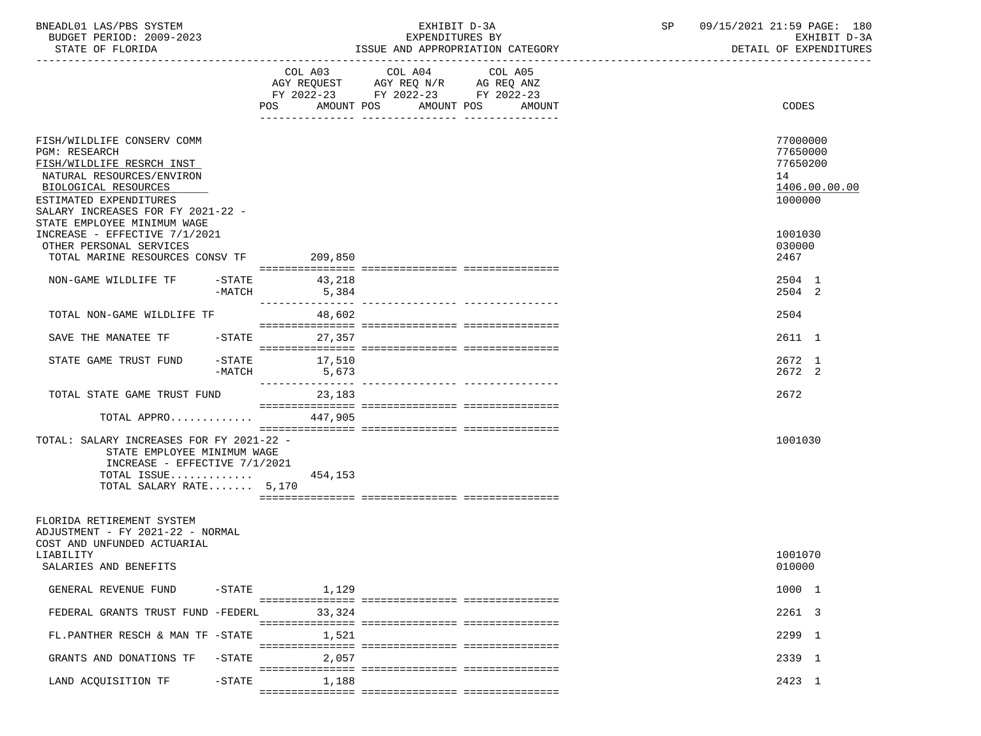| BNEADL01 LAS/PBS SYSTEM |                          |
|-------------------------|--------------------------|
|                         | BUDGET PERIOD: 2009-2023 |
|                         |                          |

BUDGET PERIOD: 2009-2023 EXPENDITURES BY EXHIBIT D-3A

| STATE OF FLORIDA                                                                                                                                                                                                            |                       |                           |                                                                                                         | ISSUE AND APPROPRIATION CATEGORY | DETAIL OF EXPENDITURES                                             |
|-----------------------------------------------------------------------------------------------------------------------------------------------------------------------------------------------------------------------------|-----------------------|---------------------------|---------------------------------------------------------------------------------------------------------|----------------------------------|--------------------------------------------------------------------|
|                                                                                                                                                                                                                             |                       | POS<br>AMOUNT POS         | COL A03 COL A04<br>AGY REQUEST AGY REQ N/R AG REQ ANZ<br>FY 2022-23 FY 2022-23 FY 2022-23<br>AMOUNT POS | COL A05<br>AMOUNT                | CODES                                                              |
| FISH/WILDLIFE CONSERV COMM<br>PGM: RESEARCH<br>FISH/WILDLIFE RESRCH INST<br>NATURAL RESOURCES/ENVIRON<br>BIOLOGICAL RESOURCES<br>ESTIMATED EXPENDITURES<br>SALARY INCREASES FOR FY 2021-22 -<br>STATE EMPLOYEE MINIMUM WAGE |                       |                           |                                                                                                         |                                  | 77000000<br>77650000<br>77650200<br>14<br>1406.00.00.00<br>1000000 |
| INCREASE - EFFECTIVE 7/1/2021<br>OTHER PERSONAL SERVICES<br>TOTAL MARINE RESOURCES CONSV TF 209,850                                                                                                                         |                       |                           |                                                                                                         |                                  | 1001030<br>030000<br>2467                                          |
| NON-GAME WILDLIFE TF                                                                                                                                                                                                        | $-$ STATE<br>$-MATCH$ | 43,218<br>5,384           |                                                                                                         |                                  | 2504 1<br>2504 2                                                   |
| TOTAL NON-GAME WILDLIFE TF                                                                                                                                                                                                  |                       | 48,602                    |                                                                                                         |                                  | 2504                                                               |
| SAVE THE MANATEE TF                                                                                                                                                                                                         | $-STATE$              | 27,357                    |                                                                                                         |                                  | 2611 1                                                             |
| STATE GAME TRUST FUND                                                                                                                                                                                                       | -STATE<br>-MATCH      | 17,510<br>5,673           |                                                                                                         |                                  | 2672 1<br>2672 2                                                   |
| TOTAL STATE GAME TRUST FUND                                                                                                                                                                                                 |                       | ---------------<br>23,183 |                                                                                                         |                                  | 2672                                                               |
| TOTAL APPRO                                                                                                                                                                                                                 |                       | 447,905                   |                                                                                                         |                                  |                                                                    |
| TOTAL: SALARY INCREASES FOR FY 2021-22 -<br>STATE EMPLOYEE MINIMUM WAGE<br>INCREASE - EFFECTIVE 7/1/2021<br>TOTAL ISSUE<br>TOTAL SALARY RATE 5,170                                                                          |                       | 454,153                   |                                                                                                         |                                  | 1001030                                                            |
| FLORIDA RETIREMENT SYSTEM<br>ADJUSTMENT - FY 2021-22 - NORMAL<br>COST AND UNFUNDED ACTUARIAL<br>LIABILITY                                                                                                                   |                       |                           |                                                                                                         |                                  | 1001070                                                            |
| SALARIES AND BENEFITS                                                                                                                                                                                                       |                       |                           |                                                                                                         |                                  | 010000                                                             |
| GENERAL REVENUE FUND                                                                                                                                                                                                        | $-$ STATE             | 1,129                     |                                                                                                         |                                  | 1000 1                                                             |
| FEDERAL GRANTS TRUST FUND -FEDERL                                                                                                                                                                                           |                       | 33,324                    |                                                                                                         |                                  | 2261 3                                                             |
| FL.PANTHER RESCH & MAN TF -STATE                                                                                                                                                                                            |                       | 1,521                     |                                                                                                         |                                  | 2299 1                                                             |
| GRANTS AND DONATIONS TF                                                                                                                                                                                                     | $-STATE$              | 2,057                     |                                                                                                         |                                  | 2339 1                                                             |
| LAND ACQUISITION TF                                                                                                                                                                                                         | $-$ STATE             | 1,188                     |                                                                                                         |                                  | 2423 1                                                             |
|                                                                                                                                                                                                                             |                       |                           |                                                                                                         |                                  |                                                                    |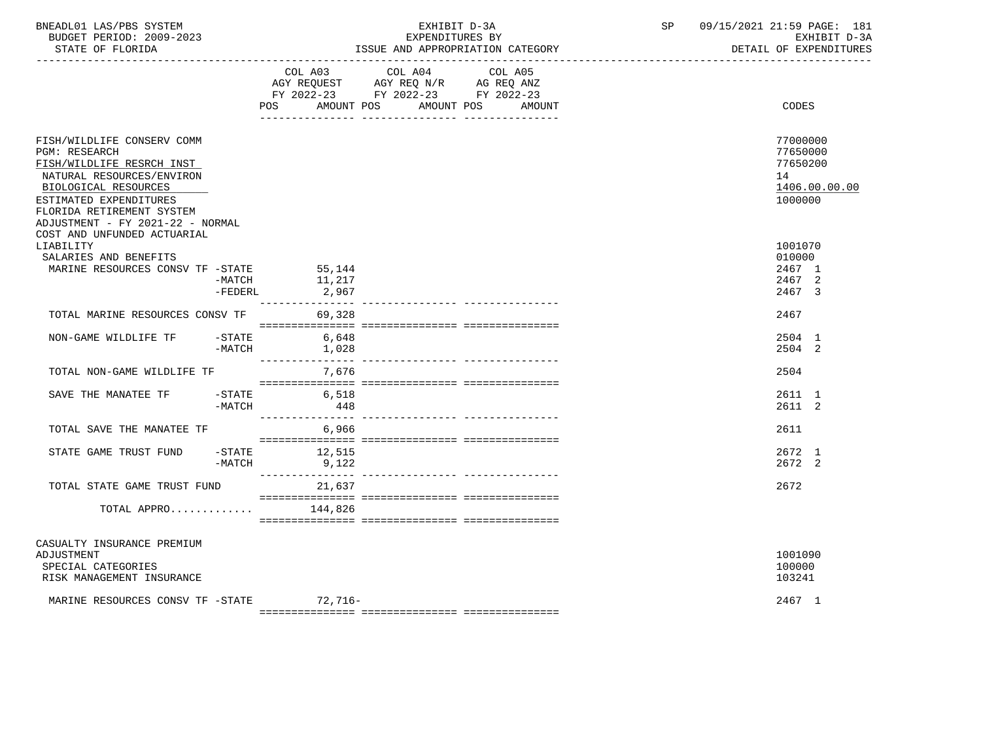| BNEADL01 LAS/PBS SYSTEM<br>BUDGET PERIOD: 2009-2023<br>STATE OF FLORIDA<br>-----------------                                                                                                                                    |                     |                           | EXHIBIT D-3A<br>EXPENDITURES BY                                                                   | ISSUE AND APPROPRIATION CATEGORY | SP | 09/15/2021 21:59 PAGE: 181<br>EXHIBIT D-3A<br>DETAIL OF EXPENDITURES |
|---------------------------------------------------------------------------------------------------------------------------------------------------------------------------------------------------------------------------------|---------------------|---------------------------|---------------------------------------------------------------------------------------------------|----------------------------------|----|----------------------------------------------------------------------|
|                                                                                                                                                                                                                                 |                     | AMOUNT POS<br>POS         | COL A03 COL A04 COL A05<br>AGY REQUEST AGY REQ N/R AG REQ ANZ<br>FY 2022-23 FY 2022-23 FY 2022-23 | AMOUNT POS<br>AMOUNT             |    | CODES                                                                |
| FISH/WILDLIFE CONSERV COMM<br><b>PGM: RESEARCH</b><br>FISH/WILDLIFE RESRCH INST<br>NATURAL RESOURCES/ENVIRON<br>BIOLOGICAL RESOURCES<br>ESTIMATED EXPENDITURES<br>FLORIDA RETIREMENT SYSTEM<br>ADJUSTMENT - FY 2021-22 - NORMAL |                     |                           |                                                                                                   |                                  |    | 77000000<br>77650000<br>77650200<br>14<br>1406.00.00.00<br>1000000   |
| COST AND UNFUNDED ACTUARIAL<br>LIABILITY<br>SALARIES AND BENEFITS<br>MARINE RESOURCES CONSV TF -STATE                                                                                                                           | -MATCH<br>$-FEDERL$ | 55,144<br>11,217<br>2,967 |                                                                                                   |                                  |    | 1001070<br>010000<br>2467 1<br>2467 2<br>2467 3                      |
| TOTAL MARINE RESOURCES CONSV TF                                                                                                                                                                                                 |                     | 69,328                    |                                                                                                   |                                  |    | 2467                                                                 |
| NON-GAME WILDLIFE TF -STATE                                                                                                                                                                                                     |                     | 6,648<br>$-MATCH$ 1,028   |                                                                                                   |                                  |    | 2504 1<br>2504 2                                                     |
| TOTAL NON-GAME WILDLIFE TF                                                                                                                                                                                                      |                     | 7,676                     |                                                                                                   |                                  |    | 2504                                                                 |
| SAVE THE MANATEE TF                                                                                                                                                                                                             | $-MATCH$            | $-$ STATE 6,518<br>448    |                                                                                                   |                                  |    | 2611 1<br>2611 2                                                     |
| TOTAL SAVE THE MANATEE TF                                                                                                                                                                                                       |                     | 6,966                     |                                                                                                   |                                  |    | 2611                                                                 |
| STATE GAME TRUST FUND                                                                                                                                                                                                           | $-MATCH$            | -STATE 12,515<br>9,122    |                                                                                                   |                                  |    | 2672 1<br>2672 2                                                     |
| TOTAL STATE GAME TRUST FUND                                                                                                                                                                                                     |                     | 21,637                    |                                                                                                   |                                  |    | 2672                                                                 |
| TOTAL APPRO                                                                                                                                                                                                                     |                     | 144,826                   |                                                                                                   |                                  |    |                                                                      |
| CASUALTY INSURANCE PREMIUM<br>ADJUSTMENT<br>SPECIAL CATEGORIES<br>RISK MANAGEMENT INSURANCE                                                                                                                                     |                     |                           |                                                                                                   |                                  |    | 1001090<br>100000<br>103241                                          |
| MARINE RESOURCES CONSV TF -STATE 72,716-                                                                                                                                                                                        |                     |                           |                                                                                                   |                                  |    | 2467 1                                                               |

 $=$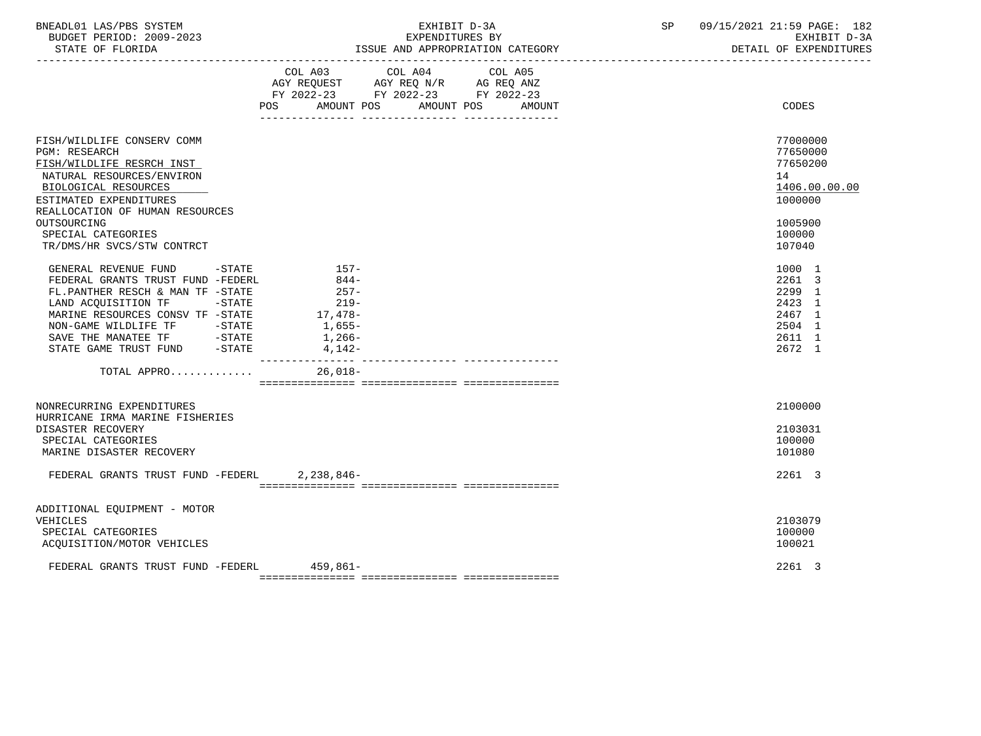BUDGET PERIOD: 2009-2023 EXPENDITURES BY EXHIBIT D-3A STATE OF FLORIDA **ISSUE AND APPROPRIATION CATEGORY ISSUE AND APPROPRIATION** CATEGORY

BNEADL01 LAS/PBS SYSTEM EXHIBIT D-3A SP 09/15/2021 21:59 PAGE: 182

|                                                                                                                                                                                                                                                                                                                                                                                                                                                                      | AGY REQUEST AGY REQ N/R AG REQ ANZ<br>FY 2022-23 FY 2022-23 FY 2022-23<br>POS AMOUNT POS                           | COL A03 COL A04 COL A05 | AMOUNT POS<br>AMOUNT | CODES                                                                                             |
|----------------------------------------------------------------------------------------------------------------------------------------------------------------------------------------------------------------------------------------------------------------------------------------------------------------------------------------------------------------------------------------------------------------------------------------------------------------------|--------------------------------------------------------------------------------------------------------------------|-------------------------|----------------------|---------------------------------------------------------------------------------------------------|
| FISH/WILDLIFE CONSERV COMM<br>PGM: RESEARCH<br>FISH/WILDLIFE RESRCH INST<br>NATURAL RESOURCES/ENVIRON<br>BIOLOGICAL RESOURCES<br>ESTIMATED EXPENDITURES<br>REALLOCATION OF HUMAN RESOURCES<br>OUTSOURCING<br>SPECIAL CATEGORIES<br>TR/DMS/HR SVCS/STW CONTRCT                                                                                                                                                                                                        |                                                                                                                    |                         |                      | 77000000<br>77650000<br>77650200<br>14<br>1406.00.00.00<br>1000000<br>1005900<br>100000<br>107040 |
| GENERAL REVENUE FUND<br>$-$ STATE<br>FEDERAL GRANTS TRUST FUND -FEDERL<br>FL.PANTHER RESCH & MAN TF -STATE<br>$-$ STATE<br>LAND ACQUISITION TF<br>MARINE RESOURCES CONSV TF -STATE<br>NON-GAME WILDLIFE TF -STATE<br>$\begin{tabular}{lllllllll} \multicolumn{2}{c}{\textbf{SAVE THE MANATEE TF}} & $\multicolumn{2}{c}{\textbf{-STATE}}\\ \multicolumn{2}{c}{\textbf{STATE GAME TRUST FUND}} & $\multicolumn{2}{c}{\textbf{-STATE}}\\ \end{tabular}$<br>TOTAL APPRO | $157-$<br>844-<br>$257-$<br>$219-$<br>$17,478-$<br>$1,655-$<br>1,266-<br>$4,142-$<br>________________<br>$26,018-$ |                         |                      | 1000 1<br>2261 3<br>2299 1<br>2423 1<br>2467 1<br>2504 1<br>2611 1<br>2672 1                      |
| NONRECURRING EXPENDITURES<br>HURRICANE IRMA MARINE FISHERIES<br>DISASTER RECOVERY<br>SPECIAL CATEGORIES<br>MARINE DISASTER RECOVERY<br>FEDERAL GRANTS TRUST FUND -FEDERL                                                                                                                                                                                                                                                                                             | $2,238,846-$                                                                                                       |                         |                      | 2100000<br>2103031<br>100000<br>101080<br>2261 3                                                  |
| ADDITIONAL EQUIPMENT - MOTOR<br>VEHICLES<br>SPECIAL CATEGORIES<br>ACOUISITION/MOTOR VEHICLES<br>FEDERAL GRANTS TRUST FUND -FEDERL                                                                                                                                                                                                                                                                                                                                    | 459,861-                                                                                                           |                         |                      | 2103079<br>100000<br>100021<br>2261 3                                                             |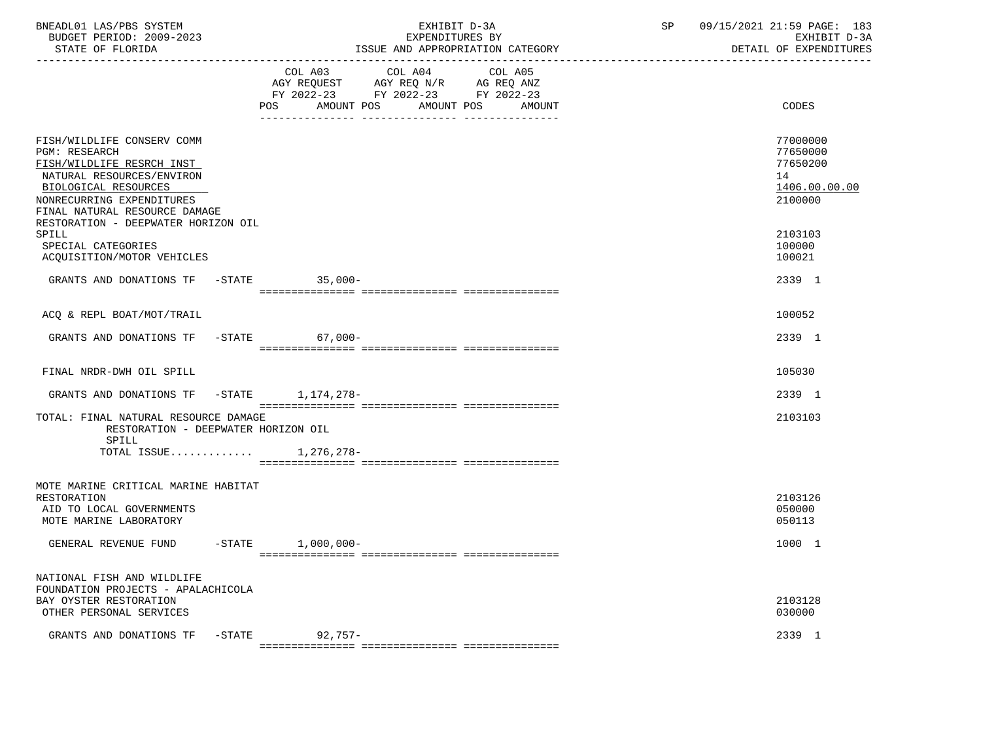| BNEADL01 LAS/PBS SYSTEM<br>BUDGET PERIOD: 2009-2023<br>STATE OF FLORIDA                                                                                                                            |           |                                                                                                                | EXHIBIT D-3A<br>EXPENDITURES BY | ISSUE AND APPROPRIATION CATEGORY | SP | 09/15/2021 21:59 PAGE: 183<br>EXHIBIT D-3A<br>DETAIL OF EXPENDITURES |
|----------------------------------------------------------------------------------------------------------------------------------------------------------------------------------------------------|-----------|----------------------------------------------------------------------------------------------------------------|---------------------------------|----------------------------------|----|----------------------------------------------------------------------|
|                                                                                                                                                                                                    |           | COL A03 COL A04<br>AGY REQUEST AGY REQ N/R AG REQ ANZ<br>FY 2022-23 FY 2022-23 FY 2022-23<br>AMOUNT POS<br>POS | AMOUNT POS                      | COL A05<br>AMOUNT                |    | CODES                                                                |
| FISH/WILDLIFE CONSERV COMM<br><b>PGM: RESEARCH</b><br>FISH/WILDLIFE RESRCH INST<br>NATURAL RESOURCES/ENVIRON<br>BIOLOGICAL RESOURCES<br>NONRECURRING EXPENDITURES<br>FINAL NATURAL RESOURCE DAMAGE |           |                                                                                                                |                                 |                                  |    | 77000000<br>77650000<br>77650200<br>14<br>1406.00.00.00<br>2100000   |
| RESTORATION - DEEPWATER HORIZON OIL<br>SPILL<br>SPECIAL CATEGORIES<br>ACQUISITION/MOTOR VEHICLES                                                                                                   |           |                                                                                                                |                                 |                                  |    | 2103103<br>100000<br>100021                                          |
| GRANTS AND DONATIONS TF -STATE 35,000-                                                                                                                                                             |           |                                                                                                                |                                 |                                  |    | 2339 1                                                               |
| ACO & REPL BOAT/MOT/TRAIL                                                                                                                                                                          |           |                                                                                                                |                                 |                                  |    | 100052                                                               |
| GRANTS AND DONATIONS TF                                                                                                                                                                            |           | $-STATE$<br>$67,000-$                                                                                          |                                 |                                  |    | 2339 1                                                               |
|                                                                                                                                                                                                    |           |                                                                                                                |                                 |                                  |    |                                                                      |
| FINAL NRDR-DWH OIL SPILL                                                                                                                                                                           |           |                                                                                                                |                                 |                                  |    | 105030                                                               |
| GRANTS AND DONATIONS TF                                                                                                                                                                            |           | -STATE 1,174,278-                                                                                              |                                 |                                  |    | 2339 1                                                               |
| TOTAL: FINAL NATURAL RESOURCE DAMAGE<br>RESTORATION - DEEPWATER HORIZON OIL                                                                                                                        |           |                                                                                                                |                                 |                                  |    | 2103103                                                              |
| SPILL<br>TOTAL ISSUE                                                                                                                                                                               |           | 1,276,278-                                                                                                     |                                 |                                  |    |                                                                      |
| MOTE MARINE CRITICAL MARINE HABITAT<br>RESTORATION<br>AID TO LOCAL GOVERNMENTS<br>MOTE MARINE LABORATORY                                                                                           |           |                                                                                                                |                                 |                                  |    | 2103126<br>050000<br>050113                                          |
| GENERAL REVENUE FUND                                                                                                                                                                               | $-$ STATE | $1,000,000-$                                                                                                   |                                 |                                  |    | 1000 1                                                               |
| NATIONAL FISH AND WILDLIFE<br>FOUNDATION PROJECTS - APALACHICOLA<br>BAY OYSTER RESTORATION<br>OTHER PERSONAL SERVICES                                                                              |           |                                                                                                                |                                 |                                  |    | 2103128<br>030000                                                    |
| GRANTS AND DONATIONS TF                                                                                                                                                                            | $-$ STATE | $92,757-$                                                                                                      |                                 |                                  |    | 2339 1                                                               |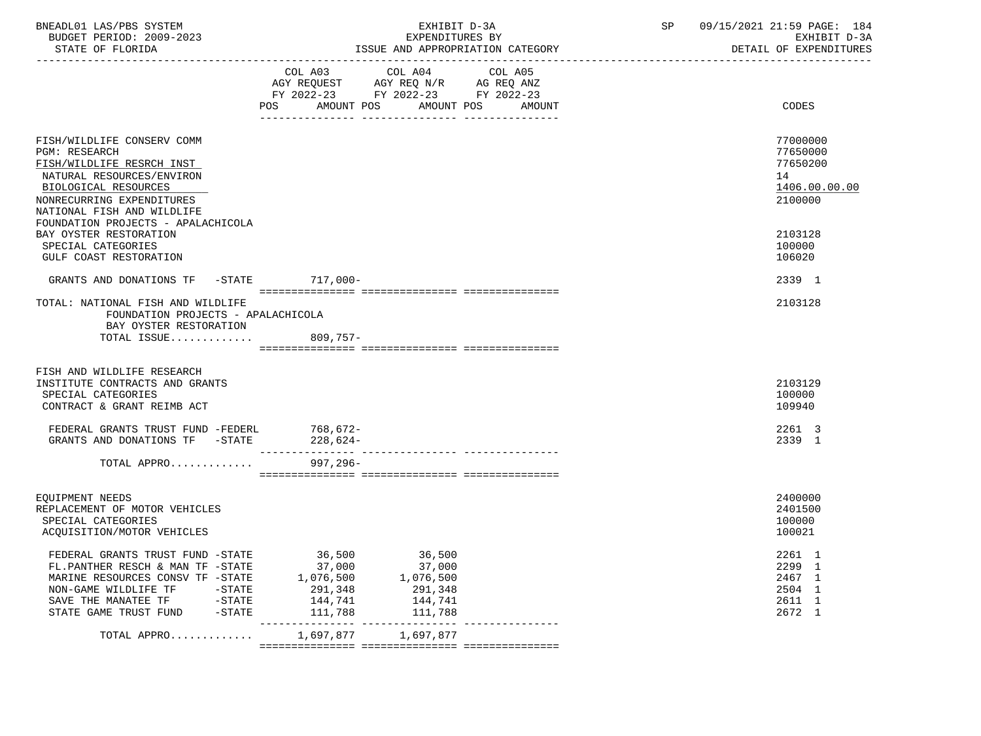| BNEADL01 LAS/PBS SYSTEM |                  |                          | EXHIBIT D-3A                     |  |
|-------------------------|------------------|--------------------------|----------------------------------|--|
|                         |                  | BUDGET PERIOD: 2009-2023 | EXPENDITURES BY                  |  |
|                         | STATE OF FLORIDA |                          | ISSUE AND APPROPRIATION CATEGORY |  |

BUDGET PERIOD: 2009-2023 EXPENDITURES BY EXHIBIT D-3A

|                                                                                                                                                                                                                                       | COL A03<br>AGY REQUEST AGY REQ N/R AG REQ ANZ<br>FY 2022-23 FY 2022-23 FY 2022-23 | COL A04                                                        | COL A05 |                                                          |               |
|---------------------------------------------------------------------------------------------------------------------------------------------------------------------------------------------------------------------------------------|-----------------------------------------------------------------------------------|----------------------------------------------------------------|---------|----------------------------------------------------------|---------------|
|                                                                                                                                                                                                                                       | AMOUNT POS<br>POS                                                                 | AMOUNT POS                                                     | AMOUNT  | CODES                                                    |               |
| FISH/WILDLIFE CONSERV COMM<br><b>PGM: RESEARCH</b><br>FISH/WILDLIFE RESRCH INST<br>NATURAL RESOURCES/ENVIRON<br>BIOLOGICAL RESOURCES<br>NONRECURRING EXPENDITURES<br>NATIONAL FISH AND WILDLIFE<br>FOUNDATION PROJECTS - APALACHICOLA |                                                                                   |                                                                |         | 77000000<br>77650000<br>77650200<br>14<br>2100000        | 1406.00.00.00 |
| BAY OYSTER RESTORATION<br>SPECIAL CATEGORIES<br>GULF COAST RESTORATION                                                                                                                                                                |                                                                                   |                                                                |         | 2103128<br>100000<br>106020                              |               |
| GRANTS AND DONATIONS TF -STATE 717,000-                                                                                                                                                                                               |                                                                                   |                                                                |         | 2339 1                                                   |               |
| TOTAL: NATIONAL FISH AND WILDLIFE<br>FOUNDATION PROJECTS - APALACHICOLA<br>BAY OYSTER RESTORATION                                                                                                                                     |                                                                                   |                                                                |         | 2103128                                                  |               |
| TOTAL ISSUE                                                                                                                                                                                                                           | $809,757-$                                                                        |                                                                |         |                                                          |               |
| FISH AND WILDLIFE RESEARCH<br>INSTITUTE CONTRACTS AND GRANTS<br>SPECIAL CATEGORIES<br>CONTRACT & GRANT REIMB ACT                                                                                                                      |                                                                                   |                                                                |         | 2103129<br>100000<br>109940                              |               |
| FEDERAL GRANTS TRUST FUND -FEDERL<br>GRANTS AND DONATIONS TF -STATE                                                                                                                                                                   | 768,672-<br>228,624-                                                              |                                                                |         | 2261 3<br>2339 1                                         |               |
| TOTAL APPRO                                                                                                                                                                                                                           | $997, 296 -$                                                                      |                                                                |         |                                                          |               |
| EOUIPMENT NEEDS<br>REPLACEMENT OF MOTOR VEHICLES<br>SPECIAL CATEGORIES<br>ACQUISITION/MOTOR VEHICLES                                                                                                                                  |                                                                                   |                                                                |         | 2400000<br>2401500<br>100000<br>100021                   |               |
| FEDERAL GRANTS TRUST FUND -STATE<br>FL.PANTHER RESCH & MAN TF -STATE<br>MARINE RESOURCES CONSV TF -STATE<br>STATE GAME TRUST FUND -STATE                                                                                              | 36,500<br>37,000<br>1,076,500<br>291,348<br>144,741<br>111,788                    | 36,500<br>37,000<br>1,076,500<br>291,348<br>144,741<br>111,788 |         | 2261 1<br>2299 1<br>2467 1<br>2504 1<br>2611 1<br>2672 1 |               |
| TOTAL APPRO                                                                                                                                                                                                                           |                                                                                   | 1,697,877 1,697,877                                            |         |                                                          |               |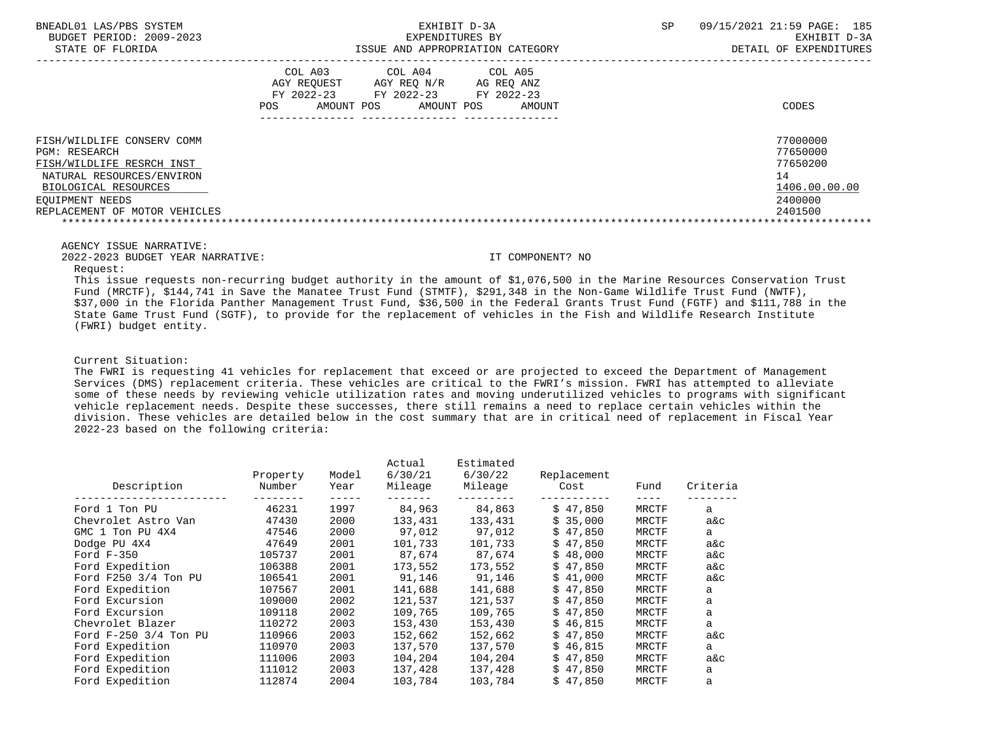| BNEADL01 LAS/PBS SYSTEM<br>BUDGET PERIOD: 2009-2023<br>STATE OF FLORIDA                                                                                                                  | EXHIBIT D-3A<br>EXPENDITURES BY<br>ISSUE AND APPROPRIATION CATEGORY                                                                                              | 09/15/2021 21:59 PAGE: 185<br><b>SP</b><br>EXHIBIT D-3A<br>DETAIL OF EXPENDITURES |
|------------------------------------------------------------------------------------------------------------------------------------------------------------------------------------------|------------------------------------------------------------------------------------------------------------------------------------------------------------------|-----------------------------------------------------------------------------------|
|                                                                                                                                                                                          | COL A03<br>COL A04<br>COL A05<br>AGY REOUEST<br>AGY REO N/R<br>AG REO ANZ<br>FY 2022-23<br>FY 2022-23<br>FY 2022-23<br>AMOUNT POS<br>AMOUNT POS<br>AMOUNT<br>POS | CODES                                                                             |
| FISH/WILDLIFE CONSERV COMM<br><b>PGM: RESEARCH</b><br>FISH/WILDLIFE RESRCH INST<br>NATURAL RESOURCES/ENVIRON<br>BIOLOGICAL RESOURCES<br>EOUIPMENT NEEDS<br>REPLACEMENT OF MOTOR VEHICLES |                                                                                                                                                                  | 77000000<br>77650000<br>77650200<br>14<br>1406.00.00.00<br>2400000<br>2401500     |

AGENCY ISSUE NARRATIVE:

2022-2023 BUDGET YEAR NARRATIVE: IT COMPONENT? NO

Request:

 This issue requests non-recurring budget authority in the amount of \$1,076,500 in the Marine Resources Conservation Trust Fund (MRCTF), \$144,741 in Save the Manatee Trust Fund (STMTF), \$291,348 in the Non-Game Wildlife Trust Fund (NWTF), \$37,000 in the Florida Panther Management Trust Fund, \$36,500 in the Federal Grants Trust Fund (FGTF) and \$111,788 in the State Game Trust Fund (SGTF), to provide for the replacement of vehicles in the Fish and Wildlife Research Institute (FWRI) budget entity.

Current Situation:

 The FWRI is requesting 41 vehicles for replacement that exceed or are projected to exceed the Department of Management Services (DMS) replacement criteria. These vehicles are critical to the FWRI's mission. FWRI has attempted to alleviate some of these needs by reviewing vehicle utilization rates and moving underutilized vehicles to programs with significant vehicle replacement needs. Despite these successes, there still remains a need to replace certain vehicles within the division. These vehicles are detailed below in the cost summary that are in critical need of replacement in Fiscal Year 2022-23 based on the following criteria:

| Description           | Property<br>Number | Model<br>Year | Actual<br>6/30/21<br>Mileage | Estimated<br>6/30/22<br>Mileage | Replacement<br>Cost | Fund  | Criteria |
|-----------------------|--------------------|---------------|------------------------------|---------------------------------|---------------------|-------|----------|
| Ford 1 Ton PU         | 46231              | 1997          | 84,963                       | 84,863                          | \$47.850            | MRCTF | a        |
| Chevrolet Astro Van   | 47430              | 2000          | 133,431                      | 133,431                         | \$35,000            | MRCTF | a&c      |
| GMC 1 Ton PU 4X4      | 47546              | 2000          | 97,012                       | 97,012                          | 47,850<br>Ŝ.        | MRCTF | a        |
| Dodge PU 4X4          | 47649              | 2001          | 101,733                      | 101,733                         | \$47,850            | MRCTF | a&c      |
| Ford $F-350$          | 105737             | 2001          | 87,674                       | 87.674                          | \$48,000            | MRCTF | a&c      |
| Ford Expedition       | 106388             | 2001          | 173,552                      | 173,552                         | \$47,850            | MRCTF | a&c      |
| Ford F250 3/4 Ton PU  | 106541             | 2001          | 91,146                       | 91,146                          | 41,000<br>Ŝ.        | MRCTF | a&c      |
| Ford Expedition       | 107567             | 2001          | 141,688                      | 141,688                         | \$47,850            | MRCTF | a        |
| Ford Excursion        | 109000             | 2002          | 121,537                      | 121,537                         | \$47.850            | MRCTF | a        |
| Ford Excursion        | 109118             | 2002          | 109,765                      | 109,765                         | \$47,850            | MRCTF | a        |
| Chevrolet Blazer      | 110272             | 2003          | 153,430                      | 153,430                         | 46,815<br>Ŝ.        | MRCTF | a        |
| Ford F-250 3/4 Ton PU | 110966             | 2003          | 152,662                      | 152,662                         | 47,850<br>Ŝ.        | MRCTF | a&c      |
| Ford Expedition       | 110970             | 2003          | 137,570                      | 137,570                         | 46,815<br>S.        | MRCTF | a        |
| Ford Expedition       | 111006             | 2003          | 104,204                      | 104,204                         | \$47,850            | MRCTF | a&c      |
| Ford Expedition       | 111012             | 2003          | 137,428                      | 137,428                         | 47,850<br>Ŝ         | MRCTF | a        |
| Ford Expedition       | 112874             | 2004          | 103,784                      | 103,784                         | \$47,850            | MRCTF | a        |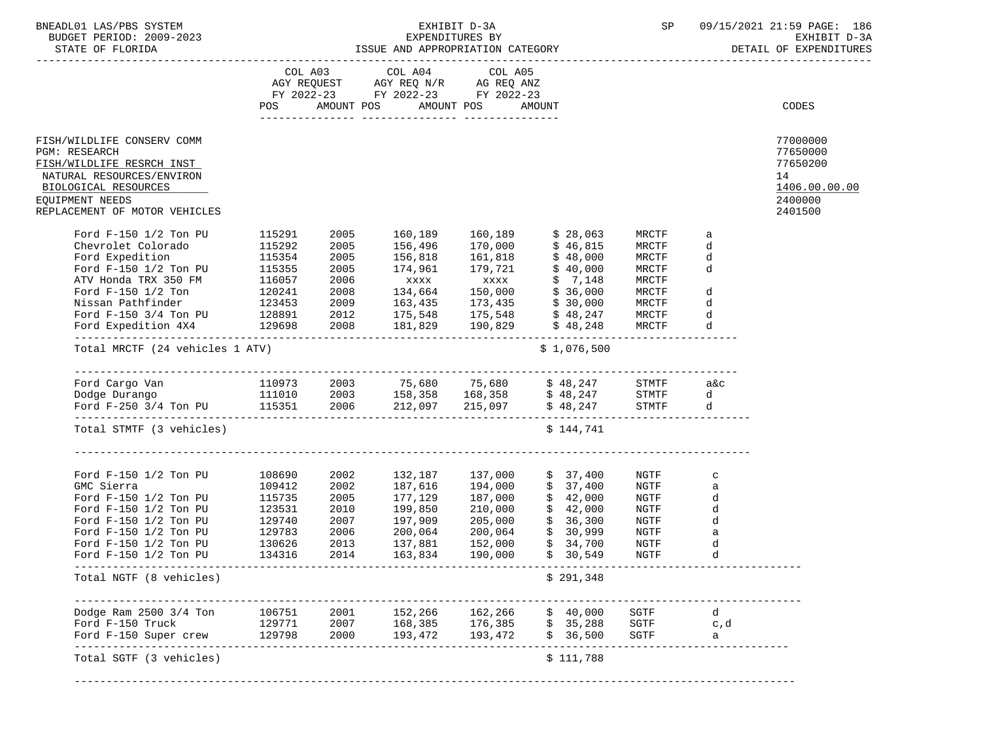| BNEADL01 LAS/PBS SYSTEM                                                                                                                                                                                                                                                                                                                     |                                                |                                      |                                                                                                                                |                                                     |                                                                                                               | SP                                                           |                                                          | 09/15/2021 21:59 PAGE: 186<br>EXHIBIT D-3A<br>DETAIL OF EXPENDITURES          |
|---------------------------------------------------------------------------------------------------------------------------------------------------------------------------------------------------------------------------------------------------------------------------------------------------------------------------------------------|------------------------------------------------|--------------------------------------|--------------------------------------------------------------------------------------------------------------------------------|-----------------------------------------------------|---------------------------------------------------------------------------------------------------------------|--------------------------------------------------------------|----------------------------------------------------------|-------------------------------------------------------------------------------|
|                                                                                                                                                                                                                                                                                                                                             |                                                |                                      | COL A03 COL A04 COL A05<br>AGY REQUEST AGY REQ N/R AG REQ ANZ<br>FY 2022-23 FY 2022-23 FY 2022-23<br>POS AMOUNT POS AMOUNT POS |                                                     | AMOUNT                                                                                                        |                                                              |                                                          | CODES                                                                         |
| FISH/WILDLIFE CONSERV COMM<br><b>PGM: RESEARCH</b><br>FISH/WILDLIFE RESRCH INST<br>NATURAL RESOURCES/ENVIRON<br>BIOLOGICAL RESOURCES<br>EQUIPMENT NEEDS<br>REPLACEMENT OF MOTOR VEHICLES                                                                                                                                                    |                                                |                                      |                                                                                                                                |                                                     |                                                                                                               |                                                              |                                                          | 77000000<br>77650000<br>77650200<br>14<br>1406.00.00.00<br>2400000<br>2401500 |
| Ford F-150 1/2 Ton PU 115291<br>Chevrolet Colorado<br>Ford Expedition<br>Ford $F-150$ 1/2 Ton PU<br>ATV Honda TRX 350 FM $116057$ 2006 $xxxx$ $57,148$ MRCTF<br>Ford F-150 1/2 Ton $120241$ 2008 134,664 150,000 \$36,000 MRCTF d<br>Nissan Pathfinder 123453 2009 163,435 173,435 \$30,000 MRCTF d<br>Ford F-150 3/4 Ton PU 128891 2012 17 | 115292<br>115354<br>115355                     | 2005<br>2005<br>2005                 | 2005 160,189 160,189 \$28,063<br>156,496<br>156,818                                                                            | 170,000<br>161,818                                  | \$ 46,815<br>\$ 48,000<br>174,961 179,721 \$40,000                                                            | MRCTF<br>MRCTF<br>MRCTF<br>MRCTF                             | a<br>d<br>d<br>d                                         |                                                                               |
| Total MRCTF (24 vehicles 1 ATV)                                                                                                                                                                                                                                                                                                             |                                                |                                      |                                                                                                                                |                                                     | \$1,076,500                                                                                                   |                                                              |                                                          |                                                                               |
|                                                                                                                                                                                                                                                                                                                                             |                                                |                                      |                                                                                                                                |                                                     |                                                                                                               |                                                              |                                                          |                                                                               |
| Total STMTF (3 vehicles)                                                                                                                                                                                                                                                                                                                    |                                                |                                      |                                                                                                                                |                                                     | \$144,741                                                                                                     |                                                              |                                                          |                                                                               |
| Ford F-150 1/2 Ton PU 108690 2002 132,187 137,000<br>GMC Sierra<br>Ford F-150 1/2 Ton PU<br>Ford F-150 1/2 Ton PU<br>Ford F-150 1/2 Ton PU<br>Ford $F-150$ 1/2 Ton PU<br>Ford F-150 1/2 Ton PU<br>Ford $F-150$ 1/2 Ton PU                                                                                                                   | 123531<br>129740<br>129783<br>130626<br>134316 | 2010<br>2007<br>2006<br>2013<br>2014 | 199,850<br>197,909<br>200,064<br>137,881<br>163,834                                                                            | 210,000<br>205,000<br>200,064<br>152,000<br>190,000 | \$37,400<br>\$37,400<br>177,129 187,000 \$ 42,000<br>\$42,000<br>\$36,300<br>\$30,999<br>\$34,700<br>\$30,549 | NGTF<br>NGTF<br>NGTF<br>NGTF<br>NGTF<br>NGTF<br>NGTF<br>NGTF | $\mathbf C$<br>a<br>d<br>d<br>d<br>$\mathsf a$<br>d<br>d |                                                                               |
| --------------<br>Total NGTF (8 vehicles)                                                                                                                                                                                                                                                                                                   |                                                |                                      |                                                                                                                                |                                                     | \$291,348                                                                                                     |                                                              |                                                          |                                                                               |
| Dodge Ram $2500$ $3/4$ Ton<br>Ford F-150 Truck<br>Ford F-150 Super crew                                                                                                                                                                                                                                                                     | 106751<br>129771<br>129798                     | 2001<br>2007<br>2000                 | 152,266<br>168,385 176,385<br>193,472                                                                                          | 162,266<br>193,472                                  | \$40,000<br>\$35,288<br>\$36,500                                                                              | SGTF<br>SGTF<br>SGTF                                         | d<br>c,d<br>а                                            |                                                                               |
| Total SGTF (3 vehicles)                                                                                                                                                                                                                                                                                                                     |                                                |                                      |                                                                                                                                |                                                     | \$111,788                                                                                                     |                                                              |                                                          |                                                                               |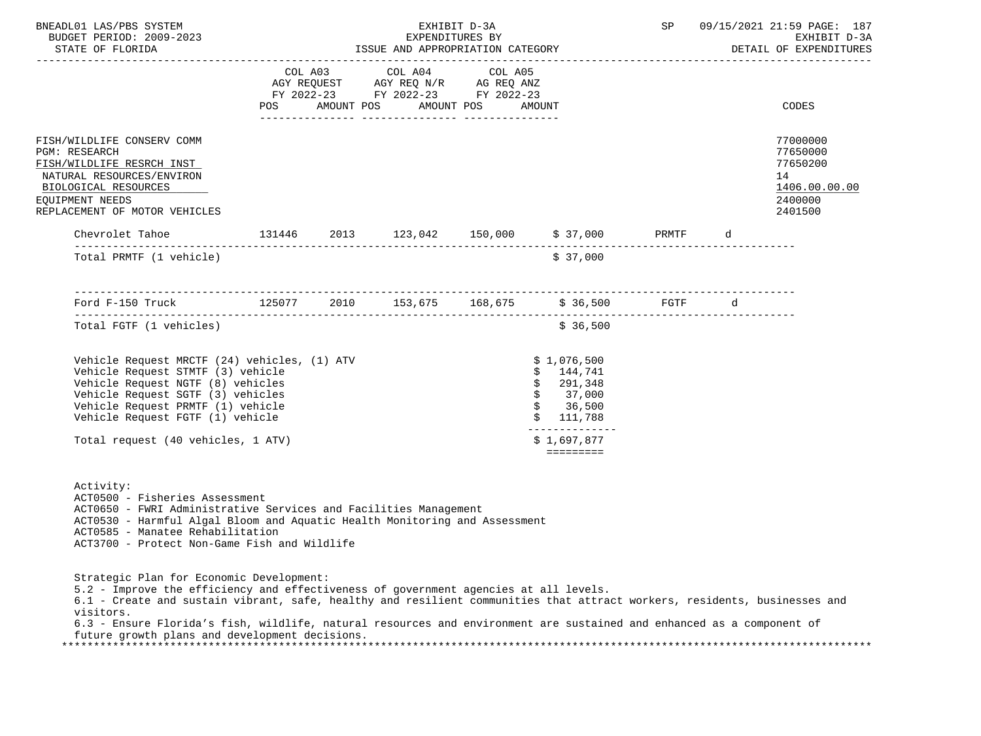| BNEADL01 LAS/PBS SYSTEM<br>BUDGET PERIOD: 2009-2023<br>STATE OF FLORIDA                                                                                                                                                                                                                                                                                                                                                                               |  |                                                                                                                                                                                                                                                           | EXHIBIT D-3A | SP                                                                                                                              |  | 09/15/2021 21:59 PAGE: 187<br>EXHIBIT D-3A<br>DETAIL OF EXPENDITURES          |
|-------------------------------------------------------------------------------------------------------------------------------------------------------------------------------------------------------------------------------------------------------------------------------------------------------------------------------------------------------------------------------------------------------------------------------------------------------|--|-----------------------------------------------------------------------------------------------------------------------------------------------------------------------------------------------------------------------------------------------------------|--------------|---------------------------------------------------------------------------------------------------------------------------------|--|-------------------------------------------------------------------------------|
|                                                                                                                                                                                                                                                                                                                                                                                                                                                       |  | $\begin{tabular}{lllllllll} COL & A03 & \quad COL & A04 & \quad COL & A05 \\ AGY & REQUEST & \quad AGY & REQ & N/R & \quad AG & REQ & ANZ \\ FY & 2022-23 & \quad FY & 2022-23 & \quad FY & 2022-23 \\ \end{tabular}$<br>POS AMOUNT POS AMOUNT POS AMOUNT |              |                                                                                                                                 |  | CODES                                                                         |
| FISH/WILDLIFE CONSERV COMM<br>PGM: RESEARCH<br>FISH/WILDLIFE RESRCH INST<br>NATURAL RESOURCES/ENVIRON<br>BIOLOGICAL RESOURCES<br>EQUIPMENT NEEDS<br>REPLACEMENT OF MOTOR VEHICLES                                                                                                                                                                                                                                                                     |  |                                                                                                                                                                                                                                                           |              |                                                                                                                                 |  | 77000000<br>77650000<br>77650200<br>14<br>1406.00.00.00<br>2400000<br>2401500 |
| Chevrolet Tahoe 131446 2013 123,042 150,000 \$37,000 PRMTF d                                                                                                                                                                                                                                                                                                                                                                                          |  |                                                                                                                                                                                                                                                           |              |                                                                                                                                 |  |                                                                               |
| Total PRMTF (1 vehicle)                                                                                                                                                                                                                                                                                                                                                                                                                               |  |                                                                                                                                                                                                                                                           |              | \$37,000                                                                                                                        |  |                                                                               |
|                                                                                                                                                                                                                                                                                                                                                                                                                                                       |  |                                                                                                                                                                                                                                                           |              |                                                                                                                                 |  |                                                                               |
| Total FGTF (1 vehicles)                                                                                                                                                                                                                                                                                                                                                                                                                               |  |                                                                                                                                                                                                                                                           |              | \$36,500                                                                                                                        |  |                                                                               |
| Vehicle Request MRCTF (24) vehicles, (1) ATV<br>Vehicle Request STMTF (3) vehicle<br>Vehicle Request NGTF (8) vehicles<br>Vehicle Request SGTF (3) vehicles<br>Vehicle Request PRMTF (1) vehicle<br>Vehicle Request FGTF (1) vehicle<br>Total request (40 vehicles, 1 ATV)                                                                                                                                                                            |  |                                                                                                                                                                                                                                                           |              | \$1,076,500<br>\$144,741<br>\$291,348<br>\$37,000<br>\$36,500<br>\$111,788<br>_______________<br>\$1,697,877<br><b>EEEEEEEE</b> |  |                                                                               |
| Activity:<br>ACT0500 - Fisheries Assessment<br>ACT0650 - FWRI Administrative Services and Facilities Management<br>ACT0530 - Harmful Algal Bloom and Aquatic Health Monitoring and Assessment<br>ACT0585 - Manatee Rehabilitation<br>ACT3700 - Protect Non-Game Fish and Wildlife                                                                                                                                                                     |  |                                                                                                                                                                                                                                                           |              |                                                                                                                                 |  |                                                                               |
| Strategic Plan for Economic Development:<br>5.2 - Improve the efficiency and effectiveness of government agencies at all levels.<br>6.1 - Create and sustain vibrant, safe, healthy and resilient communities that attract workers, residents, businesses and<br>visitors.<br>6.3 - Ensure Florida's fish, wildlife, natural resources and environment are sustained and enhanced as a component of<br>future growth plans and development decisions. |  |                                                                                                                                                                                                                                                           |              |                                                                                                                                 |  |                                                                               |

\*\*\*\*\*\*\*\*\*\*\*\*\*\*\*\*\*\*\*\*\*\*\*\*\*\*\*\*\*\*\*\*\*\*\*\*\*\*\*\*\*\*\*\*\*\*\*\*\*\*\*\*\*\*\*\*\*\*\*\*\*\*\*\*\*\*\*\*\*\*\*\*\*\*\*\*\*\*\*\*\*\*\*\*\*\*\*\*\*\*\*\*\*\*\*\*\*\*\*\*\*\*\*\*\*\*\*\*\*\*\*\*\*\*\*\*\*\*\*\*\*\*\*\*\*\*\*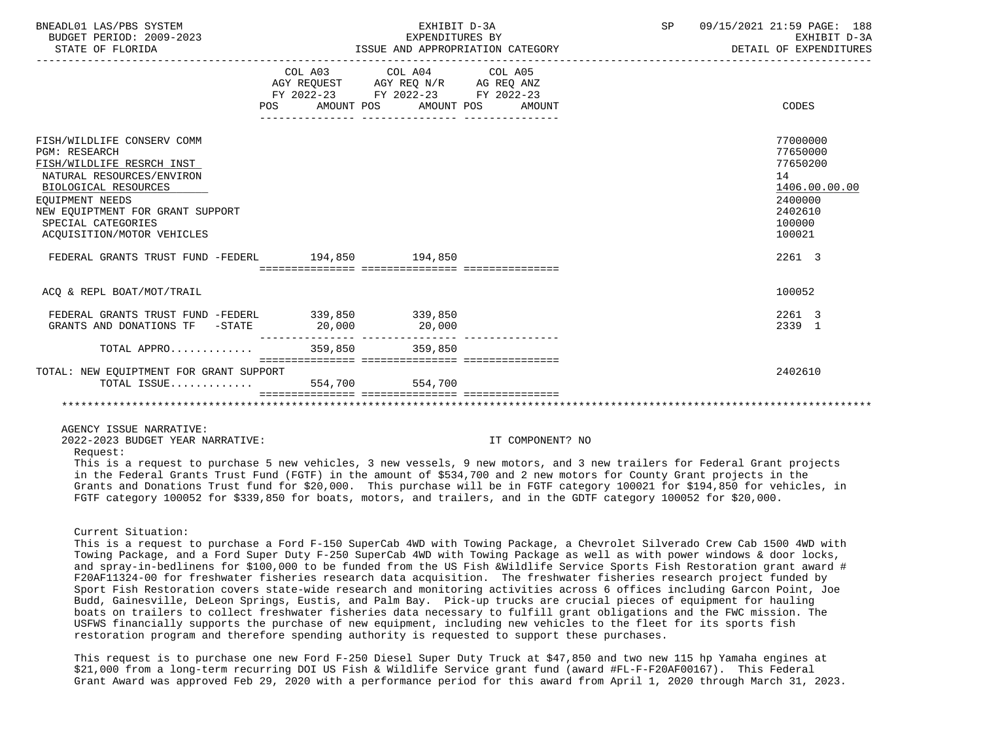| BNEADL01 LAS/PBS SYSTEM<br>BUDGET PERIOD: 2009-2023<br>STATE OF FLORIDA                                                                                                                                                                         |                                                                                                                                                                                                                                 | EXHIBIT D-3A<br>EXPENDITURES BY                                                                                            | ISSUE AND APPROPRIATION CATEGORY | SP 09/15/2021 21:59 PAGE: 188<br>EXHIBIT D-3A<br>DETAIL OF EXPENDITURES                                                        |
|-------------------------------------------------------------------------------------------------------------------------------------------------------------------------------------------------------------------------------------------------|---------------------------------------------------------------------------------------------------------------------------------------------------------------------------------------------------------------------------------|----------------------------------------------------------------------------------------------------------------------------|----------------------------------|--------------------------------------------------------------------------------------------------------------------------------|
|                                                                                                                                                                                                                                                 | POS FOR                                                                                                                                                                                                                         | COL A03 COL A04 COL A05<br>AGY REQUEST AGY REQ N/R AG REQ ANZ<br>FY 2022-23 FY 2022-23 FY 2022-23<br>AMOUNT POS AMOUNT POS | AMOUNT                           | CODES                                                                                                                          |
| FISH/WILDLIFE CONSERV COMM<br><b>PGM: RESEARCH</b><br>FISH/WILDLIFE RESRCH INST<br>NATURAL RESOURCES/ENVIRON<br>BIOLOGICAL RESOURCES<br>EOUIPMENT NEEDS<br>NEW EQUIPTMENT FOR GRANT SUPPORT<br>SPECIAL CATEGORIES<br>ACOUISITION/MOTOR VEHICLES |                                                                                                                                                                                                                                 |                                                                                                                            |                                  | 77000000<br>77650000<br>77650200<br>14<br>1406.00.00.00<br>2400000<br>2402610<br>100000<br>100021                              |
| FEDERAL GRANTS TRUST FUND -FEDERL 194,850 194,850                                                                                                                                                                                               |                                                                                                                                                                                                                                 |                                                                                                                            |                                  | 2261 3                                                                                                                         |
| ACO & REPL BOAT/MOT/TRAIL                                                                                                                                                                                                                       |                                                                                                                                                                                                                                 |                                                                                                                            |                                  | 100052                                                                                                                         |
| FEDERAL GRANTS TRUST FUND -FEDERL 339,850 339,850<br>GRANTS AND DONATIONS TF -STATE 20,000                                                                                                                                                      |                                                                                                                                                                                                                                 | 20,000                                                                                                                     |                                  | 2261 3<br>2339 1                                                                                                               |
| TOTAL APPRO 359,850 359,850                                                                                                                                                                                                                     |                                                                                                                                                                                                                                 |                                                                                                                            |                                  |                                                                                                                                |
| TOTAL: NEW EOUIPTMENT FOR GRANT SUPPORT<br>TOTAL ISSUE                                                                                                                                                                                          | 554,700                                                                                                                                                                                                                         | 554,700                                                                                                                    |                                  | 2402610                                                                                                                        |
| AGENCY ISSUE NARRATIVE:<br>2022-2023 BUDGET YEAR NARRATIVE:<br>Request:                                                                                                                                                                         | $\sim$ . The contract of the contract of the contract of the contract of the contract of the contract of the contract of the contract of the contract of the contract of the contract of the contract of the contract of the co |                                                                                                                            | IT COMPONENT? NO                 | $\mathbf{a}$ , and $\mathbf{a}$ , and $\mathbf{a}$ , and $\mathbf{a}$ , and $\mathbf{a}$ , and $\mathbf{a}$ , and $\mathbf{a}$ |

 This is a request to purchase 5 new vehicles, 3 new vessels, 9 new motors, and 3 new trailers for Federal Grant projects in the Federal Grants Trust Fund (FGTF) in the amount of \$534,700 and 2 new motors for County Grant projects in the Grants and Donations Trust fund for \$20,000. This purchase will be in FGTF category 100021 for \$194,850 for vehicles, in FGTF category 100052 for \$339,850 for boats, motors, and trailers, and in the GDTF category 100052 for \$20,000.

#### Current Situation:

 This is a request to purchase a Ford F-150 SuperCab 4WD with Towing Package, a Chevrolet Silverado Crew Cab 1500 4WD with Towing Package, and a Ford Super Duty F-250 SuperCab 4WD with Towing Package as well as with power windows & door locks, and spray-in-bedlinens for \$100,000 to be funded from the US Fish &Wildlife Service Sports Fish Restoration grant award # F20AF11324-00 for freshwater fisheries research data acquisition. The freshwater fisheries research project funded by Sport Fish Restoration covers state-wide research and monitoring activities across 6 offices including Garcon Point, Joe Budd, Gainesville, DeLeon Springs, Eustis, and Palm Bay. Pick-up trucks are crucial pieces of equipment for hauling boats on trailers to collect freshwater fisheries data necessary to fulfill grant obligations and the FWC mission. The USFWS financially supports the purchase of new equipment, including new vehicles to the fleet for its sports fish restoration program and therefore spending authority is requested to support these purchases.

 This request is to purchase one new Ford F-250 Diesel Super Duty Truck at \$47,850 and two new 115 hp Yamaha engines at \$21,000 from a long-term recurring DOI US Fish & Wildlife Service grant fund (award #FL-F-F20AF00167). This Federal Grant Award was approved Feb 29, 2020 with a performance period for this award from April 1, 2020 through March 31, 2023.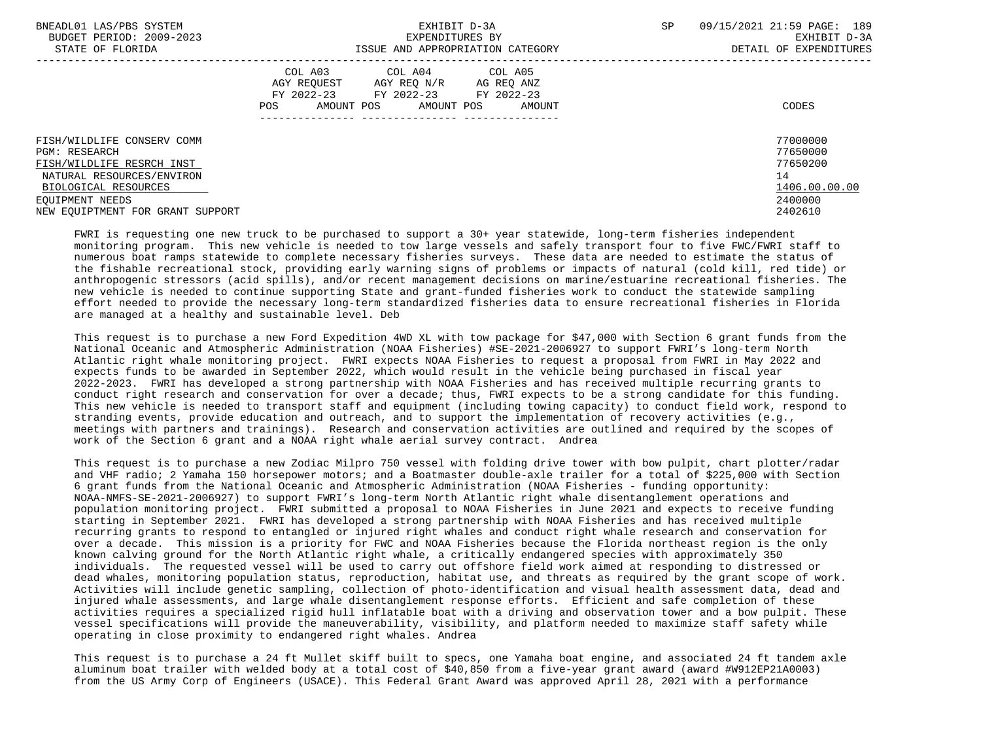| BNEADL01 LAS/PBS SYSTEM<br>BUDGET PERIOD: 2009-2023<br>STATE OF FLORIDA | EXHIBIT D-3A<br>EXPENDITURES BY<br>ISSUE AND APPROPRIATION CATEGORY                                                                                     | 09/15/2021 21:59 PAGE: 189<br><b>SP</b><br>EXHIBIT D-3A<br>DETAIL OF EXPENDITURES |
|-------------------------------------------------------------------------|---------------------------------------------------------------------------------------------------------------------------------------------------------|-----------------------------------------------------------------------------------|
|                                                                         | COL A04 COL A05<br>COL A03<br>AGY REOUEST<br>AGY REO N/R AG REO ANZ<br>FY 2022-23<br>FY 2022-23 FY 2022-23<br>AMOUNT POS<br>AMOUNT POS<br>POS<br>AMOUNT | CODES                                                                             |
| FISH/WILDLIFE CONSERV COMM<br>PGM: RESEARCH                             |                                                                                                                                                         | 77000000<br>77650000                                                              |
| FISH/WILDLIFE RESRCH INST                                               |                                                                                                                                                         | 77650200                                                                          |
| NATURAL RESOURCES/ENVIRON                                               |                                                                                                                                                         | 14                                                                                |
| BIOLOGICAL RESOURCES                                                    |                                                                                                                                                         | 1406.00.00.00                                                                     |
| EOUIPMENT NEEDS                                                         |                                                                                                                                                         | 2400000                                                                           |
| NEW EOUIPTMENT FOR GRANT SUPPORT                                        |                                                                                                                                                         | 2402610                                                                           |

 FWRI is requesting one new truck to be purchased to support a 30+ year statewide, long-term fisheries independent monitoring program. This new vehicle is needed to tow large vessels and safely transport four to five FWC/FWRI staff to numerous boat ramps statewide to complete necessary fisheries surveys. These data are needed to estimate the status of the fishable recreational stock, providing early warning signs of problems or impacts of natural (cold kill, red tide) or anthropogenic stressors (acid spills), and/or recent management decisions on marine/estuarine recreational fisheries. The new vehicle is needed to continue supporting State and grant-funded fisheries work to conduct the statewide sampling effort needed to provide the necessary long-term standardized fisheries data to ensure recreational fisheries in Florida are managed at a healthy and sustainable level. Deb

 This request is to purchase a new Ford Expedition 4WD XL with tow package for \$47,000 with Section 6 grant funds from the National Oceanic and Atmospheric Administration (NOAA Fisheries) #SE-2021-2006927 to support FWRI's long-term North Atlantic right whale monitoring project. FWRI expects NOAA Fisheries to request a proposal from FWRI in May 2022 and expects funds to be awarded in September 2022, which would result in the vehicle being purchased in fiscal year 2022-2023. FWRI has developed a strong partnership with NOAA Fisheries and has received multiple recurring grants to conduct right research and conservation for over a decade; thus, FWRI expects to be a strong candidate for this funding. This new vehicle is needed to transport staff and equipment (including towing capacity) to conduct field work, respond to stranding events, provide education and outreach, and to support the implementation of recovery activities (e.g., meetings with partners and trainings). Research and conservation activities are outlined and required by the scopes of work of the Section 6 grant and a NOAA right whale aerial survey contract. Andrea

 This request is to purchase a new Zodiac Milpro 750 vessel with folding drive tower with bow pulpit, chart plotter/radar and VHF radio; 2 Yamaha 150 horsepower motors; and a Boatmaster double-axle trailer for a total of \$225,000 with Section 6 grant funds from the National Oceanic and Atmospheric Administration (NOAA Fisheries - funding opportunity: NOAA-NMFS-SE-2021-2006927) to support FWRI's long-term North Atlantic right whale disentanglement operations and population monitoring project. FWRI submitted a proposal to NOAA Fisheries in June 2021 and expects to receive funding starting in September 2021. FWRI has developed a strong partnership with NOAA Fisheries and has received multiple recurring grants to respond to entangled or injured right whales and conduct right whale research and conservation for over a decade. This mission is a priority for FWC and NOAA Fisheries because the Florida northeast region is the only known calving ground for the North Atlantic right whale, a critically endangered species with approximately 350 individuals. The requested vessel will be used to carry out offshore field work aimed at responding to distressed or dead whales, monitoring population status, reproduction, habitat use, and threats as required by the grant scope of work. Activities will include genetic sampling, collection of photo-identification and visual health assessment data, dead and injured whale assessments, and large whale disentanglement response efforts. Efficient and safe completion of these activities requires a specialized rigid hull inflatable boat with a driving and observation tower and a bow pulpit. These vessel specifications will provide the maneuverability, visibility, and platform needed to maximize staff safety while operating in close proximity to endangered right whales. Andrea

 This request is to purchase a 24 ft Mullet skiff built to specs, one Yamaha boat engine, and associated 24 ft tandem axle aluminum boat trailer with welded body at a total cost of \$40,850 from a five-year grant award (award #W912EP21A0003) from the US Army Corp of Engineers (USACE). This Federal Grant Award was approved April 28, 2021 with a performance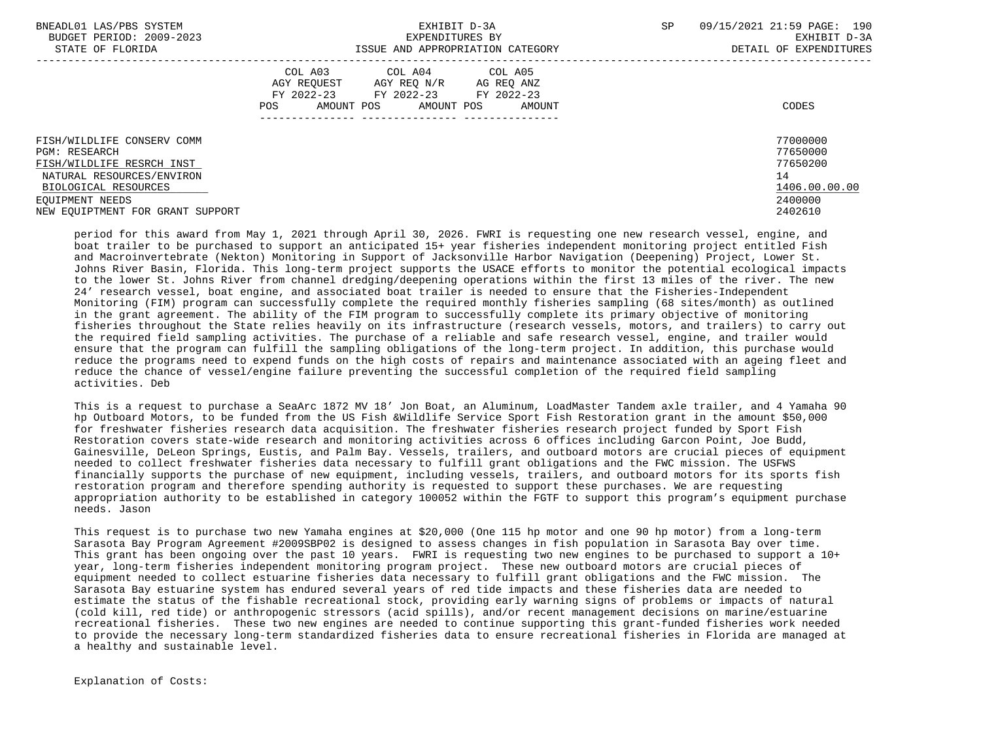| BNEADL01 LAS/PBS SYSTEM<br>BUDGET PERIOD: 2009-2023 | EXHIBIT D-3A<br>EXPENDITURES BY                                  | <b>SP</b> | 09/15/2021 21:59 PAGE: 190<br>EXHIBIT D-3A |
|-----------------------------------------------------|------------------------------------------------------------------|-----------|--------------------------------------------|
| STATE OF FLORIDA                                    | ISSUE AND APPROPRIATION CATEGORY                                 |           | DETAIL OF EXPENDITURES                     |
|                                                     | COL A03 COL A04 COL A05<br>AGY REOUEST AGY REO N/R<br>AG REQ ANZ |           |                                            |
|                                                     | FY 2022-23 FY 2022-23 FY 2022-23                                 |           |                                            |
|                                                     | AMOUNT POS<br>AMOUNT POS<br>POS<br>AMOUNT                        |           | CODES                                      |
|                                                     |                                                                  |           |                                            |
| FISH/WILDLIFE CONSERV COMM                          |                                                                  |           | 77000000                                   |
| PGM: RESEARCH                                       |                                                                  |           | 77650000                                   |
| FISH/WILDLIFE RESRCH INST                           |                                                                  |           | 77650200                                   |
| NATURAL RESOURCES/ENVIRON                           |                                                                  |           | 14                                         |
| BIOLOGICAL RESOURCES                                |                                                                  |           | 1406.00.00.00                              |
| EOUIPMENT NEEDS                                     |                                                                  |           | 2400000                                    |
| NEW EOUIPTMENT FOR GRANT SUPPORT                    |                                                                  |           | 2402610                                    |

 period for this award from May 1, 2021 through April 30, 2026. FWRI is requesting one new research vessel, engine, and boat trailer to be purchased to support an anticipated 15+ year fisheries independent monitoring project entitled Fish and Macroinvertebrate (Nekton) Monitoring in Support of Jacksonville Harbor Navigation (Deepening) Project, Lower St. Johns River Basin, Florida. This long-term project supports the USACE efforts to monitor the potential ecological impacts to the lower St. Johns River from channel dredging/deepening operations within the first 13 miles of the river. The new 24' research vessel, boat engine, and associated boat trailer is needed to ensure that the Fisheries-Independent Monitoring (FIM) program can successfully complete the required monthly fisheries sampling (68 sites/month) as outlined in the grant agreement. The ability of the FIM program to successfully complete its primary objective of monitoring fisheries throughout the State relies heavily on its infrastructure (research vessels, motors, and trailers) to carry out the required field sampling activities. The purchase of a reliable and safe research vessel, engine, and trailer would ensure that the program can fulfill the sampling obligations of the long-term project. In addition, this purchase would reduce the programs need to expend funds on the high costs of repairs and maintenance associated with an ageing fleet and reduce the chance of vessel/engine failure preventing the successful completion of the required field sampling activities. Deb

 This is a request to purchase a SeaArc 1872 MV 18' Jon Boat, an Aluminum, LoadMaster Tandem axle trailer, and 4 Yamaha 90 hp Outboard Motors, to be funded from the US Fish &Wildlife Service Sport Fish Restoration grant in the amount \$50,000 for freshwater fisheries research data acquisition. The freshwater fisheries research project funded by Sport Fish Restoration covers state-wide research and monitoring activities across 6 offices including Garcon Point, Joe Budd, Gainesville, DeLeon Springs, Eustis, and Palm Bay. Vessels, trailers, and outboard motors are crucial pieces of equipment needed to collect freshwater fisheries data necessary to fulfill grant obligations and the FWC mission. The USFWS financially supports the purchase of new equipment, including vessels, trailers, and outboard motors for its sports fish restoration program and therefore spending authority is requested to support these purchases. We are requesting appropriation authority to be established in category 100052 within the FGTF to support this program's equipment purchase needs. Jason

 This request is to purchase two new Yamaha engines at \$20,000 (One 115 hp motor and one 90 hp motor) from a long-term Sarasota Bay Program Agreement #2009SBP02 is designed to assess changes in fish population in Sarasota Bay over time. This grant has been ongoing over the past 10 years. FWRI is requesting two new engines to be purchased to support a 10+ year, long-term fisheries independent monitoring program project. These new outboard motors are crucial pieces of equipment needed to collect estuarine fisheries data necessary to fulfill grant obligations and the FWC mission. The Sarasota Bay estuarine system has endured several years of red tide impacts and these fisheries data are needed to estimate the status of the fishable recreational stock, providing early warning signs of problems or impacts of natural (cold kill, red tide) or anthropogenic stressors (acid spills), and/or recent management decisions on marine/estuarine recreational fisheries. These two new engines are needed to continue supporting this grant-funded fisheries work needed to provide the necessary long-term standardized fisheries data to ensure recreational fisheries in Florida are managed at a healthy and sustainable level.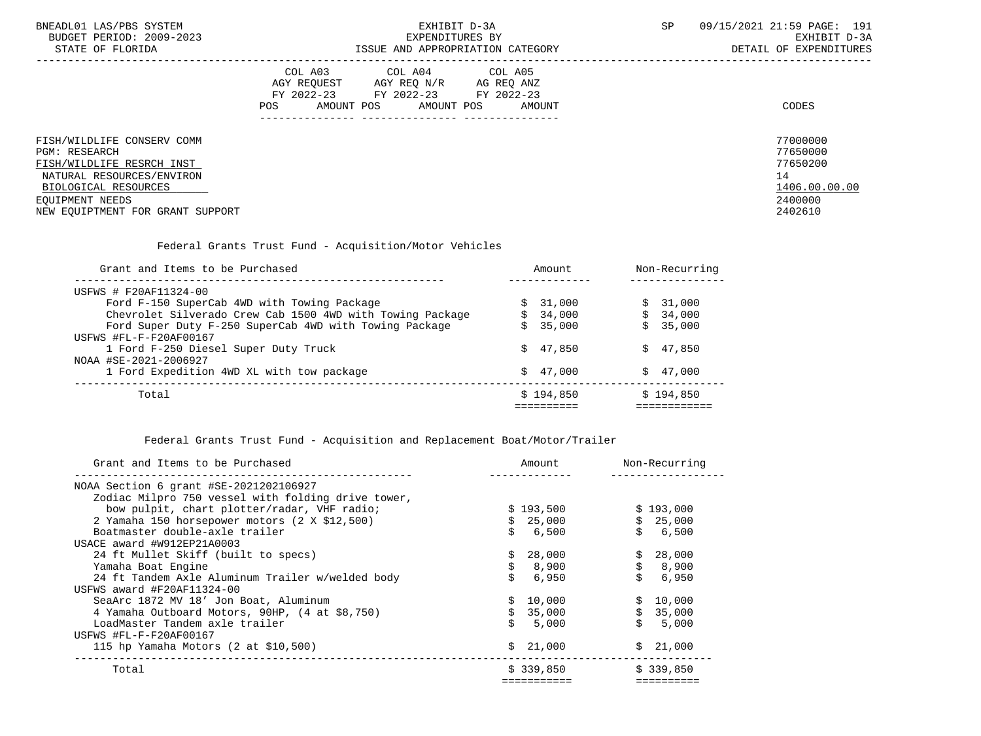| BNEADL01 LAS/PBS SYSTEM     |                                           | CΕ | . 21:59 PAGE:<br>09/15/2021<br>191 |
|-----------------------------|-------------------------------------------|----|------------------------------------|
| 2009-2023<br>BUDGET PERIOD: | 'XPENDI'<br>ITURES BY                     |    | $D - 3D$<br>EXHI<br>1 R L          |
| FLORIDA<br>STATE OF         | AND<br>CATEGORY<br>ISSUE<br>APPROPRIATION |    | EXPENDITURES<br>OF<br>DETAIL       |

|                                                                                                                                      | COL A03<br>AGY REOUEST<br>FY 2022-23<br>AMOUNT POS<br>POS. | COL A04<br>AGY REO N/R<br>FY 2022-23<br>AMOUNT POS | COL A05<br>AG REO ANZ<br>FY 2022-23<br>AMOUNT | CODES                                                   |
|--------------------------------------------------------------------------------------------------------------------------------------|------------------------------------------------------------|----------------------------------------------------|-----------------------------------------------|---------------------------------------------------------|
| FISH/WILDLIFE CONSERV COMM<br><b>PGM: RESEARCH</b><br>FISH/WILDLIFE RESRCH INST<br>NATURAL RESOURCES/ENVIRON<br>BIOLOGICAL RESOURCES |                                                            |                                                    |                                               | 77000000<br>77650000<br>77650200<br>14<br>1406.00.00.00 |
| EOUIPMENT NEEDS<br>NEW EOUIPTMENT FOR GRANT SUPPORT                                                                                  |                                                            |                                                    |                                               | 2400000<br>2402610                                      |

Federal Grants Trust Fund - Acquisition/Motor Vehicles

| Grant and Items to be Purchased                           | Amount    | Non-Recurring |
|-----------------------------------------------------------|-----------|---------------|
| USFWS # F20AF11324-00                                     |           |               |
| Ford F-150 SuperCab 4WD with Towing Package               | \$31,000  | \$31,000      |
| Chevrolet Silverado Crew Cab 1500 4WD with Towing Package | \$34,000  | \$34,000      |
| Ford Super Duty F-250 SuperCab 4WD with Towing Package    | \$35,000  | \$35,000      |
| USFWS #FL-F-F20AF00167                                    |           |               |
| 1 Ford F-250 Diesel Super Duty Truck                      | \$47,850  | \$47,850      |
| NOAA #SE-2021-2006927                                     |           |               |
| 1 Ford Expedition 4WD XL with tow package                 | \$47,000  | \$47.000      |
| Total                                                     | \$194,850 | \$194,850     |
|                                                           |           |               |

Federal Grants Trust Fund - Acquisition and Replacement Boat/Motor/Trailer

| Grant and Items to be Purchased                    | Amount    | Non-Recurring |
|----------------------------------------------------|-----------|---------------|
| NOAA Section 6 grant #SE-2021202106927             |           |               |
| Zodiac Milpro 750 vessel with folding drive tower, |           |               |
| bow pulpit, chart plotter/radar, VHF radio;        | \$193,500 | \$193,000     |
| 2 Yamaha 150 horsepower motors (2 X \$12,500)      | \$25,000  | \$25,000      |
| Boatmaster double-axle trailer                     | 6,500     | 6,500         |
| USACE award #W912EP21A0003                         |           |               |
| 24 ft Mullet Skiff (built to specs)                | 28,000    | \$28,000      |
| Yamaha Boat Engine                                 | \$8,900   | \$8,900       |
| 24 ft Tandem Axle Aluminum Trailer w/welded body   | 6,950     | 6,950         |
| USFWS award #F20AF11324-00                         |           |               |
| SeaArc 1872 MV 18' Jon Boat, Aluminum              | \$10,000  | \$10,000      |
| 4 Yamaha Outboard Motors, 90HP, (4 at \$8,750)     | \$35,000  | \$35,000      |
| LoadMaster Tandem axle trailer                     | 5,000     | 5,000         |
| USFWS #FL-F-F20AF00167                             |           |               |
| 115 hp Yamaha Motors (2 at \$10,500)               | \$21,000  | \$21,000      |
| Total                                              | \$339,850 | \$339,850     |
|                                                    |           |               |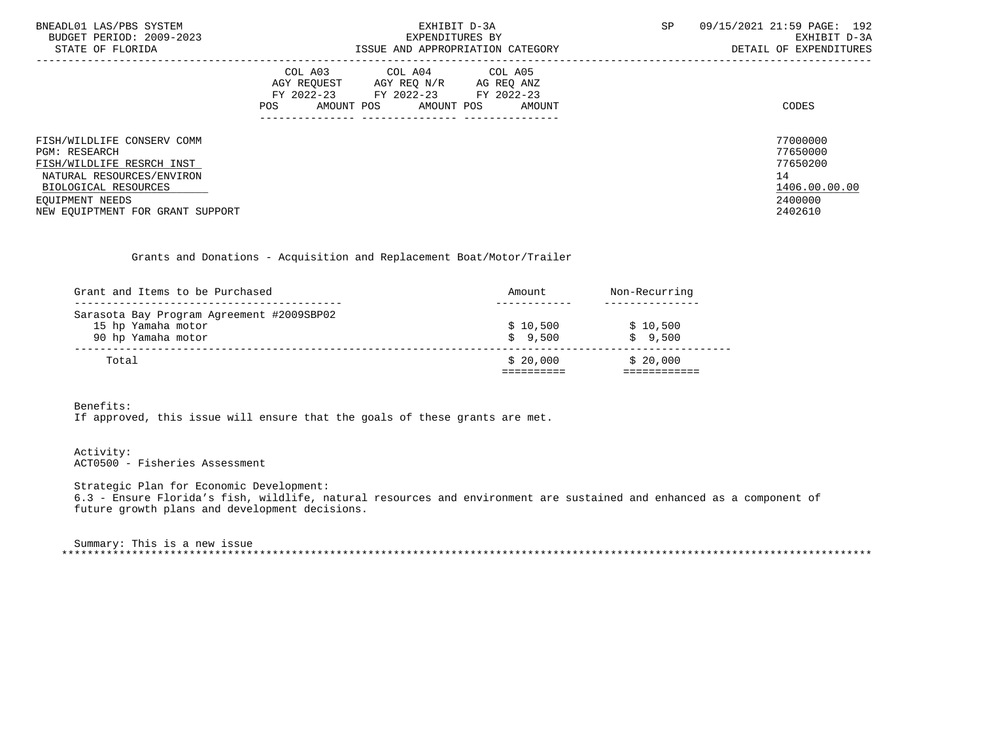| BNEADL01 LAS/PBS SYSTEM<br>BUDGET PERIOD: 2009-2023<br>STATE OF FLORIDA        | EXHIBIT D-3A<br>EXPENDITURES BY<br>ISSUE AND APPROPRIATION CATEGORY                                                                                  | 09/15/2021 21:59 PAGE: 192<br><b>SP</b><br>EXHIBIT D-3A<br>DETAIL OF EXPENDITURES |  |  |
|--------------------------------------------------------------------------------|------------------------------------------------------------------------------------------------------------------------------------------------------|-----------------------------------------------------------------------------------|--|--|
|                                                                                | COL A03 COL A04 COL A05<br>AGY REOUEST<br>AGY REO N/R<br>AG REQ ANZ<br>FY 2022-23 FY 2022-23 FY 2022-23<br>AMOUNT POS<br>AMOUNT POS<br>POS<br>AMOUNT | CODES                                                                             |  |  |
| FISH/WILDLIFE CONSERV COMM<br><b>PGM: RESEARCH</b>                             |                                                                                                                                                      | 77000000<br>77650000<br>77650200                                                  |  |  |
| FISH/WILDLIFE RESRCH INST<br>NATURAL RESOURCES/ENVIRON<br>BIOLOGICAL RESOURCES |                                                                                                                                                      | 14<br>1406.00.00.00                                                               |  |  |
| EOUIPMENT NEEDS<br>NEW EOUIPTMENT FOR GRANT SUPPORT                            |                                                                                                                                                      | 2400000<br>2402610                                                                |  |  |

Grants and Donations - Acquisition and Replacement Boat/Motor/Trailer

| Grant and Items to be Purchased           | Amount   | Non-Recurring |
|-------------------------------------------|----------|---------------|
|                                           |          |               |
| Sarasota Bay Program Agreement #2009SBP02 |          |               |
| 15 hp Yamaha motor                        | \$10,500 | \$10,500      |
| 90 hp Yamaha motor                        | \$9.500  | \$9.500       |
| Total                                     | \$20.000 | \$20.000      |
|                                           |          |               |

Benefits:

If approved, this issue will ensure that the goals of these grants are met.

 Activity: ACT0500 - Fisheries Assessment

 Strategic Plan for Economic Development: 6.3 - Ensure Florida's fish, wildlife, natural resources and environment are sustained and enhanced as a component of future growth plans and development decisions.

 Summary: This is a new issue \*\*\*\*\*\*\*\*\*\*\*\*\*\*\*\*\*\*\*\*\*\*\*\*\*\*\*\*\*\*\*\*\*\*\*\*\*\*\*\*\*\*\*\*\*\*\*\*\*\*\*\*\*\*\*\*\*\*\*\*\*\*\*\*\*\*\*\*\*\*\*\*\*\*\*\*\*\*\*\*\*\*\*\*\*\*\*\*\*\*\*\*\*\*\*\*\*\*\*\*\*\*\*\*\*\*\*\*\*\*\*\*\*\*\*\*\*\*\*\*\*\*\*\*\*\*\*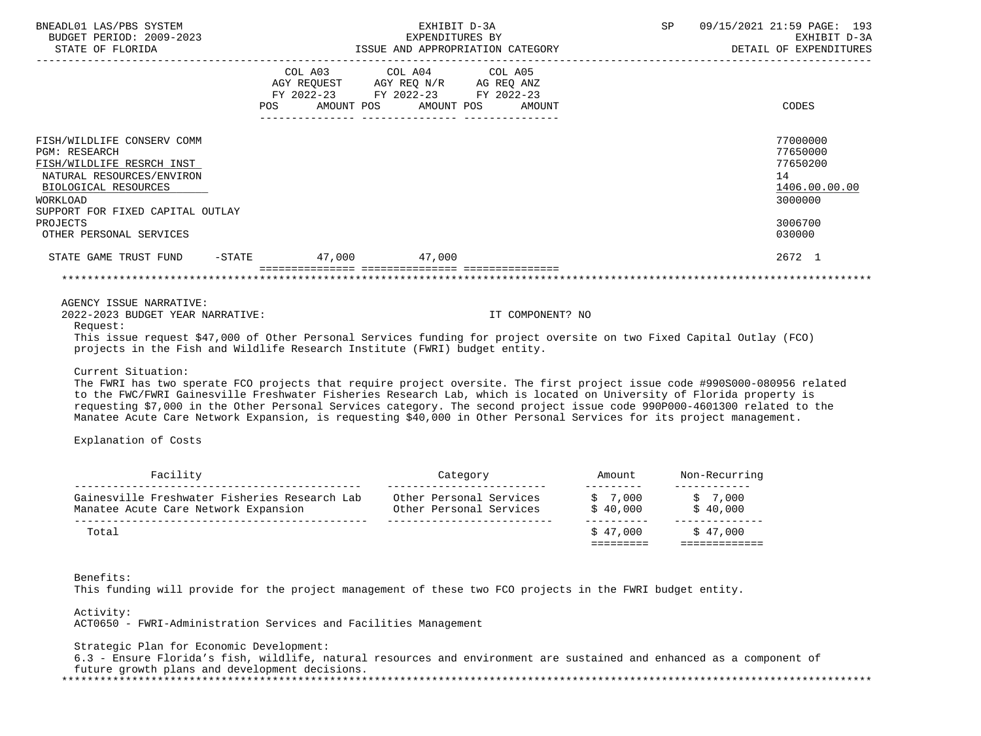| BNEADL01 LAS/PBS SYSTEM<br>BUDGET PERIOD: 2009-2023<br>STATE OF FLORIDA<br>-----------------                                                                                                                                                                                                                                                                                                                                                                                                                                                                                                                                                                                                                                                                                                                                         | EXHIBIT D-3A<br>EXPENDITURES BY<br>ISSUE AND APPROPRIATION CATEGORY                                                                                                                                                                                                  |                                    | SP<br>09/15/2021 21:59 PAGE: 193<br>EXHIBIT D-3A<br>DETAIL OF EXPENDITURES<br>_______________________________ |
|--------------------------------------------------------------------------------------------------------------------------------------------------------------------------------------------------------------------------------------------------------------------------------------------------------------------------------------------------------------------------------------------------------------------------------------------------------------------------------------------------------------------------------------------------------------------------------------------------------------------------------------------------------------------------------------------------------------------------------------------------------------------------------------------------------------------------------------|----------------------------------------------------------------------------------------------------------------------------------------------------------------------------------------------------------------------------------------------------------------------|------------------------------------|---------------------------------------------------------------------------------------------------------------|
|                                                                                                                                                                                                                                                                                                                                                                                                                                                                                                                                                                                                                                                                                                                                                                                                                                      | COL A03 COL A04 COL A05<br>$\begin{tabular}{lllllll} \bf AGY & \bf REQUEST & \bf AGY & \bf REQ & \tt N/R & \tt AG & \tt REQ & \tt ANZ \\ \bf FY & \tt 2022-23 & \tt FY & \tt 2022-23 & \tt FY & \tt 2022-23 \\ \end{tabular}$<br>POS AMOUNT POS AMOUNT POS<br>AMOUNT |                                    | CODES                                                                                                         |
| FISH/WILDLIFE CONSERV COMM<br><b>PGM: RESEARCH</b><br>FISH/WILDLIFE RESRCH INST<br>NATURAL RESOURCES/ENVIRON<br>BIOLOGICAL RESOURCES<br>WORKLOAD<br>SUPPORT FOR FIXED CAPITAL OUTLAY<br>PROJECTS                                                                                                                                                                                                                                                                                                                                                                                                                                                                                                                                                                                                                                     |                                                                                                                                                                                                                                                                      |                                    | 77000000<br>77650000<br>77650200<br>14<br>1406.00.00.00<br>3000000<br>3006700                                 |
| OTHER PERSONAL SERVICES                                                                                                                                                                                                                                                                                                                                                                                                                                                                                                                                                                                                                                                                                                                                                                                                              |                                                                                                                                                                                                                                                                      |                                    | 030000                                                                                                        |
| STATE GAME TRUST FUND -STATE 47,000 47,000                                                                                                                                                                                                                                                                                                                                                                                                                                                                                                                                                                                                                                                                                                                                                                                           |                                                                                                                                                                                                                                                                      |                                    | 2672 1                                                                                                        |
|                                                                                                                                                                                                                                                                                                                                                                                                                                                                                                                                                                                                                                                                                                                                                                                                                                      |                                                                                                                                                                                                                                                                      |                                    |                                                                                                               |
| AGENCY ISSUE NARRATIVE:<br>2022-2023 BUDGET YEAR NARRATIVE:<br>Request:<br>This issue request \$47,000 of Other Personal Services funding for project oversite on two Fixed Capital Outlay (FCO)<br>projects in the Fish and Wildlife Research Institute (FWRI) budget entity.<br>Current Situation:<br>The FWRI has two sperate FCO projects that require project oversite. The first project issue code #990S000-080956 related<br>to the FWC/FWRI Gainesville Freshwater Fisheries Research Lab, which is located on University of Florida property is<br>requesting \$7,000 in the Other Personal Services category. The second project issue code 990P000-4601300 related to the<br>Manatee Acute Care Network Expansion, is requesting \$40,000 in Other Personal Services for its project management.<br>Explanation of Costs | IT COMPONENT? NO                                                                                                                                                                                                                                                     |                                    |                                                                                                               |
| Facility                                                                                                                                                                                                                                                                                                                                                                                                                                                                                                                                                                                                                                                                                                                                                                                                                             | Category<br>-----------------------                                                                                                                                                                                                                                  | Amount Non-Recurring<br>---------- |                                                                                                               |
| Gainesville Freshwater Fisheries Research Lab Other Personal Services<br>Manatee Acute Care Network Expansion<br>Cher Personal Services 5 40,000 \$ 40,000 \$ 40,000 \$ 40,000 \$ 40,000 \$ 40,000 \$ 40,000 \$ 40,000 \$ 40,000 \$ 40,000 \$ 40,000 \$ 40,000 \$ 40,000 \$ 40,000 \$ 40,000 \$ 40,000 \$ 40,000 \$ 40,000                                                                                                                                                                                                                                                                                                                                                                                                                                                                                                           |                                                                                                                                                                                                                                                                      | \$7,000                            | \$7,000                                                                                                       |
| Total                                                                                                                                                                                                                                                                                                                                                                                                                                                                                                                                                                                                                                                                                                                                                                                                                                |                                                                                                                                                                                                                                                                      |                                    | $$47,000$ $$47,000$<br>--------------                                                                         |
| Benefits:<br>This funding will provide for the project management of these two FCO projects in the FWRI budget entity.<br>Activity:<br>ACT0650 - FWRI-Administration Services and Facilities Management<br>Strategic Plan for Economic Development:<br>6.3 - Ensure Florida's fish, wildlife, natural resources and environment are sustained and enhanced as a component of<br>future growth plans and development decisions.<br>************************************                                                                                                                                                                                                                                                                                                                                                               |                                                                                                                                                                                                                                                                      |                                    |                                                                                                               |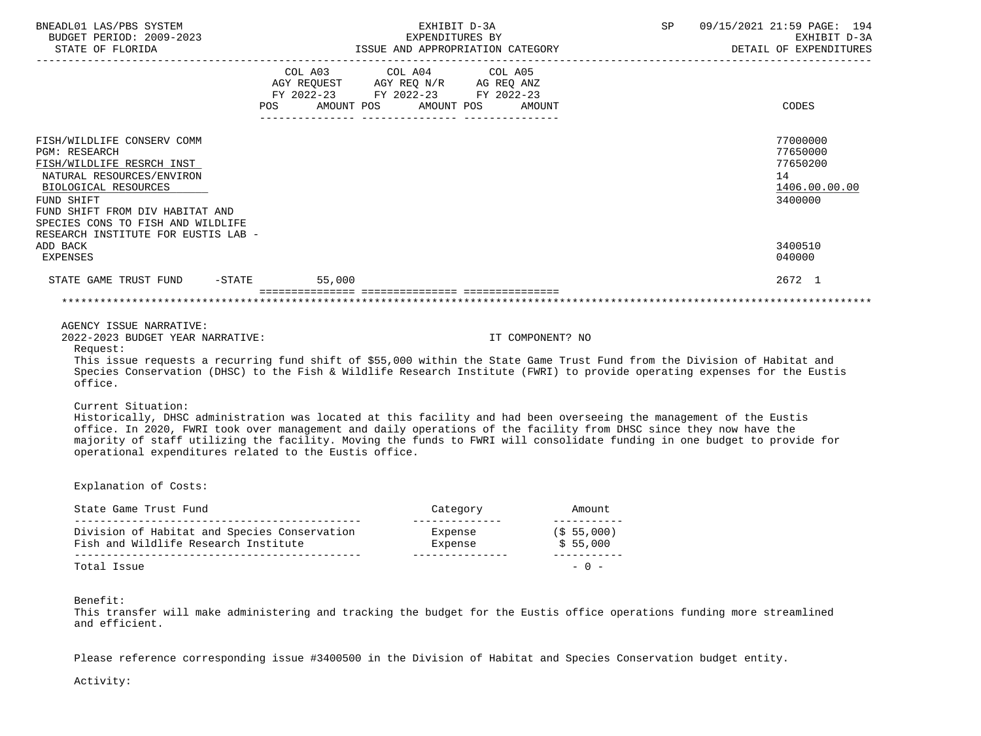| BNEADL01 LAS/PBS SYSTEM<br>BUDGET PERIOD: 2009-2023<br>STATE OF FLORIDA                                                                                                                                                                                                                                                                                                                                                                              |                                                                                                                                                                                                                                                                                                                                                 | EXHIBIT D-3A<br>EXPENDITURES BY |                  | SP<br>ISSUE AND APPROPRIATION CATEGORY | 09/15/2021 21:59 PAGE: 194<br>EXHIBIT D-3A<br>DETAIL OF EXPENDITURES |
|------------------------------------------------------------------------------------------------------------------------------------------------------------------------------------------------------------------------------------------------------------------------------------------------------------------------------------------------------------------------------------------------------------------------------------------------------|-------------------------------------------------------------------------------------------------------------------------------------------------------------------------------------------------------------------------------------------------------------------------------------------------------------------------------------------------|---------------------------------|------------------|----------------------------------------|----------------------------------------------------------------------|
|                                                                                                                                                                                                                                                                                                                                                                                                                                                      | $\begin{tabular}{lllllllllll} &\multicolumn{4}{c}{\text{COL A03}} &\multicolumn{4}{c}{\text{COL A04}} &\multicolumn{4}{c}{\text{COL A05}} \\ \multicolumn{4}{c}{\text{AGY REQUEST}} &\multicolumn{4}{c}{\text{AGY REQ ANZ}} &\multicolumn{4}{c}{\text{COL A06}} \end{tabular}$<br>FY 2022-23 FY 2022-23 FY 2022-23<br>POS AMOUNT POS AMOUNT POS |                                 | AMOUNT           |                                        | CODES                                                                |
| FISH/WILDLIFE CONSERV COMM<br><b>PGM: RESEARCH</b><br>FISH/WILDLIFE RESRCH INST<br>NATURAL RESOURCES/ENVIRON<br>BIOLOGICAL RESOURCES<br>FUND SHIFT<br>FUND SHIFT FROM DIV HABITAT AND<br>SPECIES CONS TO FISH AND WILDLIFE                                                                                                                                                                                                                           |                                                                                                                                                                                                                                                                                                                                                 |                                 |                  |                                        | 77000000<br>77650000<br>77650200<br>14<br>1406.00.00.00<br>3400000   |
| RESEARCH INSTITUTE FOR EUSTIS LAB -<br>ADD BACK<br>EXPENSES                                                                                                                                                                                                                                                                                                                                                                                          |                                                                                                                                                                                                                                                                                                                                                 |                                 |                  |                                        | 3400510<br>040000                                                    |
| STATE GAME TRUST FUND -STATE 55,000                                                                                                                                                                                                                                                                                                                                                                                                                  |                                                                                                                                                                                                                                                                                                                                                 |                                 |                  |                                        | 2672 1                                                               |
|                                                                                                                                                                                                                                                                                                                                                                                                                                                      |                                                                                                                                                                                                                                                                                                                                                 |                                 |                  |                                        |                                                                      |
| AGENCY ISSUE NARRATIVE:<br>2022-2023 BUDGET YEAR NARRATIVE:<br>Request:                                                                                                                                                                                                                                                                                                                                                                              |                                                                                                                                                                                                                                                                                                                                                 |                                 | IT COMPONENT? NO |                                        |                                                                      |
| This issue requests a recurring fund shift of \$55,000 within the State Game Trust Fund from the Division of Habitat and<br>Species Conservation (DHSC) to the Fish & Wildlife Research Institute (FWRI) to provide operating expenses for the Eustis<br>office.                                                                                                                                                                                     |                                                                                                                                                                                                                                                                                                                                                 |                                 |                  |                                        |                                                                      |
| Current Situation:<br>Historically, DHSC administration was located at this facility and had been overseeing the management of the Eustis<br>office. In 2020, FWRI took over management and daily operations of the facility from DHSC since they now have the<br>majority of staff utilizing the facility. Moving the funds to FWRI will consolidate funding in one budget to provide for<br>operational expenditures related to the Eustis office. |                                                                                                                                                                                                                                                                                                                                                 |                                 |                  |                                        |                                                                      |
| Explanation of Costs:                                                                                                                                                                                                                                                                                                                                                                                                                                |                                                                                                                                                                                                                                                                                                                                                 |                                 |                  |                                        |                                                                      |
| State Game Trust Fund                                                                                                                                                                                                                                                                                                                                                                                                                                |                                                                                                                                                                                                                                                                                                                                                 | Category                        |                  | Amount                                 |                                                                      |

| DCUCC OUTS IINDC INIU                                                                |                    |                        |
|--------------------------------------------------------------------------------------|--------------------|------------------------|
| Division of Habitat and Species Conservation<br>Fish and Wildlife Research Institute | Expense<br>Expense | (\$55,000)<br>\$55,000 |
| Total Issue                                                                          |                    | $-0$ $-$               |

Benefit:

 This transfer will make administering and tracking the budget for the Eustis office operations funding more streamlined and efficient.

Please reference corresponding issue #3400500 in the Division of Habitat and Species Conservation budget entity.

Activity: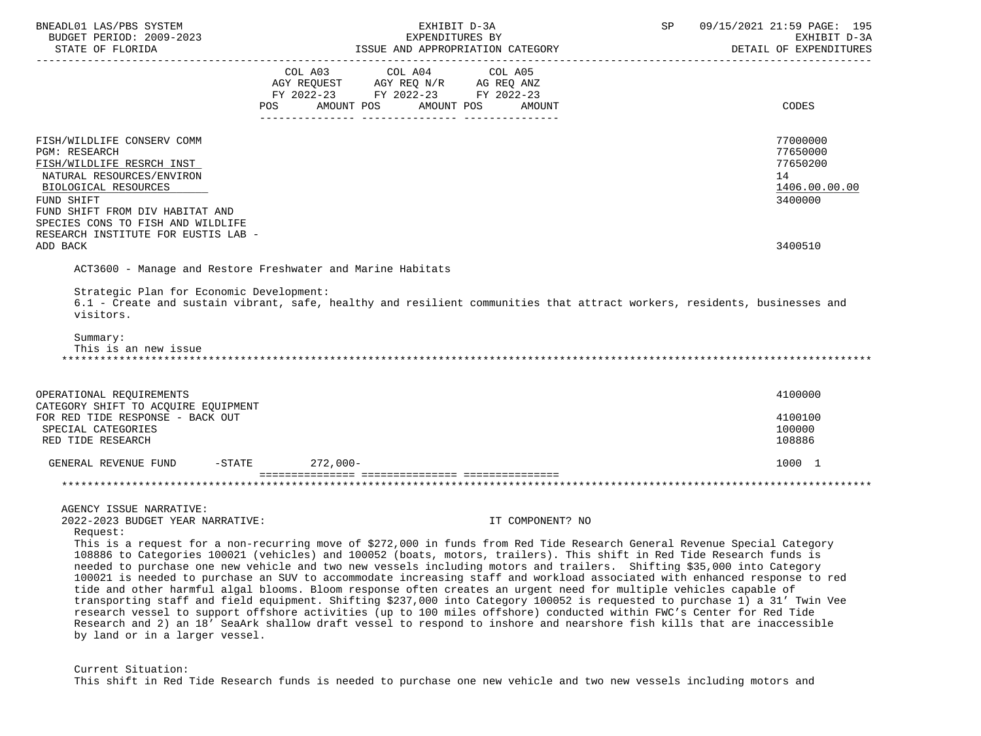| BNEADL01 LAS/PBS SYSTEM<br>BUDGET PERIOD: 2009-2023<br>STATE OF FLORIDA                                                                                                                                                    | EXHIBIT D-3A<br>EXPENDITURES BY<br>ISSUE AND APPROPRIATION CATEGORY                                                                                                                                                                                                                                                                                                                                                                                                                                                                                                                                                                                                                                                                                                                                                                                                                                                                                                                                                               | SP | 09/15/2021 21:59 PAGE: 195<br>EXHIBIT D-3A<br>DETAIL OF EXPENDITURES |
|----------------------------------------------------------------------------------------------------------------------------------------------------------------------------------------------------------------------------|-----------------------------------------------------------------------------------------------------------------------------------------------------------------------------------------------------------------------------------------------------------------------------------------------------------------------------------------------------------------------------------------------------------------------------------------------------------------------------------------------------------------------------------------------------------------------------------------------------------------------------------------------------------------------------------------------------------------------------------------------------------------------------------------------------------------------------------------------------------------------------------------------------------------------------------------------------------------------------------------------------------------------------------|----|----------------------------------------------------------------------|
|                                                                                                                                                                                                                            | COL A03 COL A04 COL A05<br>FY 2022-23 FY 2022-23 FY 2022-23<br>AMOUNT POS<br>AMOUNT POS<br>POS<br>AMOUNT                                                                                                                                                                                                                                                                                                                                                                                                                                                                                                                                                                                                                                                                                                                                                                                                                                                                                                                          |    | CODES                                                                |
| FISH/WILDLIFE CONSERV COMM<br><b>PGM: RESEARCH</b><br>FISH/WILDLIFE RESRCH INST<br>NATURAL RESOURCES/ENVIRON<br>BIOLOGICAL RESOURCES<br>FUND SHIFT<br>FUND SHIFT FROM DIV HABITAT AND<br>SPECIES CONS TO FISH AND WILDLIFE |                                                                                                                                                                                                                                                                                                                                                                                                                                                                                                                                                                                                                                                                                                                                                                                                                                                                                                                                                                                                                                   |    | 77000000<br>77650000<br>77650200<br>14<br>1406.00.00.00<br>3400000   |
| RESEARCH INSTITUTE FOR EUSTIS LAB -<br>ADD BACK                                                                                                                                                                            |                                                                                                                                                                                                                                                                                                                                                                                                                                                                                                                                                                                                                                                                                                                                                                                                                                                                                                                                                                                                                                   |    | 3400510                                                              |
| Strategic Plan for Economic Development:<br>visitors.<br>Summary:<br>This is an new issue                                                                                                                                  | 6.1 - Create and sustain vibrant, safe, healthy and resilient communities that attract workers, residents, businesses and                                                                                                                                                                                                                                                                                                                                                                                                                                                                                                                                                                                                                                                                                                                                                                                                                                                                                                         |    |                                                                      |
| OPERATIONAL REQUIREMENTS<br>CATEGORY SHIFT TO ACQUIRE EQUIPMENT                                                                                                                                                            |                                                                                                                                                                                                                                                                                                                                                                                                                                                                                                                                                                                                                                                                                                                                                                                                                                                                                                                                                                                                                                   |    | 4100000                                                              |
| FOR RED TIDE RESPONSE - BACK OUT<br>SPECIAL CATEGORIES<br>RED TIDE RESEARCH                                                                                                                                                |                                                                                                                                                                                                                                                                                                                                                                                                                                                                                                                                                                                                                                                                                                                                                                                                                                                                                                                                                                                                                                   |    | 4100100<br>100000<br>108886                                          |
| GENERAL REVENUE FUND -STATE 272,000-                                                                                                                                                                                       |                                                                                                                                                                                                                                                                                                                                                                                                                                                                                                                                                                                                                                                                                                                                                                                                                                                                                                                                                                                                                                   |    | 1000 1                                                               |
| AGENCY ISSUE NARRATIVE:                                                                                                                                                                                                    |                                                                                                                                                                                                                                                                                                                                                                                                                                                                                                                                                                                                                                                                                                                                                                                                                                                                                                                                                                                                                                   |    |                                                                      |
| 2022-2023 BUDGET YEAR NARRATIVE:<br>Request:<br>by land or in a larger vessel.                                                                                                                                             | IT COMPONENT? NO<br>This is a request for a non-recurring move of \$272,000 in funds from Red Tide Research General Revenue Special Category<br>108886 to Categories 100021 (vehicles) and 100052 (boats, motors, trailers). This shift in Red Tide Research funds is<br>needed to purchase one new vehicle and two new vessels including motors and trailers. Shifting \$35,000 into Category<br>100021 is needed to purchase an SUV to accommodate increasing staff and workload associated with enhanced response to red<br>tide and other harmful algal blooms. Bloom response often creates an urgent need for multiple vehicles capable of<br>transporting staff and field equipment. Shifting \$237,000 into Category 100052 is requested to purchase 1) a 31' Twin Vee<br>research vessel to support offshore activities (up to 100 miles offshore) conducted within FWC's Center for Red Tide<br>Research and 2) an 18' SeaArk shallow draft vessel to respond to inshore and nearshore fish kills that are inaccessible |    |                                                                      |

 Current Situation: This shift in Red Tide Research funds is needed to purchase one new vehicle and two new vessels including motors and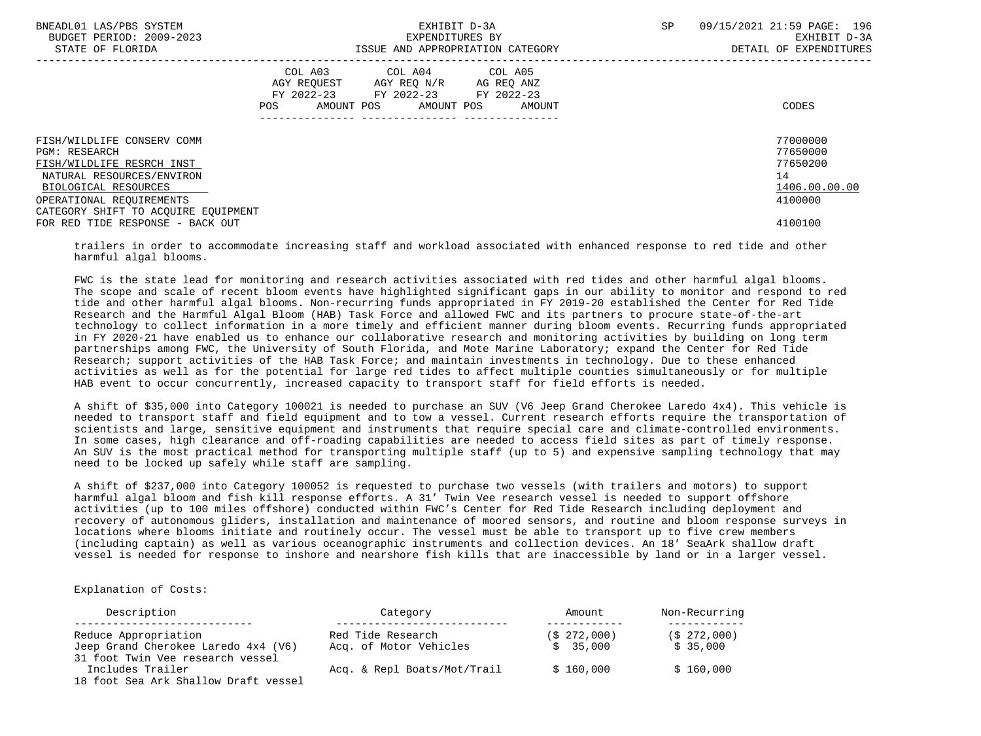| BNEADL01 LAS/PBS SYSTEM<br>BUDGET PERIOD: 2009-2023<br>STATE OF FLORIDA |                   | EXHIBIT D-3A<br>EXPENDITURES BY                                                                                 | ISSUE AND APPROPRIATION CATEGORY | 09/15/2021 21:59 PAGE: 196<br>SP.<br>EXHIBIT D-3A<br>DETAIL OF EXPENDITURES |                      |  |
|-------------------------------------------------------------------------|-------------------|-----------------------------------------------------------------------------------------------------------------|----------------------------------|-----------------------------------------------------------------------------|----------------------|--|
|                                                                         | AMOUNT POS<br>POS | COL A03 COL A04 COL A05<br>AGY REQUEST AGY REQ N/R AG REQ ANZ<br>FY 2022-23 FY 2022-23 FY 2022-23<br>AMOUNT POS | AMOUNT                           |                                                                             | CODES                |  |
| FISH/WILDLIFE CONSERV COMM<br>PGM: RESEARCH                             |                   |                                                                                                                 |                                  |                                                                             | 77000000<br>77650000 |  |
| FISH/WILDLIFE RESRCH INST                                               |                   |                                                                                                                 |                                  |                                                                             | 77650200             |  |
| NATURAL RESOURCES/ENVIRON<br>BIOLOGICAL RESOURCES                       |                   |                                                                                                                 |                                  |                                                                             | 14<br>1406.00.00.00  |  |
| OPERATIONAL REOUIREMENTS<br>CATEGORY SHIFT TO ACOUIRE EOUIPMENT         |                   |                                                                                                                 |                                  |                                                                             | 4100000              |  |
| FOR RED TIDE RESPONSE - BACK OUT                                        |                   |                                                                                                                 |                                  |                                                                             | 4100100              |  |

 trailers in order to accommodate increasing staff and workload associated with enhanced response to red tide and other harmful algal blooms.

 FWC is the state lead for monitoring and research activities associated with red tides and other harmful algal blooms. The scope and scale of recent bloom events have highlighted significant gaps in our ability to monitor and respond to red tide and other harmful algal blooms. Non-recurring funds appropriated in FY 2019-20 established the Center for Red Tide Research and the Harmful Algal Bloom (HAB) Task Force and allowed FWC and its partners to procure state-of-the-art technology to collect information in a more timely and efficient manner during bloom events. Recurring funds appropriated in FY 2020-21 have enabled us to enhance our collaborative research and monitoring activities by building on long term partnerships among FWC, the University of South Florida, and Mote Marine Laboratory; expand the Center for Red Tide Research; support activities of the HAB Task Force; and maintain investments in technology. Due to these enhanced activities as well as for the potential for large red tides to affect multiple counties simultaneously or for multiple HAB event to occur concurrently, increased capacity to transport staff for field efforts is needed.

 A shift of \$35,000 into Category 100021 is needed to purchase an SUV (V6 Jeep Grand Cherokee Laredo 4x4). This vehicle is needed to transport staff and field equipment and to tow a vessel. Current research efforts require the transportation of scientists and large, sensitive equipment and instruments that require special care and climate-controlled environments. In some cases, high clearance and off-roading capabilities are needed to access field sites as part of timely response. An SUV is the most practical method for transporting multiple staff (up to 5) and expensive sampling technology that may need to be locked up safely while staff are sampling.

 A shift of \$237,000 into Category 100052 is requested to purchase two vessels (with trailers and motors) to support harmful algal bloom and fish kill response efforts. A 31' Twin Vee research vessel is needed to support offshore activities (up to 100 miles offshore) conducted within FWC's Center for Red Tide Research including deployment and recovery of autonomous gliders, installation and maintenance of moored sensors, and routine and bloom response surveys in locations where blooms initiate and routinely occur. The vessel must be able to transport up to five crew members (including captain) as well as various oceanographic instruments and collection devices. An 18' SeaArk shallow draft vessel is needed for response to inshore and nearshore fish kills that are inaccessible by land or in a larger vessel.

Explanation of Costs:

| Description                                                             | Category                    | Amount      | Non-Recurring |  |
|-------------------------------------------------------------------------|-----------------------------|-------------|---------------|--|
| Reduce Appropriation                                                    | Red Tide Research           | (S 272,000) | (S 272,000)   |  |
| Jeep Grand Cherokee Laredo 4x4 (V6)<br>31 foot Twin Vee research vessel | Acq. of Motor Vehicles      | \$35,000    | \$35.000      |  |
| Includes Trailer<br>18 foot Sea Ark Shallow Draft vessel                | Acq. & Repl Boats/Mot/Trail | \$160,000   | \$160,000     |  |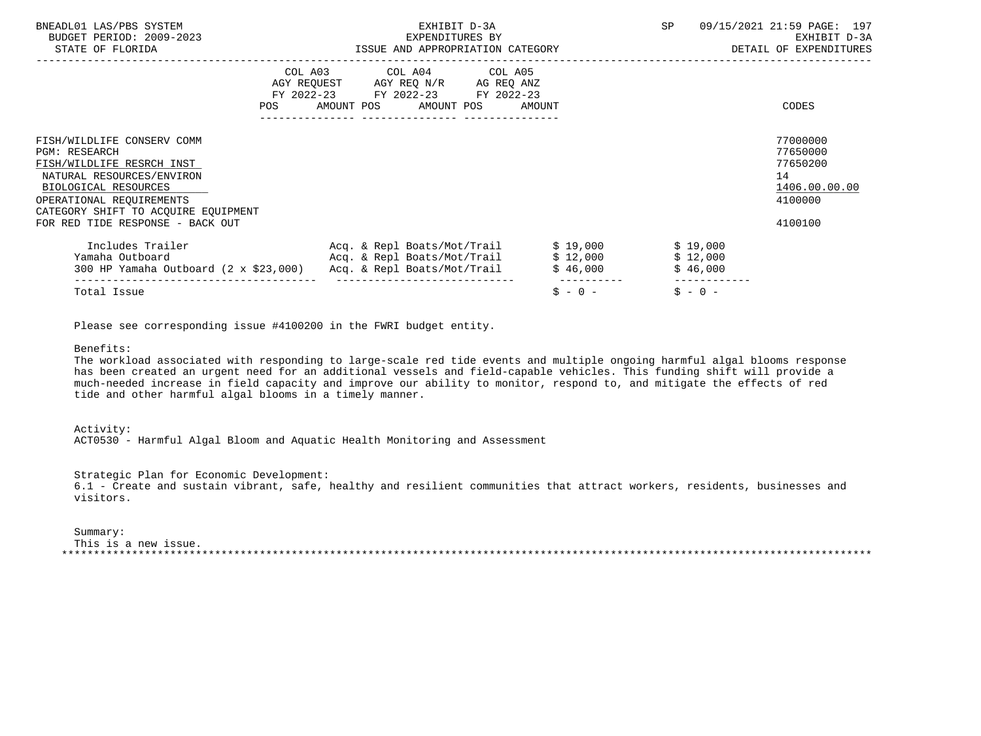| BNEADL01 LAS/PBS SYSTEM<br>BUDGET PERIOD: 2009-2023<br>STATE OF FLORIDA                                                                                                                                                                     | EXHIBIT D-3A<br>EXPENDITURES BY<br>ISSUE AND APPROPRIATION CATEGORY                                                                                                                                                                     |                          |                                  | 09/15/2021 21:59 PAGE: 197<br>EXHIBIT D-3A<br>DETAIL OF EXPENDITURES          |
|---------------------------------------------------------------------------------------------------------------------------------------------------------------------------------------------------------------------------------------------|-----------------------------------------------------------------------------------------------------------------------------------------------------------------------------------------------------------------------------------------|--------------------------|----------------------------------|-------------------------------------------------------------------------------|
| POS FOR THE POST OF THE STATE STATE STATE STATE STATE STATE STATE STATE STATE STATE STATE STATE STATE STATE ST                                                                                                                              | COL A03 COL A04 COL A05<br>AGY REQUEST AGY REQ N/R AG REQ ANZ<br>FY 2022-23 FY 2022-23 FY 2022-23<br>AMOUNT POS AMOUNT POS AMOUNT                                                                                                       |                          |                                  | CODES                                                                         |
| FISH/WILDLIFE CONSERV COMM<br><b>PGM: RESEARCH</b><br>FISH/WILDLIFE RESRCH INST<br>NATURAL RESOURCES/ENVIRON<br>BIOLOGICAL RESOURCES<br>OPERATIONAL REOUIREMENTS<br>CATEGORY SHIFT TO ACQUIRE EQUIPMENT<br>FOR RED TIDE RESPONSE - BACK OUT |                                                                                                                                                                                                                                         |                          |                                  | 77000000<br>77650000<br>77650200<br>14<br>1406.00.00.00<br>4100000<br>4100100 |
|                                                                                                                                                                                                                                             | Includes Trailer The Req. & Repl Boats/Mot/Trail \$19,000<br>Yamaha Outboard                                   Acq. & Repl Boats/Mot/Trail         \$ 12,000<br>300 HP Yamaha Outboard $(2 \times $23,000)$ Acq. & Repl Boats/Mot/Trail | \$46,000                 | \$19,000<br>\$12,000<br>\$46,000 |                                                                               |
| Total Issue                                                                                                                                                                                                                                 | ______________________________                                                                                                                                                                                                          | -----------<br>$$ - 0 -$ | $S - 0 -$                        |                                                                               |

Please see corresponding issue #4100200 in the FWRI budget entity.

### Benefits:

 The workload associated with responding to large-scale red tide events and multiple ongoing harmful algal blooms response has been created an urgent need for an additional vessels and field-capable vehicles. This funding shift will provide a much-needed increase in field capacity and improve our ability to monitor, respond to, and mitigate the effects of red tide and other harmful algal blooms in a timely manner.

#### Activity:

ACT0530 - Harmful Algal Bloom and Aquatic Health Monitoring and Assessment

Strategic Plan for Economic Development:

 6.1 - Create and sustain vibrant, safe, healthy and resilient communities that attract workers, residents, businesses and visitors.

### Summary:

 This is a new issue. \*\*\*\*\*\*\*\*\*\*\*\*\*\*\*\*\*\*\*\*\*\*\*\*\*\*\*\*\*\*\*\*\*\*\*\*\*\*\*\*\*\*\*\*\*\*\*\*\*\*\*\*\*\*\*\*\*\*\*\*\*\*\*\*\*\*\*\*\*\*\*\*\*\*\*\*\*\*\*\*\*\*\*\*\*\*\*\*\*\*\*\*\*\*\*\*\*\*\*\*\*\*\*\*\*\*\*\*\*\*\*\*\*\*\*\*\*\*\*\*\*\*\*\*\*\*\*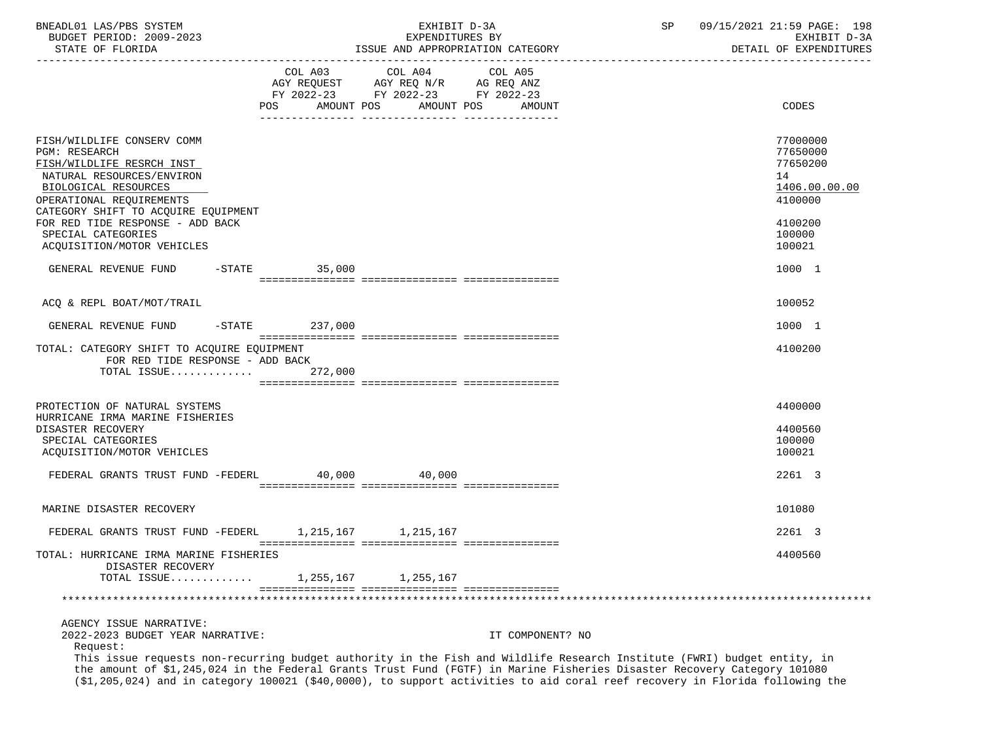| BNEADL01 LAS/PBS SYSTEM |                  |                          |  | EXHIBIT D-3A                     |  |
|-------------------------|------------------|--------------------------|--|----------------------------------|--|
|                         |                  | BUDGET PERIOD: 2009-2023 |  | EXPENDITURES BY                  |  |
|                         | STATE OF FLORIDA |                          |  | ISSUE AND APPROPRIATION CATEGORY |  |

|                                                                                                                                                                                                         | POS AMOUNT POS | COL A03 COL A04 COL A05<br>AGY REQUEST AGY REQ N/R AG REQ ANZ<br>FY 2022-23 FY 2022-23 FY 2022-23<br>AMOUNT POS | AMOUNT           | CODES                                                                                                                   |
|---------------------------------------------------------------------------------------------------------------------------------------------------------------------------------------------------------|----------------|-----------------------------------------------------------------------------------------------------------------|------------------|-------------------------------------------------------------------------------------------------------------------------|
|                                                                                                                                                                                                         |                | _______________                                                                                                 | ---------------  |                                                                                                                         |
| FISH/WILDLIFE CONSERV COMM<br><b>PGM: RESEARCH</b><br>FISH/WILDLIFE RESRCH INST<br>NATURAL RESOURCES/ENVIRON<br>BIOLOGICAL RESOURCES<br>OPERATIONAL REQUIREMENTS<br>CATEGORY SHIFT TO ACQUIRE EQUIPMENT |                |                                                                                                                 |                  | 77000000<br>77650000<br>77650200<br>14<br>1406.00.00.00<br>4100000                                                      |
| FOR RED TIDE RESPONSE - ADD BACK<br>SPECIAL CATEGORIES<br>ACQUISITION/MOTOR VEHICLES                                                                                                                    |                |                                                                                                                 |                  | 4100200<br>100000<br>100021                                                                                             |
| GENERAL REVENUE FUND<br>$-$ STATE                                                                                                                                                                       | 35,000         |                                                                                                                 |                  | 1000 1                                                                                                                  |
|                                                                                                                                                                                                         |                |                                                                                                                 |                  |                                                                                                                         |
| ACO & REPL BOAT/MOT/TRAIL                                                                                                                                                                               |                |                                                                                                                 |                  | 100052                                                                                                                  |
| $-$ STATE<br>GENERAL REVENUE FUND                                                                                                                                                                       | 237,000        |                                                                                                                 |                  | 1000 1                                                                                                                  |
| TOTAL: CATEGORY SHIFT TO ACOUIRE EOUIPMENT<br>FOR RED TIDE RESPONSE - ADD BACK<br>TOTAL ISSUE                                                                                                           | 272,000        |                                                                                                                 |                  | 4100200                                                                                                                 |
| PROTECTION OF NATURAL SYSTEMS                                                                                                                                                                           |                |                                                                                                                 |                  | 4400000                                                                                                                 |
| HURRICANE IRMA MARINE FISHERIES<br>DISASTER RECOVERY<br>SPECIAL CATEGORIES<br>ACQUISITION/MOTOR VEHICLES                                                                                                |                |                                                                                                                 |                  | 4400560<br>100000<br>100021                                                                                             |
| FEDERAL GRANTS TRUST FUND -FEDERL                                                                                                                                                                       | 40,000         | 40,000                                                                                                          |                  | 2261 3                                                                                                                  |
| MARINE DISASTER RECOVERY                                                                                                                                                                                |                |                                                                                                                 |                  | 101080                                                                                                                  |
| FEDERAL GRANTS TRUST FUND -FEDERL                                                                                                                                                                       |                | 1, 215, 167 1, 215, 167                                                                                         |                  | 2261 3                                                                                                                  |
| TOTAL: HURRICANE IRMA MARINE FISHERIES<br>DISASTER RECOVERY                                                                                                                                             |                |                                                                                                                 |                  | 4400560                                                                                                                 |
| TOTAL ISSUE 1,255,167 1,255,167                                                                                                                                                                         |                |                                                                                                                 |                  |                                                                                                                         |
|                                                                                                                                                                                                         |                |                                                                                                                 |                  |                                                                                                                         |
| AGENCY ISSUE NARRATIVE:<br>2022-2023 BUDGET YEAR NARRATIVE:<br>Request:<br>the amount of \$1,245,024 in the Federal Grants Trust Fund (FGTF) in Marine Fisheries Disaster Recovery Category 101080      |                |                                                                                                                 | IT COMPONENT? NO | This issue requests non-recurring budget authority in the Fish and Wildlife Research Institute (FWRI) budget entity, in |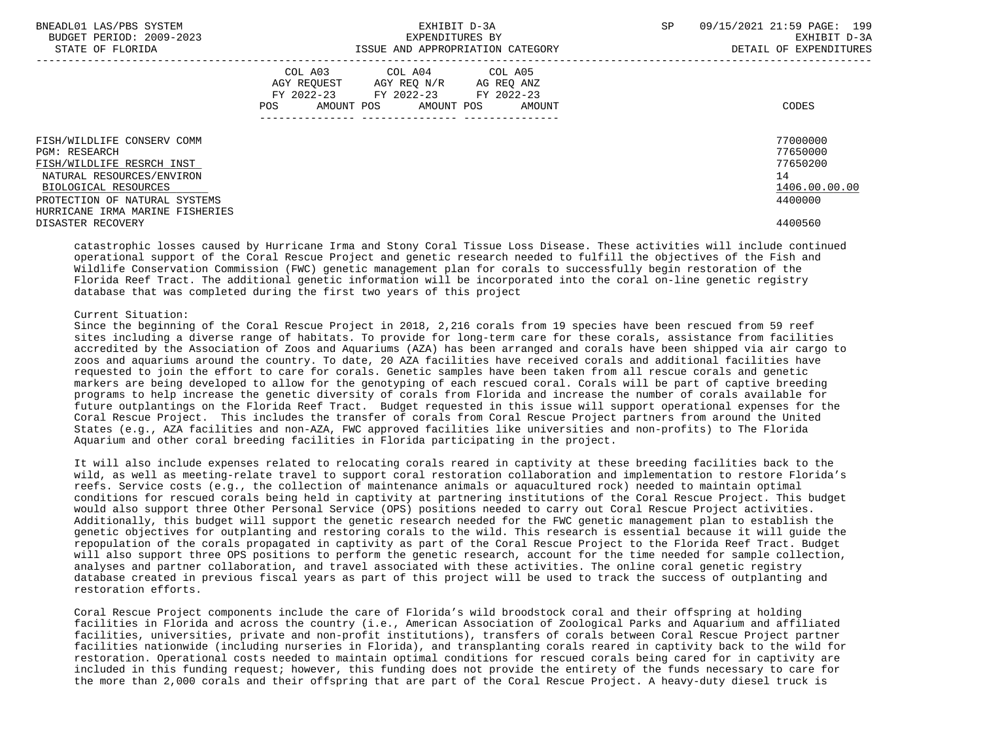| BNEADL01 LAS/PBS SYSTEM<br>BUDGET PERIOD: 2009-2023<br>STATE OF FLORIDA | EXHIBIT D-3A<br>EXPENDITURES BY<br>ISSUE AND APPROPRIATION CATEGORY                                                                         | 09/15/2021 21:59 PAGE: 199<br><b>SP</b><br>EXHIBIT D-3A<br>DETAIL OF EXPENDITURES |
|-------------------------------------------------------------------------|---------------------------------------------------------------------------------------------------------------------------------------------|-----------------------------------------------------------------------------------|
|                                                                         | COL A03 COL A04 COL A05<br>AGY REQUEST AGY REQ N/R AG REQ ANZ<br>FY 2022-23 FY 2022-23 FY 2022-23<br>AMOUNT POS AMOUNT POS<br>POS<br>AMOUNT | CODES                                                                             |
| FISH/WILDLIFE CONSERV COMM                                              |                                                                                                                                             | 77000000                                                                          |
| PGM: RESEARCH                                                           |                                                                                                                                             | 77650000                                                                          |
| FISH/WILDLIFE RESRCH INST                                               |                                                                                                                                             | 77650200                                                                          |
| NATURAL RESOURCES/ENVIRON                                               |                                                                                                                                             | 14                                                                                |
| BIOLOGICAL RESOURCES                                                    |                                                                                                                                             | 1406.00.00.00                                                                     |
| PROTECTION OF NATURAL SYSTEMS                                           |                                                                                                                                             | 4400000                                                                           |
| HURRICANE IRMA MARINE FISHERIES                                         |                                                                                                                                             |                                                                                   |
| DISASTER RECOVERY                                                       |                                                                                                                                             | 4400560                                                                           |

 catastrophic losses caused by Hurricane Irma and Stony Coral Tissue Loss Disease. These activities will include continued operational support of the Coral Rescue Project and genetic research needed to fulfill the objectives of the Fish and Wildlife Conservation Commission (FWC) genetic management plan for corals to successfully begin restoration of the Florida Reef Tract. The additional genetic information will be incorporated into the coral on-line genetic registry database that was completed during the first two years of this project

# Current Situation:

 Since the beginning of the Coral Rescue Project in 2018, 2,216 corals from 19 species have been rescued from 59 reef sites including a diverse range of habitats. To provide for long-term care for these corals, assistance from facilities accredited by the Association of Zoos and Aquariums (AZA) has been arranged and corals have been shipped via air cargo to zoos and aquariums around the country. To date, 20 AZA facilities have received corals and additional facilities have requested to join the effort to care for corals. Genetic samples have been taken from all rescue corals and genetic markers are being developed to allow for the genotyping of each rescued coral. Corals will be part of captive breeding programs to help increase the genetic diversity of corals from Florida and increase the number of corals available for future outplantings on the Florida Reef Tract. Budget requested in this issue will support operational expenses for the Coral Rescue Project. This includes the transfer of corals from Coral Rescue Project partners from around the United States (e.g., AZA facilities and non-AZA, FWC approved facilities like universities and non-profits) to The Florida Aquarium and other coral breeding facilities in Florida participating in the project.

 It will also include expenses related to relocating corals reared in captivity at these breeding facilities back to the wild, as well as meeting-relate travel to support coral restoration collaboration and implementation to restore Florida's reefs. Service costs (e.g., the collection of maintenance animals or aquacultured rock) needed to maintain optimal conditions for rescued corals being held in captivity at partnering institutions of the Coral Rescue Project. This budget would also support three Other Personal Service (OPS) positions needed to carry out Coral Rescue Project activities. Additionally, this budget will support the genetic research needed for the FWC genetic management plan to establish the genetic objectives for outplanting and restoring corals to the wild. This research is essential because it will guide the repopulation of the corals propagated in captivity as part of the Coral Rescue Project to the Florida Reef Tract. Budget will also support three OPS positions to perform the genetic research, account for the time needed for sample collection, analyses and partner collaboration, and travel associated with these activities. The online coral genetic registry database created in previous fiscal years as part of this project will be used to track the success of outplanting and restoration efforts.

 Coral Rescue Project components include the care of Florida's wild broodstock coral and their offspring at holding facilities in Florida and across the country (i.e., American Association of Zoological Parks and Aquarium and affiliated facilities, universities, private and non-profit institutions), transfers of corals between Coral Rescue Project partner facilities nationwide (including nurseries in Florida), and transplanting corals reared in captivity back to the wild for restoration. Operational costs needed to maintain optimal conditions for rescued corals being cared for in captivity are included in this funding request; however, this funding does not provide the entirety of the funds necessary to care for the more than 2,000 corals and their offspring that are part of the Coral Rescue Project. A heavy-duty diesel truck is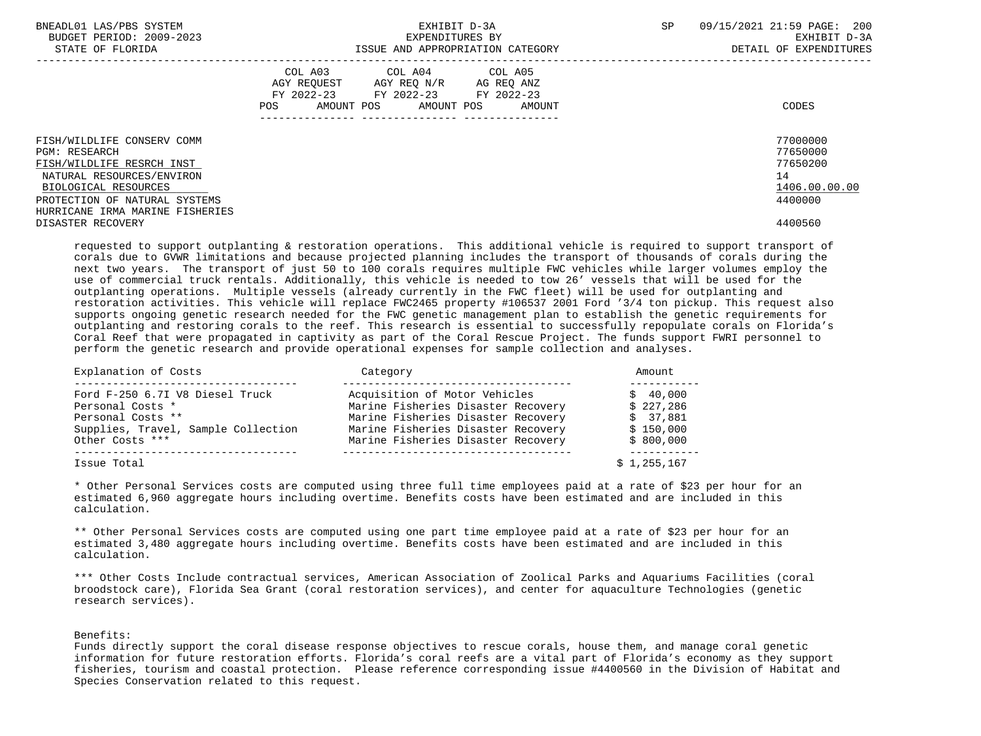| BNEADL01 LAS/PBS SYSTEM<br>BUDGET PERIOD: 2009-2023<br>STATE OF FLORIDA |     | EXHIBIT D-3A<br>EXPENDITURES BY                                                                   | ISSUE AND APPROPRIATION CATEGORY | <b>SP</b> | 09/15/2021 21:59 PAGE: 200<br>EXHIBIT D-3A<br>DETAIL OF EXPENDITURES |
|-------------------------------------------------------------------------|-----|---------------------------------------------------------------------------------------------------|----------------------------------|-----------|----------------------------------------------------------------------|
|                                                                         | POS | COL A03 COL A04 COL A05<br>AGY REQUEST AGY REQ N/R AG REQ ANZ<br>FY 2022-23 FY 2022-23 FY 2022-23 | AMOUNT POS AMOUNT POS AMOUNT     |           | CODES                                                                |
| FISH/WILDLIFE CONSERV COMM                                              |     |                                                                                                   |                                  |           | 77000000                                                             |
| PGM: RESEARCH                                                           |     |                                                                                                   |                                  |           | 77650000                                                             |
| FISH/WILDLIFE RESRCH INST                                               |     |                                                                                                   |                                  |           | 77650200                                                             |
| NATURAL RESOURCES/ENVIRON                                               |     |                                                                                                   |                                  |           | 14                                                                   |
| BIOLOGICAL RESOURCES                                                    |     |                                                                                                   |                                  |           | 1406.00.00.00                                                        |
| PROTECTION OF NATURAL SYSTEMS                                           |     |                                                                                                   |                                  |           | 4400000                                                              |
| HURRICANE IRMA MARINE FISHERIES                                         |     |                                                                                                   |                                  |           |                                                                      |
| DISASTER RECOVERY                                                       |     |                                                                                                   |                                  |           | 4400560                                                              |

 requested to support outplanting & restoration operations. This additional vehicle is required to support transport of corals due to GVWR limitations and because projected planning includes the transport of thousands of corals during the next two years. The transport of just 50 to 100 corals requires multiple FWC vehicles while larger volumes employ the use of commercial truck rentals. Additionally, this vehicle is needed to tow 26' vessels that will be used for the outplanting operations. Multiple vessels (already currently in the FWC fleet) will be used for outplanting and restoration activities. This vehicle will replace FWC2465 property #106537 2001 Ford '3/4 ton pickup. This request also supports ongoing genetic research needed for the FWC genetic management plan to establish the genetic requirements for outplanting and restoring corals to the reef. This research is essential to successfully repopulate corals on Florida's Coral Reef that were propagated in captivity as part of the Coral Rescue Project. The funds support FWRI personnel to perform the genetic research and provide operational expenses for sample collection and analyses.

| Explanation of Costs                | Category                           | Amount      |
|-------------------------------------|------------------------------------|-------------|
| Ford F-250 6.7I V8 Diesel Truck     | Acquisition of Motor Vehicles      | \$40.000    |
| Personal Costs *                    | Marine Fisheries Disaster Recovery | \$227,286   |
| Personal Costs **                   | Marine Fisheries Disaster Recovery | \$37,881    |
| Supplies, Travel, Sample Collection | Marine Fisheries Disaster Recovery | \$150,000   |
| Other Costs ***                     | Marine Fisheries Disaster Recovery | \$800,000   |
| Issue Total                         |                                    | \$1,255,167 |

 \* Other Personal Services costs are computed using three full time employees paid at a rate of \$23 per hour for an estimated 6,960 aggregate hours including overtime. Benefits costs have been estimated and are included in this calculation.

 \*\* Other Personal Services costs are computed using one part time employee paid at a rate of \$23 per hour for an estimated 3,480 aggregate hours including overtime. Benefits costs have been estimated and are included in this calculation.

 \*\*\* Other Costs Include contractual services, American Association of Zoolical Parks and Aquariums Facilities (coral broodstock care), Florida Sea Grant (coral restoration services), and center for aquaculture Technologies (genetic research services).

Benefits:

 Funds directly support the coral disease response objectives to rescue corals, house them, and manage coral genetic information for future restoration efforts. Florida's coral reefs are a vital part of Florida's economy as they support fisheries, tourism and coastal protection. Please reference corresponding issue #4400560 in the Division of Habitat and Species Conservation related to this request.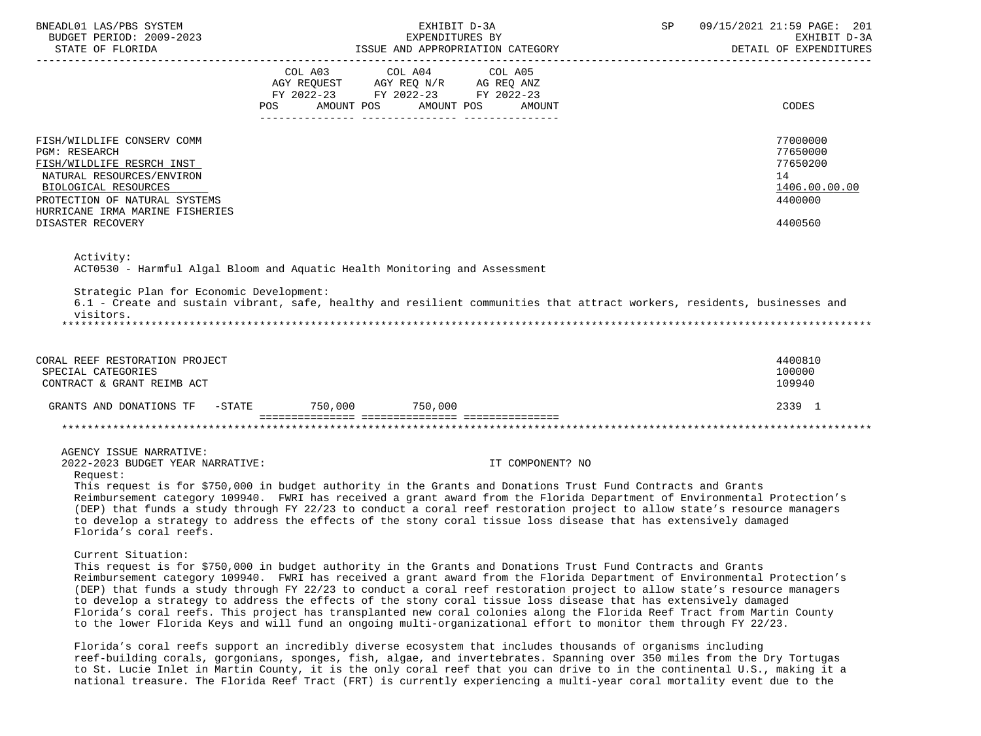| BNEADL01 LAS/PBS SYSTEM<br>BUDGET PERIOD: 2009-2023                                                                                                                                                                    | EXHIBIT D-3A<br>EXPENDITURES BY                                                                                                                                                                                                                                                                                                                                                                                                                                                                                                                                                                                                                                                                                                                                                                                                                                                                                                                                                      | 09/15/2021 21:59 PAGE: 201<br>SP <sub>3</sub><br>EXHIBIT D-3A<br>DETAIL OF EXPENDITURES |
|------------------------------------------------------------------------------------------------------------------------------------------------------------------------------------------------------------------------|--------------------------------------------------------------------------------------------------------------------------------------------------------------------------------------------------------------------------------------------------------------------------------------------------------------------------------------------------------------------------------------------------------------------------------------------------------------------------------------------------------------------------------------------------------------------------------------------------------------------------------------------------------------------------------------------------------------------------------------------------------------------------------------------------------------------------------------------------------------------------------------------------------------------------------------------------------------------------------------|-----------------------------------------------------------------------------------------|
|                                                                                                                                                                                                                        | FY 2022-23 FY 2022-23 FY 2022-23<br>POS AMOUNT POS AMOUNT POS AMOUNT                                                                                                                                                                                                                                                                                                                                                                                                                                                                                                                                                                                                                                                                                                                                                                                                                                                                                                                 | CODES                                                                                   |
| FISH/WILDLIFE CONSERV COMM<br>PGM: RESEARCH<br>FISH/WILDLIFE RESRCH INST<br>NATURAL RESOURCES/ENVIRON<br>BIOLOGICAL RESOURCES<br>PROTECTION OF NATURAL SYSTEMS<br>HURRICANE IRMA MARINE FISHERIES<br>DISASTER RECOVERY |                                                                                                                                                                                                                                                                                                                                                                                                                                                                                                                                                                                                                                                                                                                                                                                                                                                                                                                                                                                      | 77000000<br>77650000<br>77650200<br>14<br>1406.00.00.00<br>4400000<br>4400560           |
| Activity:<br>Strategic Plan for Economic Development:<br>visitors.                                                                                                                                                     | ACT0530 - Harmful Algal Bloom and Aquatic Health Monitoring and Assessment<br>6.1 - Create and sustain vibrant, safe, healthy and resilient communities that attract workers, residents, businesses and                                                                                                                                                                                                                                                                                                                                                                                                                                                                                                                                                                                                                                                                                                                                                                              |                                                                                         |
| CORAL REEF RESTORATION PROJECT<br>SPECIAL CATEGORIES<br>CONTRACT & GRANT REIMB ACT                                                                                                                                     |                                                                                                                                                                                                                                                                                                                                                                                                                                                                                                                                                                                                                                                                                                                                                                                                                                                                                                                                                                                      | 4400810<br>100000<br>109940                                                             |
|                                                                                                                                                                                                                        | GRANTS AND DONATIONS TF -STATE 750,000 750,000                                                                                                                                                                                                                                                                                                                                                                                                                                                                                                                                                                                                                                                                                                                                                                                                                                                                                                                                       | 2339 1                                                                                  |
| AGENCY ISSUE NARRATIVE:<br>2022-2023 BUDGET YEAR NARRATIVE:<br>Request:<br>Florida's coral reefs.                                                                                                                      | IT COMPONENT? NO<br>This request is for \$750,000 in budget authority in the Grants and Donations Trust Fund Contracts and Grants<br>Reimbursement category 109940. FWRI has received a grant award from the Florida Department of Environmental Protection's<br>(DEP) that funds a study through FY 22/23 to conduct a coral reef restoration project to allow state's resource managers<br>to develop a strategy to address the effects of the stony coral tissue loss disease that has extensively damaged                                                                                                                                                                                                                                                                                                                                                                                                                                                                        |                                                                                         |
| Current Situation:                                                                                                                                                                                                     | This request is for \$750,000 in budget authority in the Grants and Donations Trust Fund Contracts and Grants<br>Reimbursement category 109940. FWRI has received a grant award from the Florida Department of Environmental Protection's<br>(DEP) that funds a study through FY 22/23 to conduct a coral reef restoration project to allow state's resource managers<br>to develop a strategy to address the effects of the stony coral tissue loss disease that has extensively damaged<br>Florida's coral reefs. This project has transplanted new coral colonies along the Florida Reef Tract from Martin County<br>to the lower Florida Keys and will fund an ongoing multi-organizational effort to monitor them through FY 22/23.<br>Florida's coral reefs support an incredibly diverse ecosystem that includes thousands of organisms including<br>reef-building corals, gorgonians, sponges, fish, algae, and invertebrates. Spanning over 350 miles from the Dry Tortugas |                                                                                         |

 to St. Lucie Inlet in Martin County, it is the only coral reef that you can drive to in the continental U.S., making it a national treasure. The Florida Reef Tract (FRT) is currently experiencing a multi-year coral mortality event due to the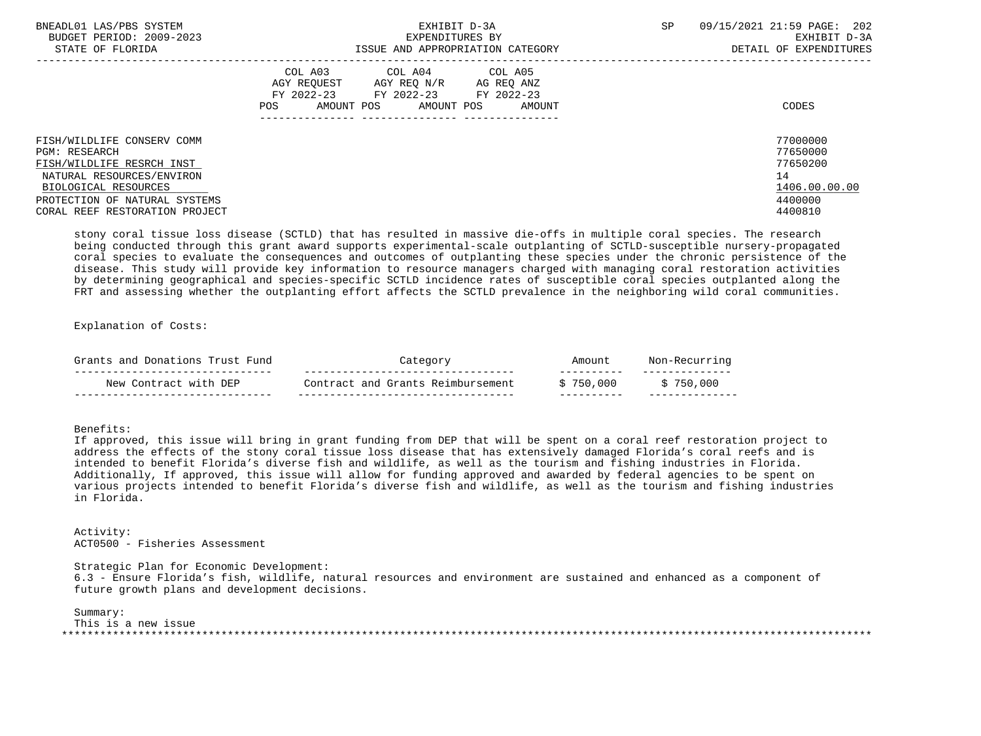| BNEADL01 LAS/PBS SYSTEM<br>BUDGET PERIOD: 2009-2023<br>STATE OF FLORIDA | EXHIBIT D-3A<br>EXPENDITURES BY<br>ISSUE AND APPROPRIATION CATEGORY                                                                                        | <b>SP</b> | 09/15/2021 21:59 PAGE: 202<br>EXHIBIT D-3A<br>DETAIL OF EXPENDITURES |
|-------------------------------------------------------------------------|------------------------------------------------------------------------------------------------------------------------------------------------------------|-----------|----------------------------------------------------------------------|
|                                                                         | COL A03<br>COL A04 COL A05<br>AGY REOUEST<br>AGY REQ N/R<br>AG REQ ANZ<br>FY 2022-23<br>FY 2022-23 FY 2022-23<br>AMOUNT POS<br>AMOUNT POS<br>POS<br>AMOUNT |           | CODES                                                                |
| FISH/WILDLIFE CONSERV COMM                                              |                                                                                                                                                            |           | 77000000                                                             |
| <b>PGM: RESEARCH</b><br>FISH/WILDLIFE RESRCH INST                       |                                                                                                                                                            |           | 77650000<br>77650200                                                 |
| NATURAL RESOURCES/ENVIRON                                               |                                                                                                                                                            |           | 14                                                                   |
| BIOLOGICAL RESOURCES                                                    |                                                                                                                                                            |           | 1406.00.00.00                                                        |
| PROTECTION OF NATURAL SYSTEMS                                           |                                                                                                                                                            |           | 4400000                                                              |
| CORAL REEF RESTORATION PROJECT                                          |                                                                                                                                                            |           | 4400810                                                              |

 stony coral tissue loss disease (SCTLD) that has resulted in massive die-offs in multiple coral species. The research being conducted through this grant award supports experimental-scale outplanting of SCTLD-susceptible nursery-propagated coral species to evaluate the consequences and outcomes of outplanting these species under the chronic persistence of the disease. This study will provide key information to resource managers charged with managing coral restoration activities by determining geographical and species-specific SCTLD incidence rates of susceptible coral species outplanted along the FRT and assessing whether the outplanting effort affects the SCTLD prevalence in the neighboring wild coral communities.

Explanation of Costs:

| ∠ Truct<br>and Donations<br>Fund<br>Grants |                                   | Amount                | na      |
|--------------------------------------------|-----------------------------------|-----------------------|---------|
| New Contract with DEP                      | Contract and Grants Reimbursement | ____<br>.000<br>\$750 | 750,000 |

Benefits:

 If approved, this issue will bring in grant funding from DEP that will be spent on a coral reef restoration project to address the effects of the stony coral tissue loss disease that has extensively damaged Florida's coral reefs and is intended to benefit Florida's diverse fish and wildlife, as well as the tourism and fishing industries in Florida. Additionally, If approved, this issue will allow for funding approved and awarded by federal agencies to be spent on various projects intended to benefit Florida's diverse fish and wildlife, as well as the tourism and fishing industries in Florida.

 Activity: ACT0500 - Fisheries Assessment

 Strategic Plan for Economic Development: 6.3 - Ensure Florida's fish, wildlife, natural resources and environment are sustained and enhanced as a component of future growth plans and development decisions.

 Summary: This is a new issue \*\*\*\*\*\*\*\*\*\*\*\*\*\*\*\*\*\*\*\*\*\*\*\*\*\*\*\*\*\*\*\*\*\*\*\*\*\*\*\*\*\*\*\*\*\*\*\*\*\*\*\*\*\*\*\*\*\*\*\*\*\*\*\*\*\*\*\*\*\*\*\*\*\*\*\*\*\*\*\*\*\*\*\*\*\*\*\*\*\*\*\*\*\*\*\*\*\*\*\*\*\*\*\*\*\*\*\*\*\*\*\*\*\*\*\*\*\*\*\*\*\*\*\*\*\*\*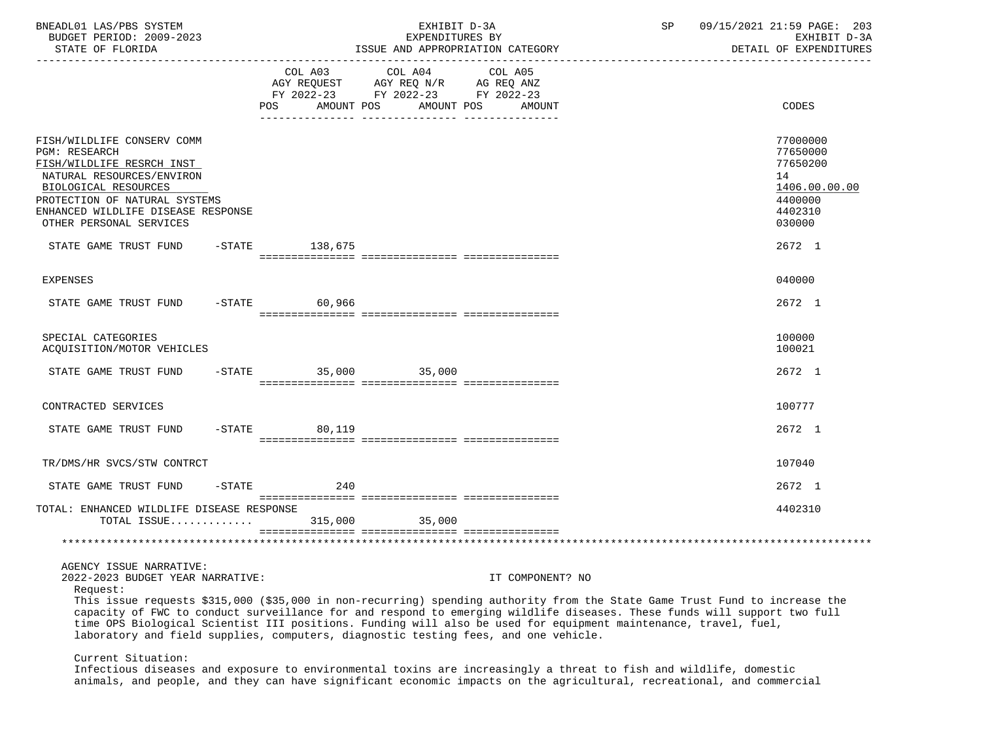| BNEADL01 LAS/PBS SYSTEM<br>BUDGET PERIOD: 2009-2023<br>STATE OF FLORIDA<br>__________________                                                                                                                                          |                                                    | EXHIBIT D-3A<br>EXPENDITURES BY<br>ISSUE AND APPROPRIATION CATEGORY                                                                 | SP<br>09/15/2021 21:59 PAGE: 203<br>EXHIBIT D-3A<br>DETAIL OF EXPENDITURES                                                                                                                                                                              |  |
|----------------------------------------------------------------------------------------------------------------------------------------------------------------------------------------------------------------------------------------|----------------------------------------------------|-------------------------------------------------------------------------------------------------------------------------------------|---------------------------------------------------------------------------------------------------------------------------------------------------------------------------------------------------------------------------------------------------------|--|
|                                                                                                                                                                                                                                        | COL A03<br>AGY REQUEST<br><b>POS</b><br>AMOUNT POS | COL A04<br>COL A05<br>AGY REQ N/R AG REQ ANZ<br>FY 2022-23 FY 2022-23 FY 2022-23<br>AMOUNT POS<br>AMOUNT                            | CODES                                                                                                                                                                                                                                                   |  |
| FISH/WILDLIFE CONSERV COMM<br><b>PGM: RESEARCH</b><br>FISH/WILDLIFE RESRCH INST<br>NATURAL RESOURCES/ENVIRON<br>BIOLOGICAL RESOURCES<br>PROTECTION OF NATURAL SYSTEMS<br>ENHANCED WILDLIFE DISEASE RESPONSE<br>OTHER PERSONAL SERVICES |                                                    |                                                                                                                                     | 77000000<br>77650000<br>77650200<br>14<br>1406.00.00.00<br>4400000<br>4402310<br>030000<br>2672 1                                                                                                                                                       |  |
| STATE GAME TRUST FUND                                                                                                                                                                                                                  | -STATE 138,675                                     |                                                                                                                                     |                                                                                                                                                                                                                                                         |  |
| <b>EXPENSES</b>                                                                                                                                                                                                                        |                                                    |                                                                                                                                     | 040000                                                                                                                                                                                                                                                  |  |
| STATE GAME TRUST FUND<br>$-$ STATE                                                                                                                                                                                                     | 60,966                                             |                                                                                                                                     | 2672 1                                                                                                                                                                                                                                                  |  |
| SPECIAL CATEGORIES<br>ACQUISITION/MOTOR VEHICLES                                                                                                                                                                                       |                                                    |                                                                                                                                     | 100000<br>100021                                                                                                                                                                                                                                        |  |
| STATE GAME TRUST FUND                                                                                                                                                                                                                  | $-STATE$ 35,000 35,000                             |                                                                                                                                     | 2672 1                                                                                                                                                                                                                                                  |  |
| CONTRACTED SERVICES                                                                                                                                                                                                                    |                                                    |                                                                                                                                     | 100777                                                                                                                                                                                                                                                  |  |
| STATE GAME TRUST FUND                                                                                                                                                                                                                  | $-STATE$<br>80,119                                 |                                                                                                                                     | 2672 1                                                                                                                                                                                                                                                  |  |
| TR/DMS/HR SVCS/STW CONTRCT                                                                                                                                                                                                             |                                                    |                                                                                                                                     | 107040                                                                                                                                                                                                                                                  |  |
| $-STATE$<br>STATE GAME TRUST FUND                                                                                                                                                                                                      | 240                                                |                                                                                                                                     | 2672 1                                                                                                                                                                                                                                                  |  |
| TOTAL: ENHANCED WILDLIFE DISEASE RESPONSE<br>TOTAL ISSUE                                                                                                                                                                               | 315,000                                            | 35,000                                                                                                                              | 4402310                                                                                                                                                                                                                                                 |  |
|                                                                                                                                                                                                                                        |                                                    |                                                                                                                                     |                                                                                                                                                                                                                                                         |  |
| AGENCY ISSUE NARRATIVE:<br>2022-2023 BUDGET YEAR NARRATIVE:<br>Request:                                                                                                                                                                |                                                    | IT COMPONENT? NO<br>time OPS Biological Scientist III positions. Funding will also be used for equipment maintenance, travel, fuel, | This issue requests \$315,000 (\$35,000 in non-recurring) spending authority from the State Game Trust Fund to increase the<br>capacity of FWC to conduct surveillance for and respond to emerging wildlife diseases. These funds will support two full |  |

laboratory and field supplies, computers, diagnostic testing fees, and one vehicle.

Current Situation:

 Infectious diseases and exposure to environmental toxins are increasingly a threat to fish and wildlife, domestic animals, and people, and they can have significant economic impacts on the agricultural, recreational, and commercial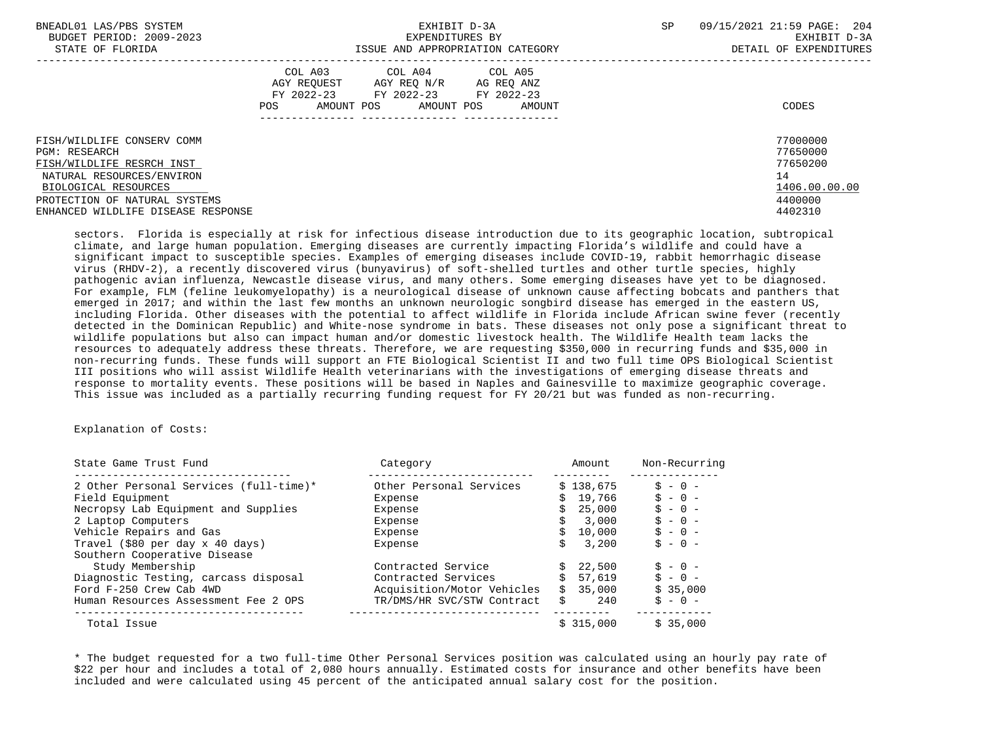| BNEADL01 LAS/PBS SYSTEM<br>BUDGET PERIOD: 2009-2023<br>STATE OF FLORIDA |                                                                                      | EXHIBIT D-3A<br>EXPENDITURES BY<br>ISSUE AND APPROPRIATION CATEGORY | SP<br>09/15/2021 21:59 PAGE: 204<br>EXHIBIT D-3A<br>DETAIL OF EXPENDITURES |               |
|-------------------------------------------------------------------------|--------------------------------------------------------------------------------------|---------------------------------------------------------------------|----------------------------------------------------------------------------|---------------|
|                                                                         | COL A03 COL A04 COL A05<br>AGY REOUEST<br>FY 2022-23 FY 2022-23<br>AMOUNT POS<br>POS | AGY REQ N/R AG REQ ANZ<br>FY 2022-23<br>AMOUNT POS<br>AMOUNT        |                                                                            | CODES         |
| FISH/WILDLIFE CONSERV COMM                                              |                                                                                      |                                                                     |                                                                            | 77000000      |
| PGM: RESEARCH                                                           |                                                                                      |                                                                     |                                                                            | 77650000      |
| FISH/WILDLIFE RESRCH INST                                               |                                                                                      |                                                                     |                                                                            | 77650200      |
| NATURAL RESOURCES/ENVIRON                                               |                                                                                      |                                                                     |                                                                            | 14            |
| BIOLOGICAL RESOURCES                                                    |                                                                                      |                                                                     |                                                                            | 1406.00.00.00 |
| PROTECTION OF NATURAL SYSTEMS                                           |                                                                                      |                                                                     |                                                                            | 4400000       |
| ENHANCED WILDLIFE DISEASE RESPONSE                                      |                                                                                      |                                                                     |                                                                            | 4402310       |

 sectors. Florida is especially at risk for infectious disease introduction due to its geographic location, subtropical climate, and large human population. Emerging diseases are currently impacting Florida's wildlife and could have a significant impact to susceptible species. Examples of emerging diseases include COVID-19, rabbit hemorrhagic disease virus (RHDV-2), a recently discovered virus (bunyavirus) of soft-shelled turtles and other turtle species, highly pathogenic avian influenza, Newcastle disease virus, and many others. Some emerging diseases have yet to be diagnosed. For example, FLM (feline leukomyelopathy) is a neurological disease of unknown cause affecting bobcats and panthers that emerged in 2017; and within the last few months an unknown neurologic songbird disease has emerged in the eastern US, including Florida. Other diseases with the potential to affect wildlife in Florida include African swine fever (recently detected in the Dominican Republic) and White-nose syndrome in bats. These diseases not only pose a significant threat to wildlife populations but also can impact human and/or domestic livestock health. The Wildlife Health team lacks the resources to adequately address these threats. Therefore, we are requesting \$350,000 in recurring funds and \$35,000 in non-recurring funds. These funds will support an FTE Biological Scientist II and two full time OPS Biological Scientist III positions who will assist Wildlife Health veterinarians with the investigations of emerging disease threats and response to mortality events. These positions will be based in Naples and Gainesville to maximize geographic coverage. This issue was included as a partially recurring funding request for FY 20/21 but was funded as non-recurring.

### Explanation of Costs:

| State Game Trust Fund                  | Category                   | Amount    | Non-Recurring |
|----------------------------------------|----------------------------|-----------|---------------|
| 2 Other Personal Services (full-time)* | Other Personal Services    | \$138.675 | $S - 0 -$     |
| Field Equipment                        | Expense                    | 19,766    | $S - 0 -$     |
| Necropsy Lab Equipment and Supplies    | Expense                    | 25,000    | $S - 0 -$     |
| 2 Laptop Computers                     | Expense                    | 3,000     | $S - 0 -$     |
| Vehicle Repairs and Gas                | Expense                    | 10,000    | $S - 0 -$     |
| Travel (\$80 per day x 40 days)        | Expense                    | 3,200     | $S - 0 -$     |
| Southern Cooperative Disease           |                            |           |               |
| Study Membership                       | Contracted Service         | 22,500    | $S - 0 -$     |
| Diagnostic Testing, carcass disposal   | Contracted Services        | 57,619    | $S - 0 -$     |
| Ford F-250 Crew Cab 4WD                | Acquisition/Motor Vehicles | 35,000    | \$35,000      |
| Human Resources Assessment Fee 2 OPS   | TR/DMS/HR SVC/STW Contract | 240       | $S - 0 -$     |
| Total Issue                            |                            | \$315,000 | \$35,000      |

 \* The budget requested for a two full-time Other Personal Services position was calculated using an hourly pay rate of \$22 per hour and includes a total of 2,080 hours annually. Estimated costs for insurance and other benefits have been included and were calculated using 45 percent of the anticipated annual salary cost for the position.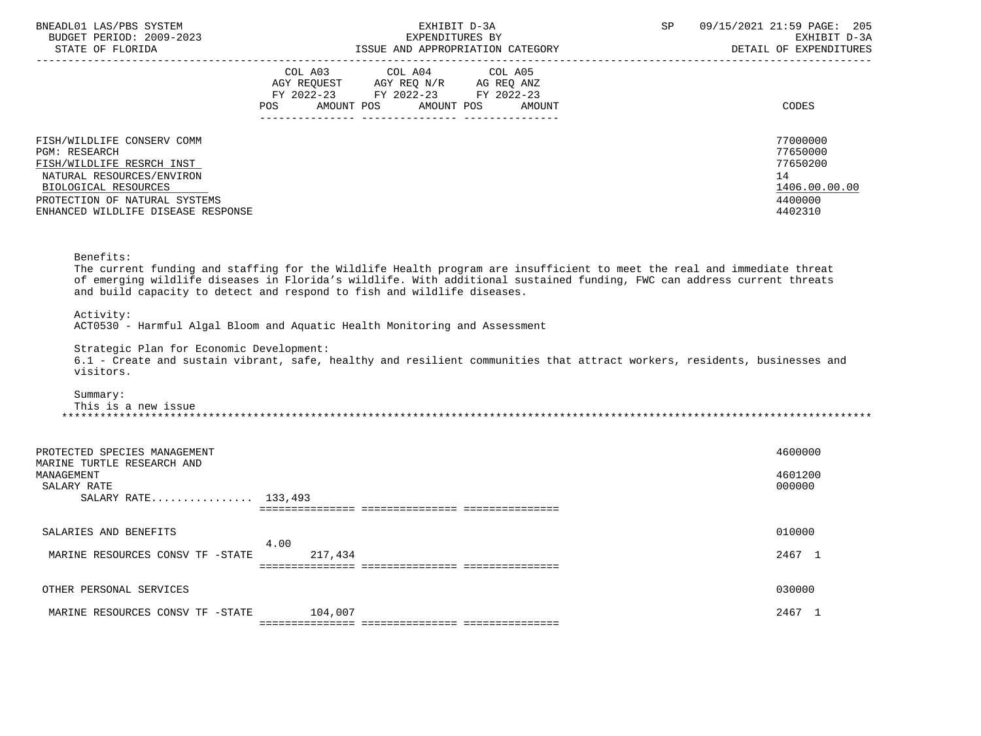| BNEADL01 LAS/PBS SYSTEM<br>BUDGET PERIOD: 2009-2023<br>STATE OF FLORIDA                                                                                                                                     | EXHIBIT D-3A<br>EXPENDITURES BY<br>ISSUE AND APPROPRIATION CATEGORY                                                                                                                                                                                                                                                           | SP | 09/15/2021 21:59 PAGE: 205<br>EXHIBIT D-3A<br>DETAIL OF EXPENDITURES          |
|-------------------------------------------------------------------------------------------------------------------------------------------------------------------------------------------------------------|-------------------------------------------------------------------------------------------------------------------------------------------------------------------------------------------------------------------------------------------------------------------------------------------------------------------------------|----|-------------------------------------------------------------------------------|
|                                                                                                                                                                                                             | COL A03 COL A04 COL A05<br>AGY REQUEST AGY REQ N/R AG REQ ANZ<br>FY 2022-23 FY 2022-23 FY 2022-23<br><b>POS</b><br>AMOUNT POS AMOUNT POS<br>AMOUNT                                                                                                                                                                            |    | <b>CODES</b>                                                                  |
| FISH/WILDLIFE CONSERV COMM<br><b>PGM: RESEARCH</b><br>FISH/WILDLIFE RESRCH INST<br>NATURAL RESOURCES/ENVIRON<br>BIOLOGICAL RESOURCES<br>PROTECTION OF NATURAL SYSTEMS<br>ENHANCED WILDLIFE DISEASE RESPONSE |                                                                                                                                                                                                                                                                                                                               |    | 77000000<br>77650000<br>77650200<br>14<br>1406.00.00.00<br>4400000<br>4402310 |
| Benefits:                                                                                                                                                                                                   | The current funding and staffing for the Wildlife Health program are insufficient to meet the real and immediate threat<br>of emerging wildlife diseases in Florida's wildlife. With additional sustained funding, FWC can address current threats<br>and build capacity to detect and respond to fish and wildlife diseases. |    |                                                                               |

Activity:

ACT0530 - Harmful Algal Bloom and Aquatic Health Monitoring and Assessment

Strategic Plan for Economic Development:

 6.1 - Create and sustain vibrant, safe, healthy and resilient communities that attract workers, residents, businesses and visitors.

Summary:

 This is a new issue \*\*\*\*\*\*\*\*\*\*\*\*\*\*\*\*\*\*\*\*\*\*\*\*\*\*\*\*\*\*\*\*\*\*\*\*\*\*\*\*\*\*\*\*\*\*\*\*\*\*\*\*\*\*\*\*\*\*\*\*\*\*\*\*\*\*\*\*\*\*\*\*\*\*\*\*\*\*\*\*\*\*\*\*\*\*\*\*\*\*\*\*\*\*\*\*\*\*\*\*\*\*\*\*\*\*\*\*\*\*\*\*\*\*\*\*\*\*\*\*\*\*\*\*\*\*\*

| PROTECTED SPECIES MANAGEMENT<br>MARINE TURTLE RESEARCH AND |         | 4600000           |
|------------------------------------------------------------|---------|-------------------|
| MANAGEMENT<br>SALARY RATE                                  |         | 4601200<br>000000 |
| SALARY RATE 133,493                                        |         |                   |
|                                                            |         |                   |
| SALARIES AND BENEFITS                                      | 4.00    | 010000            |
| MARINE RESOURCES CONSV TF -STATE                           | 217,434 | 2467 1            |
|                                                            |         |                   |
| OTHER PERSONAL SERVICES                                    |         | 030000            |
| MARINE RESOURCES CONSV TF -STATE                           | 104,007 | 2467              |
|                                                            |         |                   |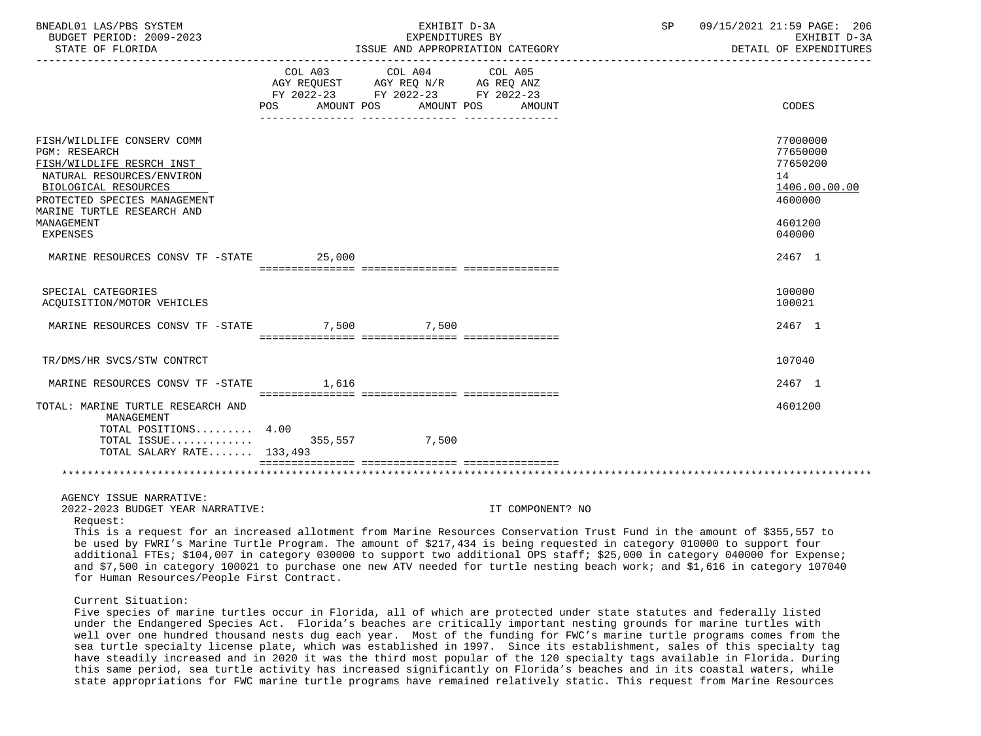| BNEADL01 LAS/PBS SYSTEM<br>BUDGET PERIOD: 2009-2023<br>STATE OF FLORIDA                                                                                                                                                             |                       | EXHIBIT D-3A<br>EXPENDITURES BY<br>ISSUE AND APPROPRIATION CATEGORY                                                                        | 09/15/2021 21:59 PAGE: 206<br>SP<br>EXHIBIT D-3A<br>DETAIL OF EXPENDITURES                                                                                                                                                                                                                                                                                                             |
|-------------------------------------------------------------------------------------------------------------------------------------------------------------------------------------------------------------------------------------|-----------------------|--------------------------------------------------------------------------------------------------------------------------------------------|----------------------------------------------------------------------------------------------------------------------------------------------------------------------------------------------------------------------------------------------------------------------------------------------------------------------------------------------------------------------------------------|
|                                                                                                                                                                                                                                     | AMOUNT POS<br>POS FOR | COL A03 COL A04 COL A05<br>FY 2022-23 FY 2022-23 FY 2022-23<br>AMOUNT POS<br>AMOUNT                                                        | CODES                                                                                                                                                                                                                                                                                                                                                                                  |
| FISH/WILDLIFE CONSERV COMM<br><b>PGM: RESEARCH</b><br>FISH/WILDLIFE RESRCH INST<br>NATURAL RESOURCES/ENVIRON<br>BIOLOGICAL RESOURCES<br>PROTECTED SPECIES MANAGEMENT<br>MARINE TURTLE RESEARCH AND<br>MANAGEMENT<br><b>EXPENSES</b> |                       |                                                                                                                                            | 77000000<br>77650000<br>77650200<br>14<br>1406.00.00.00<br>4600000<br>4601200<br>040000                                                                                                                                                                                                                                                                                                |
| MARINE RESOURCES CONSV TF -STATE                                                                                                                                                                                                    | 25,000                |                                                                                                                                            | 2467 1                                                                                                                                                                                                                                                                                                                                                                                 |
| SPECIAL CATEGORIES<br>ACQUISITION/MOTOR VEHICLES                                                                                                                                                                                    |                       |                                                                                                                                            | 100000<br>100021                                                                                                                                                                                                                                                                                                                                                                       |
| MARINE RESOURCES CONSV TF -STATE                                                                                                                                                                                                    |                       | 7,500 7,500                                                                                                                                | 2467 1                                                                                                                                                                                                                                                                                                                                                                                 |
| TR/DMS/HR SVCS/STW CONTRCT                                                                                                                                                                                                          |                       |                                                                                                                                            | 107040                                                                                                                                                                                                                                                                                                                                                                                 |
| MARINE RESOURCES CONSV TF -STATE                                                                                                                                                                                                    | 1.616                 |                                                                                                                                            | 2467 1                                                                                                                                                                                                                                                                                                                                                                                 |
| TOTAL: MARINE TURTLE RESEARCH AND<br>MANAGEMENT<br>TOTAL POSITIONS 4.00<br>TOTAL ISSUE<br>TOTAL SALARY RATE 133,493                                                                                                                 |                       | 355,557 7,500                                                                                                                              | 4601200                                                                                                                                                                                                                                                                                                                                                                                |
|                                                                                                                                                                                                                                     |                       |                                                                                                                                            |                                                                                                                                                                                                                                                                                                                                                                                        |
| AGENCY ISSUE NARRATIVE:<br>2022-2023 BUDGET YEAR NARRATIVE:<br>Request:<br>for Human Resources/People First Contract.                                                                                                               |                       | IT COMPONENT? NO<br>be used by FWRI's Marine Turtle Program. The amount of \$217,434 is being requested in category 010000 to support four | This is a request for an increased allotment from Marine Resources Conservation Trust Fund in the amount of \$355,557 to<br>additional FTEs; \$104,007 in category 030000 to support two additional OPS staff; \$25,000 in category 040000 for Expense;<br>and \$7,500 in category 100021 to purchase one new ATV needed for turtle nesting beach work; and \$1,616 in category 107040 |
| Current Situation:                                                                                                                                                                                                                  |                       | Five greates of marine turtles equipment in Florida all of which are protected under state statutes and federally listed                   |                                                                                                                                                                                                                                                                                                                                                                                        |

 Five species of marine turtles occur in Florida, all of which are protected under state statutes and federally listed under the Endangered Species Act. Florida's beaches are critically important nesting grounds for marine turtles with well over one hundred thousand nests dug each year. Most of the funding for FWC's marine turtle programs comes from the sea turtle specialty license plate, which was established in 1997. Since its establishment, sales of this specialty tag have steadily increased and in 2020 it was the third most popular of the 120 specialty tags available in Florida. During this same period, sea turtle activity has increased significantly on Florida's beaches and in its coastal waters, while state appropriations for FWC marine turtle programs have remained relatively static. This request from Marine Resources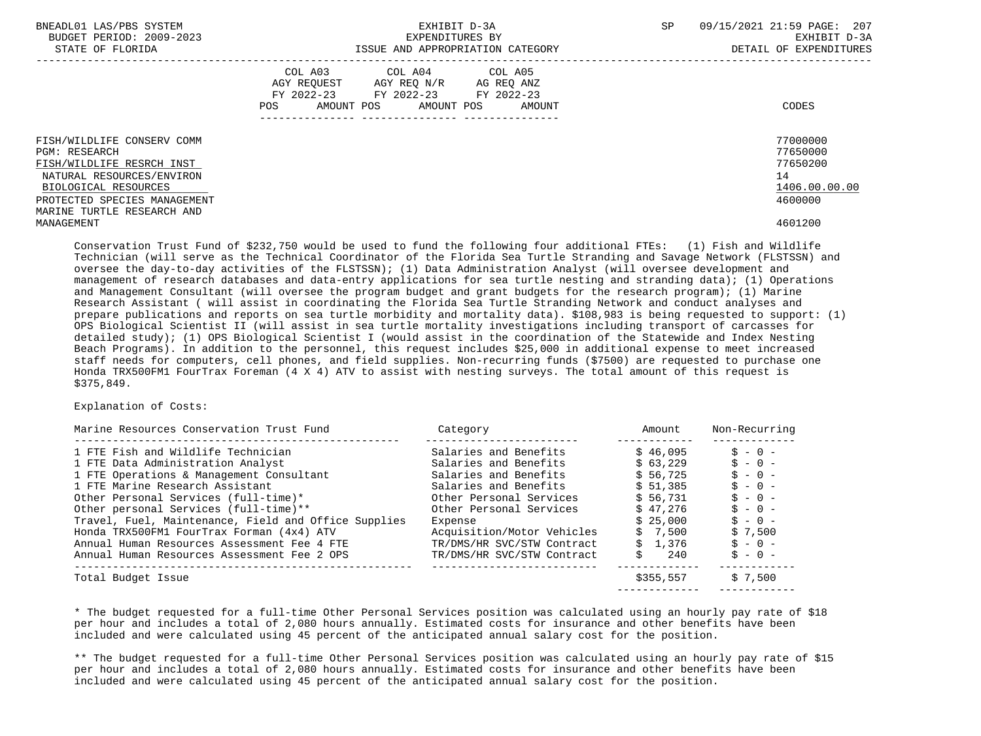| BNEADL01 LAS/PBS SYSTEM<br>BUDGET PERIOD: 2009-2023<br>STATE OF FLORIDA                                                                                                                            | EXHIBIT D-3A<br>EXPENDITURES BY<br>ISSUE AND APPROPRIATION CATEGORY                                                                          | 09/15/2021 21:59 PAGE: 207<br><b>SP</b><br>EXHIBIT D-3A<br>DETAIL OF EXPENDITURES |
|----------------------------------------------------------------------------------------------------------------------------------------------------------------------------------------------------|----------------------------------------------------------------------------------------------------------------------------------------------|-----------------------------------------------------------------------------------|
|                                                                                                                                                                                                    | COL A03 COL A04 COL A05<br>AGY REQUEST AGY REQ N/R AG REQ ANZ<br>FY 2022-23 FY 2022-23 FY 2022-23<br>AMOUNT POS AMOUNT POS AMOUNT<br>POS FOR | CODES                                                                             |
| FISH/WILDLIFE CONSERV COMM<br><b>PGM: RESEARCH</b><br>FISH/WILDLIFE RESRCH INST<br>NATURAL RESOURCES/ENVIRON<br>BIOLOGICAL RESOURCES<br>PROTECTED SPECIES MANAGEMENT<br>MARINE TURTLE RESEARCH AND |                                                                                                                                              | 77000000<br>77650000<br>77650200<br>14<br>1406.00.00.00<br>4600000                |
| MANAGEMENT                                                                                                                                                                                         |                                                                                                                                              | 4601200                                                                           |

 Conservation Trust Fund of \$232,750 would be used to fund the following four additional FTEs: (1) Fish and Wildlife Technician (will serve as the Technical Coordinator of the Florida Sea Turtle Stranding and Savage Network (FLSTSSN) and oversee the day-to-day activities of the FLSTSSN); (1) Data Administration Analyst (will oversee development and management of research databases and data-entry applications for sea turtle nesting and stranding data); (1) Operations and Management Consultant (will oversee the program budget and grant budgets for the research program); (1) Marine Research Assistant ( will assist in coordinating the Florida Sea Turtle Stranding Network and conduct analyses and prepare publications and reports on sea turtle morbidity and mortality data). \$108,983 is being requested to support: (1) OPS Biological Scientist II (will assist in sea turtle mortality investigations including transport of carcasses for detailed study); (1) OPS Biological Scientist I (would assist in the coordination of the Statewide and Index Nesting Beach Programs). In addition to the personnel, this request includes \$25,000 in additional expense to meet increased staff needs for computers, cell phones, and field supplies. Non-recurring funds (\$7500) are requested to purchase one Honda TRX500FM1 FourTrax Foreman (4 X 4) ATV to assist with nesting surveys. The total amount of this request is \$375,849.

# Explanation of Costs:

| Marine Resources Conservation Trust Fund             | Category                   | Amount    | Non-Recurring |
|------------------------------------------------------|----------------------------|-----------|---------------|
| 1 FTE Fish and Wildlife Technician                   | Salaries and Benefits      | \$46.095  | $S - 0 -$     |
| 1 FTE Data Administration Analyst                    | Salaries and Benefits      | \$63.229  | $S - 0 -$     |
| 1 FTE Operations & Management Consultant             | Salaries and Benefits      | \$56.725  | $S - 0 -$     |
| 1 FTE Marine Research Assistant                      | Salaries and Benefits      | \$51.385  | $S - 0 -$     |
| Other Personal Services (full-time)*                 | Other Personal Services    | \$56.731  | $S - 0 -$     |
| Other personal Services (full-time) **               | Other Personal Services    | \$47.276  | $S - 0 -$     |
| Travel, Fuel, Maintenance, Field and Office Supplies | Expense                    | \$25.000  | $S - 0 -$     |
| Honda TRX500FM1 FourTrax Forman (4x4) ATV            | Acquisition/Motor Vehicles | \$7.500   | \$7.500       |
| Annual Human Resources Assessment Fee 4 FTE          | TR/DMS/HR SVC/STW Contract | \$1.376   | $S - 0 -$     |
| Annual Human Resources Assessment Fee 2 OPS          | TR/DMS/HR SVC/STW Contract | Ŝ.<br>240 | $S - 0 -$     |
| Total Budget Issue                                   |                            | \$355,557 | \$7,500       |
|                                                      |                            |           |               |

 \* The budget requested for a full-time Other Personal Services position was calculated using an hourly pay rate of \$18 per hour and includes a total of 2,080 hours annually. Estimated costs for insurance and other benefits have been included and were calculated using 45 percent of the anticipated annual salary cost for the position.

 \*\* The budget requested for a full-time Other Personal Services position was calculated using an hourly pay rate of \$15 per hour and includes a total of 2,080 hours annually. Estimated costs for insurance and other benefits have been included and were calculated using 45 percent of the anticipated annual salary cost for the position.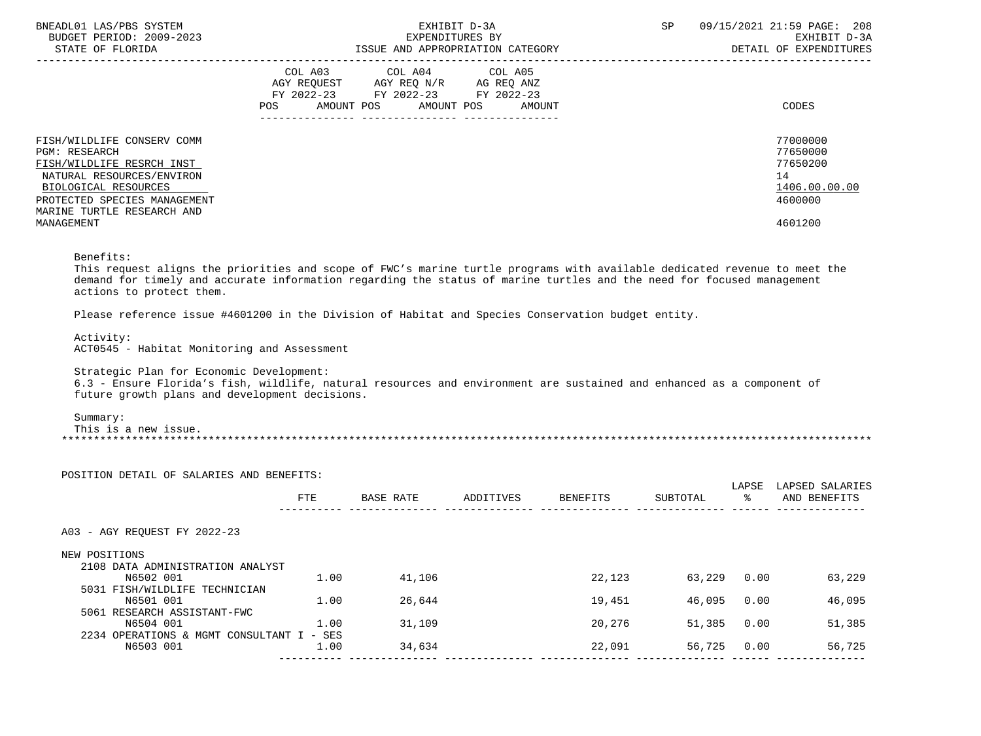| BNEADL01 LAS/PBS SYSTEM<br>BUDGET PERIOD: 2009-2023<br>STATE OF FLORIDA                                                                                                                                   | EXHIBIT D-3A<br>EXPENDITURES BY<br>ISSUE AND APPROPRIATION CATEGORY                                                                         | 09/15/2021 21:59 PAGE: 208<br><b>SP</b><br>EXHIBIT D-3A<br>DETAIL OF EXPENDITURES |
|-----------------------------------------------------------------------------------------------------------------------------------------------------------------------------------------------------------|---------------------------------------------------------------------------------------------------------------------------------------------|-----------------------------------------------------------------------------------|
|                                                                                                                                                                                                           | COL A03 COL A04 COL A05<br>AGY REQUEST AGY REQ N/R AG REQ ANZ<br>FY 2022-23 FY 2022-23 FY 2022-23<br>POS<br>AMOUNT POS AMOUNT POS<br>AMOUNT | CODES                                                                             |
| FISH/WILDLIFE CONSERV COMM<br>PGM: RESEARCH<br>FISH/WILDLIFE RESRCH INST<br>NATURAL RESOURCES/ENVIRON<br>BIOLOGICAL RESOURCES<br>PROTECTED SPECIES MANAGEMENT<br>MARINE TURTLE RESEARCH AND<br>MANAGEMENT |                                                                                                                                             | 77000000<br>77650000<br>77650200<br>14<br>1406.00.00.00<br>4600000<br>4601200     |

# Benefits:

 This request aligns the priorities and scope of FWC's marine turtle programs with available dedicated revenue to meet the demand for timely and accurate information regarding the status of marine turtles and the need for focused management actions to protect them.

Please reference issue #4601200 in the Division of Habitat and Species Conservation budget entity.

 Activity: ACT0545 - Habitat Monitoring and Assessment

Strategic Plan for Economic Development:

 6.3 - Ensure Florida's fish, wildlife, natural resources and environment are sustained and enhanced as a component of future growth plans and development decisions.

Summary:

 This is a new issue. \*\*\*\*\*\*\*\*\*\*\*\*\*\*\*\*\*\*\*\*\*\*\*\*\*\*\*\*\*\*\*\*\*\*\*\*\*\*\*\*\*\*\*\*\*\*\*\*\*\*\*\*\*\*\*\*\*\*\*\*\*\*\*\*\*\*\*\*\*\*\*\*\*\*\*\*\*\*\*\*\*\*\*\*\*\*\*\*\*\*\*\*\*\*\*\*\*\*\*\*\*\*\*\*\*\*\*\*\*\*\*\*\*\*\*\*\*\*\*\*\*\*\*\*\*\*\*

|                                           | <b>FTE</b> | BASE RATE |           |                 |          |      | LAPSED SALARIES |
|-------------------------------------------|------------|-----------|-----------|-----------------|----------|------|-----------------|
|                                           |            |           | ADDITIVES | <b>BENEFITS</b> | SUBTOTAL | °≈   | AND BENEFITS    |
| A03 - AGY REOUEST FY 2022-23              |            |           |           |                 |          |      |                 |
| NEW POSITIONS                             |            |           |           |                 |          |      |                 |
| 2108 DATA ADMINISTRATION ANALYST          |            |           |           |                 |          |      |                 |
| N6502 001                                 | 1.00       | 41,106    |           | 22,123          | 63,229   | 0.00 | 63,229          |
| 5031 FISH/WILDLIFE TECHNICIAN             |            |           |           |                 |          |      |                 |
| N6501 001                                 | 1.00       | 26,644    |           | 19,451          | 46,095   | 0.00 | 46,095          |
| 5061 RESEARCH ASSISTANT-FWC               |            |           |           |                 |          |      |                 |
| N6504 001                                 | 1.00       | 31,109    |           | 20,276          | 51,385   | 0.00 | 51,385          |
| 2234 OPERATIONS & MGMT CONSULTANT I - SES |            |           |           |                 |          |      |                 |
| N6503 001                                 | 1.00       | 34,634    |           | 22,091          | 56,725   | 0.00 | 56,725          |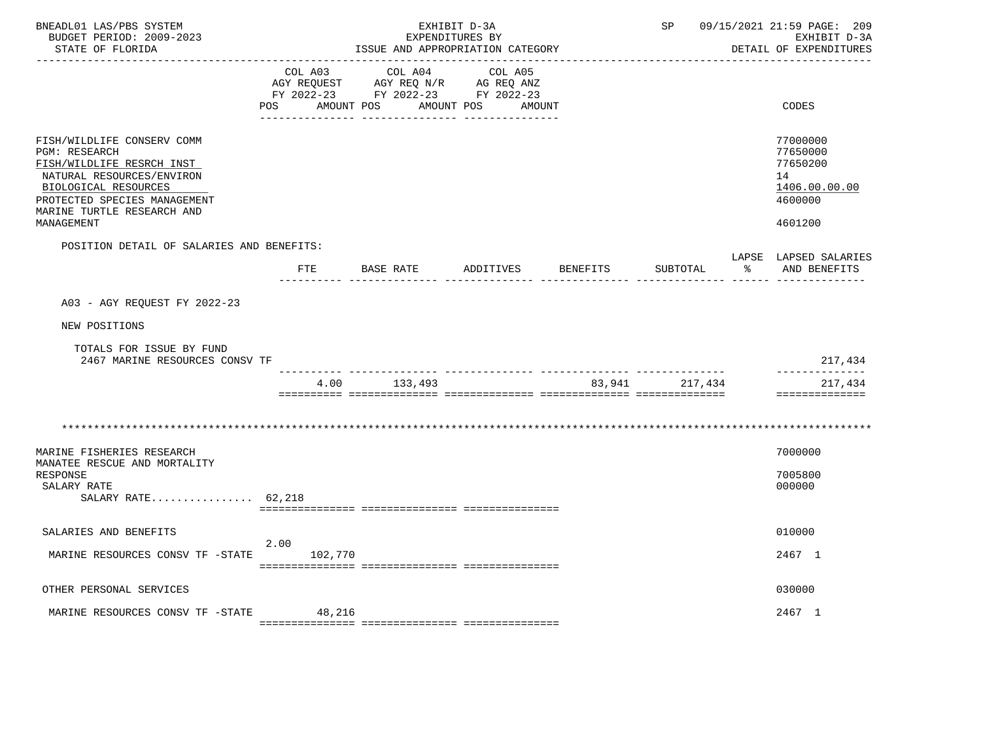| BNEADL01 LAS/PBS SYSTEM<br>BUDGET PERIOD: 2009-2023<br>STATE OF FLORIDA                                                                                                                                          | EXHIBIT D-3A<br>EXPENDITURES BY<br>ISSUE AND APPROPRIATION CATEGORY |                                                                                                         |                       |          | 09/15/2021 21:59 PAGE: 209<br>SP<br>EXHIBIT D-3A<br>DETAIL OF EXPENDITURES |    |                                                                               |
|------------------------------------------------------------------------------------------------------------------------------------------------------------------------------------------------------------------|---------------------------------------------------------------------|---------------------------------------------------------------------------------------------------------|-----------------------|----------|----------------------------------------------------------------------------|----|-------------------------------------------------------------------------------|
|                                                                                                                                                                                                                  | POS FOR                                                             | COL A03 COL A04<br>AGY REQUEST AGY REQ N/R AG REQ ANZ<br>FY 2022-23 FY 2022-23 FY 2022-23<br>AMOUNT POS | COL A05<br>AMOUNT POS | AMOUNT   |                                                                            |    | CODES                                                                         |
| FISH/WILDLIFE CONSERV COMM<br><b>PGM: RESEARCH</b><br>FISH/WILDLIFE RESRCH INST<br>NATURAL RESOURCES/ENVIRON<br>BIOLOGICAL RESOURCES<br>PROTECTED SPECIES MANAGEMENT<br>MARINE TURTLE RESEARCH AND<br>MANAGEMENT |                                                                     |                                                                                                         |                       |          |                                                                            |    | 77000000<br>77650000<br>77650200<br>14<br>1406.00.00.00<br>4600000<br>4601200 |
| POSITION DETAIL OF SALARIES AND BENEFITS:                                                                                                                                                                        |                                                                     |                                                                                                         |                       |          |                                                                            |    |                                                                               |
|                                                                                                                                                                                                                  |                                                                     | FTE BASE RATE ADDITIVES                                                                                 |                       | BENEFITS | SUBTOTAL                                                                   | ႜႂ | LAPSE LAPSED SALARIES<br>AND BENEFITS                                         |
| A03 - AGY REQUEST FY 2022-23                                                                                                                                                                                     |                                                                     |                                                                                                         |                       |          |                                                                            |    |                                                                               |
| NEW POSITIONS                                                                                                                                                                                                    |                                                                     |                                                                                                         |                       |          |                                                                            |    |                                                                               |
| TOTALS FOR ISSUE BY FUND<br>2467 MARINE RESOURCES CONSV TF                                                                                                                                                       |                                                                     |                                                                                                         |                       |          |                                                                            |    | 217,434                                                                       |
|                                                                                                                                                                                                                  | 4.00                                                                | 133,493                                                                                                 |                       |          | 83,941 217,434                                                             |    | ______________<br>217,434<br>==============                                   |
|                                                                                                                                                                                                                  |                                                                     |                                                                                                         |                       |          |                                                                            |    |                                                                               |
| MARINE FISHERIES RESEARCH<br>MANATEE RESCUE AND MORTALITY                                                                                                                                                        |                                                                     |                                                                                                         |                       |          |                                                                            |    | 7000000                                                                       |
| RESPONSE<br>SALARY RATE                                                                                                                                                                                          |                                                                     |                                                                                                         |                       |          |                                                                            |    | 7005800<br>000000                                                             |
| SALARY RATE $62,218$                                                                                                                                                                                             |                                                                     |                                                                                                         |                       |          |                                                                            |    |                                                                               |
| SALARIES AND BENEFITS                                                                                                                                                                                            |                                                                     |                                                                                                         |                       |          |                                                                            |    | 010000                                                                        |
| MARINE RESOURCES CONSV TF -STATE 102,770                                                                                                                                                                         | 2.00                                                                |                                                                                                         |                       |          |                                                                            |    | 2467 1                                                                        |
| OTHER PERSONAL SERVICES                                                                                                                                                                                          |                                                                     |                                                                                                         |                       |          |                                                                            |    | 030000                                                                        |
| MARINE RESOURCES CONSV TF -STATE                                                                                                                                                                                 | 48,216                                                              |                                                                                                         |                       |          |                                                                            |    | 2467 1                                                                        |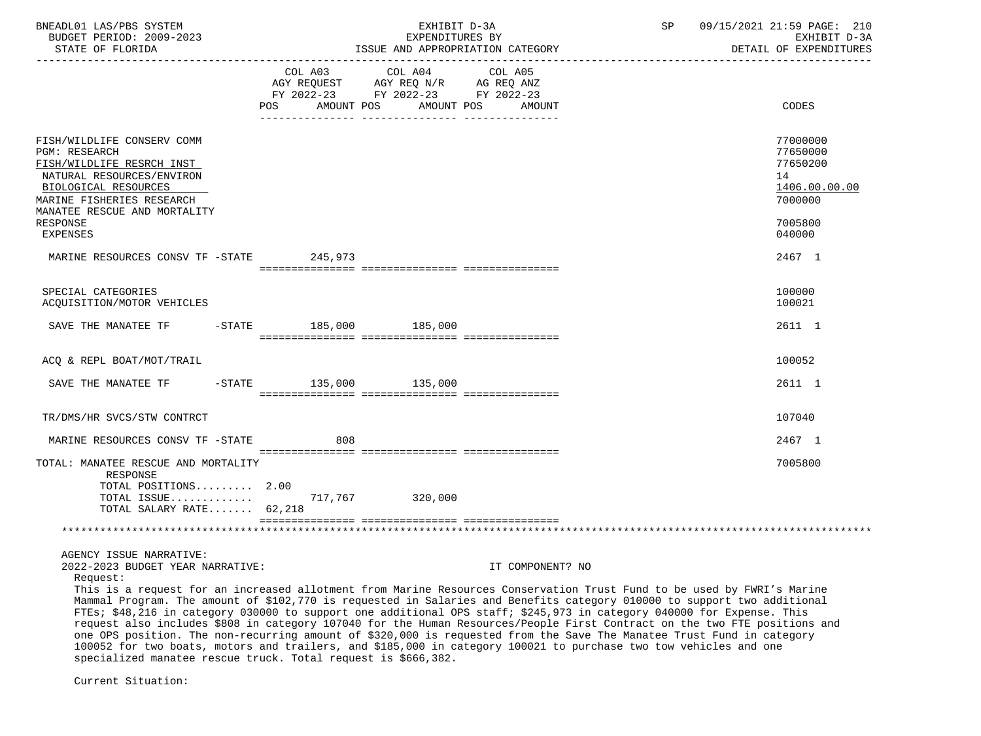| BNEADL01 LAS/PBS SYSTEM<br>BUDGET PERIOD: 2009-2023<br>STATE OF FLORIDA                                                                                                                                                                                                                                                                                                                                                                                                                                             |           |                                      |            | EXHIBIT D-3A<br>EXPENDITURES BY<br>ISSUE AND APPROPRIATION CATEGORY      |                             |                  | SP | 09/15/2021 21:59 PAGE: 210<br>EXHIBIT D-3A<br>DETAIL OF EXPENDITURES |
|---------------------------------------------------------------------------------------------------------------------------------------------------------------------------------------------------------------------------------------------------------------------------------------------------------------------------------------------------------------------------------------------------------------------------------------------------------------------------------------------------------------------|-----------|--------------------------------------|------------|--------------------------------------------------------------------------|-----------------------------|------------------|----|----------------------------------------------------------------------|
|                                                                                                                                                                                                                                                                                                                                                                                                                                                                                                                     |           | COL A03<br>AGY REQUEST<br><b>POS</b> | AMOUNT POS | COL A04<br>AGY REQ N/R<br>FY 2022-23 FY 2022-23 FY 2022-23<br>AMOUNT POS | COL A05<br>AG REQ ANZ       | AMOUNT           |    | <b>CODES</b>                                                         |
| FISH/WILDLIFE CONSERV COMM<br><b>PGM: RESEARCH</b><br>FISH/WILDLIFE RESRCH INST<br>NATURAL RESOURCES/ENVIRON<br>BIOLOGICAL RESOURCES<br>MARINE FISHERIES RESEARCH<br>MANATEE RESCUE AND MORTALITY                                                                                                                                                                                                                                                                                                                   |           |                                      |            |                                                                          |                             |                  |    | 77000000<br>77650000<br>77650200<br>14<br>1406.00.00.00<br>7000000   |
| RESPONSE<br><b>EXPENSES</b>                                                                                                                                                                                                                                                                                                                                                                                                                                                                                         |           |                                      |            |                                                                          |                             |                  |    | 7005800<br>040000                                                    |
| MARINE RESOURCES CONSV TF -STATE                                                                                                                                                                                                                                                                                                                                                                                                                                                                                    |           |                                      | 245,973    |                                                                          |                             |                  |    | 2467 1                                                               |
| SPECIAL CATEGORIES<br>ACQUISITION/MOTOR VEHICLES                                                                                                                                                                                                                                                                                                                                                                                                                                                                    |           |                                      |            |                                                                          |                             |                  |    | 100000<br>100021                                                     |
| SAVE THE MANATEE TF                                                                                                                                                                                                                                                                                                                                                                                                                                                                                                 |           | -STATE 185,000 185,000               |            |                                                                          |                             |                  |    | 2611 1                                                               |
| ACQ & REPL BOAT/MOT/TRAIL                                                                                                                                                                                                                                                                                                                                                                                                                                                                                           |           |                                      |            |                                                                          |                             |                  |    | 100052                                                               |
| SAVE THE MANATEE TF                                                                                                                                                                                                                                                                                                                                                                                                                                                                                                 | $-$ STATE |                                      |            | 135,000 135,000                                                          |                             |                  |    | 2611 1                                                               |
| TR/DMS/HR SVCS/STW CONTRCT                                                                                                                                                                                                                                                                                                                                                                                                                                                                                          |           |                                      |            |                                                                          |                             |                  |    | 107040                                                               |
| MARINE RESOURCES CONSV TF -STATE                                                                                                                                                                                                                                                                                                                                                                                                                                                                                    |           |                                      | 808        |                                                                          |                             |                  |    | 2467 1                                                               |
| TOTAL: MANATEE RESCUE AND MORTALITY<br>RESPONSE                                                                                                                                                                                                                                                                                                                                                                                                                                                                     |           |                                      |            |                                                                          |                             |                  |    | 7005800                                                              |
| TOTAL POSITIONS 2.00<br>TOTAL ISSUE<br>TOTAL SALARY RATE 62,218                                                                                                                                                                                                                                                                                                                                                                                                                                                     |           |                                      |            | 717,767 320,000                                                          |                             |                  |    |                                                                      |
|                                                                                                                                                                                                                                                                                                                                                                                                                                                                                                                     |           |                                      |            |                                                                          |                             |                  |    |                                                                      |
| AGENCY ISSUE NARRATIVE:<br>2022-2023 BUDGET YEAR NARRATIVE:                                                                                                                                                                                                                                                                                                                                                                                                                                                         |           |                                      |            |                                                                          |                             | IT COMPONENT? NO |    |                                                                      |
| Request:<br>This is a request for an increased allotment from Marine Resources Conservation Trust Fund to be used by FWRI's Marine<br>Mammal Program. The amount of \$102,770 is requested in Salaries and Benefits category 010000 to support two additional<br>FTEs; \$48,216 in category 030000 to support one additional OPS staff; \$245,973 in category 040000 for Expense. This<br>request also includes \$808 in category 107040 for the Human Resources/People First Contract on the two FTE positions and |           |                                      |            |                                                                          | $\sim$ $\sim$ $\sim$ $\sim$ |                  |    |                                                                      |

 one OPS position. The non-recurring amount of \$320,000 is requested from the Save The Manatee Trust Fund in category 100052 for two boats, motors and trailers, and \$185,000 in category 100021 to purchase two tow vehicles and one specialized manatee rescue truck. Total request is \$666,382.

Current Situation: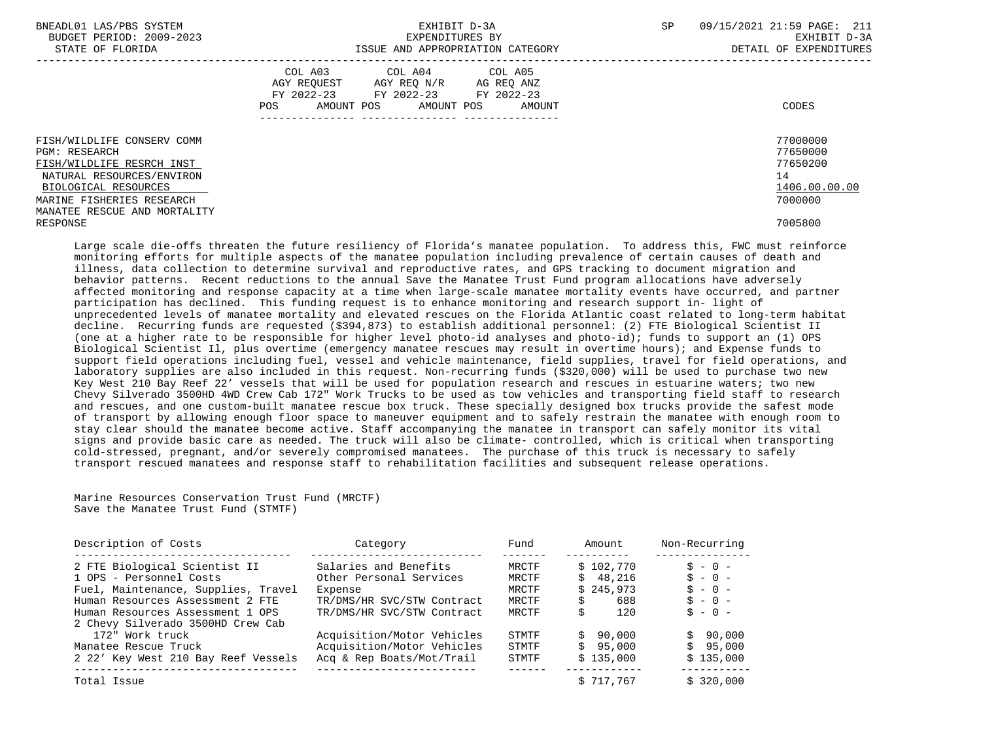| BNEADL01 LAS/PBS SYSTEM<br>BUDGET PERIOD: 2009-2023<br>STATE OF FLORIDA                                                                                                                           | EXHIBIT D-3A<br>EXPENDITURES BY<br>ISSUE AND APPROPRIATION CATEGORY                                                                         | 09/15/2021 21:59 PAGE: 211<br><b>SP</b><br>EXHIBIT D-3A<br>DETAIL OF EXPENDITURES |
|---------------------------------------------------------------------------------------------------------------------------------------------------------------------------------------------------|---------------------------------------------------------------------------------------------------------------------------------------------|-----------------------------------------------------------------------------------|
|                                                                                                                                                                                                   | COL A03 COL A04 COL A05<br>AGY REOUEST AGY REO N/R AG REO ANZ<br>FY 2022-23 FY 2022-23 FY 2022-23<br>AMOUNT POS AMOUNT POS<br>AMOUNT<br>POS | CODES                                                                             |
| FISH/WILDLIFE CONSERV COMM<br><b>PGM: RESEARCH</b><br>FISH/WILDLIFE RESRCH INST<br>NATURAL RESOURCES/ENVIRON<br>BIOLOGICAL RESOURCES<br>MARINE FISHERIES RESEARCH<br>MANATEE RESCUE AND MORTALITY |                                                                                                                                             | 77000000<br>77650000<br>77650200<br>14<br>1406.00.00.00<br>7000000                |
| RESPONSE                                                                                                                                                                                          |                                                                                                                                             | 7005800                                                                           |

 Large scale die-offs threaten the future resiliency of Florida's manatee population. To address this, FWC must reinforce monitoring efforts for multiple aspects of the manatee population including prevalence of certain causes of death and illness, data collection to determine survival and reproductive rates, and GPS tracking to document migration and behavior patterns. Recent reductions to the annual Save the Manatee Trust Fund program allocations have adversely affected monitoring and response capacity at a time when large-scale manatee mortality events have occurred, and partner participation has declined. This funding request is to enhance monitoring and research support in- light of unprecedented levels of manatee mortality and elevated rescues on the Florida Atlantic coast related to long-term habitat decline. Recurring funds are requested (\$394,873) to establish additional personnel: (2) FTE Biological Scientist II (one at a higher rate to be responsible for higher level photo-id analyses and photo-id); funds to support an (1) OPS Biological Scientist Il, plus overtime (emergency manatee rescues may result in overtime hours); and Expense funds to support field operations including fuel, vessel and vehicle maintenance, field supplies, travel for field operations, and laboratory supplies are also included in this request. Non-recurring funds (\$320,000) will be used to purchase two new Key West 210 Bay Reef 22' vessels that will be used for population research and rescues in estuarine waters; two new Chevy Silverado 3500HD 4WD Crew Cab 172" Work Trucks to be used as tow vehicles and transporting field staff to research and rescues, and one custom-built manatee rescue box truck. These specially designed box trucks provide the safest mode of transport by allowing enough floor space to maneuver equipment and to safely restrain the manatee with enough room to stay clear should the manatee become active. Staff accompanying the manatee in transport can safely monitor its vital signs and provide basic care as needed. The truck will also be climate- controlled, which is critical when transporting cold-stressed, pregnant, and/or severely compromised manatees. The purchase of this truck is necessary to safely transport rescued manatees and response staff to rehabilitation facilities and subsequent release operations.

 Marine Resources Conservation Trust Fund (MRCTF) Save the Manatee Trust Fund (STMTF)

| Description of Costs                | Category                   | Fund  | Amount                 | Non-Recurring   |  |
|-------------------------------------|----------------------------|-------|------------------------|-----------------|--|
| 2 FTE Biological Scientist II       | Salaries and Benefits      | MRCTF | \$102,770              | $S - 0 -$       |  |
| 1 OPS - Personnel Costs             | Other Personal Services    | MRCTF | \$48.216               | $S - 0 -$       |  |
| Fuel, Maintenance, Supplies, Travel | Expense                    | MRCTF | \$245,973              | $\dot{S} - 0 -$ |  |
| Human Resources Assessment 2 FTE    | TR/DMS/HR SVC/STW Contract | MRCTF | 688                    | $S - 0 -$       |  |
| Human Resources Assessment 1 OPS    | TR/DMS/HR SVC/STW Contract | MRCTF | 120                    | $\dot{S} - 0 -$ |  |
| 2 Chevy Silverado 3500HD Crew Cab   |                            |       |                        |                 |  |
| 172" Work truck                     | Acquisition/Motor Vehicles | STMTF | 90,000<br>$\mathbf{s}$ | \$90.000        |  |
| Manatee Rescue Truck                | Acquisition/Motor Vehicles | STMTF | \$95,000               | \$95,000        |  |
| 2 22' Key West 210 Bay Reef Vessels | Acq & Rep Boats/Mot/Trail  | STMTF | \$135,000              | \$135,000       |  |
| Total Issue                         |                            |       | \$717.767              | \$320.000       |  |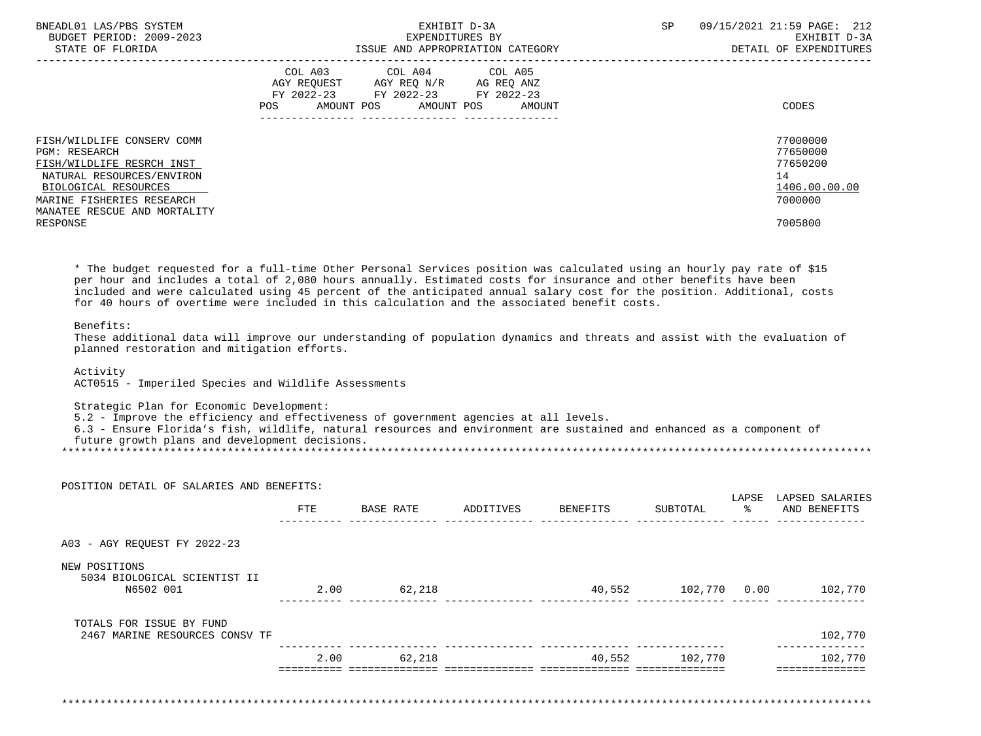| BNEADL01 LAS/PBS SYSTEM<br>BUDGET PERIOD: 2009-2023 | EXHIBIT D-3A<br>EXPENDITURES BY                                                                                                          | 09/15/2021 21:59 PAGE: 212<br>SP<br>EXHIBIT D-3A |
|-----------------------------------------------------|------------------------------------------------------------------------------------------------------------------------------------------|--------------------------------------------------|
| STATE OF FLORIDA                                    | ISSUE AND APPROPRIATION CATEGORY                                                                                                         | DETAIL OF EXPENDITURES                           |
|                                                     | COL A03 COL A04 COL A05<br>AGY REQUEST AGY REQ N/R AG REQ ANZ<br>FY 2022-23 FY 2022-23 FY 2022-23<br>POS<br>AMOUNT POS AMOUNT POS AMOUNT | CODES                                            |
| FISH/WILDLIFE CONSERV COMM<br>PGM: RESEARCH         |                                                                                                                                          | 77000000<br>77650000                             |
| FISH/WILDLIFE RESRCH INST                           |                                                                                                                                          | 77650200                                         |
| NATURAL RESOURCES/ENVIRON                           |                                                                                                                                          | 14                                               |
| BIOLOGICAL RESOURCES                                |                                                                                                                                          | 1406.00.00.00                                    |
| MARINE FISHERIES RESEARCH                           |                                                                                                                                          | 7000000                                          |
| MANATEE RESCUE AND MORTALITY                        |                                                                                                                                          |                                                  |
| RESPONSE                                            |                                                                                                                                          | 7005800                                          |

 \* The budget requested for a full-time Other Personal Services position was calculated using an hourly pay rate of \$15 per hour and includes a total of 2,080 hours annually. Estimated costs for insurance and other benefits have been included and were calculated using 45 percent of the anticipated annual salary cost for the position. Additional, costs for 40 hours of overtime were included in this calculation and the associated benefit costs.

# Benefits:

 These additional data will improve our understanding of population dynamics and threats and assist with the evaluation of planned restoration and mitigation efforts.

# Activity

ACT0515 - Imperiled Species and Wildlife Assessments

Strategic Plan for Economic Development:

5.2 - Improve the efficiency and effectiveness of government agencies at all levels.

 6.3 - Ensure Florida's fish, wildlife, natural resources and environment are sustained and enhanced as a component of future growth plans and development decisions.

\*\*\*\*\*\*\*\*\*\*\*\*\*\*\*\*\*\*\*\*\*\*\*\*\*\*\*\*\*\*\*\*\*\*\*\*\*\*\*\*\*\*\*\*\*\*\*\*\*\*\*\*\*\*\*\*\*\*\*\*\*\*\*\*\*\*\*\*\*\*\*\*\*\*\*\*\*\*\*\*\*\*\*\*\*\*\*\*\*\*\*\*\*\*\*\*\*\*\*\*\*\*\*\*\*\*\*\*\*\*\*\*\*\*\*\*\*\*\*\*\*\*\*\*\*\*\*

|                                               | <b>FTE</b> | BASE RATE | ADDITIVES | BENEFITS | SUBTOTAL     | LAPSE<br>ႜႂ | LAPSED SALARIES<br>AND BENEFITS |
|-----------------------------------------------|------------|-----------|-----------|----------|--------------|-------------|---------------------------------|
|                                               |            |           |           |          |              |             |                                 |
| A03 - AGY REQUEST FY 2022-23                  |            |           |           |          |              |             |                                 |
| NEW POSITIONS<br>5034 BIOLOGICAL SCIENTIST II |            |           |           |          |              |             |                                 |
| N6502 001                                     | 2.00       | 62,218    |           | 40,552   | 102,770 0.00 |             | 102,770                         |
| TOTALS FOR ISSUE BY FUND                      |            |           |           |          |              |             |                                 |
| 2467 MARINE RESOURCES CONSV TF                |            |           |           |          |              |             | 102,770                         |
|                                               | 2.00       | 62,218    |           | 40,552   | 102,770      |             | 102,770                         |
|                                               |            |           |           |          |              |             |                                 |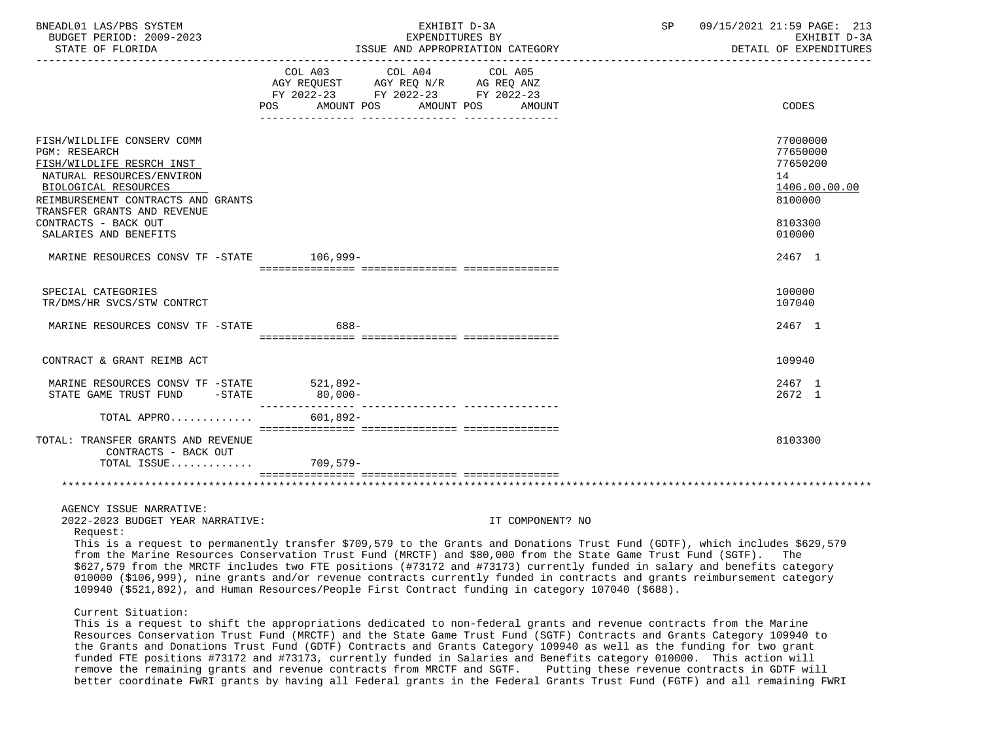| BNEADL01 LAS/PBS SYSTEM<br>BUDGET PERIOD: 2009-2023<br>STATE OF FLORIDA                                                                                                                                   | EXHIBIT D-3A<br>EXPENDITURES BY<br>ISSUE AND APPROPRIATION CATEGORY                                                                                                                                                                                                                                                                                                                                                                                                                                                                                                                                       |                  | SP 09/15/2021 21:59 PAGE: 213<br>EXHIBIT D-3A<br>DETAIL OF EXPENDITURES |
|-----------------------------------------------------------------------------------------------------------------------------------------------------------------------------------------------------------|-----------------------------------------------------------------------------------------------------------------------------------------------------------------------------------------------------------------------------------------------------------------------------------------------------------------------------------------------------------------------------------------------------------------------------------------------------------------------------------------------------------------------------------------------------------------------------------------------------------|------------------|-------------------------------------------------------------------------|
|                                                                                                                                                                                                           | COL A03 COL A04 COL A05<br>FY 2022-23 FY 2022-23 FY 2022-23<br>AMOUNT POS<br>AMOUNT POS<br>POS FOR THE POST OF THE STATE STATE STATE STATE STATE STATE STATE STATE STATE STATE STATE STATE STATE STATE ST                                                                                                                                                                                                                                                                                                                                                                                                 | AMOUNT           | CODES                                                                   |
| FISH/WILDLIFE CONSERV COMM<br><b>PGM: RESEARCH</b><br>FISH/WILDLIFE RESRCH INST<br>NATURAL RESOURCES/ENVIRON<br>BIOLOGICAL RESOURCES<br>REIMBURSEMENT CONTRACTS AND GRANTS<br>TRANSFER GRANTS AND REVENUE |                                                                                                                                                                                                                                                                                                                                                                                                                                                                                                                                                                                                           |                  | 77000000<br>77650000<br>77650200<br>14<br>1406.00.00.00<br>8100000      |
| CONTRACTS - BACK OUT<br>SALARIES AND BENEFITS                                                                                                                                                             |                                                                                                                                                                                                                                                                                                                                                                                                                                                                                                                                                                                                           |                  | 8103300<br>010000                                                       |
| MARINE RESOURCES CONSV TF -STATE 106,999-                                                                                                                                                                 |                                                                                                                                                                                                                                                                                                                                                                                                                                                                                                                                                                                                           |                  | 2467 1                                                                  |
| SPECIAL CATEGORIES<br>TR/DMS/HR SVCS/STW CONTRCT                                                                                                                                                          |                                                                                                                                                                                                                                                                                                                                                                                                                                                                                                                                                                                                           |                  | 100000<br>107040                                                        |
| MARINE RESOURCES CONSV TF -STATE                                                                                                                                                                          | 688-                                                                                                                                                                                                                                                                                                                                                                                                                                                                                                                                                                                                      |                  | 2467 1                                                                  |
| CONTRACT & GRANT REIMB ACT                                                                                                                                                                                |                                                                                                                                                                                                                                                                                                                                                                                                                                                                                                                                                                                                           |                  | 109940                                                                  |
| MARINE RESOURCES CONSV TF -STATE 521,892-<br>STATE GAME TRUST FUND -STATE                                                                                                                                 | $80$ , $000-$                                                                                                                                                                                                                                                                                                                                                                                                                                                                                                                                                                                             |                  | 2467 1<br>2672 1                                                        |
| TOTAL APPRO $601,892-$                                                                                                                                                                                    |                                                                                                                                                                                                                                                                                                                                                                                                                                                                                                                                                                                                           |                  |                                                                         |
| TOTAL: TRANSFER GRANTS AND REVENUE<br>CONTRACTS - BACK OUT<br>TOTAL ISSUE                                                                                                                                 | 709,579-                                                                                                                                                                                                                                                                                                                                                                                                                                                                                                                                                                                                  |                  | 8103300                                                                 |
| AGENCY ISSUE NARRATIVE:<br>2022-2023 BUDGET YEAR NARRATIVE:<br>Request:                                                                                                                                   | This is a request to permanently transfer \$709,579 to the Grants and Donations Trust Fund (GDTF), which includes \$629,579<br>from the Marine Resources Conservation Trust Fund (MRCTF) and \$80,000 from the State Game Trust Fund (SGTF).<br>\$627,579 from the MRCTF includes two FTE positions (#73172 and #73173) currently funded in salary and benefits category<br>010000 (\$106,999), nine grants and/or revenue contracts currently funded in contracts and grants reimbursement category<br>109940 (\$521,892), and Human Resources/People First Contract funding in category 107040 (\$688). | IT COMPONENT? NO | The                                                                     |
| Current Situation:                                                                                                                                                                                        | This is a request to shift the appropriations dedicated to non-federal grants and revenue contracts from the Marine<br>Resources Conservation Trust Fund (MRCTF) and the State Game Trust Fund (SGTF) Contracts and Grants Category 109940 to<br>the Grants and Donations Trust Fund (GDTF) Contracts and Grants Category 109940 as well as the funding for two grant                                                                                                                                                                                                                                     |                  |                                                                         |

 the Grants and Donations Trust Fund (GDTF) Contracts and Grants Category 109940 as well as the funding for two grant funded FTE positions #73172 and #73173, currently funded in Salaries and Benefits category 010000. This action will remove the remaining grants and revenue contracts from MRCTF and SGTF. Putting these revenue contracts in GDTF will better coordinate FWRI grants by having all Federal grants in the Federal Grants Trust Fund (FGTF) and all remaining FWRI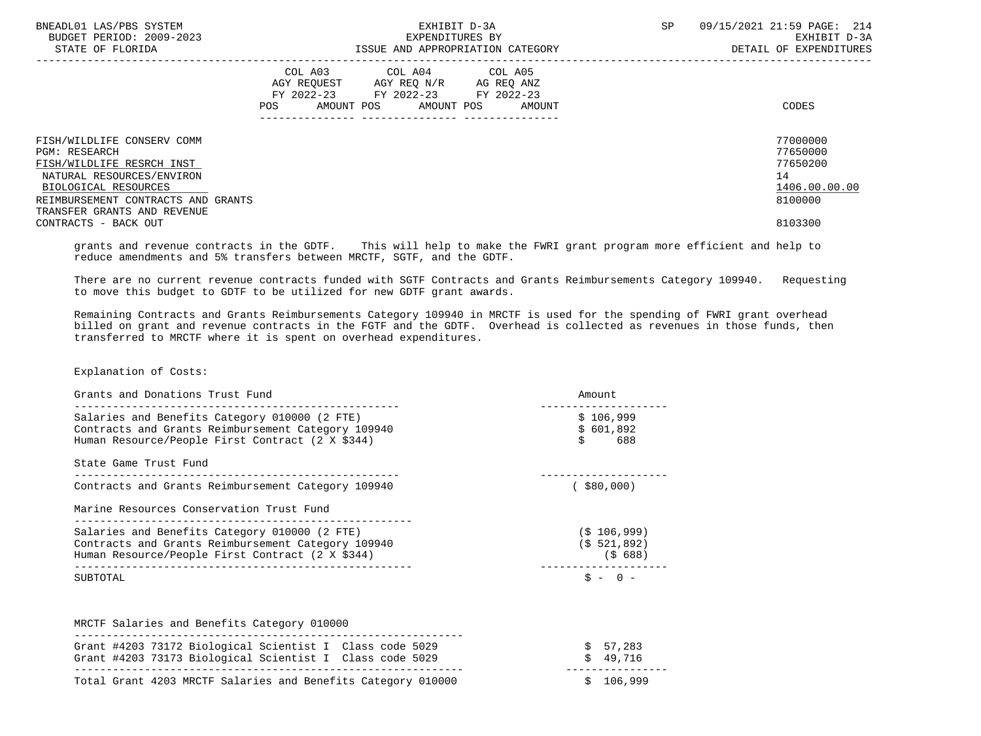| BNEADL01 LAS/PBS SYSTEM<br>BUDGET PERIOD: 2009-2023<br>STATE OF FLORIDA                                                                                                                                   | EXHIBIT D-3A<br>EXPENDITURES BY<br>ISSUE AND APPROPRIATION CATEGORY                                                                         | 09/15/2021 21:59 PAGE: 214<br><b>SP</b><br>EXHIBIT D-3A<br>DETAIL OF EXPENDITURES |
|-----------------------------------------------------------------------------------------------------------------------------------------------------------------------------------------------------------|---------------------------------------------------------------------------------------------------------------------------------------------|-----------------------------------------------------------------------------------|
|                                                                                                                                                                                                           | COL A03 COL A04 COL A05<br>AGY REOUEST AGY REO N/R AG REO ANZ<br>FY 2022-23 FY 2022-23 FY 2022-23<br>AMOUNT POS AMOUNT POS<br>POS<br>AMOUNT | CODES                                                                             |
| FISH/WILDLIFE CONSERV COMM<br><b>PGM: RESEARCH</b><br>FISH/WILDLIFE RESRCH INST<br>NATURAL RESOURCES/ENVIRON<br>BIOLOGICAL RESOURCES<br>REIMBURSEMENT CONTRACTS AND GRANTS<br>TRANSFER GRANTS AND REVENUE |                                                                                                                                             | 77000000<br>77650000<br>77650200<br>14<br>1406.00.00.00<br>8100000                |
| CONTRACTS - BACK OUT                                                                                                                                                                                      |                                                                                                                                             | 8103300                                                                           |

 grants and revenue contracts in the GDTF. This will help to make the FWRI grant program more efficient and help to reduce amendments and 5% transfers between MRCTF, SGTF, and the GDTF.

 There are no current revenue contracts funded with SGTF Contracts and Grants Reimbursements Category 109940. Requesting to move this budget to GDTF to be utilized for new GDTF grant awards.

 Remaining Contracts and Grants Reimbursements Category 109940 in MRCTF is used for the spending of FWRI grant overhead billed on grant and revenue contracts in the FGTF and the GDTF. Overhead is collected as revenues in those funds, then transferred to MRCTF where it is spent on overhead expenditures.

Explanation of Costs:

| Grants and Donations Trust Fund                                                                                                                         | Amount                                  |
|---------------------------------------------------------------------------------------------------------------------------------------------------------|-----------------------------------------|
| Salaries and Benefits Category 010000 (2 FTE)<br>Contracts and Grants Reimbursement Category 109940<br>Human Resource/People First Contract (2 X \$344) | \$106,999<br>\$601.892<br>Ś<br>688      |
| State Game Trust Fund                                                                                                                                   |                                         |
| Contracts and Grants Reimbursement Category 109940                                                                                                      | $($ \$80,000)                           |
|                                                                                                                                                         |                                         |
| Marine Resources Conservation Trust Fund                                                                                                                |                                         |
| Salaries and Benefits Category 010000 (2 FTE)<br>Contracts and Grants Reimbursement Category 109940<br>Human Resource/People First Contract (2 X \$344) | $(S$ 106,999)<br>(S 521, 892)<br>(5688) |

| MRCTF Salaries and Benefits Category 010000                                                                          |                      |
|----------------------------------------------------------------------------------------------------------------------|----------------------|
| Grant #4203 73172 Biological Scientist I Class code 5029<br>Grant #4203 73173 Biological Scientist I Class code 5029 | \$57,283<br>\$49.716 |
| Total Grant 4203 MRCTF Salaries and Benefits Category 010000                                                         | \$106,999            |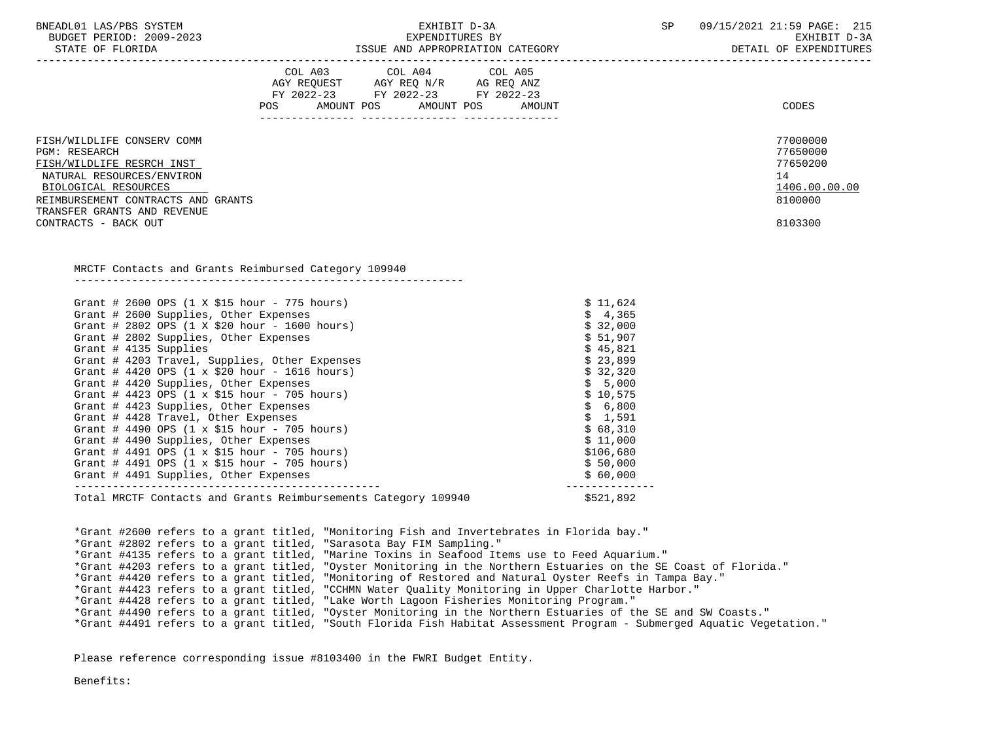| BNEADL01 LAS/PBS SYSTEM |                  |                          |
|-------------------------|------------------|--------------------------|
|                         |                  | BUDGET PERIOD: 2009-2023 |
|                         | STATE OF FLORIDA |                          |

ISSUE AND APPROPRIATION CATEGORY **Expenditures** of the expenditures

|                                                                     | COL A03 COL A04 COL A05                                                                                                                                                                            |                            |               |
|---------------------------------------------------------------------|----------------------------------------------------------------------------------------------------------------------------------------------------------------------------------------------------|----------------------------|---------------|
|                                                                     | $\begin{tabular}{lllllll} \bf AGY & \bf REQUEST & \bf AGY & \bf REQ & \tt N/R & \tt AG & \tt REQ & \tt ANZ \\ \bf FY & \tt 2022-23 & \tt FY & \tt 2022-23 & \tt FY & \tt 2022-23 \\ \end{tabular}$ |                            |               |
|                                                                     |                                                                                                                                                                                                    |                            |               |
|                                                                     | POS AMOUNT POS AMOUNT POS                                                                                                                                                                          | AMOUNT                     | CODES         |
|                                                                     |                                                                                                                                                                                                    |                            |               |
| FISH/WILDLIFE CONSERV COMM                                          |                                                                                                                                                                                                    |                            | 77000000      |
| <b>PGM: RESEARCH</b>                                                |                                                                                                                                                                                                    |                            | 77650000      |
| FISH/WILDLIFE RESRCH INST                                           |                                                                                                                                                                                                    |                            | 77650200      |
| NATURAL RESOURCES/ENVIRON                                           |                                                                                                                                                                                                    |                            | 14            |
| BIOLOGICAL RESOURCES                                                |                                                                                                                                                                                                    |                            | 1406.00.00.00 |
| REIMBURSEMENT CONTRACTS AND GRANTS                                  |                                                                                                                                                                                                    |                            | 8100000       |
| TRANSFER GRANTS AND REVENUE                                         |                                                                                                                                                                                                    |                            |               |
| CONTRACTS - BACK OUT                                                |                                                                                                                                                                                                    |                            | 8103300       |
|                                                                     |                                                                                                                                                                                                    |                            |               |
|                                                                     |                                                                                                                                                                                                    |                            |               |
| MRCTF Contacts and Grants Reimbursed Category 109940                |                                                                                                                                                                                                    |                            |               |
|                                                                     |                                                                                                                                                                                                    |                            |               |
| Grant # 2600 OPS $(1 \times $15 \text{ hour} - 775 \text{ hours})$  |                                                                                                                                                                                                    |                            | \$11,624      |
| Grant # 2600 Supplies, Other Expenses                               |                                                                                                                                                                                                    | \$4,365                    |               |
| Grant # 2802 OPS $(1 \times $20 \text{ hour} - 1600 \text{ hours})$ |                                                                                                                                                                                                    | \$32,000                   |               |
| Grant # 2802 Supplies, Other Expenses                               |                                                                                                                                                                                                    | \$51,907                   |               |
| Grant # 4135 Supplies                                               |                                                                                                                                                                                                    | \$45,821                   |               |
| Grant # 4203 Travel, Supplies, Other Expenses                       |                                                                                                                                                                                                    | \$23,899                   |               |
| Grant # 4420 OPS $(1 \times $20 \text{ hour} - 1616 \text{ hours})$ |                                                                                                                                                                                                    | \$32,320                   |               |
| Grant # 4420 Supplies, Other Expenses                               |                                                                                                                                                                                                    | \$5,000                    |               |
| Grant # 4423 OPS (1 x \$15 hour - 705 hours)                        |                                                                                                                                                                                                    | \$10,575                   |               |
| Grant # 4423 Supplies, Other Expenses                               |                                                                                                                                                                                                    | \$6,800                    |               |
| Grant # 4428 Travel, Other Expenses                                 |                                                                                                                                                                                                    | \$1,591                    |               |
| Grant # 4490 OPS $(1 \times $15 \text{ hour} - 705 \text{ hours})$  |                                                                                                                                                                                                    | \$68,310                   |               |
| Grant # 4490 Supplies, Other Expenses                               |                                                                                                                                                                                                    | \$11,000                   |               |
| Grant # 4491 OPS $(1 \times $15 \text{ hour} - 705 \text{ hours})$  |                                                                                                                                                                                                    | \$106,680                  |               |
| Grant # 4491 OPS $(1 \times $15 \text{ hour} - 705 \text{ hours})$  |                                                                                                                                                                                                    | \$50,000                   |               |
| Grant # 4491 Supplies, Other Expenses                               |                                                                                                                                                                                                    | \$60,000<br>-------------- |               |
|                                                                     | Total MRCTF Contacts and Grants Reimbursements Category 109940                                                                                                                                     | \$521,892                  |               |
|                                                                     |                                                                                                                                                                                                    |                            |               |
|                                                                     | *Grant #2600 refers to a grant titled, "Monitoring Fish and Invertebrates in Florida bay."                                                                                                         |                            |               |
|                                                                     | *Grant #2802 refers to a grant titled, "Sarasota Bay FIM Sampling."                                                                                                                                |                            |               |
|                                                                     | *Grant #4135 refers to a grant titled, "Marine Toxins in Seafood Items use to Feed Aquarium."                                                                                                      |                            |               |
|                                                                     | *Grant #4203 refers to a grant titled, "Oyster Monitoring in the Northern Estuaries on the SE Coast of Florida."                                                                                   |                            |               |

\*Grant #4420 refers to a grant titled, "Monitoring of Restored and Natural Oyster Reefs in Tampa Bay."

\*Grant #4423 refers to a grant titled, "CCHMN Water Quality Monitoring in Upper Charlotte Harbor."

\*Grant #4428 refers to a grant titled, "Lake Worth Lagoon Fisheries Monitoring Program."

\*Grant #4490 refers to a grant titled, "Oyster Monitoring in the Northern Estuaries of the SE and SW Coasts."

\*Grant #4491 refers to a grant titled, "South Florida Fish Habitat Assessment Program - Submerged Aquatic Vegetation."

Please reference corresponding issue #8103400 in the FWRI Budget Entity.

Benefits: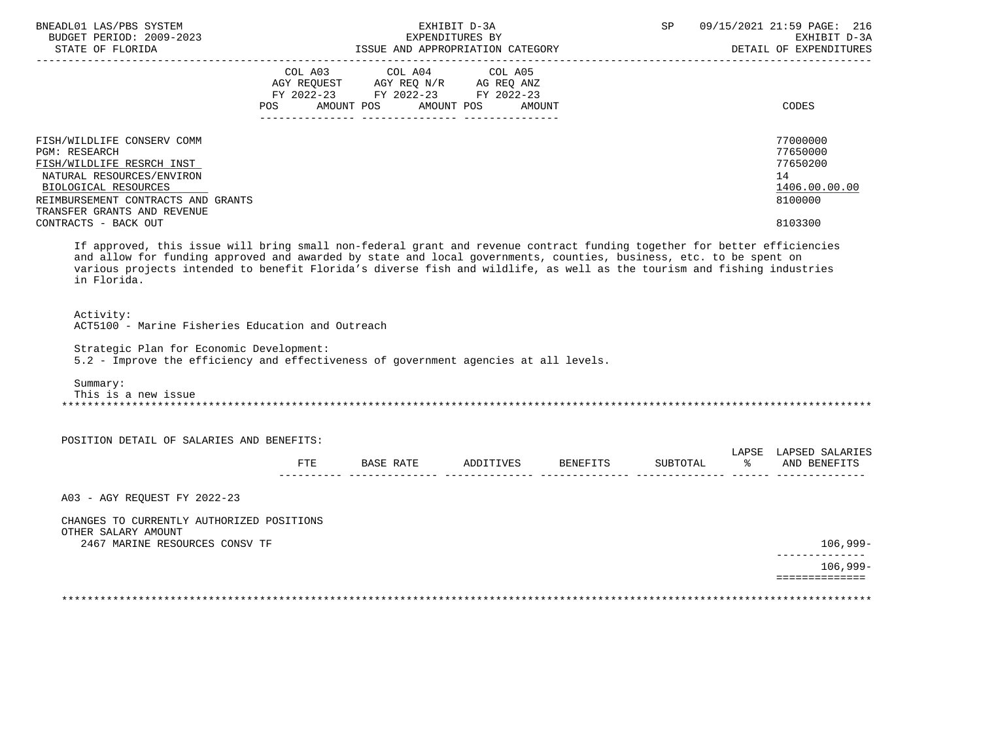| BNEADL01 LAS/PBS SYSTEM<br>BUDGET PERIOD: 2009-2023                                                                                                                                                                                                                                                                                                                                      |     |                                                                        | EXHIBIT D-3A<br>EXPENDITURES BY |               | SP       |               | 09/15/2021 21:59 PAGE: 216<br>EXHIBIT D-3A      |
|------------------------------------------------------------------------------------------------------------------------------------------------------------------------------------------------------------------------------------------------------------------------------------------------------------------------------------------------------------------------------------------|-----|------------------------------------------------------------------------|---------------------------------|---------------|----------|---------------|-------------------------------------------------|
| STATE OF FLORIDA                                                                                                                                                                                                                                                                                                                                                                         |     | ISSUE AND APPROPRIATION CATEGORY                                       |                                 |               |          |               | DETAIL OF EXPENDITURES                          |
|                                                                                                                                                                                                                                                                                                                                                                                          |     | COL A03 COL A04 COL A05                                                |                                 |               |          |               |                                                 |
|                                                                                                                                                                                                                                                                                                                                                                                          |     | AGY REQUEST AGY REQ N/R AG REQ ANZ<br>FY 2022-23 FY 2022-23 FY 2022-23 |                                 |               |          |               |                                                 |
|                                                                                                                                                                                                                                                                                                                                                                                          | POS | AMOUNT POS                                                             | AMOUNT POS                      | <b>AMOUNT</b> |          |               | <b>CODES</b>                                    |
| FISH/WILDLIFE CONSERV COMM                                                                                                                                                                                                                                                                                                                                                               |     |                                                                        |                                 |               |          |               | 77000000                                        |
| <b>PGM: RESEARCH</b>                                                                                                                                                                                                                                                                                                                                                                     |     |                                                                        |                                 |               |          |               | 77650000                                        |
| FISH/WILDLIFE RESRCH INST                                                                                                                                                                                                                                                                                                                                                                |     |                                                                        |                                 |               |          |               | 77650200                                        |
| NATURAL RESOURCES/ENVIRON                                                                                                                                                                                                                                                                                                                                                                |     |                                                                        |                                 |               |          |               | 14                                              |
| BIOLOGICAL RESOURCES<br>REIMBURSEMENT CONTRACTS AND GRANTS                                                                                                                                                                                                                                                                                                                               |     |                                                                        |                                 |               |          |               | 1406.00.00.00<br>8100000                        |
| TRANSFER GRANTS AND REVENUE                                                                                                                                                                                                                                                                                                                                                              |     |                                                                        |                                 |               |          |               |                                                 |
| CONTRACTS - BACK OUT                                                                                                                                                                                                                                                                                                                                                                     |     |                                                                        |                                 |               |          |               | 8103300                                         |
| If approved, this issue will bring small non-federal grant and revenue contract funding together for better efficiencies<br>and allow for funding approved and awarded by state and local governments, counties, business, etc. to be spent on<br>various projects intended to benefit Florida's diverse fish and wildlife, as well as the tourism and fishing industries<br>in Florida. |     |                                                                        |                                 |               |          |               |                                                 |
| Activity:<br>ACT5100 - Marine Fisheries Education and Outreach                                                                                                                                                                                                                                                                                                                           |     |                                                                        |                                 |               |          |               |                                                 |
| Strategic Plan for Economic Development:<br>5.2 - Improve the efficiency and effectiveness of government agencies at all levels.                                                                                                                                                                                                                                                         |     |                                                                        |                                 |               |          |               |                                                 |
| Summary:<br>This is a new issue                                                                                                                                                                                                                                                                                                                                                          |     |                                                                        |                                 |               |          |               |                                                 |
| POSITION DETAIL OF SALARIES AND BENEFITS:                                                                                                                                                                                                                                                                                                                                                |     |                                                                        |                                 |               |          |               |                                                 |
|                                                                                                                                                                                                                                                                                                                                                                                          | ETE | BASE RATE ADDITIVES BENEFITS                                           |                                 |               | SUBTOTAL | $\sim$ $\sim$ | LAPSE LAPSED SALARIES<br>AND BENEFITS           |
| A03 - AGY REQUEST FY 2022-23                                                                                                                                                                                                                                                                                                                                                             |     |                                                                        |                                 |               |          |               |                                                 |
| CHANGES TO CURRENTLY AUTHORIZED POSITIONS                                                                                                                                                                                                                                                                                                                                                |     |                                                                        |                                 |               |          |               |                                                 |
| OTHER SALARY AMOUNT<br>2467 MARINE RESOURCES CONSV TF                                                                                                                                                                                                                                                                                                                                    |     |                                                                        |                                 |               |          |               | 106,999-                                        |
|                                                                                                                                                                                                                                                                                                                                                                                          |     |                                                                        |                                 |               |          |               | ---------------<br>$106,999-$<br>============== |
|                                                                                                                                                                                                                                                                                                                                                                                          |     |                                                                        |                                 |               |          |               |                                                 |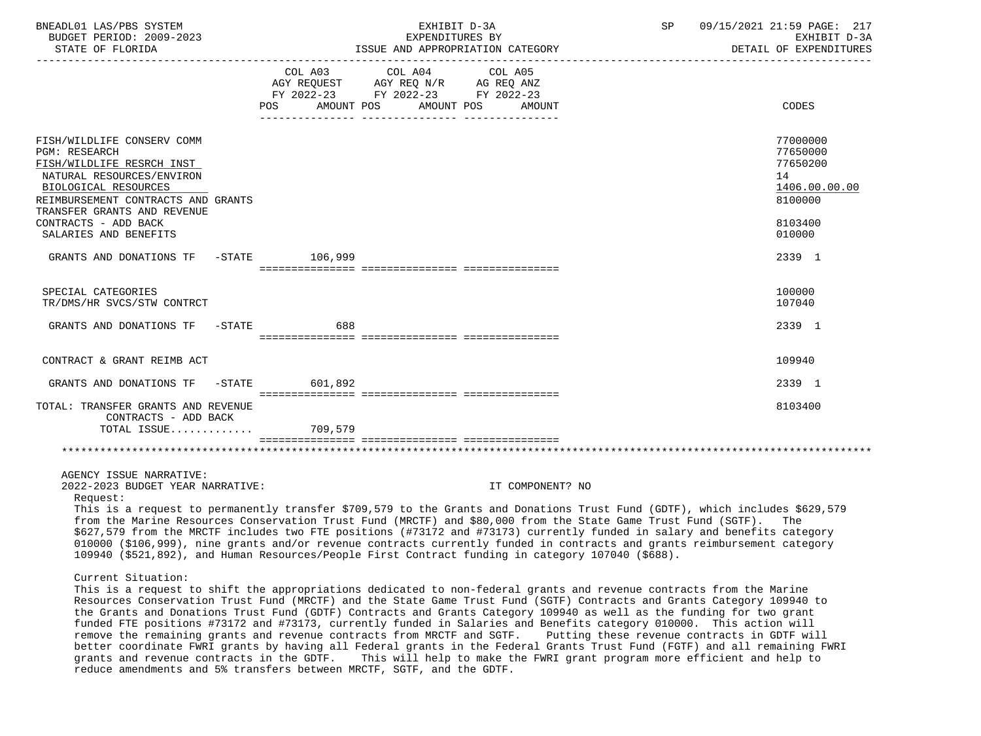| BNEADL01 LAS/PBS SYSTEM<br>BUDGET PERIOD: 2009-2023<br>STATE OF FLORIDA                                                                                                                                   | EXHIBIT D-3A<br>EXPENDITURES BY<br>ISSUE AND APPROPRIATION CATEGORY                                                                                                                                                                                                                                                                                                                                                                                                                                                                                                                                                                                                                                                                                                                                                                                                                                | 09/15/2021 21:59 PAGE: 217<br>SP<br>EXHIBIT D-3A<br>DETAIL OF EXPENDITURES |
|-----------------------------------------------------------------------------------------------------------------------------------------------------------------------------------------------------------|----------------------------------------------------------------------------------------------------------------------------------------------------------------------------------------------------------------------------------------------------------------------------------------------------------------------------------------------------------------------------------------------------------------------------------------------------------------------------------------------------------------------------------------------------------------------------------------------------------------------------------------------------------------------------------------------------------------------------------------------------------------------------------------------------------------------------------------------------------------------------------------------------|----------------------------------------------------------------------------|
|                                                                                                                                                                                                           | COL A03<br>COL A04<br>COL A05<br>AGY REQUEST AGY REQ N/R AG REQ ANZ<br>FY 2022-23 FY 2022-23 FY 2022-23<br>POS AMOUNT POS AMOUNT POS<br>AMOUNT                                                                                                                                                                                                                                                                                                                                                                                                                                                                                                                                                                                                                                                                                                                                                     | CODES                                                                      |
| FISH/WILDLIFE CONSERV COMM<br><b>PGM: RESEARCH</b><br>FISH/WILDLIFE RESRCH INST<br>NATURAL RESOURCES/ENVIRON<br>BIOLOGICAL RESOURCES<br>REIMBURSEMENT CONTRACTS AND GRANTS<br>TRANSFER GRANTS AND REVENUE |                                                                                                                                                                                                                                                                                                                                                                                                                                                                                                                                                                                                                                                                                                                                                                                                                                                                                                    | 77000000<br>77650000<br>77650200<br>14<br>1406.00.00.00<br>8100000         |
| CONTRACTS - ADD BACK<br>SALARIES AND BENEFITS                                                                                                                                                             |                                                                                                                                                                                                                                                                                                                                                                                                                                                                                                                                                                                                                                                                                                                                                                                                                                                                                                    | 8103400<br>010000                                                          |
| GRANTS AND DONATIONS TF -STATE 106,999                                                                                                                                                                    |                                                                                                                                                                                                                                                                                                                                                                                                                                                                                                                                                                                                                                                                                                                                                                                                                                                                                                    | 2339 1                                                                     |
| SPECIAL CATEGORIES<br>TR/DMS/HR SVCS/STW CONTRCT                                                                                                                                                          |                                                                                                                                                                                                                                                                                                                                                                                                                                                                                                                                                                                                                                                                                                                                                                                                                                                                                                    | 100000<br>107040                                                           |
| GRANTS AND DONATIONS TF -STATE 688                                                                                                                                                                        |                                                                                                                                                                                                                                                                                                                                                                                                                                                                                                                                                                                                                                                                                                                                                                                                                                                                                                    | 2339 1                                                                     |
| CONTRACT & GRANT REIMB ACT                                                                                                                                                                                |                                                                                                                                                                                                                                                                                                                                                                                                                                                                                                                                                                                                                                                                                                                                                                                                                                                                                                    | 109940                                                                     |
| GRANTS AND DONATIONS TF -STATE 601,892                                                                                                                                                                    |                                                                                                                                                                                                                                                                                                                                                                                                                                                                                                                                                                                                                                                                                                                                                                                                                                                                                                    | 2339 1                                                                     |
| TOTAL: TRANSFER GRANTS AND REVENUE<br>CONTRACTS - ADD BACK<br>TOTAL ISSUE                                                                                                                                 | 709,579                                                                                                                                                                                                                                                                                                                                                                                                                                                                                                                                                                                                                                                                                                                                                                                                                                                                                            | 8103400                                                                    |
| AGENCY ISSUE NARRATIVE:<br>2022-2023 BUDGET YEAR NARRATIVE:<br>Request:                                                                                                                                   | IT COMPONENT? NO<br>This is a request to permanently transfer \$709,579 to the Grants and Donations Trust Fund (GDTF), which includes \$629,579<br>from the Marine Resources Conservation Trust Fund (MRCTF) and \$80,000 from the State Game Trust Fund (SGTF). The<br>\$627,579 from the MRCTF includes two FTE positions (#73172 and #73173) currently funded in salary and benefits category<br>010000 (\$106,999), nine grants and/or revenue contracts currently funded in contracts and grants reimbursement category<br>109940 (\$521,892), and Human Resources/People First Contract funding in category 107040 (\$688).                                                                                                                                                                                                                                                                  |                                                                            |
| Current Situation:                                                                                                                                                                                        | This is a request to shift the appropriations dedicated to non-federal grants and revenue contracts from the Marine<br>Resources Conservation Trust Fund (MRCTF) and the State Game Trust Fund (SGTF) Contracts and Grants Category 109940 to<br>the Grants and Donations Trust Fund (GDTF) Contracts and Grants Category 109940 as well as the funding for two grant<br>funded FTE positions #73172 and #73173, currently funded in Salaries and Benefits category 010000. This action will<br>remove the remaining grants and revenue contracts from MRCTF and SGTF.<br>better coordinate FWRI grants by having all Federal grants in the Federal Grants Trust Fund (FGTF) and all remaining FWRI<br>grants and revenue contracts in the GDTF. This will help to make the FWRI grant program more efficient and help to<br>reduce amendments and 5% transfers between MRCTF, SGTF, and the GDTF. | Putting these revenue contracts in GDTF will                               |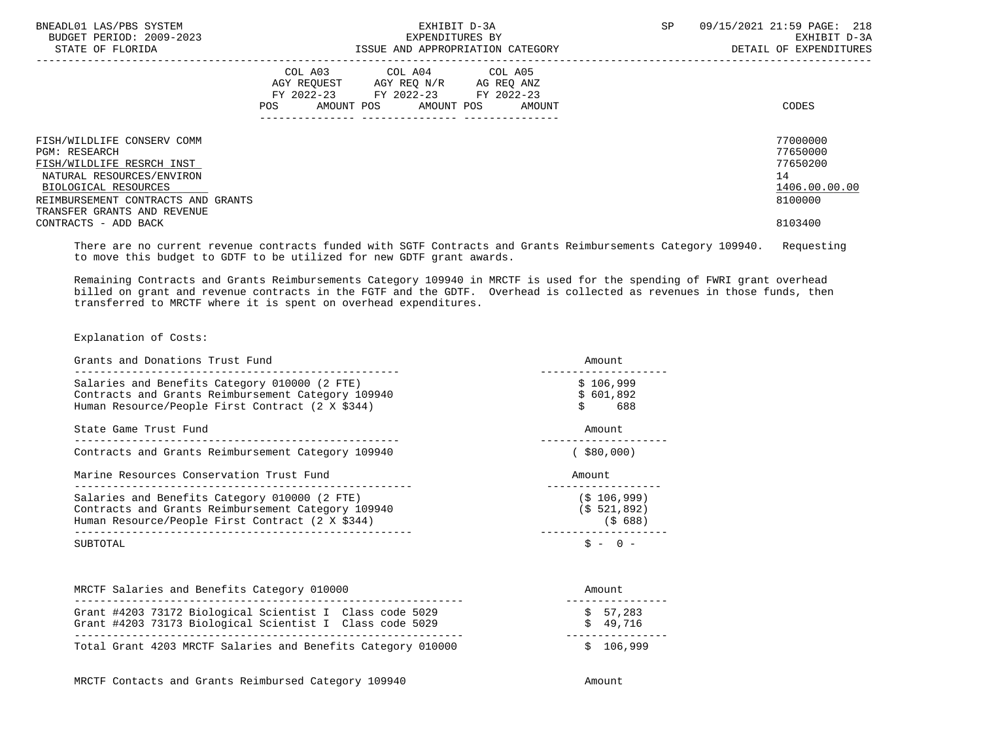| BNEADL01 LAS/PBS SYSTEM<br>BUDGET PERIOD: 2009-2023<br>STATE OF FLORIDA                                                                                                                            | EXHIBIT D-3A<br>EXPENDITURES BY<br>ISSUE AND APPROPRIATION CATEGORY                                                               | <b>SP</b> | 09/15/2021 21:59 PAGE: 218<br>EXHIBIT D-3A<br>DETAIL OF EXPENDITURES |
|----------------------------------------------------------------------------------------------------------------------------------------------------------------------------------------------------|-----------------------------------------------------------------------------------------------------------------------------------|-----------|----------------------------------------------------------------------|
|                                                                                                                                                                                                    | COL A03 COL A04 COL A05<br>AGY REQUEST AGY REO N/R AG REO ANZ<br>FY 2022-23 FY 2022-23 FY 2022-23<br>AMOUNT POS AMOUNT POS AMOUNT |           | CODES                                                                |
| FISH/WILDLIFE CONSERV COMM<br>PGM: RESEARCH<br>FISH/WILDLIFE RESRCH INST<br>NATURAL RESOURCES/ENVIRON<br>BIOLOGICAL RESOURCES<br>REIMBURSEMENT CONTRACTS AND GRANTS<br>TRANSFER GRANTS AND REVENUE |                                                                                                                                   |           | 77000000<br>77650000<br>77650200<br>14<br>1406.00.00.00<br>8100000   |
| CONTRACTS - ADD BACK                                                                                                                                                                               |                                                                                                                                   |           | 8103400                                                              |

 There are no current revenue contracts funded with SGTF Contracts and Grants Reimbursements Category 109940. Requesting to move this budget to GDTF to be utilized for new GDTF grant awards.

 Remaining Contracts and Grants Reimbursements Category 109940 in MRCTF is used for the spending of FWRI grant overhead billed on grant and revenue contracts in the FGTF and the GDTF. Overhead is collected as revenues in those funds, then transferred to MRCTF where it is spent on overhead expenditures.

Explanation of Costs:

| Grants and Donations Trust Fund                                                                                                                         | Amount.                                  |  |
|---------------------------------------------------------------------------------------------------------------------------------------------------------|------------------------------------------|--|
| Salaries and Benefits Category 010000 (2 FTE)<br>Contracts and Grants Reimbursement Category 109940<br>Human Resource/People First Contract (2 X \$344) | \$106,999<br>\$601,892<br>Ś.<br>688      |  |
| State Game Trust Fund                                                                                                                                   | Amount.                                  |  |
| Contracts and Grants Reimbursement Category 109940                                                                                                      | $($ \$80,000)                            |  |
| Marine Resources Conservation Trust Fund                                                                                                                | Amount                                   |  |
| Salaries and Benefits Category 010000 (2 FTE)<br>Contracts and Grants Reimbursement Category 109940<br>Human Resource/People First Contract (2 X \$344) | $(S$ 106,999)<br>(\$521,892)<br>(\$ 688) |  |
| SUBTOTAL                                                                                                                                                | $S -$                                    |  |

| MRCTF Salaries and Benefits Category 010000                                                                          | Amount               |  |
|----------------------------------------------------------------------------------------------------------------------|----------------------|--|
| Grant #4203 73172 Biological Scientist I Class code 5029<br>Grant #4203 73173 Biological Scientist I Class code 5029 | \$57.283<br>\$49.716 |  |
| Total Grant 4203 MRCTF Salaries and Benefits Category 010000                                                         | \$106.999            |  |

MRCTF Contacts and Grants Reimbursed Category 109940 Amount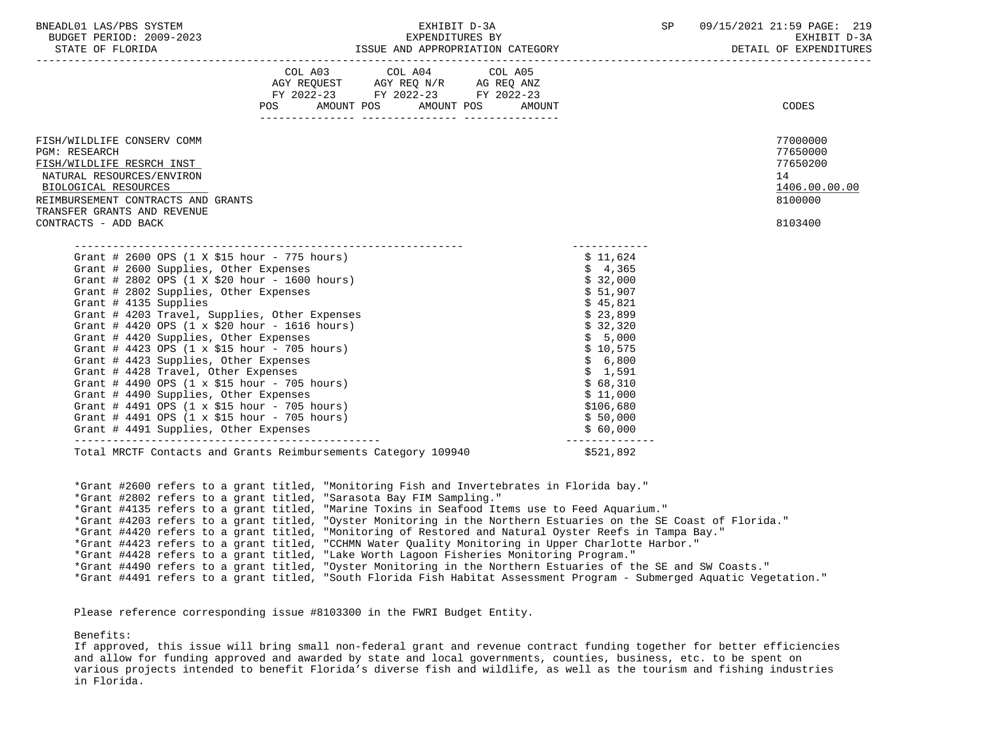| BNEADL01 LAS/PBS SYSTEM  | <b>TRTT</b>                               | SP | 09/15/2021 21:59 PAGE: 219 |
|--------------------------|-------------------------------------------|----|----------------------------|
| BUDGET PERIOD: 2009-2023 | EXPENDITURES BY                           |    | D-3A<br>EXHIBIT            |
| STATE OF FLORIDA         | ISSUE<br>APPROPRIATION<br>CATEGORY<br>AND |    | EXPENDITURES<br>DETAIL     |

-----------------------------------------------------------------------------------------------------------------------------------

| <b>POS</b>                                                                                                                                                                                                                                                                                                                                                                                                                                                                                                                                                                                                                                                                                                                                                                                                                                                | COL A03 COL A04 COL A05<br>AGY REQUEST AGY REQ N/R AG REQ ANZ<br>FY 2022-23 FY 2022-23 FY 2022-23<br>AMOUNT POS AMOUNT POS | AMOUNT |                                                                                                                                                                                           | <b>CODES</b>                                                                  |
|-----------------------------------------------------------------------------------------------------------------------------------------------------------------------------------------------------------------------------------------------------------------------------------------------------------------------------------------------------------------------------------------------------------------------------------------------------------------------------------------------------------------------------------------------------------------------------------------------------------------------------------------------------------------------------------------------------------------------------------------------------------------------------------------------------------------------------------------------------------|----------------------------------------------------------------------------------------------------------------------------|--------|-------------------------------------------------------------------------------------------------------------------------------------------------------------------------------------------|-------------------------------------------------------------------------------|
| FISH/WILDLIFE CONSERV COMM<br><b>PGM: RESEARCH</b><br>FISH/WILDLIFE RESRCH INST<br>NATURAL RESOURCES/ENVIRON<br>BIOLOGICAL RESOURCES<br>REIMBURSEMENT CONTRACTS AND GRANTS<br>TRANSFER GRANTS AND REVENUE<br>CONTRACTS - ADD BACK                                                                                                                                                                                                                                                                                                                                                                                                                                                                                                                                                                                                                         |                                                                                                                            |        |                                                                                                                                                                                           | 77000000<br>77650000<br>77650200<br>14<br>1406.00.00.00<br>8100000<br>8103400 |
| Grant # 2600 OPS $(1 \times $15 \text{ hour} - 775 \text{ hours})$<br>Grant # 2600 Supplies, Other Expenses<br>Grant # 2802 OPS (1 X \$20 hour - 1600 hours)<br>Grant # 2802 Supplies, Other Expenses<br>Grant # 4135 Supplies<br>Grant # 4203 Travel, Supplies, Other Expenses<br>Grant # 4420 OPS $(1 \times $20 \text{ hour} - 1616 \text{ hours})$<br>Grant # 4420 Supplies, Other Expenses<br>Grant # 4423 OPS $(1 \times $15 \text{ hour} - 705 \text{ hours})$<br>Grant # 4423 Supplies, Other Expenses<br>Grant # 4428 Travel, Other Expenses<br>Grant # 4490 OPS $(1 \times $15 \text{ hour} - 705 \text{ hours})$<br>Grant # 4490 Supplies, Other Expenses<br>Grant # 4491 OPS $(1 \times $15 \text{ hour} - 705 \text{ hours})$<br>Grant # 4491 OPS $(1 \times $15 \text{ hour} - 705 \text{ hours})$<br>Grant # 4491 Supplies, Other Expenses |                                                                                                                            |        | \$11,624<br>\$4,365<br>\$32,000<br>\$51,907<br>\$45,821<br>\$23,899<br>\$32,320<br>\$5,000<br>\$10,575<br>\$6,800<br>\$1,591<br>\$68,310<br>\$11,000<br>\$106,680<br>\$50,000<br>\$60,000 |                                                                               |
| Total MRCTF Contacts and Grants Reimbursements Category 109940                                                                                                                                                                                                                                                                                                                                                                                                                                                                                                                                                                                                                                                                                                                                                                                            |                                                                                                                            |        | ---------------<br>\$521,892                                                                                                                                                              |                                                                               |

 \*Grant #2600 refers to a grant titled, "Monitoring Fish and Invertebrates in Florida bay." \*Grant #2802 refers to a grant titled, "Sarasota Bay FIM Sampling." \*Grant #4135 refers to a grant titled, "Marine Toxins in Seafood Items use to Feed Aquarium." \*Grant #4203 refers to a grant titled, "Oyster Monitoring in the Northern Estuaries on the SE Coast of Florida." \*Grant #4420 refers to a grant titled, "Monitoring of Restored and Natural Oyster Reefs in Tampa Bay." \*Grant #4423 refers to a grant titled, "CCHMN Water Quality Monitoring in Upper Charlotte Harbor." \*Grant #4428 refers to a grant titled, "Lake Worth Lagoon Fisheries Monitoring Program." \*Grant #4490 refers to a grant titled, "Oyster Monitoring in the Northern Estuaries of the SE and SW Coasts." \*Grant #4491 refers to a grant titled, "South Florida Fish Habitat Assessment Program - Submerged Aquatic Vegetation."

Please reference corresponding issue #8103300 in the FWRI Budget Entity.

Benefits:

 If approved, this issue will bring small non-federal grant and revenue contract funding together for better efficiencies and allow for funding approved and awarded by state and local governments, counties, business, etc. to be spent on various projects intended to benefit Florida's diverse fish and wildlife, as well as the tourism and fishing industries in Florida.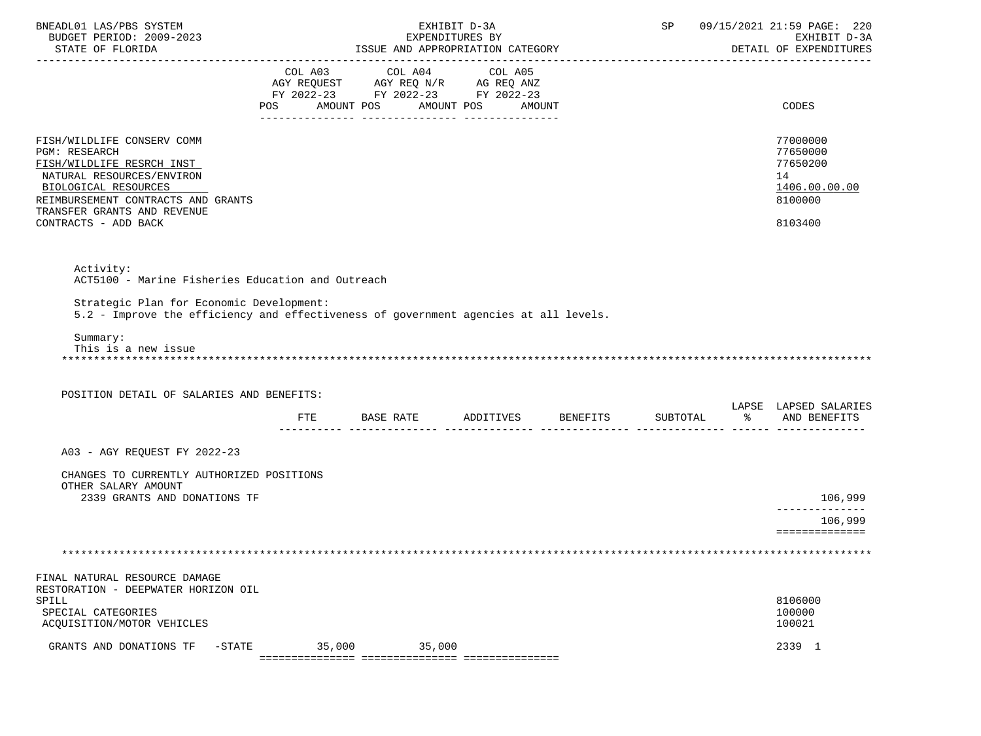| BNEADL01 LAS/PBS SYSTEM<br>BUDGET PERIOD: 2009-2023<br>STATE OF FLORIDA                                                                                                                                                           |        | ISSUE AND APPROPRIATION CATEGORY                               | EXHIBIT D-3A<br>EXPENDITURES BY |  | SP 09/15/2021 21:59 PAGE: 220<br>EXHIBIT D-3A<br>DETAIL OF EXPENDITURES       |
|-----------------------------------------------------------------------------------------------------------------------------------------------------------------------------------------------------------------------------------|--------|----------------------------------------------------------------|---------------------------------|--|-------------------------------------------------------------------------------|
|                                                                                                                                                                                                                                   |        | COL A03 COL A04 COL A05                                        |                                 |  |                                                                               |
|                                                                                                                                                                                                                                   |        | POS AMOUNT POS AMOUNT POS AMOUNT                               |                                 |  | CODES                                                                         |
| FISH/WILDLIFE CONSERV COMM<br><b>PGM: RESEARCH</b><br>FISH/WILDLIFE RESRCH INST<br>NATURAL RESOURCES/ENVIRON<br>BIOLOGICAL RESOURCES<br>REIMBURSEMENT CONTRACTS AND GRANTS<br>TRANSFER GRANTS AND REVENUE<br>CONTRACTS - ADD BACK |        |                                                                |                                 |  | 77000000<br>77650000<br>77650200<br>14<br>1406.00.00.00<br>8100000<br>8103400 |
| Activity:<br>ACT5100 - Marine Fisheries Education and Outreach<br>Strategic Plan for Economic Development:<br>5.2 - Improve the efficiency and effectiveness of government agencies at all levels.                                |        |                                                                |                                 |  |                                                                               |
| Summary:<br>This is a new issue                                                                                                                                                                                                   |        |                                                                |                                 |  |                                                                               |
| POSITION DETAIL OF SALARIES AND BENEFITS:                                                                                                                                                                                         |        |                                                                |                                 |  |                                                                               |
|                                                                                                                                                                                                                                   | FTE    | BASE RATE ADDITIVES BENEFITS SUBTOTAL $\text{\$}$ and benefits |                                 |  | LAPSE LAPSED SALARIES                                                         |
| A03 - AGY REQUEST FY 2022-23                                                                                                                                                                                                      |        |                                                                |                                 |  |                                                                               |
| CHANGES TO CURRENTLY AUTHORIZED POSITIONS<br>OTHER SALARY AMOUNT                                                                                                                                                                  |        |                                                                |                                 |  |                                                                               |
| 2339 GRANTS AND DONATIONS TF                                                                                                                                                                                                      |        |                                                                |                                 |  | 106,999<br>-------------                                                      |
|                                                                                                                                                                                                                                   |        |                                                                |                                 |  | 106,999<br>==============                                                     |
|                                                                                                                                                                                                                                   |        |                                                                |                                 |  |                                                                               |
| FINAL NATURAL RESOURCE DAMAGE                                                                                                                                                                                                     |        |                                                                |                                 |  |                                                                               |
| RESTORATION - DEEPWATER HORIZON OIL<br>SPILL<br>SPECIAL CATEGORIES<br>ACQUISITION/MOTOR VEHICLES                                                                                                                                  |        |                                                                |                                 |  | 8106000<br>100000<br>100021                                                   |
| GRANTS AND DONATIONS TF<br>$-STATE$                                                                                                                                                                                               | 35,000 | 35,000                                                         |                                 |  | 2339 1                                                                        |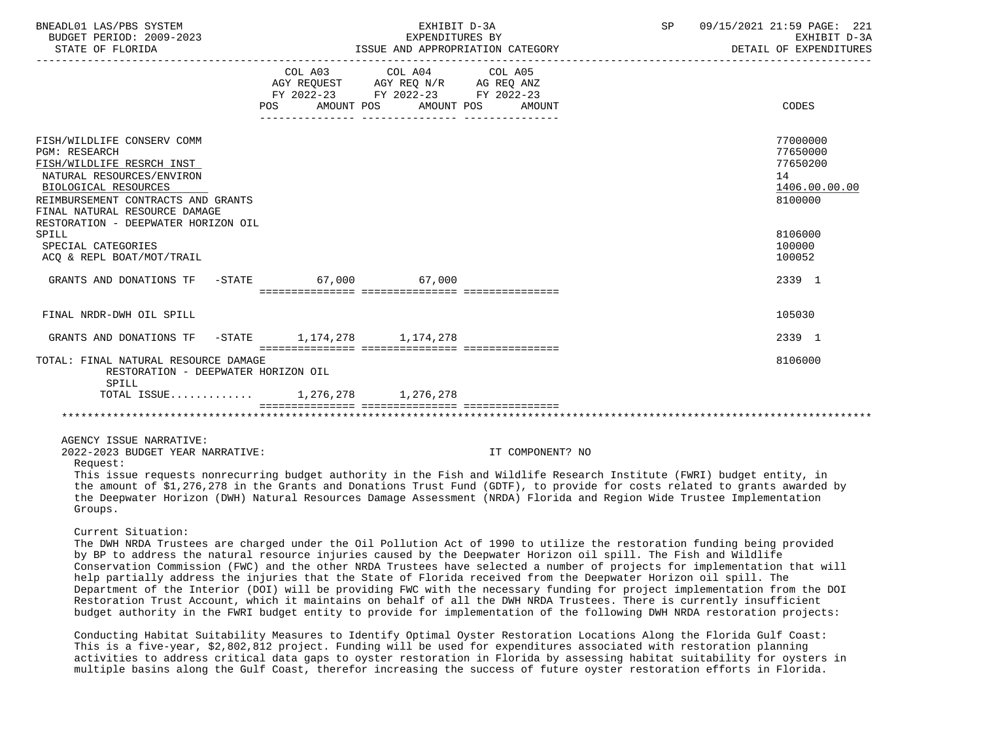| COL A03 COL A04 COL A05<br>AGY REQUEST AGY REQ N/R AG REQ ANZ<br>FY 2022-23 FY 2022-23 FY 2022-23<br>POS<br>AMOUNT POS AMOUNT POS<br>AMOUNT<br>FISH/WILDLIFE CONSERV COMM<br><b>PGM: RESEARCH</b><br>FISH/WILDLIFE RESRCH INST<br>NATURAL RESOURCES/ENVIRON<br>14<br>BIOLOGICAL RESOURCES<br>REIMBURSEMENT CONTRACTS AND GRANTS<br>FINAL NATURAL RESOURCE DAMAGE<br>RESTORATION - DEEPWATER HORIZON OIL<br>SPILL                                                                                                                                                                                                                                                                                                                                                                                                                                                                                                                                                                                                                                                                                                                                                                                                                                                                   | DETAIL OF EXPENDITURES                                       |
|------------------------------------------------------------------------------------------------------------------------------------------------------------------------------------------------------------------------------------------------------------------------------------------------------------------------------------------------------------------------------------------------------------------------------------------------------------------------------------------------------------------------------------------------------------------------------------------------------------------------------------------------------------------------------------------------------------------------------------------------------------------------------------------------------------------------------------------------------------------------------------------------------------------------------------------------------------------------------------------------------------------------------------------------------------------------------------------------------------------------------------------------------------------------------------------------------------------------------------------------------------------------------------|--------------------------------------------------------------|
|                                                                                                                                                                                                                                                                                                                                                                                                                                                                                                                                                                                                                                                                                                                                                                                                                                                                                                                                                                                                                                                                                                                                                                                                                                                                                    |                                                              |
|                                                                                                                                                                                                                                                                                                                                                                                                                                                                                                                                                                                                                                                                                                                                                                                                                                                                                                                                                                                                                                                                                                                                                                                                                                                                                    | CODES                                                        |
|                                                                                                                                                                                                                                                                                                                                                                                                                                                                                                                                                                                                                                                                                                                                                                                                                                                                                                                                                                                                                                                                                                                                                                                                                                                                                    | 77000000<br>77650000<br>77650200<br>1406.00.00.00<br>8100000 |
| SPECIAL CATEGORIES<br>100000<br>ACQ & REPL BOAT/MOT/TRAIL<br>100052                                                                                                                                                                                                                                                                                                                                                                                                                                                                                                                                                                                                                                                                                                                                                                                                                                                                                                                                                                                                                                                                                                                                                                                                                | 8106000                                                      |
| GRANTS AND DONATIONS TF -STATE 67,000 67,000                                                                                                                                                                                                                                                                                                                                                                                                                                                                                                                                                                                                                                                                                                                                                                                                                                                                                                                                                                                                                                                                                                                                                                                                                                       | 2339 1                                                       |
| 105030<br>FINAL NRDR-DWH OIL SPILL                                                                                                                                                                                                                                                                                                                                                                                                                                                                                                                                                                                                                                                                                                                                                                                                                                                                                                                                                                                                                                                                                                                                                                                                                                                 |                                                              |
| GRANTS AND DONATIONS TF $-$ STATE 1, 174, 278 1, 174, 278                                                                                                                                                                                                                                                                                                                                                                                                                                                                                                                                                                                                                                                                                                                                                                                                                                                                                                                                                                                                                                                                                                                                                                                                                          | 2339 1                                                       |
| TOTAL: FINAL NATURAL RESOURCE DAMAGE<br>RESTORATION - DEEPWATER HORIZON OIL<br>SPILL<br>TOTAL ISSUE 1,276,278 1,276,278                                                                                                                                                                                                                                                                                                                                                                                                                                                                                                                                                                                                                                                                                                                                                                                                                                                                                                                                                                                                                                                                                                                                                            | 8106000                                                      |
|                                                                                                                                                                                                                                                                                                                                                                                                                                                                                                                                                                                                                                                                                                                                                                                                                                                                                                                                                                                                                                                                                                                                                                                                                                                                                    |                                                              |
| AGENCY ISSUE NARRATIVE:<br>2022-2023 BUDGET YEAR NARRATIVE:<br>IT COMPONENT? NO<br>Request:                                                                                                                                                                                                                                                                                                                                                                                                                                                                                                                                                                                                                                                                                                                                                                                                                                                                                                                                                                                                                                                                                                                                                                                        |                                                              |
| This issue requests nonrecurring budget authority in the Fish and Wildlife Research Institute (FWRI) budget entity, in<br>the amount of \$1,276,278 in the Grants and Donations Trust Fund (GDTF), to provide for costs related to grants awarded by<br>the Deepwater Horizon (DWH) Natural Resources Damage Assessment (NRDA) Florida and Region Wide Trustee Implementation<br>Groups.                                                                                                                                                                                                                                                                                                                                                                                                                                                                                                                                                                                                                                                                                                                                                                                                                                                                                           |                                                              |
| Current Situation:<br>The DWH NRDA Trustees are charged under the Oil Pollution Act of 1990 to utilize the restoration funding being provided<br>by BP to address the natural resource injuries caused by the Deepwater Horizon oil spill. The Fish and Wildlife<br>Conservation Commission (FWC) and the other NRDA Trustees have selected a number of projects for implementation that will<br>help partially address the injuries that the State of Florida received from the Deepwater Horizon oil spill. The<br>Department of the Interior (DOI) will be providing FWC with the necessary funding for project implementation from the DOI<br>Restoration Trust Account, which it maintains on behalf of all the DWH NRDA Trustees. There is currently insufficient<br>budget authority in the FWRI budget entity to provide for implementation of the following DWH NRDA restoration projects:<br>Conducting Habitat Suitability Measures to Identify Optimal Oyster Restoration Locations Along the Florida Gulf Coast:<br>This is a five-year, \$2,802,812 project. Funding will be used for expenditures associated with restoration planning<br>activities to address critical data gaps to oyster restoration in Florida by assessing habitat suitability for oysters in |                                                              |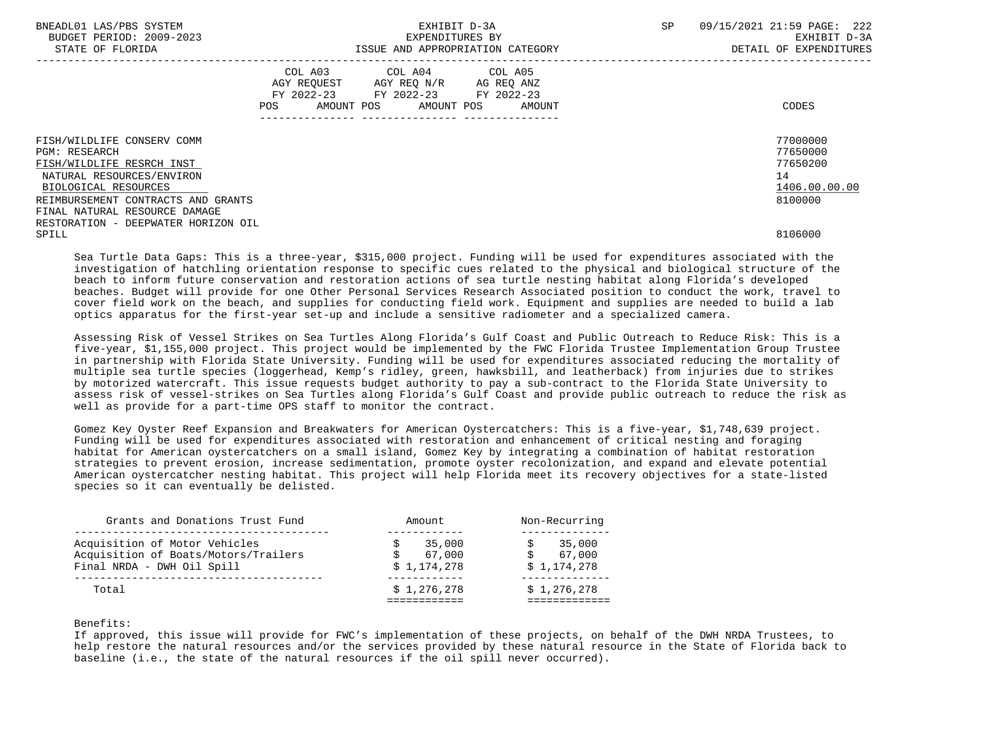| BNEADL01 LAS/PBS SYSTEM<br>BUDGET PERIOD: 2009-2023<br>STATE OF FLORIDA |                   | EXHIBIT D-3A<br>EXPENDITURES BY                                                                                 | ISSUE AND APPROPRIATION CATEGORY | SP | 222<br>09/15/2021 21:59 PAGE:<br>EXHIBIT D-3A<br>DETAIL OF EXPENDITURES |
|-------------------------------------------------------------------------|-------------------|-----------------------------------------------------------------------------------------------------------------|----------------------------------|----|-------------------------------------------------------------------------|
|                                                                         | AMOUNT POS<br>POS | COL A03 COL A04 COL A05<br>AGY REOUEST AGY REO N/R AG REO ANZ<br>FY 2022-23 FY 2022-23 FY 2022-23<br>AMOUNT POS | AMOUNT                           |    | CODES                                                                   |
| FISH/WILDLIFE CONSERV COMM<br><b>PGM: RESEARCH</b>                      |                   |                                                                                                                 |                                  |    | 77000000<br>77650000                                                    |
| FISH/WILDLIFE RESRCH INST                                               |                   |                                                                                                                 |                                  |    | 77650200                                                                |
| NATURAL RESOURCES/ENVIRON                                               |                   |                                                                                                                 |                                  |    | 14                                                                      |
| BIOLOGICAL RESOURCES                                                    |                   |                                                                                                                 |                                  |    | 1406.00.00.00                                                           |
| REIMBURSEMENT CONTRACTS AND GRANTS                                      |                   |                                                                                                                 |                                  |    | 8100000                                                                 |
| FINAL NATURAL RESOURCE DAMAGE                                           |                   |                                                                                                                 |                                  |    |                                                                         |
| RESTORATION - DEEPWATER HORIZON OIL                                     |                   |                                                                                                                 |                                  |    |                                                                         |
| SPILL                                                                   |                   |                                                                                                                 |                                  |    | 8106000                                                                 |

 Sea Turtle Data Gaps: This is a three-year, \$315,000 project. Funding will be used for expenditures associated with the investigation of hatchling orientation response to specific cues related to the physical and biological structure of the beach to inform future conservation and restoration actions of sea turtle nesting habitat along Florida's developed beaches. Budget will provide for one Other Personal Services Research Associated position to conduct the work, travel to cover field work on the beach, and supplies for conducting field work. Equipment and supplies are needed to build a lab optics apparatus for the first-year set-up and include a sensitive radiometer and a specialized camera.

 Assessing Risk of Vessel Strikes on Sea Turtles Along Florida's Gulf Coast and Public Outreach to Reduce Risk: This is a five-year, \$1,155,000 project. This project would be implemented by the FWC Florida Trustee Implementation Group Trustee in partnership with Florida State University. Funding will be used for expenditures associated reducing the mortality of multiple sea turtle species (loggerhead, Kemp's ridley, green, hawksbill, and leatherback) from injuries due to strikes by motorized watercraft. This issue requests budget authority to pay a sub-contract to the Florida State University to assess risk of vessel-strikes on Sea Turtles along Florida's Gulf Coast and provide public outreach to reduce the risk as well as provide for a part-time OPS staff to monitor the contract.

 Gomez Key Oyster Reef Expansion and Breakwaters for American Oystercatchers: This is a five-year, \$1,748,639 project. Funding will be used for expenditures associated with restoration and enhancement of critical nesting and foraging habitat for American oystercatchers on a small island, Gomez Key by integrating a combination of habitat restoration strategies to prevent erosion, increase sedimentation, promote oyster recolonization, and expand and elevate potential American oystercatcher nesting habitat. This project will help Florida meet its recovery objectives for a state-listed species so it can eventually be delisted.

| Total                                                                                               | \$1.276.278                     | \$1,276,278                     |
|-----------------------------------------------------------------------------------------------------|---------------------------------|---------------------------------|
| Acquisition of Motor Vehicles<br>Acquisition of Boats/Motors/Trailers<br>Final NRDA - DWH Oil Spill | 35,000<br>67,000<br>\$1,174,278 | 35,000<br>67,000<br>\$1,174,278 |
| Grants and Donations Trust Fund                                                                     | Amount                          | Non-Recurring                   |

# Benefits:

 If approved, this issue will provide for FWC's implementation of these projects, on behalf of the DWH NRDA Trustees, to help restore the natural resources and/or the services provided by these natural resource in the State of Florida back to baseline (i.e., the state of the natural resources if the oil spill never occurred).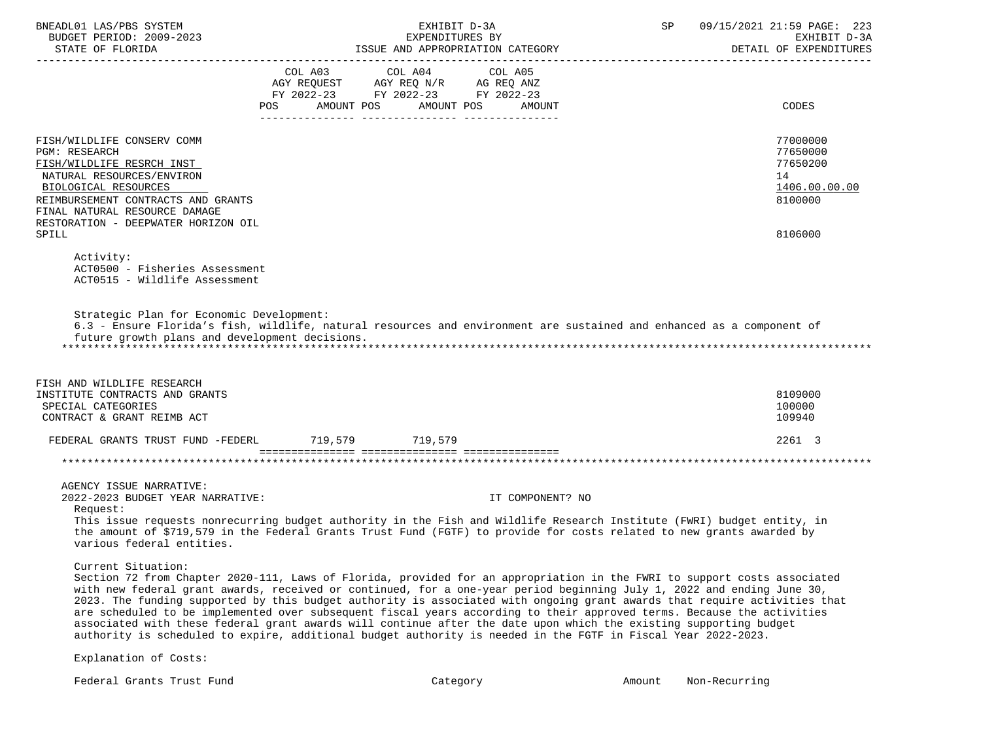| BNEADL01 LAS/PBS SYSTEM<br>BUDGET PERIOD: 2009-2023<br>STATE OF FLORIDA                                                                                                                                                                                                                                                                                                                                                                                                                                                                                                                                                                                                                                                                                               |                   | EXHIBIT D-3A<br>EXPENDITURES BY<br>ISSUE AND APPROPRIATION CATEGORY                               |                  | SP and the set of the set of the set of the set of the set of the set of the set of the set of the set of the set of the set of the set of the set of the set of the set of the set of the set of the set of the set of the se | 09/15/2021 21:59 PAGE: 223<br>EXHIBIT D-3A<br>DETAIL OF EXPENDITURES |
|-----------------------------------------------------------------------------------------------------------------------------------------------------------------------------------------------------------------------------------------------------------------------------------------------------------------------------------------------------------------------------------------------------------------------------------------------------------------------------------------------------------------------------------------------------------------------------------------------------------------------------------------------------------------------------------------------------------------------------------------------------------------------|-------------------|---------------------------------------------------------------------------------------------------|------------------|--------------------------------------------------------------------------------------------------------------------------------------------------------------------------------------------------------------------------------|----------------------------------------------------------------------|
|                                                                                                                                                                                                                                                                                                                                                                                                                                                                                                                                                                                                                                                                                                                                                                       |                   | COL A03 COL A04 COL A05<br>AGY REQUEST AGY REQ N/R AG REQ ANZ<br>FY 2022-23 FY 2022-23 FY 2022-23 |                  |                                                                                                                                                                                                                                |                                                                      |
|                                                                                                                                                                                                                                                                                                                                                                                                                                                                                                                                                                                                                                                                                                                                                                       | AMOUNT POS<br>POS | AMOUNT POS                                                                                        | AMOUNT           |                                                                                                                                                                                                                                | CODES                                                                |
| FISH/WILDLIFE CONSERV COMM<br><b>PGM: RESEARCH</b><br>FISH/WILDLIFE RESRCH INST<br>NATURAL RESOURCES/ENVIRON<br>BIOLOGICAL RESOURCES<br>REIMBURSEMENT CONTRACTS AND GRANTS                                                                                                                                                                                                                                                                                                                                                                                                                                                                                                                                                                                            |                   |                                                                                                   |                  |                                                                                                                                                                                                                                | 77000000<br>77650000<br>77650200<br>14<br>1406.00.00.00<br>8100000   |
| FINAL NATURAL RESOURCE DAMAGE<br>RESTORATION - DEEPWATER HORIZON OIL<br>SPILL                                                                                                                                                                                                                                                                                                                                                                                                                                                                                                                                                                                                                                                                                         |                   |                                                                                                   |                  |                                                                                                                                                                                                                                | 8106000                                                              |
| Activity:<br>ACT0500 - Fisheries Assessment<br>ACT0515 - Wildlife Assessment                                                                                                                                                                                                                                                                                                                                                                                                                                                                                                                                                                                                                                                                                          |                   |                                                                                                   |                  |                                                                                                                                                                                                                                |                                                                      |
| Strategic Plan for Economic Development:<br>6.3 - Ensure Florida's fish, wildlife, natural resources and environment are sustained and enhanced as a component of<br>future growth plans and development decisions.                                                                                                                                                                                                                                                                                                                                                                                                                                                                                                                                                   |                   |                                                                                                   |                  |                                                                                                                                                                                                                                |                                                                      |
| FISH AND WILDLIFE RESEARCH<br>INSTITUTE CONTRACTS AND GRANTS<br>SPECIAL CATEGORIES<br>CONTRACT & GRANT REIMB ACT                                                                                                                                                                                                                                                                                                                                                                                                                                                                                                                                                                                                                                                      |                   |                                                                                                   |                  |                                                                                                                                                                                                                                | 8109000<br>100000<br>109940                                          |
| FEDERAL GRANTS TRUST FUND -FEDERL 719,579 719,579                                                                                                                                                                                                                                                                                                                                                                                                                                                                                                                                                                                                                                                                                                                     |                   |                                                                                                   |                  |                                                                                                                                                                                                                                | 2261 3                                                               |
|                                                                                                                                                                                                                                                                                                                                                                                                                                                                                                                                                                                                                                                                                                                                                                       |                   |                                                                                                   |                  |                                                                                                                                                                                                                                |                                                                      |
| AGENCY ISSUE NARRATIVE:<br>2022-2023 BUDGET YEAR NARRATIVE:<br>Request:<br>This issue requests nonrecurring budget authority in the Fish and Wildlife Research Institute (FWRI) budget entity, in<br>the amount of \$719,579 in the Federal Grants Trust Fund (FGTF) to provide for costs related to new grants awarded by<br>various federal entities.                                                                                                                                                                                                                                                                                                                                                                                                               |                   |                                                                                                   | IT COMPONENT? NO |                                                                                                                                                                                                                                |                                                                      |
| Current Situation:<br>Section 72 from Chapter 2020-111, Laws of Florida, provided for an appropriation in the FWRI to support costs associated<br>with new federal grant awards, received or continued, for a one-year period beginning July 1, 2022 and ending June 30,<br>2023. The funding supported by this budget authority is associated with ongoing grant awards that require activities that<br>are scheduled to be implemented over subsequent fiscal years according to their approved terms. Because the activities<br>associated with these federal grant awards will continue after the date upon which the existing supporting budget<br>authority is scheduled to expire, additional budget authority is needed in the FGTF in Fiscal Year 2022-2023. |                   |                                                                                                   |                  |                                                                                                                                                                                                                                |                                                                      |
| Explanation of Costs:                                                                                                                                                                                                                                                                                                                                                                                                                                                                                                                                                                                                                                                                                                                                                 |                   |                                                                                                   |                  |                                                                                                                                                                                                                                |                                                                      |

Federal Grants Trust Fund and the Category Category Category Amount Non-Recurring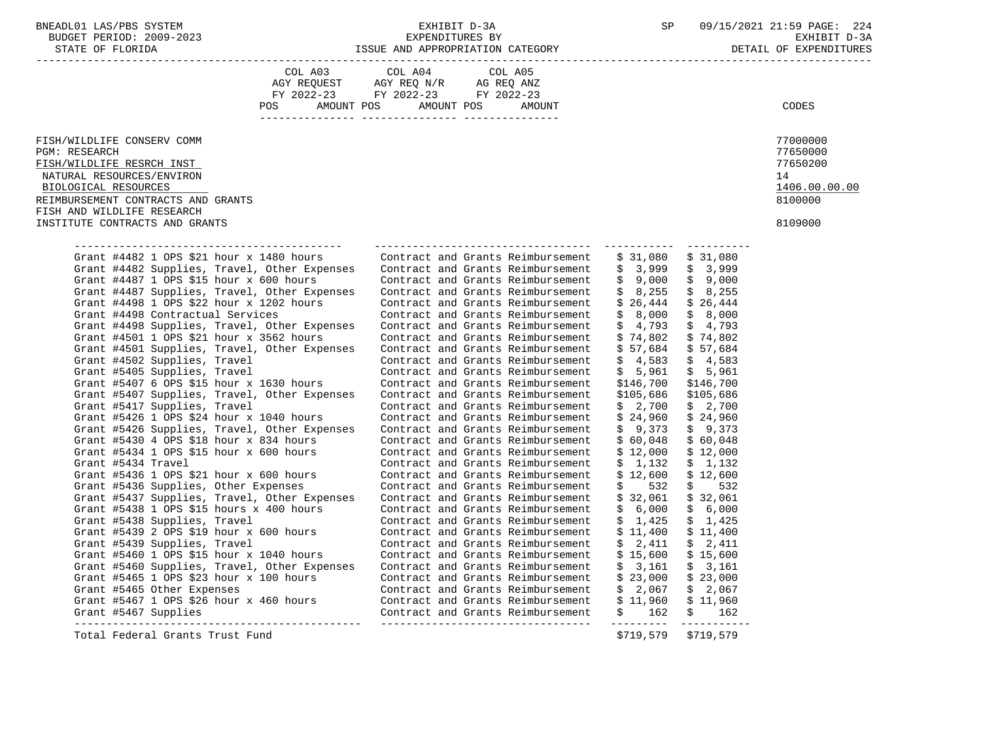BUDGET PERIOD: 2009-2023 EXPENDITURES BY EXHIBIT D-3A STATE OF FLORIDA **ISSUE AND APPROPRIATION CATEGORY** 

|  | DETAIL OF EXPENDITURES |
|--|------------------------|
|  |                        |

|                                                                                                                                     | COL A03 COL A04 COL A05<br>AGY REQUEST AGY REQ N/R AG REQ ANZ<br>FY 2022-23 FY 2022-23 FY 2022-23 |                                   |           |                   |               |
|-------------------------------------------------------------------------------------------------------------------------------------|---------------------------------------------------------------------------------------------------|-----------------------------------|-----------|-------------------|---------------|
|                                                                                                                                     |                                                                                                   |                                   |           |                   |               |
|                                                                                                                                     |                                                                                                   |                                   |           |                   |               |
|                                                                                                                                     | <b>POS</b><br>AMOUNT POS                                                                          | AMOUNT POS<br>AMOUNT              |           |                   | <b>CODES</b>  |
|                                                                                                                                     |                                                                                                   |                                   |           |                   |               |
|                                                                                                                                     |                                                                                                   |                                   |           |                   |               |
| FISH/WILDLIFE CONSERV COMM                                                                                                          |                                                                                                   |                                   |           |                   | 77000000      |
| PGM: RESEARCH                                                                                                                       |                                                                                                   |                                   |           |                   | 77650000      |
| FISH/WILDLIFE RESRCH INST                                                                                                           |                                                                                                   |                                   |           |                   | 77650200      |
| NATURAL RESOURCES/ENVIRON                                                                                                           |                                                                                                   |                                   |           |                   | 14            |
| BIOLOGICAL RESOURCES                                                                                                                |                                                                                                   |                                   |           |                   | 1406.00.00.00 |
| REIMBURSEMENT CONTRACTS AND GRANTS                                                                                                  |                                                                                                   |                                   |           |                   | 8100000       |
| FISH AND WILDLIFE RESEARCH                                                                                                          |                                                                                                   |                                   |           |                   |               |
| INSTITUTE CONTRACTS AND GRANTS                                                                                                      |                                                                                                   |                                   |           |                   | 8109000       |
|                                                                                                                                     |                                                                                                   |                                   |           |                   |               |
| ______________________________________                                                                                              |                                                                                                   |                                   |           |                   |               |
| Grant #4482 1 OPS \$21 hour $x$ 1480 hours                                                                                          |                                                                                                   | Contract and Grants Reimbursement | \$31,080  | \$31,080          |               |
| Grant #4482 Supplies, Travel, Other Expenses Contract and Grants Reimbursement                                                      |                                                                                                   |                                   |           | $$3,999$ $$3,999$ |               |
| Grant #4487 1 OPS \$15 hour $x$ 600 hours                                                                                           |                                                                                                   | Contract and Grants Reimbursement | \$9,000   | \$9,000           |               |
| Grant #4487 Supplies, Travel, Other Expenses Contract and Grants Reimbursement                                                      |                                                                                                   |                                   | \$8,255   | \$8,255           |               |
| Grant #4498 1 OPS \$22 hour $x$ 1202 hours                                                                                          |                                                                                                   | Contract and Grants Reimbursement | \$26,444  | \$26,444          |               |
| Grant #4498 Contractual Services                                                                                                    |                                                                                                   | Contract and Grants Reimbursement | \$8,000   | \$ 8,000          |               |
| Grant #4498 Supplies, Travel, Other Expenses                                                                                        |                                                                                                   | Contract and Grants Reimbursement | \$4,793   | \$4,793           |               |
| Grant #4501 1 OPS \$21 hour $x$ 3562 hours                                                                                          |                                                                                                   | Contract and Grants Reimbursement | \$74,802  | \$74,802          |               |
| Grant #4501 Supplies, Travel, Other Expenses                                                                                        |                                                                                                   | Contract and Grants Reimbursement | \$57,684  | \$57,684          |               |
| Grant #4502 Supplies, Travel                                                                                                        |                                                                                                   | Contract and Grants Reimbursement | \$4,583   | \$4,583           |               |
| Grant #5405 Supplies, Travel                                                                                                        |                                                                                                   | Contract and Grants Reimbursement | \$5,961   | \$5,961           |               |
| Grant #5407 6 OPS \$15 hour x 1630 hours                                                                                            |                                                                                                   | Contract and Grants Reimbursement | \$146,700 | \$146,700         |               |
| Grant #5407 Supplies, Travel, Other Expenses                                                                                        |                                                                                                   | Contract and Grants Reimbursement | \$105,686 | \$105,686         |               |
| Grant #5417 Supplies, Travel                                                                                                        |                                                                                                   | Contract and Grants Reimbursement | \$2,700   | \$2,700           |               |
| Grant #5426 1 OPS \$24 hour x 1040 hours                                                                                            |                                                                                                   | Contract and Grants Reimbursement | \$24,960  | \$24,960          |               |
| Grant #5426 Supplies, Travel, Other Expenses                                                                                        |                                                                                                   | Contract and Grants Reimbursement | \$9,373   | \$9,373           |               |
| Grant #5430 4 OPS \$18 hour $x$ 834 hours                                                                                           |                                                                                                   | Contract and Grants Reimbursement | \$60,048  | \$60,048          |               |
| Grant #5434 1 OPS \$15 hour x 600 hours                                                                                             |                                                                                                   | Contract and Grants Reimbursement | \$12,000  | \$12,000          |               |
| Grant #5434 Travel                                                                                                                  |                                                                                                   | Contract and Grants Reimbursement | \$1,132   | \$1,132           |               |
| Grant #5436 1 OPS \$21 hour x 600 hours                                                                                             |                                                                                                   | Contract and Grants Reimbursement | \$12,600  | \$12,600          |               |
| Grant #5436 Supplies, Other Expenses                                                                                                |                                                                                                   | Contract and Grants Reimbursement | \$532     | \$532             |               |
| Grant #5437 Supplies, Travel, Other Expenses                                                                                        |                                                                                                   | Contract and Grants Reimbursement | \$32,061  | \$32,061          |               |
| Grant #5438 1 OPS \$15 hours x 400 hours                                                                                            |                                                                                                   | Contract and Grants Reimbursement | \$6,000   | \$6,000           |               |
| Grant #5438 Supplies, Travel                                                                                                        |                                                                                                   | Contract and Grants Reimbursement | \$1,425   | \$1,425           |               |
| Grant #5439 2 OPS \$19 hour $x$ 600 hours                                                                                           |                                                                                                   | Contract and Grants Reimbursement | \$11,400  | \$11,400          |               |
| Grant #5439 Supplies, Travel                                                                                                        |                                                                                                   | Contract and Grants Reimbursement | \$2,411   | \$2,411           |               |
| Grant #5460 1 OPS \$15 hour x 1040 hours                                                                                            |                                                                                                   | Contract and Grants Reimbursement | \$15,600  | \$15,600          |               |
| Grant #5460 Supplies, Travel, Other Expenses                                                                                        |                                                                                                   | Contract and Grants Reimbursement | \$3,161   | \$3,161           |               |
| Grant #5465 1 OPS \$23 hour $x$ 100 hours                                                                                           |                                                                                                   | Contract and Grants Reimbursement | \$23,000  | \$23,000          |               |
| Grant #5465 Other Expenses                                                                                                          |                                                                                                   | Contract and Grants Reimbursement | \$2,067   | \$2,067           |               |
| Grant #5467 1 OPS \$26 hour x 460 hours contract and Grants Reimbursement<br>Grant #5467 Supplies contract and Grants Reimbursement |                                                                                                   |                                   | \$11,960  | \$ 11,960         |               |
| Grant #5467 Supplies                                                                                                                |                                                                                                   |                                   | \$162     | \$162             |               |
|                                                                                                                                     |                                                                                                   |                                   |           |                   |               |

Total Federal Grants Trust Fund \$719,579 \$719,579 \$719,579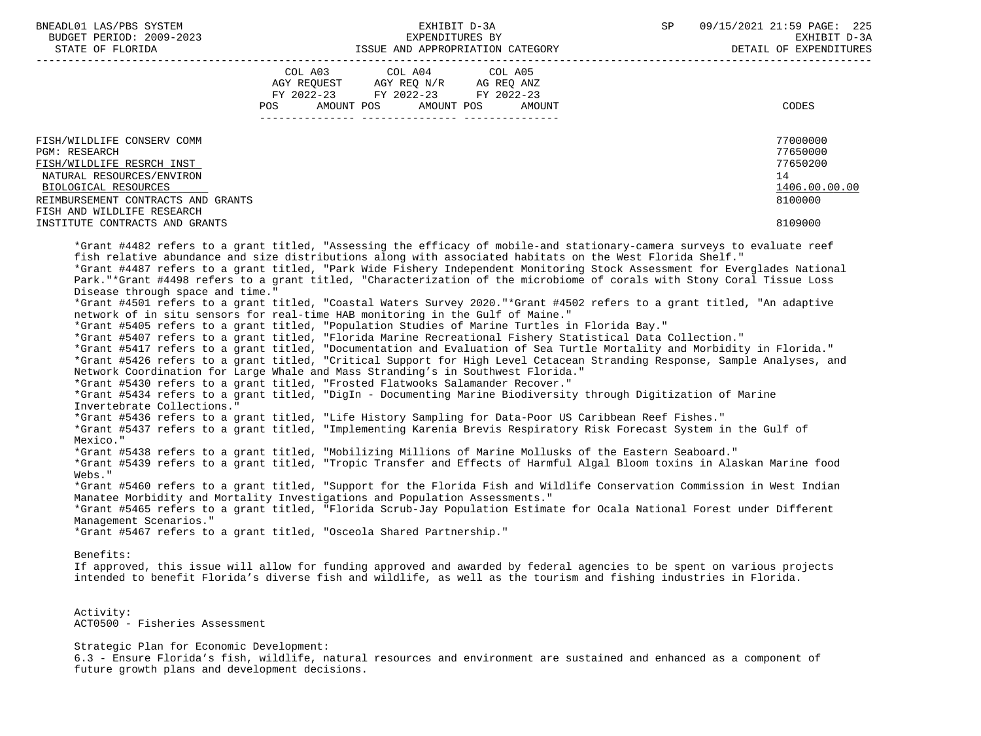|                                                                                                                                                                                                                                            | EXHIBIT D-3A                                                                                                                                                                                                                                                                                                                                                                                                                                                                                                                                                                                                                                                                                                                                                                                                                                                                                                                                                                                                                                                                                                                                                                                                                                                                                                                                                                                                                                                             | 09/15/2021 21:59 PAGE: 225<br>SP<br>EXHIBIT D-3A<br>DETAIL OF EXPENDITURES    |
|--------------------------------------------------------------------------------------------------------------------------------------------------------------------------------------------------------------------------------------------|--------------------------------------------------------------------------------------------------------------------------------------------------------------------------------------------------------------------------------------------------------------------------------------------------------------------------------------------------------------------------------------------------------------------------------------------------------------------------------------------------------------------------------------------------------------------------------------------------------------------------------------------------------------------------------------------------------------------------------------------------------------------------------------------------------------------------------------------------------------------------------------------------------------------------------------------------------------------------------------------------------------------------------------------------------------------------------------------------------------------------------------------------------------------------------------------------------------------------------------------------------------------------------------------------------------------------------------------------------------------------------------------------------------------------------------------------------------------------|-------------------------------------------------------------------------------|
|                                                                                                                                                                                                                                            | COL A03<br>COL A04 COL A05<br>AGY REQUEST AGY REQ N/R AG REQ ANZ<br>FY 2022-23 FY 2022-23 FY 2022-23<br>POS AMOUNT POS AMOUNT POS<br>AMOUNT                                                                                                                                                                                                                                                                                                                                                                                                                                                                                                                                                                                                                                                                                                                                                                                                                                                                                                                                                                                                                                                                                                                                                                                                                                                                                                                              | CODES                                                                         |
| FISH/WILDLIFE CONSERV COMM<br><b>PGM: RESEARCH</b><br>FISH/WILDLIFE RESRCH INST<br>NATURAL RESOURCES/ENVIRON<br>BIOLOGICAL RESOURCES<br>REIMBURSEMENT CONTRACTS AND GRANTS<br>FISH AND WILDLIFE RESEARCH<br>INSTITUTE CONTRACTS AND GRANTS |                                                                                                                                                                                                                                                                                                                                                                                                                                                                                                                                                                                                                                                                                                                                                                                                                                                                                                                                                                                                                                                                                                                                                                                                                                                                                                                                                                                                                                                                          | 77000000<br>77650000<br>77650200<br>14<br>1406.00.00.00<br>8100000<br>8109000 |
| Disease through space and time."<br>Invertebrate Collections."                                                                                                                                                                             | *Grant #4482 refers to a grant titled, "Assessing the efficacy of mobile-and stationary-camera surveys to evaluate reef<br>fish relative abundance and size distributions along with associated habitats on the West Florida Shelf."<br>*Grant #4487 refers to a grant titled, "Park Wide Fishery Independent Monitoring Stock Assessment for Everglades National<br>Park. "*Grant #4498 refers to a grant titled, "Characterization of the microbiome of corals with Stony Coral Tissue Loss<br>*Grant #4501 refers to a grant titled, "Coastal Waters Survey 2020."*Grant #4502 refers to a grant titled, "An adaptive<br>network of in situ sensors for real-time HAB monitoring in the Gulf of Maine."<br>*Grant #5405 refers to a grant titled, "Population Studies of Marine Turtles in Florida Bay."<br>*Grant #5407 refers to a grant titled, "Florida Marine Recreational Fishery Statistical Data Collection."<br>*Grant #5417 refers to a grant titled, "Documentation and Evaluation of Sea Turtle Mortality and Morbidity in Florida."<br>*Grant #5426 refers to a grant titled, "Critical Support for High Level Cetacean Stranding Response, Sample Analyses, and<br>Network Coordination for Large Whale and Mass Stranding's in Southwest Florida."<br>*Grant #5430 refers to a grant titled, "Frosted Flatwooks Salamander Recover."<br>*Grant #5434 refers to a grant titled, "DigIn - Documenting Marine Biodiversity through Digitization of Marine |                                                                               |
| Mexico."<br>Webs."                                                                                                                                                                                                                         | *Grant #5436 refers to a grant titled, "Life History Sampling for Data-Poor US Caribbean Reef Fishes."<br>*Grant #5437 refers to a grant titled, "Implementing Karenia Brevis Respiratory Risk Forecast System in the Gulf of<br>*Grant #5438 refers to a grant titled, "Mobilizing Millions of Marine Mollusks of the Eastern Seaboard."<br>*Grant #5439 refers to a grant titled, "Tropic Transfer and Effects of Harmful Algal Bloom toxins in Alaskan Marine food<br>*Grant #5460 refers to a grant titled, "Support for the Florida Fish and Wildlife Conservation Commission in West Indian<br>Manatee Morbidity and Mortality Investigations and Population Assessments."<br>*Grant #5465 refers to a grant titled, "Florida Scrub-Jay Population Estimate for Ocala National Forest under Different                                                                                                                                                                                                                                                                                                                                                                                                                                                                                                                                                                                                                                                              |                                                                               |

 Activity: ACT0500 - Fisheries Assessment

 Strategic Plan for Economic Development: 6.3 - Ensure Florida's fish, wildlife, natural resources and environment are sustained and enhanced as a component of future growth plans and development decisions.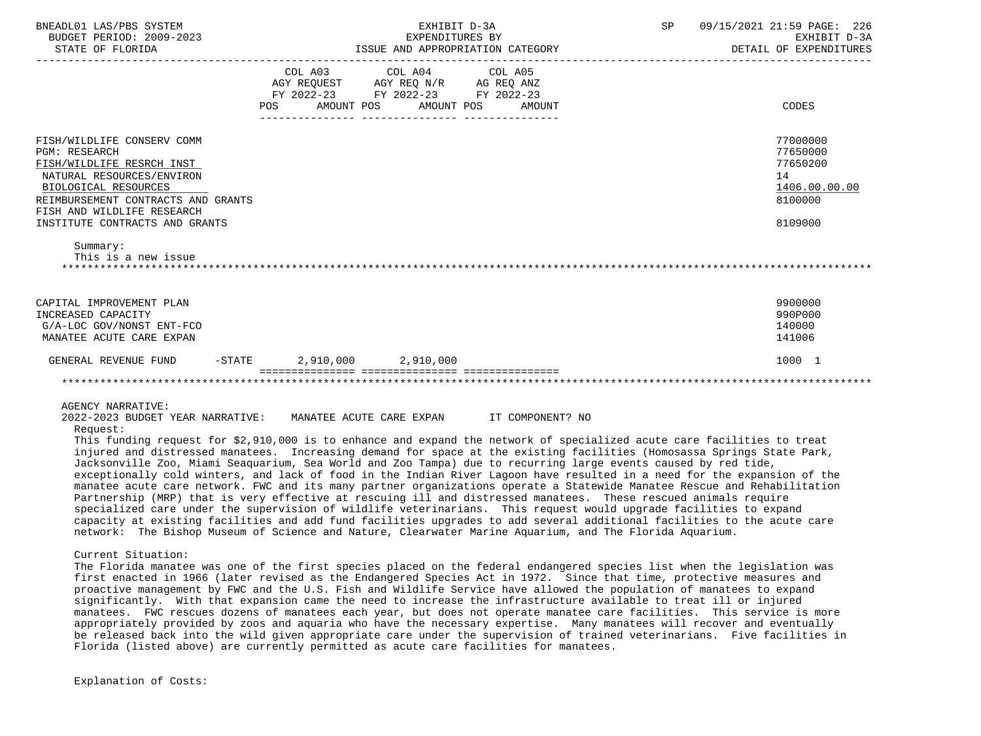| BNEADL01 LAS/PBS SYSTEM<br>BUDGET PERIOD: 2009-2023<br>STATE OF FLORIDA                                                                                                                                                                                                                                                                                                                                                                                                                                                                                                                              |          | EXPENDITURES BY                                                                                                 | EXHIBIT D-3A<br>ISSUE AND APPROPRIATION CATEGORY | SP<br>09/15/2021 21:59 PAGE: 226<br>EXHIBIT D-3A<br>DETAIL OF EXPENDITURES |                                                                    |  |
|------------------------------------------------------------------------------------------------------------------------------------------------------------------------------------------------------------------------------------------------------------------------------------------------------------------------------------------------------------------------------------------------------------------------------------------------------------------------------------------------------------------------------------------------------------------------------------------------------|----------|-----------------------------------------------------------------------------------------------------------------|--------------------------------------------------|----------------------------------------------------------------------------|--------------------------------------------------------------------|--|
|                                                                                                                                                                                                                                                                                                                                                                                                                                                                                                                                                                                                      | POS      | COL A03 COL A04 COL A05<br>AGY REQUEST AGY REQ N/R AG REQ ANZ<br>FY 2022-23 FY 2022-23 FY 2022-23<br>AMOUNT POS | AMOUNT POS<br>AMOUNT                             |                                                                            | CODES                                                              |  |
| FISH/WILDLIFE CONSERV COMM<br><b>PGM: RESEARCH</b><br>FISH/WILDLIFE RESRCH INST<br>NATURAL RESOURCES/ENVIRON<br>BIOLOGICAL RESOURCES<br>REIMBURSEMENT CONTRACTS AND GRANTS<br>FISH AND WILDLIFE RESEARCH                                                                                                                                                                                                                                                                                                                                                                                             |          |                                                                                                                 |                                                  |                                                                            | 77000000<br>77650000<br>77650200<br>14<br>1406.00.00.00<br>8100000 |  |
| INSTITUTE CONTRACTS AND GRANTS<br>Summary:<br>This is a new issue                                                                                                                                                                                                                                                                                                                                                                                                                                                                                                                                    |          |                                                                                                                 |                                                  |                                                                            | 8109000                                                            |  |
| CAPITAL IMPROVEMENT PLAN<br>INCREASED CAPACITY<br>G/A-LOC GOV/NONST ENT-FCO<br>MANATEE ACUTE CARE EXPAN                                                                                                                                                                                                                                                                                                                                                                                                                                                                                              |          |                                                                                                                 |                                                  |                                                                            | 9900000<br>990P000<br>140000<br>141006                             |  |
| GENERAL REVENUE FUND                                                                                                                                                                                                                                                                                                                                                                                                                                                                                                                                                                                 | $-STATE$ | 2,910,000 2,910,000                                                                                             |                                                  |                                                                            | 1000 1                                                             |  |
|                                                                                                                                                                                                                                                                                                                                                                                                                                                                                                                                                                                                      |          |                                                                                                                 |                                                  |                                                                            |                                                                    |  |
| <b>AGENCY NARRATIVE:</b><br>2022-2023 BUDGET YEAR NARRATIVE: MANATEE ACUTE CARE EXPAN<br>Request:<br>This funding request for \$2,910,000 is to enhance and expand the network of specialized acute care facilities to treat<br>injured and distressed manatees. Increasing demand for space at the existing facilities (Homosassa Springs State Park,<br>Jacksonville Zoo, Miami Seaquarium, Sea World and Zoo Tampa) due to recurring large events caused by red tide,<br>exceptionally cold winters, and lack of food in the Indian River Lagoon have resulted in a need for the expansion of the |          |                                                                                                                 | IT COMPONENT? NO                                 |                                                                            |                                                                    |  |

 exceptionally cold winters, and lack of food in the Indian River Lagoon have resulted in a need for the expansion of the manatee acute care network. FWC and its many partner organizations operate a Statewide Manatee Rescue and Rehabilitation Partnership (MRP) that is very effective at rescuing ill and distressed manatees. These rescued animals require specialized care under the supervision of wildlife veterinarians. This request would upgrade facilities to expand capacity at existing facilities and add fund facilities upgrades to add several additional facilities to the acute care network: The Bishop Museum of Science and Nature, Clearwater Marine Aquarium, and The Florida Aquarium.

## Current Situation:

 The Florida manatee was one of the first species placed on the federal endangered species list when the legislation was first enacted in 1966 (later revised as the Endangered Species Act in 1972. Since that time, protective measures and proactive management by FWC and the U.S. Fish and Wildlife Service have allowed the population of manatees to expand significantly. With that expansion came the need to increase the infrastructure available to treat ill or injured manatees. FWC rescues dozens of manatees each year, but does not operate manatee care facilities. This service is more appropriately provided by zoos and aquaria who have the necessary expertise. Many manatees will recover and eventually be released back into the wild given appropriate care under the supervision of trained veterinarians. Five facilities in Florida (listed above) are currently permitted as acute care facilities for manatees.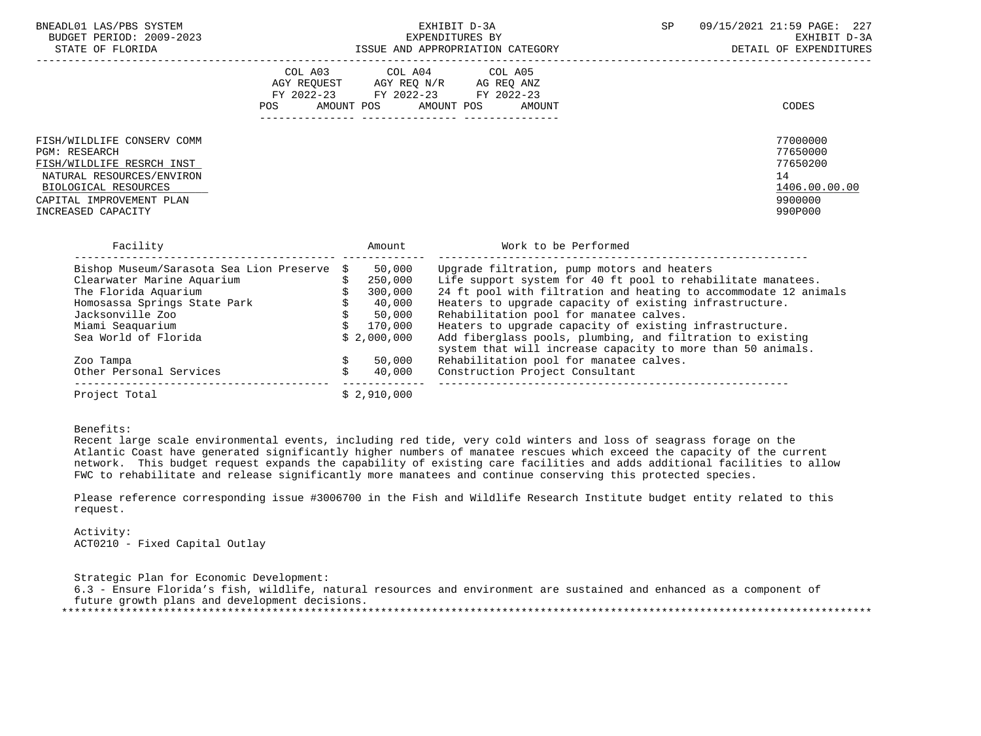| BNEADL01<br>LAS/PBS<br>SYSTEM  |                                                          | 72021<br>$\sim$ $\sim$ $\sim$<br>PAGE:<br>ם ר<br>-447 |
|--------------------------------|----------------------------------------------------------|-------------------------------------------------------|
| 2009-2023<br>PERIOD:<br>BUDGET | ITURES BY<br>EXPENDI                                     | $\sim$ $\sim$<br><u>-n +m</u><br>rvu:<br>- ⊶          |
| חת התמידי<br>ברוד הה. דה       | Ι ΔΡΡΑΠΡΙΣΤΔΤΙΛΝ ΛΔΤΈΚΛΡΥ<br>ידת ה<br><b>ANII</b><br>--- | FYDFNDT                                               |

EXHIBIT D-3A SP  $09/15/2021$   $21:59$  PAGE: 227<br>EXPENDITURES BY

STATE OF FLORIDA GERM ISSUE AND APPROPRIATION CATEGORY STATE OF EXPENDITURES

|                                                                                                                                                                                 | COL A03<br>AGY REOUEST<br>POS | FY 2022-23 FY 2022-23<br>AMOUNT POS AMOUNT POS | COL A04 COL A05<br>AGY REO N/R AG REO ANZ<br>FY 2022-23<br>AMOUNT | CODES                                                                         |
|---------------------------------------------------------------------------------------------------------------------------------------------------------------------------------|-------------------------------|------------------------------------------------|-------------------------------------------------------------------|-------------------------------------------------------------------------------|
| FISH/WILDLIFE CONSERV COMM<br>PGM: RESEARCH<br>FISH/WILDLIFE RESRCH INST<br>NATURAL RESOURCES/ENVIRON<br>BIOLOGICAL RESOURCES<br>CAPITAL IMPROVEMENT PLAN<br>INCREASED CAPACITY |                               |                                                |                                                                   | 77000000<br>77650000<br>77650200<br>14<br>1406.00.00.00<br>9900000<br>990P000 |
| Facility                                                                                                                                                                        |                               | Amount                                         | Work to be Performed                                              |                                                                               |
| Rishop Museum/Sarasota Sea Lion Preserve \$                                                                                                                                     |                               | 50 000                                         | Ingrade filtration nump motors and heaters                        |                                                                               |

| Bishop Museum/Sarasota Sea Lion Preserve \$ | 50,000      | Upgrade filtration, pump motors and heaters                                                                               |
|---------------------------------------------|-------------|---------------------------------------------------------------------------------------------------------------------------|
| Clearwater Marine Aquarium                  | 250,000     | Life support system for 40 ft pool to rehabilitate manatees.                                                              |
| The Florida Aquarium                        | 300,000     | 24 ft pool with filtration and heating to accommodate 12 animals                                                          |
| Homosassa Springs State Park                | 40,000      | Heaters to upgrade capacity of existing infrastructure.                                                                   |
| Jacksonville Zoo                            | 50,000      | Rehabilitation pool for manatee calves.                                                                                   |
| Miami Seaquarium                            | 170,000     | Heaters to upgrade capacity of existing infrastructure.                                                                   |
| Sea World of Florida                        | \$2,000,000 | Add fiberglass pools, plumbing, and filtration to existing<br>system that will increase capacity to more than 50 animals. |
| Zoo Tampa                                   | 50,000      | Rehabilitation pool for manatee calves.                                                                                   |
| Other Personal Services                     | 40,000      | Construction Project Consultant                                                                                           |
| Project Total                               | \$2.910.000 |                                                                                                                           |

### Benefits:

 Recent large scale environmental events, including red tide, very cold winters and loss of seagrass forage on the Atlantic Coast have generated significantly higher numbers of manatee rescues which exceed the capacity of the current network. This budget request expands the capability of existing care facilities and adds additional facilities to allow FWC to rehabilitate and release significantly more manatees and continue conserving this protected species.

 Please reference corresponding issue #3006700 in the Fish and Wildlife Research Institute budget entity related to this request.

 Activity: ACT0210 - Fixed Capital Outlay

 Strategic Plan for Economic Development: 6.3 - Ensure Florida's fish, wildlife, natural resources and environment are sustained and enhanced as a component of future growth plans and development decisions. \*\*\*\*\*\*\*\*\*\*\*\*\*\*\*\*\*\*\*\*\*\*\*\*\*\*\*\*\*\*\*\*\*\*\*\*\*\*\*\*\*\*\*\*\*\*\*\*\*\*\*\*\*\*\*\*\*\*\*\*\*\*\*\*\*\*\*\*\*\*\*\*\*\*\*\*\*\*\*\*\*\*\*\*\*\*\*\*\*\*\*\*\*\*\*\*\*\*\*\*\*\*\*\*\*\*\*\*\*\*\*\*\*\*\*\*\*\*\*\*\*\*\*\*\*\*\*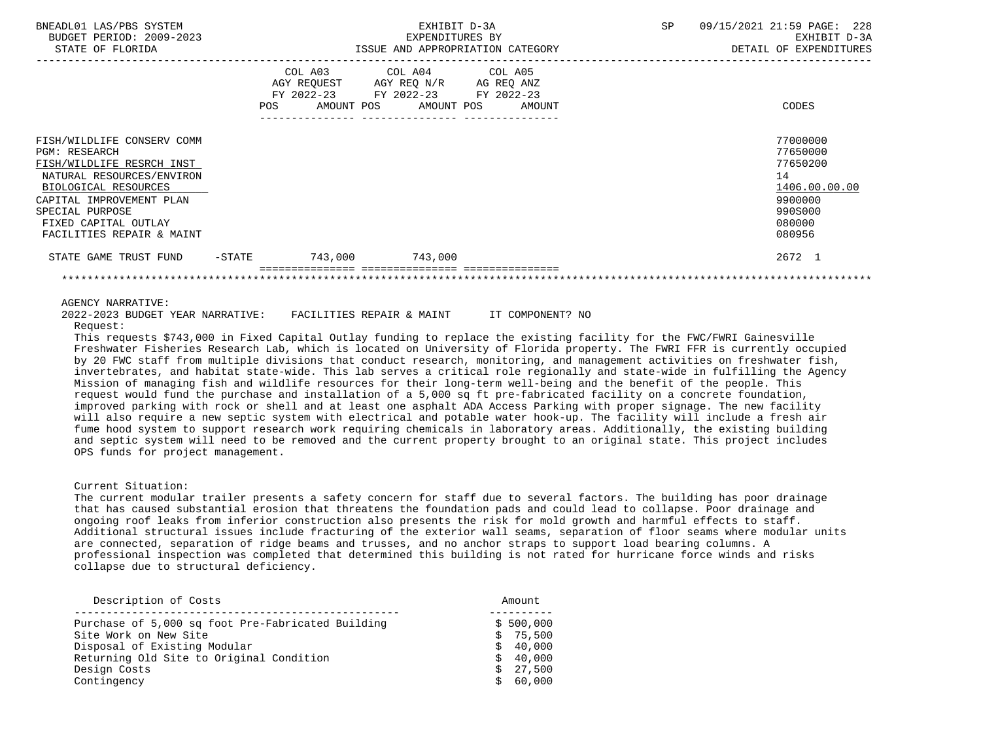| BNEADL01 LAS/PBS SYSTEM<br>BUDGET PERIOD: 2009-2023<br>STATE OF FLORIDA                                                                                                                                                                  |        | EXHIBIT D-3A<br>EXPENDITURES BY<br>ISSUE AND APPROPRIATION CATEGORY |                                                                                                                            |        | SP | 09/15/2021 21:59 PAGE: 228<br>EXHIBIT D-3A<br>DETAIL OF EXPENDITURES                              |
|------------------------------------------------------------------------------------------------------------------------------------------------------------------------------------------------------------------------------------------|--------|---------------------------------------------------------------------|----------------------------------------------------------------------------------------------------------------------------|--------|----|---------------------------------------------------------------------------------------------------|
|                                                                                                                                                                                                                                          | POS    |                                                                     | COL A03 COL A04 COL A05<br>AGY REQUEST AGY REQ N/R AG REQ ANZ<br>FY 2022-23 FY 2022-23 FY 2022-23<br>AMOUNT POS AMOUNT POS | AMOUNT |    | CODES                                                                                             |
| FISH/WILDLIFE CONSERV COMM<br><b>PGM: RESEARCH</b><br>FISH/WILDLIFE RESRCH INST<br>NATURAL RESOURCES/ENVIRON<br>BIOLOGICAL RESOURCES<br>CAPITAL IMPROVEMENT PLAN<br>SPECIAL PURPOSE<br>FIXED CAPITAL OUTLAY<br>FACILITIES REPAIR & MAINT |        |                                                                     |                                                                                                                            |        |    | 77000000<br>77650000<br>77650200<br>14<br>1406.00.00.00<br>9900000<br>990S000<br>080000<br>080956 |
| STATE GAME TRUST FUND                                                                                                                                                                                                                    | -STATE | 743,000                                                             | 743,000                                                                                                                    |        |    | 2672 1                                                                                            |
|                                                                                                                                                                                                                                          |        |                                                                     |                                                                                                                            |        |    |                                                                                                   |

# AGENCY NARRATIVE:

 2022-2023 BUDGET YEAR NARRATIVE: FACILITIES REPAIR & MAINT IT COMPONENT? NO Request:

 This requests \$743,000 in Fixed Capital Outlay funding to replace the existing facility for the FWC/FWRI Gainesville Freshwater Fisheries Research Lab, which is located on University of Florida property. The FWRI FFR is currently occupied by 20 FWC staff from multiple divisions that conduct research, monitoring, and management activities on freshwater fish, invertebrates, and habitat state-wide. This lab serves a critical role regionally and state-wide in fulfilling the Agency Mission of managing fish and wildlife resources for their long-term well-being and the benefit of the people. This request would fund the purchase and installation of a 5,000 sq ft pre-fabricated facility on a concrete foundation, improved parking with rock or shell and at least one asphalt ADA Access Parking with proper signage. The new facility will also require a new septic system with electrical and potable water hook-up. The facility will include a fresh air fume hood system to support research work requiring chemicals in laboratory areas. Additionally, the existing building and septic system will need to be removed and the current property brought to an original state. This project includes OPS funds for project management.

# Current Situation:

 The current modular trailer presents a safety concern for staff due to several factors. The building has poor drainage that has caused substantial erosion that threatens the foundation pads and could lead to collapse. Poor drainage and ongoing roof leaks from inferior construction also presents the risk for mold growth and harmful effects to staff. Additional structural issues include fracturing of the exterior wall seams, separation of floor seams where modular units are connected, separation of ridge beams and trusses, and no anchor straps to support load bearing columns. A professional inspection was completed that determined this building is not rated for hurricane force winds and risks collapse due to structural deficiency.

| Description of Costs                              | Amount    |
|---------------------------------------------------|-----------|
|                                                   |           |
| Purchase of 5,000 sq foot Pre-Fabricated Building | \$500,000 |
| Site Work on New Site                             | \$75,500  |
| Disposal of Existing Modular                      | \$40,000  |
| Returning Old Site to Original Condition          | \$40,000  |
| Design Costs                                      | 27,500    |
| Contingency                                       | \$60,000  |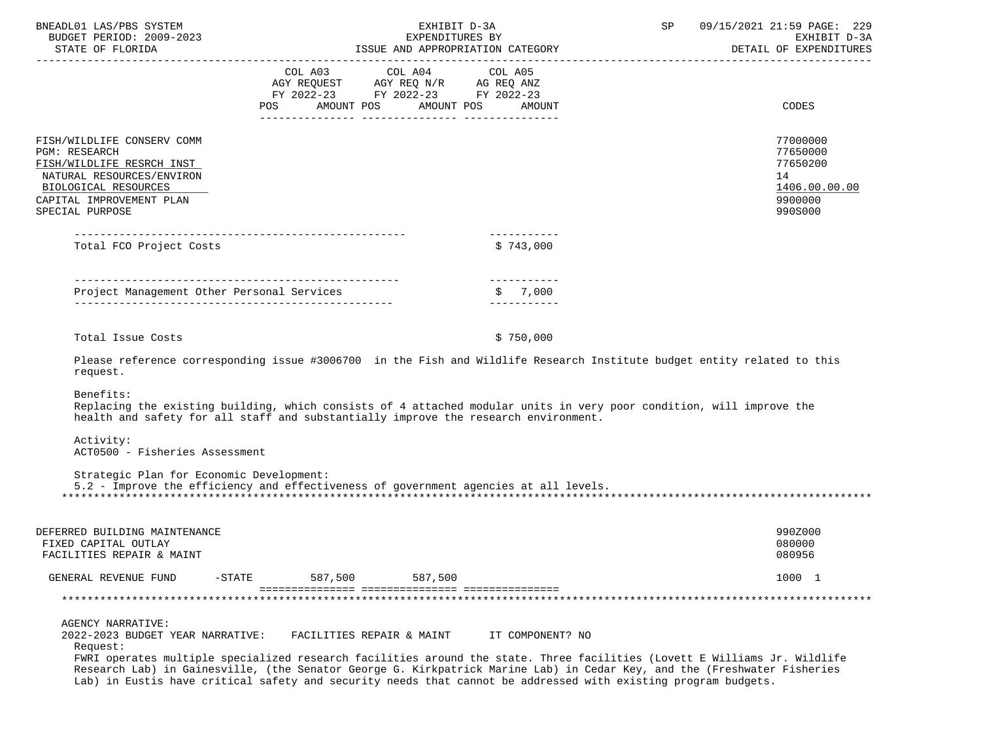| BNEADL01 LAS/PBS SYSTEM<br>BUDGET PERIOD: 2009-2023<br>STATE OF FLORIDA                                                                                                      |                                                                                                                                                                                                                                                                                                                                                                                                      | EXHIBIT D-3A<br>EXPENDITURES BY<br>ISSUE AND APPROPRIATION CATEGORY | SP | 09/15/2021 21:59 PAGE: 229<br>EXHIBIT D-3A<br>DETAIL OF EXPENDITURES          |
|------------------------------------------------------------------------------------------------------------------------------------------------------------------------------|------------------------------------------------------------------------------------------------------------------------------------------------------------------------------------------------------------------------------------------------------------------------------------------------------------------------------------------------------------------------------------------------------|---------------------------------------------------------------------|----|-------------------------------------------------------------------------------|
|                                                                                                                                                                              | COL A03 COL A04 COL A05<br>AGY REQUEST AGY REQ N/R AG REQ ANZ<br>FY 2022-23 FY 2022-23 FY 2022-23<br>POS AMOUNT POS AMOUNT POS                                                                                                                                                                                                                                                                       | AMOUNT                                                              |    | CODES                                                                         |
| FISH/WILDLIFE CONSERV COMM<br>PGM: RESEARCH<br>FISH/WILDLIFE RESRCH INST<br>NATURAL RESOURCES/ENVIRON<br>BIOLOGICAL RESOURCES<br>CAPITAL IMPROVEMENT PLAN<br>SPECIAL PURPOSE |                                                                                                                                                                                                                                                                                                                                                                                                      |                                                                     |    | 77000000<br>77650000<br>77650200<br>14<br>1406.00.00.00<br>9900000<br>990S000 |
| Total FCO Project Costs                                                                                                                                                      |                                                                                                                                                                                                                                                                                                                                                                                                      | -----------<br>\$743.000                                            |    |                                                                               |
|                                                                                                                                                                              |                                                                                                                                                                                                                                                                                                                                                                                                      | ___________<br>\$7,000<br>___________                               |    |                                                                               |
| Total Issue Costs<br>request.<br>Benefits:                                                                                                                                   | Please reference corresponding issue #3006700 in the Fish and Wildlife Research Institute budget entity related to this                                                                                                                                                                                                                                                                              | \$750,000                                                           |    |                                                                               |
| Activity:<br>ACT0500 - Fisheries Assessment                                                                                                                                  | Replacing the existing building, which consists of 4 attached modular units in very poor condition, will improve the<br>health and safety for all staff and substantially improve the research environment.                                                                                                                                                                                          |                                                                     |    |                                                                               |
| Strategic Plan for Economic Development:                                                                                                                                     | 5.2 - Improve the efficiency and effectiveness of government agencies at all levels.                                                                                                                                                                                                                                                                                                                 |                                                                     |    |                                                                               |
| DEFERRED BUILDING MAINTENANCE<br>FIXED CAPITAL OUTLAY<br>FACILITIES REPAIR & MAINT                                                                                           |                                                                                                                                                                                                                                                                                                                                                                                                      |                                                                     |    | 990Z000<br>080000<br>080956                                                   |
| $-STATE$<br>GENERAL REVENUE FUND                                                                                                                                             | 587,500<br>587,500                                                                                                                                                                                                                                                                                                                                                                                   |                                                                     |    | 1000 1                                                                        |
|                                                                                                                                                                              |                                                                                                                                                                                                                                                                                                                                                                                                      |                                                                     |    |                                                                               |
| <b>AGENCY NARRATIVE:</b><br>2022-2023 BUDGET YEAR NARRATIVE:<br>Request:                                                                                                     | FACILITIES REPAIR & MAINT<br>FWRI operates multiple specialized research facilities around the state. Three facilities (Lovett E Williams Jr. Wildlife<br>Research Lab) in Gainesville, (the Senator George G. Kirkpatrick Marine Lab) in Cedar Key, and the (Freshwater Fisheries<br>Lab) in Eustis have critical safety and security needs that cannot be addressed with existing program budgets. | IT COMPONENT? NO                                                    |    |                                                                               |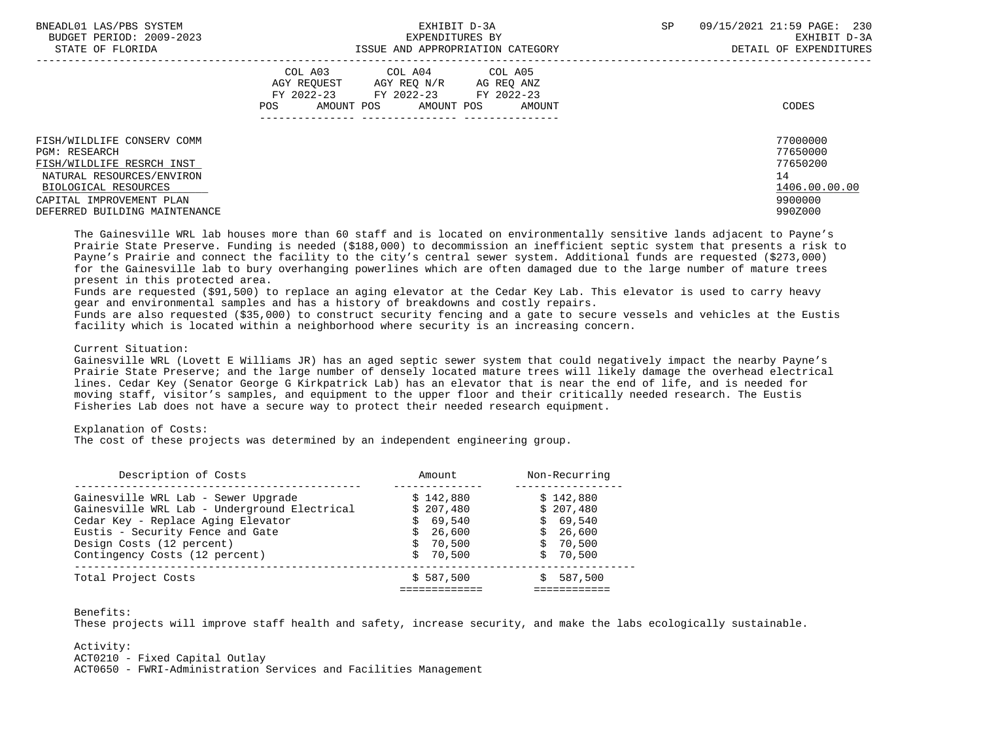| BNEADL01 LAS/PBS SYSTEM<br>BUDGET PERIOD: 2009-2023<br>STATE OF FLORIDA                                                                                                                           | EXHIBIT D-3A<br>EXPENDITURES BY<br>ISSUE AND APPROPRIATION CATEGORY                                                                                  | <b>SP</b> | 09/15/2021 21:59 PAGE: 230<br>EXHIBIT D-3A<br>DETAIL OF EXPENDITURES          |
|---------------------------------------------------------------------------------------------------------------------------------------------------------------------------------------------------|------------------------------------------------------------------------------------------------------------------------------------------------------|-----------|-------------------------------------------------------------------------------|
|                                                                                                                                                                                                   | COL A03 COL A04 COL A05<br>AGY REOUEST<br>AGY REO N/R<br>AG REQ ANZ<br>FY 2022-23 FY 2022-23 FY 2022-23<br>AMOUNT POS<br>POS<br>AMOUNT POS<br>AMOUNT |           | CODES                                                                         |
| FISH/WILDLIFE CONSERV COMM<br><b>PGM: RESEARCH</b><br>FISH/WILDLIFE RESRCH INST<br>NATURAL RESOURCES/ENVIRON<br>BIOLOGICAL RESOURCES<br>CAPITAL IMPROVEMENT PLAN<br>DEFERRED BUILDING MAINTENANCE |                                                                                                                                                      |           | 77000000<br>77650000<br>77650200<br>14<br>1406.00.00.00<br>9900000<br>990Z000 |

 The Gainesville WRL lab houses more than 60 staff and is located on environmentally sensitive lands adjacent to Payne's Prairie State Preserve. Funding is needed (\$188,000) to decommission an inefficient septic system that presents a risk to Payne's Prairie and connect the facility to the city's central sewer system. Additional funds are requested (\$273,000) for the Gainesville lab to bury overhanging powerlines which are often damaged due to the large number of mature trees present in this protected area.

 Funds are requested (\$91,500) to replace an aging elevator at the Cedar Key Lab. This elevator is used to carry heavy gear and environmental samples and has a history of breakdowns and costly repairs.

 Funds are also requested (\$35,000) to construct security fencing and a gate to secure vessels and vehicles at the Eustis facility which is located within a neighborhood where security is an increasing concern.

### Current Situation:

 Gainesville WRL (Lovett E Williams JR) has an aged septic sewer system that could negatively impact the nearby Payne's Prairie State Preserve; and the large number of densely located mature trees will likely damage the overhead electrical lines. Cedar Key (Senator George G Kirkpatrick Lab) has an elevator that is near the end of life, and is needed for moving staff, visitor's samples, and equipment to the upper floor and their critically needed research. The Eustis Fisheries Lab does not have a secure way to protect their needed research equipment.

#### Explanation of Costs:

The cost of these projects was determined by an independent engineering group.

| Description of Costs                                                                                                                                          | Amount                                                     | Non-Recurring                                              |
|---------------------------------------------------------------------------------------------------------------------------------------------------------------|------------------------------------------------------------|------------------------------------------------------------|
| Gainesville WRL Lab - Sewer Upgrade<br>Gainesville WRL Lab - Underground Electrical<br>Cedar Key - Replace Aging Elevator<br>Eustis - Security Fence and Gate | \$142.880<br>\$207.480<br>\$69,540<br>\$26,600<br>\$70.500 | \$142,880<br>\$207.480<br>\$69.540<br>\$26,600<br>\$70.500 |
| Design Costs (12 percent)<br>Contingency Costs (12 percent)<br>Total Project Costs                                                                            | \$70.500<br>\$587,500                                      | \$70.500<br>587,500                                        |
|                                                                                                                                                               |                                                            |                                                            |

## Benefits:

These projects will improve staff health and safety, increase security, and make the labs ecologically sustainable.

# Activity:

ACT0210 - Fixed Capital Outlay

ACT0650 - FWRI-Administration Services and Facilities Management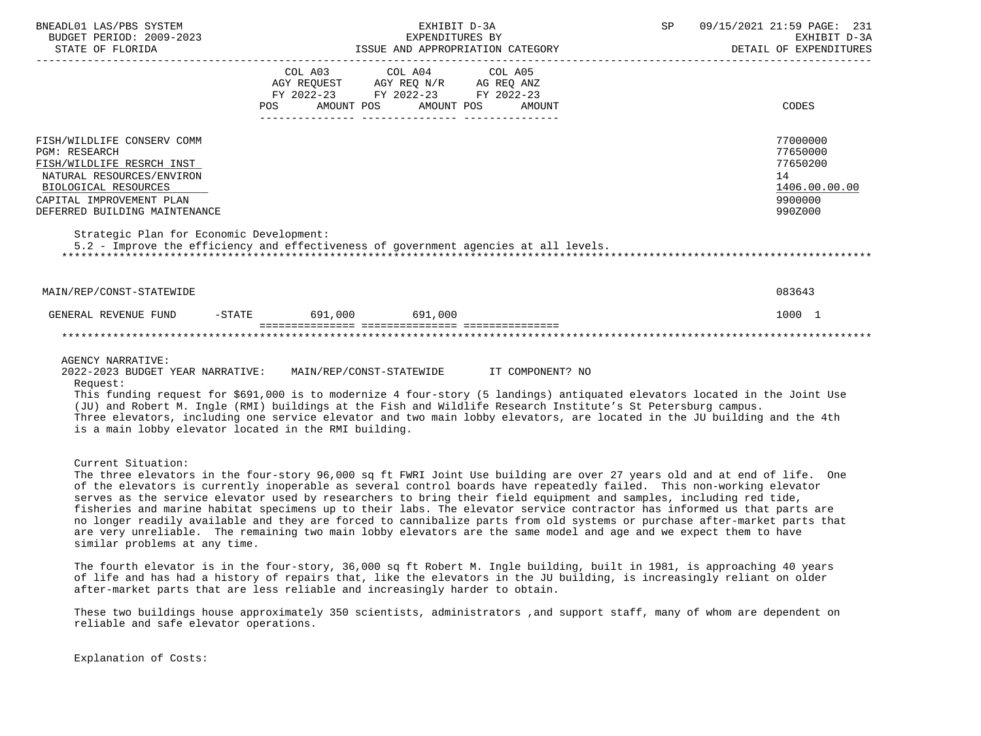| BNEADL01 LAS/PBS SYSTEM<br>BUDGET PERIOD: 2009-2023                                                                                                                                                                                                                                                                                                                                                                                                                                                                                                   |                                  | EXHIBIT D-3A                                                                                      | EXPENDITURES BY<br>ISSUE AND APPROPRIATION CATEGORY | SP | 09/15/2021 21:59 PAGE: 231<br>EXHIBIT D-3A<br>DETAIL OF EXPENDITURES          |
|-------------------------------------------------------------------------------------------------------------------------------------------------------------------------------------------------------------------------------------------------------------------------------------------------------------------------------------------------------------------------------------------------------------------------------------------------------------------------------------------------------------------------------------------------------|----------------------------------|---------------------------------------------------------------------------------------------------|-----------------------------------------------------|----|-------------------------------------------------------------------------------|
|                                                                                                                                                                                                                                                                                                                                                                                                                                                                                                                                                       | POS AMOUNT POS AMOUNT POS AMOUNT | COL A03 COL A04 COL A05<br>AGY REQUEST AGY REQ N/R AG REQ ANZ<br>FY 2022-23 FY 2022-23 FY 2022-23 |                                                     |    | CODES                                                                         |
| FISH/WILDLIFE CONSERV COMM<br><b>PGM: RESEARCH</b><br>FISH/WILDLIFE RESRCH INST<br>NATURAL RESOURCES/ENVIRON<br>BIOLOGICAL RESOURCES<br>CAPITAL IMPROVEMENT PLAN<br>DEFERRED BUILDING MAINTENANCE                                                                                                                                                                                                                                                                                                                                                     |                                  |                                                                                                   |                                                     |    | 77000000<br>77650000<br>77650200<br>14<br>1406.00.00.00<br>9900000<br>990Z000 |
| Strategic Plan for Economic Development:<br>5.2 - Improve the efficiency and effectiveness of government agencies at all levels.                                                                                                                                                                                                                                                                                                                                                                                                                      |                                  |                                                                                                   |                                                     |    |                                                                               |
| MAIN/REP/CONST-STATEWIDE                                                                                                                                                                                                                                                                                                                                                                                                                                                                                                                              |                                  |                                                                                                   |                                                     |    | 083643                                                                        |
| GENERAL REVENUE FUND -STATE 691,000 691,000                                                                                                                                                                                                                                                                                                                                                                                                                                                                                                           |                                  |                                                                                                   |                                                     |    | 1000 1                                                                        |
|                                                                                                                                                                                                                                                                                                                                                                                                                                                                                                                                                       |                                  |                                                                                                   |                                                     |    |                                                                               |
| <b>AGENCY NARRATIVE:</b><br>2022-2023 BUDGET YEAR NARRATIVE: MAIN/REP/CONST-STATEWIDE TT COMPONENT? NO<br>Request:<br>This funding request for \$691,000 is to modernize 4 four-story (5 landings) antiquated elevators located in the Joint Use<br>(JU) and Robert M. Ingle (RMI) buildings at the Fish and Wildlife Research Institute's St Petersburg campus.<br>Three elevators, including one service elevator and two main lobby elevators, are located in the JU building and the 4th<br>is a main lobby elevator located in the RMI building. |                                  |                                                                                                   |                                                     |    |                                                                               |
| Current Situation:<br>The three elevators in the four-story 96,000 sq ft FWRI Joint Use building are over 27 years old and at end of life. One<br>of the elevators is currently inoperable as several control boards have repeatedly failed. This non-working elevator                                                                                                                                                                                                                                                                                |                                  |                                                                                                   |                                                     |    |                                                                               |

 of the elevators is currently inoperable as several control boards have repeatedly failed. This non-working elevator serves as the service elevator used by researchers to bring their field equipment and samples, including red tide, fisheries and marine habitat specimens up to their labs. The elevator service contractor has informed us that parts are no longer readily available and they are forced to cannibalize parts from old systems or purchase after-market parts that are very unreliable. The remaining two main lobby elevators are the same model and age and we expect them to have similar problems at any time.

 The fourth elevator is in the four-story, 36,000 sq ft Robert M. Ingle building, built in 1981, is approaching 40 years of life and has had a history of repairs that, like the elevators in the JU building, is increasingly reliant on older after-market parts that are less reliable and increasingly harder to obtain.

 These two buildings house approximately 350 scientists, administrators ,and support staff, many of whom are dependent on reliable and safe elevator operations.

Explanation of Costs: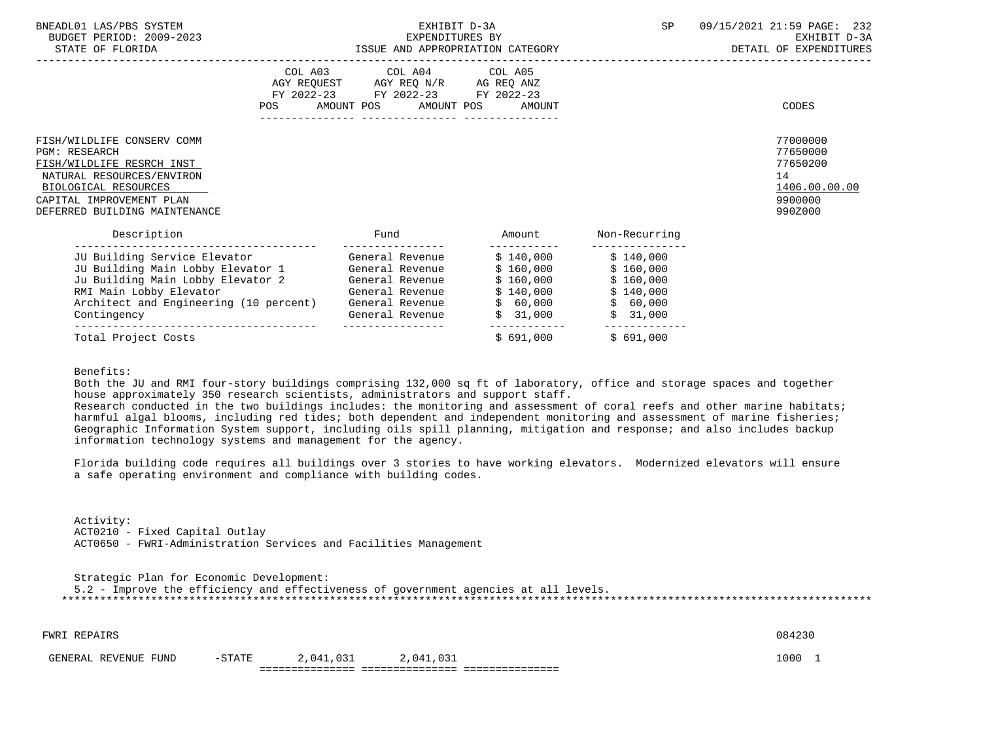| BNEADL01 LAS/PBS SYSTEM<br>BUDGET PERIOD: 2009-2023<br>STATE OF FLORIDA                                                                                                                           | EXHIBIT D-3A<br>EXPENDITURES BY<br>ISSUE AND APPROPRIATION CATEGORY |                                                                                                                                                                           |  |                                                                          | SP                                                                       | 09/15/2021 21:59 PAGE: 232<br>EXHIBIT D-3A<br>DETAIL OF EXPENDITURES          |
|---------------------------------------------------------------------------------------------------------------------------------------------------------------------------------------------------|---------------------------------------------------------------------|---------------------------------------------------------------------------------------------------------------------------------------------------------------------------|--|--------------------------------------------------------------------------|--------------------------------------------------------------------------|-------------------------------------------------------------------------------|
|                                                                                                                                                                                                   |                                                                     | COL A03 COL A04 COL A05<br>AGY REQUEST AGY REQ N/R AG REQ ANZ<br>FY 2022-23 FY 2022-23 FY 2022-23<br>POS AMOUNT POS AMOUNT POS AMOUNT<br>--------------- ---------------- |  |                                                                          |                                                                          | CODES                                                                         |
| FISH/WILDLIFE CONSERV COMM<br><b>PGM: RESEARCH</b><br>FISH/WILDLIFE RESRCH INST<br>NATURAL RESOURCES/ENVIRON<br>BIOLOGICAL RESOURCES<br>CAPITAL IMPROVEMENT PLAN<br>DEFERRED BUILDING MAINTENANCE |                                                                     |                                                                                                                                                                           |  |                                                                          |                                                                          | 77000000<br>77650000<br>77650200<br>14<br>1406.00.00.00<br>9900000<br>990Z000 |
| Description                                                                                                                                                                                       |                                                                     | Fund                                                                                                                                                                      |  | Amount                                                                   | Non-Recurring                                                            |                                                                               |
| JU Building Service Elevator<br>JU Building Main Lobby Elevator 1<br>Ju Building Main Lobby Elevator 2<br>RMI Main Lobby Elevator<br>Architect and Engineering (10 percent)<br>Contingency        |                                                                     | General Revenue<br>General Revenue<br>General Revenue<br>General Revenue<br>General Revenue<br>General Revenue                                                            |  | \$140,000<br>\$160,000<br>\$160,000<br>\$140,000<br>\$60,000<br>\$31,000 | \$140,000<br>\$160,000<br>\$160,000<br>\$140,000<br>\$60,000<br>\$31,000 |                                                                               |
| Total Project Costs                                                                                                                                                                               |                                                                     |                                                                                                                                                                           |  | \$691,000                                                                | \$691.000                                                                |                                                                               |

Benefits:

 Both the JU and RMI four-story buildings comprising 132,000 sq ft of laboratory, office and storage spaces and together house approximately 350 research scientists, administrators and support staff.

Research conducted in the two buildings includes: the monitoring and assessment of coral reefs and other marine habitats; harmful algal blooms, including red tides; both dependent and independent monitoring and assessment of marine fisheries; Geographic Information System support, including oils spill planning, mitigation and response; and also includes backup information technology systems and management for the agency.

 Florida building code requires all buildings over 3 stories to have working elevators. Modernized elevators will ensure a safe operating environment and compliance with building codes.

 Activity: ACT0210 - Fixed Capital Outlay ACT0650 - FWRI-Administration Services and Facilities Management

 Strategic Plan for Economic Development: 5.2 - Improve the efficiency and effectiveness of government agencies at all levels. \*\*\*\*\*\*\*\*\*\*\*\*\*\*\*\*\*\*\*\*\*\*\*\*\*\*\*\*\*\*\*\*\*\*\*\*\*\*\*\*\*\*\*\*\*\*\*\*\*\*\*\*\*\*\*\*\*\*\*\*\*\*\*\*\*\*\*\*\*\*\*\*\*\*\*\*\*\*\*\*\*\*\*\*\*\*\*\*\*\*\*\*\*\*\*\*\*\*\*\*\*\*\*\*\*\*\*\*\*\*\*\*\*\*\*\*\*\*\*\*\*\*\*\*\*\*\*

| GENERAL REVENUE FUND | $-$ STATE | 2,041,031<br>_______________ | 2,041,031 | 1000   |
|----------------------|-----------|------------------------------|-----------|--------|
|                      |           |                              |           |        |
| FWRI REPAIRS         |           |                              |           | 084230 |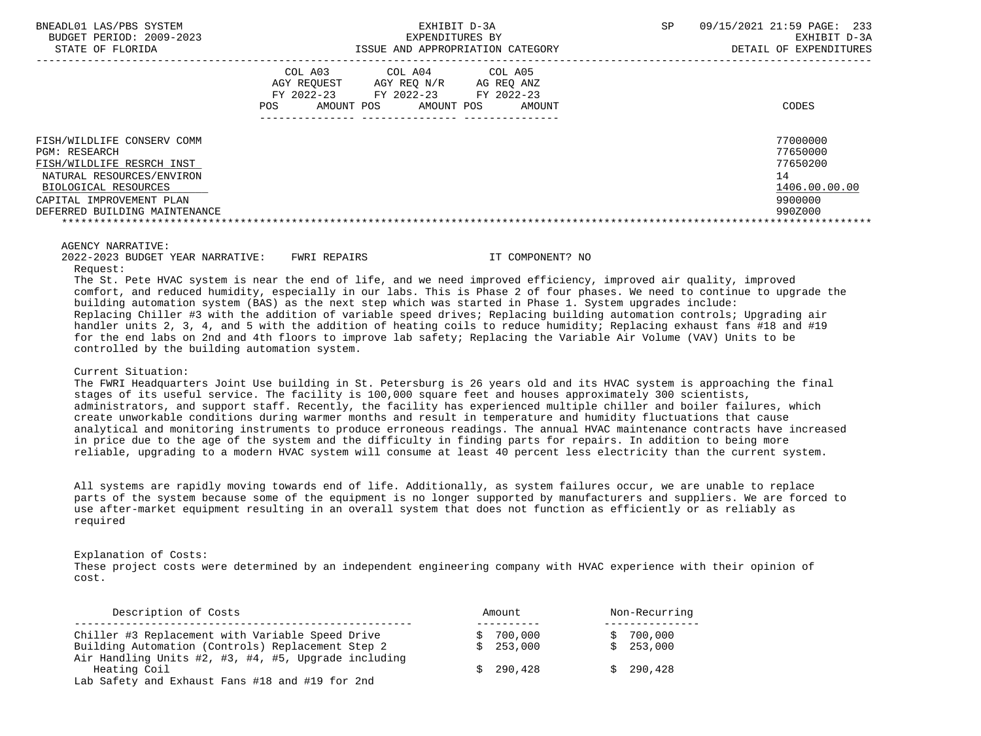| BNEADL01 LAS/PBS SYSTEM<br>BUDGET PERIOD: 2009-2023<br>STATE OF FLORIDA                                                                                                                    | EXHIBIT D-3A<br>EXPENDITURES BY<br>ISSUE AND APPROPRIATION CATEGORY                                                                                           | 09/15/2021 21:59 PAGE: 233<br><b>SP</b><br>EXHIBIT D-3A<br>DETAIL OF EXPENDITURES |
|--------------------------------------------------------------------------------------------------------------------------------------------------------------------------------------------|---------------------------------------------------------------------------------------------------------------------------------------------------------------|-----------------------------------------------------------------------------------|
|                                                                                                                                                                                            | COL A03<br>COL A04 COL A05<br>AGY REOUEST<br>AGY REO N/R<br>AG REO ANZ<br>FY 2022-23<br>FY 2022-23<br>FY 2022-23<br>AMOUNT POS<br>POS<br>AMOUNT POS<br>AMOUNT | CODES                                                                             |
| FISH/WILDLIFE CONSERV COMM<br>PGM: RESEARCH<br>FISH/WILDLIFE RESRCH INST<br>NATURAL RESOURCES/ENVIRON<br>BIOLOGICAL RESOURCES<br>CAPITAL IMPROVEMENT PLAN<br>DEFERRED BUILDING MAINTENANCE |                                                                                                                                                               | 77000000<br>77650000<br>77650200<br>14<br>1406.00.00.00<br>9900000<br>990Z000     |
|                                                                                                                                                                                            |                                                                                                                                                               |                                                                                   |

#### AGENCY NARRATIVE:

 2022-2023 BUDGET YEAR NARRATIVE: FWRI REPAIRS IT COMPONENT? NO Request:

 The St. Pete HVAC system is near the end of life, and we need improved efficiency, improved air quality, improved comfort, and reduced humidity, especially in our labs. This is Phase 2 of four phases. We need to continue to upgrade the building automation system (BAS) as the next step which was started in Phase 1. System upgrades include: Replacing Chiller #3 with the addition of variable speed drives; Replacing building automation controls; Upgrading air handler units 2, 3, 4, and 5 with the addition of heating coils to reduce humidity; Replacing exhaust fans #18 and #19 for the end labs on 2nd and 4th floors to improve lab safety; Replacing the Variable Air Volume (VAV) Units to be controlled by the building automation system.

## Current Situation:

 The FWRI Headquarters Joint Use building in St. Petersburg is 26 years old and its HVAC system is approaching the final stages of its useful service. The facility is 100,000 square feet and houses approximately 300 scientists, administrators, and support staff. Recently, the facility has experienced multiple chiller and boiler failures, which create unworkable conditions during warmer months and result in temperature and humidity fluctuations that cause analytical and monitoring instruments to produce erroneous readings. The annual HVAC maintenance contracts have increased in price due to the age of the system and the difficulty in finding parts for repairs. In addition to being more reliable, upgrading to a modern HVAC system will consume at least 40 percent less electricity than the current system.

 All systems are rapidly moving towards end of life. Additionally, as system failures occur, we are unable to replace parts of the system because some of the equipment is no longer supported by manufacturers and suppliers. We are forced to use after-market equipment resulting in an overall system that does not function as efficiently or as reliably as required

Explanation of Costs:

 These project costs were determined by an independent engineering company with HVAC experience with their opinion of cost.

| Description of Costs                                 | Amount    | Non-Recurring |
|------------------------------------------------------|-----------|---------------|
| Chiller #3 Replacement with Variable Speed Drive     | \$700.000 | \$700.000     |
| Building Automation (Controls) Replacement Step 2    | \$253.000 | \$253.000     |
| Air Handling Units #2, #3, #4, #5, Upgrade including |           |               |
| Heating Coil                                         | \$290.428 | \$290.428     |
| Lab Safety and Exhaust Fans #18 and #19 for 2nd      |           |               |